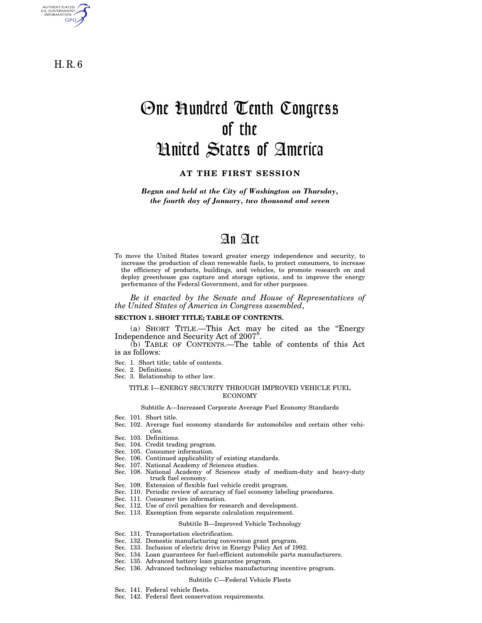H. R. 6

AUTHENTICATED<br>U.S. GOVERNMENT<br>INFORMATION **GPO** 

# One Hundred Tenth Congress of the United States of America

### **AT THE FIRST SESSION**

*Begun and held at the City of Washington on Thursday, the fourth day of January, two thousand and seven* 

# An Act

To move the United States toward greater energy independence and security, to increase the production of clean renewable fuels, to protect consumers, to increase the efficiency of products, buildings, and vehicles, to promote research on and deploy greenhouse gas capture and storage options, and to improve the energy performance of the Federal Government, and for other purposes.

*Be it enacted by the Senate and House of Representatives of the United States of America in Congress assembled*,

#### **SECTION 1. SHORT TITLE; TABLE OF CONTENTS.**

(a) SHORT TITLE.—This Act may be cited as the ''Energy Independence and Security Act of 2007".

(b) TABLE OF CONTENTS.—The table of contents of this Act is as follows:

- Sec. 1. Short title; table of contents.
- Sec. 2. Definitions.
- Sec. 3. Relationship to other law.

### TITLE I—ENERGY SECURITY THROUGH IMPROVED VEHICLE FUEL ECONOMY

Subtitle A—Increased Corporate Average Fuel Economy Standards

- Sec. 101. Short title.
- Sec. 102. Average fuel economy standards for automobiles and certain other vehicles.
- Sec. 103. Definitions.
- Sec. 104. Credit trading program.
- Sec. 105. Consumer information.
- Sec. 106. Continued applicability of existing standards.
- Sec. 107. National Academy of Sciences studies.
- Sec. 108. National Academy of Sciences study of medium-duty and heavy-duty truck fuel economy.
- Sec. 109. Extension of flexible fuel vehicle credit program.
- Sec. 110. Periodic review of accuracy of fuel economy labeling procedures.
- Sec. 111. Consumer tire information.
- Sec. 112. Use of civil penalties for research and development.
- Sec. 113. Exemption from separate calculation requirement.

#### Subtitle B—Improved Vehicle Technology

- Sec. 131. Transportation electrification.
- Sec. 132. Domestic manufacturing conversion grant program.
- Sec. 133. Inclusion of electric drive in Energy Policy Act of 1992.
- Sec. 134. Loan guarantees for fuel-efficient automobile parts manufacturers.
- Sec. 135. Advanced battery loan guarantee program.
- Sec. 136. Advanced technology vehicles manufacturing incentive program.

#### Subtitle C—Federal Vehicle Fleets

- Sec. 141. Federal vehicle fleets.
- Sec. 142. Federal fleet conservation requirements.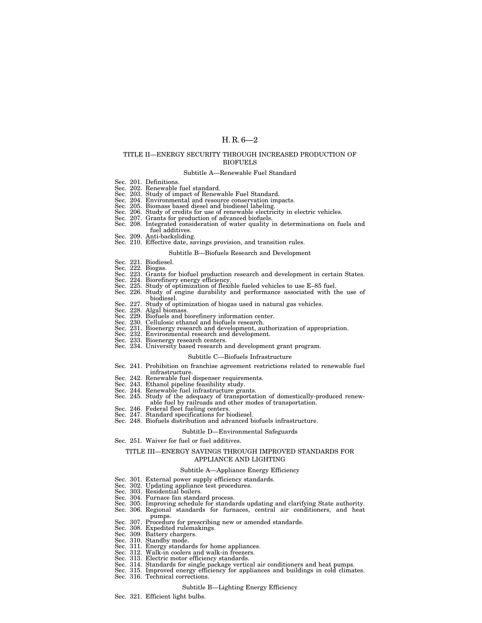#### TITLE II—ENERGY SECURITY THROUGH INCREASED PRODUCTION OF BIOFUELS

#### Subtitle A—Renewable Fuel Standard

- Sec. 201. Definitions.<br>Sec. 202. Renewable
- Sec. 202. Renewable fuel standard.<br>Sec. 203. Study of impact of Renew
- Sec. 203. Study of impact of Renewable Fuel Standard.
- Sec. 204. Environmental and resource conservation impacts. Sec. 205. Biomass based diesel and biodiesel labeling. Sec. 206. Study of credits for use of renewable electricity in electric vehicles.
- 
- 
- Sec. 206. Study of credits for use of renewable electrical Sec. 207. Grants for production of advanced biofuels.<br>Sec. 208. Integrated consideration of water quality Integrated consideration of water quality in determinations on fuels and fuel additives.
- 
- Sec. 209. Anti-backsliding. Sec. 210. Effective date, savings provision, and transition rules.

#### Subtitle B—Biofuels Research and Development

- Sec. 221. Biodiesel.
- Sec. 222. Biogas.<br>Sec. 223. Grants
- Grants for biofuel production research and development in certain States.
- 
- Sec. 224. Biorefinery energy efficiency.<br>Sec. 225. Study of optimization of flexi Sec. 225. Study of optimization of flexible fueled vehicles to use E–85 fuel.<br>Sec. 226. Study of engine durability and performance associated with t
- Study of engine durability and performance associated with the use of biodiesel.
- Sec. 227. Study of optimization of biogas used in natural gas vehicles.
- 
- 
- Sec. 228. Algal biomass. Sec. 229. Biofuels and biorefinery information center. Sec. 230. Cellulosic ethanol and biofuels research.
- Sec. 231. Bioenergy research and development, authorization of appropriation.
- Sec. 232. Environmental research and development.<br>Sec. 233. Environmental research and development.
- Bioenergy research centers.
- Sec. 234. University based research and development grant program.

#### Subtitle C—Biofuels Infrastructure

- Sec. 241. Prohibition on franchise agreement restrictions related to renewable fuel infrastructure.
- Sec. 242. Renewable fuel dispenser requirements. Sec. 243. Ethanol pipeline feasibility study. Sec. 244. Renewable fuel infrastructure grants.
- 
- 
- Sec. 245. Study of the adequacy of transportation of domestically-produced renew-
- able fuel by railroads and other modes of transportation.
- Sec. 246. Federal fleet fueling centers.<br>Sec. 247. Standard specifications for b.
- Standard specifications for biodiesel
- Sec. 248. Biofuels distribution and advanced biofuels infrastructure.

#### Subtitle D—Environmental Safeguards

Sec. 251. Waiver for fuel or fuel additives.

### TITLE III—ENERGY SAVINGS THROUGH IMPROVED STANDARDS FOR APPLIANCE AND LIGHTING

#### Subtitle A—Appliance Energy Efficiency

- Sec. 301. External power supply efficiency standards.
- Sec. 302. Updating appliance test procedures. Sec. 303. Residential boilers.
- 
- Sec. 304. Furnace fan standard process.
- Sec. 305. Improving schedule for standards updating and clarifying State authority. Sec. 306. Regional standards for furnaces, central air conditioners, and heat pumps.
- Sec. 307. Procedure for prescribing new or amended standards.<br>Sec. 308. Expedited rulemakings.<br>Sec. 309. Battery chargers.
- 
- Sec. 308. Expedited rulemakings. Sec. 309. Battery chargers. Sec. 310. Standby mode.
- 
- 
- Sec. 311. Energy standards for home appliances. Sec. 312. Walk-in coolers and walk-in freezers.
- Sec. 313. Electric motor efficiency standards.<br>Sec. 314. Standards for single package vertice
- 
- Sec. 314. Standards for single package vertical air conditioners and heat pumps. Sec. 315. Improved energy efficiency for appliances and buildings in cold climates.
- Sec. 316. Technical corrections.

#### Subtitle B—Lighting Energy Efficiency

Sec. 321. Efficient light bulbs.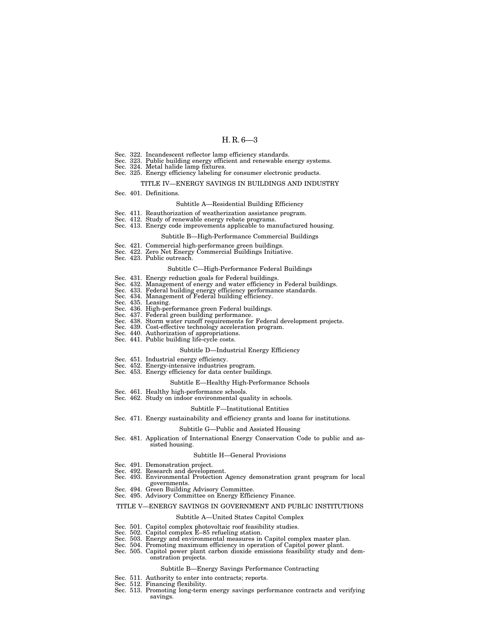- 
- Sec. 322. Incandescent reflector lamp efficiency standards. Sec. 323. Public building energy efficient and renewable energy systems. Sec. 324. Metal halide lamp fixtures.
- 
- Sec. 325. Energy efficiency labeling for consumer electronic products.

#### TITLE IV—ENERGY SAVINGS IN BUILDINGS AND INDUSTRY

Sec. 401. Definitions.

#### Subtitle A—Residential Building Efficiency

- Sec. 411. Reauthorization of weatherization assistance program.
- Sec. 412. Study of renewable energy rebate programs.
- Sec. 413. Energy code improvements applicable to manufactured housing.

#### Subtitle B—High-Performance Commercial Buildings

- 
- Sec. 421. Commercial high-performance green buildings. Sec. 422. Zero Net Energy Commercial Buildings Initiative.
- Sec. 423. Public outreach.

#### Subtitle C—High-Performance Federal Buildings

- Sec. 431. Energy reduction goals for Federal buildings.
- Sec. 432. Management of energy and water efficiency in Federal buildings.
- Sec. 433. Federal building energy efficiency performance standards. Sec. 434. Management of Federal building efficiency.
- 
- Sec. 435. Leasing.
- Sec. 436. High-performance green Federal buildings. Sec. 437. Federal green building performance.
- 
- Sec. 438. Storm water runoff requirements for Federal development projects. Sec. 439. Cost-effective technology acceleration program.
- 
- Sec. 440. Authorization of appropriations. Sec. 441. Public building life-cycle costs.

### Subtitle D—Industrial Energy Efficiency

- Sec. 451. Industrial energy efficiency.
- Sec. 452. Energy-intensive industries program.
- Sec. 453. Energy efficiency for data center buildings.

#### Subtitle E—Healthy High-Performance Schools

- Sec. 461. Healthy high-performance schools.
- Sec. 462. Study on indoor environmental quality in schools.

#### Subtitle F—Institutional Entities

Sec. 471. Energy sustainability and efficiency grants and loans for institutions.

#### Subtitle G—Public and Assisted Housing

Sec. 481. Application of International Energy Conservation Code to public and assisted housing.

#### Subtitle H—General Provisions

- Sec. 491. Demonstration project.
- Sec. 492. Research and development.
- Sec. 493. Environmental Protection Agency demonstration grant program for local governments.
- Sec. 494. Green Building Advisory Committee.
- Sec. 495. Advisory Committee on Energy Efficiency Finance.

#### TITLE V—ENERGY SAVINGS IN GOVERNMENT AND PUBLIC INSTITUTIONS

#### Subtitle A—United States Capitol Complex

- 
- Sec. 501. Capitol complex photovoltaic roof feasibility studies. Sec. 502. Capitol complex E–85 refueling station.
- Sec. 503. Energy and environmental measures in Capitol complex master plan.<br>Sec. 504. Promoting maximum efficiency in operation of Capitol power plant.
- Promoting maximum efficiency in operation of Capitol power plant.
- Sec. 505. Capitol power plant carbon dioxide emissions feasibility study and demonstration projects.

#### Subtitle B—Energy Savings Performance Contracting

- Sec. 511. Authority to enter into contracts; reports. Sec. 512. Financing flexibility.
- 
- Sec. 513. Promoting long-term energy savings performance contracts and verifying savings.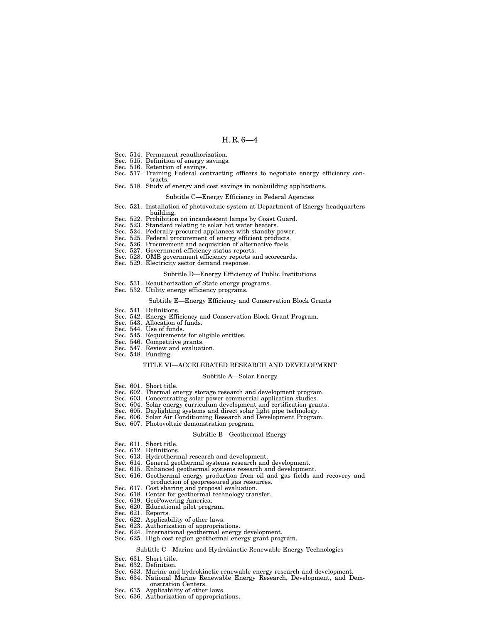- Sec. 514. Permanent reauthorization.
- Sec. 515. Definition of energy savings.
- Sec. 516. Retention of savings.
- Sec. 517. Training Federal contracting officers to negotiate energy efficiency contracts.
- Sec. 518. Study of energy and cost savings in nonbuilding applications.

#### Subtitle C—Energy Efficiency in Federal Agencies

- Sec. 521. Installation of photovoltaic system at Department of Energy headquarters building.
- Sec. 522. Prohibition on incandescent lamps by Coast Guard.<br>Sec. 523. Standard relating to solar hot water heaters.
- Sec. 523. Standard relating to solar hot water heaters.<br>Sec. 524. Federally-procured appliances with standby i
- Sec. 524. Federally-procured appliances with standby power.<br>Sec. 525. Federal procurement of energy efficient products.
- Sec. 525. Federal procurement of energy efficient products.<br>Sec. 526. Procurement and acquisition of alternative fuels.
- Procurement and acquisition of alternative fuels.
- Sec. 527. Government efficiency status reports.<br>Sec. 528. OMB government efficiency reports and
- OMB government efficiency reports and scorecards.
- Sec. 529. Electricity sector demand response.

#### Subtitle D—Energy Efficiency of Public Institutions

- Sec. 531. Reauthorization of State energy programs.
- Sec. 532. Utility energy efficiency programs.

#### Subtitle E—Energy Efficiency and Conservation Block Grants

- Sec. 541. Definitions.
- Sec. 542. Energy Efficiency and Conservation Block Grant Program.
- Sec. 543. Allocation of funds.
- Sec. 544. Use of funds.
- Sec. 545. Requirements for eligible entities.
- Sec. 546. Competitive grants.
- Sec. 547. Review and evaluation.
- Sec. 548. Funding.

#### TITLE VI—ACCELERATED RESEARCH AND DEVELOPMENT

#### Subtitle A—Solar Energy

- Sec. 601. Short title.<br>Sec. 602. Thermal er
- Thermal energy storage research and development program.
- Sec. 603. Concentrating solar power commercial application studies.
- Solar energy curriculum development and certification grants.
- Sec. 605. Daylighting systems and direct solar light pipe technology.
- Sec. 606. Solar Air Conditioning Research and Development Program.
- Sec. 607. Photovoltaic demonstration program.

#### Subtitle B—Geothermal Energy

- Sec. 611. Short title.
- Sec. 612. Definitions.
- Sec. 613. Hydrothermal research and development.
- Sec. 614. General geothermal systems research and development.
- Sec. 615. Enhanced geothermal systems research and development.
- Sec. 616. Geothermal energy production from oil and gas fields and recovery and production of geopressured gas resources.
- Sec. 617. Cost sharing and proposal evaluation.
- Sec. 618. Center for geothermal technology transfer.
- Sec. 619. GeoPowering America.
- Sec. 620. Educational pilot program.
- 
- Sec. 621. Reports. Sec. 622. Applicability of other laws.
- Sec. 623. Authorization of appropriations.
- Sec. 624. International geothermal energy development.
- Sec. 625. High cost region geothermal energy grant program.

#### Subtitle C—Marine and Hydrokinetic Renewable Energy Technologies

- Sec. 631. Short title.
- Sec. 632. Definition.
- Sec. 633. Marine and hydrokinetic renewable energy research and development.
- Sec. 634. National Marine Renewable Energy Research, Development, and Demonstration Centers.
- Sec. 635. Applicability of other laws.
- Sec. 636. Authorization of appropriations.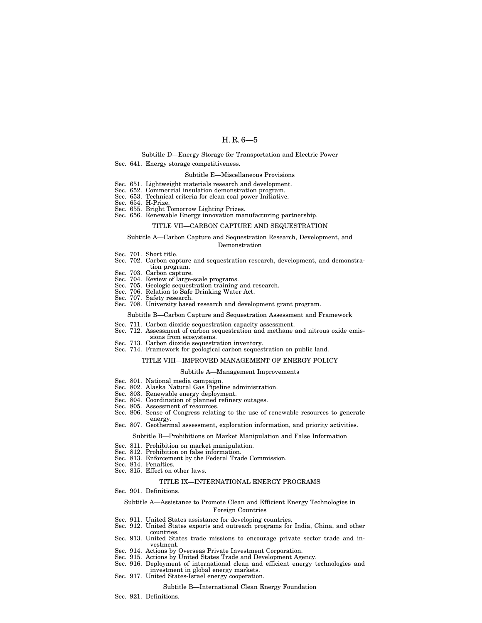#### Subtitle D—Energy Storage for Transportation and Electric Power

Sec. 641. Energy storage competitiveness.

#### Subtitle E—Miscellaneous Provisions

- Sec. 651. Lightweight materials research and development.<br>Sec. 652. Commercial insulation demonstration program.
- Commercial insulation demonstration program.
- Sec. 653. Technical criteria for clean coal power Initiative.
- Sec. 654. H-Prize.
- Sec. 655. Bright Tomorrow Lighting Prizes.
- Sec. 656. Renewable Energy innovation manufacturing partnership.

#### TITLE VII—CARBON CAPTURE AND SEQUESTRATION

### Subtitle A—Carbon Capture and Sequestration Research, Development, and

#### Demonstration

- 
- Sec. 701. Short title.<br>Sec. 702. Carbon capture and sequestration research, development, and demonstration program.
- Sec. 703. Carbon capture.
- Sec. 704. Review of large-scale programs.
- Sec. 705. Geologic sequestration training and research.
- Sec. 706. Relation to Safe Drinking Water Act.
- 
- Sec. 707. Safety research. Sec. 708. University based research and development grant program.

#### Subtitle B—Carbon Capture and Sequestration Assessment and Framework

- Sec. 711. Carbon dioxide sequestration capacity assessment.
- Sec. 712. Assessment of carbon sequestration and methane and nitrous oxide emissions from ecosystems.
- Sec. 713. Carbon dioxide sequestration inventory.
- Sec. 714. Framework for geological carbon sequestration on public land.

#### TITLE VIII—IMPROVED MANAGEMENT OF ENERGY POLICY

#### Subtitle A—Management Improvements

- Sec. 801. National media campaign.
- Sec. 802. Alaska Natural Gas Pipeline administration.
- Sec. 803. Renewable energy deployment.
- Sec. 804. Coordination of planned refinery outages.
- Sec. 805. Assessment of resources.
- Sec. 806. Sense of Congress relating to the use of renewable resources to generate energy.

### Sec. 807. Geothermal assessment, exploration information, and priority activities.

#### Subtitle B—Prohibitions on Market Manipulation and False Information

- Sec. 811. Prohibition on market manipulation.
- Sec. 812. Prohibition on false information.
- Sec. 813. Enforcement by the Federal Trade Commission.
- Sec. 814. Penalties.
- Sec. 815. Effect on other laws.

#### TITLE IX—INTERNATIONAL ENERGY PROGRAMS

#### Sec. 901. Definitions.

#### Subtitle A—Assistance to Promote Clean and Efficient Energy Technologies in Foreign Countries

- Sec. 911. United States assistance for developing countries.
- Sec. 912. United States exports and outreach programs for India, China, and other countries.
- Sec. 913. United States trade missions to encourage private sector trade and investment.
- Sec. 914. Actions by Overseas Private Investment Corporation.
- Sec. 915. Actions by United States Trade and Development Agency.
- Sec. 916. Deployment of international clean and efficient energy technologies and investment in global energy markets.
- Sec. 917. United States-Israel energy cooperation.

#### Subtitle B—International Clean Energy Foundation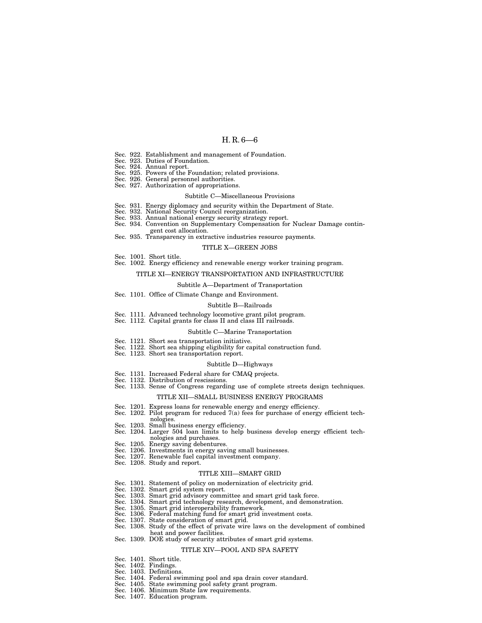Sec. 922. Establishment and management of Foundation. Sec. 923. Duties of Foundation.

- 
- Sec. 924. Annual report.
- Sec. 925. Powers of the Foundation; related provisions. Sec. 926. General personnel authorities.
- Sec. 927. Authorization of appropriations.

#### Subtitle C—Miscellaneous Provisions

- Sec. 931. Energy diplomacy and security within the Department of State.
- Sec. 932. National Security Council reorganization.
- Sec. 933. Annual national energy security strategy report.
- Sec. 934. Convention on Supplementary Compensation for Nuclear Damage contin-
- gent cost allocation.
- Sec. 935. Transparency in extractive industries resource payments.

#### TITLE X—GREEN JOBS

- Sec. 1001. Short title.
- Sec. 1002. Energy efficiency and renewable energy worker training program.

#### TITLE XI—ENERGY TRANSPORTATION AND INFRASTRUCTURE

#### Subtitle A—Department of Transportation

Sec. 1101. Office of Climate Change and Environment.

#### Subtitle B—Railroads

- Sec. 1111. Advanced technology locomotive grant pilot program.
- Sec. 1112. Capital grants for class II and class III railroads.

#### Subtitle C—Marine Transportation

- Sec. 1121. Short sea transportation initiative.
- Sec. 1122. Short sea shipping eligibility for capital construction fund.
- Sec. 1123. Short sea transportation report.

#### Subtitle D—Highways

- Sec. 1131. Increased Federal share for CMAQ projects.
- Sec. 1132. Distribution of rescissions.
- Sec. 1133. Sense of Congress regarding use of complete streets design techniques.

#### TITLE XII—SMALL BUSINESS ENERGY PROGRAMS

- Sec. 1201. Express loans for renewable energy and energy efficiency.
- Sec. 1202. Pilot program for reduced 7(a) fees for purchase of energy efficient technologies.
- Sec. 1203. Small business energy efficiency.
- Sec. 1204. Larger 504 loan limits to help business develop energy efficient technologies and purchases.
- Sec. 1205. Energy saving debentures.
- Sec. 1206. Investments in energy saving small businesses. Sec. 1207. Renewable fuel capital investment company.
- 
- Sec. 1208. Study and report.

#### TITLE XIII—SMART GRID

- Sec. 1301. Statement of policy on modernization of electricity grid.
- Sec. 1302. Smart grid system report.
- Sec. 1303. Smart grid advisory committee and smart grid task force.
- Sec. 1304. Smart grid technology research, development, and demonstration. Sec. 1305. Smart grid interoperability framework.
- 
- Sec. 1305. Smart grid interoperability framework. Sec. 1306. Federal matching fund for smart grid investment costs.
- Sec. 1307. State consideration of smart grid.
- Study of the effect of private wire laws on the development of combined heat and power facilities.
- Sec. 1309. DOE study of security attributes of smart grid systems.

#### TITLE XIV—POOL AND SPA SAFETY

- Sec. 1401. Short title. Sec. 1402. Findings.
- 
- Sec. 1403. Definitions.
- Sec. 1404. Federal swimming pool and spa drain cover standard.
- Sec. 1405. State swimming pool safety grant program. Sec. 1406. Minimum State law requirements.
- 
- Sec. 1407. Education program.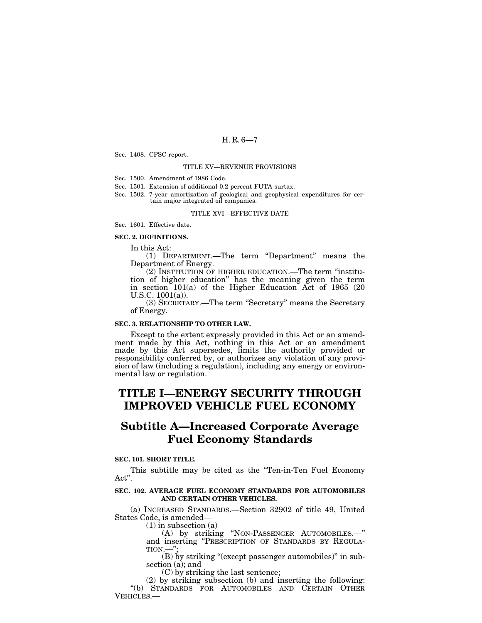Sec. 1408. CPSC report.

#### TITLE XV—REVENUE PROVISIONS

Sec. 1500. Amendment of 1986 Code.

Sec. 1501. Extension of additional 0.2 percent FUTA surtax.

Sec. 1502. 7-year amortization of geological and geophysical expenditures for certain major integrated oil companies.

#### TITLE XVI—EFFECTIVE DATE

Sec. 1601. Effective date.

### **SEC. 2. DEFINITIONS.**

In this Act:

(1) DEPARTMENT.—The term "Department" means the Department of Energy.

(2) INSTITUTION OF HIGHER EDUCATION.—The term ''institution of higher education'' has the meaning given the term in section 101(a) of the Higher Education Act of 1965 (20 U.S.C. 1001(a)).

(3) SECRETARY.—The term ''Secretary'' means the Secretary of Energy.

### **SEC. 3. RELATIONSHIP TO OTHER LAW.**

Except to the extent expressly provided in this Act or an amendment made by this Act, nothing in this Act or an amendment made by this Act supersedes, limits the authority provided or responsibility conferred by, or authorizes any violation of any provision of law (including a regulation), including any energy or environmental law or regulation.

# **TITLE I—ENERGY SECURITY THROUGH IMPROVED VEHICLE FUEL ECONOMY**

# **Subtitle A—Increased Corporate Average Fuel Economy Standards**

### **SEC. 101. SHORT TITLE.**

This subtitle may be cited as the ''Ten-in-Ten Fuel Economy Act''.

### **SEC. 102. AVERAGE FUEL ECONOMY STANDARDS FOR AUTOMOBILES AND CERTAIN OTHER VEHICLES.**

(a) INCREASED STANDARDS.—Section 32902 of title 49, United States Code, is amended—

 $(1)$  in subsection  $(a)$ —

(A) by striking ''NON-PASSENGER AUTOMOBILES.—'' and inserting ''PRESCRIPTION OF STANDARDS BY REGULA- $TION.$ 

(B) by striking ''(except passenger automobiles)'' in subsection (a); and

(C) by striking the last sentence;

(2) by striking subsection (b) and inserting the following: ''(b) STANDARDS FOR AUTOMOBILES AND CERTAIN OTHER VEHICLES.—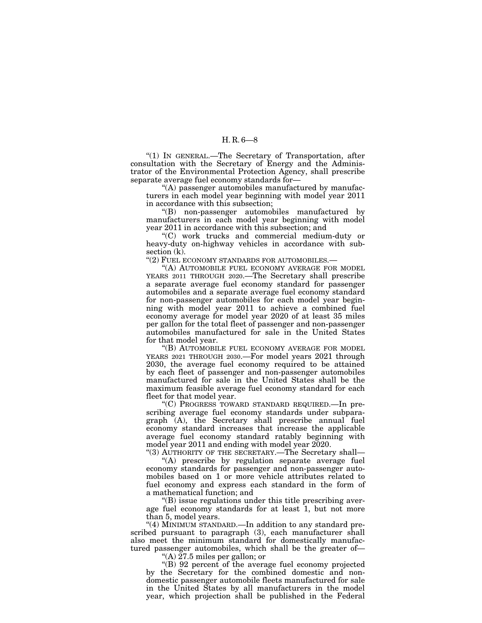''(1) IN GENERAL.—The Secretary of Transportation, after consultation with the Secretary of Energy and the Administrator of the Environmental Protection Agency, shall prescribe separate average fuel economy standards for—

''(A) passenger automobiles manufactured by manufacturers in each model year beginning with model year 2011 in accordance with this subsection;

''(B) non-passenger automobiles manufactured by manufacturers in each model year beginning with model year 2011 in accordance with this subsection; and

''(C) work trucks and commercial medium-duty or heavy-duty on-highway vehicles in accordance with subsection  $(k)$ .

''(2) FUEL ECONOMY STANDARDS FOR AUTOMOBILES.—

''(A) AUTOMOBILE FUEL ECONOMY AVERAGE FOR MODEL YEARS 2011 THROUGH 2020.—The Secretary shall prescribe a separate average fuel economy standard for passenger automobiles and a separate average fuel economy standard for non-passenger automobiles for each model year beginning with model year 2011 to achieve a combined fuel economy average for model year 2020 of at least 35 miles per gallon for the total fleet of passenger and non-passenger automobiles manufactured for sale in the United States for that model year.

''(B) AUTOMOBILE FUEL ECONOMY AVERAGE FOR MODEL YEARS 2021 THROUGH 2030.—For model years 2021 through 2030, the average fuel economy required to be attained by each fleet of passenger and non-passenger automobiles manufactured for sale in the United States shall be the maximum feasible average fuel economy standard for each fleet for that model year.

''(C) PROGRESS TOWARD STANDARD REQUIRED.—In prescribing average fuel economy standards under subparagraph (A), the Secretary shall prescribe annual fuel economy standard increases that increase the applicable average fuel economy standard ratably beginning with model year 2011 and ending with model year 2020.

''(3) AUTHORITY OF THE SECRETARY.—The Secretary shall— ''(A) prescribe by regulation separate average fuel economy standards for passenger and non-passenger automobiles based on 1 or more vehicle attributes related to fuel economy and express each standard in the form of a mathematical function; and

''(B) issue regulations under this title prescribing average fuel economy standards for at least 1, but not more than 5, model years.

''(4) MINIMUM STANDARD.—In addition to any standard prescribed pursuant to paragraph (3), each manufacturer shall also meet the minimum standard for domestically manufactured passenger automobiles, which shall be the greater of—

 $\mathrm{``(A)}$  27.5 miles per gallon; or

''(B) 92 percent of the average fuel economy projected by the Secretary for the combined domestic and nondomestic passenger automobile fleets manufactured for sale in the United States by all manufacturers in the model year, which projection shall be published in the Federal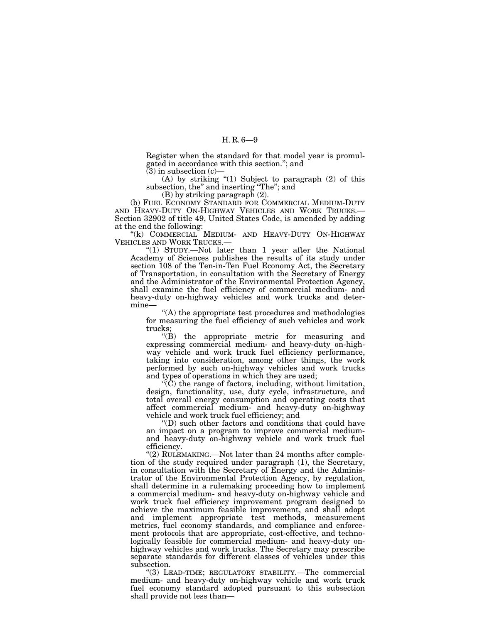Register when the standard for that model year is promulgated in accordance with this section.''; and

 $(3)$  in subsection  $(c)$ 

(A) by striking "(1) Subject to paragraph (2) of this subsection, the" and inserting "The"; and

(B) by striking paragraph (2).

(b) FUEL ECONOMY STANDARD FOR COMMERCIAL MEDIUM-DUTY AND HEAVY-DUTY ON-HIGHWAY VEHICLES AND WORK TRUCKS.— Section 32902 of title 49, United States Code, is amended by adding at the end the following:

"(k) COMMERCIAL MEDIUM- AND HEAVY-DUTY ON-HIGHWAY VEHICLES AND WORK TRUCKS.—

"(1) STUDY.—Not later than 1 year after the National Academy of Sciences publishes the results of its study under section 108 of the Ten-in-Ten Fuel Economy Act, the Secretary of Transportation, in consultation with the Secretary of Energy and the Administrator of the Environmental Protection Agency, shall examine the fuel efficiency of commercial medium- and heavy-duty on-highway vehicles and work trucks and determine—

''(A) the appropriate test procedures and methodologies for measuring the fuel efficiency of such vehicles and work trucks;

''(B) the appropriate metric for measuring and expressing commercial medium- and heavy-duty on-highway vehicle and work truck fuel efficiency performance, taking into consideration, among other things, the work performed by such on-highway vehicles and work trucks and types of operations in which they are used;

 $\mathcal{C}(\bar{C})$  the range of factors, including, without limitation, design, functionality, use, duty cycle, infrastructure, and total overall energy consumption and operating costs that affect commercial medium- and heavy-duty on-highway vehicle and work truck fuel efficiency; and

''(D) such other factors and conditions that could have an impact on a program to improve commercial mediumand heavy-duty on-highway vehicle and work truck fuel efficiency.

"(2) RULEMAKING.—Not later than 24 months after completion of the study required under paragraph (1), the Secretary, in consultation with the Secretary of Energy and the Administrator of the Environmental Protection Agency, by regulation, shall determine in a rulemaking proceeding how to implement a commercial medium- and heavy-duty on-highway vehicle and work truck fuel efficiency improvement program designed to achieve the maximum feasible improvement, and shall adopt and implement appropriate test methods, measurement metrics, fuel economy standards, and compliance and enforcement protocols that are appropriate, cost-effective, and technologically feasible for commercial medium- and heavy-duty onhighway vehicles and work trucks. The Secretary may prescribe separate standards for different classes of vehicles under this subsection.

''(3) LEAD-TIME; REGULATORY STABILITY.—The commercial medium- and heavy-duty on-highway vehicle and work truck fuel economy standard adopted pursuant to this subsection shall provide not less than—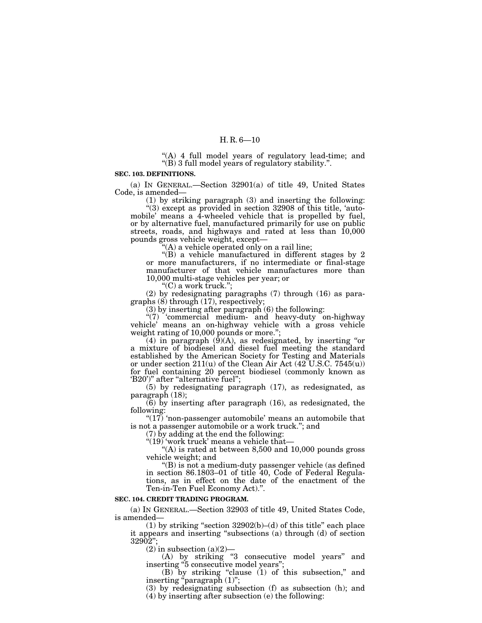''(A) 4 full model years of regulatory lead-time; and ''(B) 3 full model years of regulatory stability.''.

#### **SEC. 103. DEFINITIONS.**

(a) IN GENERAL.—Section 32901(a) of title 49, United States Code, is amended—

(1) by striking paragraph (3) and inserting the following: "(3) except as provided in section 32908 of this title, 'automobile' means a 4-wheeled vehicle that is propelled by fuel, or by alternative fuel, manufactured primarily for use on public streets, roads, and highways and rated at less than 10,000 pounds gross vehicle weight, except—

''(A) a vehicle operated only on a rail line;

" $(B)$  a vehicle manufactured in different stages by 2 or more manufacturers, if no intermediate or final-stage manufacturer of that vehicle manufactures more than 10,000 multi-stage vehicles per year; or

"(C) a work truck.";

(2) by redesignating paragraphs (7) through (16) as paragraphs (8) through (17), respectively;

(3) by inserting after paragraph (6) the following:

"(7) 'commercial medium- and heavy-duty on-highway vehicle' means an on-highway vehicle with a gross vehicle weight rating of 10,000 pounds or more.";

(4) in paragraph  $(\bar{9})(A)$ , as redesignated, by inserting "or a mixture of biodiesel and diesel fuel meeting the standard established by the American Society for Testing and Materials or under section 211(u) of the Clean Air Act (42 U.S.C. 7545(u)) for fuel containing 20 percent biodiesel (commonly known as 'B20')" after "alternative fuel";

(5) by redesignating paragraph (17), as redesignated, as paragraph (18);

(6) by inserting after paragraph (16), as redesignated, the following:

" $(17)$  'non-passenger automobile' means an automobile that is not a passenger automobile or a work truck.''; and

(7) by adding at the end the following:

''(19) 'work truck' means a vehicle that—

 $(A)$  is rated at between 8,500 and 10,000 pounds gross vehicle weight; and

''(B) is not a medium-duty passenger vehicle (as defined in section 86.1803–01 of title 40, Code of Federal Regulations, as in effect on the date of the enactment of the Ten-in-Ten Fuel Economy Act).''.

### **SEC. 104. CREDIT TRADING PROGRAM.**

(a) IN GENERAL.—Section 32903 of title 49, United States Code, is amended—

(1) by striking "section  $32902(b)$ –(d) of this title" each place it appears and inserting ''subsections (a) through (d) of section 32902'';

 $(2)$  in subsection  $(a)(2)$ 

(A) by striking ''3 consecutive model years'' and inserting "5 consecutive model years";

(B) by striking ''clause (1) of this subsection,'' and inserting "paragraph (1)";

(3) by redesignating subsection (f) as subsection (h); and (4) by inserting after subsection (e) the following: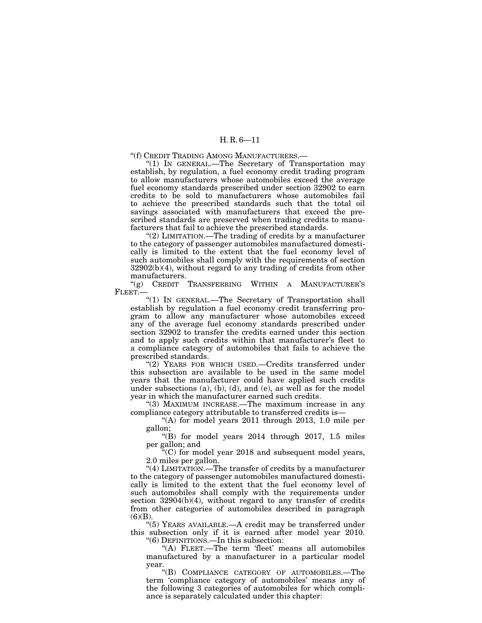''(f) CREDIT TRADING AMONG MANUFACTURERS.—

''(1) IN GENERAL.—The Secretary of Transportation may establish, by regulation, a fuel economy credit trading program to allow manufacturers whose automobiles exceed the average fuel economy standards prescribed under section 32902 to earn credits to be sold to manufacturers whose automobiles fail to achieve the prescribed standards such that the total oil savings associated with manufacturers that exceed the prescribed standards are preserved when trading credits to manufacturers that fail to achieve the prescribed standards.

''(2) LIMITATION.—The trading of credits by a manufacturer to the category of passenger automobiles manufactured domestically is limited to the extent that the fuel economy level of such automobiles shall comply with the requirements of section 32902(b)(4), without regard to any trading of credits from other manufacturers.<br>" $(g)$  CREDIT

CREDIT TRANSFERRING WITHIN A MANUFACTURER'S FLEET.—

"(1) IN GENERAL.—The Secretary of Transportation shall establish by regulation a fuel economy credit transferring program to allow any manufacturer whose automobiles exceed any of the average fuel economy standards prescribed under section 32902 to transfer the credits earned under this section and to apply such credits within that manufacturer's fleet to a compliance category of automobiles that fails to achieve the prescribed standards.

''(2) YEARS FOR WHICH USED.—Credits transferred under this subsection are available to be used in the same model years that the manufacturer could have applied such credits under subsections (a), (b), (d), and (e), as well as for the model year in which the manufacturer earned such credits.

''(3) MAXIMUM INCREASE.—The maximum increase in any compliance category attributable to transferred credits is—

"(A) for model years  $2011$  through  $2013$ , 1.0 mile per gallon;

"(B) for model years  $2014$  through  $2017$ , 1.5 miles per gallon; and

''(C) for model year 2018 and subsequent model years, 2.0 miles per gallon.

''(4) LIMITATION.—The transfer of credits by a manufacturer to the category of passenger automobiles manufactured domestically is limited to the extent that the fuel economy level of such automobiles shall comply with the requirements under section 32904(b)(4), without regard to any transfer of credits from other categories of automobiles described in paragraph  $(6)(B)$ .

''(5) YEARS AVAILABLE.—A credit may be transferred under this subsection only if it is earned after model year 2010. ''(6) DEFINITIONS.—In this subsection:

"(A) FLEET.—The term 'fleet' means all automobiles manufactured by a manufacturer in a particular model year.

''(B) COMPLIANCE CATEGORY OF AUTOMOBILES.—The term 'compliance category of automobiles' means any of the following 3 categories of automobiles for which compliance is separately calculated under this chapter: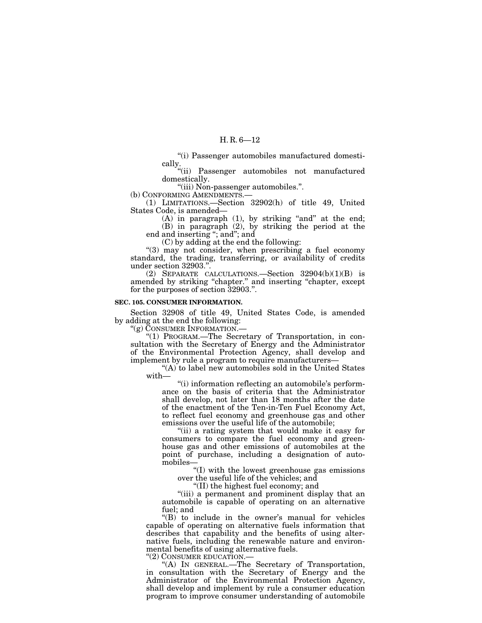''(i) Passenger automobiles manufactured domestically.

''(ii) Passenger automobiles not manufactured domestically.

''(iii) Non-passenger automobiles.''.

(b) CONFORMING AMENDMENTS.—

(1) LIMITATIONS.—Section 32902(h) of title 49, United States Code, is amended—

 $(A)$  in paragraph  $(1)$ , by striking "and" at the end;

(B) in paragraph (2), by striking the period at the end and inserting ''; and''; and

(C) by adding at the end the following:

"(3) may not consider, when prescribing a fuel economy standard, the trading, transferring, or availability of credits under section 32903.''.

(2) SEPARATE CALCULATIONS.—Section 32904(b)(1)(B) is amended by striking ''chapter.'' and inserting ''chapter, except for the purposes of section 32903.''.

#### **SEC. 105. CONSUMER INFORMATION.**

Section 32908 of title 49, United States Code, is amended by adding at the end the following:<br>"(g) CONSUMER INFORMATION.-

''(g) CONSUMER INFORMATION.— ''(1) PROGRAM.—The Secretary of Transportation, in consultation with the Secretary of Energy and the Administrator of the Environmental Protection Agency, shall develop and implement by rule a program to require manufacturers—

"(A) to label new automobiles sold in the United States with—

''(i) information reflecting an automobile's performance on the basis of criteria that the Administrator shall develop, not later than 18 months after the date of the enactment of the Ten-in-Ten Fuel Economy Act, to reflect fuel economy and greenhouse gas and other emissions over the useful life of the automobile;

''(ii) a rating system that would make it easy for consumers to compare the fuel economy and greenhouse gas and other emissions of automobiles at the point of purchase, including a designation of automobiles—

''(I) with the lowest greenhouse gas emissions over the useful life of the vehicles; and

''(II) the highest fuel economy; and

''(iii) a permanent and prominent display that an automobile is capable of operating on an alternative fuel; and

''(B) to include in the owner's manual for vehicles capable of operating on alternative fuels information that describes that capability and the benefits of using alternative fuels, including the renewable nature and environmental benefits of using alternative fuels. ''(2) CONSUMER EDUCATION.—

''(A) IN GENERAL.—The Secretary of Transportation, in consultation with the Secretary of Energy and the Administrator of the Environmental Protection Agency, shall develop and implement by rule a consumer education program to improve consumer understanding of automobile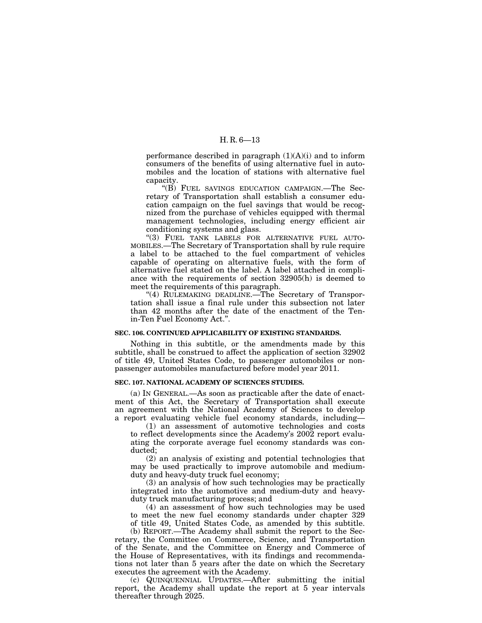performance described in paragraph  $(1)(A)(i)$  and to inform consumers of the benefits of using alternative fuel in automobiles and the location of stations with alternative fuel capacity.

''(B) FUEL SAVINGS EDUCATION CAMPAIGN.—The Secretary of Transportation shall establish a consumer education campaign on the fuel savings that would be recognized from the purchase of vehicles equipped with thermal management technologies, including energy efficient air conditioning systems and glass.

"(3) FUEL TANK LABELS FOR ALTERNATIVE FUEL AUTO-MOBILES.—The Secretary of Transportation shall by rule require a label to be attached to the fuel compartment of vehicles capable of operating on alternative fuels, with the form of alternative fuel stated on the label. A label attached in compliance with the requirements of section 32905(h) is deemed to meet the requirements of this paragraph.

"(4) RULEMAKING DEADLINE.—The Secretary of Transportation shall issue a final rule under this subsection not later than 42 months after the date of the enactment of the Tenin-Ten Fuel Economy Act.''.

### **SEC. 106. CONTINUED APPLICABILITY OF EXISTING STANDARDS.**

Nothing in this subtitle, or the amendments made by this subtitle, shall be construed to affect the application of section 32902 of title 49, United States Code, to passenger automobiles or nonpassenger automobiles manufactured before model year 2011.

### **SEC. 107. NATIONAL ACADEMY OF SCIENCES STUDIES.**

(a) IN GENERAL.—As soon as practicable after the date of enactment of this Act, the Secretary of Transportation shall execute an agreement with the National Academy of Sciences to develop a report evaluating vehicle fuel economy standards, including—

(1) an assessment of automotive technologies and costs to reflect developments since the Academy's 2002 report evaluating the corporate average fuel economy standards was conducted;

(2) an analysis of existing and potential technologies that may be used practically to improve automobile and mediumduty and heavy-duty truck fuel economy;

(3) an analysis of how such technologies may be practically integrated into the automotive and medium-duty and heavyduty truck manufacturing process; and

(4) an assessment of how such technologies may be used to meet the new fuel economy standards under chapter 329 of title 49, United States Code, as amended by this subtitle.

(b) REPORT.—The Academy shall submit the report to the Secretary, the Committee on Commerce, Science, and Transportation of the Senate, and the Committee on Energy and Commerce of the House of Representatives, with its findings and recommendations not later than 5 years after the date on which the Secretary executes the agreement with the Academy.

(c) QUINQUENNIAL UPDATES.—After submitting the initial report, the Academy shall update the report at 5 year intervals thereafter through 2025.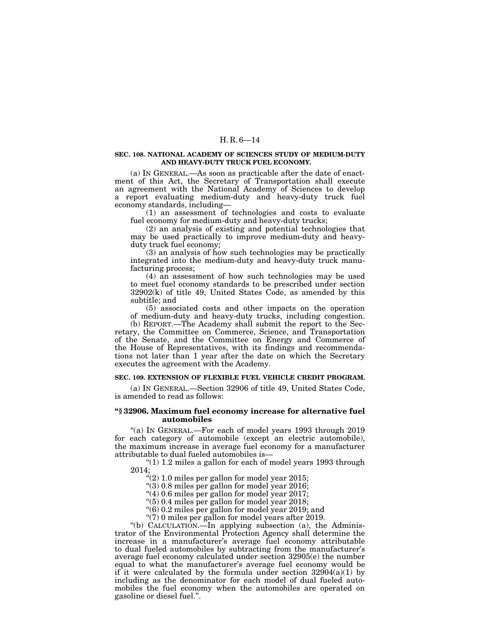### **SEC. 108. NATIONAL ACADEMY OF SCIENCES STUDY OF MEDIUM-DUTY AND HEAVY-DUTY TRUCK FUEL ECONOMY.**

(a) IN GENERAL.—As soon as practicable after the date of enactment of this Act, the Secretary of Transportation shall execute an agreement with the National Academy of Sciences to develop a report evaluating medium-duty and heavy-duty truck fuel economy standards, including—

(1) an assessment of technologies and costs to evaluate fuel economy for medium-duty and heavy-duty trucks;

(2) an analysis of existing and potential technologies that may be used practically to improve medium-duty and heavyduty truck fuel economy;

(3) an analysis of how such technologies may be practically integrated into the medium-duty and heavy-duty truck manufacturing process;

(4) an assessment of how such technologies may be used to meet fuel economy standards to be prescribed under section 32902(k) of title 49, United States Code, as amended by this subtitle; and

(5) associated costs and other impacts on the operation of medium-duty and heavy-duty trucks, including congestion.

(b) REPORT.—The Academy shall submit the report to the Secretary, the Committee on Commerce, Science, and Transportation of the Senate, and the Committee on Energy and Commerce of the House of Representatives, with its findings and recommendations not later than 1 year after the date on which the Secretary executes the agreement with the Academy.

#### **SEC. 109. EXTENSION OF FLEXIBLE FUEL VEHICLE CREDIT PROGRAM.**

(a) IN GENERAL.—Section 32906 of title 49, United States Code, is amended to read as follows:

### **''§ 32906. Maximum fuel economy increase for alternative fuel automobiles**

''(a) IN GENERAL.—For each of model years 1993 through 2019 for each category of automobile (except an electric automobile), the maximum increase in average fuel economy for a manufacturer attributable to dual fueled automobiles is—

" $(1)$  1.2 miles a gallon for each of model years 1993 through 2014;

" $(2)$  1.0 miles per gallon for model year 2015;

 $\sqrt[4]{(3)}$  0.8 miles per gallon for model year 2016;

"(4) 0.6 miles per gallon for model year 2017;

"(5) 0.4 miles per gallon for model year 2018;

''(6) 0.2 miles per gallon for model year 2019; and

''(7) 0 miles per gallon for model years after 2019.

''(b) CALCULATION.—In applying subsection (a), the Administrator of the Environmental Protection Agency shall determine the increase in a manufacturer's average fuel economy attributable to dual fueled automobiles by subtracting from the manufacturer's average fuel economy calculated under section 32905(e) the number equal to what the manufacturer's average fuel economy would be if it were calculated by the formula under section  $32904(a)(1)$  by including as the denominator for each model of dual fueled automobiles the fuel economy when the automobiles are operated on gasoline or diesel fuel.''.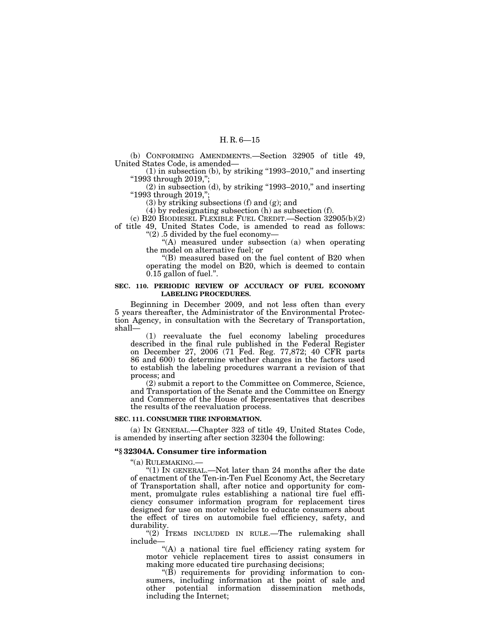(b) CONFORMING AMENDMENTS.—Section 32905 of title 49, United States Code, is amended—

(1) in subsection (b), by striking ''1993–2010,'' and inserting ''1993 through 2019,'';

 $(2)$  in subsection  $(d)$ , by striking "1993–2010," and inserting ''1993 through 2019,'';

(3) by striking subsections (f) and (g); and

(4) by redesignating subsection (h) as subsection (f).

(c) B20 BIODIESEL FLEXIBLE FUEL CREDIT.—Section 32905(b)(2) of title 49, United States Code, is amended to read as follows:

" $(2)$  .5 divided by the fuel economy—

"(A) measured under subsection (a) when operating the model on alternative fuel; or

''(B) measured based on the fuel content of B20 when operating the model on B20, which is deemed to contain 0.15 gallon of fuel.''.

#### **SEC. 110. PERIODIC REVIEW OF ACCURACY OF FUEL ECONOMY LABELING PROCEDURES.**

Beginning in December 2009, and not less often than every 5 years thereafter, the Administrator of the Environmental Protection Agency, in consultation with the Secretary of Transportation, shall—

(1) reevaluate the fuel economy labeling procedures described in the final rule published in the Federal Register on December 27, 2006 (71 Fed. Reg. 77,872; 40 CFR parts 86 and 600) to determine whether changes in the factors used to establish the labeling procedures warrant a revision of that process; and

(2) submit a report to the Committee on Commerce, Science, and Transportation of the Senate and the Committee on Energy and Commerce of the House of Representatives that describes the results of the reevaluation process.

### **SEC. 111. CONSUMER TIRE INFORMATION.**

(a) IN GENERAL.—Chapter 323 of title 49, United States Code, is amended by inserting after section 32304 the following:

#### **''§ 32304A. Consumer tire information**

"(a) RULEMAKING.-

''(1) IN GENERAL.—Not later than 24 months after the date of enactment of the Ten-in-Ten Fuel Economy Act, the Secretary of Transportation shall, after notice and opportunity for comment, promulgate rules establishing a national tire fuel efficiency consumer information program for replacement tires designed for use on motor vehicles to educate consumers about the effect of tires on automobile fuel efficiency, safety, and durability.

"(2) ITEMS INCLUDED IN RULE.—The rulemaking shall include—

''(A) a national tire fuel efficiency rating system for motor vehicle replacement tires to assist consumers in making more educated tire purchasing decisions;

''(B) requirements for providing information to consumers, including information at the point of sale and other potential information dissemination methods, including the Internet;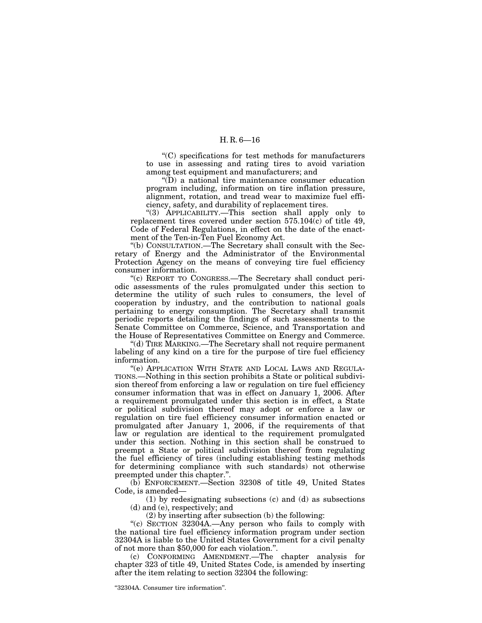''(C) specifications for test methods for manufacturers to use in assessing and rating tires to avoid variation among test equipment and manufacturers; and

''(D) a national tire maintenance consumer education program including, information on tire inflation pressure, alignment, rotation, and tread wear to maximize fuel efficiency, safety, and durability of replacement tires.

''(3) APPLICABILITY.—This section shall apply only to replacement tires covered under section  $575.104(c)$  of title 49, Code of Federal Regulations, in effect on the date of the enactment of the Ten-in-Ten Fuel Economy Act.

''(b) CONSULTATION.—The Secretary shall consult with the Secretary of Energy and the Administrator of the Environmental Protection Agency on the means of conveying tire fuel efficiency consumer information.

''(c) REPORT TO CONGRESS.—The Secretary shall conduct periodic assessments of the rules promulgated under this section to determine the utility of such rules to consumers, the level of cooperation by industry, and the contribution to national goals pertaining to energy consumption. The Secretary shall transmit periodic reports detailing the findings of such assessments to the Senate Committee on Commerce, Science, and Transportation and the House of Representatives Committee on Energy and Commerce.

''(d) TIRE MARKING.—The Secretary shall not require permanent labeling of any kind on a tire for the purpose of tire fuel efficiency information.

"(e) APPLICATION WITH STATE AND LOCAL LAWS AND REGULA-TIONS.—Nothing in this section prohibits a State or political subdivision thereof from enforcing a law or regulation on tire fuel efficiency consumer information that was in effect on January 1, 2006. After a requirement promulgated under this section is in effect, a State or political subdivision thereof may adopt or enforce a law or regulation on tire fuel efficiency consumer information enacted or promulgated after January 1, 2006, if the requirements of that law or regulation are identical to the requirement promulgated under this section. Nothing in this section shall be construed to preempt a State or political subdivision thereof from regulating the fuel efficiency of tires (including establishing testing methods for determining compliance with such standards) not otherwise preempted under this chapter.''.

(b) ENFORCEMENT.—Section 32308 of title 49, United States Code, is amended—

(1) by redesignating subsections (c) and (d) as subsections (d) and (e), respectively; and

(2) by inserting after subsection (b) the following:

"(c) SECTION 32304A.—Any person who fails to comply with the national tire fuel efficiency information program under section 32304A is liable to the United States Government for a civil penalty of not more than \$50,000 for each violation.''.

(c) CONFORMING AMENDMENT.—The chapter analysis for chapter 323 of title 49, United States Code, is amended by inserting after the item relating to section 32304 the following: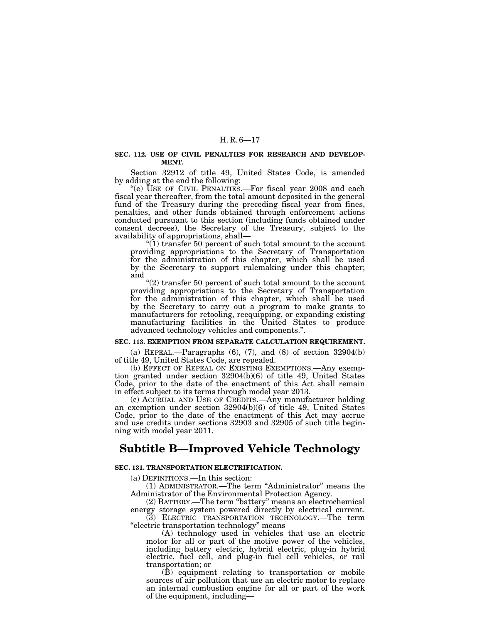### **SEC. 112. USE OF CIVIL PENALTIES FOR RESEARCH AND DEVELOP-MENT.**

Section 32912 of title 49, United States Code, is amended by adding at the end the following:

''(e) USE OF CIVIL PENALTIES.—For fiscal year 2008 and each fiscal year thereafter, from the total amount deposited in the general fund of the Treasury during the preceding fiscal year from fines, penalties, and other funds obtained through enforcement actions conducted pursuant to this section (including funds obtained under consent decrees), the Secretary of the Treasury, subject to the availability of appropriations, shall—

''(1) transfer 50 percent of such total amount to the account providing appropriations to the Secretary of Transportation for the administration of this chapter, which shall be used by the Secretary to support rulemaking under this chapter; and

 $(2)$  transfer 50 percent of such total amount to the account providing appropriations to the Secretary of Transportation for the administration of this chapter, which shall be used by the Secretary to carry out a program to make grants to manufacturers for retooling, reequipping, or expanding existing manufacturing facilities in the United States to produce advanced technology vehicles and components.''.

### **SEC. 113. EXEMPTION FROM SEPARATE CALCULATION REQUIREMENT.**

(a) REPEAL.—Paragraphs (6), (7), and (8) of section 32904(b) of title 49, United States Code, are repealed.

(b) EFFECT OF REPEAL ON EXISTING EXEMPTIONS.—Any exemption granted under section 32904(b)(6) of title 49, United States Code, prior to the date of the enactment of this Act shall remain in effect subject to its terms through model year 2013.

(c) ACCRUAL AND USE OF CREDITS.—Any manufacturer holding an exemption under section 32904(b)(6) of title 49, United States Code, prior to the date of the enactment of this Act may accrue and use credits under sections 32903 and 32905 of such title beginning with model year 2011.

# **Subtitle B—Improved Vehicle Technology**

#### **SEC. 131. TRANSPORTATION ELECTRIFICATION.**

(a) DEFINITIONS.—In this section:

(1) ADMINISTRATOR.—The term ''Administrator'' means the Administrator of the Environmental Protection Agency.

(2) BATTERY.—The term ''battery'' means an electrochemical energy storage system powered directly by electrical current.

(3) ELECTRIC TRANSPORTATION TECHNOLOGY.—The term ''electric transportation technology'' means—

(A) technology used in vehicles that use an electric motor for all or part of the motive power of the vehicles, including battery electric, hybrid electric, plug-in hybrid electric, fuel cell, and plug-in fuel cell vehicles, or rail transportation; or

(B) equipment relating to transportation or mobile sources of air pollution that use an electric motor to replace an internal combustion engine for all or part of the work of the equipment, including—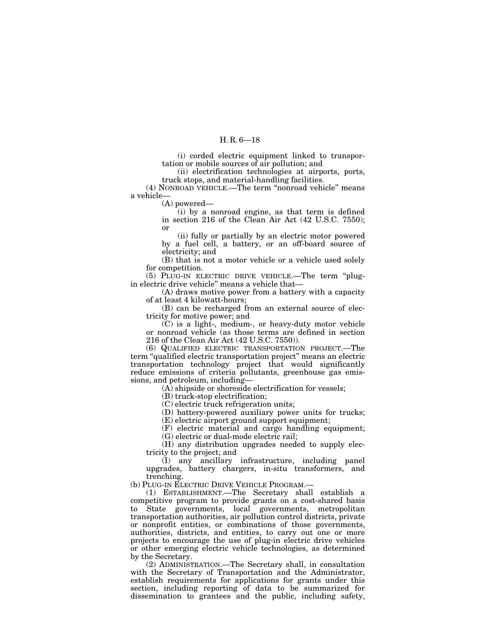(i) corded electric equipment linked to transportation or mobile sources of air pollution; and

(ii) electrification technologies at airports, ports, truck stops, and material-handling facilities.

(4) NONROAD VEHICLE.—The term ''nonroad vehicle'' means a vehicle—

(A) powered—

(i) by a nonroad engine, as that term is defined in section 216 of the Clean Air Act (42 U.S.C. 7550); or

(ii) fully or partially by an electric motor powered by a fuel cell, a battery, or an off-board source of electricity; and

(B) that is not a motor vehicle or a vehicle used solely for competition.

(5) PLUG-IN ELECTRIC DRIVE VEHICLE.—The term ''plugin electric drive vehicle'' means a vehicle that—

(A) draws motive power from a battery with a capacity of at least 4 kilowatt-hours;

(B) can be recharged from an external source of electricity for motive power; and

(C) is a light-, medium-, or heavy-duty motor vehicle or nonroad vehicle (as those terms are defined in section 216 of the Clean Air Act (42 U.S.C. 7550)).

(6) QUALIFIED ELECTRIC TRANSPORTATION PROJECT.—The term ''qualified electric transportation project'' means an electric transportation technology project that would significantly reduce emissions of criteria pollutants, greenhouse gas emissions, and petroleum, including—

(A) shipside or shoreside electrification for vessels;

(B) truck-stop electrification;

(C) electric truck refrigeration units;

(D) battery-powered auxiliary power units for trucks;

(E) electric airport ground support equipment;

(F) electric material and cargo handling equipment; (G) electric or dual-mode electric rail;

(H) any distribution upgrades needed to supply electricity to the project; and

(I) any ancillary infrastructure, including panel upgrades, battery chargers, in-situ transformers, and trenching.

(b) PLUG-IN ELECTRIC DRIVE VEHICLE PROGRAM.—

(1) ESTABLISHMENT.—The Secretary shall establish a competitive program to provide grants on a cost-shared basis to State governments, local governments, metropolitan transportation authorities, air pollution control districts, private or nonprofit entities, or combinations of those governments, authorities, districts, and entities, to carry out one or more projects to encourage the use of plug-in electric drive vehicles or other emerging electric vehicle technologies, as determined by the Secretary.

(2) ADMINISTRATION.—The Secretary shall, in consultation with the Secretary of Transportation and the Administrator, establish requirements for applications for grants under this section, including reporting of data to be summarized for dissemination to grantees and the public, including safety,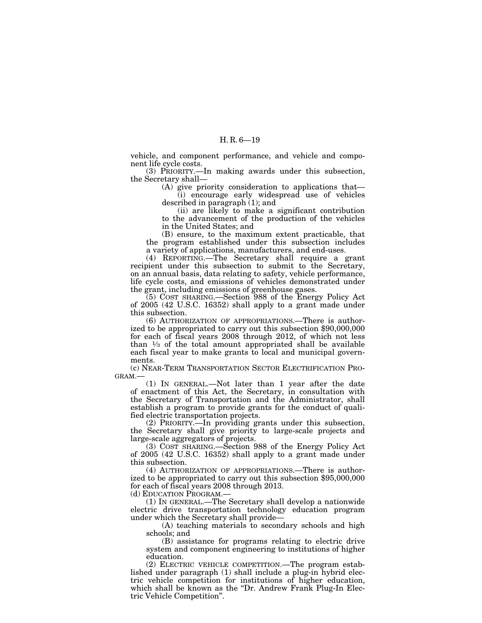vehicle, and component performance, and vehicle and component life cycle costs.

(3) PRIORITY.—In making awards under this subsection, the Secretary shall—

(A) give priority consideration to applications that— (i) encourage early widespread use of vehicles described in paragraph (1); and

(ii) are likely to make a significant contribution to the advancement of the production of the vehicles in the United States; and

(B) ensure, to the maximum extent practicable, that the program established under this subsection includes a variety of applications, manufacturers, and end-uses.

(4) REPORTING.—The Secretary shall require a grant recipient under this subsection to submit to the Secretary, on an annual basis, data relating to safety, vehicle performance, life cycle costs, and emissions of vehicles demonstrated under the grant, including emissions of greenhouse gases.

(5) COST SHARING.—Section 988 of the Energy Policy Act of 2005 (42 U.S.C. 16352) shall apply to a grant made under this subsection.

(6) AUTHORIZATION OF APPROPRIATIONS.—There is authorized to be appropriated to carry out this subsection \$90,000,000 for each of fiscal years 2008 through 2012, of which not less than 1⁄3 of the total amount appropriated shall be available each fiscal year to make grants to local and municipal governments.

(c) NEAR-TERM TRANSPORTATION SECTOR ELECTRIFICATION PRO- GRAM.—

(1) IN GENERAL.—Not later than 1 year after the date of enactment of this Act, the Secretary, in consultation with the Secretary of Transportation and the Administrator, shall establish a program to provide grants for the conduct of qualified electric transportation projects.

(2) PRIORITY.—In providing grants under this subsection, the Secretary shall give priority to large-scale projects and large-scale aggregators of projects.

(3) COST SHARING.—Section 988 of the Energy Policy Act of 2005 (42 U.S.C. 16352) shall apply to a grant made under this subsection.

(4) AUTHORIZATION OF APPROPRIATIONS.—There is authorized to be appropriated to carry out this subsection \$95,000,000 for each of fiscal years 2008 through 2013.

(d) EDUCATION PROGRAM.—

(1) IN GENERAL.—The Secretary shall develop a nationwide electric drive transportation technology education program under which the Secretary shall provide—

(A) teaching materials to secondary schools and high schools; and

(B) assistance for programs relating to electric drive system and component engineering to institutions of higher education.

(2) ELECTRIC VEHICLE COMPETITION.—The program established under paragraph (1) shall include a plug-in hybrid electric vehicle competition for institutions of higher education, which shall be known as the "Dr. Andrew Frank Plug-In Electric Vehicle Competition''.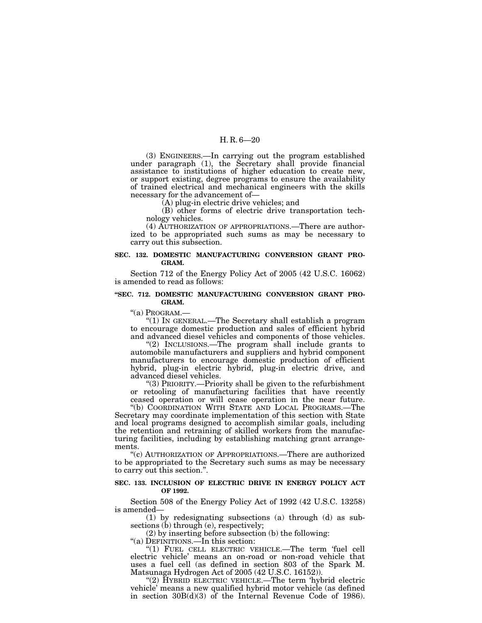(3) ENGINEERS.—In carrying out the program established under paragraph (1), the Secretary shall provide financial assistance to institutions of higher education to create new, or support existing, degree programs to ensure the availability of trained electrical and mechanical engineers with the skills necessary for the advancement of—

(A) plug-in electric drive vehicles; and

(B) other forms of electric drive transportation technology vehicles.

(4) AUTHORIZATION OF APPROPRIATIONS.—There are authorized to be appropriated such sums as may be necessary to carry out this subsection.

### **SEC. 132. DOMESTIC MANUFACTURING CONVERSION GRANT PRO-GRAM.**

Section 712 of the Energy Policy Act of 2005 (42 U.S.C. 16062) is amended to read as follows:

### **''SEC. 712. DOMESTIC MANUFACTURING CONVERSION GRANT PRO-GRAM.**

''(a) PROGRAM.— ''(1) IN GENERAL.—The Secretary shall establish a program to encourage domestic production and sales of efficient hybrid and advanced diesel vehicles and components of those vehicles.

"(2) INCLUSIONS.—The program shall include grants to automobile manufacturers and suppliers and hybrid component manufacturers to encourage domestic production of efficient hybrid, plug-in electric hybrid, plug-in electric drive, and advanced diesel vehicles.

''(3) PRIORITY.—Priority shall be given to the refurbishment or retooling of manufacturing facilities that have recently ceased operation or will cease operation in the near future.

''(b) COORDINATION WITH STATE AND LOCAL PROGRAMS.—The Secretary may coordinate implementation of this section with State and local programs designed to accomplish similar goals, including the retention and retraining of skilled workers from the manufacturing facilities, including by establishing matching grant arrangements.

''(c) AUTHORIZATION OF APPROPRIATIONS.—There are authorized to be appropriated to the Secretary such sums as may be necessary to carry out this section.''.

#### **SEC. 133. INCLUSION OF ELECTRIC DRIVE IN ENERGY POLICY ACT OF 1992.**

Section 508 of the Energy Policy Act of 1992 (42 U.S.C. 13258) is amended—

(1) by redesignating subsections (a) through (d) as subsections (b) through (e), respectively;

(2) by inserting before subsection (b) the following:

''(a) DEFINITIONS.—In this section:

"(1) FUEL CELL ELECTRIC VEHICLE.—The term 'fuel cell electric vehicle' means an on-road or non-road vehicle that uses a fuel cell (as defined in section 803 of the Spark M. Matsunaga Hydrogen Act of 2005 (42 U.S.C. 16152)).

"(2) HYBRID ELECTRIC VEHICLE.—The term 'hybrid electric vehicle' means a new qualified hybrid motor vehicle (as defined in section 30B(d)(3) of the Internal Revenue Code of 1986).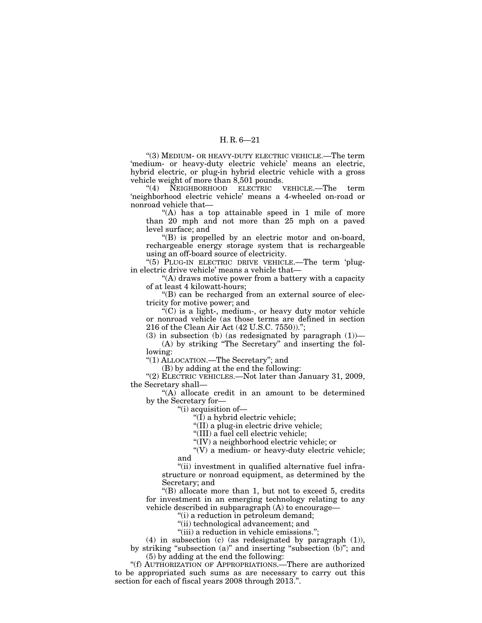''(3) MEDIUM- OR HEAVY-DUTY ELECTRIC VEHICLE.—The term 'medium- or heavy-duty electric vehicle' means an electric, hybrid electric, or plug-in hybrid electric vehicle with a gross vehicle weight of more than 8,501 pounds.

''(4) NEIGHBORHOOD ELECTRIC VEHICLE.—The term 'neighborhood electric vehicle' means a 4-wheeled on-road or nonroad vehicle that—

''(A) has a top attainable speed in 1 mile of more than 20 mph and not more than 25 mph on a paved level surface; and

''(B) is propelled by an electric motor and on-board, rechargeable energy storage system that is rechargeable using an off-board source of electricity.

"(5) PLUG-IN ELECTRIC DRIVE VEHICLE.—The term 'plugin electric drive vehicle' means a vehicle that—

''(A) draws motive power from a battery with a capacity of at least 4 kilowatt-hours;

''(B) can be recharged from an external source of electricity for motive power; and

 $C^{\prime\prime}(C)$  is a light-, medium-, or heavy duty motor vehicle or nonroad vehicle (as those terms are defined in section 216 of the Clean Air Act (42 U.S.C. 7550)).'';

(3) in subsection (b) (as redesignated by paragraph  $(1)$ )— (A) by striking ''The Secretary'' and inserting the following:

''(1) ALLOCATION.—The Secretary''; and

(B) by adding at the end the following:

"(2) ELECTRIC VEHICLES.—Not later than January 31, 2009, the Secretary shall—

"(A) allocate credit in an amount to be determined by the Secretary for—

''(i) acquisition of—

''(I) a hybrid electric vehicle;

''(II) a plug-in electric drive vehicle;

''(III) a fuel cell electric vehicle;

''(IV) a neighborhood electric vehicle; or

''(V) a medium- or heavy-duty electric vehicle; and

"(ii) investment in qualified alternative fuel infrastructure or nonroad equipment, as determined by the Secretary; and

''(B) allocate more than 1, but not to exceed 5, credits for investment in an emerging technology relating to any vehicle described in subparagraph (A) to encourage—

''(i) a reduction in petroleum demand;

''(ii) technological advancement; and

"(iii) a reduction in vehicle emissions.";

(4) in subsection (c) (as redesignated by paragraph (1)), by striking "subsection (a)" and inserting "subsection (b)"; and (5) by adding at the end the following:

''(f) AUTHORIZATION OF APPROPRIATIONS.—There are authorized to be appropriated such sums as are necessary to carry out this section for each of fiscal years 2008 through 2013.''.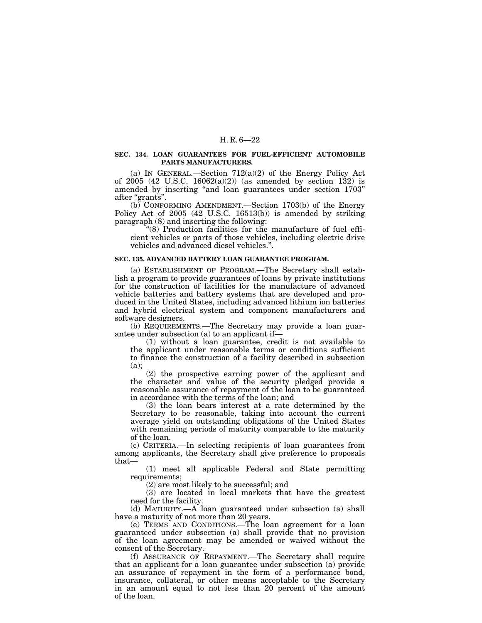### **SEC. 134. LOAN GUARANTEES FOR FUEL-EFFICIENT AUTOMOBILE PARTS MANUFACTURERS.**

(a) IN GENERAL.—Section 712(a)(2) of the Energy Policy Act of 2005 (42 U.S.C. 16062(a)(2)) (as amended by section 132) is amended by inserting ''and loan guarantees under section 1703'' after "grants".

(b) CONFORMING AMENDMENT.—Section 1703(b) of the Energy Policy Act of 2005 (42 U.S.C. 16513(b)) is amended by striking paragraph (8) and inserting the following:

''(8) Production facilities for the manufacture of fuel efficient vehicles or parts of those vehicles, including electric drive vehicles and advanced diesel vehicles.''.

#### **SEC. 135. ADVANCED BATTERY LOAN GUARANTEE PROGRAM.**

(a) ESTABLISHMENT OF PROGRAM.—The Secretary shall establish a program to provide guarantees of loans by private institutions for the construction of facilities for the manufacture of advanced vehicle batteries and battery systems that are developed and produced in the United States, including advanced lithium ion batteries and hybrid electrical system and component manufacturers and software designers.

(b) REQUIREMENTS.—The Secretary may provide a loan guarantee under subsection (a) to an applicant if—

(1) without a loan guarantee, credit is not available to the applicant under reasonable terms or conditions sufficient to finance the construction of a facility described in subsection (a);

(2) the prospective earning power of the applicant and the character and value of the security pledged provide a reasonable assurance of repayment of the loan to be guaranteed in accordance with the terms of the loan; and

(3) the loan bears interest at a rate determined by the Secretary to be reasonable, taking into account the current average yield on outstanding obligations of the United States with remaining periods of maturity comparable to the maturity of the loan.

(c) CRITERIA.—In selecting recipients of loan guarantees from among applicants, the Secretary shall give preference to proposals that—

(1) meet all applicable Federal and State permitting requirements;

(2) are most likely to be successful; and

(3) are located in local markets that have the greatest need for the facility.

(d) MATURITY.—A loan guaranteed under subsection (a) shall have a maturity of not more than 20 years.

(e) TERMS AND CONDITIONS.—The loan agreement for a loan guaranteed under subsection (a) shall provide that no provision of the loan agreement may be amended or waived without the consent of the Secretary.

(f) ASSURANCE OF REPAYMENT.—The Secretary shall require that an applicant for a loan guarantee under subsection (a) provide an assurance of repayment in the form of a performance bond, insurance, collateral, or other means acceptable to the Secretary in an amount equal to not less than 20 percent of the amount of the loan.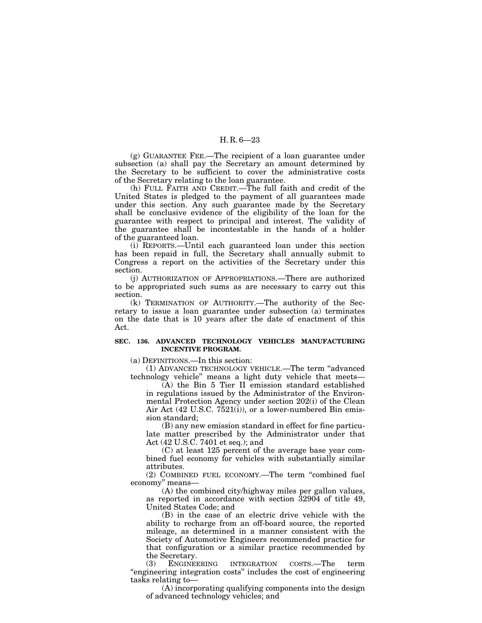(g) GUARANTEE FEE.—The recipient of a loan guarantee under subsection (a) shall pay the Secretary an amount determined by the Secretary to be sufficient to cover the administrative costs of the Secretary relating to the loan guarantee.

(h) FULL FAITH AND CREDIT.—The full faith and credit of the United States is pledged to the payment of all guarantees made under this section. Any such guarantee made by the Secretary shall be conclusive evidence of the eligibility of the loan for the guarantee with respect to principal and interest. The validity of the guarantee shall be incontestable in the hands of a holder of the guaranteed loan.

(i) REPORTS.—Until each guaranteed loan under this section has been repaid in full, the Secretary shall annually submit to Congress a report on the activities of the Secretary under this section.

(j) AUTHORIZATION OF APPROPRIATIONS.—There are authorized to be appropriated such sums as are necessary to carry out this section.

(k) TERMINATION OF AUTHORITY.—The authority of the Secretary to issue a loan guarantee under subsection (a) terminates on the date that is 10 years after the date of enactment of this Act.

#### **SEC. 136. ADVANCED TECHNOLOGY VEHICLES MANUFACTURING INCENTIVE PROGRAM.**

(a) DEFINITIONS.—In this section:

(1) ADVANCED TECHNOLOGY VEHICLE.—The term ''advanced technology vehicle'' means a light duty vehicle that meets—

(A) the Bin 5 Tier II emission standard established in regulations issued by the Administrator of the Environmental Protection Agency under section 202(i) of the Clean Air Act (42 U.S.C. 7521(i)), or a lower-numbered Bin emission standard;

(B) any new emission standard in effect for fine particulate matter prescribed by the Administrator under that Act (42 U.S.C. 7401 et seq.); and

(C) at least 125 percent of the average base year combined fuel economy for vehicles with substantially similar attributes.

(2) COMBINED FUEL ECONOMY.—The term ''combined fuel economy'' means—

(A) the combined city/highway miles per gallon values, as reported in accordance with section 32904 of title 49, United States Code; and

(B) in the case of an electric drive vehicle with the ability to recharge from an off-board source, the reported mileage, as determined in a manner consistent with the Society of Automotive Engineers recommended practice for that configuration or a similar practice recommended by the Secretary.

(3) ENGINEERING INTEGRATION COSTS.—The term ''engineering integration costs'' includes the cost of engineering tasks relating to—

(A) incorporating qualifying components into the design of advanced technology vehicles; and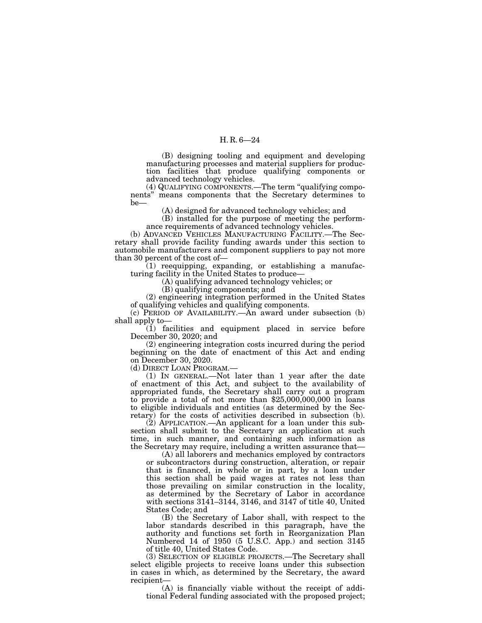(B) designing tooling and equipment and developing manufacturing processes and material suppliers for production facilities that produce qualifying components or advanced technology vehicles.

(4) QUALIFYING COMPONENTS.—The term ''qualifying components'' means components that the Secretary determines to be—

(A) designed for advanced technology vehicles; and

(B) installed for the purpose of meeting the performance requirements of advanced technology vehicles.

(b) ADVANCED VEHICLES MANUFACTURING FACILITY.—The Secretary shall provide facility funding awards under this section to automobile manufacturers and component suppliers to pay not more than 30 percent of the cost of—

(1) reequipping, expanding, or establishing a manufacturing facility in the United States to produce—

(A) qualifying advanced technology vehicles; or

(B) qualifying components; and

(2) engineering integration performed in the United States of qualifying vehicles and qualifying components.

(c) PERIOD OF AVAILABILITY.—An award under subsection (b) shall apply to—

(1) facilities and equipment placed in service before December 30, 2020; and

(2) engineering integration costs incurred during the period beginning on the date of enactment of this Act and ending on December 30, 2020.<br>(d) DIRECT LOAN PROGRAM.-

(1) IN GENERAL.—Not later than 1 year after the date of enactment of this Act, and subject to the availability of appropriated funds, the Secretary shall carry out a program to provide a total of not more than \$25,000,000,000 in loans to eligible individuals and entities (as determined by the Secretary) for the costs of activities described in subsection (b).

(2) APPLICATION.—An applicant for a loan under this subsection shall submit to the Secretary an application at such time, in such manner, and containing such information as the Secretary may require, including a written assurance that—

(A) all laborers and mechanics employed by contractors or subcontractors during construction, alteration, or repair that is financed, in whole or in part, by a loan under this section shall be paid wages at rates not less than those prevailing on similar construction in the locality, as determined by the Secretary of Labor in accordance with sections 3141–3144, 3146, and 3147 of title 40, United States Code; and

(B) the Secretary of Labor shall, with respect to the labor standards described in this paragraph, have the authority and functions set forth in Reorganization Plan Numbered 14 of 1950 (5 U.S.C. App.) and section 3145 of title 40, United States Code.

(3) SELECTION OF ELIGIBLE PROJECTS.—The Secretary shall select eligible projects to receive loans under this subsection in cases in which, as determined by the Secretary, the award recipient—

(A) is financially viable without the receipt of additional Federal funding associated with the proposed project;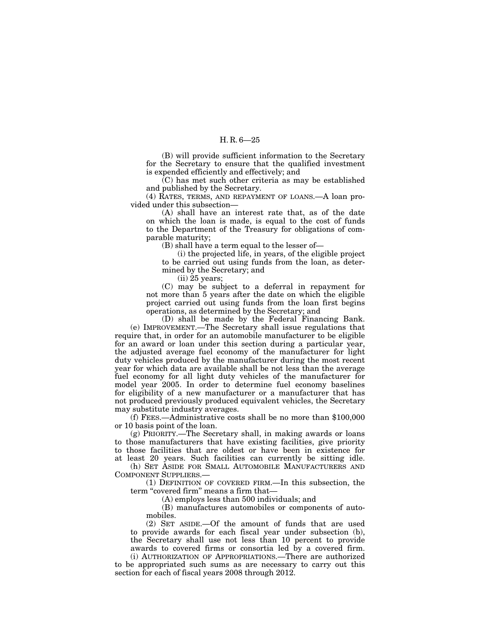(B) will provide sufficient information to the Secretary for the Secretary to ensure that the qualified investment is expended efficiently and effectively; and

(C) has met such other criteria as may be established and published by the Secretary.

(4) RATES, TERMS, AND REPAYMENT OF LOANS.—A loan provided under this subsection—

(A) shall have an interest rate that, as of the date on which the loan is made, is equal to the cost of funds to the Department of the Treasury for obligations of comparable maturity;

(B) shall have a term equal to the lesser of—

(i) the projected life, in years, of the eligible project to be carried out using funds from the loan, as determined by the Secretary; and

(ii) 25 years;

(C) may be subject to a deferral in repayment for not more than 5 years after the date on which the eligible project carried out using funds from the loan first begins operations, as determined by the Secretary; and

(D) shall be made by the Federal Financing Bank. (e) IMPROVEMENT.—The Secretary shall issue regulations that require that, in order for an automobile manufacturer to be eligible for an award or loan under this section during a particular year, the adjusted average fuel economy of the manufacturer for light duty vehicles produced by the manufacturer during the most recent year for which data are available shall be not less than the average fuel economy for all light duty vehicles of the manufacturer for model year 2005. In order to determine fuel economy baselines for eligibility of a new manufacturer or a manufacturer that has not produced previously produced equivalent vehicles, the Secretary may substitute industry averages.

(f) FEES.—Administrative costs shall be no more than \$100,000 or 10 basis point of the loan.

(g) PRIORITY.—The Secretary shall, in making awards or loans to those manufacturers that have existing facilities, give priority to those facilities that are oldest or have been in existence for at least 20 years. Such facilities can currently be sitting idle.

(h) SET ASIDE FOR SMALL AUTOMOBILE MANUFACTURERS AND COMPONENT SUPPLIERS.—

(1) DEFINITION OF COVERED FIRM.—In this subsection, the term "covered firm" means a firm that—

(A) employs less than 500 individuals; and

(B) manufactures automobiles or components of automobiles.

(2) SET ASIDE.—Of the amount of funds that are used to provide awards for each fiscal year under subsection (b), the Secretary shall use not less than 10 percent to provide awards to covered firms or consortia led by a covered firm.

(i) AUTHORIZATION OF APPROPRIATIONS.—There are authorized to be appropriated such sums as are necessary to carry out this section for each of fiscal years 2008 through 2012.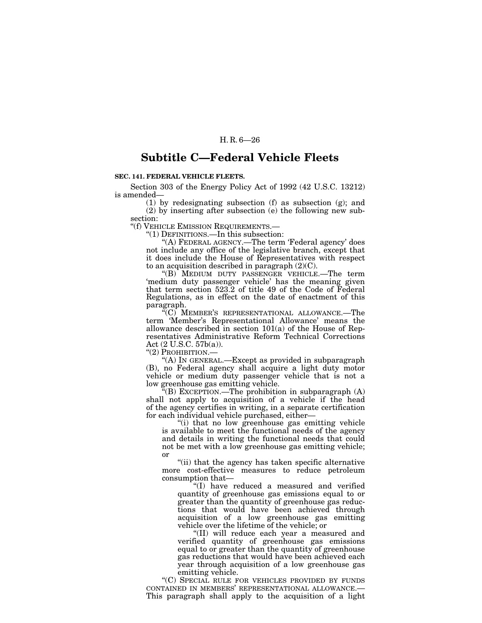# **Subtitle C—Federal Vehicle Fleets**

### **SEC. 141. FEDERAL VEHICLE FLEETS.**

Section 303 of the Energy Policy Act of 1992 (42 U.S.C. 13212) is amended—

(1) by redesignating subsection (f) as subsection (g); and (2) by inserting after subsection (e) the following new subsection:

''(f) VEHICLE EMISSION REQUIREMENTS.—

''(1) DEFINITIONS.—In this subsection:

"(A) FEDERAL AGENCY.—The term 'Federal agency' does not include any office of the legislative branch, except that it does include the House of Representatives with respect to an acquisition described in paragraph (2)(C).

''(B) MEDIUM DUTY PASSENGER VEHICLE.—The term 'medium duty passenger vehicle' has the meaning given that term section 523.2 of title 49 of the Code of Federal Regulations, as in effect on the date of enactment of this paragraph.

 $\overline{C}(C)$  MEMBER'S REPRESENTATIONAL ALLOWANCE.—The term 'Member's Representational Allowance' means the allowance described in section 101(a) of the House of Representatives Administrative Reform Technical Corrections Act (2 U.S.C. 57b(a)).

''(2) PROHIBITION.—

''(A) IN GENERAL.—Except as provided in subparagraph (B), no Federal agency shall acquire a light duty motor vehicle or medium duty passenger vehicle that is not a low greenhouse gas emitting vehicle.

 $f(B)$  EXCEPTION.—The prohibition in subparagraph  $(A)$ shall not apply to acquisition of a vehicle if the head of the agency certifies in writing, in a separate certification for each individual vehicle purchased, either—

"(i) that no low greenhouse gas emitting vehicle is available to meet the functional needs of the agency and details in writing the functional needs that could not be met with a low greenhouse gas emitting vehicle; or

"(ii) that the agency has taken specific alternative more cost-effective measures to reduce petroleum consumption that—

''(I) have reduced a measured and verified quantity of greenhouse gas emissions equal to or greater than the quantity of greenhouse gas reductions that would have been achieved through acquisition of a low greenhouse gas emitting vehicle over the lifetime of the vehicle; or

''(II) will reduce each year a measured and verified quantity of greenhouse gas emissions equal to or greater than the quantity of greenhouse gas reductions that would have been achieved each year through acquisition of a low greenhouse gas emitting vehicle.

''(C) SPECIAL RULE FOR VEHICLES PROVIDED BY FUNDS CONTAINED IN MEMBERS' REPRESENTATIONAL ALLOWANCE.— This paragraph shall apply to the acquisition of a light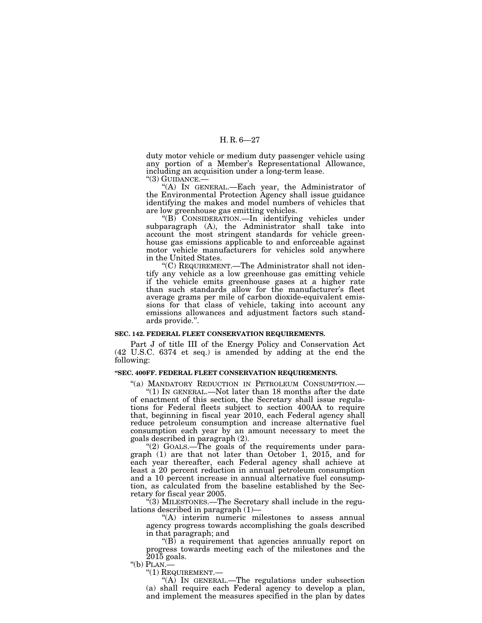duty motor vehicle or medium duty passenger vehicle using any portion of a Member's Representational Allowance, including an acquisition under a long-term lease.

''(3) GUIDANCE.—

"(A) In GENERAL.—Each year, the Administrator of the Environmental Protection Agency shall issue guidance identifying the makes and model numbers of vehicles that are low greenhouse gas emitting vehicles.

"(B) CONSIDERATION.—In identifying vehicles under subparagraph  $(A)$ , the Administrator shall take into account the most stringent standards for vehicle greenhouse gas emissions applicable to and enforceable against motor vehicle manufacturers for vehicles sold anywhere in the United States.

''(C) REQUIREMENT.—The Administrator shall not identify any vehicle as a low greenhouse gas emitting vehicle if the vehicle emits greenhouse gases at a higher rate than such standards allow for the manufacturer's fleet average grams per mile of carbon dioxide-equivalent emissions for that class of vehicle, taking into account any emissions allowances and adjustment factors such standards provide.''.

#### **SEC. 142. FEDERAL FLEET CONSERVATION REQUIREMENTS.**

Part J of title III of the Energy Policy and Conservation Act (42 U.S.C. 6374 et seq.) is amended by adding at the end the following:

### **''SEC. 400FF. FEDERAL FLEET CONSERVATION REQUIREMENTS.**

''(a) MANDATORY REDUCTION IN PETROLEUM CONSUMPTION.—

" $(1)$  In GENERAL.—Not later than 18 months after the date of enactment of this section, the Secretary shall issue regulations for Federal fleets subject to section 400AA to require that, beginning in fiscal year 2010, each Federal agency shall reduce petroleum consumption and increase alternative fuel consumption each year by an amount necessary to meet the goals described in paragraph (2).

"(2) GOALS.—The goals of the requirements under paragraph (1) are that not later than October 1, 2015, and for each year thereafter, each Federal agency shall achieve at least a 20 percent reduction in annual petroleum consumption and a 10 percent increase in annual alternative fuel consumption, as calculated from the baseline established by the Secretary for fiscal year 2005.

''(3) MILESTONES.—The Secretary shall include in the regulations described in paragraph (1)—

''(A) interim numeric milestones to assess annual agency progress towards accomplishing the goals described in that paragraph; and

 $\mathrm{H}(B)$  a requirement that agencies annually report on progress towards meeting each of the milestones and the 2015 goals.

"(b)  $PLAN$ —<br>"(1)  $RegUIREMENT$ —

"(A) IN GENERAL.—The regulations under subsection (a) shall require each Federal agency to develop a plan, and implement the measures specified in the plan by dates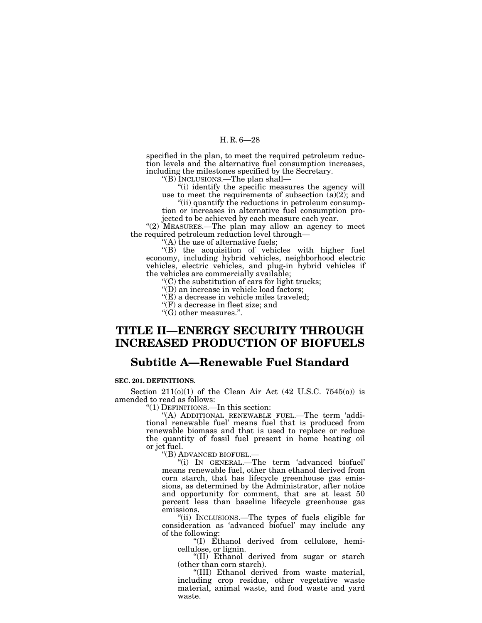specified in the plan, to meet the required petroleum reduction levels and the alternative fuel consumption increases, including the milestones specified by the Secretary.

''(B) INCLUSIONS.—The plan shall—

"(i) identify the specific measures the agency will use to meet the requirements of subsection  $(a)(2)$ ; and

''(ii) quantify the reductions in petroleum consumption or increases in alternative fuel consumption projected to be achieved by each measure each year.

" $(2)$  MEASURES.—The plan may allow an agency to meet the required petroleum reduction level through—

''(A) the use of alternative fuels;

''(B) the acquisition of vehicles with higher fuel economy, including hybrid vehicles, neighborhood electric vehicles, electric vehicles, and plug-in hybrid vehicles if the vehicles are commercially available;

''(C) the substitution of cars for light trucks;

"(D) an increase in vehicle load factors;

''(E) a decrease in vehicle miles traveled;

''(F) a decrease in fleet size; and

''(G) other measures.''.

# **TITLE II—ENERGY SECURITY THROUGH INCREASED PRODUCTION OF BIOFUELS**

## **Subtitle A—Renewable Fuel Standard**

### **SEC. 201. DEFINITIONS.**

Section  $211(0)(1)$  of the Clean Air Act  $(42 \text{ U.S.C. } 7545(0))$  is amended to read as follows:

''(1) DEFINITIONS.—In this section:

''(A) ADDITIONAL RENEWABLE FUEL.—The term 'additional renewable fuel' means fuel that is produced from renewable biomass and that is used to replace or reduce the quantity of fossil fuel present in home heating oil or jet fuel.<br>"(B) ADVANCED BIOFUEL.—

"(i) IN GENERAL.—The term 'advanced biofuel' means renewable fuel, other than ethanol derived from corn starch, that has lifecycle greenhouse gas emissions, as determined by the Administrator, after notice and opportunity for comment, that are at least 50 percent less than baseline lifecycle greenhouse gas emissions.

''(ii) INCLUSIONS.—The types of fuels eligible for consideration as 'advanced biofuel' may include any of the following:

''(I) Ethanol derived from cellulose, hemicellulose, or lignin.

''(II) Ethanol derived from sugar or starch (other than corn starch).

''(III) Ethanol derived from waste material, including crop residue, other vegetative waste material, animal waste, and food waste and yard waste.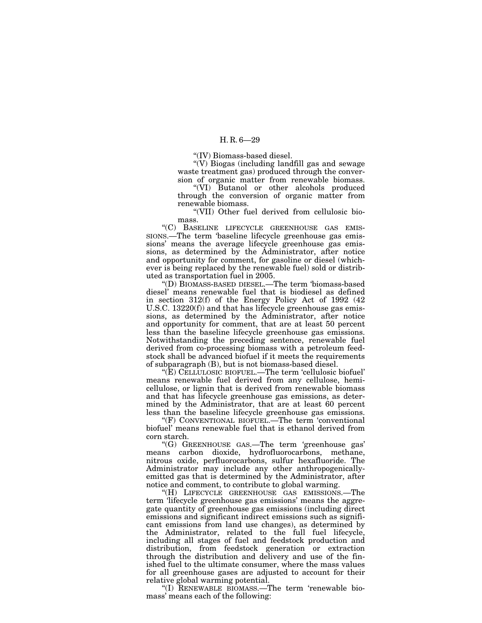''(IV) Biomass-based diesel.

''(V) Biogas (including landfill gas and sewage waste treatment gas) produced through the conversion of organic matter from renewable biomass.

''(VI) Butanol or other alcohols produced through the conversion of organic matter from renewable biomass.

''(VII) Other fuel derived from cellulosic biomass.

''(C) BASELINE LIFECYCLE GREENHOUSE GAS EMIS-SIONS.—The term 'baseline lifecycle greenhouse gas emissions' means the average lifecycle greenhouse gas emissions, as determined by the Administrator, after notice and opportunity for comment, for gasoline or diesel (whichever is being replaced by the renewable fuel) sold or distributed as transportation fuel in 2005.

''(D) BIOMASS-BASED DIESEL.—The term 'biomass-based diesel' means renewable fuel that is biodiesel as defined in section 312(f) of the Energy Policy Act of 1992 (42 U.S.C. 13220(f)) and that has lifecycle greenhouse gas emissions, as determined by the Administrator, after notice and opportunity for comment, that are at least 50 percent less than the baseline lifecycle greenhouse gas emissions. Notwithstanding the preceding sentence, renewable fuel derived from co-processing biomass with a petroleum feedstock shall be advanced biofuel if it meets the requirements of subparagraph (B), but is not biomass-based diesel.

''(E) CELLULOSIC BIOFUEL.—The term 'cellulosic biofuel' means renewable fuel derived from any cellulose, hemicellulose, or lignin that is derived from renewable biomass and that has lifecycle greenhouse gas emissions, as determined by the Administrator, that are at least 60 percent less than the baseline lifecycle greenhouse gas emissions.

''(F) CONVENTIONAL BIOFUEL.—The term 'conventional biofuel' means renewable fuel that is ethanol derived from corn starch.

''(G) GREENHOUSE GAS.—The term 'greenhouse gas' means carbon dioxide, hydrofluorocarbons, methane, nitrous oxide, perfluorocarbons, sulfur hexafluoride. The Administrator may include any other anthropogenicallyemitted gas that is determined by the Administrator, after notice and comment, to contribute to global warming.

''(H) LIFECYCLE GREENHOUSE GAS EMISSIONS.—The term 'lifecycle greenhouse gas emissions' means the aggregate quantity of greenhouse gas emissions (including direct emissions and significant indirect emissions such as significant emissions from land use changes), as determined by the Administrator, related to the full fuel lifecycle, including all stages of fuel and feedstock production and distribution, from feedstock generation or extraction through the distribution and delivery and use of the finished fuel to the ultimate consumer, where the mass values for all greenhouse gases are adjusted to account for their relative global warming potential.

''(I) RENEWABLE BIOMASS.—The term 'renewable biomass' means each of the following: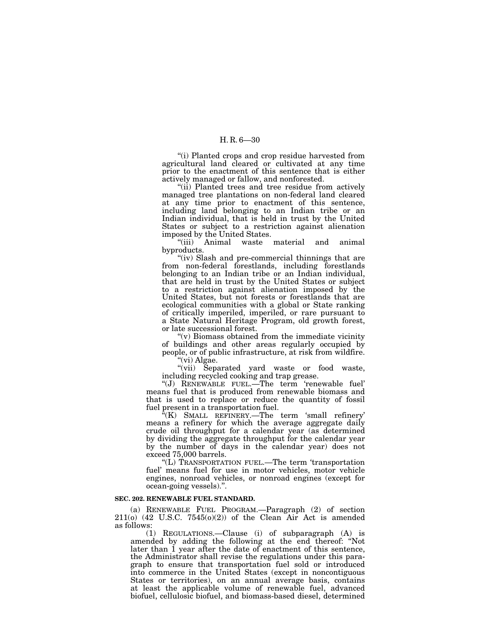''(i) Planted crops and crop residue harvested from agricultural land cleared or cultivated at any time prior to the enactment of this sentence that is either actively managed or fallow, and nonforested.

''(ii) Planted trees and tree residue from actively managed tree plantations on non-federal land cleared at any time prior to enactment of this sentence, including land belonging to an Indian tribe or an Indian individual, that is held in trust by the United States or subject to a restriction against alienation imposed by the United States.

''(iii) Animal waste material and animal byproducts.

"(iv) Slash and pre-commercial thinnings that are from non-federal forestlands, including forestlands belonging to an Indian tribe or an Indian individual, that are held in trust by the United States or subject to a restriction against alienation imposed by the United States, but not forests or forestlands that are ecological communities with a global or State ranking of critically imperiled, imperiled, or rare pursuant to a State Natural Heritage Program, old growth forest, or late successional forest.

 $(v)$  Biomass obtained from the immediate vicinity of buildings and other areas regularly occupied by people, or of public infrastructure, at risk from wildfire. ''(vi) Algae.

"(vii) Separated yard waste or food waste, including recycled cooking and trap grease.

''(J) RENEWABLE FUEL.—The term 'renewable fuel' means fuel that is produced from renewable biomass and that is used to replace or reduce the quantity of fossil fuel present in a transportation fuel.

''(K) SMALL REFINERY.—The term 'small refinery' means a refinery for which the average aggregate daily crude oil throughput for a calendar year (as determined by dividing the aggregate throughput for the calendar year by the number of days in the calendar year) does not exceed 75,000 barrels.

''(L) TRANSPORTATION FUEL.—The term 'transportation fuel' means fuel for use in motor vehicles, motor vehicle engines, nonroad vehicles, or nonroad engines (except for ocean-going vessels).''.

#### **SEC. 202. RENEWABLE FUEL STANDARD.**

(a) RENEWABLE FUEL PROGRAM.—Paragraph (2) of section  $211(0)$  (42 U.S.C. 7545 $(0)(2)$ ) of the Clean Air Act is amended as follows:

(1) REGULATIONS.—Clause (i) of subparagraph (A) is amended by adding the following at the end thereof: ''Not later than 1 year after the date of enactment of this sentence, the Administrator shall revise the regulations under this paragraph to ensure that transportation fuel sold or introduced into commerce in the United States (except in noncontiguous States or territories), on an annual average basis, contains at least the applicable volume of renewable fuel, advanced biofuel, cellulosic biofuel, and biomass-based diesel, determined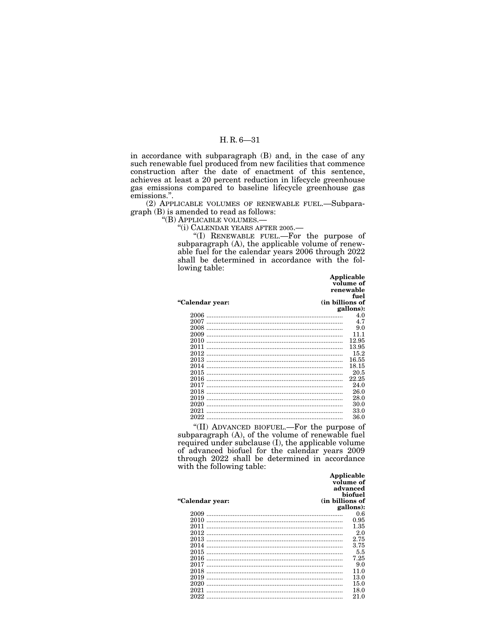in accordance with subparagraph (B) and, in the case of any such renewable fuel produced from new facilities that commence construction after the date of enactment of this sentence, achieves at least a 20 percent reduction in lifecycle greenhouse gas emissions compared to baseline lifecycle greenhouse gas emissions.''.

(2) APPLICABLE VOLUMES OF RENEWABLE FUEL.—Subparagraph (B) is amended to read as follows:

''(B) APPLICABLE VOLUMES.—

''(i) CALENDAR YEARS AFTER 2005.—

''(I) RENEWABLE FUEL.—For the purpose of subparagraph (A), the applicable volume of renewable fuel for the calendar years 2006 through 2022 shall be determined in accordance with the following table: **Applicable** 

|                 | Applicable      |
|-----------------|-----------------|
|                 | volume of       |
|                 | renewable       |
|                 | fuel            |
| "Calendar year: | (in billions of |
|                 | gallons):       |
| 2006            | 4.0             |
| 2007            | 4.7             |
| 2008            | 9.0             |
| 2009            | 11.1            |
| 2010            | 12.95           |
| 2011            | 13.95           |
| 2012            | 15.2            |
| 2013            | 16.55           |
| 2014            | 18.15           |
| 2015            | 20.5            |
|                 |                 |
| 2016            | 22.25           |
| 2017            | 24.0            |
| 2018            | 26.0            |
| 2019            | 28.0            |
| 2020            | 30.0            |
| 2021            | 33.0            |
| 2022            | 36.0            |
|                 |                 |

''(II) ADVANCED BIOFUEL.—For the purpose of subparagraph (A), of the volume of renewable fuel required under subclause (I), the applicable volume of advanced biofuel for the calendar years 2009 through 2022 shall be determined in accordance with the following table:

**Applicable** 

|                 | volume of       |
|-----------------|-----------------|
|                 | advanced        |
|                 | biofuel         |
| "Calendar year: | (in billions of |
|                 | gallons):       |
| 2009            | 0.6             |
| 2010            | 0.95            |
| 2011            | 1.35            |
| 2012            | 2.0             |
| 2013            | 2.75            |
| 2014            | 3.75            |
| 2015            | 5.5             |
| 2016            | 7.25            |
| 2017            | 9.0             |
| 2018            | 11.0            |
| 2019            | 13.0            |
| 2020            | 15.0            |
| 2021            | 18.0            |
| 2022            | 21.0            |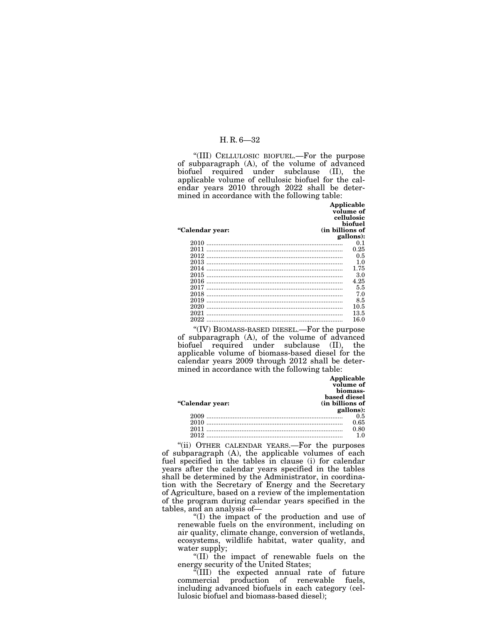''(III) CELLULOSIC BIOFUEL.—For the purpose of subparagraph (A), of the volume of advanced biofuel required under subclause (II), the applicable volume of cellulosic biofuel for the calendar years 2010 through 2022 shall be determined in accordance with the following table:

**Applicable** 

|                 | volume of       |
|-----------------|-----------------|
|                 | cellulosic      |
|                 | biofuel         |
| "Calendar year: | (in billions of |
|                 | gallons):       |
| 2010            | 0.1             |
| 2011            | 0.25            |
| 2012            | 0.5             |
| 2013            | 1.0             |
| 2014            | 1.75            |
| 2015            | 3.0             |
| 2016            | 4.25            |
| 2017            | 5.5             |
| 2018            | 7.0             |
| 2019            | 8.5             |
| 2020            | 10.5            |
| 2021            | 13.5            |
| 2022            | 16.0            |

''(IV) BIOMASS-BASED DIESEL.—For the purpose of subparagraph (A), of the volume of advanced biofuel required under subclause (II), the applicable volume of biomass-based diesel for the calendar years 2009 through 2012 shall be determined in accordance with the following table: **Applicable** 

|                 | Applicable<br>volume of |
|-----------------|-------------------------|
|                 | biomass-                |
|                 | based diesel            |
| "Calendar year: | (in billions of         |
|                 | gallons):               |
| 2009            | 0.5                     |
| 2010            | 0.65                    |
| 2011            | 0.80                    |
| 2012            |                         |
|                 |                         |

''(ii) OTHER CALENDAR YEARS.—For the purposes of subparagraph (A), the applicable volumes of each fuel specified in the tables in clause (i) for calendar years after the calendar years specified in the tables shall be determined by the Administrator, in coordination with the Secretary of Energy and the Secretary of Agriculture, based on a review of the implementation of the program during calendar years specified in the tables, and an analysis of—

''(I) the impact of the production and use of renewable fuels on the environment, including on air quality, climate change, conversion of wetlands, ecosystems, wildlife habitat, water quality, and water supply;

''(II) the impact of renewable fuels on the energy security of the United States;

''(III) the expected annual rate of future commercial production of renewable fuels, including advanced biofuels in each category (cellulosic biofuel and biomass-based diesel);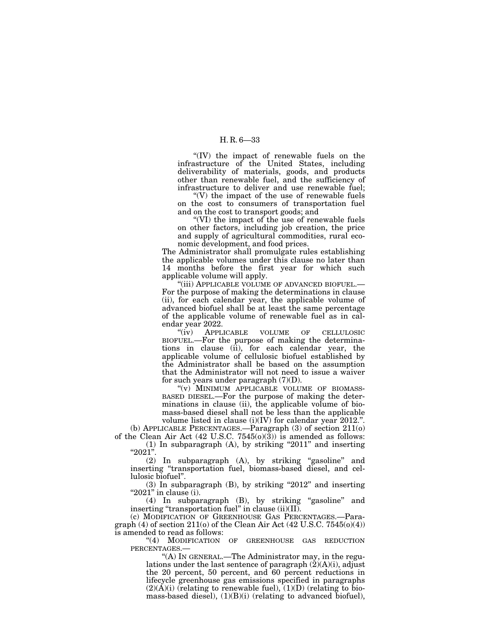''(IV) the impact of renewable fuels on the infrastructure of the United States, including deliverability of materials, goods, and products other than renewable fuel, and the sufficiency of infrastructure to deliver and use renewable fuel;

 $\degree$ (V) the impact of the use of renewable fuels on the cost to consumers of transportation fuel and on the cost to transport goods; and

''(VI) the impact of the use of renewable fuels on other factors, including job creation, the price and supply of agricultural commodities, rural economic development, and food prices.

The Administrator shall promulgate rules establishing the applicable volumes under this clause no later than 14 months before the first year for which such applicable volume will apply.

''(iii) APPLICABLE VOLUME OF ADVANCED BIOFUEL.— For the purpose of making the determinations in clause (ii), for each calendar year, the applicable volume of advanced biofuel shall be at least the same percentage of the applicable volume of renewable fuel as in calendar year 2022.

APPLICABLE VOLUME OF CELLULOSIC BIOFUEL.—For the purpose of making the determinations in clause (ii), for each calendar year, the applicable volume of cellulosic biofuel established by the Administrator shall be based on the assumption that the Administrator will not need to issue a waiver for such years under paragraph  $(7)(D)$ .

"(v) MINIMUM APPLICABLE VOLUME OF BIOMASS-BASED DIESEL.—For the purpose of making the determinations in clause (ii), the applicable volume of biomass-based diesel shall not be less than the applicable volume listed in clause (i)(IV) for calendar year 2012.''.

(b) APPLICABLE PERCENTAGES.—Paragraph (3) of section 211(o) of the Clean Air Act (42 U.S.C. 7545(o)(3)) is amended as follows:

 $(1)$  In subparagraph  $(A)$ , by striking "2011" and inserting  $"2021"$ .

 $(2)$  In subparagraph  $(A)$ , by striking "gasoline" and inserting "transportation fuel, biomass-based diesel, and cellulosic biofuel''.

 $(3)$  In subparagraph  $(B)$ , by striking "2012" and inserting " $2021$ " in clause (i).

(4) In subparagraph (B), by striking ''gasoline'' and inserting "transportation fuel" in clause  $(ii)(II)$ .

(c) MODIFICATION OF GREENHOUSE GAS PERCENTAGES.—Paragraph  $(4)$  of section  $211(0)$  of the Clean Air Act  $(42 \text{ U.S.C. } 7545(0)(4))$ is amended to read as follows:

''(4) MODIFICATION OF GREENHOUSE GAS REDUCTION PERCENTAGES.—

''(A) IN GENERAL.—The Administrator may, in the regulations under the last sentence of paragraph (2)(A)(i), adjust the 20 percent, 50 percent, and 60 percent reductions in lifecycle greenhouse gas emissions specified in paragraphs  $(2)(\dot{A})(i)$  (relating to renewable fuel),  $(1)(D)$  (relating to biomass-based diesel), (1)(B)(i) (relating to advanced biofuel),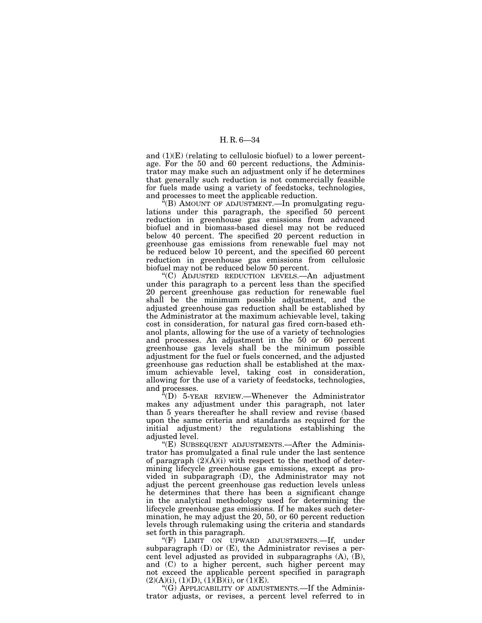and  $(1)(E)$  (relating to cellulosic biofuel) to a lower percentage. For the 50 and 60 percent reductions, the Administrator may make such an adjustment only if he determines that generally such reduction is not commercially feasible for fuels made using a variety of feedstocks, technologies, and processes to meet the applicable reduction.

 $\hat{H}(B)$  AMOUNT OF ADJUSTMENT.—In promulgating regulations under this paragraph, the specified 50 percent reduction in greenhouse gas emissions from advanced biofuel and in biomass-based diesel may not be reduced below 40 percent. The specified 20 percent reduction in greenhouse gas emissions from renewable fuel may not be reduced below 10 percent, and the specified 60 percent reduction in greenhouse gas emissions from cellulosic biofuel may not be reduced below 50 percent.

''(C) ADJUSTED REDUCTION LEVELS.—An adjustment under this paragraph to a percent less than the specified 20 percent greenhouse gas reduction for renewable fuel shall be the minimum possible adjustment, and the adjusted greenhouse gas reduction shall be established by the Administrator at the maximum achievable level, taking cost in consideration, for natural gas fired corn-based ethanol plants, allowing for the use of a variety of technologies and processes. An adjustment in the 50 or 60 percent greenhouse gas levels shall be the minimum possible adjustment for the fuel or fuels concerned, and the adjusted greenhouse gas reduction shall be established at the maximum achievable level, taking cost in consideration, allowing for the use of a variety of feedstocks, technologies, and processes.

 $E(D)$  5-YEAR REVIEW.—Whenever the Administrator makes any adjustment under this paragraph, not later than 5 years thereafter he shall review and revise (based upon the same criteria and standards as required for the initial adjustment) the regulations establishing the adjusted level.

''(E) SUBSEQUENT ADJUSTMENTS.—After the Administrator has promulgated a final rule under the last sentence of paragraph  $(2)(A)(i)$  with respect to the method of determining lifecycle greenhouse gas emissions, except as provided in subparagraph (D), the Administrator may not adjust the percent greenhouse gas reduction levels unless he determines that there has been a significant change in the analytical methodology used for determining the lifecycle greenhouse gas emissions. If he makes such determination, he may adjust the 20, 50, or 60 percent reduction levels through rulemaking using the criteria and standards set forth in this paragraph.

"(F) LIMIT ON UPWARD ADJUSTMENTS.-If, under subparagraph (D) or (E), the Administrator revises a percent level adjusted as provided in subparagraphs (A), (B), and (C) to a higher percent, such higher percent may not exceed the applicable percent specified in paragraph  $(2)(A)(i), (1)(D), (1)(B)(i),$  or  $(1)(E)$ .

''(G) APPLICABILITY OF ADJUSTMENTS.—If the Administrator adjusts, or revises, a percent level referred to in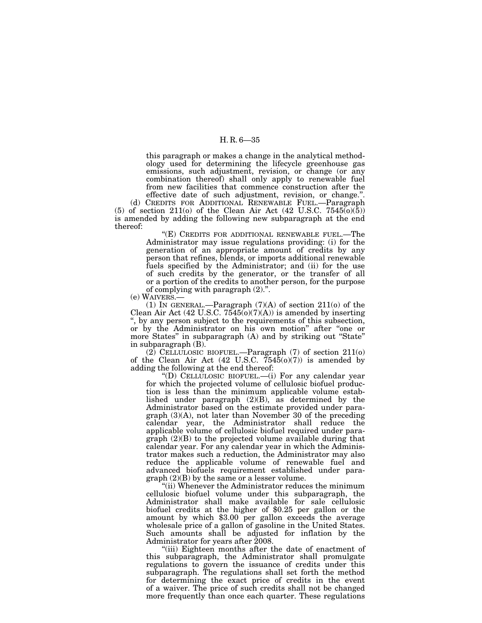this paragraph or makes a change in the analytical methodology used for determining the lifecycle greenhouse gas emissions, such adjustment, revision, or change (or any combination thereof) shall only apply to renewable fuel from new facilities that commence construction after the effective date of such adjustment, revision, or change.''.

(d) CREDITS FOR ADDITIONAL RENEWABLE FUEL.—Paragraph (5) of section 211(o) of the Clean Air Act (42 U.S.C. 7545(o)(5)) is amended by adding the following new subparagraph at the end thereof:

> ''(E) CREDITS FOR ADDITIONAL RENEWABLE FUEL.—The Administrator may issue regulations providing: (i) for the generation of an appropriate amount of credits by any person that refines, blends, or imports additional renewable fuels specified by the Administrator; and (ii) for the use of such credits by the generator, or the transfer of all or a portion of the credits to another person, for the purpose of complying with paragraph (2).''.

 $(e)$  WAIVERS.

(1) IN GENERAL.—Paragraph  $(7)(A)$  of section  $211(0)$  of the Clean Air Act  $(42 \text{ U.S.C. } 7545(0)(7)(\text{A}))$  is amended by inserting ", by any person subject to the requirements of this subsection, or by the Administrator on his own motion'' after ''one or more States'' in subparagraph (A) and by striking out ''State'' in subparagraph (B).

(2) CELLULOSIC BIOFUEL.—Paragraph (7) of section 211(o) of the Clean Air Act  $(42 \text{ U.S.C. } 7545(0)(7))$  is amended by adding the following at the end thereof:

''(D) CELLULOSIC BIOFUEL.—(i) For any calendar year for which the projected volume of cellulosic biofuel production is less than the minimum applicable volume established under paragraph (2)(B), as determined by the Administrator based on the estimate provided under paragraph (3)(A), not later than November 30 of the preceding calendar year, the Administrator shall reduce the applicable volume of cellulosic biofuel required under paragraph (2)(B) to the projected volume available during that calendar year. For any calendar year in which the Administrator makes such a reduction, the Administrator may also reduce the applicable volume of renewable fuel and advanced biofuels requirement established under paragraph (2)(B) by the same or a lesser volume.

"(ii) Whenever the Administrator reduces the minimum cellulosic biofuel volume under this subparagraph, the Administrator shall make available for sale cellulosic biofuel credits at the higher of \$0.25 per gallon or the amount by which \$3.00 per gallon exceeds the average wholesale price of a gallon of gasoline in the United States. Such amounts shall be adjusted for inflation by the Administrator for years after 2008.

"(iii) Eighteen months after the date of enactment of this subparagraph, the Administrator shall promulgate regulations to govern the issuance of credits under this subparagraph. The regulations shall set forth the method for determining the exact price of credits in the event of a waiver. The price of such credits shall not be changed more frequently than once each quarter. These regulations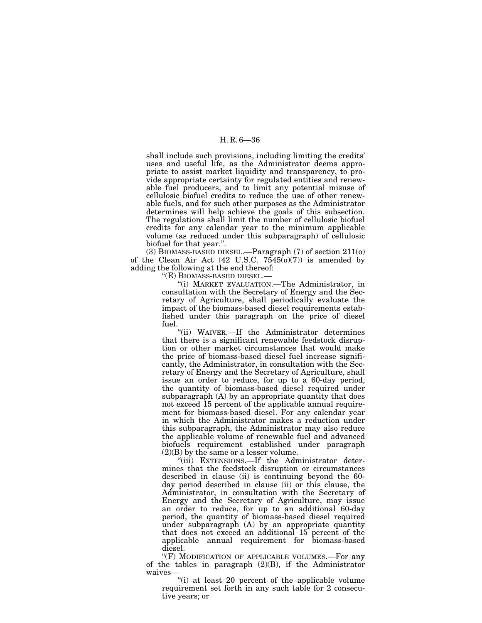shall include such provisions, including limiting the credits' uses and useful life, as the Administrator deems appropriate to assist market liquidity and transparency, to provide appropriate certainty for regulated entities and renewable fuel producers, and to limit any potential misuse of cellulosic biofuel credits to reduce the use of other renewable fuels, and for such other purposes as the Administrator determines will help achieve the goals of this subsection. The regulations shall limit the number of cellulosic biofuel credits for any calendar year to the minimum applicable volume (as reduced under this subparagraph) of cellulosic biofuel for that year.''.

(3) BIOMASS-BASED DIESEL.—Paragraph (7) of section 211(o) of the Clean Air Act  $(42 \text{ U.S.C. } 7545(0)(7))$  is amended by adding the following at the end thereof:

''(E) BIOMASS-BASED DIESEL.—

''(i) MARKET EVALUATION.—The Administrator, in consultation with the Secretary of Energy and the Secretary of Agriculture, shall periodically evaluate the impact of the biomass-based diesel requirements established under this paragraph on the price of diesel fuel.

''(ii) WAIVER.—If the Administrator determines that there is a significant renewable feedstock disruption or other market circumstances that would make the price of biomass-based diesel fuel increase significantly, the Administrator, in consultation with the Secretary of Energy and the Secretary of Agriculture, shall issue an order to reduce, for up to a 60-day period, the quantity of biomass-based diesel required under subparagraph (A) by an appropriate quantity that does not exceed 15 percent of the applicable annual requirement for biomass-based diesel. For any calendar year in which the Administrator makes a reduction under this subparagraph, the Administrator may also reduce the applicable volume of renewable fuel and advanced biofuels requirement established under paragraph  $(2)(B)$  by the same or a lesser volume.

''(iii) EXTENSIONS.—If the Administrator determines that the feedstock disruption or circumstances described in clause (ii) is continuing beyond the 60 day period described in clause (ii) or this clause, the Administrator, in consultation with the Secretary of Energy and the Secretary of Agriculture, may issue an order to reduce, for up to an additional 60-day period, the quantity of biomass-based diesel required under subparagraph (A) by an appropriate quantity that does not exceed an additional 15 percent of the applicable annual requirement for biomass-based diesel.

"(F) MODIFICATION OF APPLICABLE VOLUMES.—For any of the tables in paragraph (2)(B), if the Administrator waives—

"(i) at least 20 percent of the applicable volume requirement set forth in any such table for 2 consecutive years; or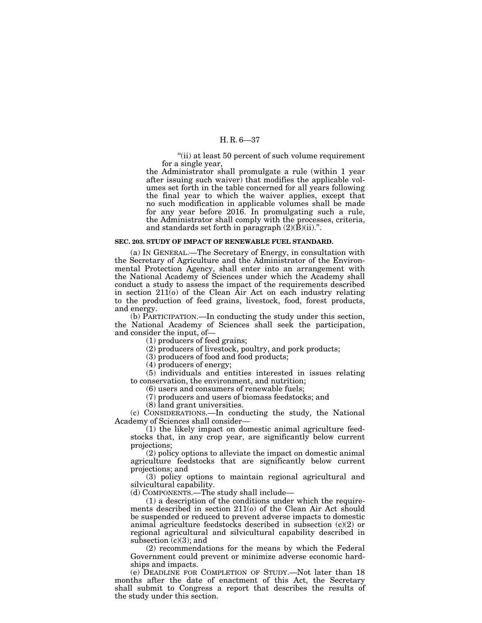''(ii) at least 50 percent of such volume requirement for a single year,

the Administrator shall promulgate a rule (within 1 year after issuing such waiver) that modifies the applicable volumes set forth in the table concerned for all years following the final year to which the waiver applies, except that no such modification in applicable volumes shall be made for any year before 2016. In promulgating such a rule, the Administrator shall comply with the processes, criteria, and standards set forth in paragraph  $(2)(B)(ii)$ .".

### **SEC. 203. STUDY OF IMPACT OF RENEWABLE FUEL STANDARD.**

(a) IN GENERAL.—The Secretary of Energy, in consultation with the Secretary of Agriculture and the Administrator of the Environmental Protection Agency, shall enter into an arrangement with the National Academy of Sciences under which the Academy shall conduct a study to assess the impact of the requirements described in section 211(o) of the Clean Air Act on each industry relating to the production of feed grains, livestock, food, forest products, and energy.

(b) PARTICIPATION.—In conducting the study under this section, the National Academy of Sciences shall seek the participation, and consider the input, of—

(1) producers of feed grains;

(2) producers of livestock, poultry, and pork products;

(3) producers of food and food products;

(4) producers of energy;

(5) individuals and entities interested in issues relating to conservation, the environment, and nutrition;

(6) users and consumers of renewable fuels;

(7) producers and users of biomass feedstocks; and

(8) land grant universities.

(c) CONSIDERATIONS.—In conducting the study, the National Academy of Sciences shall consider—

(1) the likely impact on domestic animal agriculture feedstocks that, in any crop year, are significantly below current projections;

(2) policy options to alleviate the impact on domestic animal agriculture feedstocks that are significantly below current projections; and

(3) policy options to maintain regional agricultural and silvicultural capability.

(d) COMPONENTS.—The study shall include—

(1) a description of the conditions under which the requirements described in section 211(o) of the Clean Air Act should be suspended or reduced to prevent adverse impacts to domestic animal agriculture feedstocks described in subsection (c)(2) or regional agricultural and silvicultural capability described in subsection (c)(3); and

(2) recommendations for the means by which the Federal Government could prevent or minimize adverse economic hardships and impacts.

(e) DEADLINE FOR COMPLETION OF STUDY.—Not later than 18 months after the date of enactment of this Act, the Secretary shall submit to Congress a report that describes the results of the study under this section.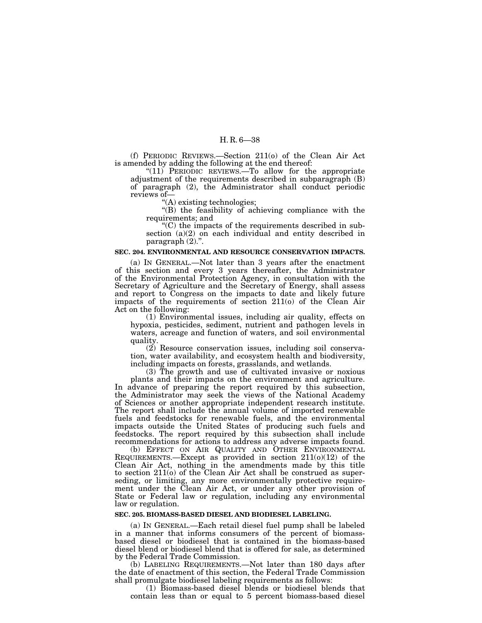(f) PERIODIC REVIEWS.—Section 211(o) of the Clean Air Act is amended by adding the following at the end thereof:

"(11) PERIODIC REVIEWS.—To allow for the appropriate adjustment of the requirements described in subparagraph (B) of paragraph (2), the Administrator shall conduct periodic reviews of—

''(A) existing technologies;

''(B) the feasibility of achieving compliance with the requirements; and

 $C$ ) the impacts of the requirements described in subsection (a)(2) on each individual and entity described in paragraph  $(2)$ .".

### **SEC. 204. ENVIRONMENTAL AND RESOURCE CONSERVATION IMPACTS.**

(a) IN GENERAL.—Not later than 3 years after the enactment of this section and every 3 years thereafter, the Administrator of the Environmental Protection Agency, in consultation with the Secretary of Agriculture and the Secretary of Energy, shall assess and report to Congress on the impacts to date and likely future impacts of the requirements of section 211(o) of the Clean Air Act on the following:

(1) Environmental issues, including air quality, effects on hypoxia, pesticides, sediment, nutrient and pathogen levels in waters, acreage and function of waters, and soil environmental quality.

(2) Resource conservation issues, including soil conservation, water availability, and ecosystem health and biodiversity, including impacts on forests, grasslands, and wetlands.

(3) The growth and use of cultivated invasive or noxious plants and their impacts on the environment and agriculture. In advance of preparing the report required by this subsection, the Administrator may seek the views of the National Academy of Sciences or another appropriate independent research institute. The report shall include the annual volume of imported renewable fuels and feedstocks for renewable fuels, and the environmental impacts outside the United States of producing such fuels and feedstocks. The report required by this subsection shall include recommendations for actions to address any adverse impacts found.

(b) EFFECT ON AIR QUALITY AND OTHER ENVIRONMENTAL REQUIREMENTS.—Except as provided in section  $211(0)(12)$  of the Clean Air Act, nothing in the amendments made by this title to section 211(o) of the Clean Air Act shall be construed as superseding, or limiting, any more environmentally protective requirement under the Clean Air Act, or under any other provision of State or Federal law or regulation, including any environmental law or regulation.

### **SEC. 205. BIOMASS-BASED DIESEL AND BIODIESEL LABELING.**

(a) IN GENERAL.—Each retail diesel fuel pump shall be labeled in a manner that informs consumers of the percent of biomassbased diesel or biodiesel that is contained in the biomass-based diesel blend or biodiesel blend that is offered for sale, as determined by the Federal Trade Commission.

(b) LABELING REQUIREMENTS.—Not later than 180 days after the date of enactment of this section, the Federal Trade Commission shall promulgate biodiesel labeling requirements as follows:

(1) Biomass-based diesel blends or biodiesel blends that contain less than or equal to 5 percent biomass-based diesel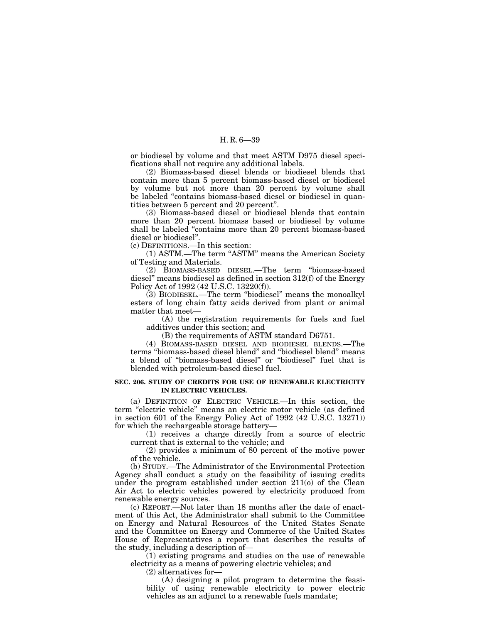or biodiesel by volume and that meet ASTM D975 diesel specifications shall not require any additional labels.

(2) Biomass-based diesel blends or biodiesel blends that contain more than 5 percent biomass-based diesel or biodiesel by volume but not more than 20 percent by volume shall be labeled ''contains biomass-based diesel or biodiesel in quantities between 5 percent and 20 percent''.

(3) Biomass-based diesel or biodiesel blends that contain more than 20 percent biomass based or biodiesel by volume shall be labeled ''contains more than 20 percent biomass-based diesel or biodiesel''.

(c) DEFINITIONS.—In this section:

(1) ASTM.—The term ''ASTM'' means the American Society of Testing and Materials.

(2) BIOMASS-BASED DIESEL.—The term ''biomass-based diesel'' means biodiesel as defined in section 312(f) of the Energy Policy Act of 1992 (42 U.S.C. 13220(f)).

(3) BIODIESEL.—The term ''biodiesel'' means the monoalkyl esters of long chain fatty acids derived from plant or animal matter that meet—

(A) the registration requirements for fuels and fuel additives under this section; and

(B) the requirements of ASTM standard D6751.

(4) BIOMASS-BASED DIESEL AND BIODIESEL BLENDS.—The terms ''biomass-based diesel blend'' and ''biodiesel blend'' means a blend of ''biomass-based diesel'' or ''biodiesel'' fuel that is blended with petroleum-based diesel fuel.

### **SEC. 206. STUDY OF CREDITS FOR USE OF RENEWABLE ELECTRICITY IN ELECTRIC VEHICLES.**

(a) DEFINITION OF ELECTRIC VEHICLE.—In this section, the term ''electric vehicle'' means an electric motor vehicle (as defined in section 601 of the Energy Policy Act of 1992 (42 U.S.C. 13271)) for which the rechargeable storage battery—

(1) receives a charge directly from a source of electric current that is external to the vehicle; and

(2) provides a minimum of 80 percent of the motive power of the vehicle.

(b) STUDY.—The Administrator of the Environmental Protection Agency shall conduct a study on the feasibility of issuing credits under the program established under section 211(o) of the Clean Air Act to electric vehicles powered by electricity produced from renewable energy sources.

(c) REPORT.—Not later than 18 months after the date of enactment of this Act, the Administrator shall submit to the Committee on Energy and Natural Resources of the United States Senate and the Committee on Energy and Commerce of the United States House of Representatives a report that describes the results of the study, including a description of—

(1) existing programs and studies on the use of renewable electricity as a means of powering electric vehicles; and

(2) alternatives for—

(A) designing a pilot program to determine the feasibility of using renewable electricity to power electric vehicles as an adjunct to a renewable fuels mandate;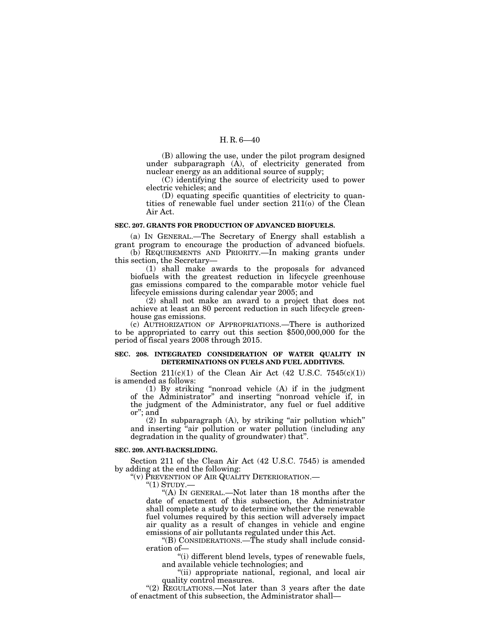(B) allowing the use, under the pilot program designed under subparagraph (A), of electricity generated from nuclear energy as an additional source of supply;

(C) identifying the source of electricity used to power electric vehicles; and

(D) equating specific quantities of electricity to quantities of renewable fuel under section 211(o) of the Clean Air Act.

### **SEC. 207. GRANTS FOR PRODUCTION OF ADVANCED BIOFUELS.**

(a) IN GENERAL.—The Secretary of Energy shall establish a grant program to encourage the production of advanced biofuels. (b) REQUIREMENTS AND PRIORITY.—In making grants under

this section, the Secretary—

(1) shall make awards to the proposals for advanced biofuels with the greatest reduction in lifecycle greenhouse gas emissions compared to the comparable motor vehicle fuel lifecycle emissions during calendar year 2005; and

(2) shall not make an award to a project that does not achieve at least an 80 percent reduction in such lifecycle greenhouse gas emissions.

(c) AUTHORIZATION OF APPROPRIATIONS.—There is authorized to be appropriated to carry out this section \$500,000,000 for the period of fiscal years 2008 through 2015.

### **SEC. 208. INTEGRATED CONSIDERATION OF WATER QUALITY IN DETERMINATIONS ON FUELS AND FUEL ADDITIVES.**

Section  $211(c)(1)$  of the Clean Air Act (42 U.S.C. 7545(c)(1)) is amended as follows:

(1) By striking ''nonroad vehicle (A) if in the judgment of the Administrator'' and inserting ''nonroad vehicle if, in the judgment of the Administrator, any fuel or fuel additive or''; and

 $(2)$  In subparagraph  $(A)$ , by striking "air pollution which" and inserting "air pollution or water pollution (including any degradation in the quality of groundwater) that''.

#### **SEC. 209. ANTI-BACKSLIDING.**

Section 211 of the Clean Air Act (42 U.S.C. 7545) is amended by adding at the end the following:

"(v) PREVENTION OF AIR QUALITY DETERIORATION.—

 $"(1)$  STUDY.-

''(A) IN GENERAL.—Not later than 18 months after the date of enactment of this subsection, the Administrator shall complete a study to determine whether the renewable fuel volumes required by this section will adversely impact air quality as a result of changes in vehicle and engine emissions of air pollutants regulated under this Act.

''(B) CONSIDERATIONS.—The study shall include consideration of—

''(i) different blend levels, types of renewable fuels, and available vehicle technologies; and

''(ii) appropriate national, regional, and local air quality control measures.

"(2) REGULATIONS.—Not later than 3 years after the date of enactment of this subsection, the Administrator shall—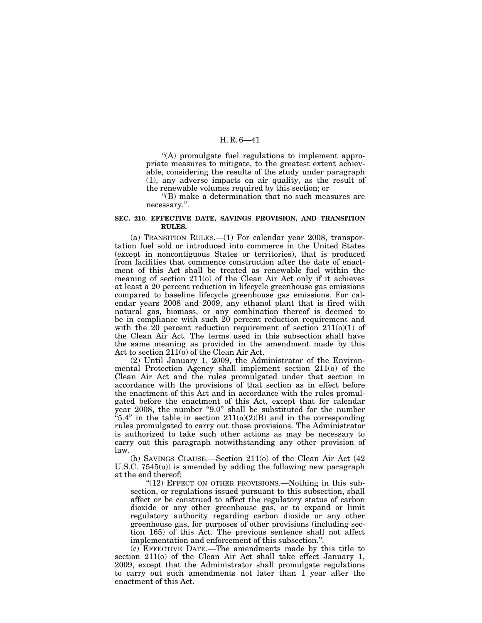''(A) promulgate fuel regulations to implement appropriate measures to mitigate, to the greatest extent achievable, considering the results of the study under paragraph (1), any adverse impacts on air quality, as the result of the renewable volumes required by this section; or

''(B) make a determination that no such measures are necessary.''.

### **SEC. 210. EFFECTIVE DATE, SAVINGS PROVISION, AND TRANSITION RULES.**

(a) TRANSITION RULES.—(1) For calendar year 2008, transportation fuel sold or introduced into commerce in the United States (except in noncontiguous States or territories), that is produced from facilities that commence construction after the date of enactment of this Act shall be treated as renewable fuel within the meaning of section 211(o) of the Clean Air Act only if it achieves at least a 20 percent reduction in lifecycle greenhouse gas emissions compared to baseline lifecycle greenhouse gas emissions. For calendar years 2008 and 2009, any ethanol plant that is fired with natural gas, biomass, or any combination thereof is deemed to be in compliance with such 20 percent reduction requirement and with the 20 percent reduction requirement of section  $211(0)(1)$  of the Clean Air Act. The terms used in this subsection shall have the same meaning as provided in the amendment made by this Act to section 211(o) of the Clean Air Act.

(2) Until January 1, 2009, the Administrator of the Environmental Protection Agency shall implement section 211(o) of the Clean Air Act and the rules promulgated under that section in accordance with the provisions of that section as in effect before the enactment of this Act and in accordance with the rules promulgated before the enactment of this Act, except that for calendar year 2008, the number "9.0" shall be substituted for the number "5.4" in the table in section  $211(0)(2)(B)$  and in the corresponding rules promulgated to carry out those provisions. The Administrator is authorized to take such other actions as may be necessary to carry out this paragraph notwithstanding any other provision of law.

(b) SAVINGS CLAUSE.—Section 211(o) of the Clean Air Act (42 U.S.C. 7545(o)) is amended by adding the following new paragraph at the end thereof:

" $(12)$  EFFECT ON OTHER PROVISIONS.—Nothing in this subsection, or regulations issued pursuant to this subsection, shall affect or be construed to affect the regulatory status of carbon dioxide or any other greenhouse gas, or to expand or limit regulatory authority regarding carbon dioxide or any other greenhouse gas, for purposes of other provisions (including section 165) of this Act. The previous sentence shall not affect implementation and enforcement of this subsection.''.

(c) EFFECTIVE DATE.—The amendments made by this title to section 211(o) of the Clean Air Act shall take effect January 1, 2009, except that the Administrator shall promulgate regulations to carry out such amendments not later than 1 year after the enactment of this Act.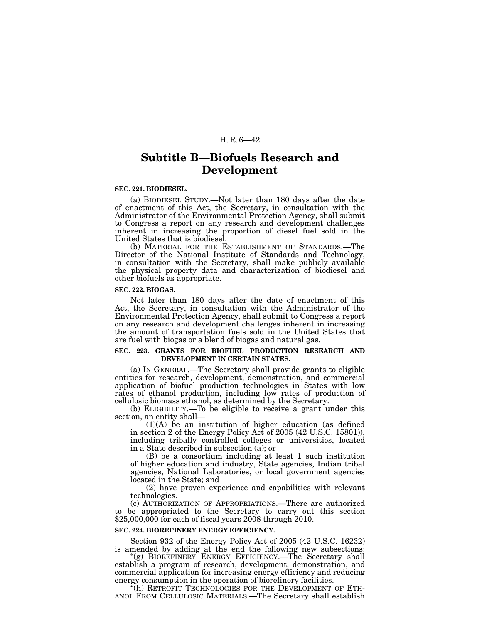# **Subtitle B—Biofuels Research and Development**

### **SEC. 221. BIODIESEL.**

(a) BIODIESEL STUDY.—Not later than 180 days after the date of enactment of this Act, the Secretary, in consultation with the Administrator of the Environmental Protection Agency, shall submit to Congress a report on any research and development challenges inherent in increasing the proportion of diesel fuel sold in the United States that is biodiesel.

(b) MATERIAL FOR THE ESTABLISHMENT OF STANDARDS.—The Director of the National Institute of Standards and Technology, in consultation with the Secretary, shall make publicly available the physical property data and characterization of biodiesel and other biofuels as appropriate.

### **SEC. 222. BIOGAS.**

Not later than 180 days after the date of enactment of this Act, the Secretary, in consultation with the Administrator of the Environmental Protection Agency, shall submit to Congress a report on any research and development challenges inherent in increasing the amount of transportation fuels sold in the United States that are fuel with biogas or a blend of biogas and natural gas.

### **SEC. 223. GRANTS FOR BIOFUEL PRODUCTION RESEARCH AND DEVELOPMENT IN CERTAIN STATES.**

(a) IN GENERAL.—The Secretary shall provide grants to eligible entities for research, development, demonstration, and commercial application of biofuel production technologies in States with low rates of ethanol production, including low rates of production of cellulosic biomass ethanol, as determined by the Secretary.

(b) ELIGIBILITY.—To be eligible to receive a grant under this section, an entity shall—

(1)(A) be an institution of higher education (as defined in section 2 of the Energy Policy Act of 2005 (42 U.S.C. 15801)), including tribally controlled colleges or universities, located in a State described in subsection (a); or

(B) be a consortium including at least 1 such institution of higher education and industry, State agencies, Indian tribal agencies, National Laboratories, or local government agencies located in the State; and

(2) have proven experience and capabilities with relevant technologies.

(c) AUTHORIZATION OF APPROPRIATIONS.—There are authorized to be appropriated to the Secretary to carry out this section  $$25,000,000$  for each of fiscal years  $2008$  through  $2010$ .

#### **SEC. 224. BIOREFINERY ENERGY EFFICIENCY.**

Section 932 of the Energy Policy Act of 2005 (42 U.S.C. 16232) is amended by adding at the end the following new subsections:

''(g) BIOREFINERY ENERGY EFFICIENCY.—The Secretary shall establish a program of research, development, demonstration, and commercial application for increasing energy efficiency and reducing energy consumption in the operation of biorefinery facilities.

''(h) RETROFIT TECHNOLOGIES FOR THE DEVELOPMENT OF ETH-ANOL FROM CELLULOSIC MATERIALS.—The Secretary shall establish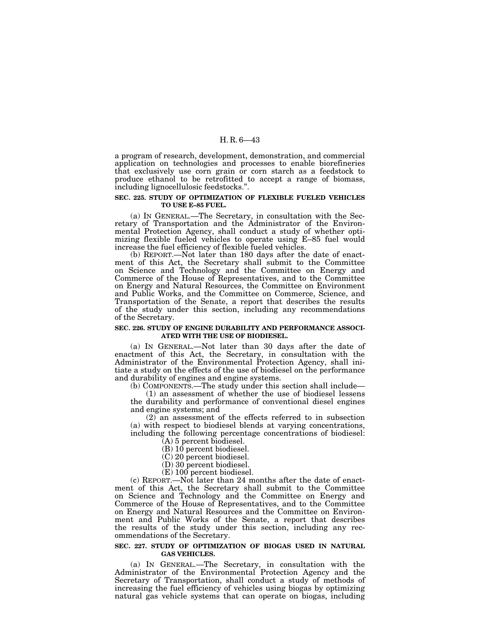a program of research, development, demonstration, and commercial application on technologies and processes to enable biorefineries that exclusively use corn grain or corn starch as a feedstock to produce ethanol to be retrofitted to accept a range of biomass, including lignocellulosic feedstocks.''.

#### **SEC. 225. STUDY OF OPTIMIZATION OF FLEXIBLE FUELED VEHICLES TO USE E–85 FUEL.**

(a) IN GENERAL.—The Secretary, in consultation with the Secretary of Transportation and the Administrator of the Environmental Protection Agency, shall conduct a study of whether optimizing flexible fueled vehicles to operate using E–85 fuel would increase the fuel efficiency of flexible fueled vehicles.

(b) REPORT.—Not later than 180 days after the date of enactment of this Act, the Secretary shall submit to the Committee on Science and Technology and the Committee on Energy and Commerce of the House of Representatives, and to the Committee on Energy and Natural Resources, the Committee on Environment and Public Works, and the Committee on Commerce, Science, and Transportation of the Senate, a report that describes the results of the study under this section, including any recommendations of the Secretary.

### **SEC. 226. STUDY OF ENGINE DURABILITY AND PERFORMANCE ASSOCI-ATED WITH THE USE OF BIODIESEL.**

(a) IN GENERAL.—Not later than 30 days after the date of enactment of this Act, the Secretary, in consultation with the Administrator of the Environmental Protection Agency, shall initiate a study on the effects of the use of biodiesel on the performance and durability of engines and engine systems.

(b) COMPONENTS.—The study under this section shall include—

(1) an assessment of whether the use of biodiesel lessens the durability and performance of conventional diesel engines and engine systems; and

(2) an assessment of the effects referred to in subsection (a) with respect to biodiesel blends at varying concentrations, including the following percentage concentrations of biodiesel:

(A) 5 percent biodiesel.

(B) 10 percent biodiesel.

(C) 20 percent biodiesel.

(D) 30 percent biodiesel.

(E) 100 percent biodiesel.

(c) REPORT.—Not later than 24 months after the date of enactment of this Act, the Secretary shall submit to the Committee on Science and Technology and the Committee on Energy and Commerce of the House of Representatives, and to the Committee on Energy and Natural Resources and the Committee on Environment and Public Works of the Senate, a report that describes the results of the study under this section, including any recommendations of the Secretary.

### **SEC. 227. STUDY OF OPTIMIZATION OF BIOGAS USED IN NATURAL GAS VEHICLES.**

(a) IN GENERAL.—The Secretary, in consultation with the Administrator of the Environmental Protection Agency and the Secretary of Transportation, shall conduct a study of methods of increasing the fuel efficiency of vehicles using biogas by optimizing natural gas vehicle systems that can operate on biogas, including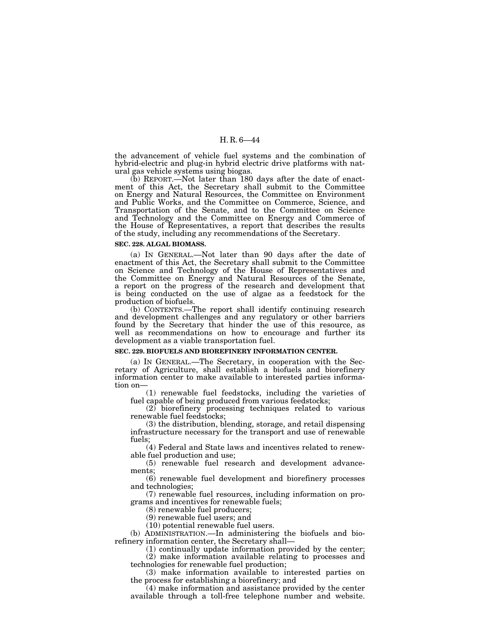the advancement of vehicle fuel systems and the combination of hybrid-electric and plug-in hybrid electric drive platforms with natural gas vehicle systems using biogas.

(b) REPORT.—Not later than 180 days after the date of enactment of this Act, the Secretary shall submit to the Committee on Energy and Natural Resources, the Committee on Environment and Public Works, and the Committee on Commerce, Science, and Transportation of the Senate, and to the Committee on Science and Technology and the Committee on Energy and Commerce of the House of Representatives, a report that describes the results of the study, including any recommendations of the Secretary.

#### **SEC. 228. ALGAL BIOMASS.**

(a) IN GENERAL.—Not later than 90 days after the date of enactment of this Act, the Secretary shall submit to the Committee on Science and Technology of the House of Representatives and the Committee on Energy and Natural Resources of the Senate, a report on the progress of the research and development that is being conducted on the use of algae as a feedstock for the production of biofuels.

(b) CONTENTS.—The report shall identify continuing research and development challenges and any regulatory or other barriers found by the Secretary that hinder the use of this resource, as well as recommendations on how to encourage and further its development as a viable transportation fuel.

### **SEC. 229. BIOFUELS AND BIOREFINERY INFORMATION CENTER.**

(a) IN GENERAL.—The Secretary, in cooperation with the Secretary of Agriculture, shall establish a biofuels and biorefinery information center to make available to interested parties information on—

(1) renewable fuel feedstocks, including the varieties of fuel capable of being produced from various feedstocks;

(2) biorefinery processing techniques related to various renewable fuel feedstocks;

(3) the distribution, blending, storage, and retail dispensing infrastructure necessary for the transport and use of renewable fuels;

(4) Federal and State laws and incentives related to renewable fuel production and use;

(5) renewable fuel research and development advancements;

(6) renewable fuel development and biorefinery processes and technologies;

(7) renewable fuel resources, including information on programs and incentives for renewable fuels;

(8) renewable fuel producers;

 $(9)$  renewable fuel users; and

(10) potential renewable fuel users.

(b) ADMINISTRATION.—In administering the biofuels and biorefinery information center, the Secretary shall—

(1) continually update information provided by the center; (2) make information available relating to processes and technologies for renewable fuel production;

(3) make information available to interested parties on the process for establishing a biorefinery; and

(4) make information and assistance provided by the center available through a toll-free telephone number and website.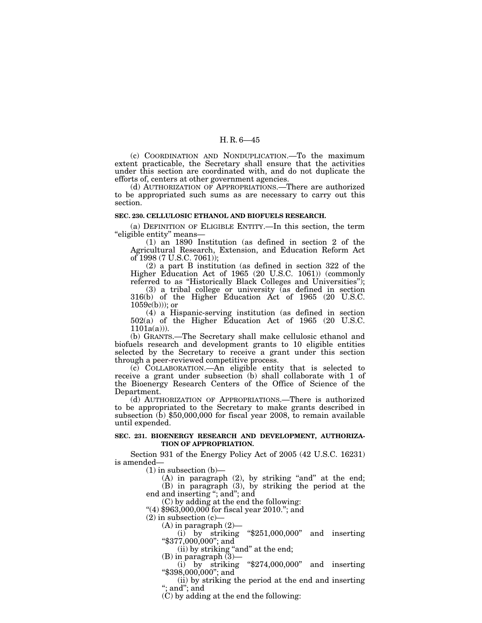(c) COORDINATION AND NONDUPLICATION.—To the maximum extent practicable, the Secretary shall ensure that the activities under this section are coordinated with, and do not duplicate the efforts of, centers at other government agencies.

(d) AUTHORIZATION OF APPROPRIATIONS.—There are authorized to be appropriated such sums as are necessary to carry out this section.

### **SEC. 230. CELLULOSIC ETHANOL AND BIOFUELS RESEARCH.**

(a) DEFINITION OF ELIGIBLE ENTITY.—In this section, the term ''eligible entity'' means—

(1) an 1890 Institution (as defined in section 2 of the Agricultural Research, Extension, and Education Reform Act of 1998 (7 U.S.C. 7061));

(2) a part B institution (as defined in section 322 of the Higher Education Act of 1965 (20 U.S.C. 1061)) (commonly referred to as "Historically Black Colleges and Universities");

(3) a tribal college or university (as defined in section 316(b) of the Higher Education Act of 1965 (20 U.S.C.  $1059c(b))$ ; or

(4) a Hispanic-serving institution (as defined in section 502(a) of the Higher Education Act of 1965 (20 U.S.C. 1101a(a))).

(b) GRANTS.—The Secretary shall make cellulosic ethanol and biofuels research and development grants to 10 eligible entities selected by the Secretary to receive a grant under this section through a peer-reviewed competitive process.

(c) COLLABORATION.—An eligible entity that is selected to receive a grant under subsection (b) shall collaborate with 1 of the Bioenergy Research Centers of the Office of Science of the Department.

(d) AUTHORIZATION OF APPROPRIATIONS.—There is authorized to be appropriated to the Secretary to make grants described in subsection (b) \$50,000,000 for fiscal year 2008, to remain available until expended.

### **SEC. 231. BIOENERGY RESEARCH AND DEVELOPMENT, AUTHORIZA-TION OF APPROPRIATION.**

Section 931 of the Energy Policy Act of 2005 (42 U.S.C. 16231) is amended—

 $(1)$  in subsection  $(b)$ —

 $(A)$  in paragraph  $(2)$ , by striking "and" at the end;

(B) in paragraph (3), by striking the period at the end and inserting ''; and''; and

(C) by adding at the end the following: ''(4) \$963,000,000 for fiscal year 2010.''; and

(2) in subsection (c)—<br>(A) in paragraph  $(2)$ —

(i) by striking " $$251,000,000"$  and inserting " $$377,000,000"$ ; and

(ii) by striking "and" at the end;<br>(B) in paragraph  $(3)$ —

(i) by striking " $$274,000,000"$  and inserting " $$398,000,000"$ ; and

(ii) by striking the period at the end and inserting ''; and''; and

(C) by adding at the end the following: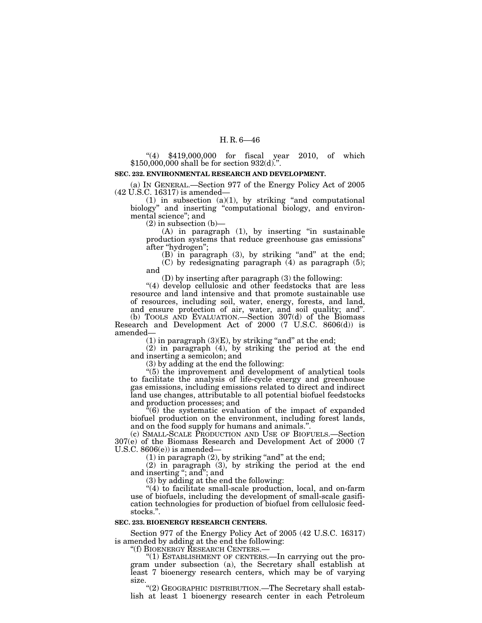$(4)$  \$419,000,000 for fiscal year 2010, of which \$150,000,000 shall be for section 932(d).".

#### **SEC. 232. ENVIRONMENTAL RESEARCH AND DEVELOPMENT.**

(a) IN GENERAL.—Section 977 of the Energy Policy Act of 2005 (42 U.S.C. 16317) is amended—

 $(1)$  in subsection  $(a)(1)$ , by striking "and computational biology'' and inserting ''computational biology, and environmental science''; and

 $(2)$  in subsection  $(b)$ —

(A) in paragraph (1), by inserting ''in sustainable production systems that reduce greenhouse gas emissions'' after "hydrogen";

 $(B)$  in paragraph  $(3)$ , by striking "and" at the end; (C) by redesignating paragraph (4) as paragraph (5); and

(D) by inserting after paragraph (3) the following:

"(4) develop cellulosic and other feedstocks that are less resource and land intensive and that promote sustainable use of resources, including soil, water, energy, forests, and land, and ensure protection of air, water, and soil quality; and''.

(b) TOOLS AND EVALUATION.—Section 307(d) of the Biomass Research and Development Act of 2000 (7 U.S.C. 8606(d)) is amended—

 $(1)$  in paragraph  $(3)(E)$ , by striking "and" at the end;

(2) in paragraph (4), by striking the period at the end and inserting a semicolon; and

(3) by adding at the end the following:

''(5) the improvement and development of analytical tools to facilitate the analysis of life-cycle energy and greenhouse gas emissions, including emissions related to direct and indirect land use changes, attributable to all potential biofuel feedstocks and production processes; and

 $\sqrt{6}$  the systematic evaluation of the impact of expanded biofuel production on the environment, including forest lands, and on the food supply for humans and animals.''.

(c) SMALL-SCALE PRODUCTION AND USE OF BIOFUELS.—Section 307(e) of the Biomass Research and Development Act of 2000 (7 U.S.C. 8606(e)) is amended—

 $(1)$  in paragraph  $(2)$ , by striking "and" at the end;

(2) in paragraph (3), by striking the period at the end and inserting ''; and''; and

(3) by adding at the end the following:

"(4) to facilitate small-scale production, local, and on-farm use of biofuels, including the development of small-scale gasification technologies for production of biofuel from cellulosic feedstocks.''.

### **SEC. 233. BIOENERGY RESEARCH CENTERS.**

Section 977 of the Energy Policy Act of 2005 (42 U.S.C. 16317) is amended by adding at the end the following:<br>"(f) BIOENERGY RESEARCH CENTERS.—

" $(1)$  ESTABLISHMENT OF CENTERS.—In carrying out the program under subsection (a), the Secretary shall establish at least 7 bioenergy research centers, which may be of varying size.

''(2) GEOGRAPHIC DISTRIBUTION.—The Secretary shall establish at least 1 bioenergy research center in each Petroleum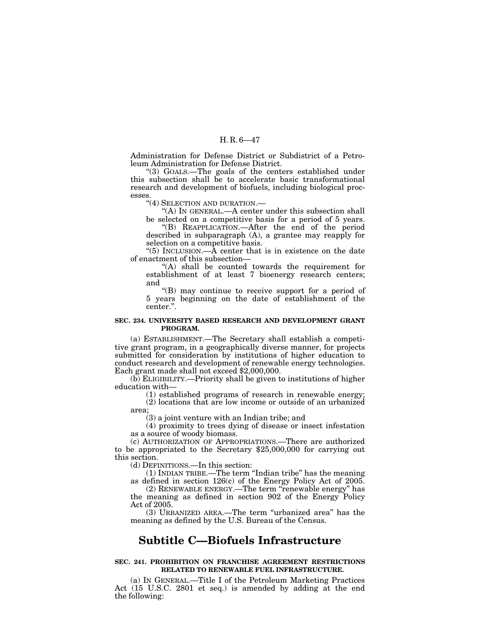Administration for Defense District or Subdistrict of a Petroleum Administration for Defense District.

''(3) GOALS.—The goals of the centers established under this subsection shall be to accelerate basic transformational research and development of biofuels, including biological processes.

''(4) SELECTION AND DURATION.—

''(A) IN GENERAL.—A center under this subsection shall be selected on a competitive basis for a period of 5 years.

''(B) REAPPLICATION.—After the end of the period described in subparagraph (A), a grantee may reapply for selection on a competitive basis.

"(5) INCLUSION.— $\overline{A}$  center that is in existence on the date of enactment of this subsection—

"(A) shall be counted towards the requirement for establishment of at least 7 bioenergy research centers; and

''(B) may continue to receive support for a period of 5 years beginning on the date of establishment of the center.''.

### **SEC. 234. UNIVERSITY BASED RESEARCH AND DEVELOPMENT GRANT PROGRAM.**

(a) ESTABLISHMENT.—The Secretary shall establish a competitive grant program, in a geographically diverse manner, for projects submitted for consideration by institutions of higher education to conduct research and development of renewable energy technologies. Each grant made shall not exceed \$2,000,000.

(b) ELIGIBILITY.—Priority shall be given to institutions of higher education with—

(1) established programs of research in renewable energy;

(2) locations that are low income or outside of an urbanized area;

(3) a joint venture with an Indian tribe; and

(4) proximity to trees dying of disease or insect infestation as a source of woody biomass.

(c) AUTHORIZATION OF APPROPRIATIONS.—There are authorized to be appropriated to the Secretary \$25,000,000 for carrying out this section.

(d) DEFINITIONS.—In this section:

(1) INDIAN TRIBE.—The term ''Indian tribe'' has the meaning as defined in section 126(c) of the Energy Policy Act of 2005.

(2) RENEWABLE ENERGY.—The term ''renewable energy'' has the meaning as defined in section 902 of the Energy Policy Act of 2005.

(3) URBANIZED AREA.—The term ''urbanized area'' has the meaning as defined by the U.S. Bureau of the Census.

# **Subtitle C—Biofuels Infrastructure**

# **SEC. 241. PROHIBITION ON FRANCHISE AGREEMENT RESTRICTIONS RELATED TO RENEWABLE FUEL INFRASTRUCTURE.**

(a) IN GENERAL.—Title I of the Petroleum Marketing Practices Act (15 U.S.C. 2801 et seq.) is amended by adding at the end the following: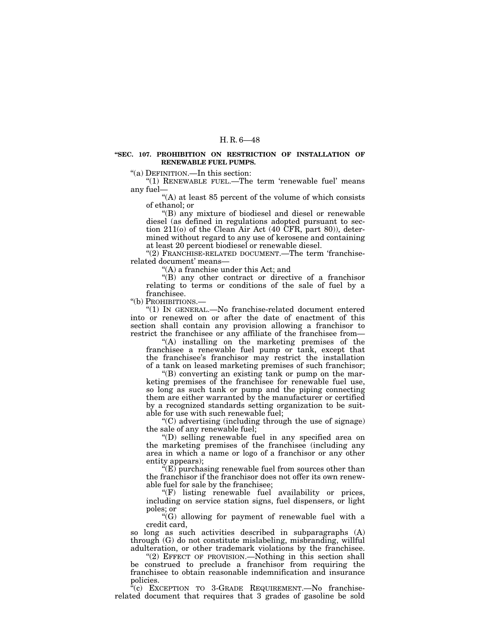### **''SEC. 107. PROHIBITION ON RESTRICTION OF INSTALLATION OF RENEWABLE FUEL PUMPS.**

''(a) DEFINITION.—In this section:

"(1) RENEWABLE FUEL.—The term 'renewable fuel' means any fuel—

"(A) at least 85 percent of the volume of which consists" of ethanol; or

''(B) any mixture of biodiesel and diesel or renewable diesel (as defined in regulations adopted pursuant to section 211(o) of the Clean Air Act (40 CFR, part 80)), determined without regard to any use of kerosene and containing at least 20 percent biodiesel or renewable diesel.

"(2) FRANCHISE-RELATED DOCUMENT.—The term 'franchiserelated document' means—

''(A) a franchise under this Act; and

''(B) any other contract or directive of a franchisor relating to terms or conditions of the sale of fuel by a franchisee.

''(b) PROHIBITIONS.—

''(1) IN GENERAL.—No franchise-related document entered into or renewed on or after the date of enactment of this section shall contain any provision allowing a franchisor to restrict the franchisee or any affiliate of the franchisee from—

''(A) installing on the marketing premises of the franchisee a renewable fuel pump or tank, except that the franchisee's franchisor may restrict the installation of a tank on leased marketing premises of such franchisor;

''(B) converting an existing tank or pump on the marketing premises of the franchisee for renewable fuel use, so long as such tank or pump and the piping connecting them are either warranted by the manufacturer or certified by a recognized standards setting organization to be suitable for use with such renewable fuel;

''(C) advertising (including through the use of signage) the sale of any renewable fuel;

''(D) selling renewable fuel in any specified area on the marketing premises of the franchisee (including any area in which a name or logo of a franchisor or any other entity appears);

 $\mathcal{E}(E)$  purchasing renewable fuel from sources other than the franchisor if the franchisor does not offer its own renewable fuel for sale by the franchisee;

 $(F)$  listing renewable fuel availability or prices, including on service station signs, fuel dispensers, or light poles; or

''(G) allowing for payment of renewable fuel with a credit card,

so long as such activities described in subparagraphs (A) through (G) do not constitute mislabeling, misbranding, willful adulteration, or other trademark violations by the franchisee.

"(2) EFFECT OF PROVISION.—Nothing in this section shall be construed to preclude a franchisor from requiring the franchisee to obtain reasonable indemnification and insurance policies.

''(c) EXCEPTION TO 3-GRADE REQUIREMENT.—No franchiserelated document that requires that 3 grades of gasoline be sold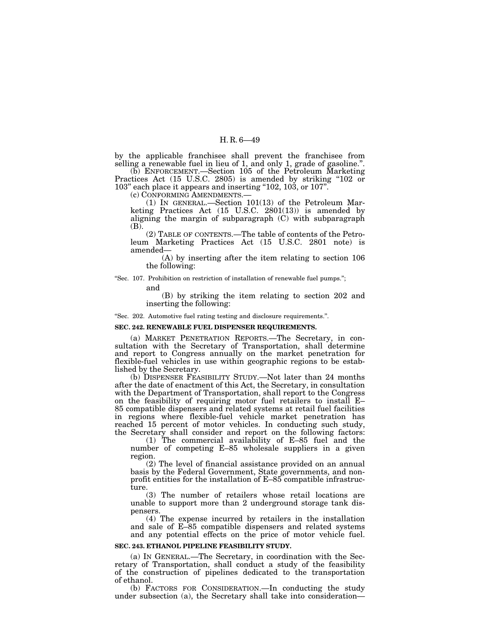by the applicable franchisee shall prevent the franchisee from selling a renewable fuel in lieu of 1, and only 1, grade of gasoline.".

(b) ENFORCEMENT.—Section 105 of the Petroleum Marketing Practices Act (15 U.S.C. 2805) is amended by striking "102 or 103" each place it appears and inserting "102, 103, or 107".

(c) CONFORMING AMENDMENTS.—

(1) IN GENERAL.—Section 101(13) of the Petroleum Marketing Practices Act (15 U.S.C. 2801(13)) is amended by aligning the margin of subparagraph (C) with subparagraph (B).

(2) TABLE OF CONTENTS.—The table of contents of the Petroleum Marketing Practices Act (15 U.S.C. 2801 note) is amended—

(A) by inserting after the item relating to section 106 the following:

''Sec. 107. Prohibition on restriction of installation of renewable fuel pumps.'';

and

(B) by striking the item relating to section 202 and inserting the following:

''Sec. 202. Automotive fuel rating testing and disclosure requirements.''.

#### **SEC. 242. RENEWABLE FUEL DISPENSER REQUIREMENTS.**

(a) MARKET PENETRATION REPORTS.—The Secretary, in consultation with the Secretary of Transportation, shall determine and report to Congress annually on the market penetration for flexible-fuel vehicles in use within geographic regions to be established by the Secretary.

(b) DISPENSER FEASIBILITY STUDY.—Not later than 24 months after the date of enactment of this Act, the Secretary, in consultation with the Department of Transportation, shall report to the Congress on the feasibility of requiring motor fuel retailers to install E– 85 compatible dispensers and related systems at retail fuel facilities in regions where flexible-fuel vehicle market penetration has reached 15 percent of motor vehicles. In conducting such study, the Secretary shall consider and report on the following factors:

(1) The commercial availability of E–85 fuel and the number of competing E–85 wholesale suppliers in a given region.

(2) The level of financial assistance provided on an annual basis by the Federal Government, State governments, and nonprofit entities for the installation of E–85 compatible infrastructure.

(3) The number of retailers whose retail locations are unable to support more than 2 underground storage tank dispensers.

(4) The expense incurred by retailers in the installation and sale of E–85 compatible dispensers and related systems and any potential effects on the price of motor vehicle fuel.

### **SEC. 243. ETHANOL PIPELINE FEASIBILITY STUDY.**

(a) IN GENERAL.—The Secretary, in coordination with the Secretary of Transportation, shall conduct a study of the feasibility of the construction of pipelines dedicated to the transportation of ethanol.

(b) FACTORS FOR CONSIDERATION.—In conducting the study under subsection (a), the Secretary shall take into consideration—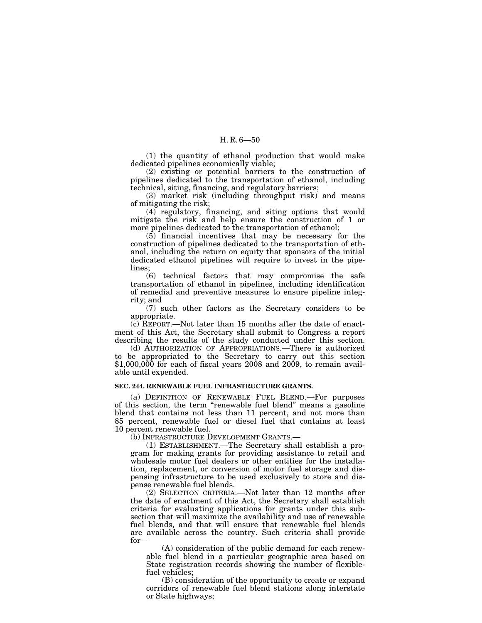(1) the quantity of ethanol production that would make dedicated pipelines economically viable;

(2) existing or potential barriers to the construction of pipelines dedicated to the transportation of ethanol, including technical, siting, financing, and regulatory barriers;

(3) market risk (including throughput risk) and means of mitigating the risk;

(4) regulatory, financing, and siting options that would mitigate the risk and help ensure the construction of 1 or more pipelines dedicated to the transportation of ethanol;

(5) financial incentives that may be necessary for the construction of pipelines dedicated to the transportation of ethanol, including the return on equity that sponsors of the initial dedicated ethanol pipelines will require to invest in the pipelines;

(6) technical factors that may compromise the safe transportation of ethanol in pipelines, including identification of remedial and preventive measures to ensure pipeline integrity; and

(7) such other factors as the Secretary considers to be appropriate.

(c) REPORT.—Not later than 15 months after the date of enactment of this Act, the Secretary shall submit to Congress a report describing the results of the study conducted under this section.

(d) AUTHORIZATION OF APPROPRIATIONS.—There is authorized to be appropriated to the Secretary to carry out this section  $$1,000,000$  for each of fiscal years 2008 and 2009, to remain available until expended.

#### **SEC. 244. RENEWABLE FUEL INFRASTRUCTURE GRANTS.**

(a) DEFINITION OF RENEWABLE FUEL BLEND.—For purposes of this section, the term ''renewable fuel blend'' means a gasoline blend that contains not less than 11 percent, and not more than 85 percent, renewable fuel or diesel fuel that contains at least 10 percent renewable fuel.

(b) INFRASTRUCTURE DEVELOPMENT GRANTS.—

(1) ESTABLISHMENT.—The Secretary shall establish a program for making grants for providing assistance to retail and wholesale motor fuel dealers or other entities for the installation, replacement, or conversion of motor fuel storage and dispensing infrastructure to be used exclusively to store and dispense renewable fuel blends.

(2) SELECTION CRITERIA.—Not later than 12 months after the date of enactment of this Act, the Secretary shall establish criteria for evaluating applications for grants under this subsection that will maximize the availability and use of renewable fuel blends, and that will ensure that renewable fuel blends are available across the country. Such criteria shall provide for—

(A) consideration of the public demand for each renewable fuel blend in a particular geographic area based on State registration records showing the number of flexiblefuel vehicles;

(B) consideration of the opportunity to create or expand corridors of renewable fuel blend stations along interstate or State highways;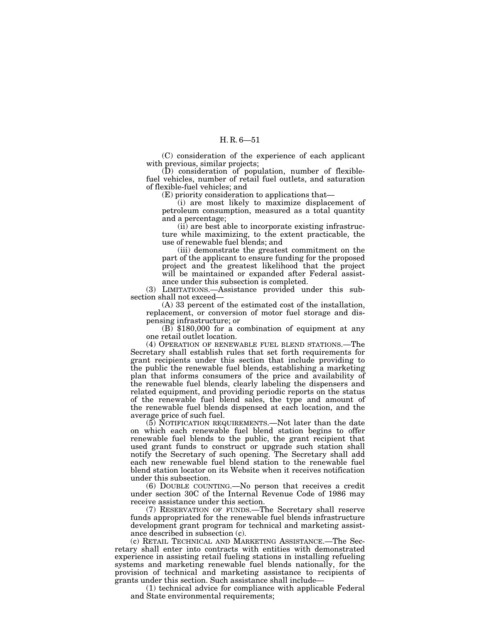(C) consideration of the experience of each applicant with previous, similar projects;

(D) consideration of population, number of flexiblefuel vehicles, number of retail fuel outlets, and saturation of flexible-fuel vehicles; and

(E) priority consideration to applications that—

(i) are most likely to maximize displacement of petroleum consumption, measured as a total quantity and a percentage;

(ii) are best able to incorporate existing infrastructure while maximizing, to the extent practicable, the use of renewable fuel blends; and

(iii) demonstrate the greatest commitment on the part of the applicant to ensure funding for the proposed project and the greatest likelihood that the project will be maintained or expanded after Federal assistance under this subsection is completed.

(3) LIMITATIONS.—Assistance provided under this subsection shall not exceed—

(A) 33 percent of the estimated cost of the installation, replacement, or conversion of motor fuel storage and dispensing infrastructure; or (B) \$180,000 for a combination of equipment at any

one retail outlet location.

(4) OPERATION OF RENEWABLE FUEL BLEND STATIONS.—The Secretary shall establish rules that set forth requirements for grant recipients under this section that include providing to the public the renewable fuel blends, establishing a marketing plan that informs consumers of the price and availability of the renewable fuel blends, clearly labeling the dispensers and related equipment, and providing periodic reports on the status of the renewable fuel blend sales, the type and amount of the renewable fuel blends dispensed at each location, and the average price of such fuel.

(5) NOTIFICATION REQUIREMENTS.—Not later than the date on which each renewable fuel blend station begins to offer renewable fuel blends to the public, the grant recipient that used grant funds to construct or upgrade such station shall notify the Secretary of such opening. The Secretary shall add each new renewable fuel blend station to the renewable fuel blend station locator on its Website when it receives notification under this subsection.

(6) DOUBLE COUNTING.—No person that receives a credit under section 30C of the Internal Revenue Code of 1986 may receive assistance under this section.

(7) RESERVATION OF FUNDS.—The Secretary shall reserve funds appropriated for the renewable fuel blends infrastructure development grant program for technical and marketing assistance described in subsection (c).

(c) RETAIL TECHNICAL AND MARKETING ASSISTANCE.—The Secretary shall enter into contracts with entities with demonstrated experience in assisting retail fueling stations in installing refueling systems and marketing renewable fuel blends nationally, for the provision of technical and marketing assistance to recipients of grants under this section. Such assistance shall include—

(1) technical advice for compliance with applicable Federal and State environmental requirements;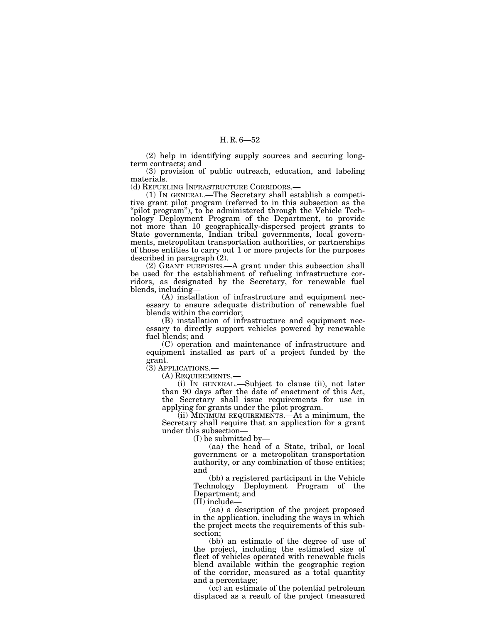(2) help in identifying supply sources and securing longterm contracts; and

(3) provision of public outreach, education, and labeling materials.

(d) REFUELING INFRASTRUCTURE CORRIDORS.—

(1) IN GENERAL.—The Secretary shall establish a competitive grant pilot program (referred to in this subsection as the "pilot program"), to be administered through the Vehicle Technology Deployment Program of the Department, to provide not more than 10 geographically-dispersed project grants to State governments, Indian tribal governments, local governments, metropolitan transportation authorities, or partnerships of those entities to carry out 1 or more projects for the purposes described in paragraph (2).

(2) GRANT PURPOSES.—A grant under this subsection shall be used for the establishment of refueling infrastructure corridors, as designated by the Secretary, for renewable fuel blends, including—

(A) installation of infrastructure and equipment necessary to ensure adequate distribution of renewable fuel blends within the corridor;

(B) installation of infrastructure and equipment necessary to directly support vehicles powered by renewable fuel blends; and

(C) operation and maintenance of infrastructure and equipment installed as part of a project funded by the grant.<br>(3) APPLICATIONS.—

(A) REQUIREMENTS.—

(i) IN GENERAL.—Subject to clause (ii), not later than 90 days after the date of enactment of this Act, the Secretary shall issue requirements for use in applying for grants under the pilot program.

(ii) MINIMUM REQUIREMENTS.—At a minimum, the Secretary shall require that an application for a grant under this subsection—

(I) be submitted by—

(aa) the head of a State, tribal, or local government or a metropolitan transportation authority, or any combination of those entities; and

(bb) a registered participant in the Vehicle Technology Deployment Program of the Department; and

(II) include—

(aa) a description of the project proposed in the application, including the ways in which the project meets the requirements of this subsection;

(bb) an estimate of the degree of use of the project, including the estimated size of fleet of vehicles operated with renewable fuels blend available within the geographic region of the corridor, measured as a total quantity and a percentage;

(cc) an estimate of the potential petroleum displaced as a result of the project (measured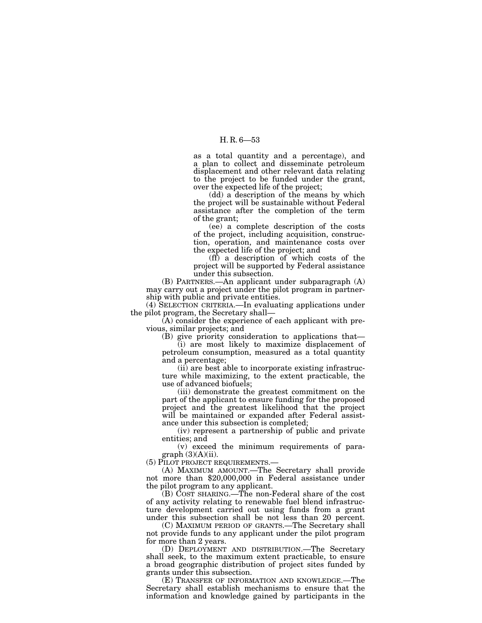as a total quantity and a percentage), and a plan to collect and disseminate petroleum displacement and other relevant data relating to the project to be funded under the grant, over the expected life of the project;

(dd) a description of the means by which the project will be sustainable without Federal assistance after the completion of the term of the grant;

(ee) a complete description of the costs of the project, including acquisition, construction, operation, and maintenance costs over the expected life of the project; and

(ff) a description of which costs of the project will be supported by Federal assistance under this subsection.

(B) PARTNERS.—An applicant under subparagraph (A) may carry out a project under the pilot program in partnership with public and private entities.

(4) SELECTION CRITERIA.—In evaluating applications under the pilot program, the Secretary shall—

(A) consider the experience of each applicant with previous, similar projects; and

(B) give priority consideration to applications that—

(i) are most likely to maximize displacement of petroleum consumption, measured as a total quantity and a percentage;

(ii) are best able to incorporate existing infrastructure while maximizing, to the extent practicable, the use of advanced biofuels;

(iii) demonstrate the greatest commitment on the part of the applicant to ensure funding for the proposed project and the greatest likelihood that the project will be maintained or expanded after Federal assistance under this subsection is completed;

(iv) represent a partnership of public and private entities; and

(v) exceed the minimum requirements of paragraph  $(3)(A)(ii)$ .

(5) PILOT PROJECT REQUIREMENTS.—

(A) MAXIMUM AMOUNT.—The Secretary shall provide not more than \$20,000,000 in Federal assistance under the pilot program to any applicant.

(B) COST SHARING.—The non-Federal share of the cost of any activity relating to renewable fuel blend infrastructure development carried out using funds from a grant under this subsection shall be not less than 20 percent.

(C) MAXIMUM PERIOD OF GRANTS.—The Secretary shall not provide funds to any applicant under the pilot program for more than 2 years.

(D) DEPLOYMENT AND DISTRIBUTION.—The Secretary shall seek, to the maximum extent practicable, to ensure a broad geographic distribution of project sites funded by grants under this subsection.

(E) TRANSFER OF INFORMATION AND KNOWLEDGE.—The Secretary shall establish mechanisms to ensure that the information and knowledge gained by participants in the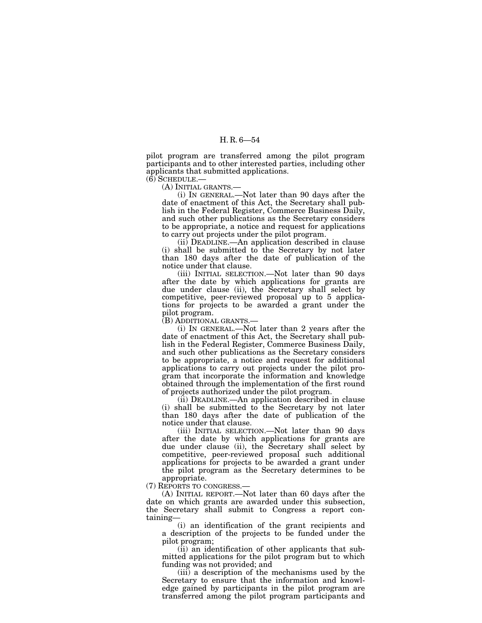pilot program are transferred among the pilot program participants and to other interested parties, including other applicants that submitted applications.

 $(\tilde{6})$  SCHEDULE.-

(A) INITIAL GRANTS.—

(i) IN GENERAL.—Not later than 90 days after the date of enactment of this Act, the Secretary shall publish in the Federal Register, Commerce Business Daily, and such other publications as the Secretary considers to be appropriate, a notice and request for applications to carry out projects under the pilot program.

(ii) DEADLINE.—An application described in clause (i) shall be submitted to the Secretary by not later than 180 days after the date of publication of the notice under that clause.

(iii) INITIAL SELECTION.—Not later than 90 days after the date by which applications for grants are due under clause (ii), the Secretary shall select by competitive, peer-reviewed proposal up to 5 applications for projects to be awarded a grant under the pilot program.<br>(B) ADDITIONAL GRANTS.—

(i) IN GENERAL.—Not later than 2 years after the date of enactment of this Act, the Secretary shall publish in the Federal Register, Commerce Business Daily, and such other publications as the Secretary considers to be appropriate, a notice and request for additional applications to carry out projects under the pilot program that incorporate the information and knowledge obtained through the implementation of the first round of projects authorized under the pilot program.

(ii) DEADLINE.—An application described in clause (i) shall be submitted to the Secretary by not later than 180 days after the date of publication of the notice under that clause.

(iii) INITIAL SELECTION.—Not later than 90 days after the date by which applications for grants are due under clause (ii), the Secretary shall select by competitive, peer-reviewed proposal such additional applications for projects to be awarded a grant under the pilot program as the Secretary determines to be appropriate.

(7) REPORTS TO CONGRESS.—

(A) INITIAL REPORT.—Not later than 60 days after the date on which grants are awarded under this subsection, the Secretary shall submit to Congress a report containing—

(i) an identification of the grant recipients and a description of the projects to be funded under the pilot program;

(ii) an identification of other applicants that submitted applications for the pilot program but to which funding was not provided; and

(iii) a description of the mechanisms used by the Secretary to ensure that the information and knowledge gained by participants in the pilot program are transferred among the pilot program participants and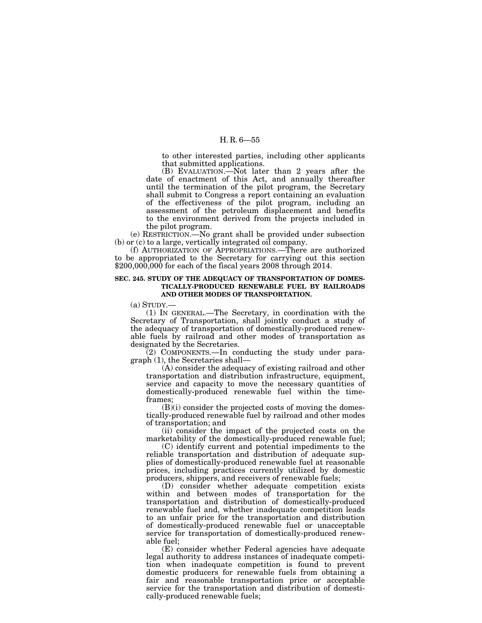to other interested parties, including other applicants that submitted applications.

(B) EVALUATION.—Not later than 2 years after the date of enactment of this Act, and annually thereafter until the termination of the pilot program, the Secretary shall submit to Congress a report containing an evaluation of the effectiveness of the pilot program, including an assessment of the petroleum displacement and benefits to the environment derived from the projects included in the pilot program.

(e) RESTRICTION.—No grant shall be provided under subsection (b) or (c) to a large, vertically integrated oil company.

(f) AUTHORIZATION OF APPROPRIATIONS.—There are authorized to be appropriated to the Secretary for carrying out this section \$200,000,000 for each of the fiscal years 2008 through 2014.

### **SEC. 245. STUDY OF THE ADEQUACY OF TRANSPORTATION OF DOMES-TICALLY-PRODUCED RENEWABLE FUEL BY RAILROADS AND OTHER MODES OF TRANSPORTATION.**

(a) STUDY.— (1) IN GENERAL.—The Secretary, in coordination with the Secretary of Transportation, shall jointly conduct a study of the adequacy of transportation of domestically-produced renewable fuels by railroad and other modes of transportation as designated by the Secretaries.

(2) COMPONENTS.—In conducting the study under paragraph (1), the Secretaries shall—

(A) consider the adequacy of existing railroad and other transportation and distribution infrastructure, equipment, service and capacity to move the necessary quantities of domestically-produced renewable fuel within the timeframes;

(B)(i) consider the projected costs of moving the domestically-produced renewable fuel by railroad and other modes of transportation; and

(ii) consider the impact of the projected costs on the marketability of the domestically-produced renewable fuel;

(C) identify current and potential impediments to the reliable transportation and distribution of adequate supplies of domestically-produced renewable fuel at reasonable prices, including practices currently utilized by domestic producers, shippers, and receivers of renewable fuels;

(D) consider whether adequate competition exists within and between modes of transportation for the transportation and distribution of domestically-produced renewable fuel and, whether inadequate competition leads to an unfair price for the transportation and distribution of domestically-produced renewable fuel or unacceptable service for transportation of domestically-produced renewable fuel;

(E) consider whether Federal agencies have adequate legal authority to address instances of inadequate competition when inadequate competition is found to prevent domestic producers for renewable fuels from obtaining a fair and reasonable transportation price or acceptable service for the transportation and distribution of domestically-produced renewable fuels;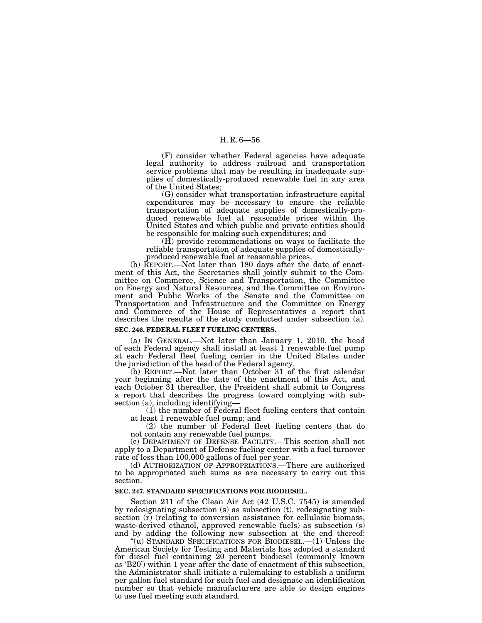(F) consider whether Federal agencies have adequate legal authority to address railroad and transportation service problems that may be resulting in inadequate supplies of domestically-produced renewable fuel in any area of the United States;

(G) consider what transportation infrastructure capital expenditures may be necessary to ensure the reliable transportation of adequate supplies of domestically-produced renewable fuel at reasonable prices within the United States and which public and private entities should be responsible for making such expenditures; and

(H) provide recommendations on ways to facilitate the reliable transportation of adequate supplies of domesticallyproduced renewable fuel at reasonable prices.

(b) REPORT.—Not later than 180 days after the date of enactment of this Act, the Secretaries shall jointly submit to the Committee on Commerce, Science and Transportation, the Committee on Energy and Natural Resources, and the Committee on Environment and Public Works of the Senate and the Committee on Transportation and Infrastructure and the Committee on Energy and Commerce of the House of Representatives a report that describes the results of the study conducted under subsection (a).

### **SEC. 246. FEDERAL FLEET FUELING CENTERS.**

(a) IN GENERAL.—Not later than January 1, 2010, the head of each Federal agency shall install at least 1 renewable fuel pump at each Federal fleet fueling center in the United States under the jurisdiction of the head of the Federal agency.

(b) REPORT.—Not later than October 31 of the first calendar year beginning after the date of the enactment of this Act, and each October 31 thereafter, the President shall submit to Congress a report that describes the progress toward complying with subsection (a), including identifying—

 $(1)$  the number of Federal fleet fueling centers that contain at least 1 renewable fuel pump; and

(2) the number of Federal fleet fueling centers that do not contain any renewable fuel pumps.

(c) DEPARTMENT OF DEFENSE FACILITY.—This section shall not apply to a Department of Defense fueling center with a fuel turnover rate of less than 100,000 gallons of fuel per year.

(d) AUTHORIZATION OF APPROPRIATIONS.—There are authorized to be appropriated such sums as are necessary to carry out this section.

#### **SEC. 247. STANDARD SPECIFICATIONS FOR BIODIESEL.**

Section 211 of the Clean Air Act (42 U.S.C. 7545) is amended by redesignating subsection (s) as subsection (t), redesignating subsection (r) (relating to conversion assistance for cellulosic biomass, waste-derived ethanol, approved renewable fuels) as subsection (s) and by adding the following new subsection at the end thereof:

''(u) STANDARD SPECIFICATIONS FOR BIODIESEL.—(1) Unless the American Society for Testing and Materials has adopted a standard for diesel fuel containing 20 percent biodiesel (commonly known as 'B20') within 1 year after the date of enactment of this subsection, the Administrator shall initiate a rulemaking to establish a uniform per gallon fuel standard for such fuel and designate an identification number so that vehicle manufacturers are able to design engines to use fuel meeting such standard.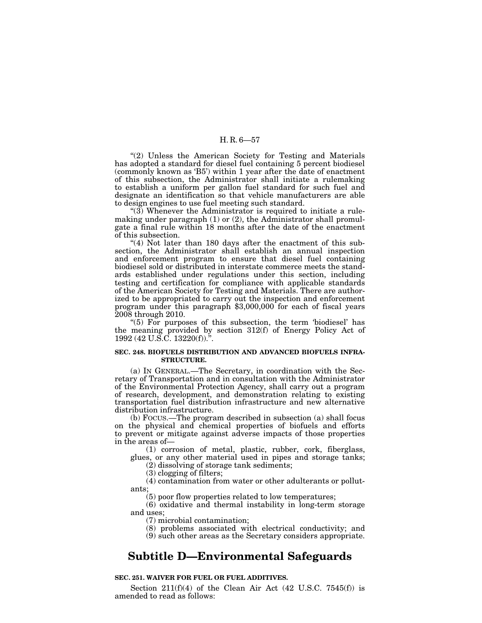''(2) Unless the American Society for Testing and Materials has adopted a standard for diesel fuel containing 5 percent biodiesel (commonly known as 'B5') within 1 year after the date of enactment of this subsection, the Administrator shall initiate a rulemaking to establish a uniform per gallon fuel standard for such fuel and designate an identification so that vehicle manufacturers are able to design engines to use fuel meeting such standard.

" $(3)$  Whenever the Administrator is required to initiate a rulemaking under paragraph (1) or (2), the Administrator shall promulgate a final rule within 18 months after the date of the enactment of this subsection.

" $(4)$  Not later than 180 days after the enactment of this subsection, the Administrator shall establish an annual inspection and enforcement program to ensure that diesel fuel containing biodiesel sold or distributed in interstate commerce meets the standards established under regulations under this section, including testing and certification for compliance with applicable standards of the American Society for Testing and Materials. There are authorized to be appropriated to carry out the inspection and enforcement program under this paragraph \$3,000,000 for each of fiscal years 2008 through 2010.

"(5) For purposes of this subsection, the term 'biodiesel' has the meaning provided by section 312(f) of Energy Policy Act of 1992 (42 U.S.C. 13220(f)).''.

### **SEC. 248. BIOFUELS DISTRIBUTION AND ADVANCED BIOFUELS INFRA-STRUCTURE.**

(a) IN GENERAL.—The Secretary, in coordination with the Secretary of Transportation and in consultation with the Administrator of the Environmental Protection Agency, shall carry out a program of research, development, and demonstration relating to existing transportation fuel distribution infrastructure and new alternative distribution infrastructure.

(b) FOCUS.—The program described in subsection (a) shall focus on the physical and chemical properties of biofuels and efforts to prevent or mitigate against adverse impacts of those properties in the areas of—

(1) corrosion of metal, plastic, rubber, cork, fiberglass, glues, or any other material used in pipes and storage tanks;

(2) dissolving of storage tank sediments;

(3) clogging of filters;

(4) contamination from water or other adulterants or pollutants;

(5) poor flow properties related to low temperatures;

(6) oxidative and thermal instability in long-term storage and uses;

(7) microbial contamination;

(8) problems associated with electrical conductivity; and

(9) such other areas as the Secretary considers appropriate.

# **Subtitle D—Environmental Safeguards**

### **SEC. 251. WAIVER FOR FUEL OR FUEL ADDITIVES.**

Section 211(f)(4) of the Clean Air Act (42 U.S.C. 7545(f)) is amended to read as follows: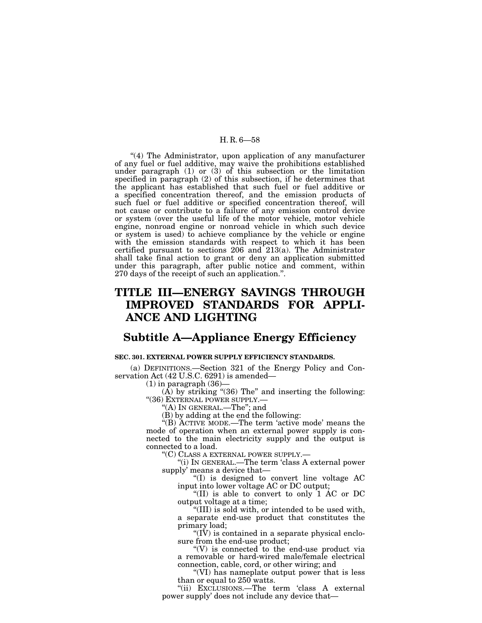''(4) The Administrator, upon application of any manufacturer of any fuel or fuel additive, may waive the prohibitions established under paragraph (1) or (3) of this subsection or the limitation specified in paragraph (2) of this subsection, if he determines that the applicant has established that such fuel or fuel additive or a specified concentration thereof, and the emission products of such fuel or fuel additive or specified concentration thereof, will not cause or contribute to a failure of any emission control device or system (over the useful life of the motor vehicle, motor vehicle engine, nonroad engine or nonroad vehicle in which such device or system is used) to achieve compliance by the vehicle or engine with the emission standards with respect to which it has been certified pursuant to sections 206 and 213(a). The Administrator shall take final action to grant or deny an application submitted under this paragraph, after public notice and comment, within 270 days of the receipt of such an application.''.

# **TITLE III—ENERGY SAVINGS THROUGH IMPROVED STANDARDS FOR APPLI-ANCE AND LIGHTING**

# **Subtitle A—Appliance Energy Efficiency**

## **SEC. 301. EXTERNAL POWER SUPPLY EFFICIENCY STANDARDS.**

(a) DEFINITIONS.—Section 321 of the Energy Policy and Conservation Act (42 U.S.C. 6291) is amended—

 $(1)$  in paragraph  $(36)$ —

 $(A)$  by striking "(36) The" and inserting the following: ''(36) EXTERNAL POWER SUPPLY.—

''(A) IN GENERAL.—The''; and

(B) by adding at the end the following:

 $\mathcal{L}(\mathbf{B})$  ACTIVE MODE.—The term 'active mode' means the mode of operation when an external power supply is connected to the main electricity supply and the output is connected to a load.<br>"(C) CLASS A EXTERNAL POWER SUPPLY.—

"(i) IN GENERAL.—The term 'class A external power supply' means a device that—

''(I) is designed to convert line voltage AC input into lower voltage AC or DC output;

''(II) is able to convert to only 1 AC or DC output voltage at a time;

''(III) is sold with, or intended to be used with, a separate end-use product that constitutes the primary load;

 $\sqrt{\rm IV}$ ) is contained in a separate physical enclosure from the end-use product;

" $(V)$  is connected to the end-use product via a removable or hard-wired male/female electrical connection, cable, cord, or other wiring; and

''(VI) has nameplate output power that is less than or equal to 250 watts.

''(ii) EXCLUSIONS.—The term 'class A external power supply' does not include any device that—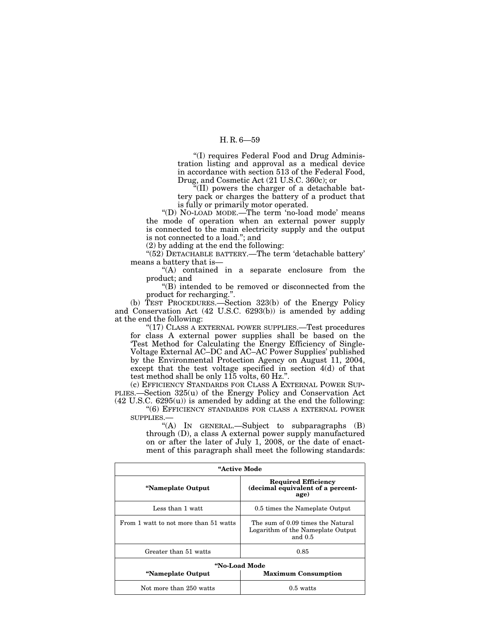''(I) requires Federal Food and Drug Administration listing and approval as a medical device in accordance with section 513 of the Federal Food, Drug, and Cosmetic Act (21 U.S.C. 360c); or

''(II) powers the charger of a detachable battery pack or charges the battery of a product that is fully or primarily motor operated.

''(D) NO-LOAD MODE.—The term 'no-load mode' means the mode of operation when an external power supply is connected to the main electricity supply and the output is not connected to a load.''; and

(2) by adding at the end the following:

''(52) DETACHABLE BATTERY.—The term 'detachable battery' means a battery that is—

''(A) contained in a separate enclosure from the product; and

''(B) intended to be removed or disconnected from the product for recharging.''.

(b) TEST PROCEDURES.—Section 323(b) of the Energy Policy and Conservation Act (42 U.S.C. 6293(b)) is amended by adding at the end the following:

"(17) CLASS A EXTERNAL POWER SUPPLIES.—Test procedures for class A external power supplies shall be based on the 'Test Method for Calculating the Energy Efficiency of Single-Voltage External AC–DC and AC–AC Power Supplies' published by the Environmental Protection Agency on August 11, 2004, except that the test voltage specified in section 4(d) of that test method shall be only 115 volts, 60 Hz.''.

(c) EFFICIENCY STANDARDS FOR CLASS A EXTERNAL POWER SUP-PLIES.—Section 325(u) of the Energy Policy and Conservation Act (42 U.S.C. 6295(u)) is amended by adding at the end the following:

''(6) EFFICIENCY STANDARDS FOR CLASS A EXTERNAL POWER SUPPLIES.—

''(A) IN GENERAL.—Subject to subparagraphs (B) through (D), a class A external power supply manufactured on or after the later of July 1, 2008, or the date of enactment of this paragraph shall meet the following standards:

| "Active Mode                          |                                                                                     |  |
|---------------------------------------|-------------------------------------------------------------------------------------|--|
| "Nameplate Output                     | <b>Required Efficiency</b><br>(decimal equivalent of a percent-<br>age)             |  |
| Less than 1 watt                      | 0.5 times the Nameplate Output                                                      |  |
| From 1 watt to not more than 51 watts | The sum of 0.09 times the Natural<br>Logarithm of the Nameplate Output<br>and $0.5$ |  |
| Greater than 51 watts                 | 0.85                                                                                |  |
| "No-Load Mode                         |                                                                                     |  |
| "Nameplate Output                     | <b>Maximum Consumption</b>                                                          |  |
| Not more than 250 watts               | $0.5$ watts                                                                         |  |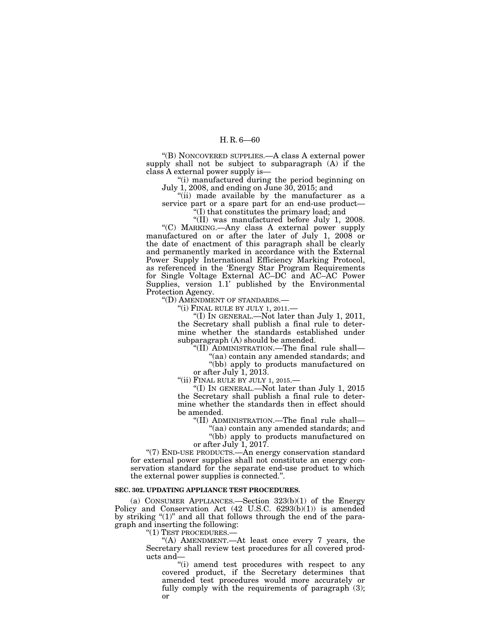''(B) NONCOVERED SUPPLIES.—A class A external power supply shall not be subject to subparagraph (A) if the class A external power supply is—

''(i) manufactured during the period beginning on July 1, 2008, and ending on June 30, 2015; and

"(ii) made available by the manufacturer as a service part or a spare part for an end-use product—

''(I) that constitutes the primary load; and

''(II) was manufactured before July 1, 2008. ''(C) MARKING.—Any class A external power supply manufactured on or after the later of July 1,  $2008$  or the date of enactment of this paragraph shall be clearly and permanently marked in accordance with the External Power Supply International Efficiency Marking Protocol, as referenced in the 'Energy Star Program Requirements for Single Voltage External AC–DC and AC–AC Power Supplies, version 1.1' published by the Environmental Protection Agency.

''(D) AMENDMENT OF STANDARDS.—

''(i) FINAL RULE BY JULY 1, 2011.—

''(I) IN GENERAL.—Not later than July 1, 2011, the Secretary shall publish a final rule to determine whether the standards established under subparagraph (A) should be amended.

''(II) ADMINISTRATION.—The final rule shall—

''(aa) contain any amended standards; and

''(bb) apply to products manufactured on or after July 1, 2013.

''(ii) FINAL RULE BY JULY 1, 2015.—

''(I) IN GENERAL.—Not later than July 1, 2015 the Secretary shall publish a final rule to determine whether the standards then in effect should be amended.

''(II) ADMINISTRATION.—The final rule shall—

'(aa) contain any amended standards; and ''(bb) apply to products manufactured on or after July 1, 2017.

''(7) END-USE PRODUCTS.—An energy conservation standard for external power supplies shall not constitute an energy conservation standard for the separate end-use product to which the external power supplies is connected.''.

# **SEC. 302. UPDATING APPLIANCE TEST PROCEDURES.**

(a) CONSUMER APPLIANCES.—Section  $323(b)(1)$  of the Energy Policy and Conservation Act (42 U.S.C. 6293(b)(1)) is amended by striking ''(1)'' and all that follows through the end of the paragraph and inserting the following:

''(1) TEST PROCEDURES.—

"(A) AMENDMENT.—At least once every 7 years, the Secretary shall review test procedures for all covered products and—

''(i) amend test procedures with respect to any covered product, if the Secretary determines that amended test procedures would more accurately or fully comply with the requirements of paragraph (3); or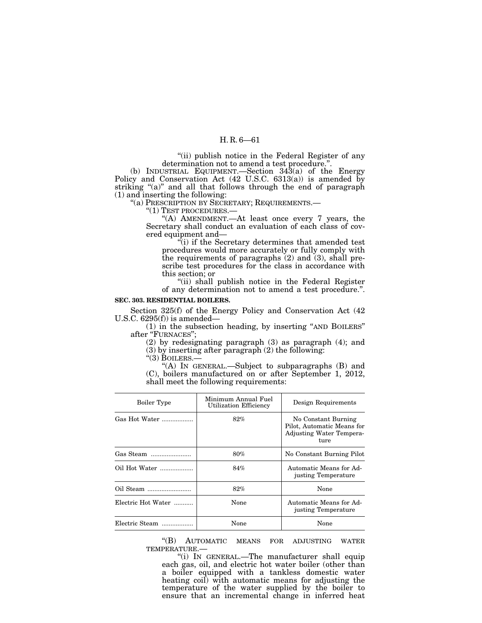''(ii) publish notice in the Federal Register of any determination not to amend a test procedure.''.

(b) INDUSTRIAL EQUIPMENT.—Section 343(a) of the Energy Policy and Conservation Act (42 U.S.C. 6313(a)) is amended by striking "(a)" and all that follows through the end of paragraph (1) and inserting the following:

''(a) PRESCRIPTION BY SECRETARY; REQUIREMENTS.—

"(1) TEST PROCEDURES.-

''(A) AMENDMENT.—At least once every 7 years, the Secretary shall conduct an evaluation of each class of covered equipment and—

''(i) if the Secretary determines that amended test procedures would more accurately or fully comply with the requirements of paragraphs (2) and (3), shall prescribe test procedures for the class in accordance with this section; or

"(ii) shall publish notice in the Federal Register of any determination not to amend a test procedure.''.

#### **SEC. 303. RESIDENTIAL BOILERS.**

Section 325(f) of the Energy Policy and Conservation Act (42 U.S.C. 6295(f)) is amended—

(1) in the subsection heading, by inserting ''AND BOILERS'' after "FURNACES";

(2) by redesignating paragraph (3) as paragraph (4); and (3) by inserting after paragraph (2) the following:

 $*(3)$  BOILERS.-

''(A) IN GENERAL.—Subject to subparagraphs (B) and (C), boilers manufactured on or after September 1, 2012, shall meet the following requirements:

| Boiler Type        | Minimum Annual Fuel<br>Utilization Efficiency | Design Requirements                                                                          |
|--------------------|-----------------------------------------------|----------------------------------------------------------------------------------------------|
| Gas Hot Water      | 82%                                           | No Constant Burning<br>Pilot, Automatic Means for<br><b>Adjusting Water Tempera-</b><br>ture |
| Gas Steam          | 80%                                           | No Constant Burning Pilot                                                                    |
| Oil Hot Water      | 84%                                           | Automatic Means for Ad-<br>justing Temperature                                               |
| Oil Steam          | 82%                                           | None                                                                                         |
| Electric Hot Water | None                                          | Automatic Means for Ad-<br>justing Temperature                                               |
| Electric Steam     | None                                          | None                                                                                         |

''(B) AUTOMATIC MEANS FOR ADJUSTING WATER TEMPERATURE.—

''(i) IN GENERAL.—The manufacturer shall equip each gas, oil, and electric hot water boiler (other than a boiler equipped with a tankless domestic water heating coil) with automatic means for adjusting the temperature of the water supplied by the boiler to ensure that an incremental change in inferred heat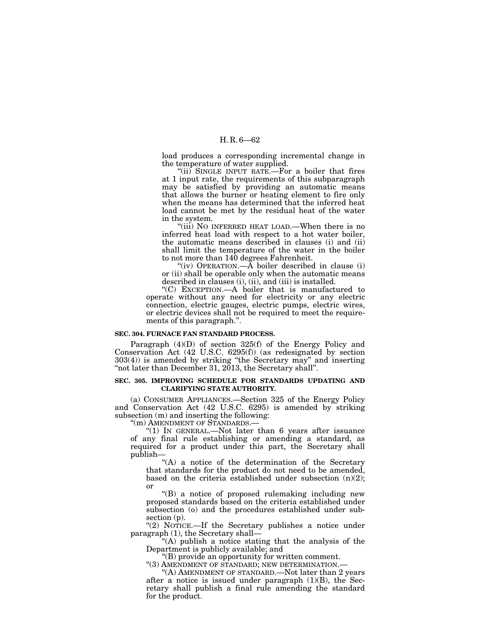load produces a corresponding incremental change in the temperature of water supplied.

" $(ii)$  SINGLE INPUT RATE.—For a boiler that fires at 1 input rate, the requirements of this subparagraph may be satisfied by providing an automatic means that allows the burner or heating element to fire only when the means has determined that the inferred heat load cannot be met by the residual heat of the water in the system.

''(iii) NO INFERRED HEAT LOAD.—When there is no inferred heat load with respect to a hot water boiler, the automatic means described in clauses (i) and (ii) shall limit the temperature of the water in the boiler to not more than 140 degrees Fahrenheit.

"(iv) OPERATION.— $\bar{A}$  boiler described in clause (i) or (ii) shall be operable only when the automatic means described in clauses (i), (ii), and (iii) is installed.

''(C) EXCEPTION.—A boiler that is manufactured to operate without any need for electricity or any electric connection, electric gauges, electric pumps, electric wires, or electric devices shall not be required to meet the requirements of this paragraph.''.

#### **SEC. 304. FURNACE FAN STANDARD PROCESS.**

Paragraph (4)(D) of section 325(f) of the Energy Policy and Conservation Act (42 U.S.C. 6295(f)) (as redesignated by section 303(4)) is amended by striking ''the Secretary may'' and inserting "not later than December 31, 2013, the Secretary shall".

#### **SEC. 305. IMPROVING SCHEDULE FOR STANDARDS UPDATING AND CLARIFYING STATE AUTHORITY.**

(a) CONSUMER APPLIANCES.—Section 325 of the Energy Policy and Conservation Act (42 U.S.C. 6295) is amended by striking subsection (m) and inserting the following:<br>"(m) AMENDMENT OF STANDARDS.—

"(1) IN GENERAL.—Not later than 6 years after issuance of any final rule establishing or amending a standard, as required for a product under this part, the Secretary shall publish—

"(A) a notice of the determination of the Secretary that standards for the product do not need to be amended, based on the criteria established under subsection  $(n)(2)$ ; or

''(B) a notice of proposed rulemaking including new proposed standards based on the criteria established under subsection (o) and the procedures established under subsection  $(p)$ .

"(2) NOTICE.—If the Secretary publishes a notice under paragraph (1), the Secretary shall—

''(A) publish a notice stating that the analysis of the Department is publicly available; and

"(B) provide an opportunity for written comment.<br>"(3) AMENDMENT OF STANDARD; NEW DETERMINATION.

"(A) AMENDMENT OF STANDARD.—Not later than 2 years after a notice is issued under paragraph (1)(B), the Secretary shall publish a final rule amending the standard for the product.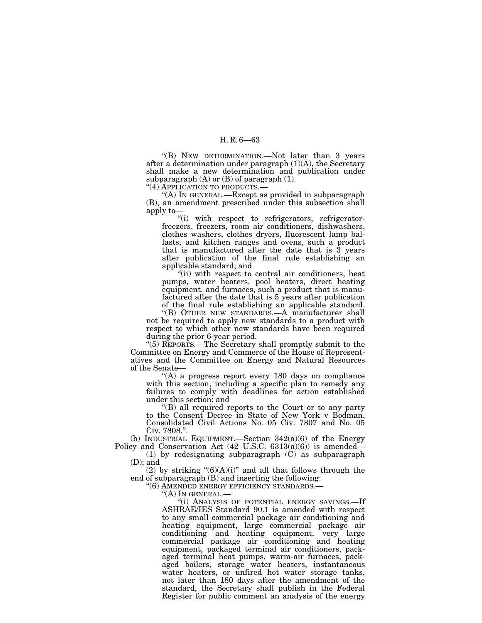''(B) NEW DETERMINATION.—Not later than 3 years after a determination under paragraph  $(1)(A)$ , the Secretary shall make a new determination and publication under subparagraph  $(A)$  or  $(B)$  of paragraph  $(1)$ .

''(4) APPLICATION TO PRODUCTS.—

''(A) IN GENERAL.—Except as provided in subparagraph (B), an amendment prescribed under this subsection shall apply to—

"(i) with respect to refrigerators, refrigeratorfreezers, freezers, room air conditioners, dishwashers, clothes washers, clothes dryers, fluorescent lamp ballasts, and kitchen ranges and ovens, such a product that is manufactured after the date that is 3 years after publication of the final rule establishing an applicable standard; and

"(ii) with respect to central air conditioners, heat pumps, water heaters, pool heaters, direct heating equipment, and furnaces, such a product that is manufactured after the date that is 5 years after publication of the final rule establishing an applicable standard.

''(B) OTHER NEW STANDARDS.—A manufacturer shall not be required to apply new standards to a product with respect to which other new standards have been required during the prior 6-year period.

''(5) REPORTS.—The Secretary shall promptly submit to the Committee on Energy and Commerce of the House of Representatives and the Committee on Energy and Natural Resources of the Senate—

''(A) a progress report every 180 days on compliance with this section, including a specific plan to remedy any failures to comply with deadlines for action established under this section; and

''(B) all required reports to the Court or to any party to the Consent Decree in State of New York v Bodman, Consolidated Civil Actions No. 05 Civ. 7807 and No. 05 Civ. 7808."

(b) INDUSTRIAL EQUIPMENT.—Section  $342(a)(6)$  of the Energy Policy and Conservation Act (42 U.S.C. 6313(a)(6)) is amended—

(1) by redesignating subparagraph (C) as subparagraph (D); and

(2) by striking " $(6)(A)(i)$ " and all that follows through the end of subparagraph (B) and inserting the following:

''(6) AMENDED ENERGY EFFICIENCY STANDARDS.—

''(A) IN GENERAL.—

''(i) ANALYSIS OF POTENTIAL ENERGY SAVINGS.—If ASHRAE/IES Standard 90.1 is amended with respect to any small commercial package air conditioning and heating equipment, large commercial package air conditioning and heating equipment, very large commercial package air conditioning and heating equipment, packaged terminal air conditioners, packaged terminal heat pumps, warm-air furnaces, packaged boilers, storage water heaters, instantaneous water heaters, or unfired hot water storage tanks, not later than 180 days after the amendment of the standard, the Secretary shall publish in the Federal Register for public comment an analysis of the energy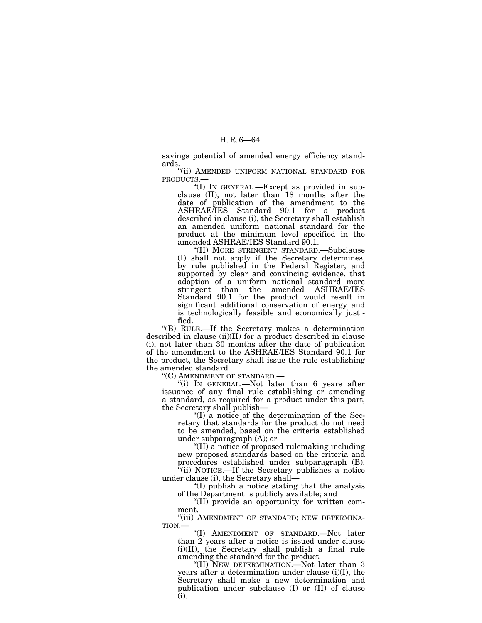savings potential of amended energy efficiency standards.

"(ii) AMENDED UNIFORM NATIONAL STANDARD FOR PRODUCTS.—

''(I) IN GENERAL.—Except as provided in subclause (II), not later than 18 months after the date of publication of the amendment to the ASHRAE/IES Standard 90.1 for a product described in clause (i), the Secretary shall establish an amended uniform national standard for the product at the minimum level specified in the amended ASHRAE/IES Standard 90.1.

''(II) MORE STRINGENT STANDARD.—Subclause (I) shall not apply if the Secretary determines, by rule published in the Federal Register, and supported by clear and convincing evidence, that adoption of a uniform national standard more stringent than the amended ASHRAE/IES Standard 90.1 for the product would result in significant additional conservation of energy and is technologically feasible and economically justified.

''(B) RULE.—If the Secretary makes a determination described in clause (ii)(II) for a product described in clause (i), not later than 30 months after the date of publication of the amendment to the ASHRAE/IES Standard 90.1 for the product, the Secretary shall issue the rule establishing the amended standard.

''(C) AMENDMENT OF STANDARD.—

''(i) IN GENERAL.—Not later than 6 years after issuance of any final rule establishing or amending a standard, as required for a product under this part, the Secretary shall publish—

''(I) a notice of the determination of the Secretary that standards for the product do not need to be amended, based on the criteria established under subparagraph (A); or

''(II) a notice of proposed rulemaking including new proposed standards based on the criteria and procedures established under subparagraph (B). ''(ii) NOTICE.—If the Secretary publishes a notice

under clause (i), the Secretary shall— ''(I) publish a notice stating that the analysis of the Department is publicly available; and

''(II) provide an opportunity for written com-

ment.

"(iii) AMENDMENT OF STANDARD; NEW DETERMINA-TION.— ''(I) AMENDMENT OF STANDARD.—Not later

than 2 years after a notice is issued under clause (i)(II), the Secretary shall publish a final rule amending the standard for the product.

''(II) NEW DETERMINATION.—Not later than 3 years after a determination under clause (i)(I), the Secretary shall make a new determination and publication under subclause (I) or (II) of clause  $(i)$ .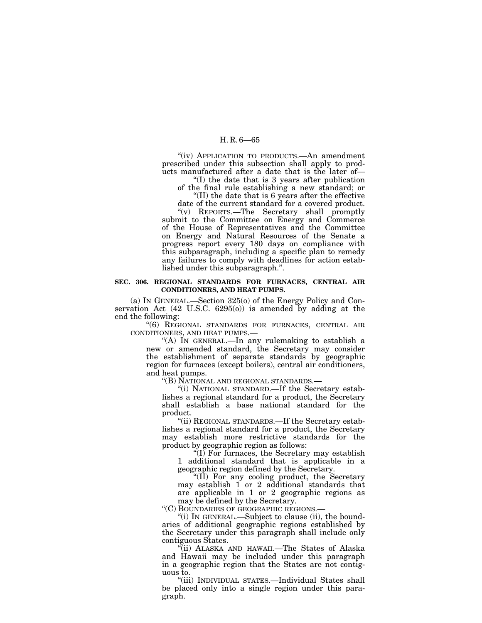''(iv) APPLICATION TO PRODUCTS.—An amendment prescribed under this subsection shall apply to products manufactured after a date that is the later of—

''(I) the date that is 3 years after publication of the final rule establishing a new standard; or

''(II) the date that is 6 years after the effective date of the current standard for a covered product.

''(v) REPORTS.—The Secretary shall promptly submit to the Committee on Energy and Commerce of the House of Representatives and the Committee on Energy and Natural Resources of the Senate a progress report every 180 days on compliance with this subparagraph, including a specific plan to remedy any failures to comply with deadlines for action established under this subparagraph.''.

### **SEC. 306. REGIONAL STANDARDS FOR FURNACES, CENTRAL AIR CONDITIONERS, AND HEAT PUMPS.**

(a) IN GENERAL.—Section 325(o) of the Energy Policy and Conservation Act (42 U.S.C. 6295(o)) is amended by adding at the end the following:

''(6) REGIONAL STANDARDS FOR FURNACES, CENTRAL AIR CONDITIONERS, AND HEAT PUMPS.—

''(A) IN GENERAL.—In any rulemaking to establish a new or amended standard, the Secretary may consider the establishment of separate standards by geographic region for furnaces (except boilers), central air conditioners, and heat pumps.

''(B) NATIONAL AND REGIONAL STANDARDS.—

''(i) NATIONAL STANDARD.—If the Secretary establishes a regional standard for a product, the Secretary shall establish a base national standard for the product.

''(ii) REGIONAL STANDARDS.—If the Secretary establishes a regional standard for a product, the Secretary may establish more restrictive standards for the product by geographic region as follows:

''(I) For furnaces, the Secretary may establish 1 additional standard that is applicable in a geographic region defined by the Secretary.

''(II) For any cooling product, the Secretary may establish 1 or 2 additional standards that are applicable in 1 or 2 geographic regions as may be defined by the Secretary.

''(C) BOUNDARIES OF GEOGRAPHIC REGIONS.—

''(i) IN GENERAL.—Subject to clause (ii), the boundaries of additional geographic regions established by the Secretary under this paragraph shall include only contiguous States.

(ii) ALASKA AND HAWAII.—The States of Alaska and Hawaii may be included under this paragraph in a geographic region that the States are not contiguous to.

''(iii) INDIVIDUAL STATES.—Individual States shall be placed only into a single region under this paragraph.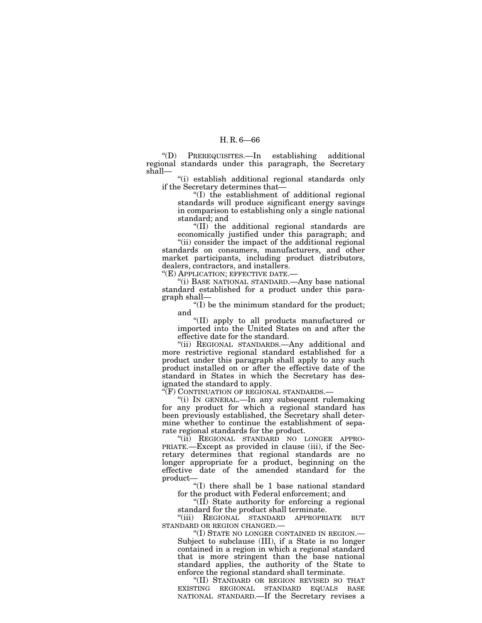''(D) PREREQUISITES.—In establishing additional regional standards under this paragraph, the Secretary shall—

''(i) establish additional regional standards only if the Secretary determines that—

''(I) the establishment of additional regional standards will produce significant energy savings in comparison to establishing only a single national standard; and

''(II) the additional regional standards are economically justified under this paragraph; and

"(ii) consider the impact of the additional regional standards on consumers, manufacturers, and other market participants, including product distributors, dealers, contractors, and installers.

''(E) APPLICATION; EFFECTIVE DATE.—

''(i) BASE NATIONAL STANDARD.—Any base national standard established for a product under this paragraph shall—

''(I) be the minimum standard for the product; and

''(II) apply to all products manufactured or imported into the United States on and after the effective date for the standard.

''(ii) REGIONAL STANDARDS.—Any additional and more restrictive regional standard established for a product under this paragraph shall apply to any such product installed on or after the effective date of the standard in States in which the Secretary has designated the standard to apply.

''(F) CONTINUATION OF REGIONAL STANDARDS.—

''(i) IN GENERAL.—In any subsequent rulemaking for any product for which a regional standard has been previously established, the Secretary shall determine whether to continue the establishment of separate regional standards for the product.<br>"(ii) REGIONAL STANDARD NO LONGER APPRO-

PRIATE.—Except as provided in clause (iii), if the Secretary determines that regional standards are no longer appropriate for a product, beginning on the effective date of the amended standard for the product—

''(I) there shall be 1 base national standard for the product with Federal enforcement; and

''(II) State authority for enforcing a regional standard for the product shall terminate.

''(iii) REGIONAL STANDARD APPROPRIATE BUT

"(I) STATE NO LONGER CONTAINED IN REGION.—<br>Subject to subclause (III), if a State is no longer contained in a region in which a regional standard that is more stringent than the base national standard applies, the authority of the State to enforce the regional standard shall terminate.

''(II) STANDARD OR REGION REVISED SO THAT EXISTING REGIONAL STANDARD EQUALS BASE NATIONAL STANDARD.—If the Secretary revises a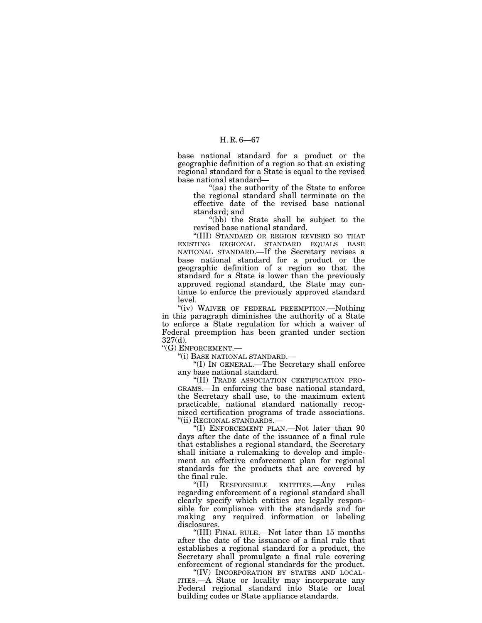base national standard for a product or the geographic definition of a region so that an existing regional standard for a State is equal to the revised base national standard—

"(aa) the authority of the State to enforce" the regional standard shall terminate on the effective date of the revised base national standard; and

''(bb) the State shall be subject to the revised base national standard.

''(III) STANDARD OR REGION REVISED SO THAT EXISTING REGIONAL STANDARD EQUALS BASE NATIONAL STANDARD.—If the Secretary revises a base national standard for a product or the geographic definition of a region so that the standard for a State is lower than the previously approved regional standard, the State may continue to enforce the previously approved standard level.

"(iv) WAIVER OF FEDERAL PREEMPTION.—Nothing in this paragraph diminishes the authority of a State to enforce a State regulation for which a waiver of Federal preemption has been granted under section 327(d).

''(G) ENFORCEMENT.—

''(i) BASE NATIONAL STANDARD.—

''(I) IN GENERAL.—The Secretary shall enforce any base national standard.

''(II) TRADE ASSOCIATION CERTIFICATION PRO-GRAMS.—In enforcing the base national standard, the Secretary shall use, to the maximum extent practicable, national standard nationally recognized certification programs of trade associations. ''(ii) REGIONAL STANDARDS.—

''(I) ENFORCEMENT PLAN.—Not later than 90 days after the date of the issuance of a final rule that establishes a regional standard, the Secretary shall initiate a rulemaking to develop and implement an effective enforcement plan for regional standards for the products that are covered by the final rule.<br>
" $(II)$  RESPONSIBLE

ENTITIES.—Any rules regarding enforcement of a regional standard shall clearly specify which entities are legally responsible for compliance with the standards and for making any required information or labeling disclosures.

''(III) FINAL RULE.—Not later than 15 months after the date of the issuance of a final rule that establishes a regional standard for a product, the Secretary shall promulgate a final rule covering enforcement of regional standards for the product.

"(IV) INCORPORATION BY STATES AND LOCAL-ITIES.—A State or locality may incorporate any Federal regional standard into State or local building codes or State appliance standards.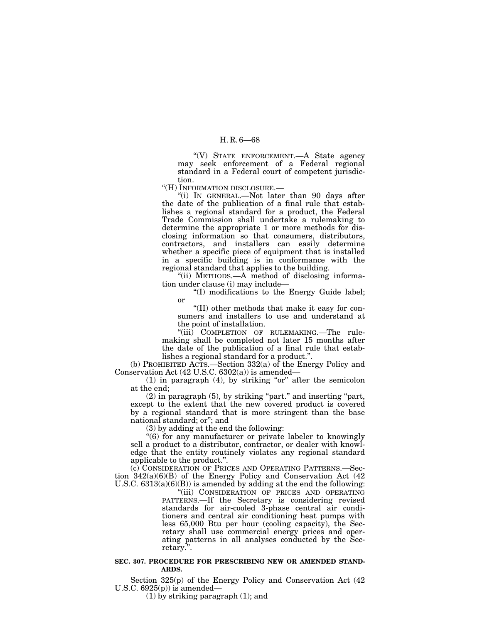''(V) STATE ENFORCEMENT.—A State agency may seek enforcement of a Federal regional standard in a Federal court of competent jurisdiction.

''(H) INFORMATION DISCLOSURE.—

''(i) IN GENERAL.—Not later than 90 days after the date of the publication of a final rule that establishes a regional standard for a product, the Federal Trade Commission shall undertake a rulemaking to determine the appropriate 1 or more methods for disclosing information so that consumers, distributors, contractors, and installers can easily determine whether a specific piece of equipment that is installed in a specific building is in conformance with the regional standard that applies to the building.

"(ii) METHODS.—A method of disclosing information under clause (i) may include—

''(I) modifications to the Energy Guide label; or

''(II) other methods that make it easy for consumers and installers to use and understand at the point of installation.

''(iii) COMPLETION OF RULEMAKING.—The rulemaking shall be completed not later 15 months after the date of the publication of a final rule that establishes a regional standard for a product.''.

(b) PROHIBITED ACTS.—Section 332(a) of the Energy Policy and Conservation Act (42 U.S.C. 6302(a)) is amended—

 $(1)$  in paragraph  $(4)$ , by striking "or" after the semicolon at the end;

 $(2)$  in paragraph  $(5)$ , by striking "part." and inserting "part, except to the extent that the new covered product is covered by a regional standard that is more stringent than the base national standard; or''; and

(3) by adding at the end the following:

''(6) for any manufacturer or private labeler to knowingly sell a product to a distributor, contractor, or dealer with knowledge that the entity routinely violates any regional standard applicable to the product.''.

(c) CONSIDERATION OF PRICES AND OPERATING PATTERNS.—Section 342(a)(6)(B) of the Energy Policy and Conservation Act (42 U.S.C.  $6313(a)(6)(B)$  is amended by adding at the end the following:

"(iii) CONSIDERATION OF PRICES AND OPERATING PATTERNS.—If the Secretary is considering revised standards for air-cooled 3-phase central air conditioners and central air conditioning heat pumps with less 65,000 Btu per hour (cooling capacity), the Secretary shall use commercial energy prices and operating patterns in all analyses conducted by the Secretary.''.

# **SEC. 307. PROCEDURE FOR PRESCRIBING NEW OR AMENDED STAND-ARDS.**

Section 325(p) of the Energy Policy and Conservation Act (42 U.S.C.  $6925(p)$  is amended—

(1) by striking paragraph (1); and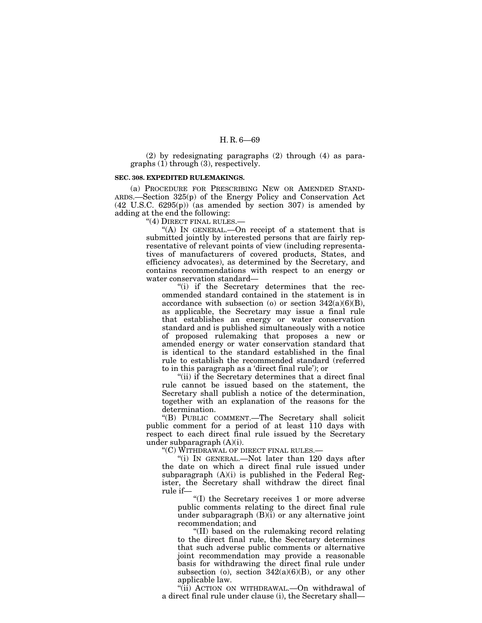(2) by redesignating paragraphs (2) through (4) as paragraphs (1) through (3), respectively.

# **SEC. 308. EXPEDITED RULEMAKINGS.**

(a) PROCEDURE FOR PRESCRIBING NEW OR AMENDED STAND-ARDS.—Section 325(p) of the Energy Policy and Conservation Act  $(42 \text{ U.S.C. } 6295(p))$  (as amended by section 307) is amended by adding at the end the following:

''(4) DIRECT FINAL RULES.—

''(A) IN GENERAL.—On receipt of a statement that is submitted jointly by interested persons that are fairly representative of relevant points of view (including representatives of manufacturers of covered products, States, and efficiency advocates), as determined by the Secretary, and contains recommendations with respect to an energy or water conservation standard—

"(i) if the Secretary determines that the recommended standard contained in the statement is in accordance with subsection (o) or section  $342(a)(6)(B)$ , as applicable, the Secretary may issue a final rule that establishes an energy or water conservation standard and is published simultaneously with a notice of proposed rulemaking that proposes a new or amended energy or water conservation standard that is identical to the standard established in the final rule to establish the recommended standard (referred to in this paragraph as a 'direct final rule'); or

"(ii) if the Secretary determines that a direct final rule cannot be issued based on the statement, the Secretary shall publish a notice of the determination, together with an explanation of the reasons for the determination.

''(B) PUBLIC COMMENT.—The Secretary shall solicit public comment for a period of at least 110 days with respect to each direct final rule issued by the Secretary under subparagraph (A)(i).

''(C) WITHDRAWAL OF DIRECT FINAL RULES.—

''(i) IN GENERAL.—Not later than 120 days after the date on which a direct final rule issued under subparagraph (A)(i) is published in the Federal Register, the Secretary shall withdraw the direct final rule if—

''(I) the Secretary receives 1 or more adverse public comments relating to the direct final rule under subparagraph  $(B)(i)$  or any alternative joint recommendation; and

''(II) based on the rulemaking record relating to the direct final rule, the Secretary determines that such adverse public comments or alternative joint recommendation may provide a reasonable basis for withdrawing the direct final rule under subsection (o), section  $342(a)(6)(B)$ , or any other applicable law.

''(ii) ACTION ON WITHDRAWAL.—On withdrawal of a direct final rule under clause (i), the Secretary shall—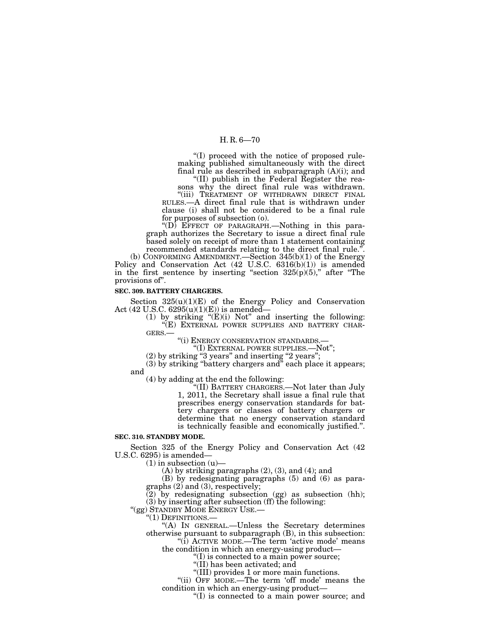''(I) proceed with the notice of proposed rulemaking published simultaneously with the direct final rule as described in subparagraph  $(A)(i)$ ; and

'(II) publish in the Federal Register the reasons why the direct final rule was withdrawn.

"(iii) TREATMENT OF WITHDRAWN DIRECT FINAL RULES.—A direct final rule that is withdrawn under clause (i) shall not be considered to be a final rule for purposes of subsection (o).

"(D) EFFECT OF PARAGRAPH.—Nothing in this paragraph authorizes the Secretary to issue a direct final rule based solely on receipt of more than 1 statement containing recommended standards relating to the direct final rule.''.

(b) CONFORMING AMENDMENT.—Section 345(b)(1) of the Energy Policy and Conservation Act (42 U.S.C. 6316(b)(1)) is amended in the first sentence by inserting "section  $325(p)(5)$ ," after "The provisions of''.

### **SEC. 309. BATTERY CHARGERS.**

Section 325(u)(1)(E) of the Energy Policy and Conservation Act (42 U.S.C.  $6295(u)(1)(E)$ ) is amended–

(1) by striking " $(E)(i)$  Not" and inserting the following: "(E) EXTERNAL POWER SUPPLIES AND BATTERY CHARGERS.—<br>"(i) ENERGY CONSERVATION STANDARDS.—<br>"(I) EXTERNAL POWER SUPPLIES.—Not";

(2) by striking ''3 years'' and inserting ''2 years'';

(3) by striking ''battery chargers and'' each place it appears; and

(4) by adding at the end the following:

''(II) BATTERY CHARGERS.—Not later than July 1, 2011, the Secretary shall issue a final rule that prescribes energy conservation standards for battery chargers or classes of battery chargers or determine that no energy conservation standard is technically feasible and economically justified.''.

### **SEC. 310. STANDBY MODE.**

Section 325 of the Energy Policy and Conservation Act (42 U.S.C. 6295) is amended—

 $(1)$  in subsection  $(u)$ —

(A) by striking paragraphs (2), (3), and (4); and

(B) by redesignating paragraphs (5) and (6) as paragraphs (2) and (3), respectively;

(2) by redesignating subsection (gg) as subsection (hh);

(3) by inserting after subsection (ff) the following: " $(gg)$  STANDBY MODE ENERGY USE.—

"(1) DEFINITIONS.—<br>"(A) IN GENERAL.—Unless the Secretary determines otherwise pursuant to subparagraph (B), in this subsection:

''(i) ACTIVE MODE.—The term 'active mode' means the condition in which an energy-using product—

''(I) is connected to a main power source;

''(II) has been activated; and

''(III) provides 1 or more main functions.

''(ii) OFF MODE.—The term 'off mode' means the condition in which an energy-using product—

''(I) is connected to a main power source; and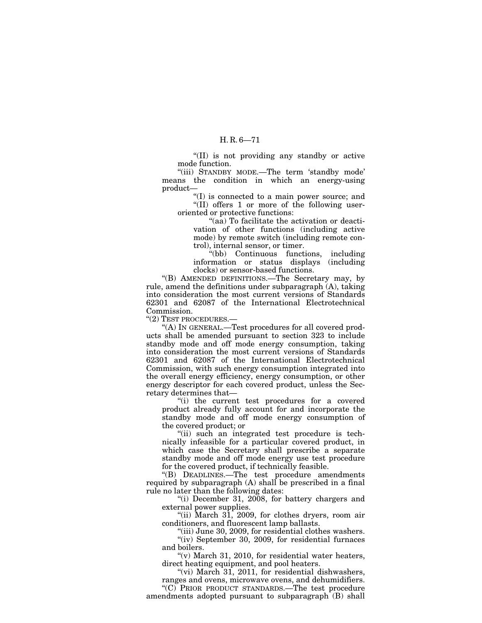''(II) is not providing any standby or active mode function.

''(iii) STANDBY MODE.—The term 'standby mode' means the condition in which an energy-using product—

''(I) is connected to a main power source; and ''(II) offers 1 or more of the following useroriented or protective functions:

''(aa) To facilitate the activation or deactivation of other functions (including active mode) by remote switch (including remote control), internal sensor, or timer.

'(bb) Continuous functions, including information or status displays (including clocks) or sensor-based functions.

''(B) AMENDED DEFINITIONS.—The Secretary may, by rule, amend the definitions under subparagraph (A), taking into consideration the most current versions of Standards 62301 and 62087 of the International Electrotechnical Commission.

"(2) TEST PROCEDURES.-

''(A) IN GENERAL.—Test procedures for all covered products shall be amended pursuant to section 323 to include standby mode and off mode energy consumption, taking into consideration the most current versions of Standards 62301 and 62087 of the International Electrotechnical Commission, with such energy consumption integrated into the overall energy efficiency, energy consumption, or other energy descriptor for each covered product, unless the Secretary determines that—

''(i) the current test procedures for a covered product already fully account for and incorporate the standby mode and off mode energy consumption of the covered product; or

"(ii) such an integrated test procedure is technically infeasible for a particular covered product, in which case the Secretary shall prescribe a separate standby mode and off mode energy use test procedure for the covered product, if technically feasible.

''(B) DEADLINES.—The test procedure amendments required by subparagraph (A) shall be prescribed in a final rule no later than the following dates:

"(i) December 31, 2008, for battery chargers and external power supplies.

"(ii) March 31, 2009, for clothes dryers, room air conditioners, and fluorescent lamp ballasts.

"(iii) June 30, 2009, for residential clothes washers. "(iv) September 30, 2009, for residential furnaces and boilers.

"(v) March 31, 2010, for residential water heaters, direct heating equipment, and pool heaters.

"(vi) March  $31$ ,  $2011$ , for residential dishwashers, ranges and ovens, microwave ovens, and dehumidifiers.

''(C) PRIOR PRODUCT STANDARDS.—The test procedure amendments adopted pursuant to subparagraph (B) shall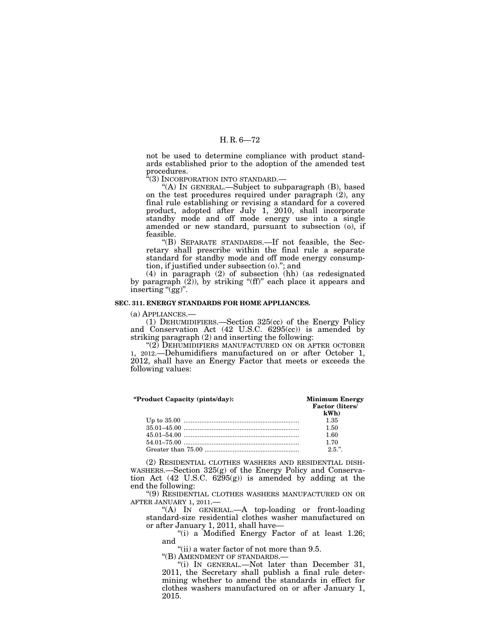not be used to determine compliance with product standards established prior to the adoption of the amended test procedures.

 $\sqrt[n]{(3)}$  Incorporation into standard.—

''(A) IN GENERAL.—Subject to subparagraph (B), based on the test procedures required under paragraph (2), any final rule establishing or revising a standard for a covered product, adopted after July 1, 2010, shall incorporate standby mode and off mode energy use into a single amended or new standard, pursuant to subsection (o), if feasible.

''(B) SEPARATE STANDARDS.—If not feasible, the Secretary shall prescribe within the final rule a separate standard for standby mode and off mode energy consumption, if justified under subsection (o).''; and

(4) in paragraph (2) of subsection (hh) (as redesignated by paragraph  $(2)$ ), by striking "(ff)" each place it appears and inserting "(gg)".

### **SEC. 311. ENERGY STANDARDS FOR HOME APPLIANCES.**

(a) APPLIANCES.—

(1) DEHUMIDIFIERS.—Section 325(cc) of the Energy Policy and Conservation Act (42 U.S.C. 6295(cc)) is amended by striking paragraph (2) and inserting the following:

"(2) DEHUMIDIFIERS MANUFACTURED ON OR AFTER OCTOBER 1, 2012.—Dehumidifiers manufactured on or after October 1, 2012, shall have an Energy Factor that meets or exceeds the following values:

| kWh  | <b>Minimum Energy</b>  |
|------|------------------------|
|      | <b>Factor (liters)</b> |
|      |                        |
| 1.35 |                        |
| 1.50 |                        |
| 1.60 |                        |
| 1.70 |                        |
|      | $2.5.$ "               |

(2) RESIDENTIAL CLOTHES WASHERS AND RESIDENTIAL DISH- WASHERS.—Section 325(g) of the Energy Policy and Conservation Act (42 U.S.C. 6295(g)) is amended by adding at the end the following:

''(9) RESIDENTIAL CLOTHES WASHERS MANUFACTURED ON OR AFTER JANUARY 1, 2011.—

''(A) IN GENERAL.—A top-loading or front-loading standard-size residential clothes washer manufactured on or after January 1, 2011, shall have—

"(i) a Modified Energy Factor of at least  $1.26$ ; and

"(ii) a water factor of not more than  $9.5$ .<br>"(B) AMENDMENT OF STANDARDS.—

"(i) IN GENERAL.—Not later than December 31, 2011, the Secretary shall publish a final rule determining whether to amend the standards in effect for clothes washers manufactured on or after January 1, 2015.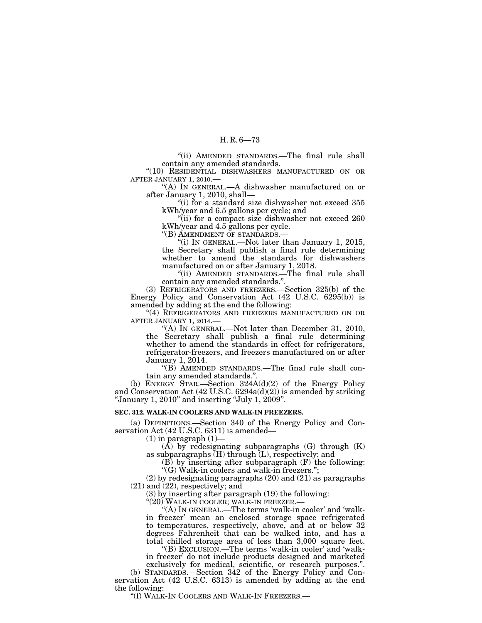''(ii) AMENDED STANDARDS.—The final rule shall contain any amended standards.

''(10) RESIDENTIAL DISHWASHERS MANUFACTURED ON OR AFTER JANUARY 1, 2010.—

''(A) IN GENERAL.—A dishwasher manufactured on or after January 1, 2010, shall—

''(i) for a standard size dishwasher not exceed 355 kWh/year and 6.5 gallons per cycle; and

"(ii) for a compact size dishwasher not exceed 260 kWh/year and 4.5 gallons per cycle.

''(B) AMENDMENT OF STANDARDS.—

''(i) IN GENERAL.—Not later than January 1, 2015, the Secretary shall publish a final rule determining whether to amend the standards for dishwashers manufactured on or after January 1, 2018.

''(ii) AMENDED STANDARDS.—The final rule shall contain any amended standards.''.

(3) REFRIGERATORS AND FREEZERS.—Section 325(b) of the Energy Policy and Conservation Act (42 U.S.C. 6295(b)) is amended by adding at the end the following:

''(4) REFRIGERATORS AND FREEZERS MANUFACTURED ON OR

AFTER JANUARY 1, 2014.—<br>"(A) IN GENERAL.—Not later than December 31, 2010, the Secretary shall publish a final rule determining whether to amend the standards in effect for refrigerators, refrigerator-freezers, and freezers manufactured on or after January 1, 2014.

"(B) AMENDED STANDARDS.—The final rule shall contain any amended standards."

(b) ENERGY STAR.—Section 324A(d)(2) of the Energy Policy and Conservation Act (42 U.S.C. 6294a(d)(2)) is amended by striking "January  $1, 2010$ " and inserting "July  $1, 2009$ ".

# **SEC. 312. WALK-IN COOLERS AND WALK-IN FREEZERS.**

(a) DEFINITIONS.—Section 340 of the Energy Policy and Conservation Act (42 U.S.C. 6311) is amended—

 $(1)$  in paragraph  $(1)$ 

 $(A)$  by redesignating subparagraphs  $(G)$  through  $(K)$ as subparagraphs  $(H)$  through  $(L)$ , respectively; and

(B) by inserting after subparagraph (F) the following: ''(G) Walk-in coolers and walk-in freezers.'';

(2) by redesignating paragraphs (20) and (21) as paragraphs (21) and (22), respectively; and

(3) by inserting after paragraph (19) the following:

''(20) WALK-IN COOLER; WALK-IN FREEZER.—

"(A) In GENERAL.—The terms 'walk-in cooler' and 'walkin freezer' mean an enclosed storage space refrigerated to temperatures, respectively, above, and at or below 32 degrees Fahrenheit that can be walked into, and has a total chilled storage area of less than 3,000 square feet.

"(B) EXCLUSION.—The terms 'walk-in cooler' and 'walkin freezer' do not include products designed and marketed exclusively for medical, scientific, or research purposes.''.

(b) STANDARDS.—Section 342 of the Energy Policy and Conservation Act (42 U.S.C. 6313) is amended by adding at the end the following:

''(f) WALK-IN COOLERS AND WALK-IN FREEZERS.—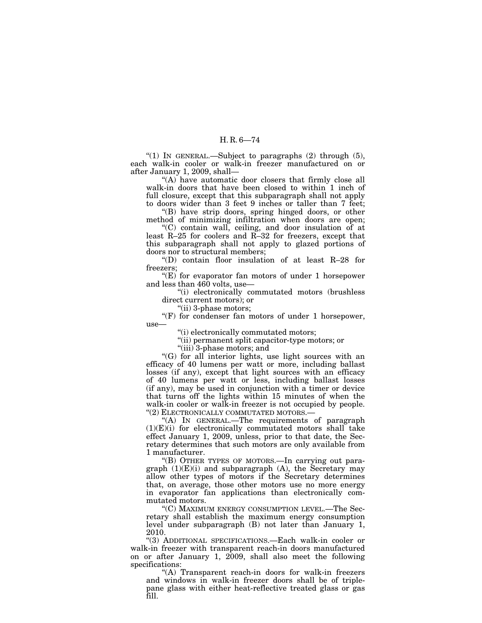"(1) IN GENERAL.—Subject to paragraphs  $(2)$  through  $(5)$ , each walk-in cooler or walk-in freezer manufactured on or after January 1, 2009, shall—

"(A) have automatic door closers that firmly close all walk-in doors that have been closed to within 1 inch of full closure, except that this subparagraph shall not apply to doors wider than 3 feet 9 inches or taller than 7 feet;

''(B) have strip doors, spring hinged doors, or other method of minimizing infiltration when doors are open;

''(C) contain wall, ceiling, and door insulation of at least R–25 for coolers and R–32 for freezers, except that this subparagraph shall not apply to glazed portions of doors nor to structural members;

''(D) contain floor insulation of at least R–28 for freezers;

" $(E)$  for evaporator fan motors of under 1 horsepower and less than 460 volts, use—

''(i) electronically commutated motors (brushless direct current motors); or

"(ii) 3-phase motors;

''(F) for condenser fan motors of under 1 horsepower,  $use-$ 

''(i) electronically commutated motors;

''(ii) permanent split capacitor-type motors; or

"(iii) 3-phase motors; and

''(G) for all interior lights, use light sources with an efficacy of 40 lumens per watt or more, including ballast losses (if any), except that light sources with an efficacy of 40 lumens per watt or less, including ballast losses (if any), may be used in conjunction with a timer or device that turns off the lights within 15 minutes of when the walk-in cooler or walk-in freezer is not occupied by people. ''(2) ELECTRONICALLY COMMUTATED MOTORS.—

''(A) IN GENERAL.—The requirements of paragraph  $(1)(E)(i)$  for electronically commutated motors shall take effect January 1, 2009, unless, prior to that date, the Secretary determines that such motors are only available from 1 manufacturer.

''(B) OTHER TYPES OF MOTORS.—In carrying out paragraph  $(1)(E)(i)$  and subparagraph  $(A)$ , the Secretary may allow other types of motors if the Secretary determines that, on average, those other motors use no more energy in evaporator fan applications than electronically commutated motors.

''(C) MAXIMUM ENERGY CONSUMPTION LEVEL.—The Secretary shall establish the maximum energy consumption level under subparagraph (B) not later than January 1, 2010.

''(3) ADDITIONAL SPECIFICATIONS.—Each walk-in cooler or walk-in freezer with transparent reach-in doors manufactured on or after January 1, 2009, shall also meet the following specifications:

"(A) Transparent reach-in doors for walk-in freezers and windows in walk-in freezer doors shall be of triplepane glass with either heat-reflective treated glass or gas fill.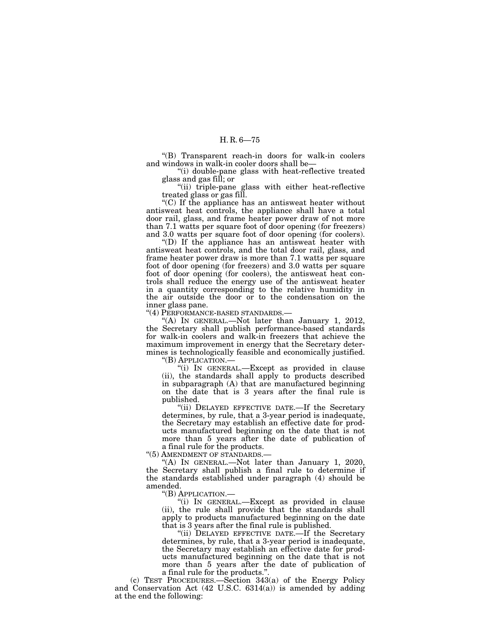''(B) Transparent reach-in doors for walk-in coolers and windows in walk-in cooler doors shall be—

''(i) double-pane glass with heat-reflective treated glass and gas fill; or

''(ii) triple-pane glass with either heat-reflective treated glass or gas fill.

''(C) If the appliance has an antisweat heater without antisweat heat controls, the appliance shall have a total door rail, glass, and frame heater power draw of not more than 7.1 watts per square foot of door opening (for freezers) and 3.0 watts per square foot of door opening (for coolers).

''(D) If the appliance has an antisweat heater with antisweat heat controls, and the total door rail, glass, and frame heater power draw is more than 7.1 watts per square foot of door opening (for freezers) and 3.0 watts per square foot of door opening (for coolers), the antisweat heat controls shall reduce the energy use of the antisweat heater in a quantity corresponding to the relative humidity in the air outside the door or to the condensation on the inner glass pane.

''(4) PERFORMANCE-BASED STANDARDS.— ''(A) IN GENERAL.—Not later than January 1, 2012, the Secretary shall publish performance-based standards for walk-in coolers and walk-in freezers that achieve the maximum improvement in energy that the Secretary determines is technologically feasible and economically justified.<br>"(B) APPLICATION.—

"(i) IN GENERAL.—Except as provided in clause (ii), the standards shall apply to products described in subparagraph (A) that are manufactured beginning on the date that is 3 years after the final rule is published.

''(ii) DELAYED EFFECTIVE DATE.—If the Secretary determines, by rule, that a 3-year period is inadequate, the Secretary may establish an effective date for products manufactured beginning on the date that is not more than 5 years after the date of publication of a final rule for the products.<br>"(5) AMENDMENT OF STANDARDS.

"(A) IN GENERAL.—Not later than January 1, 2020, the Secretary shall publish a final rule to determine if the standards established under paragraph (4) should be amended.

''(B) APPLICATION.—

''(i) IN GENERAL.—Except as provided in clause (ii), the rule shall provide that the standards shall apply to products manufactured beginning on the date that is 3 years after the final rule is published.

''(ii) DELAYED EFFECTIVE DATE.—If the Secretary determines, by rule, that a 3-year period is inadequate, the Secretary may establish an effective date for products manufactured beginning on the date that is not more than 5 years after the date of publication of a final rule for the products.''.

(c) TEST PROCEDURES.—Section 343(a) of the Energy Policy and Conservation Act (42 U.S.C. 6314(a)) is amended by adding at the end the following: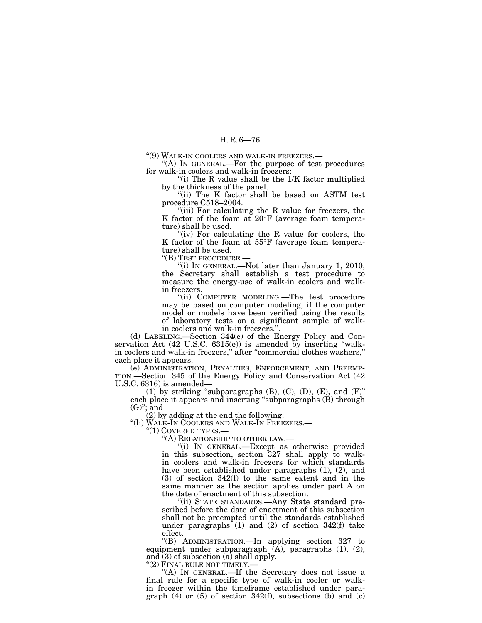''(9) WALK-IN COOLERS AND WALK-IN FREEZERS.—

''(A) IN GENERAL.—For the purpose of test procedures for walk-in coolers and walk-in freezers:

''(i) The R value shall be the 1/K factor multiplied by the thickness of the panel.

''(ii) The K factor shall be based on ASTM test procedure C518–2004.

"(iii) For calculating the R value for freezers, the K factor of the foam at 20°F (average foam temperature) shall be used.

"(iv) For calculating the R value for coolers, the K factor of the foam at 55°F (average foam temperature) shall be used.

''(B) TEST PROCEDURE.—

"(i) In GENERAL.—Not later than January 1, 2010, the Secretary shall establish a test procedure to measure the energy-use of walk-in coolers and walkin freezers.

''(ii) COMPUTER MODELING.—The test procedure may be based on computer modeling, if the computer model or models have been verified using the results of laboratory tests on a significant sample of walkin coolers and walk-in freezers.''.

(d) LABELING.—Section 344(e) of the Energy Policy and Conservation Act (42 U.S.C. 6315(e)) is amended by inserting "walkin coolers and walk-in freezers,'' after ''commercial clothes washers,'' each place it appears.<br>
(e) ADMINISTRATION, PENALTIES, ENFORCEMENT, AND PREEMP-

TION. Section 345 of the Energy Policy and Conservation Act (42 U.S.C. 6316) is amended—

(1) by striking "subparagraphs  $(B)$ ,  $(C)$ ,  $(D)$ ,  $(E)$ , and  $(F)$ " each place it appears and inserting ''subparagraphs (B) through  $(G)$ "; and

(2) by adding at the end the following:<br>"(h) WALK-IN COOLERS AND WALK-IN FREEZERS.—

"(1) COVERED TYPES.—<br>"(A) RELATIONSHIP TO OTHER LAW.—<br>"(i) IN GENERAL.—Except as otherwise provided in this subsection, section 327 shall apply to walkin coolers and walk-in freezers for which standards have been established under paragraphs (1), (2), and (3) of section 342(f) to the same extent and in the same manner as the section applies under part A on the date of enactment of this subsection.

''(ii) STATE STANDARDS.—Any State standard prescribed before the date of enactment of this subsection shall not be preempted until the standards established under paragraphs  $(1)$  and  $(2)$  of section 342(f) take effect.

''(B) ADMINISTRATION.—In applying section 327 to equipment under subparagraph  $(\overline{A})$ , paragraphs  $(1)$ ,  $(2)$ , and  $(3)$  of subsection  $(a)$  shall apply.

"(2) FINAL RULE NOT TIMELY.-

''(A) IN GENERAL.—If the Secretary does not issue a final rule for a specific type of walk-in cooler or walkin freezer within the timeframe established under paragraph  $(4)$  or  $(5)$  of section 342(f), subsections  $(b)$  and  $(c)$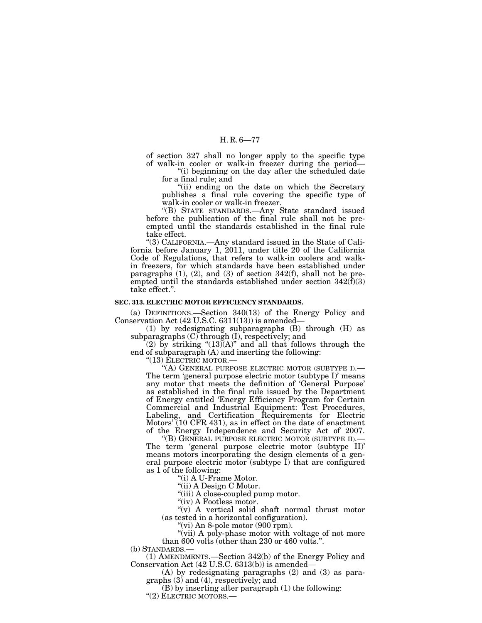of section 327 shall no longer apply to the specific type of walk-in cooler or walk-in freezer during the period—

''(i) beginning on the day after the scheduled date for a final rule; and

''(ii) ending on the date on which the Secretary publishes a final rule covering the specific type of walk-in cooler or walk-in freezer.

''(B) STATE STANDARDS.—Any State standard issued before the publication of the final rule shall not be preempted until the standards established in the final rule take effect.

''(3) CALIFORNIA.—Any standard issued in the State of California before January 1, 2011, under title 20 of the California Code of Regulations, that refers to walk-in coolers and walkin freezers, for which standards have been established under paragraphs  $(1)$ ,  $(2)$ , and  $(3)$  of section  $342(f)$ , shall not be preempted until the standards established under section 342(f)(3) take effect.''.

#### **SEC. 313. ELECTRIC MOTOR EFFICIENCY STANDARDS.**

(a) DEFINITIONS.—Section 340(13) of the Energy Policy and Conservation Act (42 U.S.C. 6311(13)) is amended—

(1) by redesignating subparagraphs (B) through (H) as subparagraphs (C) through (I), respectively; and

(2) by striking " $(13)(A)$ " and all that follows through the end of subparagraph (A) and inserting the following:

''(13) ELECTRIC MOTOR.— ''(A) GENERAL PURPOSE ELECTRIC MOTOR (SUBTYPE I).— The term 'general purpose electric motor (subtype I)' means any motor that meets the definition of 'General Purpose' as established in the final rule issued by the Department of Energy entitled 'Energy Efficiency Program for Certain Commercial and Industrial Equipment: Test Procedures, Labeling, and Certification Requirements for Electric Motors' (10 CFR 431), as in effect on the date of enactment of the Energy Independence and Security Act of 2007.

''(B) GENERAL PURPOSE ELECTRIC MOTOR (SUBTYPE II).— The term 'general purpose electric motor (subtype II)' means motors incorporating the design elements of a general purpose electric motor (subtype I) that are configured as 1 of the following:

''(i) A U-Frame Motor.

"(ii) A Design C Motor.

"(iii) A close-coupled pump motor.

"(iv) A Footless motor.

''(v) A vertical solid shaft normal thrust motor (as tested in a horizontal configuration).

"(vi) An 8-pole motor  $(900$  rpm).

"(vii) A poly-phase motor with voltage of not more than 600 volts (other than 230 or 460 volts.''.

(b) STANDARDS.—

(1) AMENDMENTS.—Section 342(b) of the Energy Policy and Conservation Act (42 U.S.C. 6313(b)) is amended—

(A) by redesignating paragraphs (2) and (3) as paragraphs (3) and (4), respectively; and

(B) by inserting after paragraph (1) the following: ''(2) ELECTRIC MOTORS.—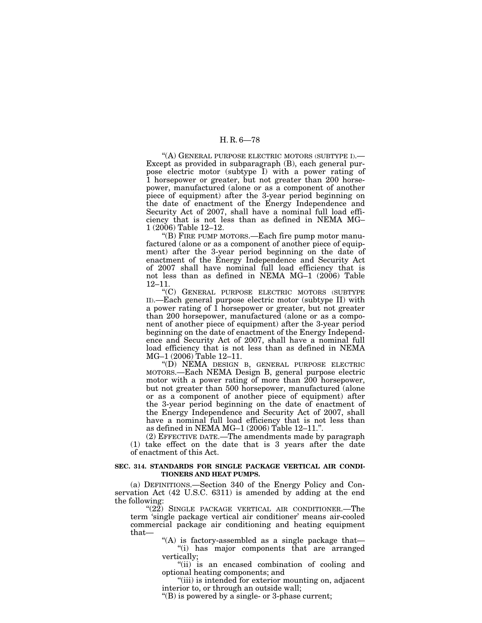''(A) GENERAL PURPOSE ELECTRIC MOTORS (SUBTYPE I).— Except as provided in subparagraph (B), each general purpose electric motor (subtype I) with a power rating of 1 horsepower or greater, but not greater than 200 horsepower, manufactured (alone or as a component of another piece of equipment) after the 3-year period beginning on the date of enactment of the Energy Independence and Security Act of 2007, shall have a nominal full load efficiency that is not less than as defined in NEMA MG– 1 (2006) Table 12–12.

''(B) FIRE PUMP MOTORS.—Each fire pump motor manufactured (alone or as a component of another piece of equipment) after the 3-year period beginning on the date of enactment of the Energy Independence and Security Act of 2007 shall have nominal full load efficiency that is not less than as defined in NEMA MG–1 (2006) Table 12–11.

''(C) GENERAL PURPOSE ELECTRIC MOTORS (SUBTYPE II).—Each general purpose electric motor (subtype II) with a power rating of 1 horsepower or greater, but not greater than 200 horsepower, manufactured (alone or as a component of another piece of equipment) after the 3-year period beginning on the date of enactment of the Energy Independence and Security Act of 2007, shall have a nominal full load efficiency that is not less than as defined in NEMA MG–1 (2006) Table 12–11.

''(D) NEMA DESIGN B, GENERAL PURPOSE ELECTRIC MOTORS.—Each NEMA Design B, general purpose electric motor with a power rating of more than 200 horsepower, but not greater than 500 horsepower, manufactured (alone or as a component of another piece of equipment) after the 3-year period beginning on the date of enactment of the Energy Independence and Security Act of 2007, shall have a nominal full load efficiency that is not less than as defined in NEMA MG–1 (2006) Table 12–11.''.

(2) EFFECTIVE DATE.—The amendments made by paragraph (1) take effect on the date that is 3 years after the date of enactment of this Act.

#### **SEC. 314. STANDARDS FOR SINGLE PACKAGE VERTICAL AIR CONDI-TIONERS AND HEAT PUMPS.**

(a) DEFINITIONS.—Section 340 of the Energy Policy and Conservation Act (42 U.S.C. 6311) is amended by adding at the end the following:

"(22) SINGLE PACKAGE VERTICAL AIR CONDITIONER.—The term 'single package vertical air conditioner' means air-cooled commercial package air conditioning and heating equipment that—

"(A) is factory-assembled as a single package that-''(i) has major components that are arranged vertically;

''(ii) is an encased combination of cooling and optional heating components; and

''(iii) is intended for exterior mounting on, adjacent interior to, or through an outside wall;

 $'(B)$  is powered by a single- or 3-phase current;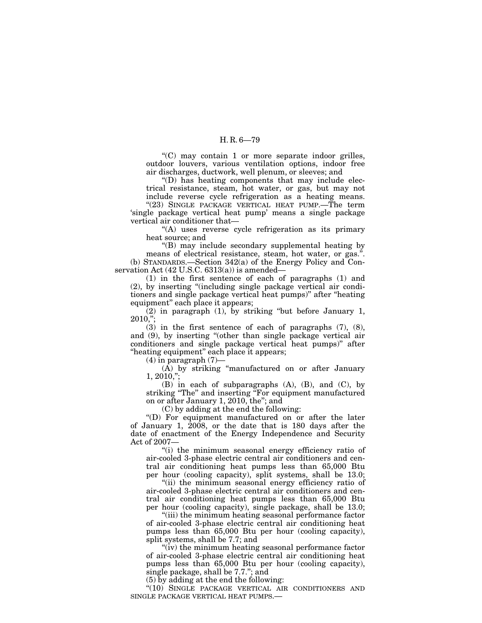$C$ ) may contain 1 or more separate indoor grilles, outdoor louvers, various ventilation options, indoor free air discharges, ductwork, well plenum, or sleeves; and

 $\mathrm{``(D)}$  has heating components that may include electrical resistance, steam, hot water, or gas, but may not include reverse cycle refrigeration as a heating means. "(23) SINGLE PACKAGE VERTICAL HEAT PUMP.—The term 'single package vertical heat pump' means a single package vertical air conditioner that—

''(A) uses reverse cycle refrigeration as its primary heat source; and

''(B) may include secondary supplemental heating by means of electrical resistance, steam, hot water, or gas.''. (b) STANDARDS.—Section 342(a) of the Energy Policy and Conservation Act (42 U.S.C. 6313(a)) is amended—

(1) in the first sentence of each of paragraphs (1) and (2), by inserting ''(including single package vertical air conditioners and single package vertical heat pumps)'' after ''heating equipment'' each place it appears;

 $(2)$  in paragraph  $(1)$ , by striking "but before January 1, 2010,'';

 $(3)$  in the first sentence of each of paragraphs  $(7)$ ,  $(8)$ , and (9), by inserting ''(other than single package vertical air conditioners and single package vertical heat pumps)'' after "heating equipment" each place it appears;

 $(4)$  in paragraph  $(7)$ —

 $(\overrightarrow{A})$  by striking "manufactured on or after January 1, 2010,'';

(B) in each of subparagraphs (A), (B), and (C), by striking "The" and inserting "For equipment manufactured on or after January 1, 2010, the''; and

(C) by adding at the end the following:

''(D) For equipment manufactured on or after the later of January 1, 2008, or the date that is 180 days after the date of enactment of the Energy Independence and Security Act of 2007—

''(i) the minimum seasonal energy efficiency ratio of air-cooled 3-phase electric central air conditioners and central air conditioning heat pumps less than 65,000 Btu per hour (cooling capacity), split systems, shall be 13.0;

''(ii) the minimum seasonal energy efficiency ratio of air-cooled 3-phase electric central air conditioners and central air conditioning heat pumps less than 65,000 Btu per hour (cooling capacity), single package, shall be 13.0;

''(iii) the minimum heating seasonal performance factor of air-cooled 3-phase electric central air conditioning heat pumps less than 65,000 Btu per hour (cooling capacity), split systems, shall be 7.7; and

"(iv) the minimum heating seasonal performance factor" of air-cooled 3-phase electric central air conditioning heat pumps less than 65,000 Btu per hour (cooling capacity), single package, shall be 7.7."; and

(5) by adding at the end the following:

"(10) SINGLE PACKAGE VERTICAL AIR CONDITIONERS AND SINGLE PACKAGE VERTICAL HEAT PUMPS.—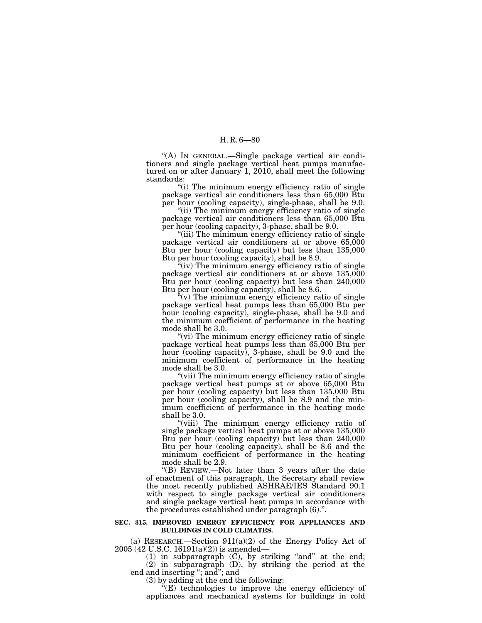''(A) IN GENERAL.—Single package vertical air conditioners and single package vertical heat pumps manufactured on or after January 1, 2010, shall meet the following standards:

"(i) The minimum energy efficiency ratio of single package vertical air conditioners less than 65,000 Btu per hour (cooling capacity), single-phase, shall be 9.0.

"(ii) The minimum energy efficiency ratio of single package vertical air conditioners less than 65,000 Btu per hour (cooling capacity), 3-phase, shall be 9.0.

"(iii) The minimum energy efficiency ratio of single package vertical air conditioners at or above 65,000 Btu per hour (cooling capacity) but less than 135,000 Btu per hour (cooling capacity), shall be 8.9.

 $f(iv)$  The minimum energy efficiency ratio of single package vertical air conditioners at or above 135,000 Btu per hour (cooling capacity) but less than 240,000 Btu per hour (cooling capacity), shall be 8.6.

 $\mathcal{C}(v)$  The minimum energy efficiency ratio of single package vertical heat pumps less than 65,000 Btu per hour (cooling capacity), single-phase, shall be 9.0 and the minimum coefficient of performance in the heating mode shall be 3.0.

"(vi) The minimum energy efficiency ratio of single package vertical heat pumps less than 65,000 Btu per hour (cooling capacity), 3-phase, shall be 9.0 and the minimum coefficient of performance in the heating mode shall be 3.0.

"(vii) The minimum energy efficiency ratio of single package vertical heat pumps at or above 65,000 Btu per hour (cooling capacity) but less than 135,000 Btu per hour (cooling capacity), shall be 8.9 and the minimum coefficient of performance in the heating mode shall be 3.0.

"(viii) The minimum energy efficiency ratio of single package vertical heat pumps at or above 135,000 Btu per hour (cooling capacity) but less than 240,000 Btu per hour (cooling capacity), shall be 8.6 and the minimum coefficient of performance in the heating mode shall be 2.9.

''(B) REVIEW.—Not later than 3 years after the date of enactment of this paragraph, the Secretary shall review the most recently published ASHRAE/IES Standard 90.1 with respect to single package vertical air conditioners and single package vertical heat pumps in accordance with the procedures established under paragraph (6).''.

#### **SEC. 315. IMPROVED ENERGY EFFICIENCY FOR APPLIANCES AND BUILDINGS IN COLD CLIMATES.**

(a) RESEARCH.—Section 911(a)(2) of the Energy Policy Act of 2005 (42 U.S.C. 16191(a)(2)) is amended—

 $(1)$  in subparagraph  $(C)$ , by striking "and" at the end; (2) in subparagraph (D), by striking the period at the

end and inserting ''; and''; and

(3) by adding at the end the following:

 $E(E)$  technologies to improve the energy efficiency of appliances and mechanical systems for buildings in cold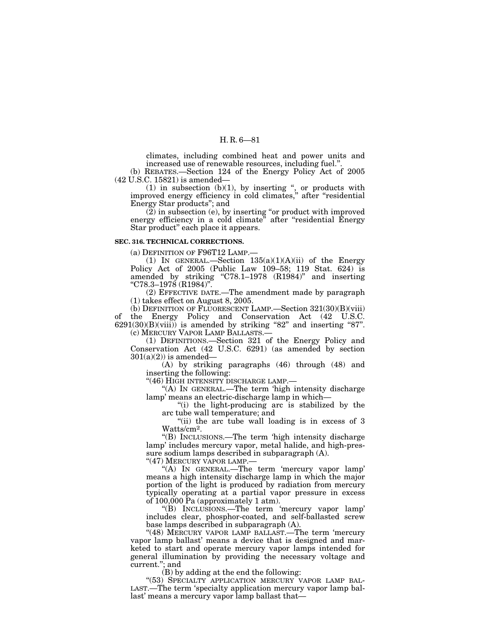climates, including combined heat and power units and increased use of renewable resources, including fuel.''.

(b) REBATES.—Section 124 of the Energy Policy Act of 2005 (42 U.S.C. 15821) is amended—

 $(1)$  in subsection  $(b)(1)$ , by inserting ", or products with improved energy efficiency in cold climates," after "residential Energy Star products''; and

(2) in subsection (e), by inserting ''or product with improved energy efficiency in a cold climate'' after ''residential Energy Star product'' each place it appears.

#### **SEC. 316. TECHNICAL CORRECTIONS.**

(a) DEFINITION OF F96T12 LAMP.—

(1) IN GENERAL.—Section  $135(a)(1)(A)(ii)$  of the Energy Policy Act of 2005 (Public Law 109–58; 119 Stat. 624) is amended by striking "C78.1–1978 (R1984)" and inserting "C78.3–1978 (R1984)".

(2) EFFECTIVE DATE.—The amendment made by paragraph (1) takes effect on August 8, 2005.

(b) DEFINITION OF FLUORESCENT LAMP.—Section 321(30)(B)(viii) of the Energy Policy and Conservation Act (42 U.S.C.  $6291(30)(B)(viii)$  is amended by striking "82" and inserting "87".

(c) MERCURY VAPOR LAMP BALLASTS.—

(1) DEFINITIONS.—Section 321 of the Energy Policy and Conservation Act (42 U.S.C. 6291) (as amended by section  $301(a)(2)$ ) is amended-

(A) by striking paragraphs (46) through (48) and inserting the following:

''(46) HIGH INTENSITY DISCHARGE LAMP.—

''(A) IN GENERAL.—The term 'high intensity discharge lamp' means an electric-discharge lamp in which—

"(i) the light-producing arc is stabilized by the arc tube wall temperature; and

"(ii) the arc tube wall loading is in excess of 3 Watts/cm2.

''(B) INCLUSIONS.—The term 'high intensity discharge lamp' includes mercury vapor, metal halide, and high-pressure sodium lamps described in subparagraph (A).

''(47) MERCURY VAPOR LAMP.—

''(A) IN GENERAL.—The term 'mercury vapor lamp' means a high intensity discharge lamp in which the major portion of the light is produced by radiation from mercury typically operating at a partial vapor pressure in excess of 100,000 Pa (approximately 1 atm).

''(B) INCLUSIONS.—The term 'mercury vapor lamp' includes clear, phosphor-coated, and self-ballasted screw base lamps described in subparagraph (A).

"(48) MERCURY VAPOR LAMP BALLAST.—The term 'mercury vapor lamp ballast' means a device that is designed and marketed to start and operate mercury vapor lamps intended for general illumination by providing the necessary voltage and current.''; and

(B) by adding at the end the following:

"(53) SPECIALTY APPLICATION MERCURY VAPOR LAMP BAL-LAST.—The term 'specialty application mercury vapor lamp ballast' means a mercury vapor lamp ballast that-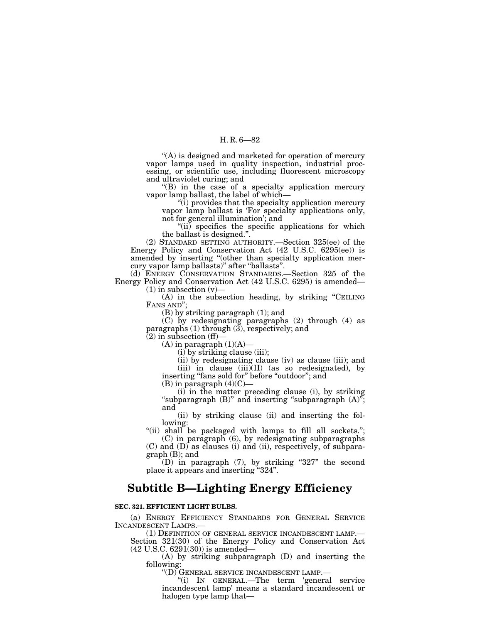''(A) is designed and marketed for operation of mercury vapor lamps used in quality inspection, industrial processing, or scientific use, including fluorescent microscopy and ultraviolet curing; and

''(B) in the case of a specialty application mercury vapor lamp ballast, the label of which—

''(i) provides that the specialty application mercury vapor lamp ballast is 'For specialty applications only, not for general illumination'; and

"(ii) specifies the specific applications for which the ballast is designed.''.

(2) STANDARD SETTING AUTHORITY.—Section 325(ee) of the Energy Policy and Conservation Act (42 U.S.C. 6295(ee)) is amended by inserting ''(other than specialty application mercury vapor lamp ballasts)'' after ''ballasts''.

(d) ENERGY CONSERVATION STANDARDS.—Section 325 of the Energy Policy and Conservation Act (42 U.S.C. 6295) is amended—  $(1)$  in subsection  $(v)$ -

(A) in the subsection heading, by striking ''CEILING FANS AND'';

(B) by striking paragraph (1); and

(C) by redesignating paragraphs (2) through (4) as paragraphs (1) through (3), respectively; and

 $(2)$  in subsection  $(ff)$ —

 $(A)$  in paragraph  $(1)(A)$ —

(i) by striking clause (iii);

(ii) by redesignating clause (iv) as clause (iii); and  $(iii)$  in clause  $(iii)$  $(II)$  (as so redesignated), by inserting "fans sold for" before "outdoor"; and

 $(B)$  in paragraph  $(4)(C)$ 

(i) in the matter preceding clause (i), by striking "subparagraph  $(B)$ " and inserting "subparagraph  $(A)$ "; and

(ii) by striking clause (ii) and inserting the following:

"(ii) shall be packaged with lamps to fill all sockets."; (C) in paragraph (6), by redesignating subparagraphs

(C) and (D) as clauses (i) and (ii), respectively, of subparagraph (B); and

(D) in paragraph (7), by striking ''327'' the second place it appears and inserting ''324''.

# **Subtitle B—Lighting Energy Efficiency**

#### **SEC. 321. EFFICIENT LIGHT BULBS.**

(a) ENERGY EFFICIENCY STANDARDS FOR GENERAL SERVICE

INCANDESCENT LAMPS.— (1) DEFINITION OF GENERAL SERVICE INCANDESCENT LAMP.— Section 321(30) of the Energy Policy and Conservation Act (42 U.S.C. 6291(30)) is amended—

(A) by striking subparagraph (D) and inserting the following:<br>"(D) GENERAL SERVICE INCANDESCENT LAMP.-

"(i) IN GENERAL.—The term 'general service incandescent lamp' means a standard incandescent or halogen type lamp that—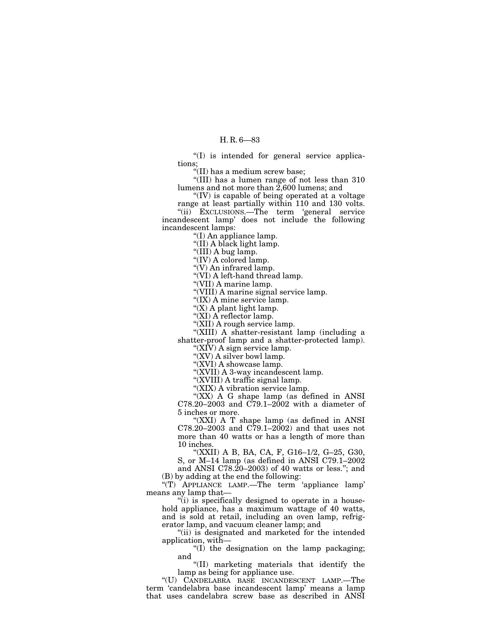''(I) is intended for general service applications;

''(II) has a medium screw base;

''(III) has a lumen range of not less than 310 lumens and not more than 2,600 lumens; and

" $(IV)$  is capable of being operated at a voltage" range at least partially within 110 and 130 volts.

"(ii) EXCLUSIONS.—The term 'general service incandescent lamp' does not include the following incandescent lamps:

''(I) An appliance lamp.

''(II) A black light lamp.

"(III) A bug lamp.

''(IV) A colored lamp.

''(V) An infrared lamp.

''(VI) A left-hand thread lamp.

''(VII) A marine lamp.

''(VIII) A marine signal service lamp.

''(IX) A mine service lamp.

" $(X)$  A plant light lamp.

''(XI) A reflector lamp.

''(XII) A rough service lamp.

''(XIII) A shatter-resistant lamp (including a shatter-proof lamp and a shatter-protected lamp).

''(XIV) A sign service lamp.

"(XV) A silver bowl lamp.

''(XVI) A showcase lamp.

''(XVII) A 3-way incandescent lamp.

''(XVIII) A traffic signal lamp.

''(XIX) A vibration service lamp.

''(XX) A G shape lamp (as defined in ANSI C78.20–2003 and C79.1–2002 with a diameter of 5 inches or more.

''(XXI) A T shape lamp (as defined in ANSI C78.20–2003 and C79.1–2002) and that uses not more than 40 watts or has a length of more than 10 inches.

''(XXII) A B, BA, CA, F, G16–1/2, G–25, G30,

S, or M–14 lamp (as defined in ANSI C79.1–2002 and ANSI C78.20–2003) of 40 watts or less.''; and

(B) by adding at the end the following:

 $\sqrt{\hat{T}}$  APPLIANCE LAMP.—The term 'appliance lamp' means any lamp that—

 $\tilde{f}(i)$  is specifically designed to operate in a household appliance, has a maximum wattage of 40 watts, and is sold at retail, including an oven lamp, refrigerator lamp, and vacuum cleaner lamp; and

''(ii) is designated and marketed for the intended application, with—

''(I) the designation on the lamp packaging; and

''(II) marketing materials that identify the lamp as being for appliance use.

''(U) CANDELABRA BASE INCANDESCENT LAMP.—The term 'candelabra base incandescent lamp' means a lamp that uses candelabra screw base as described in ANSI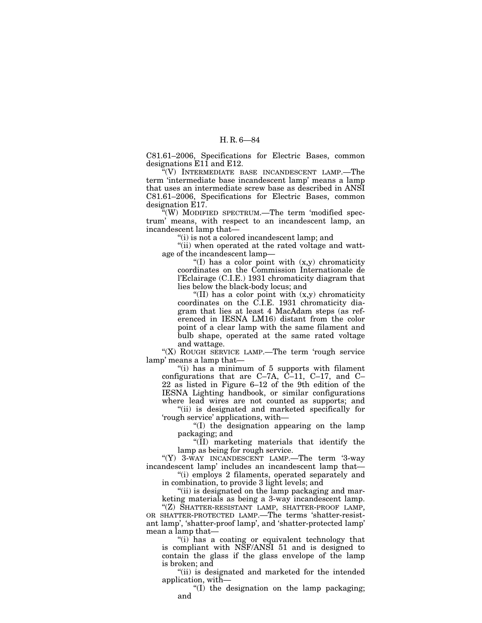C81.61–2006, Specifications for Electric Bases, common designations E11 and E12.

''(V) INTERMEDIATE BASE INCANDESCENT LAMP.—The term 'intermediate base incandescent lamp' means a lamp that uses an intermediate screw base as described in ANSI C81.61–2006, Specifications for Electric Bases, common designation E17.

 $\sqrt[\alpha]{(W)}$  MODIFIED SPECTRUM.—The term 'modified spectrum' means, with respect to an incandescent lamp, an incandescent lamp that—

''(i) is not a colored incandescent lamp; and

"(ii) when operated at the rated voltage and wattage of the incandescent lamp—

"(I) has a color point with  $(x,y)$  chromaticity" coordinates on the Commission Internationale de l'Eclairage (C.I.E.) 1931 chromaticity diagram that lies below the black-body locus; and

"(II) has a color point with  $(x,y)$  chromaticity coordinates on the C.I.E. 1931 chromaticity diagram that lies at least 4 MacAdam steps (as referenced in IESNA LM16) distant from the color point of a clear lamp with the same filament and bulb shape, operated at the same rated voltage and wattage.

"(X) ROUGH SERVICE LAMP.—The term 'rough service lamp' means a lamp that—

" $(i)$  has a minimum of 5 supports with filament configurations that are C–7A, C–11, C–17, and C– 22 as listed in Figure 6–12 of the 9th edition of the IESNA Lighting handbook, or similar configurations where lead wires are not counted as supports; and

''(ii) is designated and marketed specifically for 'rough service' applications, with—

''(I) the designation appearing on the lamp packaging; and

''(II) marketing materials that identify the lamp as being for rough service.

"(Y)  $3$ -WAY INCANDESCENT LAMP.—The term  $3$ -way incandescent lamp' includes an incandescent lamp that—

''(i) employs 2 filaments, operated separately and in combination, to provide 3 light levels; and

"(ii) is designated on the lamp packaging and marketing materials as being a 3-way incandescent lamp.

''(Z) SHATTER-RESISTANT LAMP, SHATTER-PROOF LAMP, OR SHATTER-PROTECTED LAMP.—The terms 'shatter-resistant lamp', 'shatter-proof lamp', and 'shatter-protected lamp' mean a lamp that—

''(i) has a coating or equivalent technology that is compliant with NSF/ANSI 51 and is designed to contain the glass if the glass envelope of the lamp is broken; and

''(ii) is designated and marketed for the intended application, with—

 $''(I)$  the designation on the lamp packaging; and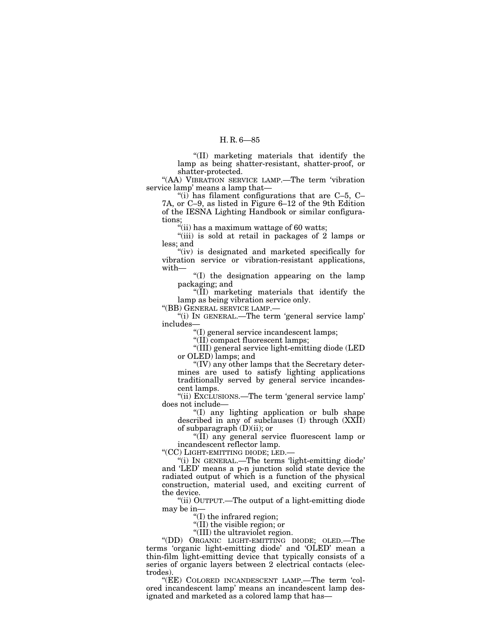''(II) marketing materials that identify the lamp as being shatter-resistant, shatter-proof, or shatter-protected.

''(AA) VIBRATION SERVICE LAMP.—The term 'vibration service lamp' means a lamp that—

"(i) has filament configurations that are  $C-5$ ,  $C-$ 7A, or C–9, as listed in Figure 6–12 of the 9th Edition of the IESNA Lighting Handbook or similar configurations;

''(ii) has a maximum wattage of 60 watts;

 $\frac{1}{1}$  is sold at retail in packages of 2 lamps or less; and

''(iv) is designated and marketed specifically for vibration service or vibration-resistant applications, with—

''(I) the designation appearing on the lamp packaging; and

" $(\overline{II})$  marketing materials that identify the lamp as being vibration service only.

''(BB) GENERAL SERVICE LAMP.—

''(i) IN GENERAL.—The term 'general service lamp' includes—

''(I) general service incandescent lamps;

''(II) compact fluorescent lamps;

''(III) general service light-emitting diode (LED or OLED) lamps; and

''(IV) any other lamps that the Secretary determines are used to satisfy lighting applications traditionally served by general service incandescent lamps.

"(ii) EXCLUSIONS.—The term 'general service lamp' does not include—

''(I) any lighting application or bulb shape described in any of subclauses (I) through (XXII) of subparagraph (D)(ii); or

''(II) any general service fluorescent lamp or incandescent reflector lamp.

''(CC) LIGHT-EMITTING DIODE; LED.—

 $\cdot$ "(i) In GENERAL.—The terms 'light-emitting diode' and 'LED' means a p-n junction solid state device the radiated output of which is a function of the physical construction, material used, and exciting current of the device.

''(ii) OUTPUT.—The output of a light-emitting diode may be in—

''(I) the infrared region;

''(II) the visible region; or

''(III) the ultraviolet region.

''(DD) ORGANIC LIGHT-EMITTING DIODE; OLED.—The terms 'organic light-emitting diode' and 'OLED' mean a thin-film light-emitting device that typically consists of a series of organic layers between 2 electrical contacts (electrodes).

''(EE) COLORED INCANDESCENT LAMP.—The term 'colored incandescent lamp' means an incandescent lamp designated and marketed as a colored lamp that has—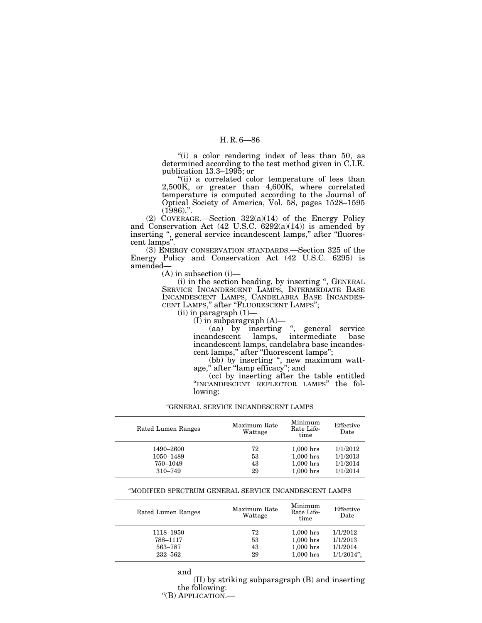"(i) a color rendering index of less than 50, as determined according to the test method given in C.I.E. publication 13.3–1995; or

"(ii) a correlated color temperature of less than 2,500K, or greater than 4,600K, where correlated temperature is computed according to the Journal of Optical Society of America, Vol. 58, pages 1528–1595  $(1986)$ .".

(2) COVERAGE.—Section 322(a)(14) of the Energy Policy and Conservation Act  $(42 \text{ U.S.C. } 6292(a)(14))$  is amended by inserting ", general service incandescent lamps," after "fluorescent lamps''.

(3) ENERGY CONSERVATION STANDARDS.—Section 325 of the Energy Policy and Conservation Act (42 U.S.C. 6295) is amended—

(A) in subsection (i)—

(i) in the section heading, by inserting '', GENERAL SERVICE INCANDESCENT LAMPS, INTERMEDIATE BASE INCANDESCENT LAMPS, CANDELABRA BASE INCANDES-CENT LAMPS," after "FLUORESCENT LAMPS";

 $(iii)$  in paragraph  $(1)$ 

 $(I)$  in subparagraph  $(A)$ —

(aa) by inserting '', general service incandescent lamps, intermediate base incandescent lamps, candelabra base incandescent lamps,'' after ''fluorescent lamps'';

(bb) by inserting ", new maximum wattage,'' after ''lamp efficacy''; and

(cc) by inserting after the table entitled ''INCANDESCENT REFLECTOR LAMPS'' the following:

#### ''GENERAL SERVICE INCANDESCENT LAMPS

| Rated Lumen Ranges | Maximum Rate<br>Wattage | Minimum<br>Rate Life-<br>time | Effective<br>Date |
|--------------------|-------------------------|-------------------------------|-------------------|
| 1490–2600          | 72                      | $1,000$ hrs                   | 1/1/2012          |
| 1050-1489          | 53                      | $1,000$ hrs                   | 1/1/2013          |
| 750-1049           | 43                      | $1,000$ hrs                   | 1/1/2014          |
| 310–749            | 29                      | $1,000$ hrs                   | 1/1/2014          |

#### ''MODIFIED SPECTRUM GENERAL SERVICE INCANDESCENT LAMPS

| Rated Lumen Ranges | Maximum Rate<br>Wattage | Minimum<br>Rate Life-<br>time | Effective<br>Date |
|--------------------|-------------------------|-------------------------------|-------------------|
| 1118–1950          | 72                      | $1,000$ hrs                   | 1/1/2012          |
| 788-1117           | 53                      | $1,000$ hrs                   | 1/1/2013          |
| 563-787            | 43                      | $1,000$ hrs                   | 1/1/2014          |
| 232–562            | 29                      | $1,000$ hrs                   | $1/1/2014$ ";     |

and

(II) by striking subparagraph (B) and inserting the following:

"(B) APPLICATION.-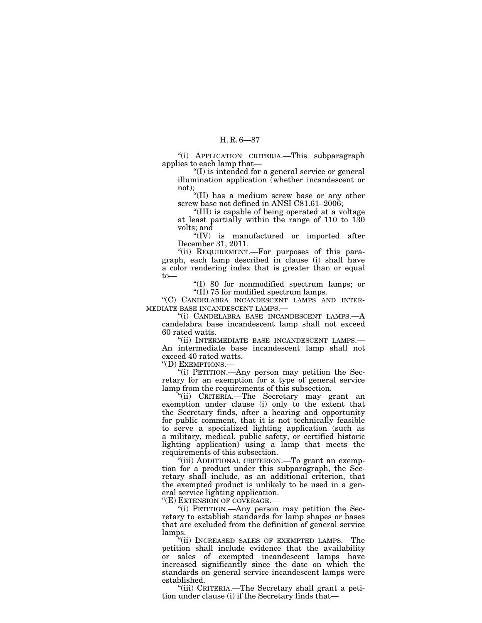''(i) APPLICATION CRITERIA.—This subparagraph applies to each lamp that—

''(I) is intended for a general service or general illumination application (whether incandescent or not);

''(II) has a medium screw base or any other screw base not defined in ANSI C81.61–2006;

''(III) is capable of being operated at a voltage at least partially within the range of 110 to 130 volts; and

''(IV) is manufactured or imported after December 31, 2011.

"(ii) REQUIREMENT.—For purposes of this paragraph, each lamp described in clause (i) shall have a color rendering index that is greater than or equal to—

> ''(I) 80 for nonmodified spectrum lamps; or ''(II) 75 for modified spectrum lamps.

''(C) CANDELABRA INCANDESCENT LAMPS AND INTER-MEDIATE BASE INCANDESCENT LAMPS.—

"(i) CANDELABRA BASE INCANDESCENT LAMPS.-- A candelabra base incandescent lamp shall not exceed 60 rated watts.

''(ii) INTERMEDIATE BASE INCANDESCENT LAMPS.— An intermediate base incandescent lamp shall not exceed 40 rated watts.

''(D) EXEMPTIONS.—

''(i) PETITION.—Any person may petition the Secretary for an exemption for a type of general service lamp from the requirements of this subsection.

''(ii) CRITERIA.—The Secretary may grant an exemption under clause (i) only to the extent that the Secretary finds, after a hearing and opportunity for public comment, that it is not technically feasible to serve a specialized lighting application (such as a military, medical, public safety, or certified historic lighting application) using a lamp that meets the requirements of this subsection.

''(iii) ADDITIONAL CRITERION.—To grant an exemption for a product under this subparagraph, the Secretary shall include, as an additional criterion, that the exempted product is unlikely to be used in a general service lighting application.

''(E) EXTENSION OF COVERAGE.—

''(i) PETITION.—Any person may petition the Secretary to establish standards for lamp shapes or bases that are excluded from the definition of general service lamps.

''(ii) INCREASED SALES OF EXEMPTED LAMPS.—The petition shall include evidence that the availability or sales of exempted incandescent lamps have increased significantly since the date on which the standards on general service incandescent lamps were established.

''(iii) CRITERIA.—The Secretary shall grant a petition under clause (i) if the Secretary finds that—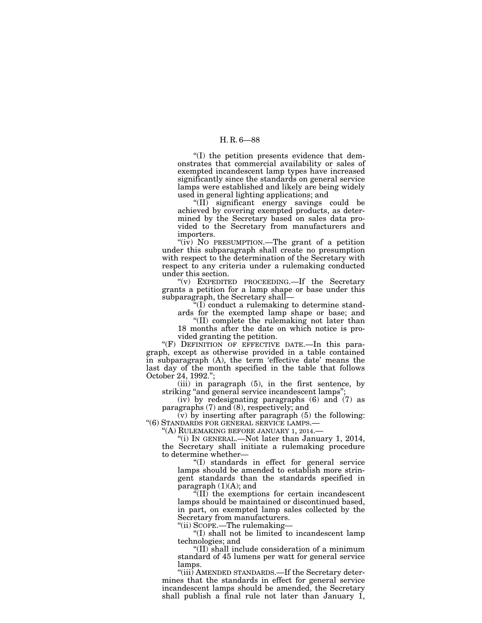''(I) the petition presents evidence that demonstrates that commercial availability or sales of exempted incandescent lamp types have increased significantly since the standards on general service lamps were established and likely are being widely used in general lighting applications; and

''(II) significant energy savings could be achieved by covering exempted products, as determined by the Secretary based on sales data provided to the Secretary from manufacturers and importers.

" $(iv)$  No PRESUMPTION.—The grant of a petition under this subparagraph shall create no presumption with respect to the determination of the Secretary with respect to any criteria under a rulemaking conducted under this section.

" $(v)$  EXPEDITED PROCEEDING.—If the Secretary grants a petition for a lamp shape or base under this subparagraph, the Secretary shall-

 $\mathcal{H}(I)$  conduct a rulemaking to determine standards for the exempted lamp shape or base; and

''(II) complete the rulemaking not later than 18 months after the date on which notice is pro-

vided granting the petition.

"(F) DEFINITION OF EFFECTIVE DATE.-In this paragraph, except as otherwise provided in a table contained in subparagraph (A), the term 'effective date' means the last day of the month specified in the table that follows October 24, 1992.'';

(iii) in paragraph (5), in the first sentence, by striking "and general service incandescent lamps";

 $(iv)$  by redesignating paragraphs  $(6)$  and  $(7)$  as paragraphs  $(7)$  and  $(8)$ , respectively; and

 $\overline{v}$  (v) by inserting after paragraph (5) the following:<br>"(6) STANDARDS FOR GENERAL SERVICE LAMPS.—

"(A) RULEMAKING BEFORE JANUARY 1, 2014.—<br>"(i) IN GENERAL.—Not later than January 1, 2014, the Secretary shall initiate a rulemaking procedure to determine whether—

''(I) standards in effect for general service lamps should be amended to establish more stringent standards than the standards specified in paragraph  $(1)(A)$ ; and

 $\sqrt[4]{(II)}$  the exemptions for certain incandescent lamps should be maintained or discontinued based, in part, on exempted lamp sales collected by the Secretary from manufacturers.

''(ii) SCOPE.—The rulemaking—

''(I) shall not be limited to incandescent lamp technologies; and

''(II) shall include consideration of a minimum standard of 45 lumens per watt for general service lamps.

''(iii) AMENDED STANDARDS.—If the Secretary determines that the standards in effect for general service incandescent lamps should be amended, the Secretary shall publish a final rule not later than January 1,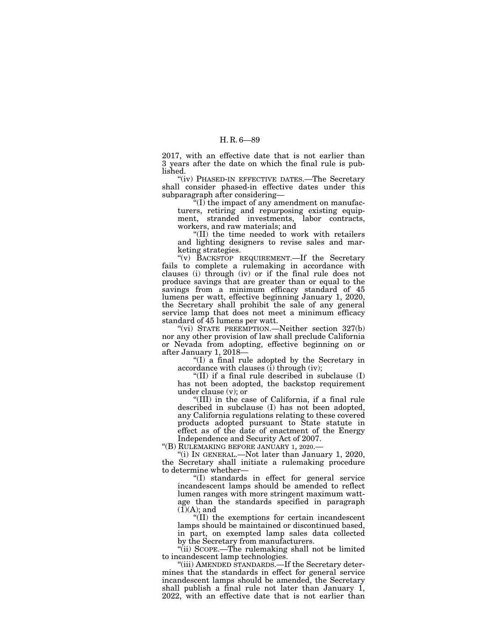2017, with an effective date that is not earlier than 3 years after the date on which the final rule is published.

''(iv) PHASED-IN EFFECTIVE DATES.—The Secretary shall consider phased-in effective dates under this subparagraph after considering—

''(I) the impact of any amendment on manufacturers, retiring and repurposing existing equipment, stranded investments, labor contracts, workers, and raw materials; and

''(II) the time needed to work with retailers and lighting designers to revise sales and marketing strategies.

"(v) BACKSTOP REQUIREMENT.—If the Secretary fails to complete a rulemaking in accordance with clauses (i) through (iv) or if the final rule does not produce savings that are greater than or equal to the savings from a minimum efficacy standard of 45 lumens per watt, effective beginning January 1, 2020, the Secretary shall prohibit the sale of any general service lamp that does not meet a minimum efficacy standard of 45 lumens per watt.

"(vi) STATE PREEMPTION.—Neither section 327(b) nor any other provision of law shall preclude California or Nevada from adopting, effective beginning on or after January 1, 2018—

''(I) a final rule adopted by the Secretary in accordance with clauses  $(i)$  through  $(iv)$ ;

"(II) if a final rule described in subclause  $(I)$ has not been adopted, the backstop requirement under clause (v); or

''(III) in the case of California, if a final rule described in subclause (I) has not been adopted, any California regulations relating to these covered products adopted pursuant to State statute in effect as of the date of enactment of the Energy Independence and Security Act of 2007.<br>"(B) RULEMAKING BEFORE JANUARY 1, 2020.—

"(i) IN GENERAL.—Not later than January 1, 2020, the Secretary shall initiate a rulemaking procedure to determine whether—

''(I) standards in effect for general service incandescent lamps should be amended to reflect lumen ranges with more stringent maximum wattage than the standards specified in paragraph  $(\overline{1})(A)$ ; and

''(II) the exemptions for certain incandescent lamps should be maintained or discontinued based, in part, on exempted lamp sales data collected by the Secretary from manufacturers.

"(ii) SCOPE.—The rulemaking shall not be limited to incandescent lamp technologies.

''(iii) AMENDED STANDARDS.—If the Secretary determines that the standards in effect for general service incandescent lamps should be amended, the Secretary shall publish a final rule not later than January 1, 2022, with an effective date that is not earlier than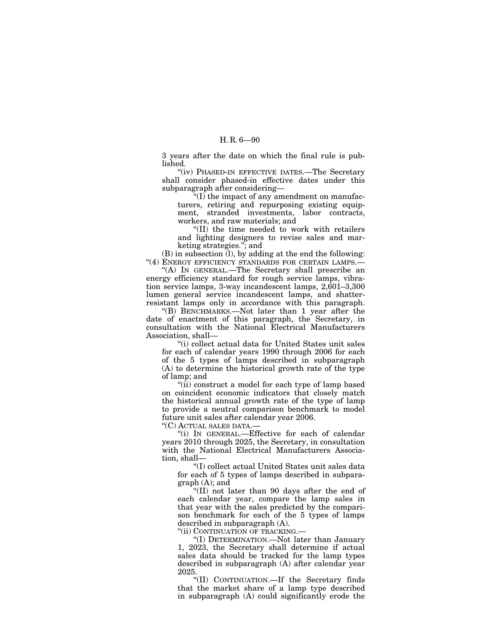3 years after the date on which the final rule is published.

''(iv) PHASED-IN EFFECTIVE DATES.—The Secretary shall consider phased-in effective dates under this subparagraph after considering—

''(I) the impact of any amendment on manufacturers, retiring and repurposing existing equipment, stranded investments, labor contracts, workers, and raw materials; and

''(II) the time needed to work with retailers and lighting designers to revise sales and marketing strategies.''; and

(B) in subsection (l), by adding at the end the following: "(4) ENERGY EFFICIENCY STANDARDS FOR CERTAIN LAMPS.-

"(A) IN GENERAL.—The Secretary shall prescribe an energy efficiency standard for rough service lamps, vibration service lamps, 3-way incandescent lamps, 2,601–3,300 lumen general service incandescent lamps, and shatterresistant lamps only in accordance with this paragraph.

''(B) BENCHMARKS.—Not later than 1 year after the date of enactment of this paragraph, the Secretary, in consultation with the National Electrical Manufacturers Association, shall—

''(i) collect actual data for United States unit sales for each of calendar years 1990 through 2006 for each of the 5 types of lamps described in subparagraph (A) to determine the historical growth rate of the type of lamp; and

''(ii) construct a model for each type of lamp based on coincident economic indicators that closely match the historical annual growth rate of the type of lamp to provide a neutral comparison benchmark to model future unit sales after calendar year 2006.

''(C) ACTUAL SALES DATA.—

''(i) IN GENERAL.—Effective for each of calendar years 2010 through 2025, the Secretary, in consultation with the National Electrical Manufacturers Association, shall—

''(I) collect actual United States unit sales data for each of 5 types of lamps described in subparagraph (A); and

''(II) not later than 90 days after the end of each calendar year, compare the lamp sales in that year with the sales predicted by the comparison benchmark for each of the 5 types of lamps described in subparagraph (A).

''(ii) CONTINUATION OF TRACKING.—

''(I) DETERMINATION.—Not later than January 1, 2023, the Secretary shall determine if actual sales data should be tracked for the lamp types described in subparagraph (A) after calendar year 2025.

''(II) CONTINUATION.—If the Secretary finds that the market share of a lamp type described in subparagraph (A) could significantly erode the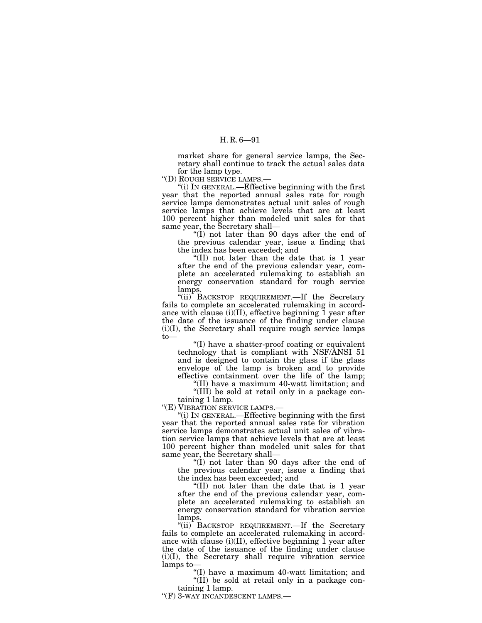market share for general service lamps, the Secretary shall continue to track the actual sales data for the lamp type.

''(D) ROUGH SERVICE LAMPS.—

''(i) IN GENERAL.—Effective beginning with the first year that the reported annual sales rate for rough service lamps demonstrates actual unit sales of rough service lamps that achieve levels that are at least 100 percent higher than modeled unit sales for that same year, the Secretary shall—

''(I) not later than 90 days after the end of the previous calendar year, issue a finding that the index has been exceeded; and

''(II) not later than the date that is 1 year after the end of the previous calendar year, complete an accelerated rulemaking to establish an energy conservation standard for rough service lamps.

"(ii) BACKSTOP REQUIREMENT.—If the Secretary fails to complete an accelerated rulemaking in accordance with clause  $(i)(II)$ , effective beginning 1 year after the date of the issuance of the finding under clause (i)(I), the Secretary shall require rough service lamps to—

''(I) have a shatter-proof coating or equivalent technology that is compliant with NSF/ANSI 51 and is designed to contain the glass if the glass envelope of the lamp is broken and to provide effective containment over the life of the lamp;

''(II) have a maximum 40-watt limitation; and ''(III) be sold at retail only in a package con-

taining 1 lamp.

''(E) VIBRATION SERVICE LAMPS.—

''(i) IN GENERAL.—Effective beginning with the first year that the reported annual sales rate for vibration service lamps demonstrates actual unit sales of vibration service lamps that achieve levels that are at least 100 percent higher than modeled unit sales for that same year, the Secretary shall—

''(I) not later than 90 days after the end of the previous calendar year, issue a finding that the index has been exceeded; and

''(II) not later than the date that is 1 year after the end of the previous calendar year, complete an accelerated rulemaking to establish an energy conservation standard for vibration service lamps.

"(ii) BACKSTOP REQUIREMENT.—If the Secretary fails to complete an accelerated rulemaking in accordance with clause  $(i)(II)$ , effective beginning 1 year after the date of the issuance of the finding under clause (i)(I), the Secretary shall require vibration service lamps to—

''(I) have a maximum 40-watt limitation; and  $\sqrt{\text{III}}$ ) be sold at retail only in a package con-

taining 1 lamp. "(F) 3-WAY INCANDESCENT LAMPS.-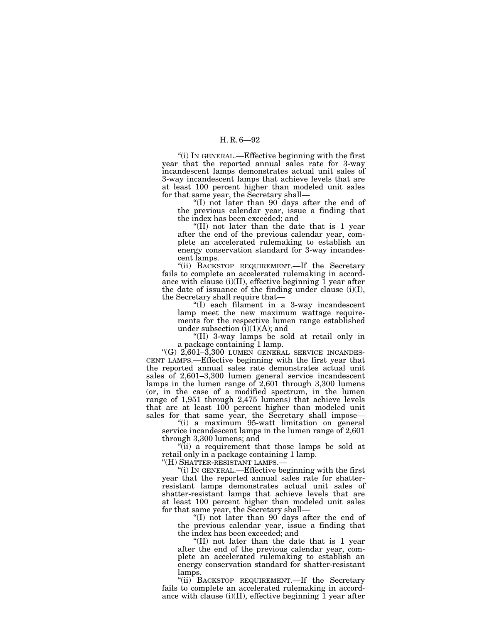''(i) IN GENERAL.—Effective beginning with the first year that the reported annual sales rate for 3-way incandescent lamps demonstrates actual unit sales of 3-way incandescent lamps that achieve levels that are at least 100 percent higher than modeled unit sales for that same year, the Secretary shall—

''(I) not later than 90 days after the end of the previous calendar year, issue a finding that the index has been exceeded; and

''(II) not later than the date that is 1 year after the end of the previous calendar year, complete an accelerated rulemaking to establish an energy conservation standard for 3-way incandescent lamps.

"(ii) BACKSTOP REQUIREMENT.—If the Secretary fails to complete an accelerated rulemaking in accordance with clause  $(i)(II)$ , effective beginning 1 year after the date of issuance of the finding under clause (i)(I), the Secretary shall require that—

 $'(I)$  each filament in a 3-way incandescent lamp meet the new maximum wattage requirements for the respective lumen range established under subsection  $(i)(1)(A)$ ; and

''(II) 3-way lamps be sold at retail only in

a package containing 1 lamp.<br>"(G) 2,601–3,300 LUMEN GENERAL SERVICE INCANDES-CENT LAMPS.—Effective beginning with the first year that the reported annual sales rate demonstrates actual unit sales of 2,601–3,300 lumen general service incandescent lamps in the lumen range of 2,601 through 3,300 lumens (or, in the case of a modified spectrum, in the lumen range of 1,951 through 2,475 lumens) that achieve levels that are at least 100 percent higher than modeled unit sales for that same year, the Secretary shall impose—

''(i) a maximum 95-watt limitation on general service incandescent lamps in the lumen range of 2,601 through 3,300 lumens; and

''(ii) a requirement that those lamps be sold at retail only in a package containing 1 lamp.

''(H) SHATTER-RESISTANT LAMPS.—

''(i) IN GENERAL.—Effective beginning with the first year that the reported annual sales rate for shatterresistant lamps demonstrates actual unit sales of shatter-resistant lamps that achieve levels that are at least 100 percent higher than modeled unit sales for that same year, the Secretary shall-

''(I) not later than 90 days after the end of the previous calendar year, issue a finding that the index has been exceeded; and

''(II) not later than the date that is 1 year after the end of the previous calendar year, complete an accelerated rulemaking to establish an energy conservation standard for shatter-resistant lamps.

"(ii) BACKSTOP REQUIREMENT.—If the Secretary fails to complete an accelerated rulemaking in accordance with clause  $(i)(II)$ , effective beginning  $\overline{1}$  year after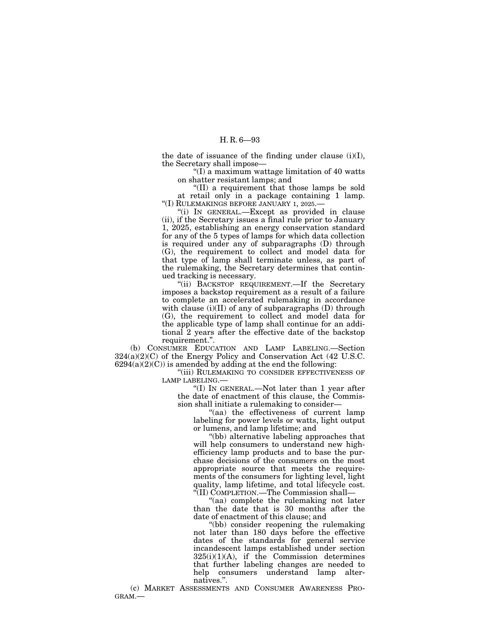the date of issuance of the finding under clause  $(i)(I)$ , the Secretary shall impose—

''(I) a maximum wattage limitation of 40 watts on shatter resistant lamps; and

''(II) a requirement that those lamps be sold at retail only in a package containing 1 lamp. ''(I) RULEMAKINGS BEFORE JANUARY 1, 2025.—

''(i) IN GENERAL.—Except as provided in clause (ii), if the Secretary issues a final rule prior to January 1, 2025, establishing an energy conservation standard for any of the 5 types of lamps for which data collection is required under any of subparagraphs (D) through (G), the requirement to collect and model data for that type of lamp shall terminate unless, as part of the rulemaking, the Secretary determines that continued tracking is necessary.

''(ii) BACKSTOP REQUIREMENT.—If the Secretary imposes a backstop requirement as a result of a failure to complete an accelerated rulemaking in accordance with clause  $(i)(II)$  of any of subparagraphs  $(D)$  through (G), the requirement to collect and model data for the applicable type of lamp shall continue for an additional 2 years after the effective date of the backstop requirement.''.

(b) CONSUMER EDUCATION AND LAMP LABELING.—Section 324(a)(2)(C) of the Energy Policy and Conservation Act (42 U.S.C.  $6294(a)(2)(C)$  is amended by adding at the end the following:

''(iii) RULEMAKING TO CONSIDER EFFECTIVENESS OF LAMP LABELING.—

''(I) IN GENERAL.—Not later than 1 year after the date of enactment of this clause, the Commission shall initiate a rulemaking to consider—

"(aa) the effectiveness of current lamp labeling for power levels or watts, light output or lumens, and lamp lifetime; and

''(bb) alternative labeling approaches that will help consumers to understand new highefficiency lamp products and to base the purchase decisions of the consumers on the most appropriate source that meets the requirements of the consumers for lighting level, light quality, lamp lifetime, and total lifecycle cost. ''(II) COMPLETION.—The Commission shall—

''(aa) complete the rulemaking not later than the date that is 30 months after the date of enactment of this clause; and

''(bb) consider reopening the rulemaking not later than 180 days before the effective dates of the standards for general service incandescent lamps established under section  $325(i)(1)(A)$ , if the Commission determines that further labeling changes are needed to help consumers understand lamp alternatives.''.

(c) MARKET ASSESSMENTS AND CONSUMER AWARENESS PRO-GRAM.—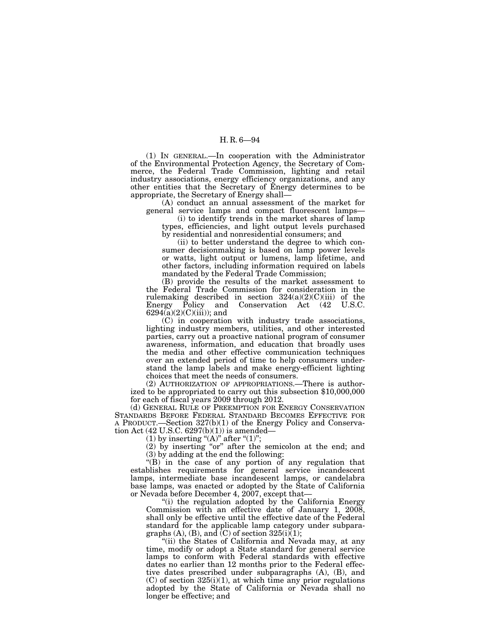(1) IN GENERAL.—In cooperation with the Administrator of the Environmental Protection Agency, the Secretary of Commerce, the Federal Trade Commission, lighting and retail industry associations, energy efficiency organizations, and any other entities that the Secretary of Energy determines to be appropriate, the Secretary of Energy shall—

(A) conduct an annual assessment of the market for general service lamps and compact fluorescent lamps—

(i) to identify trends in the market shares of lamp types, efficiencies, and light output levels purchased by residential and nonresidential consumers; and

(ii) to better understand the degree to which consumer decisionmaking is based on lamp power levels or watts, light output or lumens, lamp lifetime, and other factors, including information required on labels mandated by the Federal Trade Commission;

(B) provide the results of the market assessment to the Federal Trade Commission for consideration in the rulemaking described in section  $324(a)(2)(C)(iii)$  of the Energy Policy and Conservation Act  $(42 \text{ U.S.C.})$ Conservation Act (42  $6294(a)(2)(C)(iii)$ ; and

(C) in cooperation with industry trade associations, lighting industry members, utilities, and other interested parties, carry out a proactive national program of consumer awareness, information, and education that broadly uses the media and other effective communication techniques over an extended period of time to help consumers understand the lamp labels and make energy-efficient lighting choices that meet the needs of consumers.

(2) AUTHORIZATION OF APPROPRIATIONS.—There is authorized to be appropriated to carry out this subsection \$10,000,000 for each of fiscal years 2009 through 2012.

(d) GENERAL RULE OF PREEMPTION FOR ENERGY CONSERVATION STANDARDS BEFORE FEDERAL STANDARD BECOMES EFFECTIVE FOR A PRODUCT.—Section 327(b)(1) of the Energy Policy and Conservation Act (42 U.S.C. 6297(b)(1)) is amended—

(1) by inserting " $(A)$ " after " $(1)$ ";

(2) by inserting "or" after the semicolon at the end; and (3) by adding at the end the following:

''(B) in the case of any portion of any regulation that establishes requirements for general service incandescent lamps, intermediate base incandescent lamps, or candelabra base lamps, was enacted or adopted by the State of California or Nevada before December 4, 2007, except that—

''(i) the regulation adopted by the California Energy Commission with an effective date of January 1, 2008, shall only be effective until the effective date of the Federal standard for the applicable lamp category under subparagraphs  $(A)$ ,  $(B)$ , and  $(C)$  of section 325 $(i)(1)$ ;

''(ii) the States of California and Nevada may, at any time, modify or adopt a State standard for general service lamps to conform with Federal standards with effective dates no earlier than 12 months prior to the Federal effective dates prescribed under subparagraphs (A), (B), and (C) of section 325(i)(1), at which time any prior regulations adopted by the State of California or Nevada shall no longer be effective; and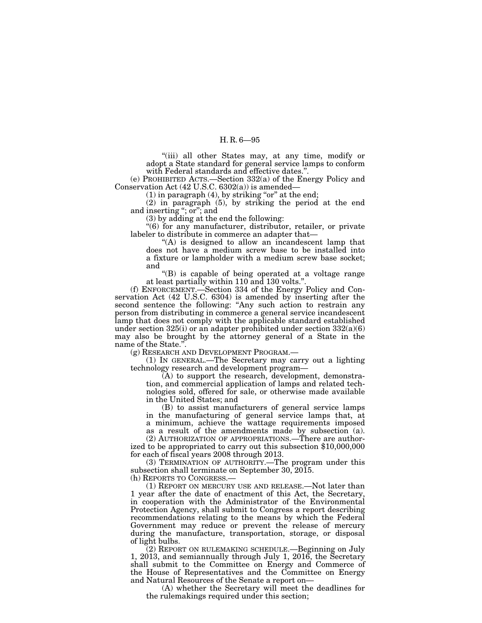''(iii) all other States may, at any time, modify or adopt a State standard for general service lamps to conform with Federal standards and effective dates.''.

(e) PROHIBITED ACTS.—Section 332(a) of the Energy Policy and Conservation Act (42 U.S.C. 6302(a)) is amended—

 $(1)$  in paragraph  $(4)$ , by striking "or" at the end;

(2) in paragraph (5), by striking the period at the end and inserting ''; or''; and

(3) by adding at the end the following:

''(6) for any manufacturer, distributor, retailer, or private labeler to distribute in commerce an adapter that—

" $(A)$  is designed to allow an incandescent lamp that does not have a medium screw base to be installed into a fixture or lampholder with a medium screw base socket; and

 $'(B)$  is capable of being operated at a voltage range at least partially within 110 and 130 volts.''.

(f) ENFORCEMENT.—Section 334 of the Energy Policy and Conservation Act (42 U.S.C. 6304) is amended by inserting after the second sentence the following: ''Any such action to restrain any person from distributing in commerce a general service incandescent lamp that does not comply with the applicable standard established under section  $325(i)$  or an adapter prohibited under section  $332(a)(6)$ may also be brought by the attorney general of a State in the name of the State.''.

(g) RESEARCH AND DEVELOPMENT PROGRAM.— (1) IN GENERAL.—The Secretary may carry out a lighting technology research and development program—

(A) to support the research, development, demonstration, and commercial application of lamps and related technologies sold, offered for sale, or otherwise made available in the United States; and

(B) to assist manufacturers of general service lamps in the manufacturing of general service lamps that, at a minimum, achieve the wattage requirements imposed

as a result of the amendments made by subsection (a). (2) AUTHORIZATION OF APPROPRIATIONS.—There are author-

ized to be appropriated to carry out this subsection \$10,000,000 for each of fiscal years 2008 through 2013.

(3) TERMINATION OF AUTHORITY.—The program under this subsection shall terminate on September 30, 2015.

(h) REPORTS TO CONGRESS.—

(1) REPORT ON MERCURY USE AND RELEASE.—Not later than 1 year after the date of enactment of this Act, the Secretary, in cooperation with the Administrator of the Environmental Protection Agency, shall submit to Congress a report describing recommendations relating to the means by which the Federal Government may reduce or prevent the release of mercury during the manufacture, transportation, storage, or disposal of light bulbs.

(2) REPORT ON RULEMAKING SCHEDULE.—Beginning on July 1, 2013, and semiannually through July 1, 2016, the Secretary shall submit to the Committee on Energy and Commerce of the House of Representatives and the Committee on Energy and Natural Resources of the Senate a report on—

(A) whether the Secretary will meet the deadlines for the rulemakings required under this section;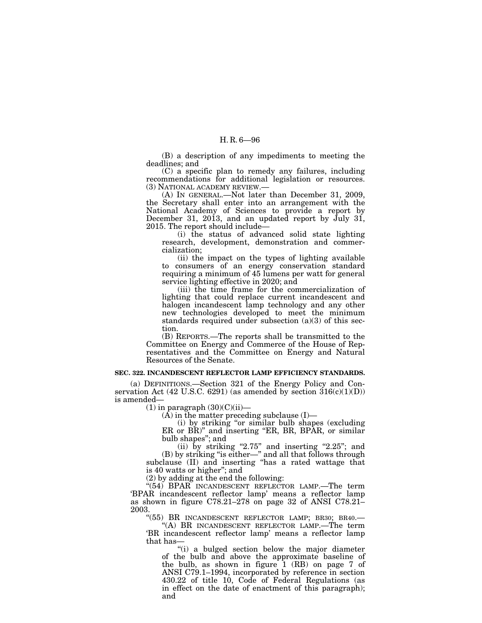(B) a description of any impediments to meeting the deadlines; and

(C) a specific plan to remedy any failures, including recommendations for additional legislation or resources. (3) NATIONAL ACADEMY REVIEW.—

(A) IN GENERAL.—Not later than December 31, 2009, the Secretary shall enter into an arrangement with the National Academy of Sciences to provide a report by December 31, 2013, and an updated report by  $\tilde{J}$ uly 31, 2015. The report should include—

(i) the status of advanced solid state lighting research, development, demonstration and commercialization;

(ii) the impact on the types of lighting available to consumers of an energy conservation standard requiring a minimum of 45 lumens per watt for general service lighting effective in 2020; and

(iii) the time frame for the commercialization of lighting that could replace current incandescent and halogen incandescent lamp technology and any other new technologies developed to meet the minimum standards required under subsection (a)(3) of this section.

(B) REPORTS.—The reports shall be transmitted to the Committee on Energy and Commerce of the House of Representatives and the Committee on Energy and Natural Resources of the Senate.

#### **SEC. 322. INCANDESCENT REFLECTOR LAMP EFFICIENCY STANDARDS.**

(a) DEFINITIONS.—Section 321 of the Energy Policy and Conservation Act (42 U.S.C. 6291) (as amended by section  $316(c)(1)(D)$ ) is amended—

 $(1)$  in paragraph  $(30)(C)(ii)$ —

 $(\overline{A})$  in the matter preceding subclause  $(I)$ —

(i) by striking ''or similar bulb shapes (excluding ER or BR)" and inserting "ER, BR, BPAR, or similar bulb shapes''; and

(ii) by striking  $"2.75"$  and inserting  $"2.25"$ ; and (B) by striking ''is either—'' and all that follows through subclause (II) and inserting "has a rated wattage that is 40 watts or higher''; and

(2) by adding at the end the following:

''(54) BPAR INCANDESCENT REFLECTOR LAMP.—The term 'BPAR incandescent reflector lamp' means a reflector lamp as shown in figure C78.21–278 on page 32 of ANSI C78.21– 2003.

"(55) BR INCANDESCENT REFLECTOR LAMP; BR30; BR40.-

''(A) BR INCANDESCENT REFLECTOR LAMP.—The term 'BR incandescent reflector lamp' means a reflector lamp that has—

''(i) a bulged section below the major diameter of the bulb and above the approximate baseline of the bulb, as shown in figure 1 (RB) on page 7 of ANSI C79.1–1994, incorporated by reference in section 430.22 of title 10, Code of Federal Regulations (as in effect on the date of enactment of this paragraph); and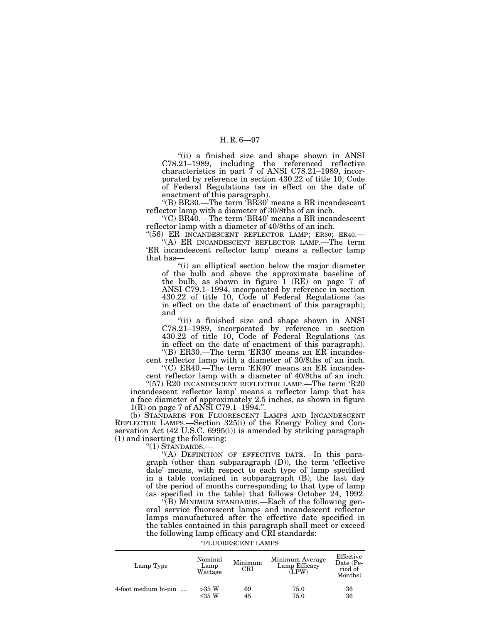''(ii) a finished size and shape shown in ANSI C78.21–1989, including the referenced reflective characteristics in part 7 of ANSI C78.21–1989, incorporated by reference in section 430.22 of title 10, Code of Federal Regulations (as in effect on the date of enactment of this paragraph).

''(B) BR30.—The term 'BR30' means a BR incandescent reflector lamp with a diameter of 30/8ths of an inch.

"(C)  $BR40$ .—The term ' $BR40$ ' means a BR incandescent reflector lamp with a diameter of 40/8ths of an inch.

"(56) ER INCANDESCENT REFLECTOR LAMP; ER30; ER40.-''(A) ER INCANDESCENT REFLECTOR LAMP.—The term 'ER incandescent reflector lamp' means a reflector lamp that has-

''(i) an elliptical section below the major diameter of the bulb and above the approximate baseline of the bulb, as shown in figure 1 (RE) on page 7 of ANSI C79.1–1994, incorporated by reference in section 430.22 of title 10, Code of Federal Regulations (as in effect on the date of enactment of this paragraph); and

''(ii) a finished size and shape shown in ANSI C78.21–1989, incorporated by reference in section 430.22 of title 10, Code of Federal Regulations (as in effect on the date of enactment of this paragraph). ''(B) ER30.—The term 'ER30' means an ER incandes-

cent reflector lamp with a diameter of 30/8ths of an inch. ''(C) ER40.—The term 'ER40' means an ER incandes-

cent reflector lamp with a diameter of 40/8ths of an inch. "(57) R20 INCANDESCENT REFLECTOR LAMP.—The term 'R20 incandescent reflector lamp' means a reflector lamp that has a face diameter of approximately 2.5 inches, as shown in figure 1(R) on page 7 of ANSI C79.1–1994.''.

(b) STANDARDS FOR FLUORESCENT LAMPS AND INCANDESCENT REFLECTOR LAMPS.—Section 325(i) of the Energy Policy and Conservation Act (42 U.S.C. 6995(i)) is amended by striking paragraph (1) and inserting the following:

"(A) DEFINITION OF EFFECTIVE DATE.—In this paragraph (other than subparagraph (D)), the term 'effective date' means, with respect to each type of lamp specified in a table contained in subparagraph (B), the last day of the period of months corresponding to that type of lamp (as specified in the table) that follows October 24, 1992.

''(B) MINIMUM STANDARDS.—Each of the following general service fluorescent lamps and incandescent reflector lamps manufactured after the effective date specified in the tables contained in this paragraph shall meet or exceed the following lamp efficacy and CRI standards:

#### ''FLUORESCENT LAMPS

| Lamp Type            | Nominal<br>Lamp<br>Wattage | Minimum<br>CRI | Minimum Average<br>Lamp Efficacy<br>(LPW) | Effective<br>Date (Pe-<br>riod of<br>Months) |
|----------------------|----------------------------|----------------|-------------------------------------------|----------------------------------------------|
| 4-foot medium bi-pin | $>35$ W                    | 69             | 75.0                                      | 36                                           |
|                      | $\leq$ 35 W                | 45             | 75.0                                      | 36                                           |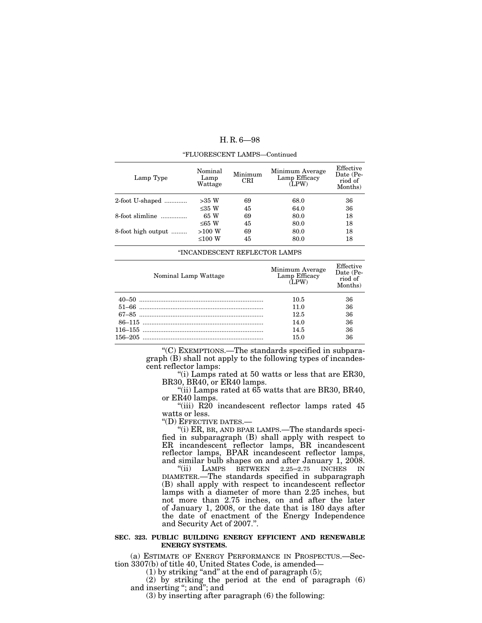| Lamp Type          | Nominal<br>Lamp<br>Wattage | Minimum<br>CRI | Minimum Average<br>Lamp Efficacy<br>(LPW) | Effective<br>Date (Pe-<br>riod of<br>Months) |
|--------------------|----------------------------|----------------|-------------------------------------------|----------------------------------------------|
| 2-foot U-shaped    | $>35$ W                    | 69             | 68.0                                      | 36                                           |
|                    | $\leq$ 35 W                | 45             | 64.0                                      | 36                                           |
| 8-foot slimline    | 65 W                       | 69             | 80.0                                      | 18                                           |
|                    | ≤65 W                      | 45             | 80.0                                      | 18                                           |
| 8-foot high output | $>100$ W                   | 69             | 80.0                                      | 18                                           |
|                    | ≤100 W                     | 45             | 80.0                                      | 18                                           |

H. R. 6—98

| "FLUORESCENT LAMPS—Continued |  |
|------------------------------|--|
|------------------------------|--|

| "INCANDESCENT REFLECTOR LAMPS |  |
|-------------------------------|--|
|-------------------------------|--|

| Nominal Lamp Wattage | Minimum Average<br>Lamp Efficacy<br>(LPW) | Effective<br>Date (Pe-<br>riod of<br>Months) |
|----------------------|-------------------------------------------|----------------------------------------------|
|                      | 10.5                                      | 36                                           |
|                      | 11.0                                      | 36                                           |
|                      | 12.5                                      | 36                                           |
|                      | 14.0                                      | 36                                           |
|                      | 14.5                                      | 36                                           |
|                      | 15.0                                      | 36                                           |

''(C) EXEMPTIONS.—The standards specified in subparagraph (B) shall not apply to the following types of incandescent reflector lamps:

''(i) Lamps rated at 50 watts or less that are ER30, BR30, BR40, or ER40 lamps.

"(ii) Lamps rated at  $65$  watts that are BR30, BR40, or ER40 lamps.

"(iii) R20 incandescent reflector lamps rated 45 watts or less.<br>"(D) Effective dates.—

 $\degree$ (i) ER, BR, AND BPAR LAMPS.—The standards specified in subparagraph (B) shall apply with respect to ER incandescent reflector lamps, BR incandescent reflector lamps, BPAR incandescent reflector lamps, and similar bulb shapes on and after January 1, 2008.

''(ii) LAMPS BETWEEN 2.25–2.75 INCHES IN DIAMETER.—The standards specified in subparagraph (B) shall apply with respect to incandescent reflector lamps with a diameter of more than 2.25 inches, but not more than 2.75 inches, on and after the later of January 1, 2008, or the date that is 180 days after the date of enactment of the Energy Independence and Security Act of 2007.''.

#### **SEC. 323. PUBLIC BUILDING ENERGY EFFICIENT AND RENEWABLE ENERGY SYSTEMS.**

(a) ESTIMATE OF ENERGY PERFORMANCE IN PROSPECTUS.—Section 3307(b) of title 40, United States Code, is amended—

 $(1)$  by striking "and" at the end of paragraph  $(5)$ ;

(2) by striking the period at the end of paragraph (6) and inserting "; and"; and

(3) by inserting after paragraph (6) the following: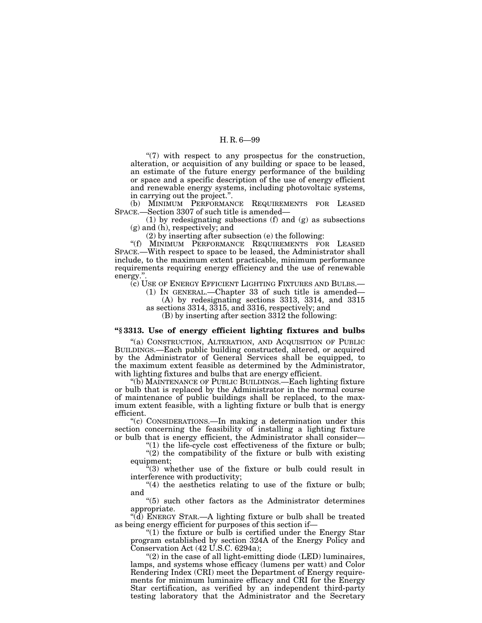$\degree$ (7) with respect to any prospectus for the construction, alteration, or acquisition of any building or space to be leased, an estimate of the future energy performance of the building or space and a specific description of the use of energy efficient and renewable energy systems, including photovoltaic systems, in carrying out the project.''.

(b) MINIMUM PERFORMANCE REQUIREMENTS FOR LEASED SPACE.—Section 3307 of such title is amended—

(1) by redesignating subsections (f) and (g) as subsections (g) and (h), respectively; and

(2) by inserting after subsection (e) the following:

''(f) MINIMUM PERFORMANCE REQUIREMENTS FOR LEASED SPACE.—With respect to space to be leased, the Administrator shall include, to the maximum extent practicable, minimum performance requirements requiring energy efficiency and the use of renewable energy.''.

(c) USE OF ENERGY EFFICIENT LIGHTING FIXTURES AND BULBS.—

(1) IN GENERAL.—Chapter 33 of such title is amended— (A) by redesignating sections 3313, 3314, and 3315

as sections 3314, 3315, and 3316, respectively; and

(B) by inserting after section 3312 the following:

## **''§ 3313. Use of energy efficient lighting fixtures and bulbs**

"(a) CONSTRUCTION, ALTERATION, AND ACQUISITION OF PUBLIC BUILDINGS.—Each public building constructed, altered, or acquired by the Administrator of General Services shall be equipped, to the maximum extent feasible as determined by the Administrator, with lighting fixtures and bulbs that are energy efficient.

''(b) MAINTENANCE OF PUBLIC BUILDINGS.—Each lighting fixture or bulb that is replaced by the Administrator in the normal course of maintenance of public buildings shall be replaced, to the maximum extent feasible, with a lighting fixture or bulb that is energy efficient.

''(c) CONSIDERATIONS.—In making a determination under this section concerning the feasibility of installing a lighting fixture or bulb that is energy efficient, the Administrator shall consider—

" $(1)$  the life-cycle cost effectiveness of the fixture or bulb;

" $(2)$  the compatibility of the fixture or bulb with existing equipment;

''(3) whether use of the fixture or bulb could result in interference with productivity;

 $(4)$  the aesthetics relating to use of the fixture or bulb; and

''(5) such other factors as the Administrator determines appropriate.

''(d) ENERGY STAR.—A lighting fixture or bulb shall be treated as being energy efficient for purposes of this section if—

"(1) the fixture or bulb is certified under the Energy Star program established by section 324A of the Energy Policy and Conservation Act (42 U.S.C. 6294a);

" $(2)$  in the case of all light-emitting diode (LED) luminaires, lamps, and systems whose efficacy (lumens per watt) and Color Rendering Index (CRI) meet the Department of Energy requirements for minimum luminaire efficacy and CRI for the Energy Star certification, as verified by an independent third-party testing laboratory that the Administrator and the Secretary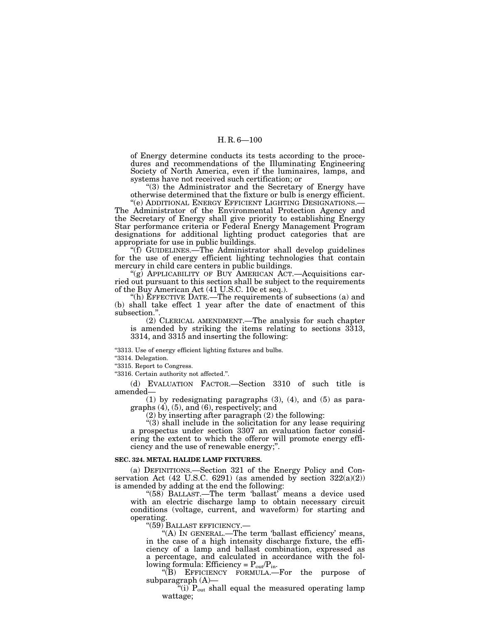of Energy determine conducts its tests according to the procedures and recommendations of the Illuminating Engineering Society of North America, even if the luminaires, lamps, and systems have not received such certification; or

''(3) the Administrator and the Secretary of Energy have otherwise determined that the fixture or bulb is energy efficient.

''(e) ADDITIONAL ENERGY EFFICIENT LIGHTING DESIGNATIONS.— The Administrator of the Environmental Protection Agency and the Secretary of Energy shall give priority to establishing Energy Star performance criteria or Federal Energy Management Program designations for additional lighting product categories that are appropriate for use in public buildings.

''(f) GUIDELINES.—The Administrator shall develop guidelines for the use of energy efficient lighting technologies that contain mercury in child care centers in public buildings.

"(g) APPLICABILITY OF BUY AMERICAN ACT.—Acquisitions carried out pursuant to this section shall be subject to the requirements of the Buy American Act (41 U.S.C. 10c et seq.).

''(h) EFFECTIVE DATE.—The requirements of subsections (a) and (b) shall take effect 1 year after the date of enactment of this subsection.''.

(2) CLERICAL AMENDMENT.—The analysis for such chapter is amended by striking the items relating to sections 3313, 3314, and 3315 and inserting the following:

"3313. Use of energy efficient lighting fixtures and bulbs.

''3314. Delegation.

''3315. Report to Congress.

''3316. Certain authority not affected.''.

(d) EVALUATION FACTOR.—Section 3310 of such title is amended—

(1) by redesignating paragraphs (3), (4), and (5) as paragraphs (4), (5), and (6), respectively; and

(2) by inserting after paragraph (2) the following:

 $'(3)$  shall include in the solicitation for any lease requiring a prospectus under section 3307 an evaluation factor considering the extent to which the offeror will promote energy efficiency and the use of renewable energy;''.

#### **SEC. 324. METAL HALIDE LAMP FIXTURES.**

(a) DEFINITIONS.—Section 321 of the Energy Policy and Conservation Act (42 U.S.C. 6291) (as amended by section  $322(a)(2)$ ) is amended by adding at the end the following:

"(58) BALLAST.—The term 'ballast' means a device used with an electric discharge lamp to obtain necessary circuit conditions (voltage, current, and waveform) for starting and operating.<br>"(59) BALLAST EFFICIENCY.—

"(A) IN GENERAL.—The term 'ballast efficiency' means, in the case of a high intensity discharge fixture, the efficiency of a lamp and ballast combination, expressed as a percentage, and calculated in accordance with the following formula: Efficiency =  $P_{\text{out}}/P_{\text{in}}$ .

''(B) EFFICIENCY FORMULA.—For the purpose of subparagraph (A)—

"(i)  $P_{out}$  shall equal the measured operating lamp wattage;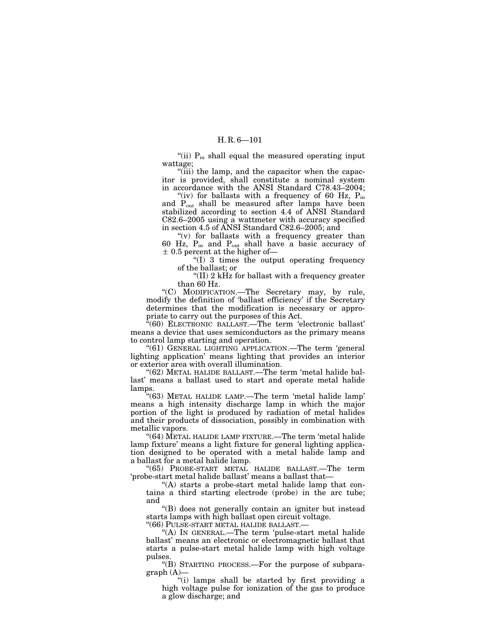"(ii)  $P_{in}$  shall equal the measured operating input wattage;

"(iii) the lamp, and the capacitor when the capacitor is provided, shall constitute a nominal system in accordance with the ANSI Standard C78.43–2004;

"(iv) for ballasts with a frequency of 60 Hz,  $P_{in}$ and Pout shall be measured after lamps have been stabilized according to section 4.4 of ANSI Standard C82.6–2005 using a wattmeter with accuracy specified in section 4.5 of ANSI Standard C82.6–2005; and

" $(v)$  for ballasts with a frequency greater than 60 Hz,  $P_{in}$  and  $P_{out}$  shall have a basic accuracy of  $±$  0.5 percent at the higher of-

''(I) 3 times the output operating frequency of the ballast; or

 $\Gamma$ (II) 2 kHz for ballast with a frequency greater than 60 Hz.

''(C) MODIFICATION.—The Secretary may, by rule, modify the definition of 'ballast efficiency' if the Secretary determines that the modification is necessary or appropriate to carry out the purposes of this Act.

 $\frac{a}{b}$ (60) ELECTRONIC BALLAST.—The term 'electronic ballast' means a device that uses semiconductors as the primary means to control lamp starting and operation.

"(61) GENERAL LIGHTING APPLICATION.—The term 'general lighting application' means lighting that provides an interior or exterior area with overall illumination.

"(62) METAL HALIDE BALLAST.—The term 'metal halide ballast' means a ballast used to start and operate metal halide lamps.

''(63) METAL HALIDE LAMP.—The term 'metal halide lamp' means a high intensity discharge lamp in which the major portion of the light is produced by radiation of metal halides and their products of dissociation, possibly in combination with metallic vapors.

"(64)  $\dot{M}$ ETAL HALIDE LAMP FIXTURE.—The term 'metal halide lamp fixture' means a light fixture for general lighting application designed to be operated with a metal halide lamp and a ballast for a metal halide lamp.

''(65) PROBE-START METAL HALIDE BALLAST.—The term 'probe-start metal halide ballast' means a ballast that—

"(A) starts a probe-start metal halide lamp that contains a third starting electrode (probe) in the arc tube; and

''(B) does not generally contain an igniter but instead starts lamps with high ballast open circuit voltage. ''(66) PULSE-START METAL HALIDE BALLAST.—

''(A) IN GENERAL.—The term 'pulse-start metal halide ballast' means an electronic or electromagnetic ballast that starts a pulse-start metal halide lamp with high voltage pulses.

''(B) STARTING PROCESS.—For the purpose of subparagraph (A)—

"(i) lamps shall be started by first providing a high voltage pulse for ionization of the gas to produce a glow discharge; and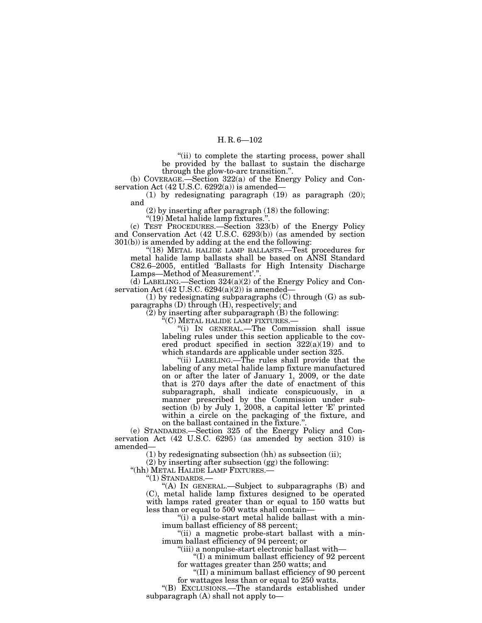"(ii) to complete the starting process, power shall be provided by the ballast to sustain the discharge through the glow-to-arc transition.''.

(b) COVERAGE.—Section 322(a) of the Energy Policy and Conservation Act (42 U.S.C. 6292(a)) is amended—

(1) by redesignating paragraph (19) as paragraph (20); and

(2) by inserting after paragraph (18) the following:

" $(19)$  Metal halide lamp fixtures.

(c) TEST PROCEDURES.—Section 323(b) of the Energy Policy and Conservation Act (42 U.S.C. 6293(b)) (as amended by section 301(b)) is amended by adding at the end the following:

"(18) METAL HALIDE LAMP BALLASTS.—Test procedures for metal halide lamp ballasts shall be based on ANSI Standard C82.6–2005, entitled 'Ballasts for High Intensity Discharge Lamps—Method of Measurement'.''.

(d) LABELING.—Section 324(a)(2) of the Energy Policy and Conservation Act (42 U.S.C. 6294(a)(2)) is amended—

(1) by redesignating subparagraphs (C) through (G) as subparagraphs (D) through (H), respectively; and

 $(2)$  by inserting after subparagraph  $(B)$  the following:<br>"(C) METAL HALIDE LAMP FIXTURES.—

"(i) IN GENERAL.—The Commission shall issue labeling rules under this section applicable to the covered product specified in section  $322(a)(19)$  and to which standards are applicable under section 325.

''(ii) LABELING.—The rules shall provide that the labeling of any metal halide lamp fixture manufactured on or after the later of January 1, 2009, or the date that is 270 days after the date of enactment of this subparagraph, shall indicate conspicuously, in a manner prescribed by the Commission under subsection (b) by July 1, 2008, a capital letter 'E' printed within a circle on the packaging of the fixture, and on the ballast contained in the fixture.''.

(e) STANDARDS.—Section 325 of the Energy Policy and Conservation Act  $(42 \text{ U.S.C. } 6295)$  (as amended by section 310) is amended—

 $(1)$  by redesignating subsection  $(hh)$  as subsection  $(ii)$ ;

(2) by inserting after subsection (gg) the following: " $(hh)$  METAL HALIDE LAMP FIXTURES.—

"(1) STANDARDS.—<br>"(A) IN GENERAL.—Subject to subparagraphs (B) and (C), metal halide lamp fixtures designed to be operated with lamps rated greater than or equal to 150 watts but less than or equal to 500 watts shall contain—

"(i) a pulse-start metal halide ballast with a minimum ballast efficiency of 88 percent;

"(ii) a magnetic probe-start ballast with a minimum ballast efficiency of 94 percent; or

''(iii) a nonpulse-start electronic ballast with—

''(I) a minimum ballast efficiency of 92 percent for wattages greater than 250 watts; and

''(II) a minimum ballast efficiency of 90 percent for wattages less than or equal to 250 watts.

''(B) EXCLUSIONS.—The standards established under subparagraph (A) shall not apply to—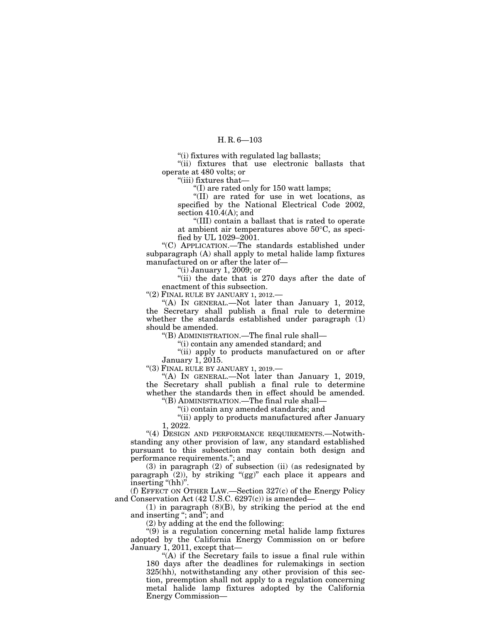''(i) fixtures with regulated lag ballasts;

''(ii) fixtures that use electronic ballasts that operate at 480 volts; or

''(iii) fixtures that—

''(I) are rated only for 150 watt lamps;

''(II) are rated for use in wet locations, as specified by the National Electrical Code 2002, section 410.4(A); and

''(III) contain a ballast that is rated to operate at ambient air temperatures above 50°C, as specified by UL 1029–2001.

''(C) APPLICATION.—The standards established under subparagraph (A) shall apply to metal halide lamp fixtures manufactured on or after the later of—

''(i) January 1, 2009; or

"(ii) the date that is 270 days after the date of enactment of this subsection.

''(2) FINAL RULE BY JANUARY 1, 2012.—

''(A) IN GENERAL.—Not later than January 1, 2012, the Secretary shall publish a final rule to determine whether the standards established under paragraph (1) should be amended.

''(B) ADMINISTRATION.—The final rule shall—

''(i) contain any amended standard; and

''(ii) apply to products manufactured on or after January 1, 2015.

''(3) FINAL RULE BY JANUARY 1, 2019.—

''(A) IN GENERAL.—Not later than January 1, 2019, the Secretary shall publish a final rule to determine whether the standards then in effect should be amended.

''(B) ADMINISTRATION.—The final rule shall—

''(i) contain any amended standards; and

''(ii) apply to products manufactured after January 1, 2022.

"(4) DESIGN AND PERFORMANCE REQUIREMENTS.—Notwithstanding any other provision of law, any standard established pursuant to this subsection may contain both design and performance requirements.''; and

(3) in paragraph (2) of subsection (ii) (as redesignated by paragraph  $(2)$ ), by striking " $(gg)$ " each place it appears and inserting "(hh)".

(f) EFFECT ON OTHER LAW.—Section 327(c) of the Energy Policy and Conservation Act (42 U.S.C. 6297(c)) is amended—

(1) in paragraph (8)(B), by striking the period at the end and inserting ''; and''; and

(2) by adding at the end the following:

 $'(9)$  is a regulation concerning metal halide lamp fixtures adopted by the California Energy Commission on or before January 1, 2011, except that—

"(A) if the Secretary fails to issue a final rule within 180 days after the deadlines for rulemakings in section 325(hh), notwithstanding any other provision of this section, preemption shall not apply to a regulation concerning metal halide lamp fixtures adopted by the California Energy Commission—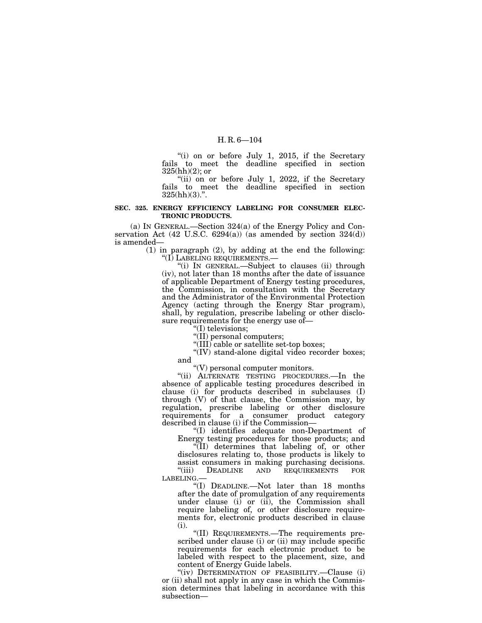"(i) on or before July 1, 2015, if the Secretary fails to meet the deadline specified in section 325(hh)(2); or

"(ii) on or before July 1, 2022, if the Secretary fails to meet the deadline specified in section  $325(hh)(3)$ .".

#### **SEC. 325. ENERGY EFFICIENCY LABELING FOR CONSUMER ELEC-TRONIC PRODUCTS.**

(a) IN GENERAL.—Section 324(a) of the Energy Policy and Conservation Act  $(42 \text{ U.S.C. } 6294(a))$  (as amended by section  $324(d)$ ) is amended—

(1) in paragraph (2), by adding at the end the following: ''(I) LABELING REQUIREMENTS.—

''(i) IN GENERAL.—Subject to clauses (ii) through (iv), not later than 18 months after the date of issuance of applicable Department of Energy testing procedures, the Commission, in consultation with the Secretary and the Administrator of the Environmental Protection Agency (acting through the Energy Star program), shall, by regulation, prescribe labeling or other disclosure requirements for the energy use of-

''(I) televisions;

''(II) personal computers;

"(III) cable or satellite set-top boxes;

''(IV) stand-alone digital video recorder boxes; and

''(V) personal computer monitors.

''(ii) ALTERNATE TESTING PROCEDURES.—In the absence of applicable testing procedures described in clause (i) for products described in subclauses (I) through (V) of that clause, the Commission may, by regulation, prescribe labeling or other disclosure requirements for a consumer product category described in clause (i) if the Commission—

''(I) identifies adequate non-Department of Energy testing procedures for those products; and

"(II) determines that labeling of, or other disclosures relating to, those products is likely to assist consumers in making purchasing decisions.<br>"(iii) DEADLINE AND REQUIREMENTS FOR

AND REQUIREMENTS FOR LABELING.—

''(I) DEADLINE.—Not later than 18 months after the date of promulgation of any requirements under clause (i) or (ii), the Commission shall require labeling of, or other disclosure requirements for, electronic products described in clause (i).

''(II) REQUIREMENTS.—The requirements prescribed under clause (i) or (ii) may include specific requirements for each electronic product to be labeled with respect to the placement, size, and content of Energy Guide labels.

"(iv) DETERMINATION OF FEASIBILITY.—Clause (i) or (ii) shall not apply in any case in which the Commission determines that labeling in accordance with this subsection—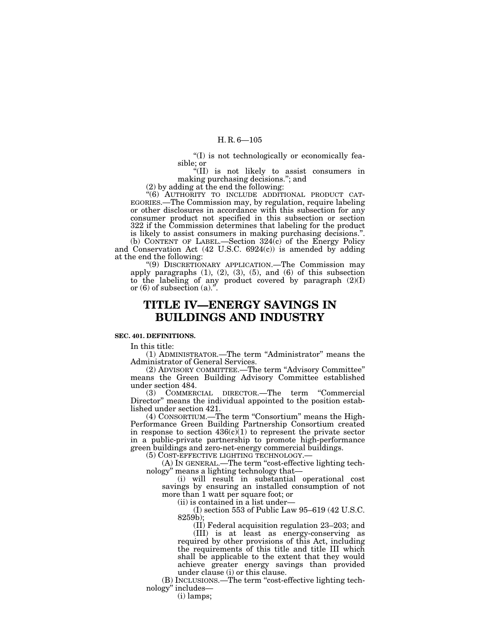''(I) is not technologically or economically feasible; or

''(II) is not likely to assist consumers in making purchasing decisions.''; and

(2) by adding at the end the following:

 $\cdot^{\alpha}$ (6) AUTHORITY TO INCLUDE ADDITIONAL PRODUCT CATEGORIES.—The Commission may, by regulation, require labeling or other disclosures in accordance with this subsection for any consumer product not specified in this subsection or section 322 if the Commission determines that labeling for the product is likely to assist consumers in making purchasing decisions.''.

(b) CONTENT OF LABEL.—Section 324(c) of the Energy Policy and Conservation Act (42 U.S.C. 6924(c)) is amended by adding at the end the following:

''(9) DISCRETIONARY APPLICATION.—The Commission may apply paragraphs  $(1)$ ,  $(2)$ ,  $(3)$ ,  $(5)$ , and  $(6)$  of this subsection to the labeling of any product covered by paragraph  $(2)(I)$ or  $(6)$  of subsection  $(a)$ .".

# **TITLE IV—ENERGY SAVINGS IN BUILDINGS AND INDUSTRY**

#### **SEC. 401. DEFINITIONS.**

In this title:

(1) ADMINISTRATOR.—The term ''Administrator'' means the Administrator of General Services.

(2) ADVISORY COMMITTEE.—The term ''Advisory Committee'' means the Green Building Advisory Committee established under section 484.

(3) COMMERCIAL DIRECTOR.—The term ''Commercial Director'' means the individual appointed to the position established under section 421.

(4) CONSORTIUM.—The term "Consortium" means the High-Performance Green Building Partnership Consortium created in response to section  $436(c)(1)$  to represent the private sector in a public-private partnership to promote high-performance green buildings and zero-net-energy commercial buildings.

(5) COST-EFFECTIVE LIGHTING TECHNOLOGY.— (A) IN GENERAL.—The term ''cost-effective lighting technology'' means a lighting technology that—

(i) will result in substantial operational cost savings by ensuring an installed consumption of not more than 1 watt per square foot; or

(ii) is contained in a list under—

(I) section 553 of Public Law 95–619 (42 U.S.C. 8259b);

(II) Federal acquisition regulation 23–203; and

(III) is at least as energy-conserving as required by other provisions of this Act, including the requirements of this title and title III which shall be applicable to the extent that they would achieve greater energy savings than provided under clause (i) or this clause.

(B) INCLUSIONS.—The term ''cost-effective lighting technology'' includes—

(i) lamps;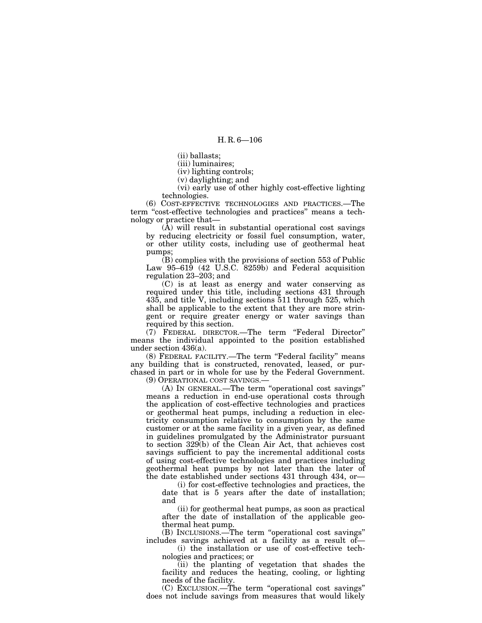(ii) ballasts;

(iii) luminaires;

(iv) lighting controls;

(v) daylighting; and

(vi) early use of other highly cost-effective lighting technologies.

(6) COST-EFFECTIVE TECHNOLOGIES AND PRACTICES.—The term ''cost-effective technologies and practices'' means a technology or practice that—

(A) will result in substantial operational cost savings by reducing electricity or fossil fuel consumption, water, or other utility costs, including use of geothermal heat pumps;

 $(B)$  complies with the provisions of section 553 of Public Law 95–619 (42 U.S.C. 8259b) and Federal acquisition regulation 23–203; and

(C) is at least as energy and water conserving as required under this title, including sections 431 through 435, and title V, including sections 511 through 525, which shall be applicable to the extent that they are more stringent or require greater energy or water savings than required by this section.

(7) FEDERAL DIRECTOR.—The term ''Federal Director'' means the individual appointed to the position established under section 436(a).

(8) FEDERAL FACILITY.—The term ''Federal facility'' means any building that is constructed, renovated, leased, or purchased in part or in whole for use by the Federal Government.

(9) OPERATIONAL COST SAVINGS.—

(A) IN GENERAL.—The term ''operational cost savings'' means a reduction in end-use operational costs through the application of cost-effective technologies and practices or geothermal heat pumps, including a reduction in electricity consumption relative to consumption by the same customer or at the same facility in a given year, as defined in guidelines promulgated by the Administrator pursuant to section 329(b) of the Clean Air Act, that achieves cost savings sufficient to pay the incremental additional costs of using cost-effective technologies and practices including geothermal heat pumps by not later than the later of the date established under sections 431 through 434, or—

(i) for cost-effective technologies and practices, the date that is 5 years after the date of installation; and

(ii) for geothermal heat pumps, as soon as practical after the date of installation of the applicable geothermal heat pump.

(B) INCLUSIONS.—The term ''operational cost savings'' includes savings achieved at a facility as a result of—

(i) the installation or use of cost-effective technologies and practices; or

(ii) the planting of vegetation that shades the facility and reduces the heating, cooling, or lighting needs of the facility.

(C) EXCLUSION.—The term ''operational cost savings'' does not include savings from measures that would likely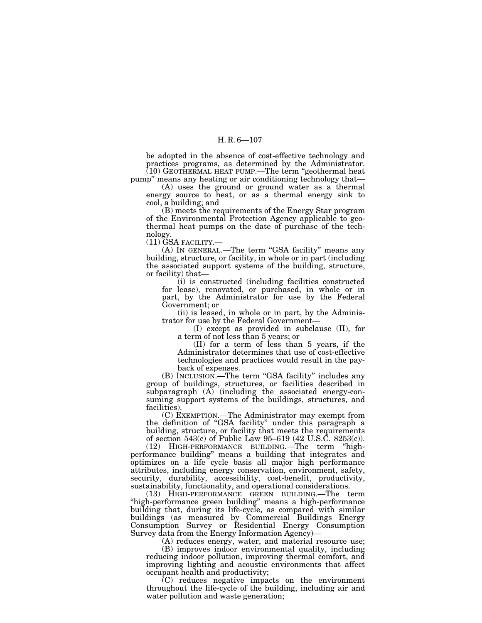be adopted in the absence of cost-effective technology and practices programs, as determined by the Administrator. (10) GEOTHERMAL HEAT PUMP.—The term ''geothermal heat

pump'' means any heating or air conditioning technology that— (A) uses the ground or ground water as a thermal

energy source to heat, or as a thermal energy sink to cool, a building; and

(B) meets the requirements of the Energy Star program of the Environmental Protection Agency applicable to geothermal heat pumps on the date of purchase of the technology.

(11) GSA FACILITY.—

(A) IN GENERAL.—The term ''GSA facility'' means any building, structure, or facility, in whole or in part (including the associated support systems of the building, structure, or facility) that—

(i) is constructed (including facilities constructed for lease), renovated, or purchased, in whole or in part, by the Administrator for use by the Federal Government; or

(ii) is leased, in whole or in part, by the Administrator for use by the Federal Government—

(I) except as provided in subclause (II), for a term of not less than 5 years; or

(II) for a term of less than 5 years, if the Administrator determines that use of cost-effective technologies and practices would result in the payback of expenses.

(B) INCLUSION.—The term ''GSA facility'' includes any group of buildings, structures, or facilities described in  $subparagraph$  (A) (including the associated energy-consuming support systems of the buildings, structures, and facilities).

(C) EXEMPTION.—The Administrator may exempt from the definition of ''GSA facility'' under this paragraph a building, structure, or facility that meets the requirements of section 543(c) of Public Law 95–619 (42 U.S.C. 8253(c)).

(12) HIGH-PERFORMANCE BUILDING.—The term ''highperformance building'' means a building that integrates and optimizes on a life cycle basis all major high performance attributes, including energy conservation, environment, safety, security, durability, accessibility, cost-benefit, productivity, sustainability, functionality, and operational considerations.

(13) HIGH-PERFORMANCE GREEN BUILDING.—The term ''high-performance green building'' means a high-performance building that, during its life-cycle, as compared with similar buildings (as measured by Commercial Buildings Energy Consumption Survey or Residential Energy Consumption Survey data from the Energy Information Agency)—

(A) reduces energy, water, and material resource use;

(B) improves indoor environmental quality, including reducing indoor pollution, improving thermal comfort, and improving lighting and acoustic environments that affect occupant health and productivity;

(C) reduces negative impacts on the environment throughout the life-cycle of the building, including air and water pollution and waste generation;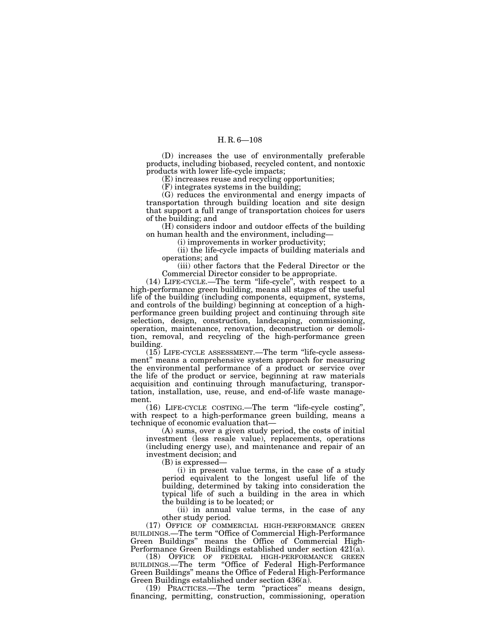(D) increases the use of environmentally preferable products, including biobased, recycled content, and nontoxic products with lower life-cycle impacts;

(E) increases reuse and recycling opportunities;

(F) integrates systems in the building;

(G) reduces the environmental and energy impacts of transportation through building location and site design that support a full range of transportation choices for users of the building; and

(H) considers indoor and outdoor effects of the building on human health and the environment, including—

(i) improvements in worker productivity;

(ii) the life-cycle impacts of building materials and operations; and

(iii) other factors that the Federal Director or the Commercial Director consider to be appropriate.

(14) LIFE-CYCLE.—The term ''life-cycle'', with respect to a high-performance green building, means all stages of the useful life of the building (including components, equipment, systems, and controls of the building) beginning at conception of a highperformance green building project and continuing through site selection, design, construction, landscaping, commissioning, operation, maintenance, renovation, deconstruction or demolition, removal, and recycling of the high-performance green building.

(15) LIFE-CYCLE ASSESSMENT.—The term ''life-cycle assessment'' means a comprehensive system approach for measuring the environmental performance of a product or service over the life of the product or service, beginning at raw materials acquisition and continuing through manufacturing, transportation, installation, use, reuse, and end-of-life waste management.

(16) LIFE-CYCLE COSTING.—The term ''life-cycle costing'', with respect to a high-performance green building, means a technique of economic evaluation that—

(A) sums, over a given study period, the costs of initial investment (less resale value), replacements, operations (including energy use), and maintenance and repair of an investment decision; and

(B) is expressed—

(i) in present value terms, in the case of a study period equivalent to the longest useful life of the building, determined by taking into consideration the typical life of such a building in the area in which the building is to be located; or

(ii) in annual value terms, in the case of any other study period.

(17) OFFICE OF COMMERCIAL HIGH-PERFORMANCE GREEN BUILDINGS.—The term ''Office of Commercial High-Performance Green Buildings'' means the Office of Commercial High-Performance Green Buildings established under section 421(a).

(18) OFFICE OF FEDERAL HIGH-PERFORMANCE GREEN BUILDINGS.—The term ''Office of Federal High-Performance Green Buildings'' means the Office of Federal High-Performance Green Buildings established under section 436(a).

(19) PRACTICES.—The term ''practices'' means design, financing, permitting, construction, commissioning, operation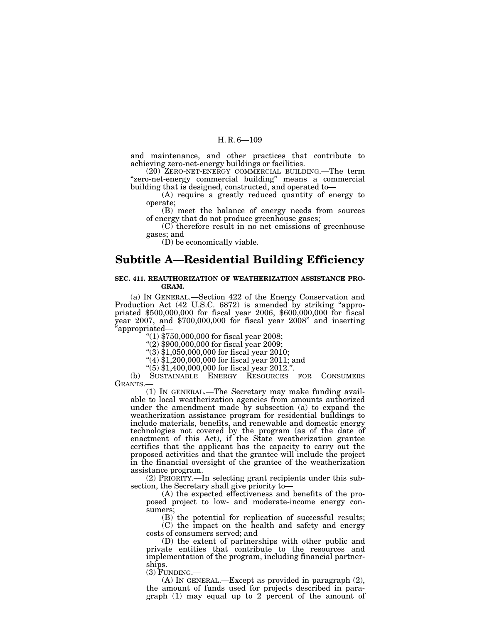and maintenance, and other practices that contribute to achieving zero-net-energy buildings or facilities.

(20) ZERO-NET-ENERGY COMMERCIAL BUILDING.—The term "zero-net-energy commercial building" means a commercial building that is designed, constructed, and operated to—

(A) require a greatly reduced quantity of energy to operate;

(B) meet the balance of energy needs from sources of energy that do not produce greenhouse gases;

(C) therefore result in no net emissions of greenhouse gases; and

(D) be economically viable.

# **Subtitle A—Residential Building Efficiency**

#### **SEC. 411. REAUTHORIZATION OF WEATHERIZATION ASSISTANCE PRO-GRAM.**

(a) IN GENERAL.—Section 422 of the Energy Conservation and Production Act (42 U.S.C. 6872) is amended by striking "appropriated \$500,000,000 for fiscal year 2006, \$600,000,000 for fiscal year 2007, and \$700,000,000 for fiscal year 2008'' and inserting ''appropriated—

''(1) \$750,000,000 for fiscal year 2008;

''(2) \$900,000,000 for fiscal year 2009;

''(3) \$1,050,000,000 for fiscal year 2010;

 $(4)$ \$1,200,000,000 for fiscal year 2011; and

 $(5)$ \$1,400,000,000 for fiscal year 2012.".

(b) SUSTAINABLE ENERGY RESOURCES FOR CONSUMERS GRANTS.—

(1) IN GENERAL.—The Secretary may make funding available to local weatherization agencies from amounts authorized under the amendment made by subsection (a) to expand the weatherization assistance program for residential buildings to include materials, benefits, and renewable and domestic energy technologies not covered by the program (as of the date of enactment of this Act), if the State weatherization grantee certifies that the applicant has the capacity to carry out the proposed activities and that the grantee will include the project in the financial oversight of the grantee of the weatherization assistance program.

(2) PRIORITY.—In selecting grant recipients under this subsection, the Secretary shall give priority to—

(A) the expected effectiveness and benefits of the proposed project to low- and moderate-income energy consumers;

(B) the potential for replication of successful results; (C) the impact on the health and safety and energy

costs of consumers served; and (D) the extent of partnerships with other public and private entities that contribute to the resources and implementation of the program, including financial partnerships.

(3) FUNDING.—

(A) IN GENERAL.—Except as provided in paragraph (2), the amount of funds used for projects described in paragraph (1) may equal up to 2 percent of the amount of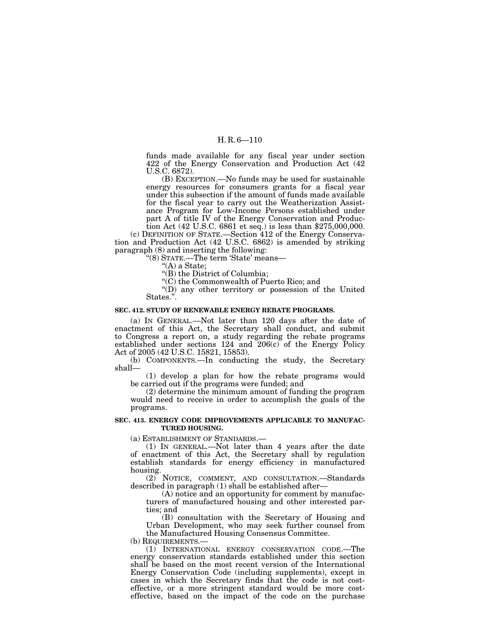funds made available for any fiscal year under section 422 of the Energy Conservation and Production Act (42 U.S.C. 6872).

(B) EXCEPTION.—No funds may be used for sustainable energy resources for consumers grants for a fiscal year under this subsection if the amount of funds made available for the fiscal year to carry out the Weatherization Assistance Program for Low-Income Persons established under part A of title IV of the Energy Conservation and Production Act (42 U.S.C. 6861 et seq.) is less than \$275,000,000.

(c) DEFINITION OF STATE.—Section 412 of the Energy Conservation and Production Act (42 U.S.C. 6862) is amended by striking paragraph (8) and inserting the following:

''(8) STATE.—The term 'State' means—

''(A) a State;

''(B) the District of Columbia;

''(C) the Commonwealth of Puerto Rico; and

''(D) any other territory or possession of the United States.''.

### **SEC. 412. STUDY OF RENEWABLE ENERGY REBATE PROGRAMS.**

(a) IN GENERAL.—Not later than 120 days after the date of enactment of this Act, the Secretary shall conduct, and submit to Congress a report on, a study regarding the rebate programs established under sections 124 and 206(c) of the Energy Policy Act of 2005 (42 U.S.C. 15821, 15853).

(b) COMPONENTS.—In conducting the study, the Secretary shall—

(1) develop a plan for how the rebate programs would be carried out if the programs were funded; and

(2) determine the minimum amount of funding the program would need to receive in order to accomplish the goals of the programs.

#### **SEC. 413. ENERGY CODE IMPROVEMENTS APPLICABLE TO MANUFAC-TURED HOUSING.**

(a) ESTABLISHMENT OF STANDARDS.— (1) IN GENERAL.—Not later than 4 years after the date of enactment of this Act, the Secretary shall by regulation establish standards for energy efficiency in manufactured housing.

(2) NOTICE, COMMENT, AND CONSULTATION.—Standards described in paragraph (1) shall be established after—

(A) notice and an opportunity for comment by manufacturers of manufactured housing and other interested parties; and

(B) consultation with the Secretary of Housing and Urban Development, who may seek further counsel from the Manufactured Housing Consensus Committee.

(b) REQUIREMENTS.—

(1) INTERNATIONAL ENERGY CONSERVATION CODE.—The energy conservation standards established under this section shall be based on the most recent version of the International Energy Conservation Code (including supplements), except in cases in which the Secretary finds that the code is not costeffective, or a more stringent standard would be more costeffective, based on the impact of the code on the purchase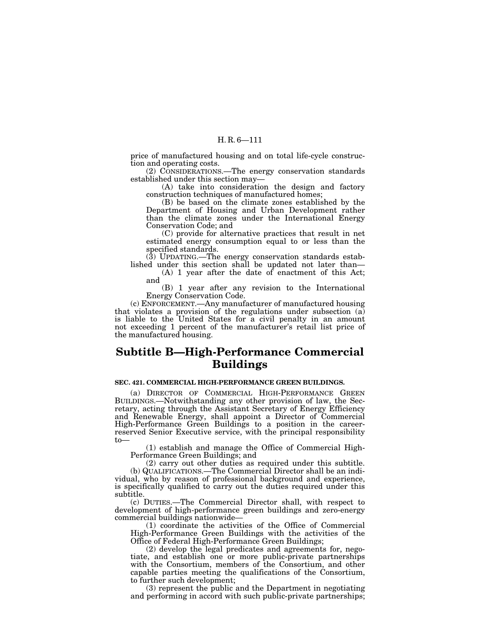price of manufactured housing and on total life-cycle construction and operating costs.

(2) CONSIDERATIONS.—The energy conservation standards established under this section may—

(A) take into consideration the design and factory construction techniques of manufactured homes;

(B) be based on the climate zones established by the Department of Housing and Urban Development rather than the climate zones under the International Energy Conservation Code; and

(C) provide for alternative practices that result in net estimated energy consumption equal to or less than the specified standards.

(3) UPDATING.—The energy conservation standards established under this section shall be updated not later than—

(A) 1 year after the date of enactment of this Act; and

(B) 1 year after any revision to the International Energy Conservation Code.

(c) ENFORCEMENT.—Any manufacturer of manufactured housing that violates a provision of the regulations under subsection (a) is liable to the United States for a civil penalty in an amount not exceeding 1 percent of the manufacturer's retail list price of the manufactured housing.

# **Subtitle B—High-Performance Commercial Buildings**

#### **SEC. 421. COMMERCIAL HIGH-PERFORMANCE GREEN BUILDINGS.**

(a) DIRECTOR OF COMMERCIAL HIGH-PERFORMANCE GREEN BUILDINGS.—Notwithstanding any other provision of law, the Secretary, acting through the Assistant Secretary of Energy Efficiency and Renewable Energy, shall appoint a Director of Commercial High-Performance Green Buildings to a position in the careerreserved Senior Executive service, with the principal responsibility to—

(1) establish and manage the Office of Commercial High-Performance Green Buildings; and

(2) carry out other duties as required under this subtitle. (b) QUALIFICATIONS.—The Commercial Director shall be an individual, who by reason of professional background and experience, is specifically qualified to carry out the duties required under this subtitle.

(c) DUTIES.—The Commercial Director shall, with respect to development of high-performance green buildings and zero-energy commercial buildings nationwide—

(1) coordinate the activities of the Office of Commercial High-Performance Green Buildings with the activities of the Office of Federal High-Performance Green Buildings;

(2) develop the legal predicates and agreements for, negotiate, and establish one or more public-private partnerships with the Consortium, members of the Consortium, and other capable parties meeting the qualifications of the Consortium, to further such development;

(3) represent the public and the Department in negotiating and performing in accord with such public-private partnerships;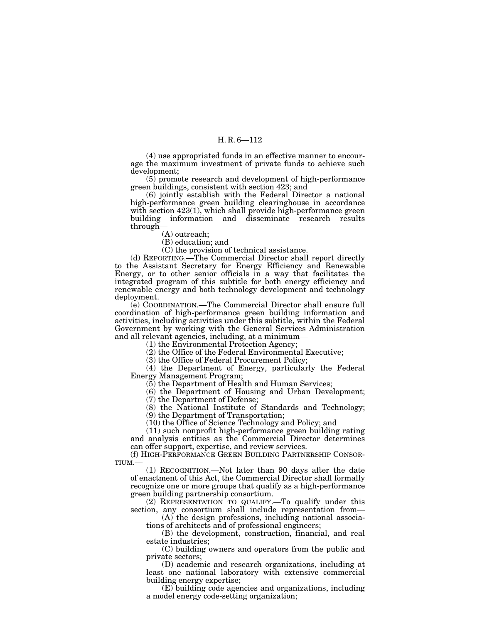(4) use appropriated funds in an effective manner to encourage the maximum investment of private funds to achieve such development;

(5) promote research and development of high-performance green buildings, consistent with section 423; and

(6) jointly establish with the Federal Director a national high-performance green building clearinghouse in accordance with section 423(1), which shall provide high-performance green building information and disseminate research results through—

(A) outreach;

(B) education; and

(C) the provision of technical assistance.

(d) REPORTING.—The Commercial Director shall report directly to the Assistant Secretary for Energy Efficiency and Renewable Energy, or to other senior officials in a way that facilitates the integrated program of this subtitle for both energy efficiency and renewable energy and both technology development and technology deployment.

(e) COORDINATION.—The Commercial Director shall ensure full coordination of high-performance green building information and activities, including activities under this subtitle, within the Federal Government by working with the General Services Administration and all relevant agencies, including, at a minimum—

(1) the Environmental Protection Agency;

(2) the Office of the Federal Environmental Executive;

(3) the Office of Federal Procurement Policy;

(4) the Department of Energy, particularly the Federal Energy Management Program;

(5) the Department of Health and Human Services;

(6) the Department of Housing and Urban Development;

(7) the Department of Defense;

(8) the National Institute of Standards and Technology; (9) the Department of Transportation;

(10) the Office of Science Technology and Policy; and

(11) such nonprofit high-performance green building rating and analysis entities as the Commercial Director determines can offer support, expertise, and review services.

(f) HIGH-PERFORMANCE GREEN BUILDING PARTNERSHIP CONSOR- TIUM.—

(1) RECOGNITION.—Not later than 90 days after the date of enactment of this Act, the Commercial Director shall formally recognize one or more groups that qualify as a high-performance green building partnership consortium.

(2) REPRESENTATION TO QUALIFY.—To qualify under this section, any consortium shall include representation from—

(A) the design professions, including national associations of architects and of professional engineers;

(B) the development, construction, financial, and real estate industries;

(C) building owners and operators from the public and private sectors;

(D) academic and research organizations, including at least one national laboratory with extensive commercial building energy expertise;

(E) building code agencies and organizations, including a model energy code-setting organization;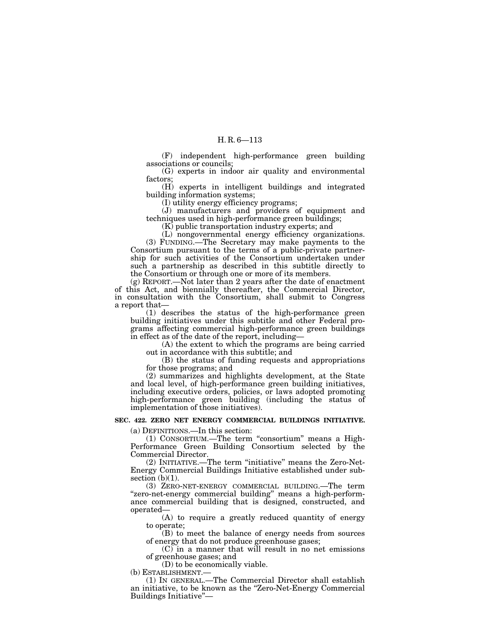(F) independent high-performance green building associations or councils;

(G) experts in indoor air quality and environmental factors;

(H) experts in intelligent buildings and integrated building information systems;

(I) utility energy efficiency programs;

(J) manufacturers and providers of equipment and techniques used in high-performance green buildings;

(K) public transportation industry experts; and

(L) nongovernmental energy efficiency organizations. (3) FUNDING.—The Secretary may make payments to the Consortium pursuant to the terms of a public-private partnership for such activities of the Consortium undertaken under such a partnership as described in this subtitle directly to the Consortium or through one or more of its members.

(g) REPORT.—Not later than 2 years after the date of enactment of this Act, and biennially thereafter, the Commercial Director, in consultation with the Consortium, shall submit to Congress a report that—

(1) describes the status of the high-performance green building initiatives under this subtitle and other Federal programs affecting commercial high-performance green buildings in effect as of the date of the report, including—

(A) the extent to which the programs are being carried out in accordance with this subtitle; and

(B) the status of funding requests and appropriations for those programs; and

(2) summarizes and highlights development, at the State and local level, of high-performance green building initiatives, including executive orders, policies, or laws adopted promoting high-performance green building (including the status of implementation of those initiatives).

### **SEC. 422. ZERO NET ENERGY COMMERCIAL BUILDINGS INITIATIVE.**

(a) DEFINITIONS.—In this section:

(1) CONSORTIUM.—The term "consortium" means a High-Performance Green Building Consortium selected by the Commercial Director.

(2) INITIATIVE.—The term ''initiative'' means the Zero-Net-Energy Commercial Buildings Initiative established under subsection  $(b)(1)$ .

(3) ZERO-NET-ENERGY COMMERCIAL BUILDING.—The term "zero-net-energy commercial building" means a high-performance commercial building that is designed, constructed, and operated—

(A) to require a greatly reduced quantity of energy to operate;

(B) to meet the balance of energy needs from sources of energy that do not produce greenhouse gases;

(C) in a manner that will result in no net emissions of greenhouse gases; and

(D) to be economically viable.

(b) ESTABLISHMENT.— (1) IN GENERAL.—The Commercial Director shall establish an initiative, to be known as the ''Zero-Net-Energy Commercial Buildings Initiative''—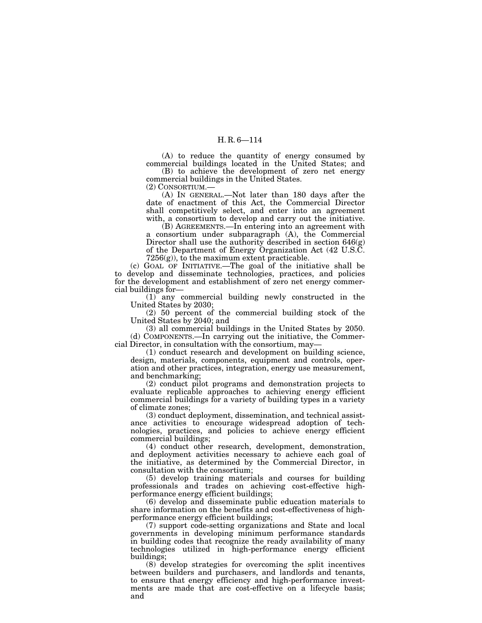(A) to reduce the quantity of energy consumed by commercial buildings located in the United States; and

(B) to achieve the development of zero net energy commercial buildings in the United States.

(2) CONSORTIUM.—

(A) IN GENERAL.—Not later than 180 days after the date of enactment of this Act, the Commercial Director shall competitively select, and enter into an agreement with, a consortium to develop and carry out the initiative.

(B) AGREEMENTS.—In entering into an agreement with a consortium under subparagraph (A), the Commercial Director shall use the authority described in section 646(g) of the Department of Energy Organization Act (42 U.S.C. 7256(g)), to the maximum extent practicable.

(c) GOAL OF INITIATIVE.—The goal of the initiative shall be to develop and disseminate technologies, practices, and policies for the development and establishment of zero net energy commercial buildings for—

(1) any commercial building newly constructed in the United States by 2030;

(2) 50 percent of the commercial building stock of the United States by 2040; and

(3) all commercial buildings in the United States by 2050. (d) COMPONENTS.—In carrying out the initiative, the Commercial Director, in consultation with the consortium, may—

(1) conduct research and development on building science, design, materials, components, equipment and controls, operation and other practices, integration, energy use measurement, and benchmarking;

(2) conduct pilot programs and demonstration projects to evaluate replicable approaches to achieving energy efficient commercial buildings for a variety of building types in a variety of climate zones;

(3) conduct deployment, dissemination, and technical assistance activities to encourage widespread adoption of technologies, practices, and policies to achieve energy efficient commercial buildings;

(4) conduct other research, development, demonstration, and deployment activities necessary to achieve each goal of the initiative, as determined by the Commercial Director, in consultation with the consortium;

(5) develop training materials and courses for building professionals and trades on achieving cost-effective highperformance energy efficient buildings;

(6) develop and disseminate public education materials to share information on the benefits and cost-effectiveness of highperformance energy efficient buildings;

(7) support code-setting organizations and State and local governments in developing minimum performance standards in building codes that recognize the ready availability of many technologies utilized in high-performance energy efficient buildings;

(8) develop strategies for overcoming the split incentives between builders and purchasers, and landlords and tenants, to ensure that energy efficiency and high-performance investments are made that are cost-effective on a lifecycle basis; and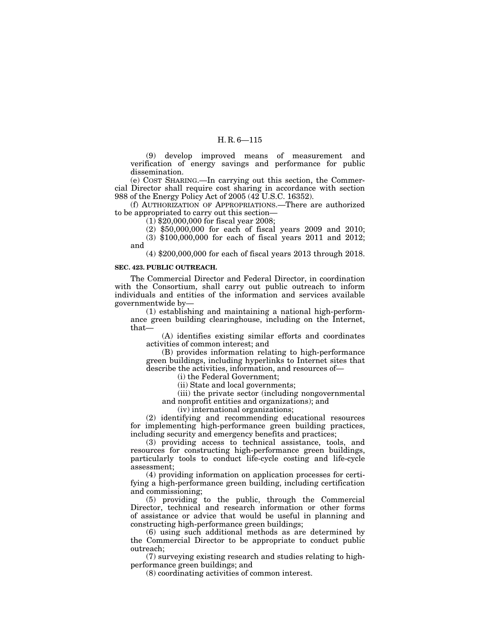(9) develop improved means of measurement and verification of energy savings and performance for public dissemination.

(e) COST SHARING.—In carrying out this section, the Commercial Director shall require cost sharing in accordance with section 988 of the Energy Policy Act of 2005 (42 U.S.C. 16352).

(f) AUTHORIZATION OF APPROPRIATIONS.—There are authorized to be appropriated to carry out this section—

 $(1)$  \$20,000,000 for fiscal year 2008;

(2) \$50,000,000 for each of fiscal years 2009 and 2010;

(3) \$100,000,000 for each of fiscal years 2011 and 2012; and

(4) \$200,000,000 for each of fiscal years 2013 through 2018.

### **SEC. 423. PUBLIC OUTREACH.**

The Commercial Director and Federal Director, in coordination with the Consortium, shall carry out public outreach to inform individuals and entities of the information and services available governmentwide by—

(1) establishing and maintaining a national high-performance green building clearinghouse, including on the Internet, that—

(A) identifies existing similar efforts and coordinates activities of common interest; and

(B) provides information relating to high-performance green buildings, including hyperlinks to Internet sites that describe the activities, information, and resources of—

(i) the Federal Government;

(ii) State and local governments;

(iii) the private sector (including nongovernmental

and nonprofit entities and organizations); and

(iv) international organizations;

(2) identifying and recommending educational resources for implementing high-performance green building practices, including security and emergency benefits and practices;

(3) providing access to technical assistance, tools, and resources for constructing high-performance green buildings, particularly tools to conduct life-cycle costing and life-cycle assessment;

(4) providing information on application processes for certifying a high-performance green building, including certification and commissioning;

(5) providing to the public, through the Commercial Director, technical and research information or other forms of assistance or advice that would be useful in planning and constructing high-performance green buildings;

(6) using such additional methods as are determined by the Commercial Director to be appropriate to conduct public outreach;

(7) surveying existing research and studies relating to highperformance green buildings; and

(8) coordinating activities of common interest.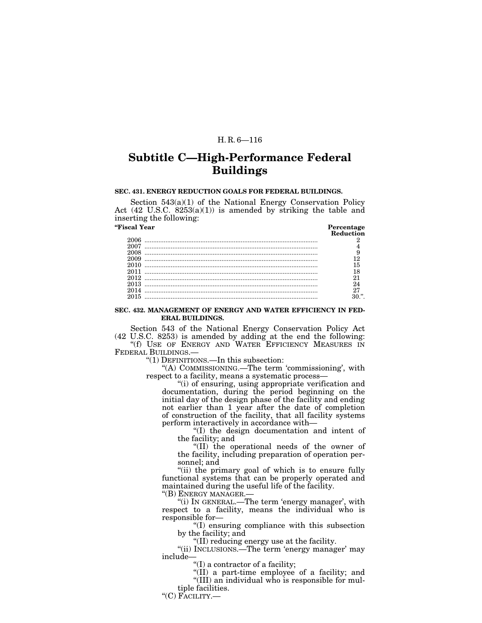# **Subtitle C—High-Performance Federal Buildings**

### **SEC. 431. ENERGY REDUCTION GOALS FOR FEDERAL BUILDINGS.**

Section 543(a)(1) of the National Energy Conservation Policy Act (42 U.S.C. 8253(a)(1)) is amended by striking the table and inserting the following: **''Fiscal Year Percentage** 

**Reduction** 

| 2012 |  |
|------|--|
|      |  |
|      |  |
| 2015 |  |
|      |  |

### **SEC. 432. MANAGEMENT OF ENERGY AND WATER EFFICIENCY IN FED-ERAL BUILDINGS.**

Section 543 of the National Energy Conservation Policy Act (42 U.S.C. 8253) is amended by adding at the end the following: ''(f) USE OF ENERGY AND WATER EFFICIENCY MEASURES IN FEDERAL BUILDINGS.—

''(1) DEFINITIONS.—In this subsection:

''(A) COMMISSIONING.—The term 'commissioning', with respect to a facility, means a systematic process—

"(i) of ensuring, using appropriate verification and documentation, during the period beginning on the initial day of the design phase of the facility and ending not earlier than 1 year after the date of completion of construction of the facility, that all facility systems perform interactively in accordance with—

''(I) the design documentation and intent of the facility; and

''(II) the operational needs of the owner of the facility, including preparation of operation personnel; and

"(ii) the primary goal of which is to ensure fully functional systems that can be properly operated and maintained during the useful life of the facility.<br>"(B) ENERGY MANAGER.—

''(B) ENERGY MANAGER.— ''(i) IN GENERAL.—The term 'energy manager', with respect to a facility, means the individual who is responsible for—

''(I) ensuring compliance with this subsection by the facility; and

''(II) reducing energy use at the facility.

"(ii) INCLUSIONS.—The term 'energy manager' may include—

''(I) a contractor of a facility;

''(II) a part-time employee of a facility; and

''(III) an individual who is responsible for mul-

tiple facilities. ''(C) FACILITY.—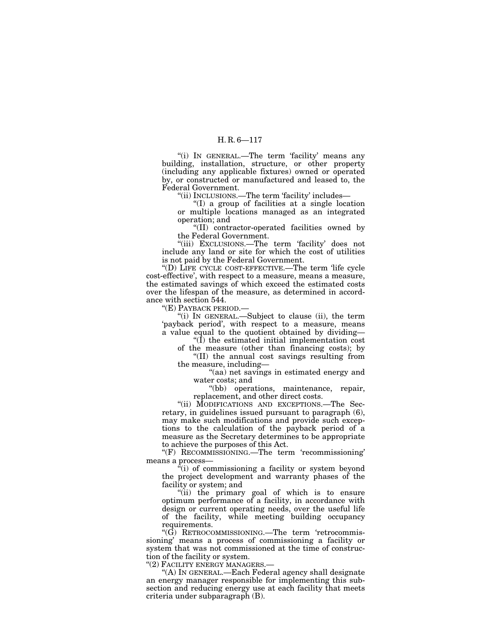''(i) IN GENERAL.—The term 'facility' means any building, installation, structure, or other property (including any applicable fixtures) owned or operated by, or constructed or manufactured and leased to, the Federal Government.

"(ii) INCLUSIONS.—The term 'facility' includes—

''(I) a group of facilities at a single location or multiple locations managed as an integrated operation; and

''(II) contractor-operated facilities owned by the Federal Government.

"(iii) EXCLUSIONS.—The term 'facility' does not include any land or site for which the cost of utilities is not paid by the Federal Government.

''(D) LIFE CYCLE COST-EFFECTIVE.—The term 'life cycle cost-effective', with respect to a measure, means a measure, the estimated savings of which exceed the estimated costs over the lifespan of the measure, as determined in accordance with section 544.

''(E) PAYBACK PERIOD.—

''(i) IN GENERAL.—Subject to clause (ii), the term 'payback period', with respect to a measure, means a value equal to the quotient obtained by dividing—

''(I) the estimated initial implementation cost

of the measure (other than financing costs); by ''(II) the annual cost savings resulting from

the measure, including—

"(aa) net savings in estimated energy and water costs; and

''(bb) operations, maintenance, repair, replacement, and other direct costs.

''(ii) MODIFICATIONS AND EXCEPTIONS.—The Secretary, in guidelines issued pursuant to paragraph (6), may make such modifications and provide such exceptions to the calculation of the payback period of a measure as the Secretary determines to be appropriate to achieve the purposes of this Act.

''(F) RECOMMISSIONING.—The term 'recommissioning' means a process—

''(i) of commissioning a facility or system beyond the project development and warranty phases of the facility or system; and

"(ii) the primary goal of which is to ensure optimum performance of a facility, in accordance with design or current operating needs, over the useful life of the facility, while meeting building occupancy requirements.

" $(\vec{G})$  RETROCOMMISSIONING.—The term 'retrocommissioning' means a process of commissioning a facility or system that was not commissioned at the time of construction of the facility or system.

"(2) FACILITY ENERGY MANAGERS.-

''(A) IN GENERAL.—Each Federal agency shall designate an energy manager responsible for implementing this subsection and reducing energy use at each facility that meets criteria under subparagraph (B).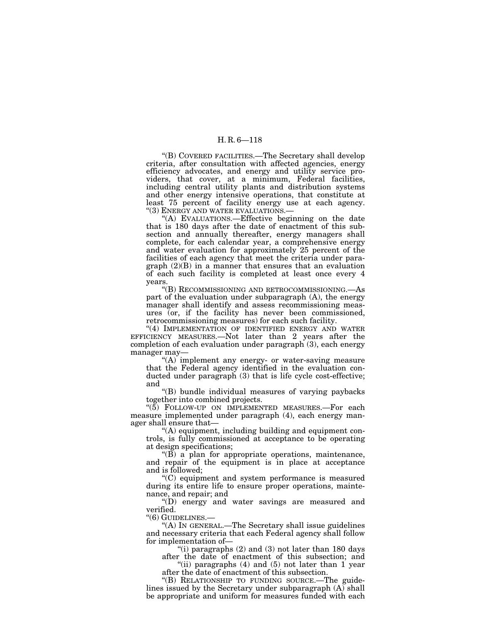''(B) COVERED FACILITIES.—The Secretary shall develop criteria, after consultation with affected agencies, energy efficiency advocates, and energy and utility service providers, that cover, at a minimum, Federal facilities, including central utility plants and distribution systems and other energy intensive operations, that constitute at least 75 percent of facility energy use at each agency. ''(3) ENERGY AND WATER EVALUATIONS.—

''(A) EVALUATIONS.—Effective beginning on the date that is 180 days after the date of enactment of this subsection and annually thereafter, energy managers shall complete, for each calendar year, a comprehensive energy and water evaluation for approximately 25 percent of the facilities of each agency that meet the criteria under paragraph (2)(B) in a manner that ensures that an evaluation of each such facility is completed at least once every 4 years.

''(B) RECOMMISSIONING AND RETROCOMMISSIONING.—As part of the evaluation under subparagraph (A), the energy manager shall identify and assess recommissioning measures (or, if the facility has never been commissioned, retrocommissioning measures) for each such facility.

"(4) IMPLEMENTATION OF IDENTIFIED ENERGY AND WATER EFFICIENCY MEASURES.—Not later than 2 years after the completion of each evaluation under paragraph (3), each energy manager may—

"(A) implement any energy- or water-saving measure that the Federal agency identified in the evaluation conducted under paragraph (3) that is life cycle cost-effective; and

''(B) bundle individual measures of varying paybacks together into combined projects.

"(5) FOLLOW-UP ON IMPLEMENTED MEASURES.-For each measure implemented under paragraph (4), each energy manager shall ensure that—

''(A) equipment, including building and equipment controls, is fully commissioned at acceptance to be operating at design specifications;

 $\mathrm{``(B)}$  a plan for appropriate operations, maintenance, and repair of the equipment is in place at acceptance and is followed;

''(C) equipment and system performance is measured during its entire life to ensure proper operations, maintenance, and repair; and

"(D) energy and water savings are measured and verified.

''(6) GUIDELINES.—

''(A) IN GENERAL.—The Secretary shall issue guidelines and necessary criteria that each Federal agency shall follow for implementation of—

"(i) paragraphs  $(2)$  and  $(3)$  not later than 180 days after the date of enactment of this subsection; and

''(ii) paragraphs (4) and (5) not later than 1 year after the date of enactment of this subsection.

''(B) RELATIONSHIP TO FUNDING SOURCE.—The guidelines issued by the Secretary under subparagraph (A) shall be appropriate and uniform for measures funded with each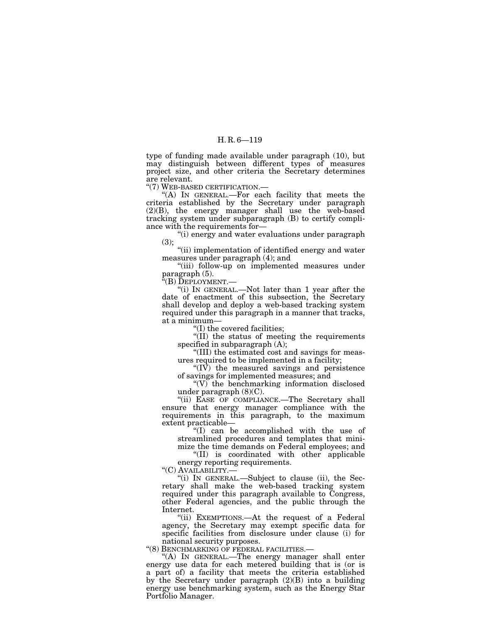type of funding made available under paragraph (10), but may distinguish between different types of measures project size, and other criteria the Secretary determines are relevant.

''(7) WEB-BASED CERTIFICATION.—

"(A) IN GENERAL.—For each facility that meets the criteria established by the Secretary under paragraph (2)(B), the energy manager shall use the web-based tracking system under subparagraph (B) to certify compliance with the requirements for—

''(i) energy and water evaluations under paragraph (3);

"(ii) implementation of identified energy and water measures under paragraph (4); and

''(iii) follow-up on implemented measures under paragraph (5).

<sup>t</sup>(B) DEPLOYMENT.—

''(i) IN GENERAL.—Not later than 1 year after the date of enactment of this subsection, the Secretary shall develop and deploy a web-based tracking system required under this paragraph in a manner that tracks, at a minimum—

''(I) the covered facilities;

''(II) the status of meeting the requirements specified in subparagraph (A);

''(III) the estimated cost and savings for measures required to be implemented in a facility;

 $\sqrt[4]{\text{IV}}$  the measured savings and persistence of savings for implemented measures; and

 $\sqrt{\rm V}$  the benchmarking information disclosed under paragraph (8)(C).

"(ii) EASE OF COMPLIANCE.—The Secretary shall ensure that energy manager compliance with the requirements in this paragraph, to the maximum extent practicable—

''(I) can be accomplished with the use of streamlined procedures and templates that mini-

mize the time demands on Federal employees; and ''(II) is coordinated with other applicable energy reporting requirements.

''(C) AVAILABILITY.—

''(i) IN GENERAL.—Subject to clause (ii), the Secretary shall make the web-based tracking system required under this paragraph available to Congress, other Federal agencies, and the public through the Internet.

"(ii) EXEMPTIONS.—At the request of a Federal agency, the Secretary may exempt specific data for specific facilities from disclosure under clause (i) for national security purposes.

''(8) BENCHMARKING OF FEDERAL FACILITIES.—

''(A) IN GENERAL.—The energy manager shall enter energy use data for each metered building that is (or is a part of) a facility that meets the criteria established by the Secretary under paragraph (2)(B) into a building energy use benchmarking system, such as the Energy Star Portfolio Manager.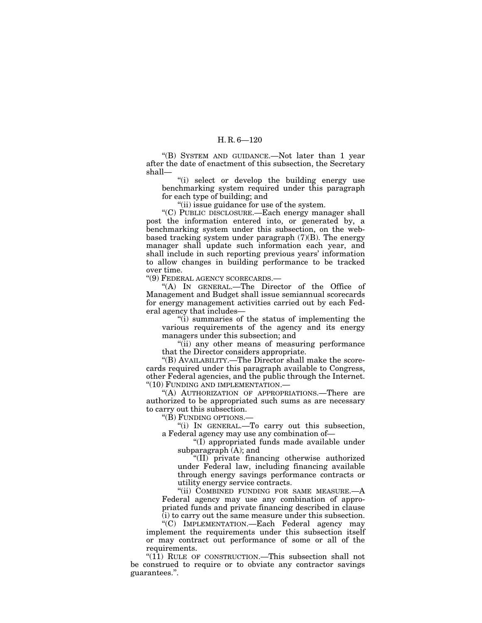''(B) SYSTEM AND GUIDANCE.—Not later than 1 year after the date of enactment of this subsection, the Secretary shall—

''(i) select or develop the building energy use benchmarking system required under this paragraph for each type of building; and

"(ii) issue guidance for use of the system.

''(C) PUBLIC DISCLOSURE.—Each energy manager shall post the information entered into, or generated by, a benchmarking system under this subsection, on the webbased tracking system under paragraph (7)(B). The energy manager shall update such information each year, and shall include in such reporting previous years' information to allow changes in building performance to be tracked over time.

''(9) FEDERAL AGENCY SCORECARDS.—

''(A) IN GENERAL.—The Director of the Office of Management and Budget shall issue semiannual scorecards for energy management activities carried out by each Federal agency that includes—

''(i) summaries of the status of implementing the various requirements of the agency and its energy managers under this subsection; and

''(ii) any other means of measuring performance that the Director considers appropriate.

''(B) AVAILABILITY.—The Director shall make the scorecards required under this paragraph available to Congress, other Federal agencies, and the public through the Internet. ''(10) FUNDING AND IMPLEMENTATION.—

''(A) AUTHORIZATION OF APPROPRIATIONS.—There are authorized to be appropriated such sums as are necessary to carry out this subsection.

''(B) FUNDING OPTIONS.—

''(i) IN GENERAL.—To carry out this subsection, a Federal agency may use any combination of—

''(I) appropriated funds made available under subparagraph (A); and

''(II) private financing otherwise authorized under Federal law, including financing available through energy savings performance contracts or utility energy service contracts.

"(ii) COMBINED FUNDING FOR SAME MEASURE.-- A Federal agency may use any combination of appropriated funds and private financing described in clause  $\overline{a}$  (i) to carry out the same measure under this subsection.

''(C) IMPLEMENTATION.—Each Federal agency may implement the requirements under this subsection itself or may contract out performance of some or all of the requirements.

"(11) RULE OF CONSTRUCTION.—This subsection shall not be construed to require or to obviate any contractor savings guarantees.''.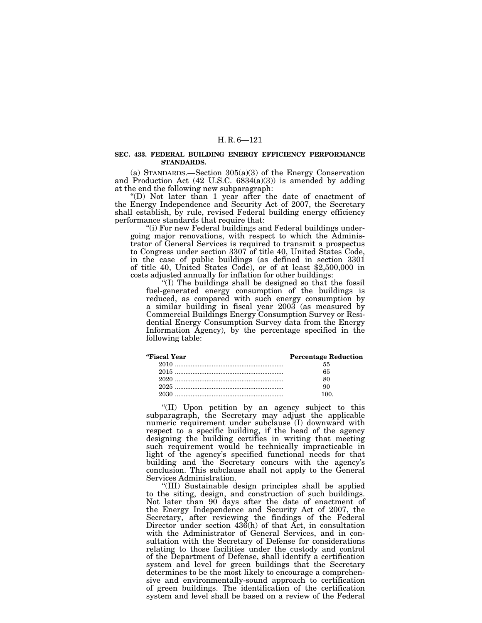### **SEC. 433. FEDERAL BUILDING ENERGY EFFICIENCY PERFORMANCE STANDARDS.**

(a) STANDARDS.—Section 305(a)(3) of the Energy Conservation and Production Act  $(42 \text{ U.S.C. } 6834(a)(3))$  is amended by adding at the end the following new subparagraph:

''(D) Not later than 1 year after the date of enactment of the Energy Independence and Security Act of 2007, the Secretary shall establish, by rule, revised Federal building energy efficiency performance standards that require that:

"(i) For new Federal buildings and Federal buildings undergoing major renovations, with respect to which the Administrator of General Services is required to transmit a prospectus to Congress under section 3307 of title 40, United States Code, in the case of public buildings (as defined in section 3301 of title 40, United States Code), or of at least \$2,500,000 in costs adjusted annually for inflation for other buildings:

''(I) The buildings shall be designed so that the fossil fuel-generated energy consumption of the buildings is reduced, as compared with such energy consumption by a similar building in fiscal year 2003 (as measured by Commercial Buildings Energy Consumption Survey or Residential Energy Consumption Survey data from the Energy Information Agency), by the percentage specified in the following table:

| <b>"Fiscal Year</b> |  |
|---------------------|--|
|---------------------|--|

**Percentage Reduction** 2010 .............................................................. 55 2015 .............................................................. 65

| 2020 |            |
|------|------------|
| 2025 | 90         |
| 2030 | <b>100</b> |
|      |            |

''(II) Upon petition by an agency subject to this subparagraph, the Secretary may adjust the applicable numeric requirement under subclause (I) downward with respect to a specific building, if the head of the agency designing the building certifies in writing that meeting such requirement would be technically impracticable in light of the agency's specified functional needs for that building and the Secretary concurs with the agency's conclusion. This subclause shall not apply to the General Services Administration.

''(III) Sustainable design principles shall be applied to the siting, design, and construction of such buildings. Not later than 90 days after the date of enactment of the Energy Independence and Security Act of 2007, the Secretary, after reviewing the findings of the Federal Director under section 436(h) of that Act, in consultation with the Administrator of General Services, and in consultation with the Secretary of Defense for considerations relating to those facilities under the custody and control of the Department of Defense, shall identify a certification system and level for green buildings that the Secretary determines to be the most likely to encourage a comprehensive and environmentally-sound approach to certification of green buildings. The identification of the certification system and level shall be based on a review of the Federal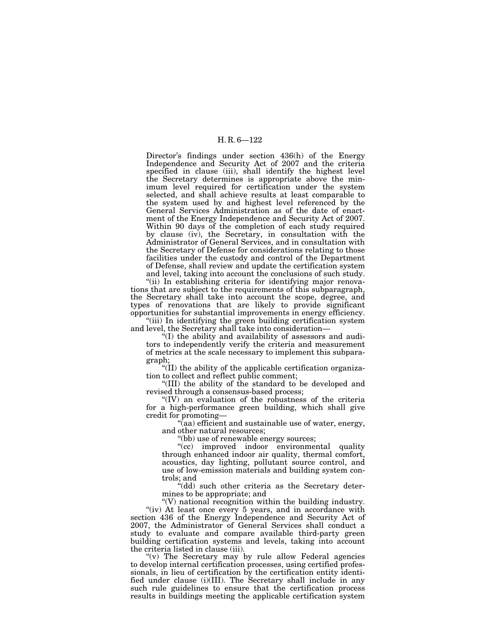Director's findings under section 436(h) of the Energy Independence and Security Act of 2007 and the criteria specified in clause (iii), shall identify the highest level the Secretary determines is appropriate above the minimum level required for certification under the system selected, and shall achieve results at least comparable to the system used by and highest level referenced by the General Services Administration as of the date of enactment of the Energy Independence and Security Act of 2007. Within 90 days of the completion of each study required by clause (iv), the Secretary, in consultation with the Administrator of General Services, and in consultation with the Secretary of Defense for considerations relating to those facilities under the custody and control of the Department of Defense, shall review and update the certification system and level, taking into account the conclusions of such study.

"(ii) In establishing criteria for identifying major renovations that are subject to the requirements of this subparagraph, the Secretary shall take into account the scope, degree, and types of renovations that are likely to provide significant opportunities for substantial improvements in energy efficiency.

"(iii) In identifying the green building certification system and level, the Secretary shall take into consideration—

 $\mathrm{H}(I)$  the ability and availability of assessors and auditors to independently verify the criteria and measurement of metrics at the scale necessary to implement this subparagraph;

''(II) the ability of the applicable certification organization to collect and reflect public comment;

''(III) the ability of the standard to be developed and revised through a consensus-based process;

''(IV) an evaluation of the robustness of the criteria for a high-performance green building, which shall give credit for promoting—

"(aa) efficient and sustainable use of water, energy, and other natural resources;

"(bb) use of renewable energy sources;

"(cc) improved indoor environmental quality through enhanced indoor air quality, thermal comfort, acoustics, day lighting, pollutant source control, and use of low-emission materials and building system controls; and

''(dd) such other criteria as the Secretary determines to be appropriate; and

''(V) national recognition within the building industry.

"(iv) At least once every 5 years, and in accordance with section 436 of the Energy Independence and Security Act of 2007, the Administrator of General Services shall conduct a study to evaluate and compare available third-party green building certification systems and levels, taking into account the criteria listed in clause (iii).

"(v) The Secretary may by rule allow Federal agencies to develop internal certification processes, using certified professionals, in lieu of certification by the certification entity identified under clause (i)(III). The Secretary shall include in any such rule guidelines to ensure that the certification process results in buildings meeting the applicable certification system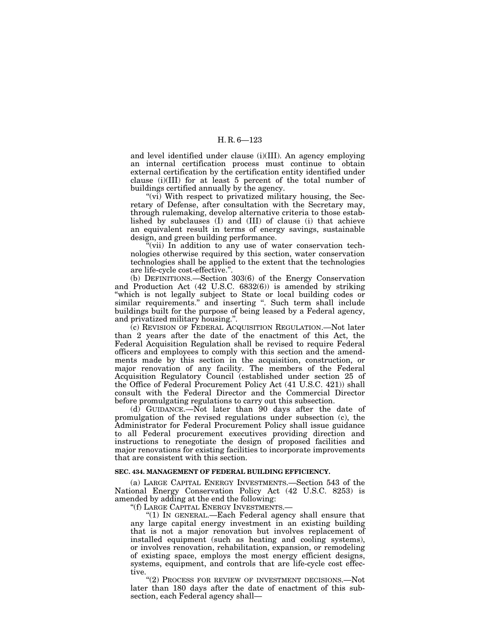and level identified under clause (i)(III). An agency employing an internal certification process must continue to obtain external certification by the certification entity identified under clause (i)(III) for at least 5 percent of the total number of buildings certified annually by the agency.

"(vi) With respect to privatized military housing, the Secretary of Defense, after consultation with the Secretary may, through rulemaking, develop alternative criteria to those established by subclauses (I) and (III) of clause (i) that achieve an equivalent result in terms of energy savings, sustainable design, and green building performance.

 $\tilde{f}(vii)$  In addition to any use of water conservation technologies otherwise required by this section, water conservation technologies shall be applied to the extent that the technologies are life-cycle cost-effective.''.

(b) DEFINITIONS.—Section 303(6) of the Energy Conservation and Production Act (42 U.S.C. 6832(6)) is amended by striking ''which is not legally subject to State or local building codes or similar requirements." and inserting ". Such term shall include buildings built for the purpose of being leased by a Federal agency, and privatized military housing.''.

(c) REVISION OF FEDERAL ACQUISITION REGULATION.—Not later than 2 years after the date of the enactment of this Act, the Federal Acquisition Regulation shall be revised to require Federal officers and employees to comply with this section and the amendments made by this section in the acquisition, construction, or major renovation of any facility. The members of the Federal Acquisition Regulatory Council (established under section 25 of the Office of Federal Procurement Policy Act (41 U.S.C. 421)) shall consult with the Federal Director and the Commercial Director before promulgating regulations to carry out this subsection.

(d) GUIDANCE.—Not later than 90 days after the date of promulgation of the revised regulations under subsection (c), the Administrator for Federal Procurement Policy shall issue guidance to all Federal procurement executives providing direction and instructions to renegotiate the design of proposed facilities and major renovations for existing facilities to incorporate improvements that are consistent with this section.

### **SEC. 434. MANAGEMENT OF FEDERAL BUILDING EFFICIENCY.**

(a) LARGE CAPITAL ENERGY INVESTMENTS.—Section 543 of the National Energy Conservation Policy Act (42 U.S.C. 8253) is amended by adding at the end the following:

''(f) LARGE CAPITAL ENERGY INVESTMENTS.—

"(1) IN GENERAL.—Each Federal agency shall ensure that any large capital energy investment in an existing building that is not a major renovation but involves replacement of installed equipment (such as heating and cooling systems), or involves renovation, rehabilitation, expansion, or remodeling of existing space, employs the most energy efficient designs, systems, equipment, and controls that are life-cycle cost effective.

''(2) PROCESS FOR REVIEW OF INVESTMENT DECISIONS.—Not later than 180 days after the date of enactment of this subsection, each Federal agency shall—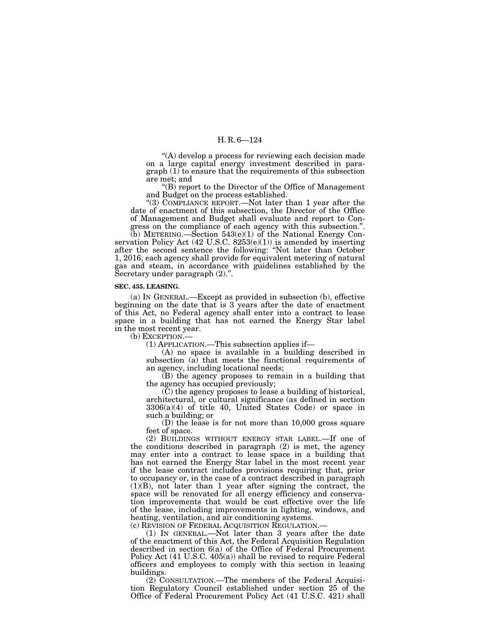''(A) develop a process for reviewing each decision made on a large capital energy investment described in paragraph (1) to ensure that the requirements of this subsection are met; and

 $f(B)$  report to the Director of the Office of Management and Budget on the process established.

''(3) COMPLIANCE REPORT.—Not later than 1 year after the date of enactment of this subsection, the Director of the Office of Management and Budget shall evaluate and report to Congress on the compliance of each agency with this subsection.''.

(b) METERING.—Section  $543(e)(1)$  of the National Energy Conservation Policy Act (42 U.S.C. 8253(e)(1)) is amended by inserting after the second sentence the following: ''Not later than October 1, 2016, each agency shall provide for equivalent metering of natural gas and steam, in accordance with guidelines established by the Secretary under paragraph  $(2)$ .".

### **SEC. 435. LEASING.**

(a) IN GENERAL.—Except as provided in subsection (b), effective beginning on the date that is 3 years after the date of enactment of this Act, no Federal agency shall enter into a contract to lease space in a building that has not earned the Energy Star label in the most recent year.<br>(b) EXCEPTION.—

 $(1)$  APPLICATION.—This subsection applies if—

(A) no space is available in a building described in subsection (a) that meets the functional requirements of an agency, including locational needs;

(B) the agency proposes to remain in a building that the agency has occupied previously;

(C) the agency proposes to lease a building of historical, architectural, or cultural significance (as defined in section 3306(a)(4) of title 40, United States Code) or space in such a building; or

(D) the lease is for not more than 10,000 gross square feet of space.

(2) BUILDINGS WITHOUT ENERGY STAR LABEL.—If one of the conditions described in paragraph (2) is met, the agency may enter into a contract to lease space in a building that has not earned the Energy Star label in the most recent year if the lease contract includes provisions requiring that, prior to occupancy or, in the case of a contract described in paragraph (1)(B), not later than 1 year after signing the contract, the space will be renovated for all energy efficiency and conservation improvements that would be cost effective over the life of the lease, including improvements in lighting, windows, and heating, ventilation, and air conditioning systems.<br>(c) REVISION OF FEDERAL ACQUISITION REGULATION.

 $(1)$  In GENERAL.—Not later than 3 years after the date of the enactment of this Act, the Federal Acquisition Regulation described in section 6(a) of the Office of Federal Procurement Policy Act (41 U.S.C. 405(a)) shall be revised to require Federal officers and employees to comply with this section in leasing buildings.

(2) CONSULTATION.—The members of the Federal Acquisition Regulatory Council established under section 25 of the Office of Federal Procurement Policy Act (41 U.S.C. 421) shall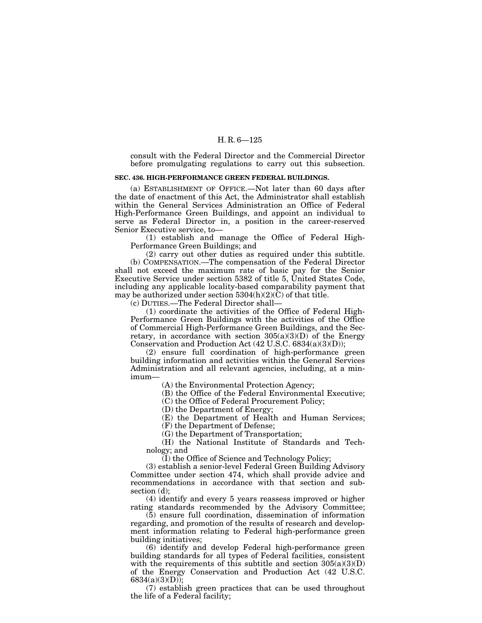consult with the Federal Director and the Commercial Director before promulgating regulations to carry out this subsection.

### **SEC. 436. HIGH-PERFORMANCE GREEN FEDERAL BUILDINGS.**

(a) ESTABLISHMENT OF OFFICE.—Not later than 60 days after the date of enactment of this Act, the Administrator shall establish within the General Services Administration an Office of Federal High-Performance Green Buildings, and appoint an individual to serve as Federal Director in, a position in the career-reserved Senior Executive service, to—

(1) establish and manage the Office of Federal High-Performance Green Buildings; and

(2) carry out other duties as required under this subtitle. (b) COMPENSATION.—The compensation of the Federal Director shall not exceed the maximum rate of basic pay for the Senior Executive Service under section 5382 of title 5, United States Code, including any applicable locality-based comparability payment that may be authorized under section 5304(h)(2)(C) of that title.

(c) DUTIES.—The Federal Director shall—

(1) coordinate the activities of the Office of Federal High-Performance Green Buildings with the activities of the Office of Commercial High-Performance Green Buildings, and the Secretary, in accordance with section  $305(a)(3)(D)$  of the Energy Conservation and Production Act (42 U.S.C. 6834(a)(3)(D));

(2) ensure full coordination of high-performance green building information and activities within the General Services Administration and all relevant agencies, including, at a minimum—

(A) the Environmental Protection Agency;

(B) the Office of the Federal Environmental Executive;

(C) the Office of Federal Procurement Policy;

(D) the Department of Energy;

(E) the Department of Health and Human Services; (F) the Department of Defense;

(G) the Department of Transportation;

(H) the National Institute of Standards and Technology; and

 $(1)$  the Office of Science and Technology Policy;

(3) establish a senior-level Federal Green Building Advisory Committee under section 474, which shall provide advice and recommendations in accordance with that section and subsection (d);

(4) identify and every 5 years reassess improved or higher rating standards recommended by the Advisory Committee;

(5) ensure full coordination, dissemination of information regarding, and promotion of the results of research and development information relating to Federal high-performance green building initiatives;

(6) identify and develop Federal high-performance green building standards for all types of Federal facilities, consistent with the requirements of this subtitle and section  $305(a)(3)(D)$ of the Energy Conservation and Production Act (42 U.S.C. 6834(a)(3)(D));

(7) establish green practices that can be used throughout the life of a Federal facility;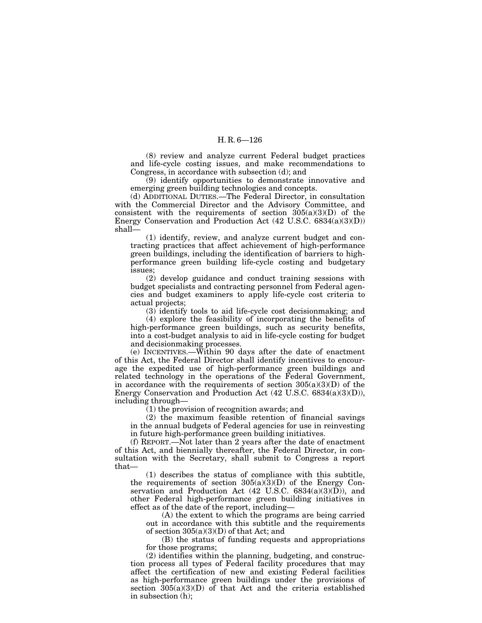(8) review and analyze current Federal budget practices and life-cycle costing issues, and make recommendations to Congress, in accordance with subsection (d); and

(9) identify opportunities to demonstrate innovative and emerging green building technologies and concepts.

(d) ADDITIONAL DUTIES.—The Federal Director, in consultation with the Commercial Director and the Advisory Committee, and consistent with the requirements of section  $305(a)(3)(D)$  of the Energy Conservation and Production Act (42 U.S.C. 6834(a)(3)(D)) shall—

(1) identify, review, and analyze current budget and contracting practices that affect achievement of high-performance green buildings, including the identification of barriers to highperformance green building life-cycle costing and budgetary issues;

(2) develop guidance and conduct training sessions with budget specialists and contracting personnel from Federal agencies and budget examiners to apply life-cycle cost criteria to actual projects;

(3) identify tools to aid life-cycle cost decisionmaking; and

(4) explore the feasibility of incorporating the benefits of high-performance green buildings, such as security benefits, into a cost-budget analysis to aid in life-cycle costing for budget and decisionmaking processes.

(e) INCENTIVES.—Within 90 days after the date of enactment of this Act, the Federal Director shall identify incentives to encourage the expedited use of high-performance green buildings and related technology in the operations of the Federal Government, in accordance with the requirements of section  $305(a)(3)(D)$  of the Energy Conservation and Production Act (42 U.S.C. 6834(a)(3)(D)), including through—

(1) the provision of recognition awards; and

(2) the maximum feasible retention of financial savings in the annual budgets of Federal agencies for use in reinvesting in future high-performance green building initiatives.

(f) REPORT.—Not later than 2 years after the date of enactment of this Act, and biennially thereafter, the Federal Director, in consultation with the Secretary, shall submit to Congress a report that—

(1) describes the status of compliance with this subtitle, the requirements of section  $305(a)(3)(D)$  of the Energy Conservation and Production Act  $(42 \text{ U.S.C. } 6834(a)(3)(D))$ , and other Federal high-performance green building initiatives in effect as of the date of the report, including—

(A) the extent to which the programs are being carried out in accordance with this subtitle and the requirements of section 305(a)(3)(D) of that Act; and

(B) the status of funding requests and appropriations for those programs;

(2) identifies within the planning, budgeting, and construction process all types of Federal facility procedures that may affect the certification of new and existing Federal facilities as high-performance green buildings under the provisions of section  $305(a)(3)(D)$  of that Act and the criteria established in subsection (h);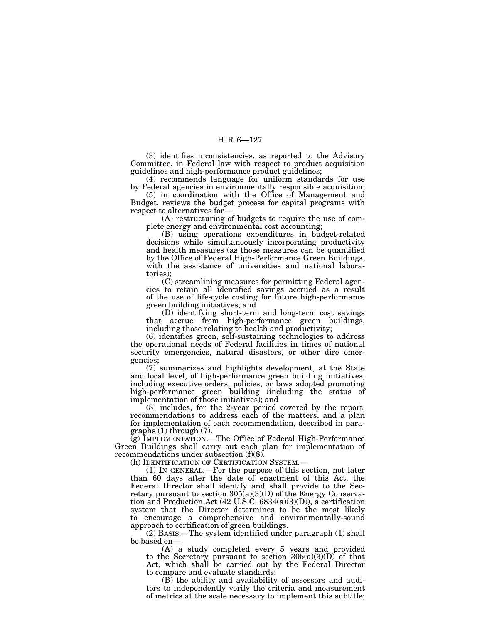(3) identifies inconsistencies, as reported to the Advisory Committee, in Federal law with respect to product acquisition guidelines and high-performance product guidelines;

(4) recommends language for uniform standards for use by Federal agencies in environmentally responsible acquisition;

(5) in coordination with the Office of Management and Budget, reviews the budget process for capital programs with respect to alternatives for—

(A) restructuring of budgets to require the use of complete energy and environmental cost accounting;

(B) using operations expenditures in budget-related decisions while simultaneously incorporating productivity and health measures (as those measures can be quantified by the Office of Federal High-Performance Green Buildings, with the assistance of universities and national laboratories);

(C) streamlining measures for permitting Federal agencies to retain all identified savings accrued as a result of the use of life-cycle costing for future high-performance green building initiatives; and

(D) identifying short-term and long-term cost savings that accrue from high-performance green buildings, including those relating to health and productivity;

(6) identifies green, self-sustaining technologies to address the operational needs of Federal facilities in times of national security emergencies, natural disasters, or other dire emergencies;

(7) summarizes and highlights development, at the State and local level, of high-performance green building initiatives, including executive orders, policies, or laws adopted promoting high-performance green building (including the status of implementation of those initiatives); and

(8) includes, for the 2-year period covered by the report, recommendations to address each of the matters, and a plan for implementation of each recommendation, described in paragraphs (1) through (7).

 $\bar{g}$ ) IMPLEMENTATION.—The Office of Federal High-Performance Green Buildings shall carry out each plan for implementation of recommendations under subsection (f)(8).

(h) IDENTIFICATION OF CERTIFICATION SYSTEM.—

(1) IN GENERAL.—For the purpose of this section, not later than 60 days after the date of enactment of this Act, the Federal Director shall identify and shall provide to the Secretary pursuant to section  $305(a)(3)(D)$  of the Energy Conservation and Production Act (42 U.S.C. 6834(a)(3)(D)), a certification system that the Director determines to be the most likely to encourage a comprehensive and environmentally-sound approach to certification of green buildings.

(2) BASIS.—The system identified under paragraph (1) shall be based on—

(A) a study completed every 5 years and provided to the Secretary pursuant to section 305(a)(3)(D) of that Act, which shall be carried out by the Federal Director to compare and evaluate standards;

(B) the ability and availability of assessors and auditors to independently verify the criteria and measurement of metrics at the scale necessary to implement this subtitle;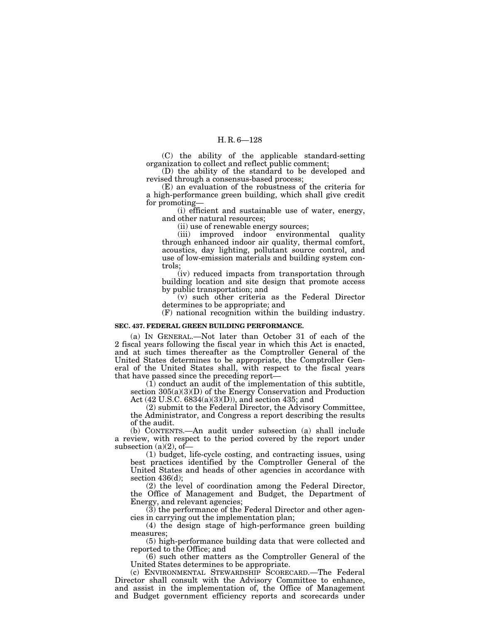(C) the ability of the applicable standard-setting organization to collect and reflect public comment;

(D) the ability of the standard to be developed and revised through a consensus-based process;

(E) an evaluation of the robustness of the criteria for a high-performance green building, which shall give credit for promoting—

(i) efficient and sustainable use of water, energy, and other natural resources;

(ii) use of renewable energy sources;

(iii) improved indoor environmental quality through enhanced indoor air quality, thermal comfort, acoustics, day lighting, pollutant source control, and use of low-emission materials and building system controls;

(iv) reduced impacts from transportation through building location and site design that promote access by public transportation; and

(v) such other criteria as the Federal Director determines to be appropriate; and

(F) national recognition within the building industry.

#### **SEC. 437. FEDERAL GREEN BUILDING PERFORMANCE.**

(a) IN GENERAL.—Not later than October 31 of each of the 2 fiscal years following the fiscal year in which this Act is enacted, and at such times thereafter as the Comptroller General of the United States determines to be appropriate, the Comptroller General of the United States shall, with respect to the fiscal years that have passed since the preceding report—

(1) conduct an audit of the implementation of this subtitle, section 305(a)(3)(D) of the Energy Conservation and Production Act (42 U.S.C. 6834(a)(3)(D)), and section 435; and

(2) submit to the Federal Director, the Advisory Committee, the Administrator, and Congress a report describing the results of the audit.

(b) CONTENTS.—An audit under subsection (a) shall include a review, with respect to the period covered by the report under subsection  $(a)(2)$ , of-

(1) budget, life-cycle costing, and contracting issues, using best practices identified by the Comptroller General of the United States and heads of other agencies in accordance with section 436(d);

(2) the level of coordination among the Federal Director, the Office of Management and Budget, the Department of Energy, and relevant agencies;

(3) the performance of the Federal Director and other agencies in carrying out the implementation plan;

(4) the design stage of high-performance green building measures;

(5) high-performance building data that were collected and reported to the Office; and

(6) such other matters as the Comptroller General of the United States determines to be appropriate.

(c) ENVIRONMENTAL STEWARDSHIP SCORECARD.—The Federal Director shall consult with the Advisory Committee to enhance, and assist in the implementation of, the Office of Management and Budget government efficiency reports and scorecards under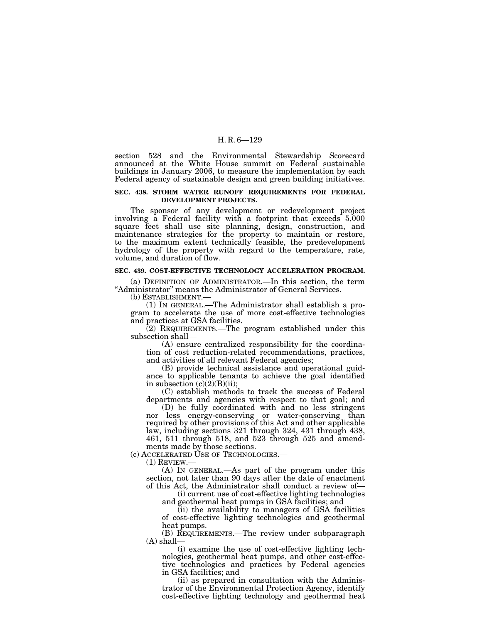section 528 and the Environmental Stewardship Scorecard announced at the White House summit on Federal sustainable buildings in January 2006, to measure the implementation by each Federal agency of sustainable design and green building initiatives.

#### **SEC. 438. STORM WATER RUNOFF REQUIREMENTS FOR FEDERAL DEVELOPMENT PROJECTS.**

The sponsor of any development or redevelopment project involving a Federal facility with a footprint that exceeds 5,000 square feet shall use site planning, design, construction, and maintenance strategies for the property to maintain or restore, to the maximum extent technically feasible, the predevelopment hydrology of the property with regard to the temperature, rate, volume, and duration of flow.

### **SEC. 439. COST-EFFECTIVE TECHNOLOGY ACCELERATION PROGRAM.**

(a) DEFINITION OF ADMINISTRATOR.—In this section, the term "Administrator" means the Administrator of General Services.

(b) ESTABLISHMENT.—

(1) IN GENERAL.—The Administrator shall establish a program to accelerate the use of more cost-effective technologies and practices at GSA facilities.

(2) REQUIREMENTS.—The program established under this subsection shall—

(A) ensure centralized responsibility for the coordination of cost reduction-related recommendations, practices, and activities of all relevant Federal agencies;

(B) provide technical assistance and operational guidance to applicable tenants to achieve the goal identified in subsection  $(c)(2)(B)(ii)$ ;

(C) establish methods to track the success of Federal departments and agencies with respect to that goal; and

(D) be fully coordinated with and no less stringent nor less energy-conserving or water-conserving than required by other provisions of this Act and other applicable law, including sections 321 through 324, 431 through 438, 461, 511 through 518, and 523 through 525 and amendments made by those sections.

(c) ACCELERATED USE OF TECHNOLOGIES.— (1) REVIEW.—

(A) IN GENERAL.—As part of the program under this section, not later than 90 days after the date of enactment of this Act, the Administrator shall conduct a review of—

(i) current use of cost-effective lighting technologies and geothermal heat pumps in GSA facilities; and

 $(iii)$  the availability to managers of GSA facilities of cost-effective lighting technologies and geothermal heat pumps.

(B) REQUIREMENTS.—The review under subparagraph (A) shall—

(i) examine the use of cost-effective lighting technologies, geothermal heat pumps, and other cost-effective technologies and practices by Federal agencies in GSA facilities; and

(ii) as prepared in consultation with the Administrator of the Environmental Protection Agency, identify cost-effective lighting technology and geothermal heat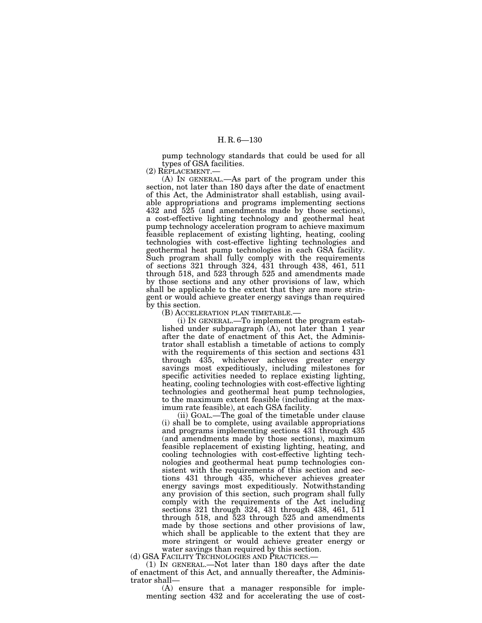pump technology standards that could be used for all types of GSA facilities.

(2) REPLACEMENT.—

(A) IN GENERAL.—As part of the program under this section, not later than 180 days after the date of enactment of this Act, the Administrator shall establish, using available appropriations and programs implementing sections 432 and 525 (and amendments made by those sections), a cost-effective lighting technology and geothermal heat pump technology acceleration program to achieve maximum feasible replacement of existing lighting, heating, cooling technologies with cost-effective lighting technologies and geothermal heat pump technologies in each GSA facility. Such program shall fully comply with the requirements of sections 321 through 324, 431 through 438, 461, 511 through 518, and 523 through 525 and amendments made by those sections and any other provisions of law, which shall be applicable to the extent that they are more stringent or would achieve greater energy savings than required by this section.

(B) ACCELERATION PLAN TIMETABLE.— (i) IN GENERAL.—To implement the program established under subparagraph (A), not later than 1 year after the date of enactment of this Act, the Administrator shall establish a timetable of actions to comply with the requirements of this section and sections 431 through 435, whichever achieves greater energy savings most expeditiously, including milestones for specific activities needed to replace existing lighting, heating, cooling technologies with cost-effective lighting technologies and geothermal heat pump technologies, to the maximum extent feasible (including at the maximum rate feasible), at each GSA facility.

(ii) GOAL.—The goal of the timetable under clause (i) shall be to complete, using available appropriations and programs implementing sections 431 through 435 (and amendments made by those sections), maximum feasible replacement of existing lighting, heating, and cooling technologies with cost-effective lighting technologies and geothermal heat pump technologies consistent with the requirements of this section and sections 431 through 435, whichever achieves greater energy savings most expeditiously. Notwithstanding any provision of this section, such program shall fully comply with the requirements of the Act including sections 321 through 324, 431 through 438, 461, 511 through 518, and 523 through 525 and amendments made by those sections and other provisions of law, which shall be applicable to the extent that they are more stringent or would achieve greater energy or water savings than required by this section.

(d) GSA FACILITY TECHNOLOGIES AND PRACTICES.—

(1) IN GENERAL.—Not later than 180 days after the date of enactment of this Act, and annually thereafter, the Administrator shall—

(A) ensure that a manager responsible for implementing section 432 and for accelerating the use of cost-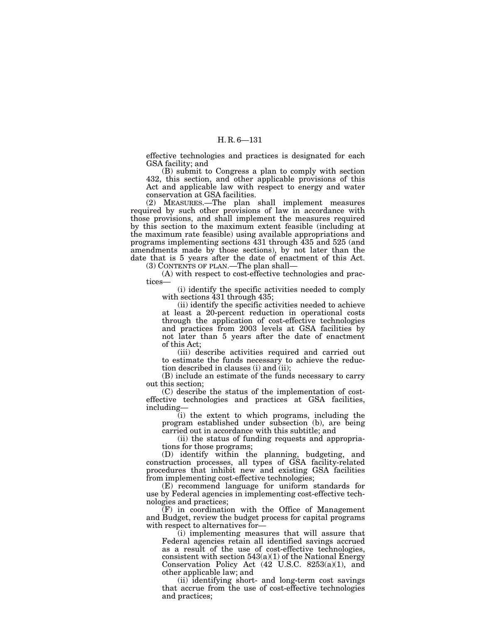effective technologies and practices is designated for each GSA facility; and

(B) submit to Congress a plan to comply with section 432, this section, and other applicable provisions of this Act and applicable law with respect to energy and water conservation at GSA facilities.

(2) MEASURES.—The plan shall implement measures required by such other provisions of law in accordance with those provisions, and shall implement the measures required by this section to the maximum extent feasible (including at the maximum rate feasible) using available appropriations and programs implementing sections 431 through 435 and 525 (and amendments made by those sections), by not later than the date that is 5 years after the date of enactment of this Act.

(3) CONTENTS OF PLAN.—The plan shall—

(A) with respect to cost-effective technologies and practices—

(i) identify the specific activities needed to comply with sections 431 through 435;

(ii) identify the specific activities needed to achieve at least a 20-percent reduction in operational costs through the application of cost-effective technologies and practices from 2003 levels at GSA facilities by not later than 5 years after the date of enactment of this Act;

(iii) describe activities required and carried out to estimate the funds necessary to achieve the reduction described in clauses (i) and (ii);

(B) include an estimate of the funds necessary to carry out this section;

(C) describe the status of the implementation of costeffective technologies and practices at GSA facilities, including—

(i) the extent to which programs, including the program established under subsection (b), are being carried out in accordance with this subtitle; and

(ii) the status of funding requests and appropriations for those programs;

(D) identify within the planning, budgeting, and construction processes, all types of GSA facility-related procedures that inhibit new and existing GSA facilities from implementing cost-effective technologies;

(E) recommend language for uniform standards for use by Federal agencies in implementing cost-effective technologies and practices;

 $(F)$  in coordination with the Office of Management and Budget, review the budget process for capital programs with respect to alternatives for-

(i) implementing measures that will assure that Federal agencies retain all identified savings accrued as a result of the use of cost-effective technologies, consistent with section 543(a)(1) of the National Energy Conservation Policy Act (42 U.S.C. 8253(a)(1), and other applicable law; and

(ii) identifying short- and long-term cost savings that accrue from the use of cost-effective technologies and practices;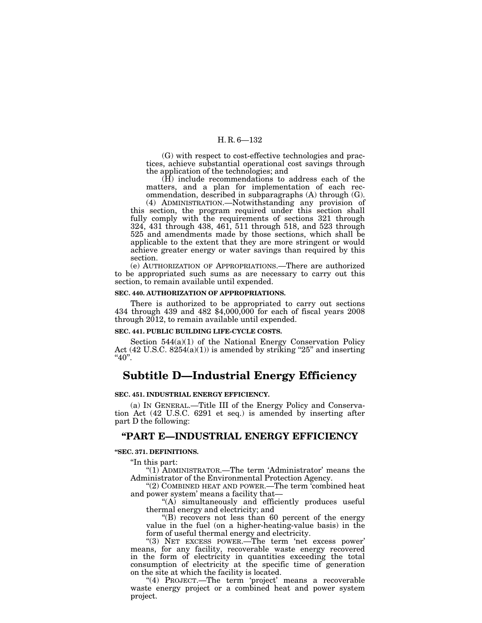(G) with respect to cost-effective technologies and practices, achieve substantial operational cost savings through the application of the technologies; and

(H) include recommendations to address each of the matters, and a plan for implementation of each recommendation, described in subparagraphs (A) through (G).

(4) ADMINISTRATION.—Notwithstanding any provision of this section, the program required under this section shall fully comply with the requirements of sections 321 through 324, 431 through 438, 461, 511 through 518, and 523 through 525 and amendments made by those sections, which shall be applicable to the extent that they are more stringent or would achieve greater energy or water savings than required by this section.

(e) AUTHORIZATION OF APPROPRIATIONS.—There are authorized to be appropriated such sums as are necessary to carry out this section, to remain available until expended.

### **SEC. 440. AUTHORIZATION OF APPROPRIATIONS.**

There is authorized to be appropriated to carry out sections 434 through 439 and 482 \$4,000,000 for each of fiscal years 2008 through  $2012$ , to remain available until expended.

### **SEC. 441. PUBLIC BUILDING LIFE-CYCLE COSTS.**

Section 544(a)(1) of the National Energy Conservation Policy Act  $(42 \text{ U.S.C. } 8254(a)(1))$  is amended by striking "25" and inserting  $"40"$ .

# **Subtitle D—Industrial Energy Efficiency**

### **SEC. 451. INDUSTRIAL ENERGY EFFICIENCY.**

(a) IN GENERAL.—Title III of the Energy Policy and Conservation Act (42 U.S.C. 6291 et seq.) is amended by inserting after part D the following:

## **''PART E—INDUSTRIAL ENERGY EFFICIENCY**

#### **''SEC. 371. DEFINITIONS.**

''In this part:

"(1) ADMINISTRATOR.—The term 'Administrator' means the Administrator of the Environmental Protection Agency.

"(2) COMBINED HEAT AND POWER.—The term  $\epsilon$  combined heat and power system' means a facility that—

"(A) simultaneously and efficiently produces useful thermal energy and electricity; and

''(B) recovers not less than 60 percent of the energy value in the fuel (on a higher-heating-value basis) in the form of useful thermal energy and electricity.

"(3) NET EXCESS POWER.—The term 'net excess power' means, for any facility, recoverable waste energy recovered in the form of electricity in quantities exceeding the total consumption of electricity at the specific time of generation on the site at which the facility is located.

"(4) PROJECT.—The term 'project' means a recoverable waste energy project or a combined heat and power system project.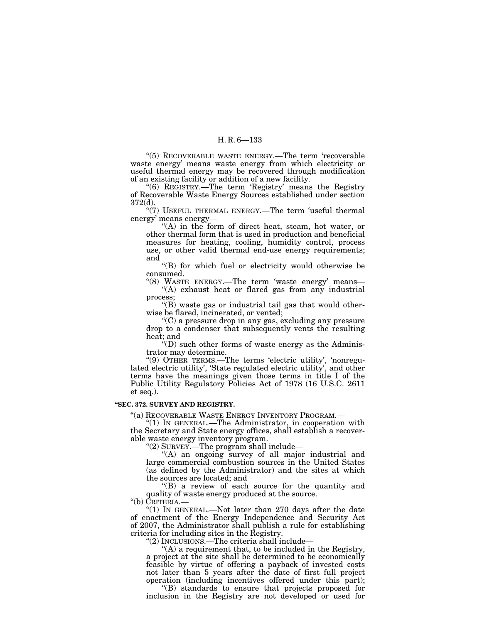"(5) RECOVERABLE WASTE ENERGY.—The term 'recoverable waste energy' means waste energy from which electricity or useful thermal energy may be recovered through modification of an existing facility or addition of a new facility.

''(6) REGISTRY.—The term 'Registry' means the Registry of Recoverable Waste Energy Sources established under section 372(d).

"(7) USEFUL THERMAL ENERGY.—The term 'useful thermal energy' means energy—

 $(A)$  in the form of direct heat, steam, hot water, or other thermal form that is used in production and beneficial measures for heating, cooling, humidity control, process use, or other valid thermal end-use energy requirements; and

''(B) for which fuel or electricity would otherwise be consumed.

"(8) WASTE ENERGY.—The term 'waste energy' means—

''(A) exhaust heat or flared gas from any industrial process;

''(B) waste gas or industrial tail gas that would otherwise be flared, incinerated, or vented;

''(C) a pressure drop in any gas, excluding any pressure drop to a condenser that subsequently vents the resulting heat; and

''(D) such other forms of waste energy as the Administrator may determine.

''(9) OTHER TERMS.—The terms 'electric utility', 'nonregulated electric utility', 'State regulated electric utility', and other terms have the meanings given those terms in title I of the Public Utility Regulatory Policies Act of 1978 (16 U.S.C. 2611 et seq.).

#### **''SEC. 372. SURVEY AND REGISTRY.**

''(a) RECOVERABLE WASTE ENERGY INVENTORY PROGRAM.—

"(1) IN GENERAL.—The Administrator, in cooperation with the Secretary and State energy offices, shall establish a recoverable waste energy inventory program.

''(2) SURVEY.—The program shall include—

''(A) an ongoing survey of all major industrial and large commercial combustion sources in the United States (as defined by the Administrator) and the sites at which the sources are located; and

''(B) a review of each source for the quantity and quality of waste energy produced at the source.

''(b) CRITERIA.—

" $(1)$  In GENERAL.—Not later than 270 days after the date of enactment of the Energy Independence and Security Act of 2007, the Administrator shall publish a rule for establishing criteria for including sites in the Registry.

''(2) INCLUSIONS.—The criteria shall include—

"(A) a requirement that, to be included in the Registry, a project at the site shall be determined to be economically feasible by virtue of offering a payback of invested costs not later than 5 years after the date of first full project operation (including incentives offered under this part);

''(B) standards to ensure that projects proposed for inclusion in the Registry are not developed or used for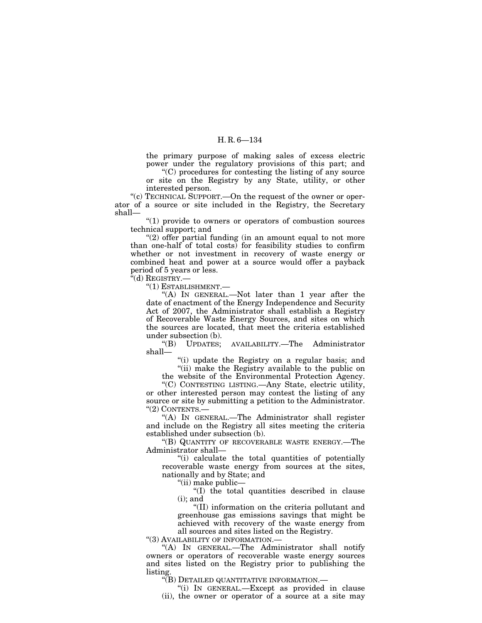the primary purpose of making sales of excess electric power under the regulatory provisions of this part; and

''(C) procedures for contesting the listing of any source or site on the Registry by any State, utility, or other interested person.

"(c) TECHNICAL SUPPORT.—On the request of the owner or operator of a source or site included in the Registry, the Secretary shall—

''(1) provide to owners or operators of combustion sources technical support; and

"(2) offer partial funding (in an amount equal to not more than one-half of total costs) for feasibility studies to confirm whether or not investment in recovery of waste energy or combined heat and power at a source would offer a payback period of 5 years or less.

''(d) REGISTRY.—

''(1) ESTABLISHMENT.—

"(A) In GENERAL.—Not later than 1 year after the date of enactment of the Energy Independence and Security Act of 2007, the Administrator shall establish a Registry of Recoverable Waste Energy Sources, and sites on which the sources are located, that meet the criteria established under subsection (b).<br>
"(B) UPDATES:

UPDATES; AVAILABILITY.—The Administrator shall—

> "(i) update the Registry on a regular basis; and "(ii) make the Registry available to the public on

the website of the Environmental Protection Agency.

''(C) CONTESTING LISTING.—Any State, electric utility,

or other interested person may contest the listing of any source or site by submitting a petition to the Administrator. ''(2) CONTENTS.—

''(A) IN GENERAL.—The Administrator shall register and include on the Registry all sites meeting the criteria established under subsection (b).

''(B) QUANTITY OF RECOVERABLE WASTE ENERGY.—The Administrator shall—

''(i) calculate the total quantities of potentially recoverable waste energy from sources at the sites, nationally and by State; and

''(ii) make public—

''(I) the total quantities described in clause  $(i)$ ; and

''(II) information on the criteria pollutant and greenhouse gas emissions savings that might be achieved with recovery of the waste energy from all sources and sites listed on the Registry.

''(3) AVAILABILITY OF INFORMATION.—

''(A) IN GENERAL.—The Administrator shall notify owners or operators of recoverable waste energy sources and sites listed on the Registry prior to publishing the listing.

''(B) DETAILED QUANTITATIVE INFORMATION.—

''(i) IN GENERAL.—Except as provided in clause (ii), the owner or operator of a source at a site may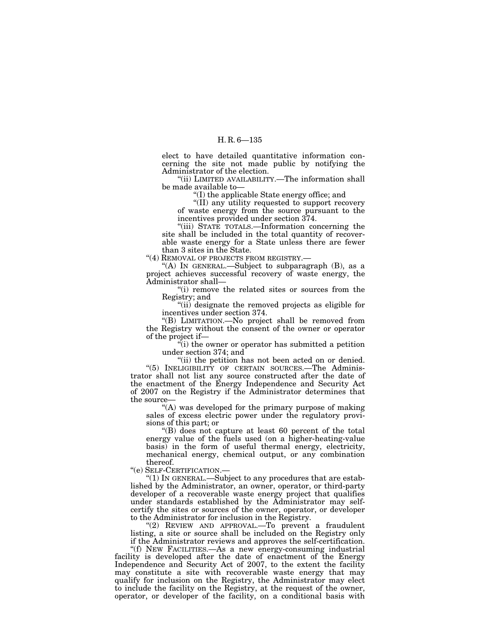elect to have detailed quantitative information concerning the site not made public by notifying the Administrator of the election.

"(ii) LIMITED AVAILABILITY.—The information shall be made available to—

''(I) the applicable State energy office; and

"(II) any utility requested to support recovery of waste energy from the source pursuant to the incentives provided under section 374.

''(iii) STATE TOTALS.—Information concerning the site shall be included in the total quantity of recoverable waste energy for a State unless there are fewer than 3 sites in the State.

"(4) REMOVAL OF PROJECTS FROM REGISTRY.-

''(A) IN GENERAL.—Subject to subparagraph (B), as a project achieves successful recovery of waste energy, the Administrator shall—

"(i) remove the related sites or sources from the Registry; and

''(ii) designate the removed projects as eligible for incentives under section 374.

''(B) LIMITATION.—No project shall be removed from the Registry without the consent of the owner or operator of the project if—

''(i) the owner or operator has submitted a petition under section 374; and

"(ii) the petition has not been acted on or denied. "(5) INELIGIBILITY OF CERTAIN SOURCES.-The Administrator shall not list any source constructed after the date of the enactment of the Energy Independence and Security Act of 2007 on the Registry if the Administrator determines that the source—

''(A) was developed for the primary purpose of making sales of excess electric power under the regulatory provisions of this part; or

''(B) does not capture at least 60 percent of the total energy value of the fuels used (on a higher-heating-value basis) in the form of useful thermal energy, electricity, mechanical energy, chemical output, or any combination

thereof.<br>"(e) SELF-CERTIFICATION.—

" $(1)$  In GENERAL.—Subject to any procedures that are established by the Administrator, an owner, operator, or third-party developer of a recoverable waste energy project that qualifies under standards established by the Administrator may selfcertify the sites or sources of the owner, operator, or developer to the Administrator for inclusion in the Registry.

"(2) REVIEW AND APPROVAL.—To prevent a fraudulent listing, a site or source shall be included on the Registry only if the Administrator reviews and approves the self-certification.

''(f) NEW FACILITIES.—As a new energy-consuming industrial facility is developed after the date of enactment of the Energy Independence and Security Act of 2007, to the extent the facility may constitute a site with recoverable waste energy that may qualify for inclusion on the Registry, the Administrator may elect to include the facility on the Registry, at the request of the owner, operator, or developer of the facility, on a conditional basis with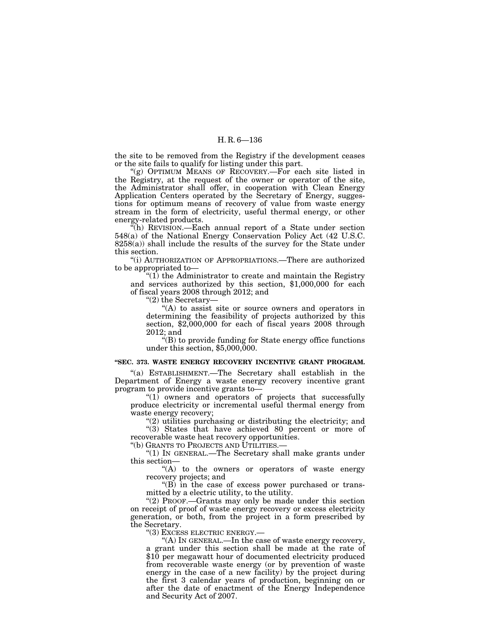the site to be removed from the Registry if the development ceases or the site fails to qualify for listing under this part.

"(g) OPTIMUM MEANS OF RECOVERY.—For each site listed in the Registry, at the request of the owner or operator of the site, the Administrator shall offer, in cooperation with Clean Energy Application Centers operated by the Secretary of Energy, suggestions for optimum means of recovery of value from waste energy stream in the form of electricity, useful thermal energy, or other energy-related products.

''(h) REVISION.—Each annual report of a State under section 548(a) of the National Energy Conservation Policy Act (42 U.S.C. 8258(a)) shall include the results of the survey for the State under this section.

''(i) AUTHORIZATION OF APPROPRIATIONS.—There are authorized to be appropriated to—

" $(1)$  the Administrator to create and maintain the Registry and services authorized by this section, \$1,000,000 for each of fiscal years 2008 through 2012; and

''(2) the Secretary—

''(A) to assist site or source owners and operators in determining the feasibility of projects authorized by this section, \$2,000,000 for each of fiscal years 2008 through 2012; and

 $\cdot$ (B) to provide funding for State energy office functions under this section, \$5,000,000.

### **''SEC. 373. WASTE ENERGY RECOVERY INCENTIVE GRANT PROGRAM.**

''(a) ESTABLISHMENT.—The Secretary shall establish in the Department of Energy a waste energy recovery incentive grant program to provide incentive grants to—

" $(1)$  owners and operators of projects that successfully produce electricity or incremental useful thermal energy from waste energy recovery;

''(2) utilities purchasing or distributing the electricity; and ''(3) States that have achieved 80 percent or more of

recoverable waste heat recovery opportunities. ''(b) GRANTS TO PROJECTS AND UTILITIES.—

''(1) IN GENERAL.—The Secretary shall make grants under this section—

 $(A)$  to the owners or operators of waste energy recovery projects; and

"(B) in the case of excess power purchased or transmitted by a electric utility, to the utility.

"(2) PROOF.—Grants may only be made under this section on receipt of proof of waste energy recovery or excess electricity generation, or both, from the project in a form prescribed by the Secretary.

''(3) EXCESS ELECTRIC ENERGY.—

"(A) IN GENERAL.—In the case of waste energy recovery, a grant under this section shall be made at the rate of \$10 per megawatt hour of documented electricity produced from recoverable waste energy (or by prevention of waste energy in the case of a new facility) by the project during the first 3 calendar years of production, beginning on or after the date of enactment of the Energy Independence and Security Act of 2007.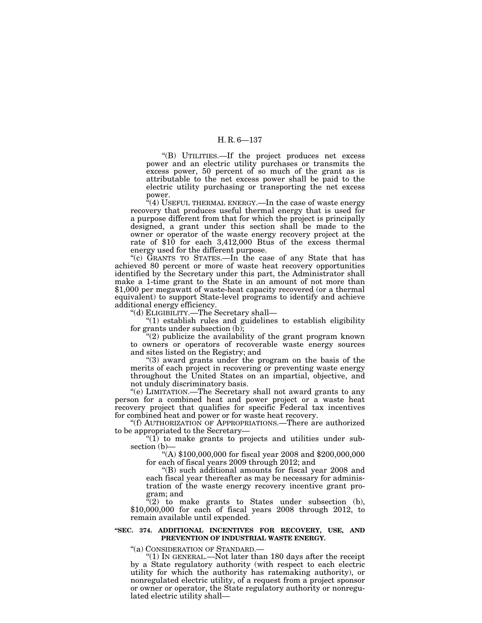''(B) UTILITIES.—If the project produces net excess power and an electric utility purchases or transmits the excess power, 50 percent of so much of the grant as is attributable to the net excess power shall be paid to the electric utility purchasing or transporting the net excess power.

 $\mathbf{H}^2(4)$  USEFUL THERMAL ENERGY.—In the case of waste energy recovery that produces useful thermal energy that is used for a purpose different from that for which the project is principally designed, a grant under this section shall be made to the owner or operator of the waste energy recovery project at the rate of \$10 for each 3,412,000 Btus of the excess thermal energy used for the different purpose.

''(c) GRANTS TO STATES.—In the case of any State that has achieved 80 percent or more of waste heat recovery opportunities identified by the Secretary under this part, the Administrator shall make a 1-time grant to the State in an amount of not more than \$1,000 per megawatt of waste-heat capacity recovered (or a thermal equivalent) to support State-level programs to identify and achieve additional energy efficiency.

''(d) ELIGIBILITY.—The Secretary shall—

 $''(1)$  establish rules and guidelines to establish eligibility for grants under subsection (b);

''(2) publicize the availability of the grant program known to owners or operators of recoverable waste energy sources and sites listed on the Registry; and

"(3) award grants under the program on the basis of the merits of each project in recovering or preventing waste energy throughout the United States on an impartial, objective, and not unduly discriminatory basis.

''(e) LIMITATION.—The Secretary shall not award grants to any person for a combined heat and power project or a waste heat recovery project that qualifies for specific Federal tax incentives for combined heat and power or for waste heat recovery.

''(f) AUTHORIZATION OF APPROPRIATIONS.—There are authorized to be appropriated to the Secretary—

" $(1)$  to make grants to projects and utilities under subsection (b)—

''(A) \$100,000,000 for fiscal year 2008 and \$200,000,000 for each of fiscal years 2009 through 2012; and

''(B) such additional amounts for fiscal year 2008 and each fiscal year thereafter as may be necessary for administration of the waste energy recovery incentive grant program; and

" $(2)$  to make grants to States under subsection  $(b)$ , \$10,000,000 for each of fiscal years 2008 through 2012, to remain available until expended.

### **''SEC. 374. ADDITIONAL INCENTIVES FOR RECOVERY, USE, AND PREVENTION OF INDUSTRIAL WASTE ENERGY.**

''(a) CONSIDERATION OF STANDARD.— ''(1) IN GENERAL.—Not later than 180 days after the receipt by a State regulatory authority (with respect to each electric utility for which the authority has ratemaking authority), or nonregulated electric utility, of a request from a project sponsor or owner or operator, the State regulatory authority or nonregulated electric utility shall—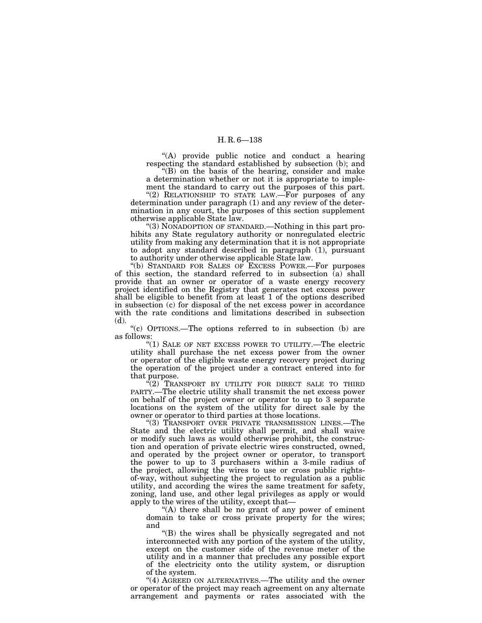''(A) provide public notice and conduct a hearing respecting the standard established by subsection (b); and

''(B) on the basis of the hearing, consider and make a determination whether or not it is appropriate to implement the standard to carry out the purposes of this part.

"(2) RELATIONSHIP TO STATE LAW.—For purposes of any determination under paragraph (1) and any review of the determination in any court, the purposes of this section supplement otherwise applicable State law.

''(3) NONADOPTION OF STANDARD.—Nothing in this part prohibits any State regulatory authority or nonregulated electric utility from making any determination that it is not appropriate to adopt any standard described in paragraph (1), pursuant to authority under otherwise applicable State law.

''(b) STANDARD FOR SALES OF EXCESS POWER.—For purposes of this section, the standard referred to in subsection (a) shall provide that an owner or operator of a waste energy recovery project identified on the Registry that generates net excess power shall be eligible to benefit from at least 1 of the options described in subsection (c) for disposal of the net excess power in accordance with the rate conditions and limitations described in subsection (d).

''(c) OPTIONS.—The options referred to in subsection (b) are as follows:

"(1) SALE OF NET EXCESS POWER TO UTILITY.—The electric utility shall purchase the net excess power from the owner utility shall purchase the net excess power from the owner or operator of the eligible waste energy recovery project during the operation of the project under a contract entered into for that purpose.

 $\sqrt[n]{(2)}$  TRANSPORT BY UTILITY FOR DIRECT SALE TO THIRD PARTY.—The electric utility shall transmit the net excess power on behalf of the project owner or operator to up to 3 separate locations on the system of the utility for direct sale by the owner or operator to third parties at those locations.

"(3) TRANSPORT OVER PRIVATE TRANSMISSION LINES.—The State and the electric utility shall permit, and shall waive or modify such laws as would otherwise prohibit, the construction and operation of private electric wires constructed, owned, and operated by the project owner or operator, to transport the power to up to 3 purchasers within a 3-mile radius of the project, allowing the wires to use or cross public rightsof-way, without subjecting the project to regulation as a public utility, and according the wires the same treatment for safety, zoning, land use, and other legal privileges as apply or would apply to the wires of the utility, except that—

"(A) there shall be no grant of any power of eminent domain to take or cross private property for the wires; and

''(B) the wires shall be physically segregated and not interconnected with any portion of the system of the utility, except on the customer side of the revenue meter of the utility and in a manner that precludes any possible export of the electricity onto the utility system, or disruption of the system.

"(4) AGREED ON ALTERNATIVES.—The utility and the owner or operator of the project may reach agreement on any alternate arrangement and payments or rates associated with the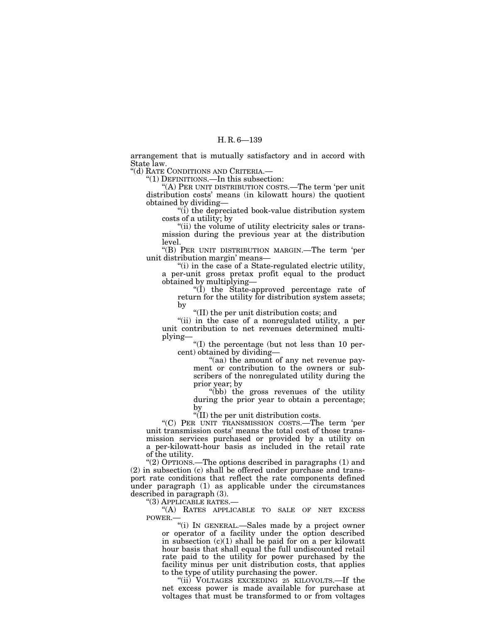arrangement that is mutually satisfactory and in accord with State law.

''(d) RATE CONDITIONS AND CRITERIA.—

''(1) DEFINITIONS.—In this subsection:

''(A) PER UNIT DISTRIBUTION COSTS.—The term 'per unit distribution costs' means (in kilowatt hours) the quotient obtained by dividing—

''(i) the depreciated book-value distribution system costs of a utility; by

"(ii) the volume of utility electricity sales or transmission during the previous year at the distribution level.

''(B) PER UNIT DISTRIBUTION MARGIN.—The term 'per unit distribution margin' means—

"(i) in the case of a State-regulated electric utility, a per-unit gross pretax profit equal to the product obtained by multiplying—

''(I) the State-approved percentage rate of return for the utility for distribution system assets; by

''(II) the per unit distribution costs; and

''(ii) in the case of a nonregulated utility, a per unit contribution to net revenues determined multiplying—

''(I) the percentage (but not less than 10 percent) obtained by dividing—

''(aa) the amount of any net revenue payment or contribution to the owners or subscribers of the nonregulated utility during the prior year; by

''(bb) the gross revenues of the utility during the prior year to obtain a percentage; by

 $\sqrt{\text{III}}$  the per unit distribution costs.

''(C) PER UNIT TRANSMISSION COSTS.—The term 'per unit transmission costs' means the total cost of those transmission services purchased or provided by a utility on a per-kilowatt-hour basis as included in the retail rate of the utility.

" $(2)$  OPTIONS.—The options described in paragraphs  $(1)$  and (2) in subsection (c) shall be offered under purchase and transport rate conditions that reflect the rate components defined under paragraph (1) as applicable under the circumstances described in paragraph (3).

''(3) APPLICABLE RATES.—

"(A) RATES APPLICABLE TO SALE OF NET EXCESS POWER.—

''(i) IN GENERAL.—Sales made by a project owner or operator of a facility under the option described in subsection  $(c)(1)$  shall be paid for on a per kilowatt hour basis that shall equal the full undiscounted retail rate paid to the utility for power purchased by the facility minus per unit distribution costs, that applies to the type of utility purchasing the power.

''(ii) VOLTAGES EXCEEDING 25 KILOVOLTS.—If the net excess power is made available for purchase at voltages that must be transformed to or from voltages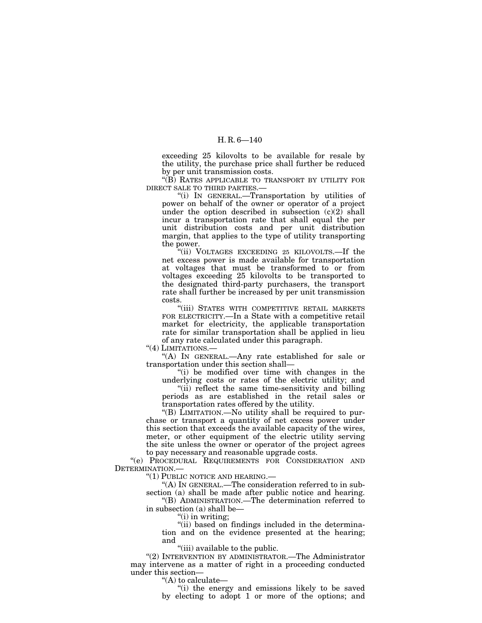exceeding 25 kilovolts to be available for resale by the utility, the purchase price shall further be reduced by per unit transmission costs.

"(B) RATES APPLICABLE TO TRANSPORT BY UTILITY FOR DIRECT SALE TO THIRD PARTIES.—

''(i) IN GENERAL.—Transportation by utilities of power on behalf of the owner or operator of a project under the option described in subsection  $(c)(2)$  shall incur a transportation rate that shall equal the per unit distribution costs and per unit distribution margin, that applies to the type of utility transporting the power.

''(ii) VOLTAGES EXCEEDING 25 KILOVOLTS.—If the net excess power is made available for transportation at voltages that must be transformed to or from voltages exceeding 25 kilovolts to be transported to the designated third-party purchasers, the transport rate shall further be increased by per unit transmission costs.

''(iii) STATES WITH COMPETITIVE RETAIL MARKETS FOR ELECTRICITY.—In a State with a competitive retail market for electricity, the applicable transportation rate for similar transportation shall be applied in lieu of any rate calculated under this paragraph.

"(4) LIMITATIONS.-

''(A) IN GENERAL.—Any rate established for sale or transportation under this section shall—

''(i) be modified over time with changes in the underlying costs or rates of the electric utility; and

"(ii) reflect the same time-sensitivity and billing" periods as are established in the retail sales or transportation rates offered by the utility.

"(B) LIMITATION.—No utility shall be required to purchase or transport a quantity of net excess power under this section that exceeds the available capacity of the wires, meter, or other equipment of the electric utility serving the site unless the owner or operator of the project agrees to pay necessary and reasonable upgrade costs.

''(e) PROCEDURAL REQUIREMENTS FOR CONSIDERATION AND DETERMINATION.—

''(1) PUBLIC NOTICE AND HEARING.—

''(A) IN GENERAL.—The consideration referred to in subsection (a) shall be made after public notice and hearing.

''(B) ADMINISTRATION.—The determination referred to in subsection (a) shall be—

 $''(i)$  in writing;

"(ii) based on findings included in the determination and on the evidence presented at the hearing; and

''(iii) available to the public.

"(2) INTERVENTION BY ADMINISTRATOR.—The Administrator may intervene as a matter of right in a proceeding conducted under this section—

''(A) to calculate—

''(i) the energy and emissions likely to be saved by electing to adopt 1 or more of the options; and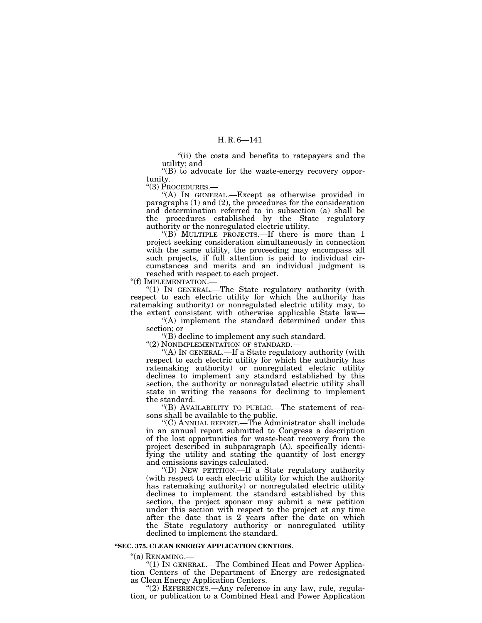''(ii) the costs and benefits to ratepayers and the utility; and

''(B) to advocate for the waste-energy recovery opportunity.

''(3) PROCEDURES.—

''(A) IN GENERAL.—Except as otherwise provided in paragraphs (1) and (2), the procedures for the consideration and determination referred to in subsection (a) shall be the procedures established by the State regulatory authority or the nonregulated electric utility.

''(B) MULTIPLE PROJECTS.—If there is more than 1 project seeking consideration simultaneously in connection with the same utility, the proceeding may encompass all such projects, if full attention is paid to individual circumstances and merits and an individual judgment is reached with respect to each project.

''(f) IMPLEMENTATION.—

''(1) IN GENERAL.—The State regulatory authority (with respect to each electric utility for which the authority has ratemaking authority) or nonregulated electric utility may, to the extent consistent with otherwise applicable State law—

''(A) implement the standard determined under this section; or

"(B) decline to implement any such standard.<br>"(2) NONIMPLEMENTATION OF STANDARD.—

''(2) NONIMPLEMENTATION OF STANDARD.— ''(A) IN GENERAL.—If a State regulatory authority (with respect to each electric utility for which the authority has ratemaking authority) or nonregulated electric utility declines to implement any standard established by this section, the authority or nonregulated electric utility shall state in writing the reasons for declining to implement the standard.

''(B) AVAILABILITY TO PUBLIC.—The statement of reasons shall be available to the public.

''(C) ANNUAL REPORT.—The Administrator shall include in an annual report submitted to Congress a description of the lost opportunities for waste-heat recovery from the project described in subparagraph (A), specifically identifying the utility and stating the quantity of lost energy and emissions savings calculated.

''(D) NEW PETITION.—If a State regulatory authority (with respect to each electric utility for which the authority has ratemaking authority) or nonregulated electric utility declines to implement the standard established by this section, the project sponsor may submit a new petition under this section with respect to the project at any time after the date that is 2 years after the date on which the State regulatory authority or nonregulated utility declined to implement the standard.

#### **''SEC. 375. CLEAN ENERGY APPLICATION CENTERS.**

''(a) RENAMING.—

"(1) In GENERAL.—The Combined Heat and Power Application Centers of the Department of Energy are redesignated as Clean Energy Application Centers.

"(2) REFERENCES.—Any reference in any law, rule, regulation, or publication to a Combined Heat and Power Application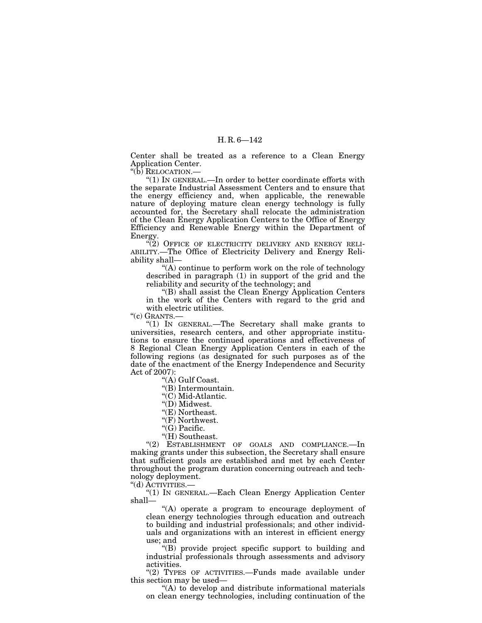Center shall be treated as a reference to a Clean Energy Application Center.

"(b) RELOCATION.—

''(1) IN GENERAL.—In order to better coordinate efforts with the separate Industrial Assessment Centers and to ensure that the energy efficiency and, when applicable, the renewable nature of deploying mature clean energy technology is fully accounted for, the Secretary shall relocate the administration of the Clean Energy Application Centers to the Office of Energy Efficiency and Renewable Energy within the Department of Energy.

"(2) OFFICE OF ELECTRICITY DELIVERY AND ENERGY RELI-ABILITY.—The Office of Electricity Delivery and Energy Reliability shall—

''(A) continue to perform work on the role of technology described in paragraph (1) in support of the grid and the reliability and security of the technology; and

''(B) shall assist the Clean Energy Application Centers in the work of the Centers with regard to the grid and with electric utilities.

''(c) GRANTS.—

''(1) IN GENERAL.—The Secretary shall make grants to universities, research centers, and other appropriate institutions to ensure the continued operations and effectiveness of 8 Regional Clean Energy Application Centers in each of the following regions (as designated for such purposes as of the date of the enactment of the Energy Independence and Security Act of 2007):

''(A) Gulf Coast.

''(B) Intermountain.

''(C) Mid-Atlantic.

''(D) Midwest.

"(E) Northeast.

"(F) Northwest.

"(G) Pacific.

''(H) Southeast.

''(2) ESTABLISHMENT OF GOALS AND COMPLIANCE.—In making grants under this subsection, the Secretary shall ensure that sufficient goals are established and met by each Center throughout the program duration concerning outreach and technology deployment.

"(d) ACTIVITIES.-

''(1) IN GENERAL.—Each Clean Energy Application Center shall—

"(A) operate a program to encourage deployment of clean energy technologies through education and outreach to building and industrial professionals; and other individuals and organizations with an interest in efficient energy use; and

''(B) provide project specific support to building and industrial professionals through assessments and advisory activities.

"(2) TYPES OF ACTIVITIES.-Funds made available under this section may be used—

''(A) to develop and distribute informational materials on clean energy technologies, including continuation of the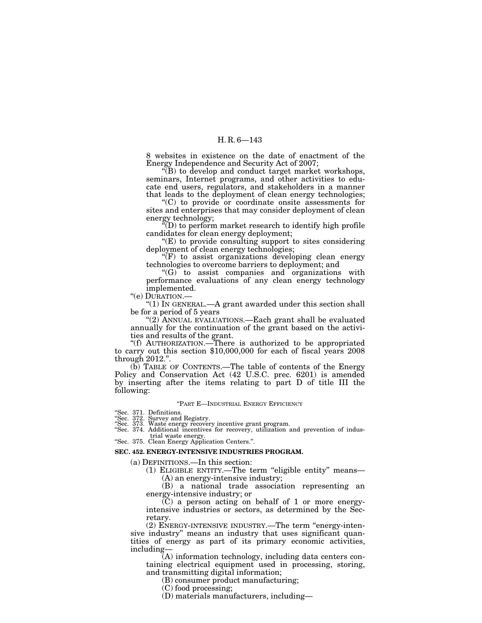8 websites in existence on the date of enactment of the Energy Independence and Security Act of 2007;

''(B) to develop and conduct target market workshops, seminars, Internet programs, and other activities to educate end users, regulators, and stakeholders in a manner that leads to the deployment of clean energy technologies;

''(C) to provide or coordinate onsite assessments for sites and enterprises that may consider deployment of clean energy technology;

 $\sqrt[\text{m}]{D}$  to perform market research to identify high profile candidates for clean energy deployment;

 $E$ ) to provide consulting support to sites considering deployment of clean energy technologies;

 $\mathcal{F}(F)$  to assist organizations developing clean energy technologies to overcome barriers to deployment; and

 $(G)$  to assist companies and organizations with performance evaluations of any clean energy technology implemented.

"(e) DURATION.-

" $(1)$  In GENERAL.—A grant awarded under this section shall be for a period of 5 years

" $(2)$  ANNUAL EVALUATIONS.—Each grant shall be evaluated annually for the continuation of the grant based on the activities and results of the grant.

''(f) AUTHORIZATION.—There is authorized to be appropriated to carry out this section \$10,000,000 for each of fiscal years 2008 through 2012.''.

(b) TABLE OF CONTENTS.—The table of contents of the Energy Policy and Conservation Act (42 U.S.C. prec. 6201) is amended by inserting after the items relating to part D of title III the following:

#### ''PART E—INDUSTRIAL ENERGY EFFICIENCY

"Sec. 371. Definitions.<br>"Sec. 372. Survey and Registry.<br>"Sec. 373. Waste energy recovery incentive grant program.<br>"Sec. 374. Additional incentives for recovery, utilization and prevention of industrial waste energy.<br>"Sec. 375. Clean Energy Application Centers.".

### **SEC. 452. ENERGY-INTENSIVE INDUSTRIES PROGRAM.**

(a) DEFINITIONS.—In this section:

(1) ELIGIBLE ENTITY.—The term ''eligible entity'' means— (A) an energy-intensive industry;

(B) a national trade association representing an energy-intensive industry; or

(C) a person acting on behalf of 1 or more energyintensive industries or sectors, as determined by the Secretary.

(2) ENERGY-INTENSIVE INDUSTRY.—The term ''energy-intensive industry'' means an industry that uses significant quantities of energy as part of its primary economic activities, including—

(A) information technology, including data centers containing electrical equipment used in processing, storing, and transmitting digital information;

(B) consumer product manufacturing;

(C) food processing;

(D) materials manufacturers, including—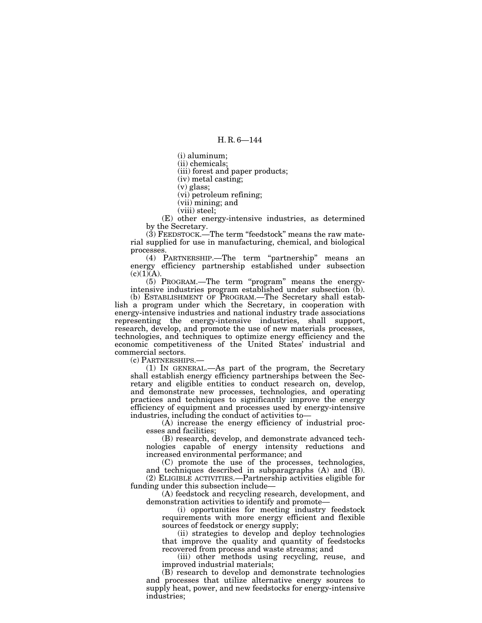(i) aluminum;

(ii) chemicals;

(iii) forest and paper products;

(iv) metal casting;

(v) glass;

(vi) petroleum refining;

(vii) mining; and

(viii) steel;

(E) other energy-intensive industries, as determined by the Secretary.

 $(3)$  FEEDSTOCK.—The term "feedstock" means the raw material supplied for use in manufacturing, chemical, and biological processes.

(4) PARTNERSHIP.—The term ''partnership'' means an energy efficiency partnership established under subsection  $(c)(1)(A).$ 

(5) PROGRAM.—The term ''program'' means the energyintensive industries program established under subsection (b).

(b) ESTABLISHMENT OF PROGRAM.—The Secretary shall establish a program under which the Secretary, in cooperation with energy-intensive industries and national industry trade associations representing the energy-intensive industries, shall support, research, develop, and promote the use of new materials processes, technologies, and techniques to optimize energy efficiency and the economic competitiveness of the United States' industrial and commercial sectors.

(c) PARTNERSHIPS.— (1) IN GENERAL.—As part of the program, the Secretary shall establish energy efficiency partnerships between the Secretary and eligible entities to conduct research on, develop, and demonstrate new processes, technologies, and operating practices and techniques to significantly improve the energy efficiency of equipment and processes used by energy-intensive industries, including the conduct of activities to—

(A) increase the energy efficiency of industrial processes and facilities;

(B) research, develop, and demonstrate advanced technologies capable of energy intensity reductions and increased environmental performance; and

(C) promote the use of the processes, technologies, and techniques described in subparagraphs (A) and (B). (2) ELIGIBLE ACTIVITIES.—Partnership activities eligible for funding under this subsection include—

(A) feedstock and recycling research, development, and demonstration activities to identify and promote—

(i) opportunities for meeting industry feedstock requirements with more energy efficient and flexible sources of feedstock or energy supply;

(ii) strategies to develop and deploy technologies that improve the quality and quantity of feedstocks recovered from process and waste streams; and

(iii) other methods using recycling, reuse, and improved industrial materials;

(B) research to develop and demonstrate technologies and processes that utilize alternative energy sources to supply heat, power, and new feedstocks for energy-intensive industries;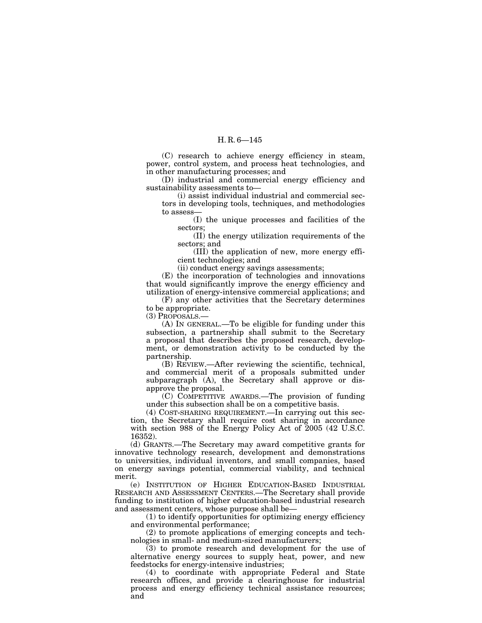(C) research to achieve energy efficiency in steam, power, control system, and process heat technologies, and in other manufacturing processes; and

(D) industrial and commercial energy efficiency and sustainability assessments to—

(i) assist individual industrial and commercial sectors in developing tools, techniques, and methodologies to assess—

(I) the unique processes and facilities of the sectors;

(II) the energy utilization requirements of the sectors; and

(III) the application of new, more energy efficient technologies; and

(ii) conduct energy savings assessments;

(E) the incorporation of technologies and innovations that would significantly improve the energy efficiency and utilization of energy-intensive commercial applications; and

(F) any other activities that the Secretary determines to be appropriate.

(3) PROPOSALS.—

(A) IN GENERAL.—To be eligible for funding under this subsection, a partnership shall submit to the Secretary a proposal that describes the proposed research, development, or demonstration activity to be conducted by the partnership.

(B) REVIEW.—After reviewing the scientific, technical, and commercial merit of a proposals submitted under subparagraph (A), the Secretary shall approve or disapprove the proposal.

(C) COMPETITIVE AWARDS.—The provision of funding under this subsection shall be on a competitive basis.

(4) COST-SHARING REQUIREMENT.—In carrying out this section, the Secretary shall require cost sharing in accordance with section 988 of the Energy Policy Act of 2005 (42 U.S.C. 16352).

(d) GRANTS.—The Secretary may award competitive grants for innovative technology research, development and demonstrations to universities, individual inventors, and small companies, based on energy savings potential, commercial viability, and technical merit.

(e) INSTITUTION OF HIGHER EDUCATION-BASED INDUSTRIAL RESEARCH AND ASSESSMENT CENTERS.—The Secretary shall provide funding to institution of higher education-based industrial research and assessment centers, whose purpose shall be—

(1) to identify opportunities for optimizing energy efficiency and environmental performance;

(2) to promote applications of emerging concepts and technologies in small- and medium-sized manufacturers;

(3) to promote research and development for the use of alternative energy sources to supply heat, power, and new feedstocks for energy-intensive industries;

(4) to coordinate with appropriate Federal and State research offices, and provide a clearinghouse for industrial process and energy efficiency technical assistance resources; and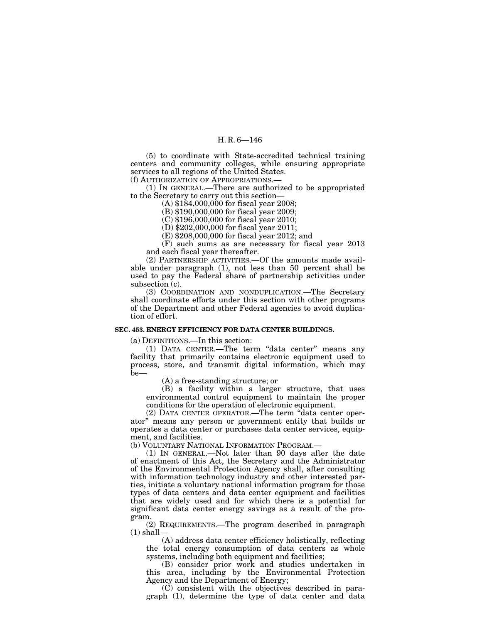(5) to coordinate with State-accredited technical training centers and community colleges, while ensuring appropriate services to all regions of the United States.

(f) AUTHORIZATION OF APPROPRIATIONS.—

(1) IN GENERAL.—There are authorized to be appropriated to the Secretary to carry out this section—

(A) \$184,000,000 for fiscal year 2008;

(B) \$190,000,000 for fiscal year 2009;

(C) \$196,000,000 for fiscal year 2010;

(D) \$202,000,000 for fiscal year 2011;

(E) \$208,000,000 for fiscal year 2012; and

(F) such sums as are necessary for fiscal year 2013 and each fiscal year thereafter.

(2) PARTNERSHIP ACTIVITIES.—Of the amounts made available under paragraph (1), not less than 50 percent shall be used to pay the Federal share of partnership activities under subsection (c).

(3) COORDINATION AND NONDUPLICATION.—The Secretary shall coordinate efforts under this section with other programs of the Department and other Federal agencies to avoid duplication of effort.

### **SEC. 453. ENERGY EFFICIENCY FOR DATA CENTER BUILDINGS.**

(a) DEFINITIONS.—In this section:

(1) DATA CENTER.—The term ''data center'' means any facility that primarily contains electronic equipment used to process, store, and transmit digital information, which may be—

(A) a free-standing structure; or

(B) a facility within a larger structure, that uses environmental control equipment to maintain the proper conditions for the operation of electronic equipment.

(2) DATA CENTER OPERATOR.—The term ''data center operator'' means any person or government entity that builds or operates a data center or purchases data center services, equipment, and facilities.

(b) VOLUNTARY NATIONAL INFORMATION PROGRAM.—

(1) IN GENERAL.—Not later than 90 days after the date of enactment of this Act, the Secretary and the Administrator of the Environmental Protection Agency shall, after consulting with information technology industry and other interested parties, initiate a voluntary national information program for those types of data centers and data center equipment and facilities that are widely used and for which there is a potential for significant data center energy savings as a result of the program.

(2) REQUIREMENTS.—The program described in paragraph  $(1)$  shall-

(A) address data center efficiency holistically, reflecting the total energy consumption of data centers as whole systems, including both equipment and facilities;

(B) consider prior work and studies undertaken in this area, including by the Environmental Protection Agency and the Department of Energy;

 $(C)$  consistent with the objectives described in paragraph (1), determine the type of data center and data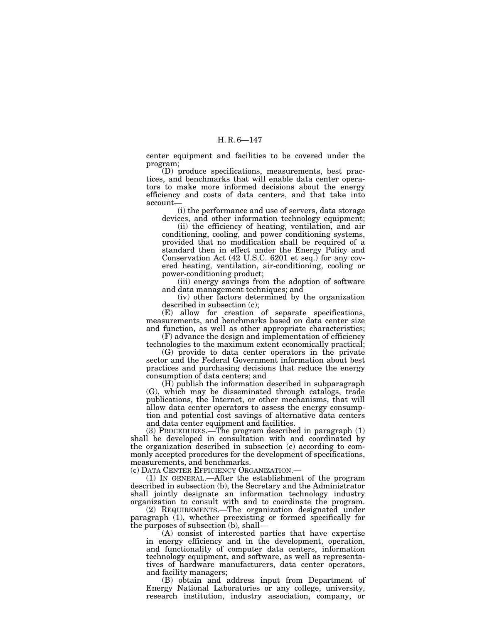center equipment and facilities to be covered under the program;

(D) produce specifications, measurements, best practices, and benchmarks that will enable data center operators to make more informed decisions about the energy efficiency and costs of data centers, and that take into account—

(i) the performance and use of servers, data storage devices, and other information technology equipment;

(ii) the efficiency of heating, ventilation, and air conditioning, cooling, and power conditioning systems, provided that no modification shall be required of a standard then in effect under the Energy Policy and Conservation Act (42 U.S.C. 6201 et seq.) for any covered heating, ventilation, air-conditioning, cooling or power-conditioning product;

(iii) energy savings from the adoption of software and data management techniques; and

(iv) other factors determined by the organization described in subsection (c);

(E) allow for creation of separate specifications, measurements, and benchmarks based on data center size and function, as well as other appropriate characteristics;

(F) advance the design and implementation of efficiency technologies to the maximum extent economically practical;

(G) provide to data center operators in the private sector and the Federal Government information about best practices and purchasing decisions that reduce the energy consumption of data centers; and

(H) publish the information described in subparagraph (G), which may be disseminated through catalogs, trade publications, the Internet, or other mechanisms, that will allow data center operators to assess the energy consumption and potential cost savings of alternative data centers and data center equipment and facilities.

(3) PROCEDURES.—The program described in paragraph (1) shall be developed in consultation with and coordinated by the organization described in subsection (c) according to commonly accepted procedures for the development of specifications, measurements, and benchmarks.

(c) DATA CENTER EFFICIENCY ORGANIZATION.—

(1) IN GENERAL.—After the establishment of the program described in subsection (b), the Secretary and the Administrator shall jointly designate an information technology industry organization to consult with and to coordinate the program.

(2) REQUIREMENTS.—The organization designated under paragraph (1), whether preexisting or formed specifically for the purposes of subsection (b), shall—

(A) consist of interested parties that have expertise in energy efficiency and in the development, operation, and functionality of computer data centers, information technology equipment, and software, as well as representatives of hardware manufacturers, data center operators, and facility managers;

(B) obtain and address input from Department of Energy National Laboratories or any college, university, research institution, industry association, company, or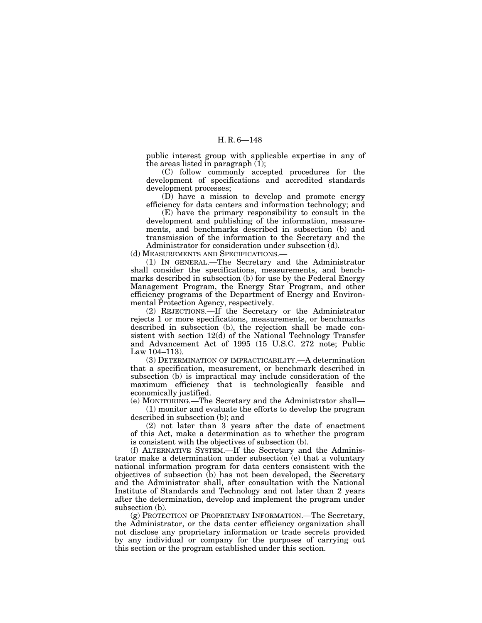public interest group with applicable expertise in any of the areas listed in paragraph  $(1)$ ;

(C) follow commonly accepted procedures for the development of specifications and accredited standards development processes;

(D) have a mission to develop and promote energy efficiency for data centers and information technology; and

(E) have the primary responsibility to consult in the development and publishing of the information, measurements, and benchmarks described in subsection (b) and transmission of the information to the Secretary and the Administrator for consideration under subsection (d).

(d) MEASUREMENTS AND SPECIFICATIONS.—

(1) IN GENERAL.—The Secretary and the Administrator shall consider the specifications, measurements, and benchmarks described in subsection (b) for use by the Federal Energy Management Program, the Energy Star Program, and other efficiency programs of the Department of Energy and Environmental Protection Agency, respectively.

(2) REJECTIONS.—If the Secretary or the Administrator rejects 1 or more specifications, measurements, or benchmarks described in subsection (b), the rejection shall be made consistent with section 12(d) of the National Technology Transfer and Advancement Act of 1995 (15 U.S.C. 272 note; Public Law 104–113).

(3) DETERMINATION OF IMPRACTICABILITY.—A determination that a specification, measurement, or benchmark described in subsection (b) is impractical may include consideration of the maximum efficiency that is technologically feasible and economically justified.

(e) MONITORING.—The Secretary and the Administrator shall—

(1) monitor and evaluate the efforts to develop the program described in subsection (b); and

(2) not later than 3 years after the date of enactment of this Act, make a determination as to whether the program is consistent with the objectives of subsection (b).

(f) ALTERNATIVE SYSTEM.—If the Secretary and the Administrator make a determination under subsection (e) that a voluntary national information program for data centers consistent with the objectives of subsection (b) has not been developed, the Secretary and the Administrator shall, after consultation with the National Institute of Standards and Technology and not later than 2 years after the determination, develop and implement the program under subsection (b).

(g) PROTECTION OF PROPRIETARY INFORMATION.—The Secretary, the Administrator, or the data center efficiency organization shall not disclose any proprietary information or trade secrets provided by any individual or company for the purposes of carrying out this section or the program established under this section.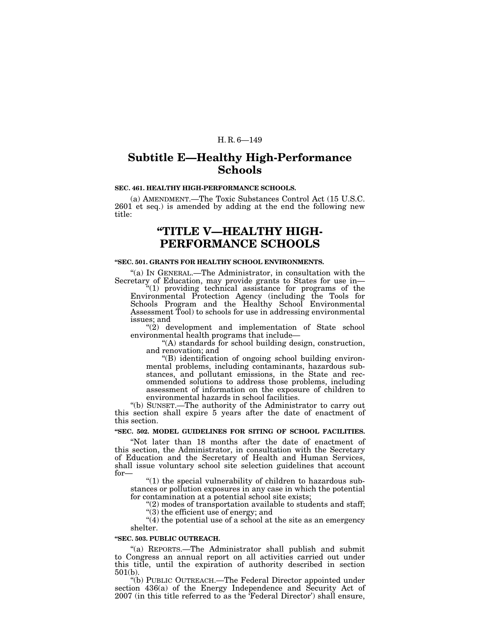# **Subtitle E—Healthy High-Performance Schools**

### **SEC. 461. HEALTHY HIGH-PERFORMANCE SCHOOLS.**

(a) AMENDMENT.—The Toxic Substances Control Act (15 U.S.C. 2601 et seq.) is amended by adding at the end the following new title:

# **''TITLE V—HEALTHY HIGH-PERFORMANCE SCHOOLS**

### **''SEC. 501. GRANTS FOR HEALTHY SCHOOL ENVIRONMENTS.**

"(a) IN GENERAL.—The Administrator, in consultation with the Secretary of Education, may provide grants to States for use in—

''(1) providing technical assistance for programs of the Environmental Protection Agency (including the Tools for Schools Program and the Healthy School Environmental Assessment Tool) to schools for use in addressing environmental issues; and

"(2) development and implementation of State school environmental health programs that include—

''(A) standards for school building design, construction, and renovation; and

''(B) identification of ongoing school building environmental problems, including contaminants, hazardous substances, and pollutant emissions, in the State and recommended solutions to address those problems, including assessment of information on the exposure of children to environmental hazards in school facilities.

''(b) SUNSET.—The authority of the Administrator to carry out this section shall expire 5 years after the date of enactment of this section.

### **''SEC. 502. MODEL GUIDELINES FOR SITING OF SCHOOL FACILITIES.**

''Not later than 18 months after the date of enactment of this section, the Administrator, in consultation with the Secretary of Education and the Secretary of Health and Human Services, shall issue voluntary school site selection guidelines that account for—

" $(1)$  the special vulnerability of children to hazardous substances or pollution exposures in any case in which the potential for contamination at a potential school site exists;

" $(2)$  modes of transportation available to students and staff;

''(3) the efficient use of energy; and

"(4) the potential use of a school at the site as an emergency shelter.

### **''SEC. 503. PUBLIC OUTREACH.**

"(a) REPORTS.—The Administrator shall publish and submit to Congress an annual report on all activities carried out under this title, until the expiration of authority described in section 501(b).

''(b) PUBLIC OUTREACH.—The Federal Director appointed under section 436(a) of the Energy Independence and Security Act of 2007 (in this title referred to as the 'Federal Director') shall ensure,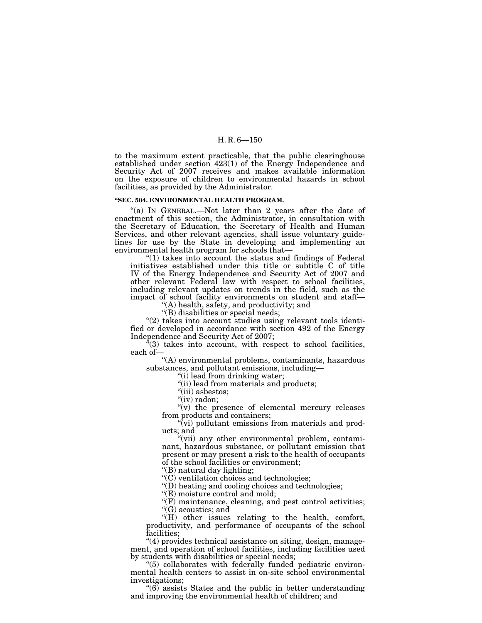to the maximum extent practicable, that the public clearinghouse established under section 423(1) of the Energy Independence and Security Act of 2007 receives and makes available information on the exposure of children to environmental hazards in school facilities, as provided by the Administrator.

### **''SEC. 504. ENVIRONMENTAL HEALTH PROGRAM.**

"(a) In GENERAL.—Not later than 2 years after the date of enactment of this section, the Administrator, in consultation with the Secretary of Education, the Secretary of Health and Human Services, and other relevant agencies, shall issue voluntary guidelines for use by the State in developing and implementing an environmental health program for schools that—

" $(1)$  takes into account the status and findings of Federal initiatives established under this title or subtitle C of title IV of the Energy Independence and Security Act of 2007 and other relevant Federal law with respect to school facilities, including relevant updates on trends in the field, such as the impact of school facility environments on student and staff—

''(A) health, safety, and productivity; and

''(B) disabilities or special needs;

''(2) takes into account studies using relevant tools identified or developed in accordance with section 492 of the Energy Independence and Security Act of 2007;

 $^{a}(3)$  takes into account, with respect to school facilities, each of—

''(A) environmental problems, contaminants, hazardous substances, and pollutant emissions, including—

''(i) lead from drinking water;

"(ii) lead from materials and products;

"(iii) asbestos;

"(iv) radon;

"(v) the presence of elemental mercury releases from products and containers;

''(vi) pollutant emissions from materials and products; and

"(vii) any other environmental problem, contaminant, hazardous substance, or pollutant emission that present or may present a risk to the health of occupants of the school facilities or environment;

''(B) natural day lighting;

''(C) ventilation choices and technologies;

''(D) heating and cooling choices and technologies;

''(E) moisture control and mold;

 $\sqrt{\text{F}}$ ) maintenance, cleaning, and pest control activities;  $\mathrm{``(G)}$  acoustics; and

''(H) other issues relating to the health, comfort, productivity, and performance of occupants of the school facilities;

''(4) provides technical assistance on siting, design, management, and operation of school facilities, including facilities used by students with disabilities or special needs;

''(5) collaborates with federally funded pediatric environmental health centers to assist in on-site school environmental investigations;

 $\degree$ (6) assists States and the public in better understanding and improving the environmental health of children; and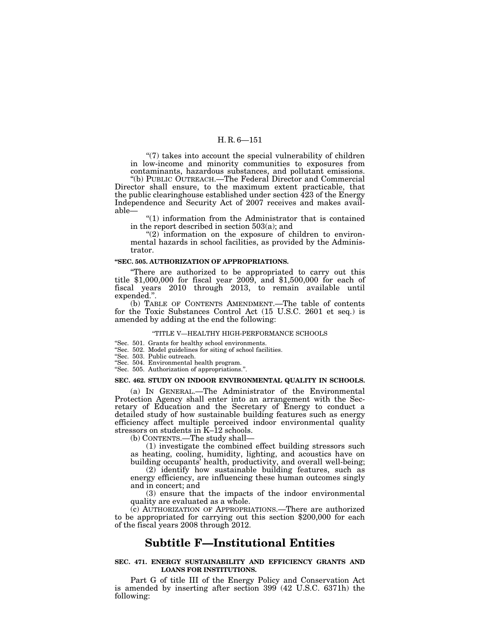''(7) takes into account the special vulnerability of children in low-income and minority communities to exposures from contaminants, hazardous substances, and pollutant emissions.

''(b) PUBLIC OUTREACH.—The Federal Director and Commercial Director shall ensure, to the maximum extent practicable, that the public clearinghouse established under section 423 of the Energy Independence and Security Act of 2007 receives and makes available—

" $(1)$  information from the Administrator that is contained in the report described in section 503(a); and

" $(2)$  information on the exposure of children to environmental hazards in school facilities, as provided by the Administrator.

#### **''SEC. 505. AUTHORIZATION OF APPROPRIATIONS.**

''There are authorized to be appropriated to carry out this title \$1,000,000 for fiscal year 2009, and \$1,500,000 for each of fiscal years 2010 through 2013, to remain available until expended.''.

(b) TABLE OF CONTENTS AMENDMENT.—The table of contents for the Toxic Substances Control Act (15 U.S.C. 2601 et seq.) is amended by adding at the end the following:

#### ''TITLE V—HEALTHY HIGH-PERFORMANCE SCHOOLS

''Sec. 501. Grants for healthy school environments.

''Sec. 502. Model guidelines for siting of school facilities.

''Sec. 503. Public outreach.

''Sec. 504. Environmental health program.

''Sec. 505. Authorization of appropriations.''.

# **SEC. 462. STUDY ON INDOOR ENVIRONMENTAL QUALITY IN SCHOOLS.**

(a) IN GENERAL.—The Administrator of the Environmental Protection Agency shall enter into an arrangement with the Secretary of Education and the Secretary of Energy to conduct a detailed study of how sustainable building features such as energy efficiency affect multiple perceived indoor environmental quality stressors on students in K–12 schools.

(b) CONTENTS.—The study shall—

(1) investigate the combined effect building stressors such as heating, cooling, humidity, lighting, and acoustics have on building occupants' health, productivity, and overall well-being;

(2) identify how sustainable building features, such as energy efficiency, are influencing these human outcomes singly and in concert; and

(3) ensure that the impacts of the indoor environmental quality are evaluated as a whole.

(c) AUTHORIZATION OF APPROPRIATIONS.—There are authorized to be appropriated for carrying out this section \$200,000 for each of the fiscal years 2008 through 2012.

# **Subtitle F—Institutional Entities**

### **SEC. 471. ENERGY SUSTAINABILITY AND EFFICIENCY GRANTS AND LOANS FOR INSTITUTIONS.**

Part G of title III of the Energy Policy and Conservation Act is amended by inserting after section 399 (42 U.S.C. 6371h) the following: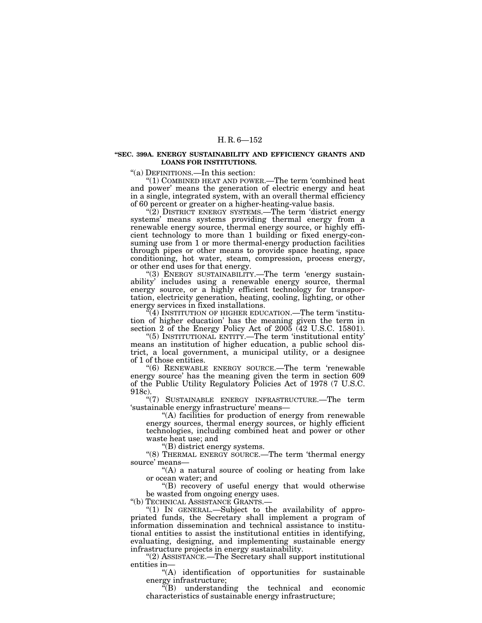### **''SEC. 399A. ENERGY SUSTAINABILITY AND EFFICIENCY GRANTS AND LOANS FOR INSTITUTIONS.**

''(a) DEFINITIONS.—In this section:

"(1) COMBINED HEAT AND POWER.—The term 'combined heat and power' means the generation of electric energy and heat in a single, integrated system, with an overall thermal efficiency of 60 percent or greater on a higher-heating-value basis.

 $\sqrt{\left(2\right)}$  DISTRICT ENERGY SYSTEMS.—The term 'district energy systems' means systems providing thermal energy from a renewable energy source, thermal energy source, or highly efficient technology to more than 1 building or fixed energy-consuming use from 1 or more thermal-energy production facilities through pipes or other means to provide space heating, space conditioning, hot water, steam, compression, process energy, or other end uses for that energy.

"(3) ENERGY SUSTAINABILITY.—The term 'energy sustainability' includes using a renewable energy source, thermal energy source, or a highly efficient technology for transportation, electricity generation, heating, cooling, lighting, or other energy services in fixed installations.

(4) INSTITUTION OF HIGHER EDUCATION.—The term 'institution of higher education' has the meaning given the term in section 2 of the Energy Policy Act of 2005 (42 U.S.C. 15801).

''(5) INSTITUTIONAL ENTITY.—The term 'institutional entity' means an institution of higher education, a public school district, a local government, a municipal utility, or a designee of 1 of those entities.

"(6) RENEWABLE ENERGY SOURCE.—The term 'renewable energy source' has the meaning given the term in section 609 of the Public Utility Regulatory Policies Act of 1978 (7 U.S.C. 918c).

''(7) SUSTAINABLE ENERGY INFRASTRUCTURE.—The term 'sustainable energy infrastructure' means—

''(A) facilities for production of energy from renewable energy sources, thermal energy sources, or highly efficient technologies, including combined heat and power or other waste heat use; and

''(B) district energy systems.

"(8) THERMAL ENERGY SOURCE.—The term 'thermal energy source' means—

''(A) a natural source of cooling or heating from lake or ocean water; and

''(B) recovery of useful energy that would otherwise be wasted from ongoing energy uses.<br>"(b) TECHNICAL ASSISTANCE GRANTS.—

"(1) IN GENERAL.—Subject to the availability of appropriated funds, the Secretary shall implement a program of information dissemination and technical assistance to institutional entities to assist the institutional entities in identifying, evaluating, designing, and implementing sustainable energy infrastructure projects in energy sustainability.

''(2) ASSISTANCE.—The Secretary shall support institutional entities in—

''(A) identification of opportunities for sustainable energy infrastructure;

 $E(E)$  understanding the technical and economic characteristics of sustainable energy infrastructure;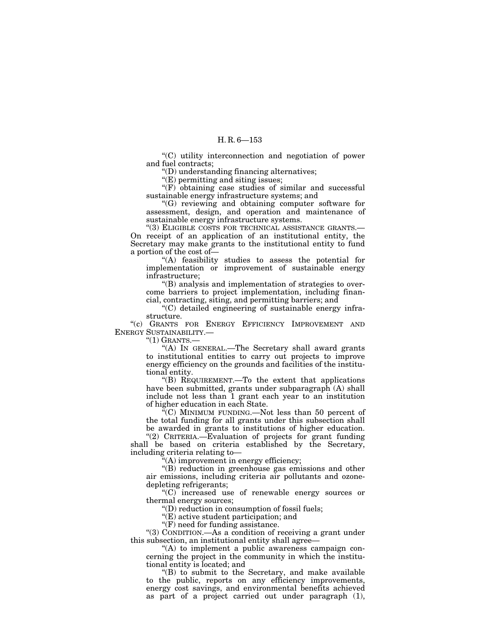''(C) utility interconnection and negotiation of power and fuel contracts;

''(D) understanding financing alternatives;

''(E) permitting and siting issues;

" $(F)$  obtaining case studies of similar and successful sustainable energy infrastructure systems; and

''(G) reviewing and obtaining computer software for assessment, design, and operation and maintenance of sustainable energy infrastructure systems.

''(3) ELIGIBLE COSTS FOR TECHNICAL ASSISTANCE GRANTS.— On receipt of an application of an institutional entity, the Secretary may make grants to the institutional entity to fund a portion of the cost of—

''(A) feasibility studies to assess the potential for implementation or improvement of sustainable energy infrastructure;

''(B) analysis and implementation of strategies to overcome barriers to project implementation, including financial, contracting, siting, and permitting barriers; and

''(C) detailed engineering of sustainable energy infrastructure.

''(c) GRANTS FOR ENERGY EFFICIENCY IMPROVEMENT AND ENERGY SUSTAINABILITY.—

 $"(1)$  GRANTS. $-$ 

''(A) IN GENERAL.—The Secretary shall award grants to institutional entities to carry out projects to improve energy efficiency on the grounds and facilities of the institutional entity.

''(B) REQUIREMENT.—To the extent that applications have been submitted, grants under subparagraph (A) shall include not less than 1 grant each year to an institution of higher education in each State.

 $\bar{f}(C)$  MINIMUM FUNDING.—Not less than 50 percent of the total funding for all grants under this subsection shall be awarded in grants to institutions of higher education.

''(2) CRITERIA.—Evaluation of projects for grant funding shall be based on criteria established by the Secretary, including criteria relating to—

 $\mathcal{H}(A)$  improvement in energy efficiency;

''(B) reduction in greenhouse gas emissions and other air emissions, including criteria air pollutants and ozonedepleting refrigerants;

''(C) increased use of renewable energy sources or thermal energy sources;

''(D) reduction in consumption of fossil fuels;

''(E) active student participation; and

''(F) need for funding assistance.

''(3) CONDITION.—As a condition of receiving a grant under this subsection, an institutional entity shall agree—

"(A) to implement a public awareness campaign concerning the project in the community in which the institutional entity is located; and

''(B) to submit to the Secretary, and make available to the public, reports on any efficiency improvements, energy cost savings, and environmental benefits achieved as part of a project carried out under paragraph (1),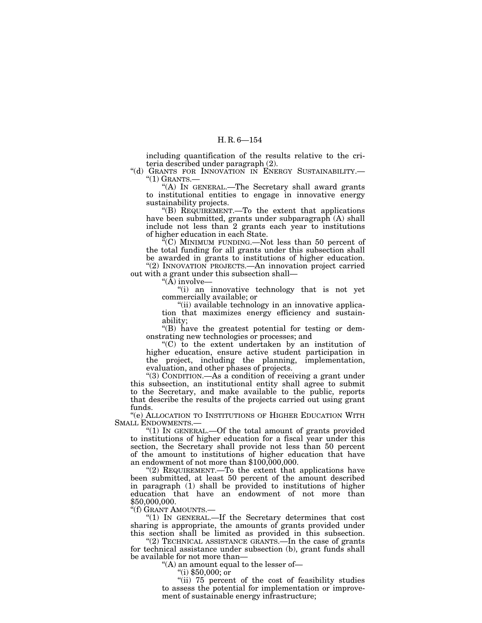including quantification of the results relative to the criteria described under paragraph (2).

"(d) GRANTS FOR INNOVATION IN ENERGY SUSTAINABILITY.- $"(1)$  Grants. $-$ 

''(A) IN GENERAL.—The Secretary shall award grants to institutional entities to engage in innovative energy sustainability projects.

''(B) REQUIREMENT.—To the extent that applications have been submitted, grants under subparagraph (A) shall include not less than 2 grants each year to institutions of higher education in each State.

 $\mathcal{F}(C)$  MINIMUM FUNDING.—Not less than 50 percent of the total funding for all grants under this subsection shall be awarded in grants to institutions of higher education.

''(2) INNOVATION PROJECTS.—An innovation project carried out with a grant under this subsection shall—

''(A) involve—

''(i) an innovative technology that is not yet commercially available; or

''(ii) available technology in an innovative application that maximizes energy efficiency and sustainability;

''(B) have the greatest potential for testing or demonstrating new technologies or processes; and

''(C) to the extent undertaken by an institution of higher education, ensure active student participation in the project, including the planning, implementation, evaluation, and other phases of projects.

''(3) CONDITION.—As a condition of receiving a grant under this subsection, an institutional entity shall agree to submit to the Secretary, and make available to the public, reports that describe the results of the projects carried out using grant funds.

 $\lq\lq e$  ALLOCATION TO INSTITUTIONS OF HIGHER EDUCATION WITH SMALL ENDOWMENTS.—

" $(1)$  In GENERAL.—Of the total amount of grants provided to institutions of higher education for a fiscal year under this section, the Secretary shall provide not less than 50 percent of the amount to institutions of higher education that have an endowment of not more than \$100,000,000.

"(2) REQUIREMENT.—To the extent that applications have been submitted, at least 50 percent of the amount described in paragraph (1) shall be provided to institutions of higher education that have an endowment of not more than \$50,000,000.

''(f) GRANT AMOUNTS.—

''(1) IN GENERAL.—If the Secretary determines that cost sharing is appropriate, the amounts of grants provided under this section shall be limited as provided in this subsection.

"(2) TECHNICAL ASSISTANCE GRANTS.—In the case of grants for technical assistance under subsection (b), grant funds shall be available for not more than—

''(A) an amount equal to the lesser of—

"(i)  $$50,000;$  or

"(ii) 75 percent of the cost of feasibility studies to assess the potential for implementation or improvement of sustainable energy infrastructure;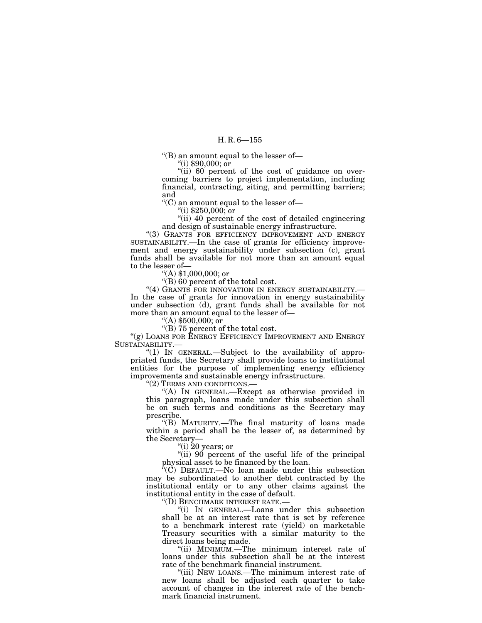''(B) an amount equal to the lesser of—

"(i)  $$90,000;$  or

"(ii) 60 percent of the cost of guidance on overcoming barriers to project implementation, including financial, contracting, siting, and permitting barriers; and

''(C) an amount equal to the lesser of—

 $^{\circ}$ (i) \$250,000; or

"(ii) 40 percent of the cost of detailed engineering and design of sustainable energy infrastructure.

"(3) GRANTS FOR EFFICIENCY IMPROVEMENT AND ENERGY SUSTAINABILITY.—In the case of grants for efficiency improvement and energy sustainability under subsection (c), grant funds shall be available for not more than an amount equal to the lesser of—

''(A) \$1,000,000; or

''(B) 60 percent of the total cost.

"(4) GRANTS FOR INNOVATION IN ENERGY SUSTAINABILITY. In the case of grants for innovation in energy sustainability under subsection (d), grant funds shall be available for not more than an amount equal to the lesser of—<br>"(A) \$500,000; or

''(B) 75 percent of the total cost.

"(g) LOANS FOR ENERGY EFFICIENCY IMPROVEMENT AND ENERGY SUSTAINABILITY.—<br>"(1) IN GENERAL.—Subject to the availability of appro-

priated funds, the Secretary shall provide loans to institutional entities for the purpose of implementing energy efficiency improvements and sustainable energy infrastructure.

''(2) TERMS AND CONDITIONS.—

"(A) In GENERAL.—Except as otherwise provided in this paragraph, loans made under this subsection shall be on such terms and conditions as the Secretary may prescribe.

''(B) MATURITY.—The final maturity of loans made within a period shall be the lesser of, as determined by the Secretary—

"(i)  $20$  years; or

''(ii) 90 percent of the useful life of the principal physical asset to be financed by the loan.

 $C^*(C)$  DEFAULT.—No loan made under this subsection may be subordinated to another debt contracted by the institutional entity or to any other claims against the institutional entity in the case of default.

''(D) BENCHMARK INTEREST RATE.—

''(i) IN GENERAL.—Loans under this subsection shall be at an interest rate that is set by reference to a benchmark interest rate (yield) on marketable Treasury securities with a similar maturity to the direct loans being made.

"(ii) MINIMUM.—The minimum interest rate of loans under this subsection shall be at the interest rate of the benchmark financial instrument.

''(iii) NEW LOANS.—The minimum interest rate of new loans shall be adjusted each quarter to take account of changes in the interest rate of the benchmark financial instrument.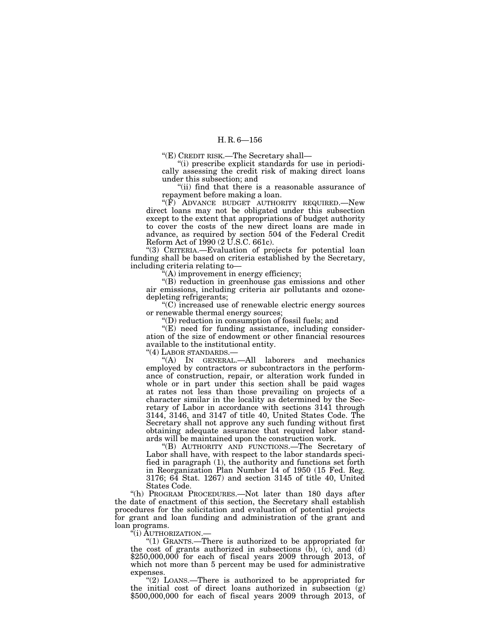''(E) CREDIT RISK.—The Secretary shall—

''(i) prescribe explicit standards for use in periodically assessing the credit risk of making direct loans under this subsection; and

''(ii) find that there is a reasonable assurance of repayment before making a loan.

"(F) ADVANCE BUDGET AUTHORITY REQUIRED. New direct loans may not be obligated under this subsection except to the extent that appropriations of budget authority to cover the costs of the new direct loans are made in advance, as required by section 504 of the Federal Credit Reform Act of 1990 (2 U.S.C. 661c).

''(3) CRITERIA.—Evaluation of projects for potential loan funding shall be based on criteria established by the Secretary, including criteria relating to—

 $f(A)$  improvement in energy efficiency;

''(B) reduction in greenhouse gas emissions and other air emissions, including criteria air pollutants and ozonedepleting refrigerants;

''(C) increased use of renewable electric energy sources or renewable thermal energy sources;

''(D) reduction in consumption of fossil fuels; and

"(E) need for funding assistance, including consideration of the size of endowment or other financial resources available to the institutional entity.<br>"(4) LABOR STANDARDS.—

"(A) In GENERAL.—All laborers and mechanics employed by contractors or subcontractors in the performance of construction, repair, or alteration work funded in whole or in part under this section shall be paid wages at rates not less than those prevailing on projects of a character similar in the locality as determined by the Secretary of Labor in accordance with sections 3141 through 3144, 3146, and 3147 of title 40, United States Code. The Secretary shall not approve any such funding without first obtaining adequate assurance that required labor standards will be maintained upon the construction work.

''(B) AUTHORITY AND FUNCTIONS.—The Secretary of Labor shall have, with respect to the labor standards specified in paragraph (1), the authority and functions set forth in Reorganization Plan Number 14 of 1950 (15 Fed. Reg. 3176; 64 Stat. 1267) and section 3145 of title 40, United States Code.

"(h) PROGRAM PROCEDURES.—Not later than 180 days after the date of enactment of this section, the Secretary shall establish procedures for the solicitation and evaluation of potential projects for grant and loan funding and administration of the grant and loan programs.

''(i) AUTHORIZATION.— ''(1) GRANTS.—There is authorized to be appropriated for the cost of grants authorized in subsections  $(\overline{b})$ ,  $(\overline{c})$ , and  $(\overline{d})$ \$250,000,000 for each of fiscal years 2009 through 2013, of which not more than 5 percent may be used for administrative expenses.

''(2) LOANS.—There is authorized to be appropriated for the initial cost of direct loans authorized in subsection (g) \$500,000,000 for each of fiscal years 2009 through 2013, of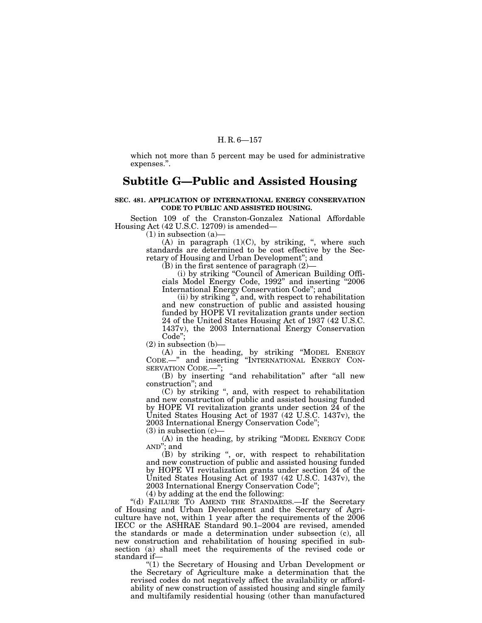which not more than 5 percent may be used for administrative expenses.''.

# **Subtitle G—Public and Assisted Housing**

### **SEC. 481. APPLICATION OF INTERNATIONAL ENERGY CONSERVATION CODE TO PUBLIC AND ASSISTED HOUSING.**

Section 109 of the Cranston-Gonzalez National Affordable Housing Act (42 U.S.C. 12709) is amended—

 $(1)$  in subsection  $(a)$ —

 $(A)$  in paragraph  $(1)(C)$ , by striking, ", where such standards are determined to be cost effective by the Secretary of Housing and Urban Development''; and

(B) in the first sentence of paragraph (2)—

(i) by striking ''Council of American Building Officials Model Energy Code, 1992'' and inserting ''2006 International Energy Conservation Code''; and

(ii) by striking '', and, with respect to rehabilitation and new construction of public and assisted housing funded by HOPE VI revitalization grants under section 24 of the United States Housing Act of 1937 (42 U.S.C. 1437v), the 2003 International Energy Conservation Code'';

 $(2)$  in subsection  $(b)$ —

(A) in the heading, by striking ''MODEL ENERGY CODE.—'' and inserting ''INTERNATIONAL ENERGY CON- SERVATION CODE.<sup>"</sup>;

(B) by inserting ''and rehabilitation'' after ''all new construction''; and

(C) by striking '', and, with respect to rehabilitation and new construction of public and assisted housing funded by HOPE VI revitalization grants under section 24 of the United States Housing Act of 1937 (42 U.S.C. 1437v), the 2003 International Energy Conservation Code'';

 $(3)$  in subsection  $(c)$ 

(A) in the heading, by striking ''MODEL ENERGY CODE AND''; and

 $(B)$  by striking ", or, with respect to rehabilitation and new construction of public and assisted housing funded by HOPE VI revitalization grants under section 24 of the United States Housing Act of 1937 (42 U.S.C. 1437v), the 2003 International Energy Conservation Code'';

(4) by adding at the end the following:

''(d) FAILURE TO AMEND THE STANDARDS.—If the Secretary of Housing and Urban Development and the Secretary of Agriculture have not, within 1 year after the requirements of the 2006 IECC or the ASHRAE Standard 90.1–2004 are revised, amended the standards or made a determination under subsection (c), all new construction and rehabilitation of housing specified in subsection (a) shall meet the requirements of the revised code or standard if—

"(1) the Secretary of Housing and Urban Development or the Secretary of Agriculture make a determination that the revised codes do not negatively affect the availability or affordability of new construction of assisted housing and single family and multifamily residential housing (other than manufactured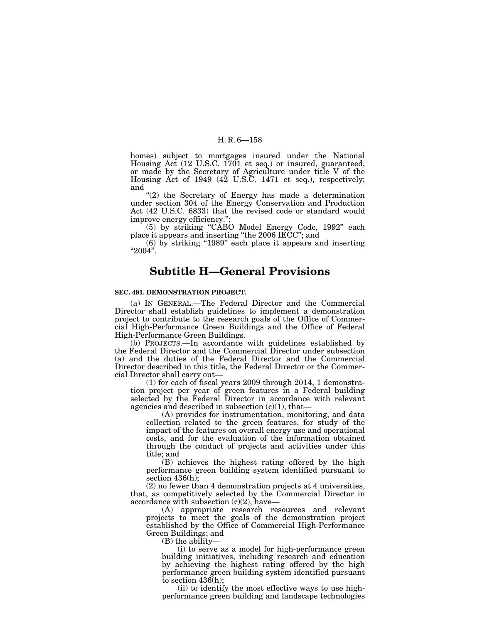homes) subject to mortgages insured under the National Housing Act (12 U.S.C. 1701 et seq.) or insured, guaranteed, or made by the Secretary of Agriculture under title V of the Housing Act of 1949 (42 U.S.C. 1471 et seq.), respectively; and

"(2) the Secretary of Energy has made a determination under section 304 of the Energy Conservation and Production Act (42 U.S.C. 6833) that the revised code or standard would improve energy efficiency.'';

(5) by striking ''CABO Model Energy Code, 1992'' each place it appears and inserting ''the 2006 IECC''; and

 $(6)$  by striking "1989" each place it appears and inserting ''2004''.

# **Subtitle H—General Provisions**

### **SEC. 491. DEMONSTRATION PROJECT.**

(a) IN GENERAL.—The Federal Director and the Commercial Director shall establish guidelines to implement a demonstration project to contribute to the research goals of the Office of Commercial High-Performance Green Buildings and the Office of Federal High-Performance Green Buildings.

(b) PROJECTS.—In accordance with guidelines established by the Federal Director and the Commercial Director under subsection (a) and the duties of the Federal Director and the Commercial Director described in this title, the Federal Director or the Commercial Director shall carry out—

(1) for each of fiscal years 2009 through 2014, 1 demonstration project per year of green features in a Federal building selected by the Federal Director in accordance with relevant agencies and described in subsection  $(c)(1)$ , that—

(A) provides for instrumentation, monitoring, and data collection related to the green features, for study of the impact of the features on overall energy use and operational costs, and for the evaluation of the information obtained through the conduct of projects and activities under this title; and

(B) achieves the highest rating offered by the high performance green building system identified pursuant to section 436(h);

(2) no fewer than 4 demonstration projects at 4 universities, that, as competitively selected by the Commercial Director in accordance with subsection (c)(2), have—

(A) appropriate research resources and relevant projects to meet the goals of the demonstration project established by the Office of Commercial High-Performance Green Buildings; and

(B) the ability—

(i) to serve as a model for high-performance green building initiatives, including research and education by achieving the highest rating offered by the high performance green building system identified pursuant to section  $436(h)$ ;

(ii) to identify the most effective ways to use highperformance green building and landscape technologies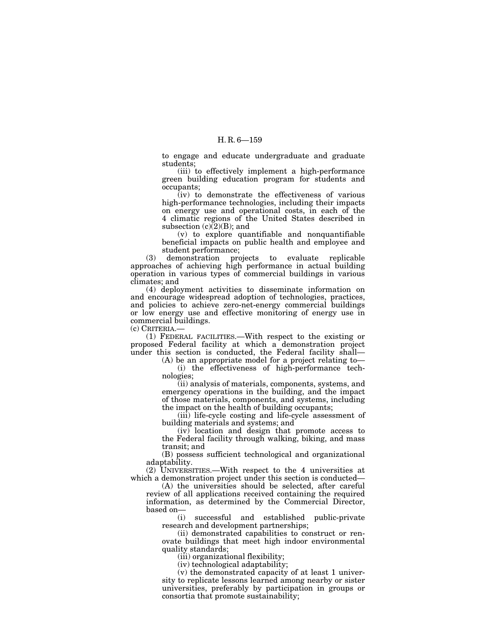to engage and educate undergraduate and graduate students;

(iii) to effectively implement a high-performance green building education program for students and occupants;

 $(iv)$  to demonstrate the effectiveness of various high-performance technologies, including their impacts on energy use and operational costs, in each of the 4 climatic regions of the United States described in subsection  $(c)(2)(B)$ ; and

(v) to explore quantifiable and nonquantifiable beneficial impacts on public health and employee and student performance;

(3) demonstration projects to evaluate replicable approaches of achieving high performance in actual building operation in various types of commercial buildings in various climates; and

(4) deployment activities to disseminate information on and encourage widespread adoption of technologies, practices, and policies to achieve zero-net-energy commercial buildings or low energy use and effective monitoring of energy use in commercial buildings.<br>(c) CRITERIA.—

(c) CRITERIA.— (1) FEDERAL FACILITIES.—With respect to the existing or proposed Federal facility at which a demonstration project under this section is conducted, the Federal facility shall—

(A) be an appropriate model for a project relating to— (i) the effectiveness of high-performance technologies;

(ii) analysis of materials, components, systems, and emergency operations in the building, and the impact of those materials, components, and systems, including the impact on the health of building occupants;

(iii) life-cycle costing and life-cycle assessment of building materials and systems; and

(iv) location and design that promote access to the Federal facility through walking, biking, and mass transit; and

(B) possess sufficient technological and organizational adaptability.

(2) UNIVERSITIES.—With respect to the 4 universities at which a demonstration project under this section is conducted—

(A) the universities should be selected, after careful review of all applications received containing the required information, as determined by the Commercial Director, based on—

(i) successful and established public-private research and development partnerships;

(ii) demonstrated capabilities to construct or renovate buildings that meet high indoor environmental quality standards;

(iii) organizational flexibility;

(iv) technological adaptability;

(v) the demonstrated capacity of at least 1 university to replicate lessons learned among nearby or sister universities, preferably by participation in groups or consortia that promote sustainability;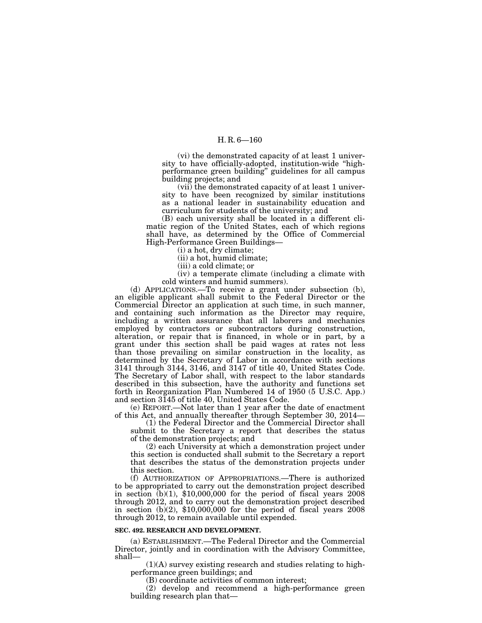(vi) the demonstrated capacity of at least 1 university to have officially-adopted, institution-wide ''highperformance green building'' guidelines for all campus building projects; and

(vii) the demonstrated capacity of at least 1 university to have been recognized by similar institutions as a national leader in sustainability education and curriculum for students of the university; and

(B) each university shall be located in a different climatic region of the United States, each of which regions shall have, as determined by the Office of Commercial High-Performance Green Buildings—

(i) a hot, dry climate;

(ii) a hot, humid climate;

(iii) a cold climate; or

(iv) a temperate climate (including a climate with cold winters and humid summers).

(d) APPLICATIONS.—To receive a grant under subsection (b), an eligible applicant shall submit to the Federal Director or the Commercial Director an application at such time, in such manner, and containing such information as the Director may require, including a written assurance that all laborers and mechanics employed by contractors or subcontractors during construction, alteration, or repair that is financed, in whole or in part, by a grant under this section shall be paid wages at rates not less than those prevailing on similar construction in the locality, as determined by the Secretary of Labor in accordance with sections 3141 through 3144, 3146, and 3147 of title 40, United States Code. The Secretary of Labor shall, with respect to the labor standards described in this subsection, have the authority and functions set forth in Reorganization Plan Numbered 14 of 1950 (5 U.S.C. App.) and section 3145 of title 40, United States Code.

(e) REPORT.—Not later than 1 year after the date of enactment of this Act, and annually thereafter through September 30, 2014—

(1) the Federal Director and the Commercial Director shall submit to the Secretary a report that describes the status of the demonstration projects; and

(2) each University at which a demonstration project under this section is conducted shall submit to the Secretary a report that describes the status of the demonstration projects under this section.

(f) AUTHORIZATION OF APPROPRIATIONS.—There is authorized to be appropriated to carry out the demonstration project described in section  $(b)(1)$ , \$10,000,000 for the period of fiscal years 2008 through 2012, and to carry out the demonstration project described in section  $(b)(2)$ , \$10,000,000 for the period of fiscal years 2008 through 2012, to remain available until expended.

### **SEC. 492. RESEARCH AND DEVELOPMENT.**

(a) ESTABLISHMENT.—The Federal Director and the Commercial Director, jointly and in coordination with the Advisory Committee, shall—

(1)(A) survey existing research and studies relating to highperformance green buildings; and

(B) coordinate activities of common interest;

(2) develop and recommend a high-performance green building research plan that—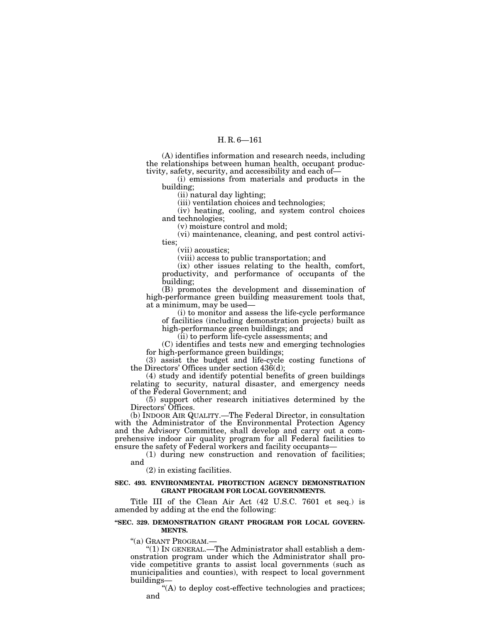(A) identifies information and research needs, including the relationships between human health, occupant productivity, safety, security, and accessibility and each of—

(i) emissions from materials and products in the building;

(ii) natural day lighting;

(iii) ventilation choices and technologies;

(iv) heating, cooling, and system control choices and technologies;

(v) moisture control and mold;

(vi) maintenance, cleaning, and pest control activities;

(vii) acoustics;

(viii) access to public transportation; and

(ix) other issues relating to the health, comfort, productivity, and performance of occupants of the building;

(B) promotes the development and dissemination of high-performance green building measurement tools that, at a minimum, may be used—

(i) to monitor and assess the life-cycle performance of facilities (including demonstration projects) built as high-performance green buildings; and

(ii) to perform life-cycle assessments; and

(C) identifies and tests new and emerging technologies for high-performance green buildings;

(3) assist the budget and life-cycle costing functions of the Directors' Offices under section 436(d);

(4) study and identify potential benefits of green buildings relating to security, natural disaster, and emergency needs of the Federal Government; and

(5) support other research initiatives determined by the Directors' Offices.

(b) INDOOR AIR QUALITY.—The Federal Director, in consultation with the Administrator of the Environmental Protection Agency and the Advisory Committee, shall develop and carry out a comprehensive indoor air quality program for all Federal facilities to ensure the safety of Federal workers and facility occupants—

(1) during new construction and renovation of facilities; and

(2) in existing facilities.

### **SEC. 493. ENVIRONMENTAL PROTECTION AGENCY DEMONSTRATION GRANT PROGRAM FOR LOCAL GOVERNMENTS.**

Title III of the Clean Air Act (42 U.S.C. 7601 et seq.) is amended by adding at the end the following:

### **''SEC. 329. DEMONSTRATION GRANT PROGRAM FOR LOCAL GOVERN-MENTS.**

''(a) GRANT PROGRAM.—

''(1) IN GENERAL.—The Administrator shall establish a demonstration program under which the Administrator shall provide competitive grants to assist local governments (such as municipalities and counties), with respect to local government buildings—

''(A) to deploy cost-effective technologies and practices; and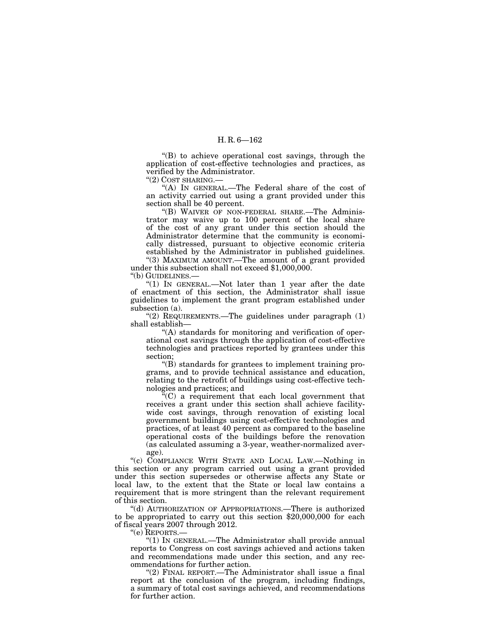$f(B)$  to achieve operational cost savings, through the application of cost-effective technologies and practices, as verified by the Administrator.

''(2) COST SHARING.—

"(A) In GENERAL.—The Federal share of the cost of an activity carried out using a grant provided under this section shall be 40 percent.

''(B) WAIVER OF NON-FEDERAL SHARE.—The Administrator may waive up to 100 percent of the local share of the cost of any grant under this section should the Administrator determine that the community is economically distressed, pursuant to objective economic criteria established by the Administrator in published guidelines.

"(3) MAXIMUM AMOUNT.—The amount of a grant provided under this subsection shall not exceed \$1,000,000. ''(b) GUIDELINES.—

"(1) IN GENERAL.—Not later than 1 year after the date of enactment of this section, the Administrator shall issue guidelines to implement the grant program established under subsection (a).

" $(2)$  REQUIREMENTS.—The guidelines under paragraph  $(1)$ shall establish—

''(A) standards for monitoring and verification of operational cost savings through the application of cost-effective technologies and practices reported by grantees under this section;

 $\mathrm{H}(B)$  standards for grantees to implement training programs, and to provide technical assistance and education, relating to the retrofit of buildings using cost-effective technologies and practices; and

 $f(C)$  a requirement that each local government that receives a grant under this section shall achieve facilitywide cost savings, through renovation of existing local government buildings using cost-effective technologies and practices, of at least 40 percent as compared to the baseline operational costs of the buildings before the renovation (as calculated assuming a 3-year, weather-normalized average).

''(c) COMPLIANCE WITH STATE AND LOCAL LAW.—Nothing in this section or any program carried out using a grant provided under this section supersedes or otherwise affects any State or local law, to the extent that the State or local law contains a requirement that is more stringent than the relevant requirement of this section.

''(d) AUTHORIZATION OF APPROPRIATIONS.—There is authorized to be appropriated to carry out this section \$20,000,000 for each of fiscal years 2007 through 2012.

''(e) REPORTS.—

"(1) IN GENERAL.—The Administrator shall provide annual reports to Congress on cost savings achieved and actions taken and recommendations made under this section, and any recommendations for further action.

"(2) FINAL REPORT.—The Administrator shall issue a final report at the conclusion of the program, including findings, a summary of total cost savings achieved, and recommendations for further action.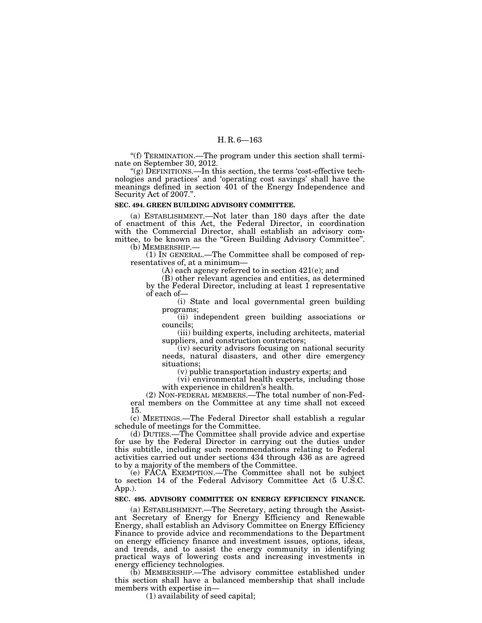''(f) TERMINATION.—The program under this section shall terminate on September 30, 2012.

''(g) DEFINITIONS.—In this section, the terms 'cost-effective technologies and practices' and 'operating cost savings' shall have the meanings defined in section 401 of the Energy Independence and Security Act of 2007.''.

#### **SEC. 494. GREEN BUILDING ADVISORY COMMITTEE.**

(a) ESTABLISHMENT.—Not later than 180 days after the date of enactment of this Act, the Federal Director, in coordination with the Commercial Director, shall establish an advisory committee, to be known as the ''Green Building Advisory Committee''.

(b) MEMBERSHIP.—<br>(1) IN GENERAL.—The Committee shall be composed of representatives of, at a minimum—

(A) each agency referred to in section 421(e); and

(B) other relevant agencies and entities, as determined by the Federal Director, including at least 1 representative of each of—

(i) State and local governmental green building programs;

(ii) independent green building associations or councils;

(iii) building experts, including architects, material suppliers, and construction contractors;

(iv) security advisors focusing on national security needs, natural disasters, and other dire emergency situations;

(v) public transportation industry experts; and

(vi) environmental health experts, including those with experience in children's health.

(2) NON-FEDERAL MEMBERS.—The total number of non-Federal members on the Committee at any time shall not exceed 15.

(c) MEETINGS.—The Federal Director shall establish a regular schedule of meetings for the Committee.

(d) DUTIES.—The Committee shall provide advice and expertise for use by the Federal Director in carrying out the duties under this subtitle, including such recommendations relating to Federal activities carried out under sections 434 through 436 as are agreed to by a majority of the members of the Committee.

(e) FACA EXEMPTION.—The Committee shall not be subject to section 14 of the Federal Advisory Committee Act (5 U.S.C. App.).

### **SEC. 495. ADVISORY COMMITTEE ON ENERGY EFFICIENCY FINANCE.**

(a) ESTABLISHMENT.—The Secretary, acting through the Assistant Secretary of Energy for Energy Efficiency and Renewable Energy, shall establish an Advisory Committee on Energy Efficiency Finance to provide advice and recommendations to the Department on energy efficiency finance and investment issues, options, ideas, and trends, and to assist the energy community in identifying practical ways of lowering costs and increasing investments in energy efficiency technologies.

(b) MEMBERSHIP.—The advisory committee established under this section shall have a balanced membership that shall include members with expertise in—

(1) availability of seed capital;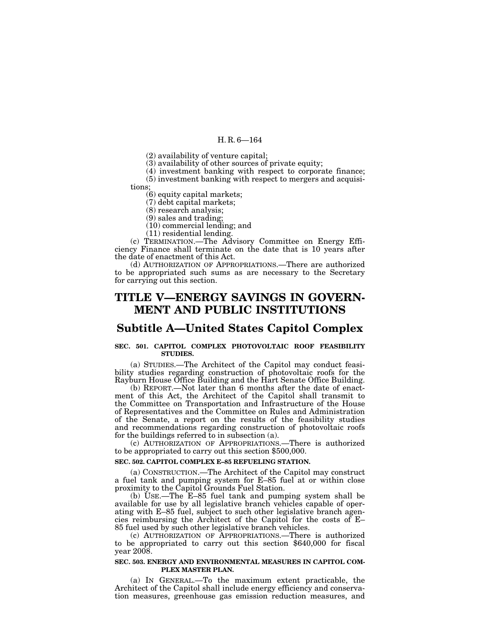(2) availability of venture capital;

(3) availability of other sources of private equity;

(4) investment banking with respect to corporate finance;

(5) investment banking with respect to mergers and acquisi-

tions;

(6) equity capital markets;

(7) debt capital markets;

(8) research analysis;

(9) sales and trading;

(10) commercial lending; and

(11) residential lending.

(c) TERMINATION.—The Advisory Committee on Energy Efficiency Finance shall terminate on the date that is 10 years after the date of enactment of this Act.

(d) AUTHORIZATION OF APPROPRIATIONS.—There are authorized to be appropriated such sums as are necessary to the Secretary for carrying out this section.

# **TITLE V—ENERGY SAVINGS IN GOVERN-MENT AND PUBLIC INSTITUTIONS**

# **Subtitle A—United States Capitol Complex**

### **SEC. 501. CAPITOL COMPLEX PHOTOVOLTAIC ROOF FEASIBILITY STUDIES.**

(a) STUDIES.—The Architect of the Capitol may conduct feasibility studies regarding construction of photovoltaic roofs for the Rayburn House Office Building and the Hart Senate Office Building.

(b) REPORT.—Not later than 6 months after the date of enactment of this Act, the Architect of the Capitol shall transmit to the Committee on Transportation and Infrastructure of the House of Representatives and the Committee on Rules and Administration of the Senate, a report on the results of the feasibility studies and recommendations regarding construction of photovoltaic roofs for the buildings referred to in subsection (a).

(c) AUTHORIZATION OF APPROPRIATIONS.—There is authorized to be appropriated to carry out this section \$500,000.

### **SEC. 502. CAPITOL COMPLEX E–85 REFUELING STATION.**

(a) CONSTRUCTION.—The Architect of the Capitol may construct a fuel tank and pumping system for E–85 fuel at or within close proximity to the Capitol Grounds Fuel Station.

(b) USE.—The E–85 fuel tank and pumping system shall be available for use by all legislative branch vehicles capable of operating with E–85 fuel, subject to such other legislative branch agencies reimbursing the Architect of the Capitol for the costs of E– 85 fuel used by such other legislative branch vehicles.

(c) AUTHORIZATION OF APPROPRIATIONS.—There is authorized to be appropriated to carry out this section \$640,000 for fiscal year 2008.

### **SEC. 503. ENERGY AND ENVIRONMENTAL MEASURES IN CAPITOL COM-PLEX MASTER PLAN.**

(a) IN GENERAL.—To the maximum extent practicable, the Architect of the Capitol shall include energy efficiency and conservation measures, greenhouse gas emission reduction measures, and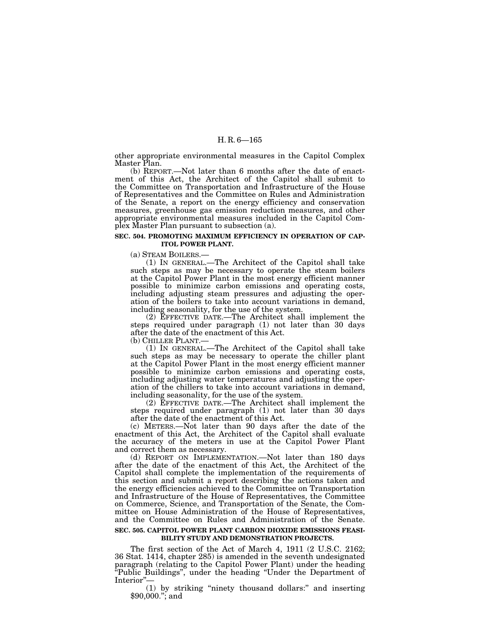other appropriate environmental measures in the Capitol Complex Master Plan.

(b) REPORT.—Not later than 6 months after the date of enactment of this Act, the Architect of the Capitol shall submit to the Committee on Transportation and Infrastructure of the House of Representatives and the Committee on Rules and Administration of the Senate, a report on the energy efficiency and conservation measures, greenhouse gas emission reduction measures, and other appropriate environmental measures included in the Capitol Complex Master Plan pursuant to subsection (a).

### **SEC. 504. PROMOTING MAXIMUM EFFICIENCY IN OPERATION OF CAP-ITOL POWER PLANT.**

(a) STEAM BOILERS.— (1) IN GENERAL.—The Architect of the Capitol shall take such steps as may be necessary to operate the steam boilers at the Capitol Power Plant in the most energy efficient manner possible to minimize carbon emissions and operating costs, including adjusting steam pressures and adjusting the operation of the boilers to take into account variations in demand, including seasonality, for the use of the system.

(2) EFFECTIVE DATE.—The Architect shall implement the steps required under paragraph (1) not later than 30 days after the date of the enactment of this Act.<br>(b) CHILLER PLANT.—

 $(1)$  In GENERAL.—The Architect of the Capitol shall take such steps as may be necessary to operate the chiller plant at the Capitol Power Plant in the most energy efficient manner possible to minimize carbon emissions and operating costs, including adjusting water temperatures and adjusting the operation of the chillers to take into account variations in demand, including seasonality, for the use of the system.

(2) EFFECTIVE DATE.—The Architect shall implement the steps required under paragraph (1) not later than 30 days after the date of the enactment of this Act.

(c) METERS.—Not later than 90 days after the date of the enactment of this Act, the Architect of the Capitol shall evaluate the accuracy of the meters in use at the Capitol Power Plant and correct them as necessary.

(d) REPORT ON IMPLEMENTATION.—Not later than 180 days after the date of the enactment of this Act, the Architect of the Capitol shall complete the implementation of the requirements of this section and submit a report describing the actions taken and the energy efficiencies achieved to the Committee on Transportation and Infrastructure of the House of Representatives, the Committee on Commerce, Science, and Transportation of the Senate, the Committee on House Administration of the House of Representatives, and the Committee on Rules and Administration of the Senate.

### **SEC. 505. CAPITOL POWER PLANT CARBON DIOXIDE EMISSIONS FEASI-BILITY STUDY AND DEMONSTRATION PROJECTS.**

The first section of the Act of March 4, 1911 (2 U.S.C. 2162; 36 Stat. 1414, chapter 285) is amended in the seventh undesignated paragraph (relating to the Capitol Power Plant) under the heading ''Public Buildings'', under the heading ''Under the Department of Interior''—

(1) by striking ''ninety thousand dollars:'' and inserting \$90,000.''; and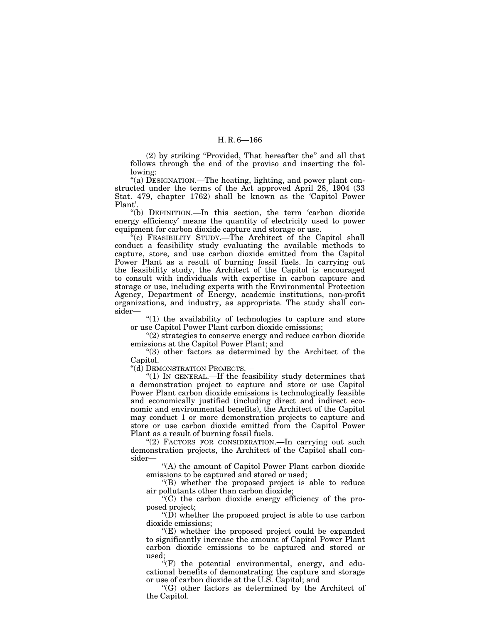(2) by striking ''Provided, That hereafter the'' and all that follows through the end of the proviso and inserting the following:

''(a) DESIGNATION.—The heating, lighting, and power plant constructed under the terms of the Act approved April 28, 1904 (33 Stat. 479, chapter 1762) shall be known as the 'Capitol Power Plant'.

''(b) DEFINITION.—In this section, the term 'carbon dioxide energy efficiency' means the quantity of electricity used to power equipment for carbon dioxide capture and storage or use.

 $\tilde{f}(c)$  FEASIBILITY STUDY.—The Architect of the Capitol shall conduct a feasibility study evaluating the available methods to capture, store, and use carbon dioxide emitted from the Capitol Power Plant as a result of burning fossil fuels. In carrying out the feasibility study, the Architect of the Capitol is encouraged to consult with individuals with expertise in carbon capture and storage or use, including experts with the Environmental Protection Agency, Department of Energy, academic institutions, non-profit organizations, and industry, as appropriate. The study shall consider—

 $''(1)$  the availability of technologies to capture and store or use Capitol Power Plant carbon dioxide emissions;

''(2) strategies to conserve energy and reduce carbon dioxide emissions at the Capitol Power Plant; and

''(3) other factors as determined by the Architect of the Capitol.

''(d) DEMONSTRATION PROJECTS.—

" $(1)$  In GENERAL.—If the feasibility study determines that a demonstration project to capture and store or use Capitol Power Plant carbon dioxide emissions is technologically feasible and economically justified (including direct and indirect economic and environmental benefits), the Architect of the Capitol may conduct 1 or more demonstration projects to capture and store or use carbon dioxide emitted from the Capitol Power Plant as a result of burning fossil fuels.

"(2) FACTORS FOR CONSIDERATION.—In carrying out such demonstration projects, the Architect of the Capitol shall consider—

"(A) the amount of Capitol Power Plant carbon dioxide emissions to be captured and stored or used;

''(B) whether the proposed project is able to reduce air pollutants other than carbon dioxide;

''(C) the carbon dioxide energy efficiency of the proposed project;

''(D) whether the proposed project is able to use carbon dioxide emissions;

 $E(E)$  whether the proposed project could be expanded to significantly increase the amount of Capitol Power Plant carbon dioxide emissions to be captured and stored or used;

 $f(F)$  the potential environmental, energy, and educational benefits of demonstrating the capture and storage or use of carbon dioxide at the U.S. Capitol; and

''(G) other factors as determined by the Architect of the Capitol.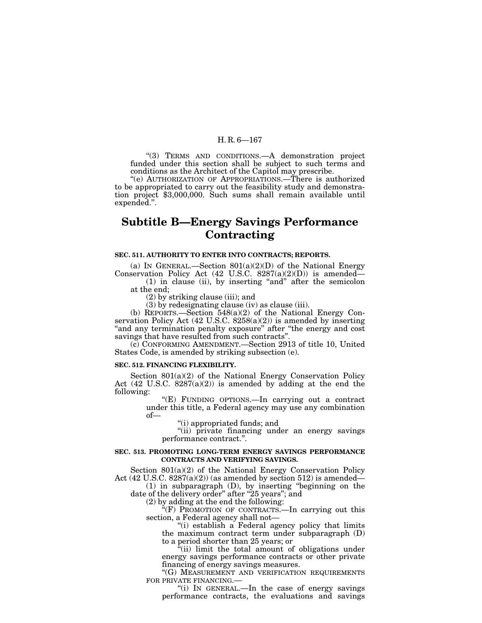''(3) TERMS AND CONDITIONS.—A demonstration project funded under this section shall be subject to such terms and conditions as the Architect of the Capitol may prescribe.

"(e) AUTHORIZATION OF APPROPRIATIONS.—There is authorized to be appropriated to carry out the feasibility study and demonstration project \$3,000,000. Such sums shall remain available until expended.''.

# **Subtitle B—Energy Savings Performance Contracting**

### **SEC. 511. AUTHORITY TO ENTER INTO CONTRACTS; REPORTS.**

(a) IN GENERAL.—Section  $801(a)(2)(D)$  of the National Energy Conservation Policy Act  $(42 \text{ U.S.C. } 8287(a)(2)(D))$  is amended—

(1) in clause (ii), by inserting ''and'' after the semicolon at the end;

(2) by striking clause (iii); and

(3) by redesignating clause (iv) as clause (iii).

(b) REPORTS.—Section 548(a)(2) of the National Energy Conservation Policy Act (42 U.S.C. 8258(a)(2)) is amended by inserting "and any termination penalty exposure" after "the energy and cost savings that have resulted from such contracts''.

(c) CONFORMING AMENDMENT.—Section 2913 of title 10, United States Code, is amended by striking subsection (e).

### **SEC. 512. FINANCING FLEXIBILITY.**

Section 801(a)(2) of the National Energy Conservation Policy Act (42 U.S.C. 8287(a)(2)) is amended by adding at the end the following:

''(E) FUNDING OPTIONS.—In carrying out a contract under this title, a Federal agency may use any combination of—

''(i) appropriated funds; and

''(ii) private financing under an energy savings performance contract.''.

### **SEC. 513. PROMOTING LONG-TERM ENERGY SAVINGS PERFORMANCE CONTRACTS AND VERIFYING SAVINGS.**

Section 801(a)(2) of the National Energy Conservation Policy Act  $(42 \text{ U.S.C. } 8287(a)(2))$  (as amended by section 512) is amended—

(1) in subparagraph (D), by inserting ''beginning on the date of the delivery order'' after ''25 years''; and

(2) by adding at the end the following:

''(F) PROMOTION OF CONTRACTS.—In carrying out this section, a Federal agency shall not—

''(i) establish a Federal agency policy that limits the maximum contract term under subparagraph (D) to a period shorter than 25 years; or

 $\hat{f}$ (ii) limit the total amount of obligations under energy savings performance contracts or other private financing of energy savings measures.

"(G) MEASUREMENT AND VERIFICATION REQUIREMENTS FOR PRIVATE FINANCING.—

''(i) IN GENERAL.—In the case of energy savings performance contracts, the evaluations and savings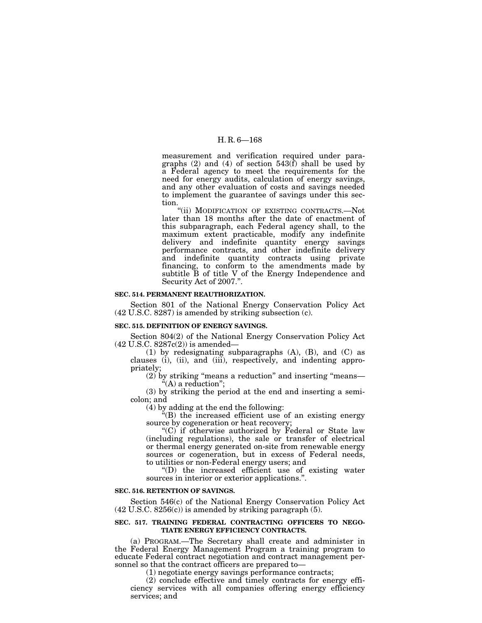measurement and verification required under paragraphs  $(2)$  and  $(4)$  of section 543 $(\hat{f})$  shall be used by a Federal agency to meet the requirements for the need for energy audits, calculation of energy savings, and any other evaluation of costs and savings needed to implement the guarantee of savings under this section.

''(ii) MODIFICATION OF EXISTING CONTRACTS.—Not later than 18 months after the date of enactment of this subparagraph, each Federal agency shall, to the maximum extent practicable, modify any indefinite delivery and indefinite quantity energy savings performance contracts, and other indefinite delivery and indefinite quantity contracts using private financing, to conform to the amendments made by subtitle B of title V of the Energy Independence and Security Act of 2007.''.

### **SEC. 514. PERMANENT REAUTHORIZATION.**

Section 801 of the National Energy Conservation Policy Act (42 U.S.C. 8287) is amended by striking subsection (c).

### **SEC. 515. DEFINITION OF ENERGY SAVINGS.**

Section 804(2) of the National Energy Conservation Policy Act (42 U.S.C. 8287c(2)) is amended—

(1) by redesignating subparagraphs (A), (B), and (C) as clauses (i), (ii), and (iii), respectively, and indenting appropriately;

(2) by striking "means a reduction" and inserting "means—  $\mathcal{H}(A)$  a reduction";

(3) by striking the period at the end and inserting a semicolon; and

(4) by adding at the end the following:

''(B) the increased efficient use of an existing energy source by cogeneration or heat recovery;

"(C) if otherwise authorized by Federal or State law (including regulations), the sale or transfer of electrical or thermal energy generated on-site from renewable energy sources or cogeneration, but in excess of Federal needs, to utilities or non-Federal energy users; and

''(D) the increased efficient use of existing water sources in interior or exterior applications.''.

### **SEC. 516. RETENTION OF SAVINGS.**

Section 546(c) of the National Energy Conservation Policy Act  $(42 \text{ U.S.C. } 8256(c))$  is amended by striking paragraph  $(5)$ .

### **SEC. 517. TRAINING FEDERAL CONTRACTING OFFICERS TO NEGO-TIATE ENERGY EFFICIENCY CONTRACTS.**

(a) PROGRAM.—The Secretary shall create and administer in the Federal Energy Management Program a training program to educate Federal contract negotiation and contract management personnel so that the contract officers are prepared to—

(1) negotiate energy savings performance contracts;

(2) conclude effective and timely contracts for energy efficiency services with all companies offering energy efficiency services; and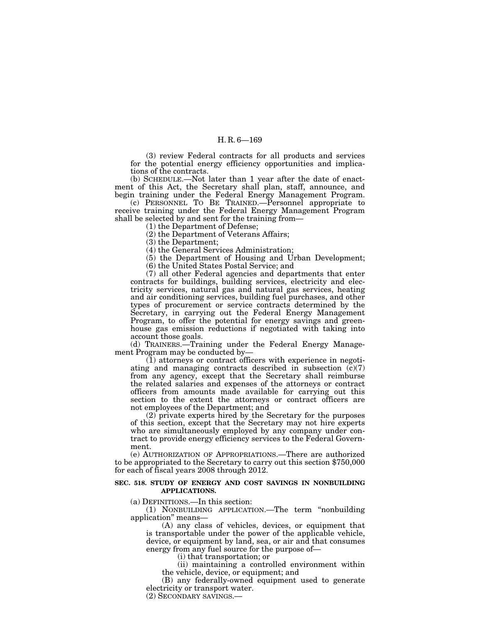(3) review Federal contracts for all products and services for the potential energy efficiency opportunities and implications of the contracts.

(b) SCHEDULE.—Not later than 1 year after the date of enactment of this Act, the Secretary shall plan, staff, announce, and begin training under the Federal Energy Management Program.

(c) PERSONNEL TO BE TRAINED.—Personnel appropriate to receive training under the Federal Energy Management Program shall be selected by and sent for the training from—

(1) the Department of Defense;

(2) the Department of Veterans Affairs;

(3) the Department;

(4) the General Services Administration;

(5) the Department of Housing and Urban Development;

(6) the United States Postal Service; and

(7) all other Federal agencies and departments that enter contracts for buildings, building services, electricity and electricity services, natural gas and natural gas services, heating and air conditioning services, building fuel purchases, and other types of procurement or service contracts determined by the Secretary, in carrying out the Federal Energy Management Program, to offer the potential for energy savings and greenhouse gas emission reductions if negotiated with taking into account those goals.

(d) TRAINERS.—Training under the Federal Energy Management Program may be conducted by—

 $(1)$  attorneys or contract officers with experience in negotiating and managing contracts described in subsection  $(c)(7)$ from any agency, except that the Secretary shall reimburse the related salaries and expenses of the attorneys or contract officers from amounts made available for carrying out this section to the extent the attorneys or contract officers are not employees of the Department; and

(2) private experts hired by the Secretary for the purposes of this section, except that the Secretary may not hire experts who are simultaneously employed by any company under contract to provide energy efficiency services to the Federal Government.

(e) AUTHORIZATION OF APPROPRIATIONS.—There are authorized to be appropriated to the Secretary to carry out this section \$750,000 for each of fiscal years 2008 through 2012.

### **SEC. 518. STUDY OF ENERGY AND COST SAVINGS IN NONBUILDING APPLICATIONS.**

(a) DEFINITIONS.—In this section:

(1) NONBUILDING APPLICATION.—The term ''nonbuilding application'' means—

(A) any class of vehicles, devices, or equipment that is transportable under the power of the applicable vehicle, device, or equipment by land, sea, or air and that consumes energy from any fuel source for the purpose of—

(i) that transportation; or

(ii) maintaining a controlled environment within the vehicle, device, or equipment; and

(B) any federally-owned equipment used to generate electricity or transport water.

(2) SECONDARY SAVINGS.—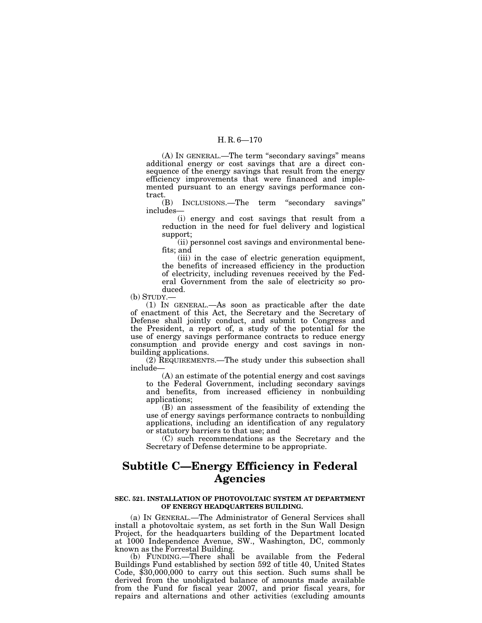(A) IN GENERAL.—The term ''secondary savings'' means additional energy or cost savings that are a direct consequence of the energy savings that result from the energy efficiency improvements that were financed and implemented pursuant to an energy savings performance contract.

(B) INCLUSIONS.—The term ''secondary savings'' includes—

(i) energy and cost savings that result from a reduction in the need for fuel delivery and logistical support;

(ii) personnel cost savings and environmental benefits; and

(iii) in the case of electric generation equipment, the benefits of increased efficiency in the production of electricity, including revenues received by the Federal Government from the sale of electricity so produced.

 $(b)$  STUDY.

(1) IN GENERAL.—As soon as practicable after the date of enactment of this Act, the Secretary and the Secretary of Defense shall jointly conduct, and submit to Congress and the President, a report of, a study of the potential for the use of energy savings performance contracts to reduce energy consumption and provide energy and cost savings in nonbuilding applications.

(2) REQUIREMENTS.—The study under this subsection shall include—

(A) an estimate of the potential energy and cost savings to the Federal Government, including secondary savings and benefits, from increased efficiency in nonbuilding applications;

(B) an assessment of the feasibility of extending the use of energy savings performance contracts to nonbuilding applications, including an identification of any regulatory or statutory barriers to that use; and

(C) such recommendations as the Secretary and the Secretary of Defense determine to be appropriate.

# **Subtitle C—Energy Efficiency in Federal Agencies**

### **SEC. 521. INSTALLATION OF PHOTOVOLTAIC SYSTEM AT DEPARTMENT OF ENERGY HEADQUARTERS BUILDING.**

(a) IN GENERAL.—The Administrator of General Services shall install a photovoltaic system, as set forth in the Sun Wall Design Project, for the headquarters building of the Department located at 1000 Independence Avenue, SW., Washington, DC, commonly known as the Forrestal Building.

(b) FUNDING.—There shall be available from the Federal Buildings Fund established by section 592 of title 40, United States Code, \$30,000,000 to carry out this section. Such sums shall be derived from the unobligated balance of amounts made available from the Fund for fiscal year 2007, and prior fiscal years, for repairs and alternations and other activities (excluding amounts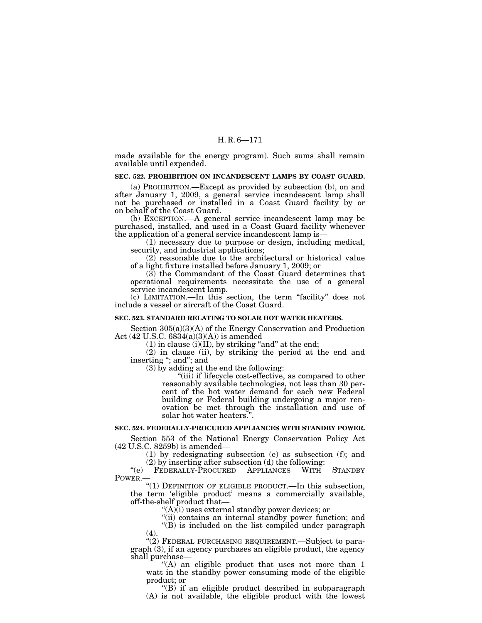made available for the energy program). Such sums shall remain available until expended.

### **SEC. 522. PROHIBITION ON INCANDESCENT LAMPS BY COAST GUARD.**

(a) PROHIBITION.—Except as provided by subsection (b), on and after January 1, 2009, a general service incandescent lamp shall not be purchased or installed in a Coast Guard facility by or on behalf of the Coast Guard.

(b) EXCEPTION.—A general service incandescent lamp may be purchased, installed, and used in a Coast Guard facility whenever the application of a general service incandescent lamp is—

(1) necessary due to purpose or design, including medical, security, and industrial applications;

(2) reasonable due to the architectural or historical value of a light fixture installed before January 1, 2009; or

(3) the Commandant of the Coast Guard determines that operational requirements necessitate the use of a general service incandescent lamp.

(c) LIMITATION.—In this section, the term ''facility'' does not include a vessel or aircraft of the Coast Guard.

### **SEC. 523. STANDARD RELATING TO SOLAR HOT WATER HEATERS.**

Section 305(a)(3)(A) of the Energy Conservation and Production Act (42 U.S.C. 6834(a)(3)(A)) is amended—

 $(1)$  in clause  $(i)(II)$ , by striking "and" at the end;

(2) in clause (ii), by striking the period at the end and inserting ''; and''; and

(3) by adding at the end the following:

"(iii) if lifecycle cost-effective, as compared to other reasonably available technologies, not less than 30 percent of the hot water demand for each new Federal building or Federal building undergoing a major renovation be met through the installation and use of solar hot water heaters.''.

### **SEC. 524. FEDERALLY-PROCURED APPLIANCES WITH STANDBY POWER.**

Section 553 of the National Energy Conservation Policy Act (42 U.S.C. 8259b) is amended—

(1) by redesignating subsection (e) as subsection (f); and

(2) by inserting after subsection (d) the following: ''(e) FEDERALLY-PROCURED APPLIANCES WITH STANDBY POWER.—

''(1) DEFINITION OF ELIGIBLE PRODUCT.—In this subsection, the term 'eligible product' means a commercially available, off-the-shelf product that—

" $(A)$ (i) uses external standby power devices; or

"(ii) contains an internal standby power function; and

''(B) is included on the list compiled under paragraph (4).

"(2) FEDERAL PURCHASING REQUIREMENT.—Subject to paragraph (3), if an agency purchases an eligible product, the agency shall purchase—

''(A) an eligible product that uses not more than 1 watt in the standby power consuming mode of the eligible product; or

" $(B)$  if an eligible product described in subparagraph (A) is not available, the eligible product with the lowest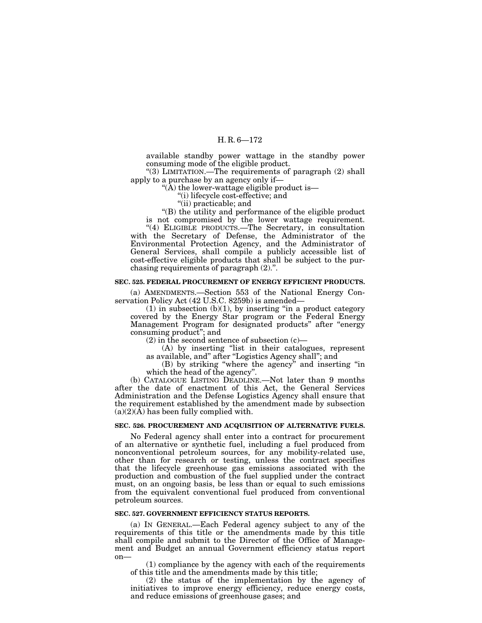available standby power wattage in the standby power consuming mode of the eligible product.

"(3) LIMITATION.—The requirements of paragraph (2) shall apply to a purchase by an agency only if—

"( $\tilde{A}$ ) the lower-wattage eligible product is—

''(i) lifecycle cost-effective; and

''(ii) practicable; and

"(B) the utility and performance of the eligible product is not compromised by the lower wattage requirement.

''(4) ELIGIBLE PRODUCTS.—The Secretary, in consultation with the Secretary of Defense, the Administrator of the Environmental Protection Agency, and the Administrator of General Services, shall compile a publicly accessible list of cost-effective eligible products that shall be subject to the purchasing requirements of paragraph (2).''.

### **SEC. 525. FEDERAL PROCUREMENT OF ENERGY EFFICIENT PRODUCTS.**

(a) AMENDMENTS.—Section 553 of the National Energy Conservation Policy Act (42 U.S.C. 8259b) is amended—

 $(1)$  in subsection  $(b)(1)$ , by inserting "in a product category covered by the Energy Star program or the Federal Energy Management Program for designated products" after "energy consuming product''; and

 $(2)$  in the second sentence of subsection  $(c)$ —

(A) by inserting ''list in their catalogues, represent as available, and'' after ''Logistics Agency shall''; and

(B) by striking ''where the agency'' and inserting ''in which the head of the agency''.

(b) CATALOGUE LISTING DEADLINE.—Not later than 9 months after the date of enactment of this Act, the General Services Administration and the Defense Logistics Agency shall ensure that the requirement established by the amendment made by subsection  $(a)(2)(A)$  has been fully complied with.

# **SEC. 526. PROCUREMENT AND ACQUISITION OF ALTERNATIVE FUELS.**

No Federal agency shall enter into a contract for procurement of an alternative or synthetic fuel, including a fuel produced from nonconventional petroleum sources, for any mobility-related use, other than for research or testing, unless the contract specifies that the lifecycle greenhouse gas emissions associated with the production and combustion of the fuel supplied under the contract must, on an ongoing basis, be less than or equal to such emissions from the equivalent conventional fuel produced from conventional petroleum sources.

### **SEC. 527. GOVERNMENT EFFICIENCY STATUS REPORTS.**

(a) IN GENERAL.—Each Federal agency subject to any of the requirements of this title or the amendments made by this title shall compile and submit to the Director of the Office of Management and Budget an annual Government efficiency status report on—

(1) compliance by the agency with each of the requirements of this title and the amendments made by this title;

(2) the status of the implementation by the agency of initiatives to improve energy efficiency, reduce energy costs, and reduce emissions of greenhouse gases; and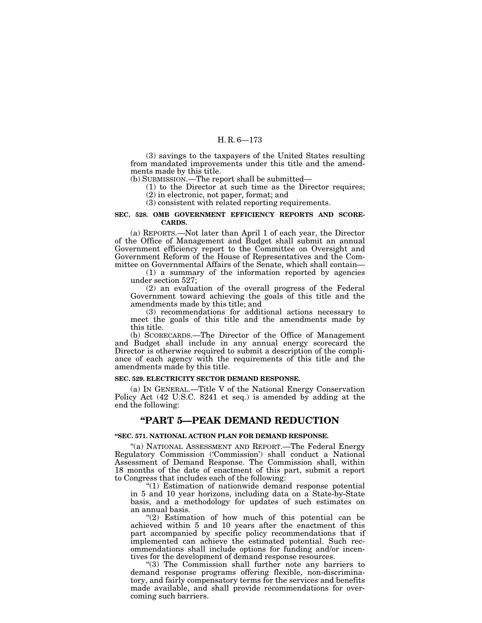(3) savings to the taxpayers of the United States resulting from mandated improvements under this title and the amendments made by this title.

(b) SUBMISSION.—The report shall be submitted—

(1) to the Director at such time as the Director requires; (2) in electronic, not paper, format; and

(3) consistent with related reporting requirements.

### **SEC. 528. OMB GOVERNMENT EFFICIENCY REPORTS AND SCORE-CARDS.**

(a) REPORTS.—Not later than April 1 of each year, the Director of the Office of Management and Budget shall submit an annual Government efficiency report to the Committee on Oversight and Government Reform of the House of Representatives and the Committee on Governmental Affairs of the Senate, which shall contain—

 $(1)$  a summary of the information reported by agencies under section 527;

(2) an evaluation of the overall progress of the Federal Government toward achieving the goals of this title and the amendments made by this title; and

(3) recommendations for additional actions necessary to meet the goals of this title and the amendments made by this title.

(b) SCORECARDS.—The Director of the Office of Management and Budget shall include in any annual energy scorecard the Director is otherwise required to submit a description of the compliance of each agency with the requirements of this title and the amendments made by this title.

### **SEC. 529. ELECTRICITY SECTOR DEMAND RESPONSE.**

(a) IN GENERAL.—Title V of the National Energy Conservation Policy Act (42 U.S.C. 8241 et seq.) is amended by adding at the end the following:

# **''PART 5—PEAK DEMAND REDUCTION**

### **''SEC. 571. NATIONAL ACTION PLAN FOR DEMAND RESPONSE.**

''(a) NATIONAL ASSESSMENT AND REPORT.—The Federal Energy Regulatory Commission ('Commission') shall conduct a National Assessment of Demand Response. The Commission shall, within 18 months of the date of enactment of this part, submit a report to Congress that includes each of the following:

 $''(1)$  Estimation of nationwide demand response potential in 5 and 10 year horizons, including data on a State-by-State basis, and a methodology for updates of such estimates on an annual basis.

"(2) Estimation of how much of this potential can be achieved within 5 and 10 years after the enactment of this part accompanied by specific policy recommendations that if implemented can achieve the estimated potential. Such recommendations shall include options for funding and/or incentives for the development of demand response resources.

"(3) The Commission shall further note any barriers to demand response programs offering flexible, non-discriminatory, and fairly compensatory terms for the services and benefits made available, and shall provide recommendations for overcoming such barriers.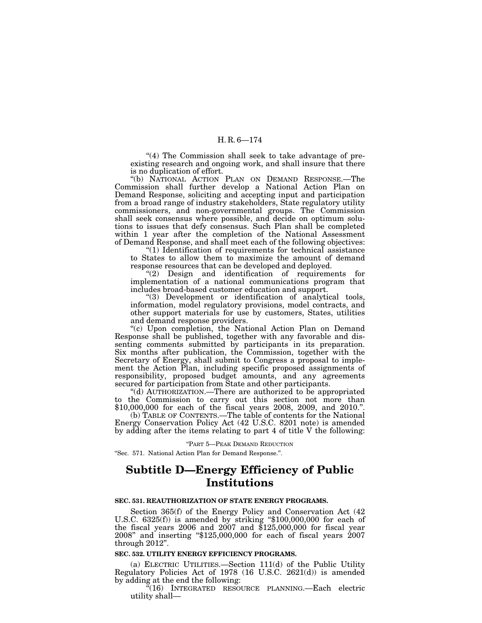"(4) The Commission shall seek to take advantage of preexisting research and ongoing work, and shall insure that there is no duplication of effort.

''(b) NATIONAL ACTION PLAN ON DEMAND RESPONSE.—The Commission shall further develop a National Action Plan on Demand Response, soliciting and accepting input and participation from a broad range of industry stakeholders, State regulatory utility commissioners, and non-governmental groups. The Commission shall seek consensus where possible, and decide on optimum solutions to issues that defy consensus. Such Plan shall be completed within 1 year after the completion of the National Assessment of Demand Response, and shall meet each of the following objectives:

''(1) Identification of requirements for technical assistance to States to allow them to maximize the amount of demand response resources that can be developed and deployed.

''(2) Design and identification of requirements for implementation of a national communications program that includes broad-based customer education and support.

''(3) Development or identification of analytical tools, information, model regulatory provisions, model contracts, and other support materials for use by customers, States, utilities and demand response providers.

"(c) Upon completion, the National Action Plan on Demand Response shall be published, together with any favorable and dissenting comments submitted by participants in its preparation. Six months after publication, the Commission, together with the Secretary of Energy, shall submit to Congress a proposal to implement the Action Plan, including specific proposed assignments of responsibility, proposed budget amounts, and any agreements secured for participation from State and other participants.

''(d) AUTHORIZATION.—There are authorized to be appropriated to the Commission to carry out this section not more than \$10,000,000 for each of the fiscal years 2008, 2009, and 2010.''.

(b) TABLE OF CONTENTS.—The table of contents for the National Energy Conservation Policy Act (42 U.S.C. 8201 note) is amended by adding after the items relating to part 4 of title V the following:

''PART 5—PEAK DEMAND REDUCTION

''Sec. 571. National Action Plan for Demand Response.''.

# **Subtitle D—Energy Efficiency of Public Institutions**

### **SEC. 531. REAUTHORIZATION OF STATE ENERGY PROGRAMS.**

Section 365(f) of the Energy Policy and Conservation Act (42 U.S.C. 6325(f)) is amended by striking ''\$100,000,000 for each of the fiscal years 2006 and 2007 and \$125,000,000 for fiscal year 2008'' and inserting ''\$125,000,000 for each of fiscal years 2007 through 2012''.

### **SEC. 532. UTILITY ENERGY EFFICIENCY PROGRAMS.**

(a) ELECTRIC UTILITIES.—Section 111(d) of the Public Utility Regulatory Policies Act of 1978 (16 U.S.C. 2621(d)) is amended by adding at the end the following:

 $E(16)$  INTEGRATED RESOURCE PLANNING. Each electric utility shall—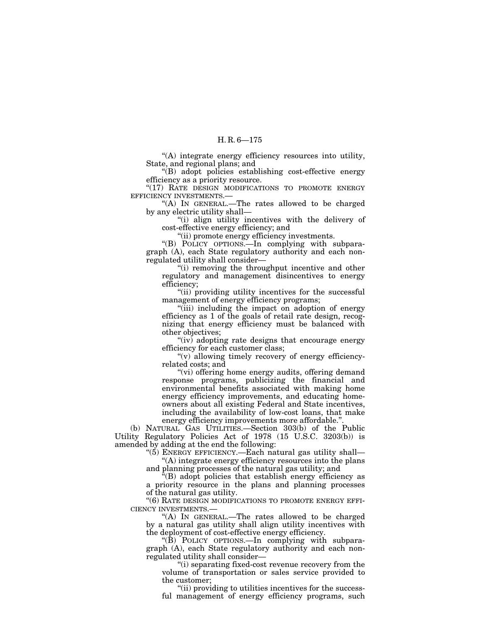''(A) integrate energy efficiency resources into utility, State, and regional plans; and

''(B) adopt policies establishing cost-effective energy efficiency as a priority resource.

"(17) RATE DESIGN MODIFICATIONS TO PROMOTE ENERGY EFFICIENCY INVESTMENTS.—

''(A) IN GENERAL.—The rates allowed to be charged by any electric utility shall—

''(i) align utility incentives with the delivery of cost-effective energy efficiency; and

''(ii) promote energy efficiency investments.

"(B) POLICY OPTIONS.—In complying with subparagraph (A), each State regulatory authority and each nonregulated utility shall consider—

''(i) removing the throughput incentive and other regulatory and management disincentives to energy efficiency;

"(ii) providing utility incentives for the successful management of energy efficiency programs;

"(iii) including the impact on adoption of energy efficiency as 1 of the goals of retail rate design, recognizing that energy efficiency must be balanced with other objectives;

"(iv) adopting rate designs that encourage energy efficiency for each customer class;

" $(v)$  allowing timely recovery of energy efficiencyrelated costs; and

"(vi) offering home energy audits, offering demand response programs, publicizing the financial and environmental benefits associated with making home energy efficiency improvements, and educating homeowners about all existing Federal and State incentives, including the availability of low-cost loans, that make energy efficiency improvements more affordable.''.

(b) NATURAL GAS UTILITIES.—Section 303(b) of the Public Utility Regulatory Policies Act of 1978 (15 U.S.C. 3203(b)) is amended by adding at the end the following:

" $(5)$  ENERGY EFFICIENCY.—Each natural gas utility shall—

''(A) integrate energy efficiency resources into the plans and planning processes of the natural gas utility; and

''(B) adopt policies that establish energy efficiency as a priority resource in the plans and planning processes of the natural gas utility.

"(6) RATE DESIGN MODIFICATIONS TO PROMOTE ENERGY EFFI-CIENCY INVESTMENTS.—

''(A) IN GENERAL.—The rates allowed to be charged by a natural gas utility shall align utility incentives with the deployment of cost-effective energy efficiency.

''(B) POLICY OPTIONS.—In complying with subparagraph (A), each State regulatory authority and each nonregulated utility shall consider—

''(i) separating fixed-cost revenue recovery from the volume of transportation or sales service provided to the customer;

''(ii) providing to utilities incentives for the successful management of energy efficiency programs, such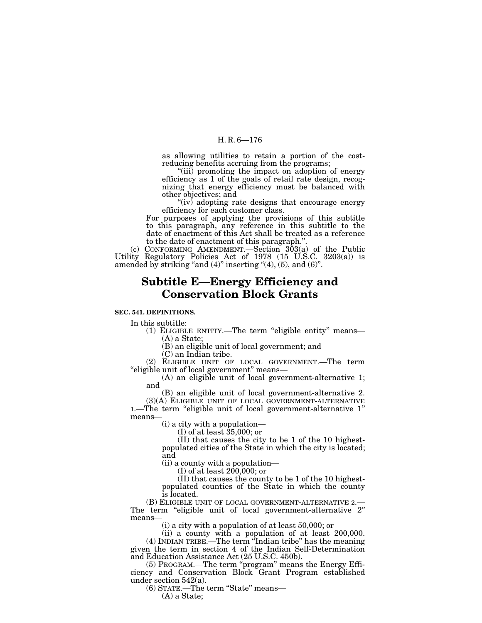as allowing utilities to retain a portion of the costreducing benefits accruing from the programs;

''(iii) promoting the impact on adoption of energy efficiency as 1 of the goals of retail rate design, recognizing that energy efficiency must be balanced with other objectives; and

"(iv) adopting rate designs that encourage energy efficiency for each customer class.

For purposes of applying the provisions of this subtitle to this paragraph, any reference in this subtitle to the date of enactment of this Act shall be treated as a reference to the date of enactment of this paragraph.''.

(c) CONFORMING AMENDMENT.—Section 303(a) of the Public Utility Regulatory Policies Act of 1978 (15 U.S.C. 3203(a)) is amended by striking "and  $(4)$ " inserting " $(4)$ ,  $(5)$ , and  $(6)$ ".

# **Subtitle E—Energy Efficiency and Conservation Block Grants**

### **SEC. 541. DEFINITIONS.**

In this subtitle:

(1) ELIGIBLE ENTITY.—The term ''eligible entity'' means— (A) a State;

(B) an eligible unit of local government; and

(C) an Indian tribe.

(2) ELIGIBLE UNIT OF LOCAL GOVERNMENT.—The term ''eligible unit of local government'' means—

(A) an eligible unit of local government-alternative 1; and

(B) an eligible unit of local government-alternative 2. (3)(A) ELIGIBLE UNIT OF LOCAL GOVERNMENT-ALTERNATIVE 1.—The term "eligible unit of local government-alternative 1" means—

(i) a city with a population—

(I) of at least 35,000; or

(II) that causes the city to be 1 of the 10 highestpopulated cities of the State in which the city is located; and

(ii) a county with a population—

 $(I)$  of at least 200,000; or

(II) that causes the county to be 1 of the 10 highestpopulated counties of the State in which the county

is located.<br>(B) ELIGIBLE UNIT OF LOCAL GOVERNMENT-ALTERNATIVE 2.-The term "eligible unit of local government-alternative 2" means—

(i) a city with a population of at least 50,000; or

(ii) a county with a population of at least 200,000. (4) INDIAN TRIBE.—The term ''Indian tribe'' has the meaning given the term in section 4 of the Indian Self-Determination and Education Assistance Act (25 U.S.C. 450b).

(5) PROGRAM.—The term ''program'' means the Energy Efficiency and Conservation Block Grant Program established under section 542(a).

(6) STATE.—The term ''State'' means—

(A) a State;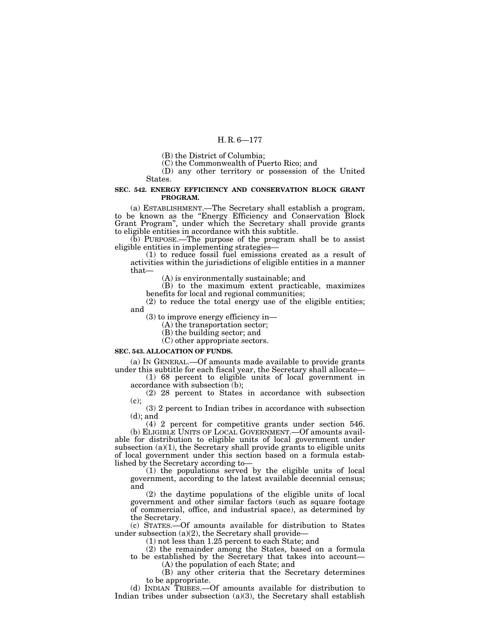(B) the District of Columbia;

(C) the Commonwealth of Puerto Rico; and

(D) any other territory or possession of the United States.

### **SEC. 542. ENERGY EFFICIENCY AND CONSERVATION BLOCK GRANT PROGRAM.**

(a) ESTABLISHMENT.—The Secretary shall establish a program, to be known as the ''Energy Efficiency and Conservation Block Grant Program'', under which the Secretary shall provide grants to eligible entities in accordance with this subtitle.

(b) PURPOSE.—The purpose of the program shall be to assist eligible entities in implementing strategies—

(1) to reduce fossil fuel emissions created as a result of activities within the jurisdictions of eligible entities in a manner that—

(A) is environmentally sustainable; and

(B) to the maximum extent practicable, maximizes benefits for local and regional communities;

(2) to reduce the total energy use of the eligible entities; and

(3) to improve energy efficiency in—

(A) the transportation sector;

(B) the building sector; and

(C) other appropriate sectors.

### **SEC. 543. ALLOCATION OF FUNDS.**

(a) IN GENERAL.—Of amounts made available to provide grants under this subtitle for each fiscal year, the Secretary shall allocate—

(1) 68 percent to eligible units of local government in accordance with subsection (b);

(2) 28 percent to States in accordance with subsection (c);

(3) 2 percent to Indian tribes in accordance with subsection  $(d)$ ; and

(4) 2 percent for competitive grants under section 546.

(b) ELIGIBLE UNITS OF LOCAL GOVERNMENT.—Of amounts available for distribution to eligible units of local government under subsection  $(a)(1)$ , the Secretary shall provide grants to eligible units of local government under this section based on a formula established by the Secretary according to—

(1) the populations served by the eligible units of local government, according to the latest available decennial census; and

(2) the daytime populations of the eligible units of local government and other similar factors (such as square footage of commercial, office, and industrial space), as determined by the Secretary.

(c) STATES.—Of amounts available for distribution to States under subsection  $(a)(2)$ , the Secretary shall provide—

(1) not less than 1.25 percent to each State; and

(2) the remainder among the States, based on a formula to be established by the Secretary that takes into account—

(A) the population of each State; and

(B) any other criteria that the Secretary determines to be appropriate.

(d) INDIAN TRIBES.—Of amounts available for distribution to Indian tribes under subsection  $(a)(3)$ , the Secretary shall establish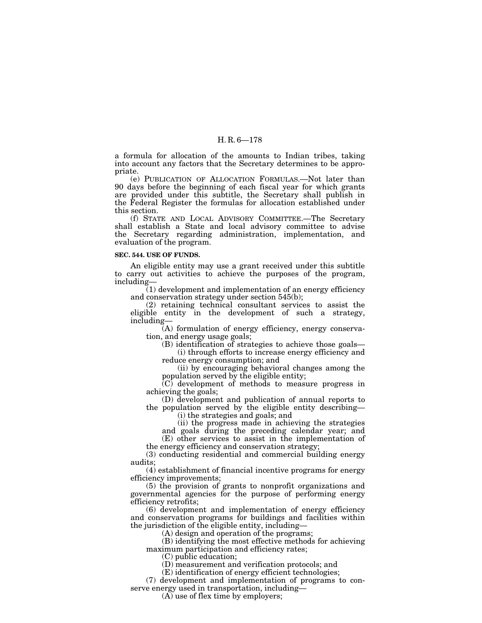a formula for allocation of the amounts to Indian tribes, taking into account any factors that the Secretary determines to be appropriate.

(e) PUBLICATION OF ALLOCATION FORMULAS.—Not later than 90 days before the beginning of each fiscal year for which grants are provided under this subtitle, the Secretary shall publish in the Federal Register the formulas for allocation established under this section.

(f) STATE AND LOCAL ADVISORY COMMITTEE.—The Secretary shall establish a State and local advisory committee to advise the Secretary regarding administration, implementation, and evaluation of the program.

### **SEC. 544. USE OF FUNDS.**

An eligible entity may use a grant received under this subtitle to carry out activities to achieve the purposes of the program, including—

 $(1)$  development and implementation of an energy efficiency and conservation strategy under section 545(b);

(2) retaining technical consultant services to assist the eligible entity in the development of such a strategy, including—

(A) formulation of energy efficiency, energy conservation, and energy usage goals;

(B) identification of strategies to achieve those goals—

(i) through efforts to increase energy efficiency and reduce energy consumption; and

(ii) by encouraging behavioral changes among the population served by the eligible entity;

(C) development of methods to measure progress in achieving the goals;

(D) development and publication of annual reports to the population served by the eligible entity describing—

(i) the strategies and goals; and

(ii) the progress made in achieving the strategies

and goals during the preceding calendar year; and (E) other services to assist in the implementation of

the energy efficiency and conservation strategy;

(3) conducting residential and commercial building energy audits;

(4) establishment of financial incentive programs for energy efficiency improvements;

(5) the provision of grants to nonprofit organizations and governmental agencies for the purpose of performing energy efficiency retrofits;

(6) development and implementation of energy efficiency and conservation programs for buildings and facilities within the jurisdiction of the eligible entity, including—

(A) design and operation of the programs;

(B) identifying the most effective methods for achieving maximum participation and efficiency rates;

(C) public education;

(D) measurement and verification protocols; and

(E) identification of energy efficient technologies;

(7) development and implementation of programs to conserve energy used in transportation, including—

(A) use of flex time by employers;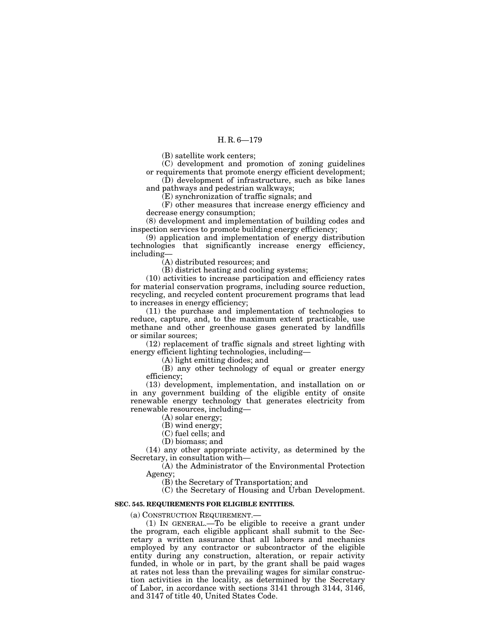(B) satellite work centers;

(C) development and promotion of zoning guidelines or requirements that promote energy efficient development;

(D) development of infrastructure, such as bike lanes and pathways and pedestrian walkways;

 $(E)$  synchronization of traffic signals; and

(F) other measures that increase energy efficiency and decrease energy consumption;

(8) development and implementation of building codes and inspection services to promote building energy efficiency;

(9) application and implementation of energy distribution technologies that significantly increase energy efficiency, including—

(A) distributed resources; and

(B) district heating and cooling systems;

(10) activities to increase participation and efficiency rates for material conservation programs, including source reduction, recycling, and recycled content procurement programs that lead to increases in energy efficiency;

(11) the purchase and implementation of technologies to reduce, capture, and, to the maximum extent practicable, use methane and other greenhouse gases generated by landfills or similar sources;

(12) replacement of traffic signals and street lighting with energy efficient lighting technologies, including—

(A) light emitting diodes; and

(B) any other technology of equal or greater energy efficiency;

(13) development, implementation, and installation on or in any government building of the eligible entity of onsite renewable energy technology that generates electricity from renewable resources, including—

(A) solar energy;

(B) wind energy;

(C) fuel cells; and

(D) biomass; and

(14) any other appropriate activity, as determined by the Secretary, in consultation with—

(A) the Administrator of the Environmental Protection Agency;

(B) the Secretary of Transportation; and

(C) the Secretary of Housing and Urban Development.

### **SEC. 545. REQUIREMENTS FOR ELIGIBLE ENTITIES.**

(a) CONSTRUCTION REQUIREMENT.—

(1) IN GENERAL.—To be eligible to receive a grant under the program, each eligible applicant shall submit to the Secretary a written assurance that all laborers and mechanics employed by any contractor or subcontractor of the eligible entity during any construction, alteration, or repair activity funded, in whole or in part, by the grant shall be paid wages at rates not less than the prevailing wages for similar construction activities in the locality, as determined by the Secretary of Labor, in accordance with sections 3141 through 3144, 3146, and 3147 of title 40, United States Code.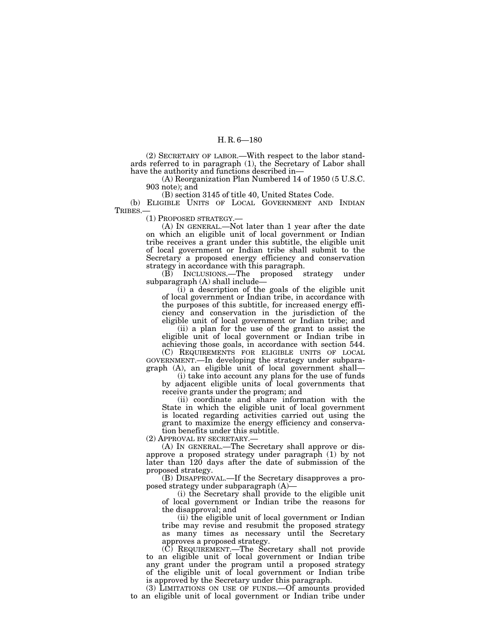(2) SECRETARY OF LABOR.—With respect to the labor standards referred to in paragraph (1), the Secretary of Labor shall have the authority and functions described in—

(A) Reorganization Plan Numbered 14 of 1950 (5 U.S.C. 903 note); and

(B) section 3145 of title 40, United States Code.

(b) ELIGIBLE UNITS OF LOCAL GOVERNMENT AND INDIAN TRIBES.—

(1) PROPOSED STRATEGY.—

(A) IN GENERAL.—Not later than 1 year after the date on which an eligible unit of local government or Indian tribe receives a grant under this subtitle, the eligible unit of local government or Indian tribe shall submit to the Secretary a proposed energy efficiency and conservation strategy in accordance with this paragraph.

(B) INCLUSIONS.—The proposed strategy under subparagraph (A) shall include—

(i) a description of the goals of the eligible unit of local government or Indian tribe, in accordance with the purposes of this subtitle, for increased energy efficiency and conservation in the jurisdiction of the eligible unit of local government or Indian tribe; and

(ii) a plan for the use of the grant to assist the eligible unit of local government or Indian tribe in achieving those goals, in accordance with section 544.

(C) REQUIREMENTS FOR ELIGIBLE UNITS OF LOCAL GOVERNMENT.—In developing the strategy under subparagraph (A), an eligible unit of local government shall—

(i) take into account any plans for the use of funds by adjacent eligible units of local governments that receive grants under the program; and

(ii) coordinate and share information with the State in which the eligible unit of local government is located regarding activities carried out using the grant to maximize the energy efficiency and conserva-

tion benefits under this subtitle.<br>(2) APPROVAL BY SECRETARY.—

 $(A)$  In GENERAL.—The Secretary shall approve or disapprove a proposed strategy under paragraph (1) by not later than 120 days after the date of submission of the proposed strategy.

(B) DISAPPROVAL.—If the Secretary disapproves a proposed strategy under subparagraph (A)—

(i) the Secretary shall provide to the eligible unit of local government or Indian tribe the reasons for the disapproval; and

(ii) the eligible unit of local government or Indian tribe may revise and resubmit the proposed strategy as many times as necessary until the Secretary approves a proposed strategy.

(C) REQUIREMENT.—The Secretary shall not provide to an eligible unit of local government or Indian tribe any grant under the program until a proposed strategy of the eligible unit of local government or Indian tribe is approved by the Secretary under this paragraph.

(3) LIMITATIONS ON USE OF FUNDS.—Of amounts provided to an eligible unit of local government or Indian tribe under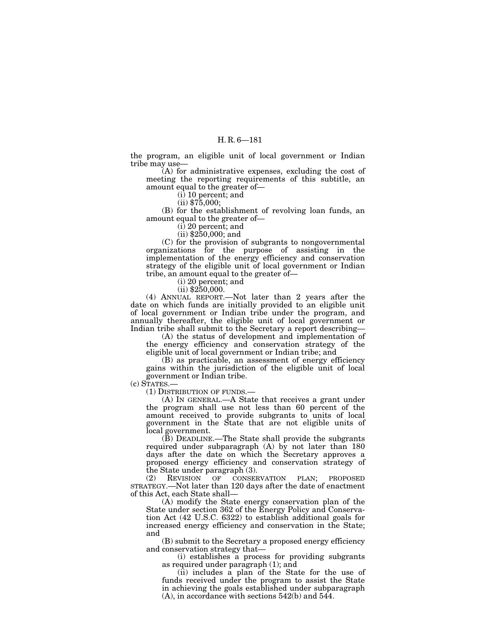the program, an eligible unit of local government or Indian tribe may use—

(A) for administrative expenses, excluding the cost of meeting the reporting requirements of this subtitle, an amount equal to the greater of—

(i) 10 percent; and

(ii) \$75,000;

(B) for the establishment of revolving loan funds, an amount equal to the greater of—

(i) 20 percent; and

(ii) \$250,000; and

(C) for the provision of subgrants to nongovernmental organizations for the purpose of assisting in the implementation of the energy efficiency and conservation strategy of the eligible unit of local government or Indian tribe, an amount equal to the greater of—

(i) 20 percent; and

(ii) \$250,000.

(4) ANNUAL REPORT.—Not later than 2 years after the date on which funds are initially provided to an eligible unit of local government or Indian tribe under the program, and annually thereafter, the eligible unit of local government or Indian tribe shall submit to the Secretary a report describing—

(A) the status of development and implementation of the energy efficiency and conservation strategy of the eligible unit of local government or Indian tribe; and

(B) as practicable, an assessment of energy efficiency gains within the jurisdiction of the eligible unit of local government or Indian tribe.

(c) STATES.—

(1) DISTRIBUTION OF FUNDS.—

(A) IN GENERAL.—A State that receives a grant under the program shall use not less than 60 percent of the amount received to provide subgrants to units of local government in the State that are not eligible units of local government.

 $(\bar{B})$  DEADLINE.—The State shall provide the subgrants required under subparagraph (A) by not later than 180 days after the date on which the Secretary approves a proposed energy efficiency and conservation strategy of the State under paragraph (3).

(2) REVISION OF CONSERVATION PLAN; PROPOSED STRATEGY.—Not later than 120 days after the date of enactment of this Act, each State shall—

(A) modify the State energy conservation plan of the State under section 362 of the Energy Policy and Conservation Act (42 U.S.C. 6322) to establish additional goals for increased energy efficiency and conservation in the State; and

(B) submit to the Secretary a proposed energy efficiency and conservation strategy that—

(i) establishes a process for providing subgrants as required under paragraph (1); and

(ii) includes a plan of the State for the use of funds received under the program to assist the State in achieving the goals established under subparagraph (A), in accordance with sections 542(b) and 544.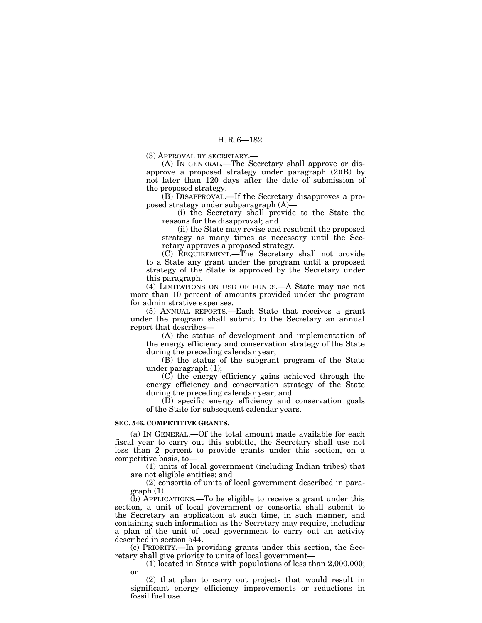(3) APPROVAL BY SECRETARY.—

(A) IN GENERAL.—The Secretary shall approve or disapprove a proposed strategy under paragraph  $(2)(B)$  by not later than 120 days after the date of submission of the proposed strategy.

(B) DISAPPROVAL.—If the Secretary disapproves a proposed strategy under subparagraph (A)—

(i) the Secretary shall provide to the State the reasons for the disapproval; and

(ii) the State may revise and resubmit the proposed strategy as many times as necessary until the Secretary approves a proposed strategy.

(C) REQUIREMENT.—The Secretary shall not provide to a State any grant under the program until a proposed strategy of the State is approved by the Secretary under this paragraph.

(4) LIMITATIONS ON USE OF FUNDS.—A State may use not more than 10 percent of amounts provided under the program for administrative expenses.

(5) ANNUAL REPORTS.—Each State that receives a grant under the program shall submit to the Secretary an annual report that describes—

(A) the status of development and implementation of the energy efficiency and conservation strategy of the State during the preceding calendar year;

(B) the status of the subgrant program of the State under paragraph (1);

(C) the energy efficiency gains achieved through the energy efficiency and conservation strategy of the State during the preceding calendar year; and

(D) specific energy efficiency and conservation goals of the State for subsequent calendar years.

#### **SEC. 546. COMPETITIVE GRANTS.**

(a) IN GENERAL.—Of the total amount made available for each fiscal year to carry out this subtitle, the Secretary shall use not less than 2 percent to provide grants under this section, on a competitive basis, to—

(1) units of local government (including Indian tribes) that are not eligible entities; and

(2) consortia of units of local government described in paragraph (1).

(b) APPLICATIONS.—To be eligible to receive a grant under this section, a unit of local government or consortia shall submit to the Secretary an application at such time, in such manner, and containing such information as the Secretary may require, including a plan of the unit of local government to carry out an activity described in section 544.

(c) PRIORITY.—In providing grants under this section, the Secretary shall give priority to units of local government—

(1) located in States with populations of less than 2,000,000; or

(2) that plan to carry out projects that would result in significant energy efficiency improvements or reductions in fossil fuel use.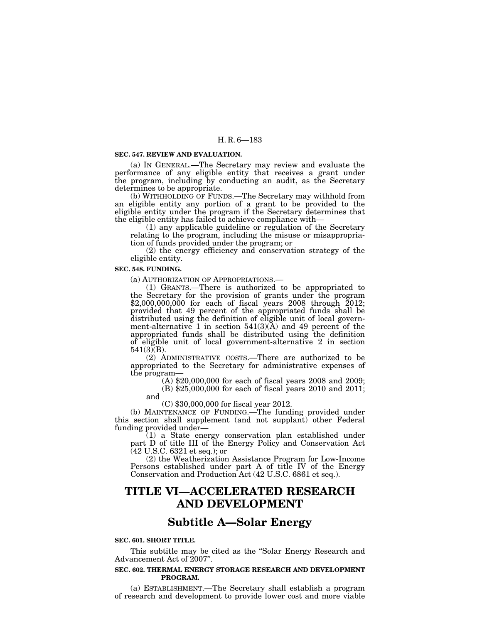## **SEC. 547. REVIEW AND EVALUATION.**

(a) IN GENERAL.—The Secretary may review and evaluate the performance of any eligible entity that receives a grant under the program, including by conducting an audit, as the Secretary determines to be appropriate.

(b) WITHHOLDING OF FUNDS.—The Secretary may withhold from an eligible entity any portion of a grant to be provided to the eligible entity under the program if the Secretary determines that the eligible entity has failed to achieve compliance with—

(1) any applicable guideline or regulation of the Secretary relating to the program, including the misuse or misappropriation of funds provided under the program; or

(2) the energy efficiency and conservation strategy of the eligible entity.

#### **SEC. 548. FUNDING.**

(a) AUTHORIZATION OF APPROPRIATIONS.— (1) GRANTS.—There is authorized to be appropriated to the Secretary for the provision of grants under the program \$2,000,000,000 for each of fiscal years 2008 through 2012; provided that 49 percent of the appropriated funds shall be distributed using the definition of eligible unit of local government-alternative 1 in section  $541(3)(\text{\AA})$  and 49 percent of the appropriated funds shall be distributed using the definition of eligible unit of local government-alternative 2 in section  $541(3)(B)$ .

(2) ADMINISTRATIVE COSTS.—There are authorized to be appropriated to the Secretary for administrative expenses of the program—<br>(A)  $$20,000,000$  for each of fiscal years 2008 and 2009;

 $(B)$  \$25,000,000 for each of fiscal years 2010 and 2011; and

(C) \$30,000,000 for fiscal year 2012.

(b) MAINTENANCE OF FUNDING.—The funding provided under this section shall supplement (and not supplant) other Federal funding provided under—

(1) a State energy conservation plan established under part D of title III of the Energy Policy and Conservation Act (42 U.S.C. 6321 et seq.); or

(2) the Weatherization Assistance Program for Low-Income Persons established under part A of title IV of the Energy Conservation and Production Act (42 U.S.C. 6861 et seq.).

# **TITLE VI—ACCELERATED RESEARCH AND DEVELOPMENT**

# **Subtitle A—Solar Energy**

## **SEC. 601. SHORT TITLE.**

This subtitle may be cited as the ''Solar Energy Research and Advancement Act of 2007''.

#### **SEC. 602. THERMAL ENERGY STORAGE RESEARCH AND DEVELOPMENT PROGRAM.**

(a) ESTABLISHMENT.—The Secretary shall establish a program of research and development to provide lower cost and more viable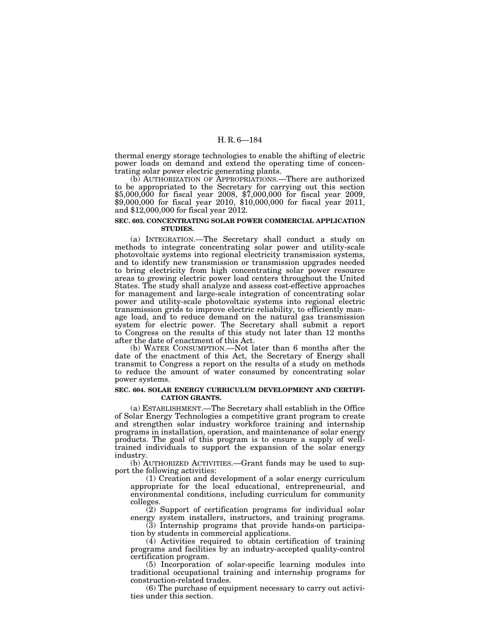thermal energy storage technologies to enable the shifting of electric power loads on demand and extend the operating time of concentrating solar power electric generating plants.

(b) AUTHORIZATION OF APPROPRIATIONS.—There are authorized to be appropriated to the Secretary for carrying out this section \$5,000,000 for fiscal year 2008, \$7,000,000 for fiscal year 2009, \$9,000,000 for fiscal year 2010, \$10,000,000 for fiscal year 2011, and \$12,000,000 for fiscal year 2012.

#### **SEC. 603. CONCENTRATING SOLAR POWER COMMERCIAL APPLICATION STUDIES.**

(a) INTEGRATION.—The Secretary shall conduct a study on methods to integrate concentrating solar power and utility-scale photovoltaic systems into regional electricity transmission systems, and to identify new transmission or transmission upgrades needed to bring electricity from high concentrating solar power resource areas to growing electric power load centers throughout the United States. The study shall analyze and assess cost-effective approaches for management and large-scale integration of concentrating solar power and utility-scale photovoltaic systems into regional electric transmission grids to improve electric reliability, to efficiently manage load, and to reduce demand on the natural gas transmission system for electric power. The Secretary shall submit a report to Congress on the results of this study not later than 12 months after the date of enactment of this Act.

(b) WATER CONSUMPTION.—Not later than 6 months after the date of the enactment of this Act, the Secretary of Energy shall transmit to Congress a report on the results of a study on methods to reduce the amount of water consumed by concentrating solar power systems.

#### **SEC. 604. SOLAR ENERGY CURRICULUM DEVELOPMENT AND CERTIFI-CATION GRANTS.**

(a) ESTABLISHMENT.—The Secretary shall establish in the Office of Solar Energy Technologies a competitive grant program to create and strengthen solar industry workforce training and internship programs in installation, operation, and maintenance of solar energy products. The goal of this program is to ensure a supply of welltrained individuals to support the expansion of the solar energy industry.

(b) AUTHORIZED ACTIVITIES.—Grant funds may be used to support the following activities:

(1) Creation and development of a solar energy curriculum appropriate for the local educational, entrepreneurial, and environmental conditions, including curriculum for community colleges.

(2) Support of certification programs for individual solar energy system installers, instructors, and training programs.

(3) Internship programs that provide hands-on participation by students in commercial applications.

(4) Activities required to obtain certification of training programs and facilities by an industry-accepted quality-control certification program.

(5) Incorporation of solar-specific learning modules into traditional occupational training and internship programs for construction-related trades.

(6) The purchase of equipment necessary to carry out activities under this section.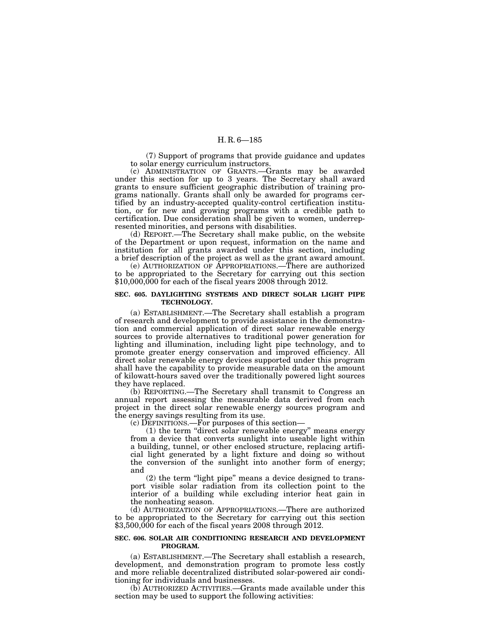(7) Support of programs that provide guidance and updates to solar energy curriculum instructors.

(c) ADMINISTRATION OF GRANTS.—Grants may be awarded under this section for up to 3 years. The Secretary shall award grants to ensure sufficient geographic distribution of training programs nationally. Grants shall only be awarded for programs certified by an industry-accepted quality-control certification institution, or for new and growing programs with a credible path to certification. Due consideration shall be given to women, underrepresented minorities, and persons with disabilities.

(d) REPORT.—The Secretary shall make public, on the website of the Department or upon request, information on the name and institution for all grants awarded under this section, including a brief description of the project as well as the grant award amount.

(e) AUTHORIZATION OF APPROPRIATIONS.—There are authorized to be appropriated to the Secretary for carrying out this section \$10,000,000 for each of the fiscal years 2008 through 2012.

#### **SEC. 605. DAYLIGHTING SYSTEMS AND DIRECT SOLAR LIGHT PIPE TECHNOLOGY.**

(a) ESTABLISHMENT.—The Secretary shall establish a program of research and development to provide assistance in the demonstration and commercial application of direct solar renewable energy sources to provide alternatives to traditional power generation for lighting and illumination, including light pipe technology, and to promote greater energy conservation and improved efficiency. All direct solar renewable energy devices supported under this program shall have the capability to provide measurable data on the amount of kilowatt-hours saved over the traditionally powered light sources they have replaced.

(b) REPORTING.—The Secretary shall transmit to Congress an annual report assessing the measurable data derived from each project in the direct solar renewable energy sources program and the energy savings resulting from its use.

(c) DEFINITIONS.—For purposes of this section—

(1) the term ''direct solar renewable energy'' means energy from a device that converts sunlight into useable light within a building, tunnel, or other enclosed structure, replacing artificial light generated by a light fixture and doing so without the conversion of the sunlight into another form of energy; and

(2) the term ''light pipe'' means a device designed to transport visible solar radiation from its collection point to the interior of a building while excluding interior heat gain in the nonheating season.

(d) AUTHORIZATION OF APPROPRIATIONS.—There are authorized to be appropriated to the Secretary for carrying out this section \$3,500,000 for each of the fiscal years 2008 through 2012.

### **SEC. 606. SOLAR AIR CONDITIONING RESEARCH AND DEVELOPMENT PROGRAM.**

(a) ESTABLISHMENT.—The Secretary shall establish a research, development, and demonstration program to promote less costly and more reliable decentralized distributed solar-powered air conditioning for individuals and businesses.

(b) AUTHORIZED ACTIVITIES.—Grants made available under this section may be used to support the following activities: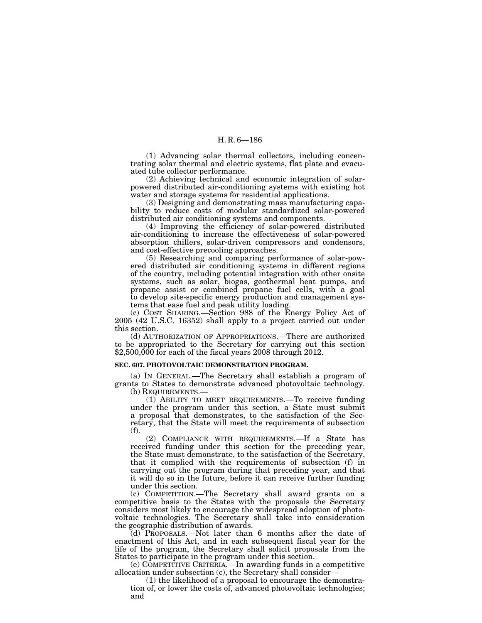(1) Advancing solar thermal collectors, including concentrating solar thermal and electric systems, flat plate and evacuated tube collector performance.

(2) Achieving technical and economic integration of solarpowered distributed air-conditioning systems with existing hot water and storage systems for residential applications.

(3) Designing and demonstrating mass manufacturing capability to reduce costs of modular standardized solar-powered distributed air conditioning systems and components.

(4) Improving the efficiency of solar-powered distributed air-conditioning to increase the effectiveness of solar-powered absorption chillers, solar-driven compressors and condensors, and cost-effective precooling approaches.

(5) Researching and comparing performance of solar-powered distributed air conditioning systems in different regions of the country, including potential integration with other onsite systems, such as solar, biogas, geothermal heat pumps, and propane assist or combined propane fuel cells, with a goal to develop site-specific energy production and management systems that ease fuel and peak utility loading.

(c) COST SHARING.—Section 988 of the Energy Policy Act of 2005 (42 U.S.C. 16352) shall apply to a project carried out under this section.

(d) AUTHORIZATION OF APPROPRIATIONS.—There are authorized to be appropriated to the Secretary for carrying out this section \$2,500,000 for each of the fiscal years 2008 through 2012.

#### **SEC. 607. PHOTOVOLTAIC DEMONSTRATION PROGRAM.**

(a) IN GENERAL.—The Secretary shall establish a program of grants to States to demonstrate advanced photovoltaic technology. (b) REQUIREMENTS.—

(1) ABILITY TO MEET REQUIREMENTS.—To receive funding under the program under this section, a State must submit a proposal that demonstrates, to the satisfaction of the Secretary, that the State will meet the requirements of subsection (f).

(2) COMPLIANCE WITH REQUIREMENTS.—If a State has received funding under this section for the preceding year, the State must demonstrate, to the satisfaction of the Secretary, that it complied with the requirements of subsection (f) in carrying out the program during that preceding year, and that it will do so in the future, before it can receive further funding under this section.

(c) COMPETITION.—The Secretary shall award grants on a competitive basis to the States with the proposals the Secretary considers most likely to encourage the widespread adoption of photovoltaic technologies. The Secretary shall take into consideration the geographic distribution of awards.

(d) PROPOSALS.—Not later than 6 months after the date of enactment of this Act, and in each subsequent fiscal year for the life of the program, the Secretary shall solicit proposals from the States to participate in the program under this section.

(e) COMPETITIVE CRITERIA.—In awarding funds in a competitive allocation under subsection (c), the Secretary shall consider—

(1) the likelihood of a proposal to encourage the demonstration of, or lower the costs of, advanced photovoltaic technologies; and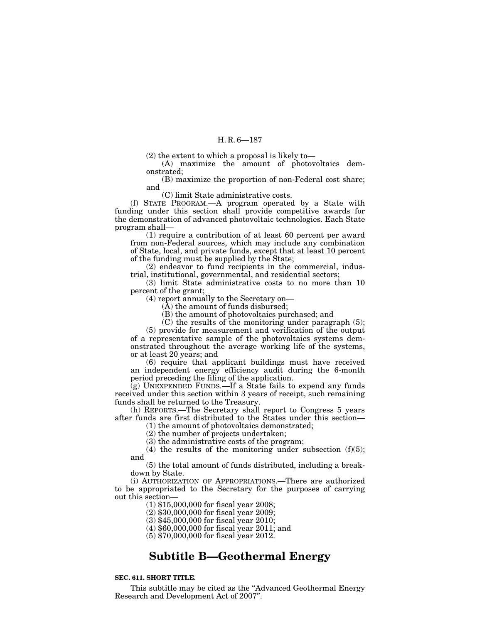(2) the extent to which a proposal is likely to—

(A) maximize the amount of photovoltaics demonstrated;

(B) maximize the proportion of non-Federal cost share; and

(C) limit State administrative costs.

(f) STATE PROGRAM.—A program operated by a State with funding under this section shall provide competitive awards for the demonstration of advanced photovoltaic technologies. Each State program shall—

(1) require a contribution of at least 60 percent per award from non-Federal sources, which may include any combination of State, local, and private funds, except that at least 10 percent of the funding must be supplied by the State;

(2) endeavor to fund recipients in the commercial, industrial, institutional, governmental, and residential sectors;

(3) limit State administrative costs to no more than 10 percent of the grant;

(4) report annually to the Secretary on—

(A) the amount of funds disbursed;

(B) the amount of photovoltaics purchased; and

(C) the results of the monitoring under paragraph (5);

(5) provide for measurement and verification of the output of a representative sample of the photovoltaics systems demonstrated throughout the average working life of the systems, or at least 20 years; and

(6) require that applicant buildings must have received an independent energy efficiency audit during the 6-month period preceding the filing of the application.

 $\overline{g}$ ) UNEXPENDED FUNDS.—If a State fails to expend any funds received under this section within 3 years of receipt, such remaining funds shall be returned to the Treasury.

(h) REPORTS.—The Secretary shall report to Congress 5 years after funds are first distributed to the States under this section— (1) the amount of photovoltaics demonstrated;

(2) the number of projects undertaken;

(3) the administrative costs of the program;

 $(4)$  the results of the monitoring under subsection  $(f)(5)$ ; and

(5) the total amount of funds distributed, including a breakdown by State.

(i) AUTHORIZATION OF APPROPRIATIONS.—There are authorized to be appropriated to the Secretary for the purposes of carrying out this section—

(1) \$15,000,000 for fiscal year 2008;

(2) \$30,000,000 for fiscal year 2009;

(3) \$45,000,000 for fiscal year 2010;

(4) \$60,000,000 for fiscal year 2011; and

(5) \$70,000,000 for fiscal year 2012.

# **Subtitle B—Geothermal Energy**

### **SEC. 611. SHORT TITLE.**

This subtitle may be cited as the "Advanced Geothermal Energy Research and Development Act of 2007''.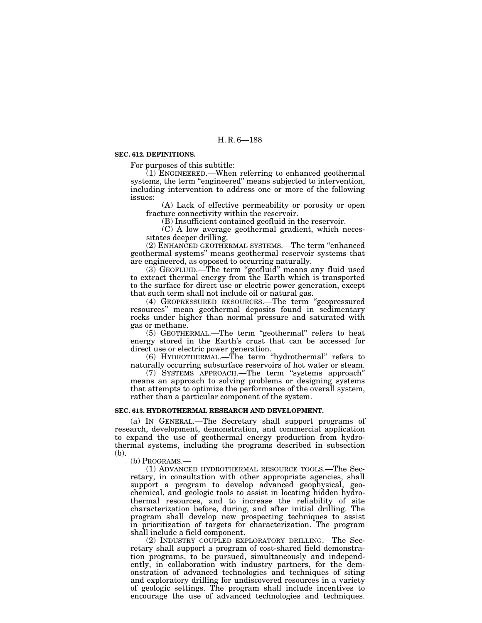## **SEC. 612. DEFINITIONS.**

For purposes of this subtitle:

(1) ENGINEERED.—When referring to enhanced geothermal systems, the term "engineered" means subjected to intervention, including intervention to address one or more of the following issues:

(A) Lack of effective permeability or porosity or open fracture connectivity within the reservoir.

(B) Insufficient contained geofluid in the reservoir.

(C) A low average geothermal gradient, which necessitates deeper drilling.

(2) ENHANCED GEOTHERMAL SYSTEMS.—The term ''enhanced geothermal systems'' means geothermal reservoir systems that are engineered, as opposed to occurring naturally.

(3) GEOFLUID.—The term ''geofluid'' means any fluid used to extract thermal energy from the Earth which is transported to the surface for direct use or electric power generation, except that such term shall not include oil or natural gas.

(4) GEOPRESSURED RESOURCES.—The term ''geopressured resources'' mean geothermal deposits found in sedimentary rocks under higher than normal pressure and saturated with gas or methane.

(5) GEOTHERMAL.—The term ''geothermal'' refers to heat energy stored in the Earth's crust that can be accessed for direct use or electric power generation.

(6) HYDROTHERMAL.—The term ''hydrothermal'' refers to naturally occurring subsurface reservoirs of hot water or steam.

(7) SYSTEMS APPROACH.—The term ''systems approach'' means an approach to solving problems or designing systems that attempts to optimize the performance of the overall system, rather than a particular component of the system.

## **SEC. 613. HYDROTHERMAL RESEARCH AND DEVELOPMENT.**

(a) IN GENERAL.—The Secretary shall support programs of research, development, demonstration, and commercial application to expand the use of geothermal energy production from hydrothermal systems, including the programs described in subsection (b).

(b) PROGRAMS.—

(1) ADVANCED HYDROTHERMAL RESOURCE TOOLS.—The Secretary, in consultation with other appropriate agencies, shall support a program to develop advanced geophysical, geochemical, and geologic tools to assist in locating hidden hydrothermal resources, and to increase the reliability of site characterization before, during, and after initial drilling. The program shall develop new prospecting techniques to assist in prioritization of targets for characterization. The program shall include a field component.

(2) INDUSTRY COUPLED EXPLORATORY DRILLING.—The Secretary shall support a program of cost-shared field demonstration programs, to be pursued, simultaneously and independently, in collaboration with industry partners, for the demonstration of advanced technologies and techniques of siting and exploratory drilling for undiscovered resources in a variety of geologic settings. The program shall include incentives to encourage the use of advanced technologies and techniques.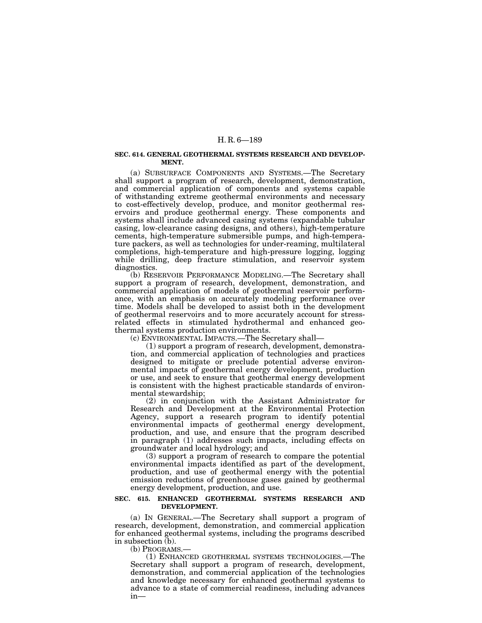### **SEC. 614. GENERAL GEOTHERMAL SYSTEMS RESEARCH AND DEVELOP-MENT.**

(a) SUBSURFACE COMPONENTS AND SYSTEMS.—The Secretary shall support a program of research, development, demonstration, and commercial application of components and systems capable of withstanding extreme geothermal environments and necessary to cost-effectively develop, produce, and monitor geothermal reservoirs and produce geothermal energy. These components and systems shall include advanced casing systems (expandable tubular casing, low-clearance casing designs, and others), high-temperature cements, high-temperature submersible pumps, and high-temperature packers, as well as technologies for under-reaming, multilateral completions, high-temperature and high-pressure logging, logging while drilling, deep fracture stimulation, and reservoir system diagnostics.

(b) RESERVOIR PERFORMANCE MODELING.—The Secretary shall support a program of research, development, demonstration, and commercial application of models of geothermal reservoir performance, with an emphasis on accurately modeling performance over time. Models shall be developed to assist both in the development of geothermal reservoirs and to more accurately account for stressrelated effects in stimulated hydrothermal and enhanced geothermal systems production environments.

(c) ENVIRONMENTAL IMPACTS.—The Secretary shall—

(1) support a program of research, development, demonstration, and commercial application of technologies and practices designed to mitigate or preclude potential adverse environmental impacts of geothermal energy development, production or use, and seek to ensure that geothermal energy development is consistent with the highest practicable standards of environmental stewardship;

(2) in conjunction with the Assistant Administrator for Research and Development at the Environmental Protection Agency, support a research program to identify potential environmental impacts of geothermal energy development, production, and use, and ensure that the program described in paragraph (1) addresses such impacts, including effects on groundwater and local hydrology; and

(3) support a program of research to compare the potential environmental impacts identified as part of the development, production, and use of geothermal energy with the potential emission reductions of greenhouse gases gained by geothermal energy development, production, and use.

#### **SEC. 615. ENHANCED GEOTHERMAL SYSTEMS RESEARCH AND DEVELOPMENT.**

(a) IN GENERAL.—The Secretary shall support a program of research, development, demonstration, and commercial application for enhanced geothermal systems, including the programs described in subsection (b).

(b) PROGRAMS.—

(1) ENHANCED GEOTHERMAL SYSTEMS TECHNOLOGIES.—The Secretary shall support a program of research, development, demonstration, and commercial application of the technologies and knowledge necessary for enhanced geothermal systems to advance to a state of commercial readiness, including advances in—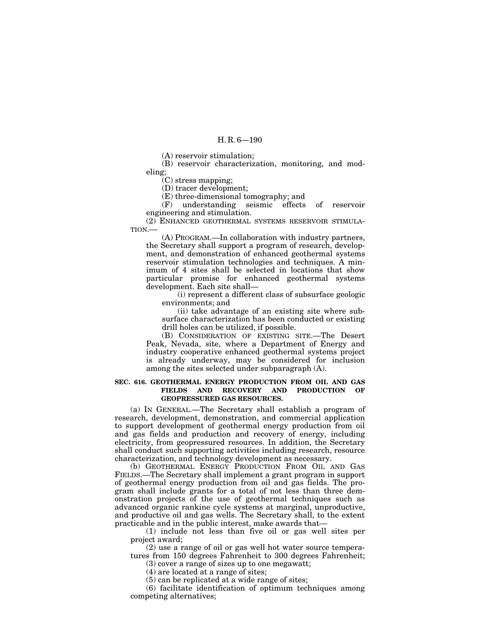(A) reservoir stimulation;

(B) reservoir characterization, monitoring, and modeling;

(C) stress mapping;

(D) tracer development;

(E) three-dimensional tomography; and

(F) understanding seismic effects of reservoir engineering and stimulation.

(2) ENHANCED GEOTHERMAL SYSTEMS RESERVOIR STIMULA-TION.—

(A) PROGRAM.—In collaboration with industry partners, the Secretary shall support a program of research, development, and demonstration of enhanced geothermal systems reservoir stimulation technologies and techniques. A minimum of 4 sites shall be selected in locations that show particular promise for enhanced geothermal systems development. Each site shall—

(i) represent a different class of subsurface geologic environments; and

(ii) take advantage of an existing site where subsurface characterization has been conducted or existing drill holes can be utilized, if possible.

(B) CONSIDERATION OF EXISTING SITE.—The Desert Peak, Nevada, site, where a Department of Energy and industry cooperative enhanced geothermal systems project is already underway, may be considered for inclusion among the sites selected under subparagraph (A).

### **SEC. 616. GEOTHERMAL ENERGY PRODUCTION FROM OIL AND GAS FIELDS AND RECOVERY AND PRODUCTION OF GEOPRESSURED GAS RESOURCES.**

(a) IN GENERAL.—The Secretary shall establish a program of research, development, demonstration, and commercial application to support development of geothermal energy production from oil and gas fields and production and recovery of energy, including electricity, from geopressured resources. In addition, the Secretary shall conduct such supporting activities including research, resource characterization, and technology development as necessary.

(b) GEOTHERMAL ENERGY PRODUCTION FROM OIL AND GAS FIELDS.—The Secretary shall implement a grant program in support of geothermal energy production from oil and gas fields. The program shall include grants for a total of not less than three demonstration projects of the use of geothermal techniques such as advanced organic rankine cycle systems at marginal, unproductive, and productive oil and gas wells. The Secretary shall, to the extent practicable and in the public interest, make awards that—

(1) include not less than five oil or gas well sites per project award;

(2) use a range of oil or gas well hot water source temperatures from 150 degrees Fahrenheit to 300 degrees Fahrenheit;

(3) cover a range of sizes up to one megawatt;

(4) are located at a range of sites;

(5) can be replicated at a wide range of sites;

(6) facilitate identification of optimum techniques among competing alternatives;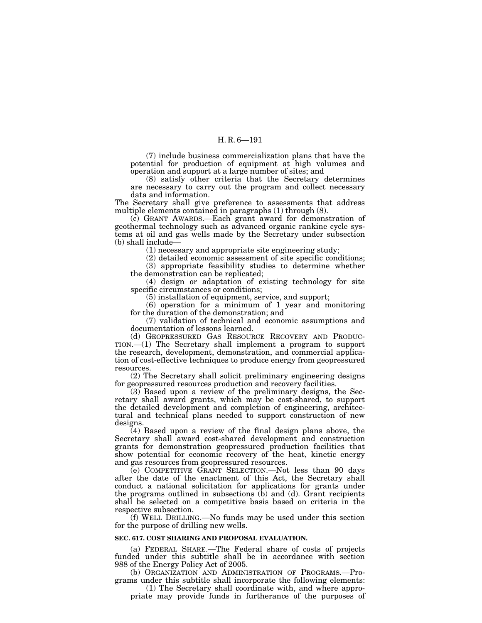(7) include business commercialization plans that have the potential for production of equipment at high volumes and operation and support at a large number of sites; and

(8) satisfy other criteria that the Secretary determines are necessary to carry out the program and collect necessary data and information.

The Secretary shall give preference to assessments that address multiple elements contained in paragraphs (1) through (8).

(c) GRANT AWARDS.—Each grant award for demonstration of geothermal technology such as advanced organic rankine cycle systems at oil and gas wells made by the Secretary under subsection (b) shall include—

(1) necessary and appropriate site engineering study;

(2) detailed economic assessment of site specific conditions;

(3) appropriate feasibility studies to determine whether the demonstration can be replicated;

(4) design or adaptation of existing technology for site specific circumstances or conditions;

(5) installation of equipment, service, and support;

(6) operation for a minimum of 1 year and monitoring for the duration of the demonstration; and

(7) validation of technical and economic assumptions and documentation of lessons learned.<br>(d) GEOPRESSURED GAS RESOURCE RECOVERY AND PRODUC-

 $TION.$ —(1) The Secretary shall implement a program to support the research, development, demonstration, and commercial application of cost-effective techniques to produce energy from geopressured resources.

(2) The Secretary shall solicit preliminary engineering designs for geopressured resources production and recovery facilities.

(3) Based upon a review of the preliminary designs, the Secretary shall award grants, which may be cost-shared, to support the detailed development and completion of engineering, architectural and technical plans needed to support construction of new designs.

(4) Based upon a review of the final design plans above, the Secretary shall award cost-shared development and construction grants for demonstration geopressured production facilities that show potential for economic recovery of the heat, kinetic energy and gas resources from geopressured resources.

(e) COMPETITIVE GRANT SELECTION.—Not less than 90 days after the date of the enactment of this Act, the Secretary shall conduct a national solicitation for applications for grants under the programs outlined in subsections  $(b)$  and  $(d)$ . Grant recipients shall be selected on a competitive basis based on criteria in the respective subsection.

(f) WELL DRILLING.—No funds may be used under this section for the purpose of drilling new wells.

#### **SEC. 617. COST SHARING AND PROPOSAL EVALUATION.**

(a) FEDERAL SHARE.—The Federal share of costs of projects funded under this subtitle shall be in accordance with section 988 of the Energy Policy Act of 2005.

(b) ORGANIZATION AND ADMINISTRATION OF PROGRAMS.—Programs under this subtitle shall incorporate the following elements:

(1) The Secretary shall coordinate with, and where appropriate may provide funds in furtherance of the purposes of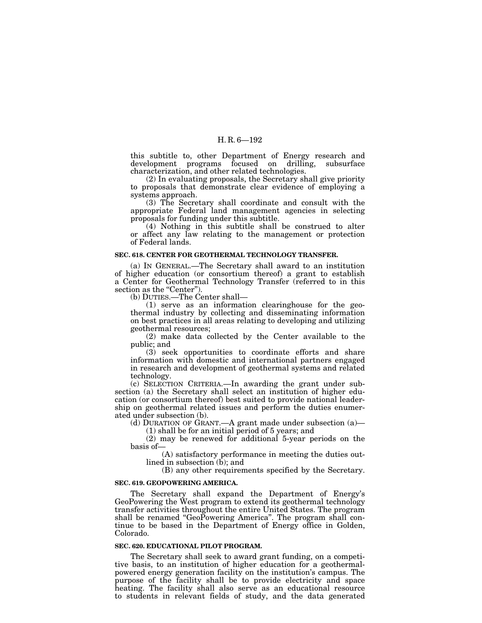this subtitle to, other Department of Energy research and development programs focused on drilling, subsurface characterization, and other related technologies.

(2) In evaluating proposals, the Secretary shall give priority to proposals that demonstrate clear evidence of employing a systems approach.

(3) The Secretary shall coordinate and consult with the appropriate Federal land management agencies in selecting proposals for funding under this subtitle.

(4) Nothing in this subtitle shall be construed to alter or affect any law relating to the management or protection of Federal lands.

#### **SEC. 618. CENTER FOR GEOTHERMAL TECHNOLOGY TRANSFER.**

(a) IN GENERAL.—The Secretary shall award to an institution of higher education (or consortium thereof) a grant to establish a Center for Geothermal Technology Transfer (referred to in this section as the "Center").

(b) DUTIES.—The Center shall—

(1) serve as an information clearinghouse for the geothermal industry by collecting and disseminating information on best practices in all areas relating to developing and utilizing geothermal resources;

(2) make data collected by the Center available to the public; and

(3) seek opportunities to coordinate efforts and share information with domestic and international partners engaged in research and development of geothermal systems and related technology.

(c) SELECTION CRITERIA.—In awarding the grant under subsection (a) the Secretary shall select an institution of higher education (or consortium thereof) best suited to provide national leadership on geothermal related issues and perform the duties enumerated under subsection (b).

(d) DURATION OF GRANT.—A grant made under subsection (a)—

(1) shall be for an initial period of 5 years; and

(2) may be renewed for additional 5-year periods on the basis of—

(A) satisfactory performance in meeting the duties outlined in subsection (b); and

(B) any other requirements specified by the Secretary.

#### **SEC. 619. GEOPOWERING AMERICA.**

The Secretary shall expand the Department of Energy's GeoPowering the West program to extend its geothermal technology transfer activities throughout the entire United States. The program shall be renamed ''GeoPowering America''. The program shall continue to be based in the Department of Energy office in Golden, Colorado.

#### **SEC. 620. EDUCATIONAL PILOT PROGRAM.**

The Secretary shall seek to award grant funding, on a competitive basis, to an institution of higher education for a geothermalpowered energy generation facility on the institution's campus. The purpose of the facility shall be to provide electricity and space heating. The facility shall also serve as an educational resource to students in relevant fields of study, and the data generated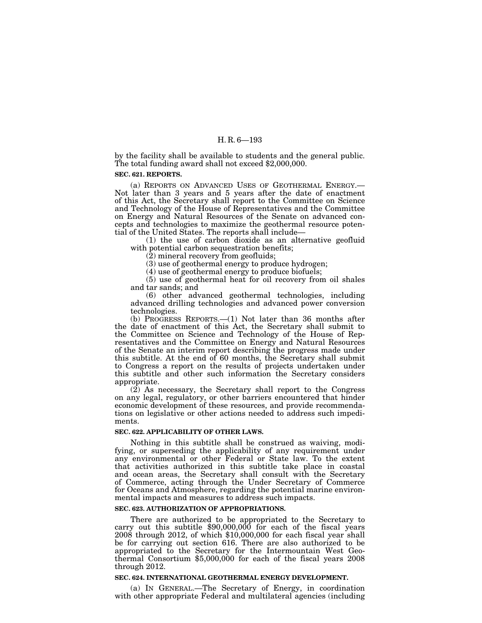by the facility shall be available to students and the general public. The total funding award shall not exceed \$2,000,000.

#### **SEC. 621. REPORTS.**

(a) REPORTS ON ADVANCED USES OF GEOTHERMAL ENERGY.— Not later than 3 years and 5 years after the date of enactment of this Act, the Secretary shall report to the Committee on Science and Technology of the House of Representatives and the Committee on Energy and Natural Resources of the Senate on advanced concepts and technologies to maximize the geothermal resource potential of the United States. The reports shall include—

(1) the use of carbon dioxide as an alternative geofluid with potential carbon sequestration benefits;

 $(2)$  mineral recovery from geofluids;

(3) use of geothermal energy to produce hydrogen;

(4) use of geothermal energy to produce biofuels;

(5) use of geothermal heat for oil recovery from oil shales and tar sands; and

(6) other advanced geothermal technologies, including advanced drilling technologies and advanced power conversion technologies.

(b) PROGRESS REPORTS.—(1) Not later than 36 months after the date of enactment of this Act, the Secretary shall submit to the Committee on Science and Technology of the House of Representatives and the Committee on Energy and Natural Resources of the Senate an interim report describing the progress made under this subtitle. At the end of 60 months, the Secretary shall submit to Congress a report on the results of projects undertaken under this subtitle and other such information the Secretary considers appropriate.

 $(2)$  As necessary, the Secretary shall report to the Congress on any legal, regulatory, or other barriers encountered that hinder economic development of these resources, and provide recommendations on legislative or other actions needed to address such impediments.

### **SEC. 622. APPLICABILITY OF OTHER LAWS.**

Nothing in this subtitle shall be construed as waiving, modifying, or superseding the applicability of any requirement under any environmental or other Federal or State law. To the extent that activities authorized in this subtitle take place in coastal and ocean areas, the Secretary shall consult with the Secretary of Commerce, acting through the Under Secretary of Commerce for Oceans and Atmosphere, regarding the potential marine environmental impacts and measures to address such impacts.

#### **SEC. 623. AUTHORIZATION OF APPROPRIATIONS.**

There are authorized to be appropriated to the Secretary to carry out this subtitle \$90,000,000 for each of the fiscal years 2008 through 2012, of which \$10,000,000 for each fiscal year shall be for carrying out section 616. There are also authorized to be appropriated to the Secretary for the Intermountain West Geothermal Consortium \$5,000,000 for each of the fiscal years 2008 through 2012.

### **SEC. 624. INTERNATIONAL GEOTHERMAL ENERGY DEVELOPMENT.**

(a) IN GENERAL.—The Secretary of Energy, in coordination with other appropriate Federal and multilateral agencies (including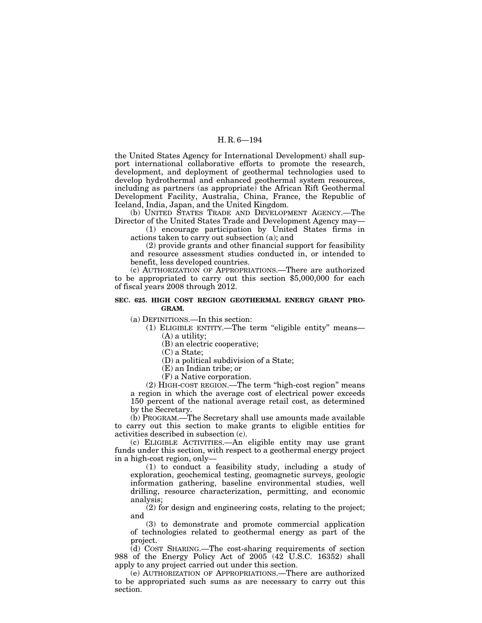the United States Agency for International Development) shall support international collaborative efforts to promote the research, development, and deployment of geothermal technologies used to develop hydrothermal and enhanced geothermal system resources, including as partners (as appropriate) the African Rift Geothermal Development Facility, Australia, China, France, the Republic of Iceland, India, Japan, and the United Kingdom.

(b) UNITED STATES TRADE AND DEVELOPMENT AGENCY.—The Director of the United States Trade and Development Agency may—

(1) encourage participation by United States firms in actions taken to carry out subsection (a); and

(2) provide grants and other financial support for feasibility and resource assessment studies conducted in, or intended to benefit, less developed countries.

(c) AUTHORIZATION OF APPROPRIATIONS.—There are authorized to be appropriated to carry out this section \$5,000,000 for each of fiscal years 2008 through 2012.

### **SEC. 625. HIGH COST REGION GEOTHERMAL ENERGY GRANT PRO-GRAM.**

(a) DEFINITIONS.—In this section:

- (1) ELIGIBLE ENTITY.—The term ''eligible entity'' means— (A) a utility;
	- (B) an electric cooperative;
	- (C) a State;
	- (D) a political subdivision of a State;
	- (E) an Indian tribe; or
	- (F) a Native corporation.

(2) HIGH-COST REGION.—The term ''high-cost region'' means a region in which the average cost of electrical power exceeds 150 percent of the national average retail cost, as determined by the Secretary.

(b) PROGRAM.—The Secretary shall use amounts made available to carry out this section to make grants to eligible entities for activities described in subsection (c).

(c) ELIGIBLE ACTIVITIES.—An eligible entity may use grant funds under this section, with respect to a geothermal energy project in a high-cost region, only—

(1) to conduct a feasibility study, including a study of exploration, geochemical testing, geomagnetic surveys, geologic information gathering, baseline environmental studies, well drilling, resource characterization, permitting, and economic analysis;

(2) for design and engineering costs, relating to the project; and

(3) to demonstrate and promote commercial application of technologies related to geothermal energy as part of the project.

(d) COST SHARING.—The cost-sharing requirements of section 988 of the Energy Policy Act of 2005 (42 U.S.C. 16352) shall apply to any project carried out under this section.

(e) AUTHORIZATION OF APPROPRIATIONS.—There are authorized to be appropriated such sums as are necessary to carry out this section.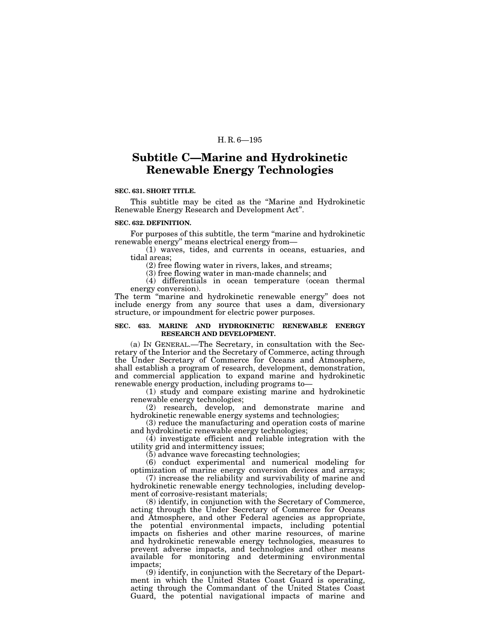# **Subtitle C—Marine and Hydrokinetic Renewable Energy Technologies**

## **SEC. 631. SHORT TITLE.**

This subtitle may be cited as the ''Marine and Hydrokinetic Renewable Energy Research and Development Act''.

## **SEC. 632. DEFINITION.**

For purposes of this subtitle, the term "marine and hydrokinetic renewable energy'' means electrical energy from—

(1) waves, tides, and currents in oceans, estuaries, and tidal areas;

(2) free flowing water in rivers, lakes, and streams;

(3) free flowing water in man-made channels; and

(4) differentials in ocean temperature (ocean thermal energy conversion).

The term "marine and hydrokinetic renewable energy" does not include energy from any source that uses a dam, diversionary structure, or impoundment for electric power purposes.

## **SEC. 633. MARINE AND HYDROKINETIC RENEWABLE ENERGY RESEARCH AND DEVELOPMENT.**

(a) IN GENERAL.—The Secretary, in consultation with the Secretary of the Interior and the Secretary of Commerce, acting through the Under Secretary of Commerce for Oceans and Atmosphere, shall establish a program of research, development, demonstration, and commercial application to expand marine and hydrokinetic renewable energy production, including programs to—

(1) study and compare existing marine and hydrokinetic renewable energy technologies;

(2) research, develop, and demonstrate marine and hydrokinetic renewable energy systems and technologies;

(3) reduce the manufacturing and operation costs of marine and hydrokinetic renewable energy technologies;

 $(4)$  investigate efficient and reliable integration with the

utility grid and intermittency issues;

(5) advance wave forecasting technologies;

(6) conduct experimental and numerical modeling for optimization of marine energy conversion devices and arrays;

(7) increase the reliability and survivability of marine and hydrokinetic renewable energy technologies, including development of corrosive-resistant materials;

(8) identify, in conjunction with the Secretary of Commerce, acting through the Under Secretary of Commerce for Oceans and Atmosphere, and other Federal agencies as appropriate, the potential environmental impacts, including potential impacts on fisheries and other marine resources, of marine and hydrokinetic renewable energy technologies, measures to prevent adverse impacts, and technologies and other means available for monitoring and determining environmental impacts;

(9) identify, in conjunction with the Secretary of the Department in which the United States Coast Guard is operating, acting through the Commandant of the United States Coast Guard, the potential navigational impacts of marine and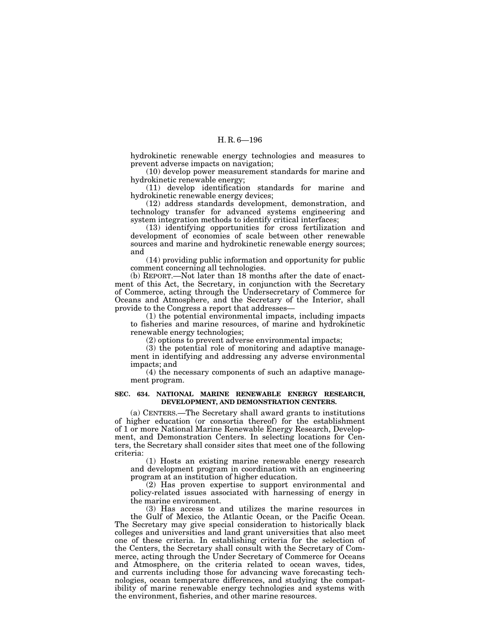hydrokinetic renewable energy technologies and measures to prevent adverse impacts on navigation;

(10) develop power measurement standards for marine and hydrokinetic renewable energy;

(11) develop identification standards for marine and hydrokinetic renewable energy devices;

(12) address standards development, demonstration, and technology transfer for advanced systems engineering and system integration methods to identify critical interfaces;

(13) identifying opportunities for cross fertilization and development of economies of scale between other renewable sources and marine and hydrokinetic renewable energy sources; and

(14) providing public information and opportunity for public comment concerning all technologies.

(b) REPORT.—Not later than 18 months after the date of enactment of this Act, the Secretary, in conjunction with the Secretary of Commerce, acting through the Undersecretary of Commerce for Oceans and Atmosphere, and the Secretary of the Interior, shall provide to the Congress a report that addresses—

(1) the potential environmental impacts, including impacts to fisheries and marine resources, of marine and hydrokinetic renewable energy technologies;

(2) options to prevent adverse environmental impacts;

(3) the potential role of monitoring and adaptive management in identifying and addressing any adverse environmental impacts; and

(4) the necessary components of such an adaptive management program.

### **SEC. 634. NATIONAL MARINE RENEWABLE ENERGY RESEARCH, DEVELOPMENT, AND DEMONSTRATION CENTERS.**

(a) CENTERS.—The Secretary shall award grants to institutions of higher education (or consortia thereof) for the establishment of 1 or more National Marine Renewable Energy Research, Development, and Demonstration Centers. In selecting locations for Centers, the Secretary shall consider sites that meet one of the following criteria:

(1) Hosts an existing marine renewable energy research and development program in coordination with an engineering program at an institution of higher education.

(2) Has proven expertise to support environmental and policy-related issues associated with harnessing of energy in the marine environment.

(3) Has access to and utilizes the marine resources in the Gulf of Mexico, the Atlantic Ocean, or the Pacific Ocean. The Secretary may give special consideration to historically black colleges and universities and land grant universities that also meet one of these criteria. In establishing criteria for the selection of the Centers, the Secretary shall consult with the Secretary of Commerce, acting through the Under Secretary of Commerce for Oceans and Atmosphere, on the criteria related to ocean waves, tides, and currents including those for advancing wave forecasting technologies, ocean temperature differences, and studying the compatibility of marine renewable energy technologies and systems with the environment, fisheries, and other marine resources.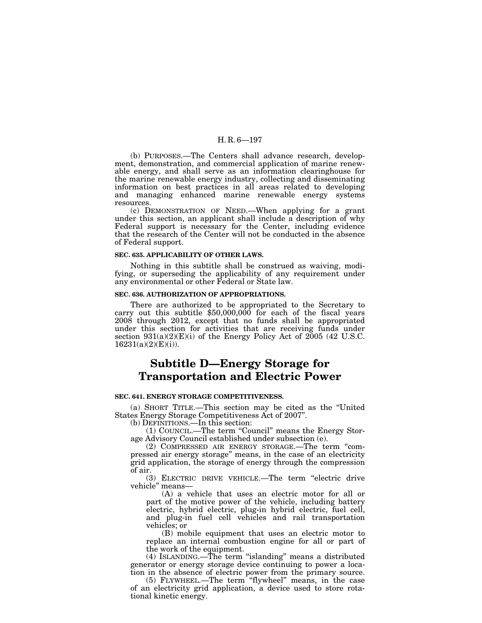(b) PURPOSES.—The Centers shall advance research, development, demonstration, and commercial application of marine renewable energy, and shall serve as an information clearinghouse for the marine renewable energy industry, collecting and disseminating information on best practices in all areas related to developing and managing enhanced marine renewable energy systems resources.

(c) DEMONSTRATION OF NEED.—When applying for a grant under this section, an applicant shall include  $\overline{a}$  description of why Federal support is necessary for the Center, including evidence that the research of the Center will not be conducted in the absence of Federal support.

#### **SEC. 635. APPLICABILITY OF OTHER LAWS.**

Nothing in this subtitle shall be construed as waiving, modifying, or superseding the applicability of any requirement under any environmental or other Federal or State law.

### **SEC. 636. AUTHORIZATION OF APPROPRIATIONS.**

There are authorized to be appropriated to the Secretary to carry out this subtitle \$50,000,000 for each of the fiscal years 2008 through 2012, except that no funds shall be appropriated under this section for activities that are receiving funds under section  $931(a)(2)(E)(i)$  of the Energy Policy Act of  $2005$  (42 U.S.C.  $16231(a)(2)(E)(i)$ .

# **Subtitle D—Energy Storage for Transportation and Electric Power**

## **SEC. 641. ENERGY STORAGE COMPETITIVENESS.**

(a) SHORT TITLE.—This section may be cited as the ''United States Energy Storage Competitiveness Act of 2007''.

(b) DEFINITIONS.—In this section:

(1) COUNCIL.—The term ''Council'' means the Energy Storage Advisory Council established under subsection (e).

(2) COMPRESSED AIR ENERGY STORAGE.—The term ''compressed air energy storage'' means, in the case of an electricity grid application, the storage of energy through the compression of air.

(3) ELECTRIC DRIVE VEHICLE.—The term ''electric drive vehicle'' means—

(A) a vehicle that uses an electric motor for all or part of the motive power of the vehicle, including battery electric, hybrid electric, plug-in hybrid electric, fuel cell, and plug-in fuel cell vehicles and rail transportation vehicles; or

(B) mobile equipment that uses an electric motor to replace an internal combustion engine for all or part of the work of the equipment.

(4) ISLANDING.—The term ''islanding'' means a distributed generator or energy storage device continuing to power a location in the absence of electric power from the primary source.

(5) FLYWHEEL.—The term ''flywheel'' means, in the case of an electricity grid application, a device used to store rotational kinetic energy.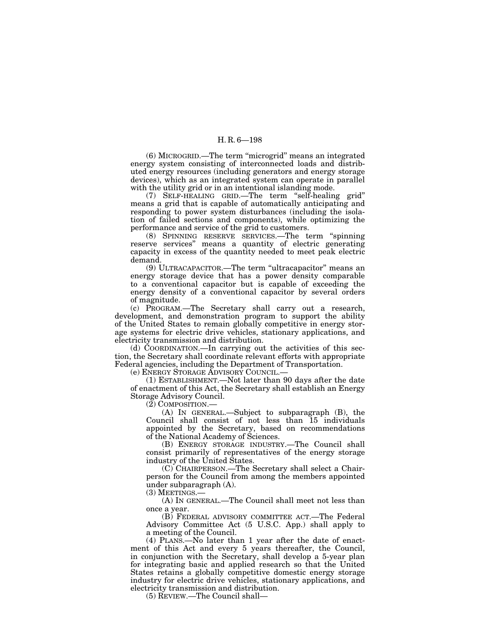(6) MICROGRID.—The term ''microgrid'' means an integrated energy system consisting of interconnected loads and distributed energy resources (including generators and energy storage devices), which as an integrated system can operate in parallel with the utility grid or in an intentional islanding mode.

(7) SELF-HEALING GRID.—The term ''self-healing grid'' means a grid that is capable of automatically anticipating and responding to power system disturbances (including the isolation of failed sections and components), while optimizing the performance and service of the grid to customers.

(8) SPINNING RESERVE SERVICES.—The term ''spinning reserve services'' means a quantity of electric generating capacity in excess of the quantity needed to meet peak electric demand.

(9) ULTRACAPACITOR.—The term ''ultracapacitor'' means an energy storage device that has a power density comparable to a conventional capacitor but is capable of exceeding the energy density of a conventional capacitor by several orders of magnitude.

(c) PROGRAM.—The Secretary shall carry out a research, development, and demonstration program to support the ability of the United States to remain globally competitive in energy storage systems for electric drive vehicles, stationary applications, and electricity transmission and distribution.

(d) COORDINATION.—In carrying out the activities of this section, the Secretary shall coordinate relevant efforts with appropriate Federal agencies, including the Department of Transportation.

(e) ENERGY STORAGE ADVISORY COUNCIL.—

(1) ESTABLISHMENT.—Not later than 90 days after the date of enactment of this Act, the Secretary shall establish an Energy Storage Advisory Council.

(2) COMPOSITION.—

(A) IN GENERAL.—Subject to subparagraph (B), the Council shall consist of not less than 15 individuals appointed by the Secretary, based on recommendations of the National Academy of Sciences.

(B) ENERGY STORAGE INDUSTRY.—The Council shall consist primarily of representatives of the energy storage industry of the United States.

(C) CHAIRPERSON.—The Secretary shall select a Chairperson for the Council from among the members appointed under subparagraph (A).

(3) MEETINGS.—

(A) IN GENERAL.—The Council shall meet not less than once a year.

(B) FEDERAL ADVISORY COMMITTEE ACT.—The Federal Advisory Committee Act (5 U.S.C. App.) shall apply to a meeting of the Council.

(4) PLANS.—No later than 1 year after the date of enactment of this Act and every 5 years thereafter, the Council, in conjunction with the Secretary, shall develop a 5-year plan for integrating basic and applied research so that the United States retains a globally competitive domestic energy storage industry for electric drive vehicles, stationary applications, and electricity transmission and distribution.

(5) REVIEW.—The Council shall—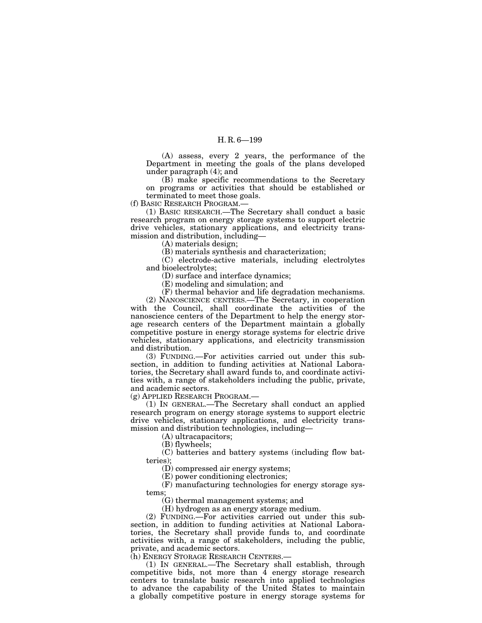(A) assess, every 2 years, the performance of the Department in meeting the goals of the plans developed under paragraph (4); and

(B) make specific recommendations to the Secretary on programs or activities that should be established or terminated to meet those goals.

(f) BASIC RESEARCH PROGRAM.—

(1) BASIC RESEARCH.—The Secretary shall conduct a basic research program on energy storage systems to support electric drive vehicles, stationary applications, and electricity transmission and distribution, including—

(A) materials design;

(B) materials synthesis and characterization;

(C) electrode-active materials, including electrolytes and bioelectrolytes;

(D) surface and interface dynamics;

(E) modeling and simulation; and

(F) thermal behavior and life degradation mechanisms.

(2) NANOSCIENCE CENTERS.—The Secretary, in cooperation with the Council, shall coordinate the activities of the nanoscience centers of the Department to help the energy storage research centers of the Department maintain a globally competitive posture in energy storage systems for electric drive vehicles, stationary applications, and electricity transmission and distribution.

(3) FUNDING.—For activities carried out under this subsection, in addition to funding activities at National Laboratories, the Secretary shall award funds to, and coordinate activities with, a range of stakeholders including the public, private, and academic sectors.

(g) APPLIED RESEARCH PROGRAM.—

(1) IN GENERAL.—The Secretary shall conduct an applied research program on energy storage systems to support electric drive vehicles, stationary applications, and electricity transmission and distribution technologies, including—

(A) ultracapacitors;

(B) flywheels;

(C) batteries and battery systems (including flow batteries);

(D) compressed air energy systems;

(E) power conditioning electronics;

(F) manufacturing technologies for energy storage systems;

(G) thermal management systems; and

(H) hydrogen as an energy storage medium.

(2) FUNDING.—For activities carried out under this subsection, in addition to funding activities at National Laboratories, the Secretary shall provide funds to, and coordinate activities with, a range of stakeholders, including the public, private, and academic sectors.

(h) ENERGY STORAGE RESEARCH CENTERS.—

(1) IN GENERAL.—The Secretary shall establish, through competitive bids, not more than  $\tilde{4}$  energy storage research centers to translate basic research into applied technologies to advance the capability of the United States to maintain a globally competitive posture in energy storage systems for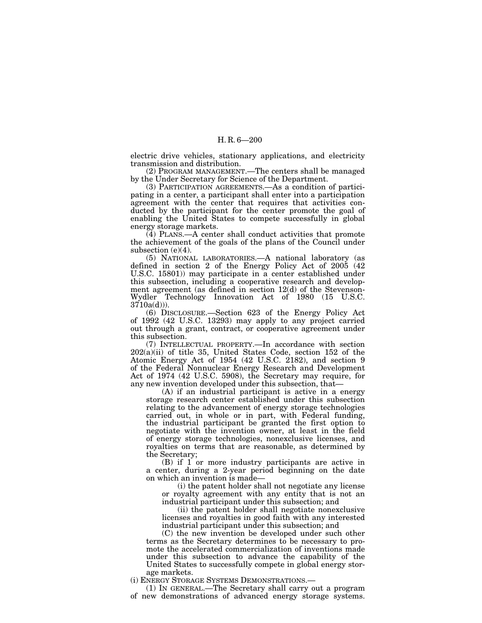electric drive vehicles, stationary applications, and electricity transmission and distribution.

(2) PROGRAM MANAGEMENT.—The centers shall be managed by the Under Secretary for Science of the Department.

(3) PARTICIPATION AGREEMENTS.—As a condition of participating in a center, a participant shall enter into a participation agreement with the center that requires that activities conducted by the participant for the center promote the goal of enabling the United States to compete successfully in global energy storage markets.

(4) PLANS.—A center shall conduct activities that promote the achievement of the goals of the plans of the Council under subsection (e)(4).

(5) NATIONAL LABORATORIES.—A national laboratory (as defined in section 2 of the Energy Policy Act of 2005 (42 U.S.C. 15801)) may participate in a center established under this subsection, including a cooperative research and development agreement (as defined in section 12(d) of the Stevenson-Wydler Technology Innovation Act of 1980 (15 U.S.C.  $3710a(d))$ .

(6) DISCLOSURE.—Section 623 of the Energy Policy Act of 1992 (42 U.S.C. 13293) may apply to any project carried out through a grant, contract, or cooperative agreement under this subsection.

(7) INTELLECTUAL PROPERTY.—In accordance with section 202(a)(ii) of title 35, United States Code, section 152 of the Atomic Energy Act of 1954 (42 U.S.C. 2182), and section 9 of the Federal Nonnuclear Energy Research and Development Act of 1974 (42 U.S.C. 5908), the Secretary may require, for any new invention developed under this subsection, that—

(A) if an industrial participant is active in a energy storage research center established under this subsection relating to the advancement of energy storage technologies carried out, in whole or in part, with Federal funding, the industrial participant be granted the first option to negotiate with the invention owner, at least in the field of energy storage technologies, nonexclusive licenses, and royalties on terms that are reasonable, as determined by the Secretary;

(B) if 1 or more industry participants are active in a center, during a 2-year period beginning on the date on which an invention is made—

(i) the patent holder shall not negotiate any license or royalty agreement with any entity that is not an industrial participant under this subsection; and

(ii) the patent holder shall negotiate nonexclusive licenses and royalties in good faith with any interested industrial participant under this subsection; and

(C) the new invention be developed under such other terms as the Secretary determines to be necessary to promote the accelerated commercialization of inventions made under this subsection to advance the capability of the United States to successfully compete in global energy storage markets.

(i) ENERGY STORAGE SYSTEMS DEMONSTRATIONS.—

(1) IN GENERAL.—The Secretary shall carry out a program of new demonstrations of advanced energy storage systems.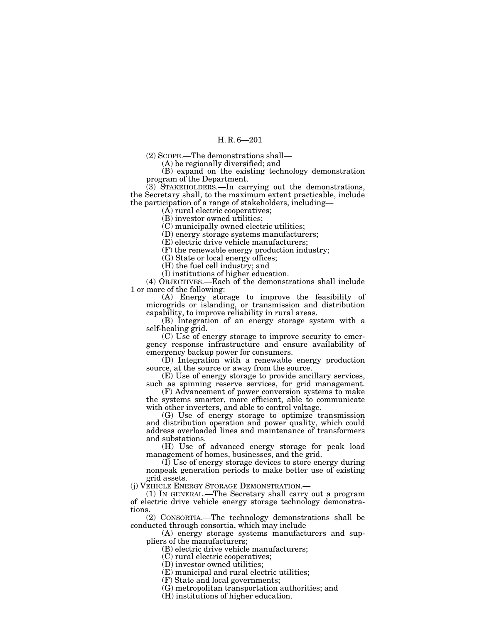(2) SCOPE.—The demonstrations shall—

(A) be regionally diversified; and

(B) expand on the existing technology demonstration program of the Department.

(3) STAKEHOLDERS.—In carrying out the demonstrations, the Secretary shall, to the maximum extent practicable, include the participation of a range of stakeholders, including—

(A) rural electric cooperatives;

(B) investor owned utilities;

(C) municipally owned electric utilities;

(D) energy storage systems manufacturers;

(E) electric drive vehicle manufacturers;

(F) the renewable energy production industry;

(G) State or local energy offices;

(H) the fuel cell industry; and

(I) institutions of higher education.

(4) OBJECTIVES.—Each of the demonstrations shall include 1 or more of the following:

(A) Energy storage to improve the feasibility of microgrids or islanding, or transmission and distribution capability, to improve reliability in rural areas.

(B) Integration of an energy storage system with a self-healing grid.

(C) Use of energy storage to improve security to emergency response infrastructure and ensure availability of emergency backup power for consumers.

(D) Integration with a renewable energy production source, at the source or away from the source.

(E) Use of energy storage to provide ancillary services, such as spinning reserve services, for grid management.

(F) Advancement of power conversion systems to make the systems smarter, more efficient, able to communicate with other inverters, and able to control voltage.

(G) Use of energy storage to optimize transmission and distribution operation and power quality, which could address overloaded lines and maintenance of transformers and substations.

(H) Use of advanced energy storage for peak load management of homes, businesses, and the grid.

(I) Use of energy storage devices to store energy during nonpeak generation periods to make better use of existing grid assets.

(j) VEHICLE ENERGY STORAGE DEMONSTRATION.—

(1) IN GENERAL.—The Secretary shall carry out a program of electric drive vehicle energy storage technology demonstrations.

(2) CONSORTIA.—The technology demonstrations shall be conducted through consortia, which may include—

(A) energy storage systems manufacturers and suppliers of the manufacturers;

(B) electric drive vehicle manufacturers;

(C) rural electric cooperatives;

(D) investor owned utilities;

(E) municipal and rural electric utilities;

(F) State and local governments;

(G) metropolitan transportation authorities; and

(H) institutions of higher education.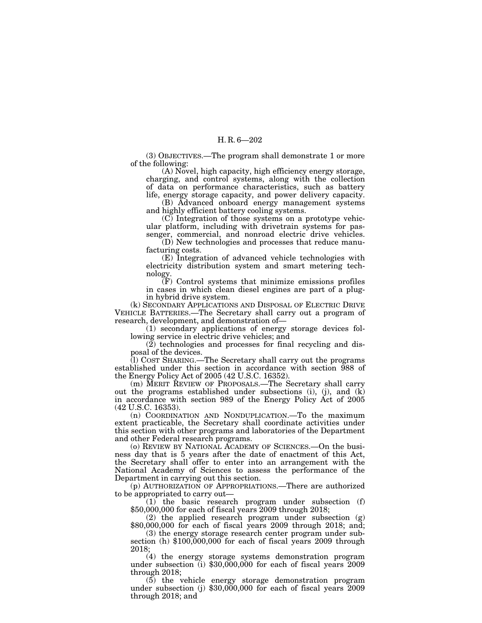(3) OBJECTIVES.—The program shall demonstrate 1 or more of the following:

(A) Novel, high capacity, high efficiency energy storage, charging, and control systems, along with the collection of data on performance characteristics, such as battery life, energy storage capacity, and power delivery capacity.

(B) Advanced onboard energy management systems and highly efficient battery cooling systems.

(C) Integration of those systems on a prototype vehicular platform, including with drivetrain systems for passenger, commercial, and nonroad electric drive vehicles.

(D) New technologies and processes that reduce manufacturing costs.

(E) Integration of advanced vehicle technologies with electricity distribution system and smart metering technology.

(F) Control systems that minimize emissions profiles in cases in which clean diesel engines are part of a plugin hybrid drive system.

(k) SECONDARY APPLICATIONS AND DISPOSAL OF ELECTRIC DRIVE VEHICLE BATTERIES.—The Secretary shall carry out a program of research, development, and demonstration of—

(1) secondary applications of energy storage devices following service in electric drive vehicles; and

(2) technologies and processes for final recycling and disposal of the devices.

(l) COST SHARING.—The Secretary shall carry out the programs established under this section in accordance with section 988 of the Energy Policy Act of 2005 (42 U.S.C. 16352).

(m) MERIT REVIEW OF PROPOSALS.—The Secretary shall carry out the programs established under subsections  $(i)$ ,  $(j)$ , and  $(k)$ in accordance with section 989 of the Energy Policy Act of 2005 (42 U.S.C. 16353).

(n) COORDINATION AND NONDUPLICATION.—To the maximum extent practicable, the Secretary shall coordinate activities under this section with other programs and laboratories of the Department and other Federal research programs.

(o) REVIEW BY NATIONAL ACADEMY OF SCIENCES.—On the business day that is 5 years after the date of enactment of this Act, the Secretary shall offer to enter into an arrangement with the National Academy of Sciences to assess the performance of the Department in carrying out this section.

(p) AUTHORIZATION OF APPROPRIATIONS.—There are authorized to be appropriated to carry out—

(1) the basic research program under subsection (f) \$50,000,000 for each of fiscal years 2009 through 2018;

(2) the applied research program under subsection (g) \$80,000,000 for each of fiscal years 2009 through 2018; and;

(3) the energy storage research center program under subsection (h) \$100,000,000 for each of fiscal years 2009 through 2018;

(4) the energy storage systems demonstration program under subsection (i) \$30,000,000 for each of fiscal years 2009 through 2018;

(5) the vehicle energy storage demonstration program under subsection (j) \$30,000,000 for each of fiscal years 2009 through 2018; and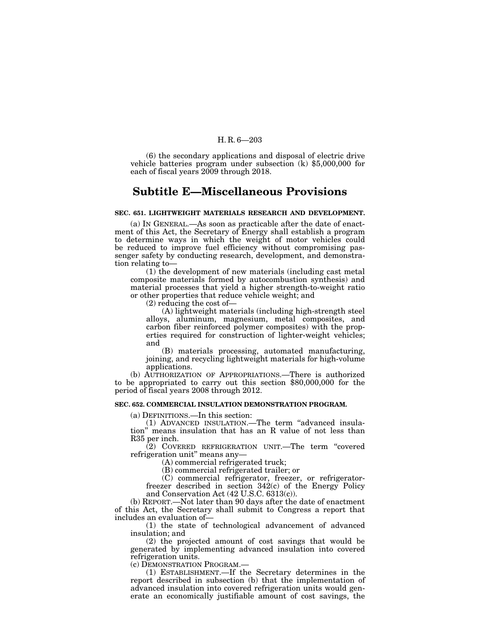(6) the secondary applications and disposal of electric drive vehicle batteries program under subsection (k) \$5,000,000 for each of fiscal years 2009 through 2018.

# **Subtitle E—Miscellaneous Provisions**

#### **SEC. 651. LIGHTWEIGHT MATERIALS RESEARCH AND DEVELOPMENT.**

(a) IN GENERAL.—As soon as practicable after the date of enactment of this Act, the Secretary of Energy shall establish a program to determine ways in which the weight of motor vehicles could be reduced to improve fuel efficiency without compromising passenger safety by conducting research, development, and demonstration relating to—

(1) the development of new materials (including cast metal composite materials formed by autocombustion synthesis) and material processes that yield a higher strength-to-weight ratio or other properties that reduce vehicle weight; and

(2) reducing the cost of—

(A) lightweight materials (including high-strength steel alloys, aluminum, magnesium, metal composites, and carbon fiber reinforced polymer composites) with the properties required for construction of lighter-weight vehicles; and

(B) materials processing, automated manufacturing, joining, and recycling lightweight materials for high-volume applications.

(b) AUTHORIZATION OF APPROPRIATIONS.—There is authorized to be appropriated to carry out this section \$80,000,000 for the period of fiscal years 2008 through 2012.

#### **SEC. 652. COMMERCIAL INSULATION DEMONSTRATION PROGRAM.**

(a) DEFINITIONS.—In this section:

(1) ADVANCED INSULATION.—The term ''advanced insulation'' means insulation that has an R value of not less than R35 per inch.

(2) COVERED REFRIGERATION UNIT.—The term ''covered refrigeration unit'' means any—

(A) commercial refrigerated truck;

(B) commercial refrigerated trailer; or

(C) commercial refrigerator, freezer, or refrigeratorfreezer described in section 342(c) of the Energy Policy and Conservation Act (42 U.S.C. 6313(c)).

(b) REPORT.—Not later than 90 days after the date of enactment of this Act, the Secretary shall submit to Congress a report that includes an evaluation of—

(1) the state of technological advancement of advanced insulation; and

(2) the projected amount of cost savings that would be generated by implementing advanced insulation into covered refrigeration units.<br>(c) DEMONSTRATION PROGRAM.-

(1) ESTABLISHMENT.—If the Secretary determines in the report described in subsection (b) that the implementation of advanced insulation into covered refrigeration units would generate an economically justifiable amount of cost savings, the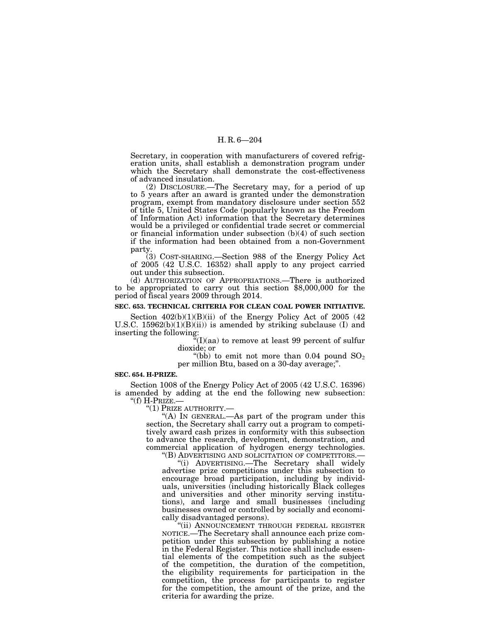Secretary, in cooperation with manufacturers of covered refrigeration units, shall establish a demonstration program under which the Secretary shall demonstrate the cost-effectiveness of advanced insulation.

(2) DISCLOSURE.—The Secretary may, for a period of up to 5 years after an award is granted under the demonstration program, exempt from mandatory disclosure under section 552 of title 5, United States Code (popularly known as the Freedom of Information Act) information that the Secretary determines would be a privileged or confidential trade secret or commercial or financial information under subsection (b)(4) of such section if the information had been obtained from a non-Government party.

(3) COST-SHARING.—Section 988 of the Energy Policy Act of 2005 (42 U.S.C. 16352) shall apply to any project carried out under this subsection.

(d) AUTHORIZATION OF APPROPRIATIONS.—There is authorized to be appropriated to carry out this section \$8,000,000 for the period of fiscal years 2009 through 2014.

#### **SEC. 653. TECHNICAL CRITERIA FOR CLEAN COAL POWER INITIATIVE.**

Section  $402(b)(1)(B)(ii)$  of the Energy Policy Act of 2005 (42) U.S.C.  $15962(b)(1)(B)(ii)$  is amended by striking subclause (I) and inserting the following:

 $\sqrt[\kappa]{I}$ (I)(aa) to remove at least 99 percent of sulfur dioxide; or

"(bb) to emit not more than 0.04 pound  $SO_2$ per million Btu, based on a 30-day average;''.

#### **SEC. 654. H-PRIZE.**

Section 1008 of the Energy Policy Act of 2005 (42 U.S.C. 16396) is amended by adding at the end the following new subsection: " $(f)$  H-PRIZE.—

"(1) PRIZE AUTHORITY.—<br>"(A) IN GENERAL.—As part of the program under this section, the Secretary shall carry out a program to competitively award cash prizes in conformity with this subsection to advance the research, development, demonstration, and commercial application of hydrogen energy technologies.

''(B) ADVERTISING AND SOLICITATION OF COMPETITORS.— ''(i) ADVERTISING.—The Secretary shall widely advertise prize competitions under this subsection to

encourage broad participation, including by individuals, universities (including historically Black colleges and universities and other minority serving institutions), and large and small businesses (including businesses owned or controlled by socially and economically disadvantaged persons).

"(ii) ANNOUNCEMENT THROUGH FEDERAL REGISTER NOTICE.—The Secretary shall announce each prize competition under this subsection by publishing a notice in the Federal Register. This notice shall include essential elements of the competition such as the subject of the competition, the duration of the competition, the eligibility requirements for participation in the competition, the process for participants to register for the competition, the amount of the prize, and the criteria for awarding the prize.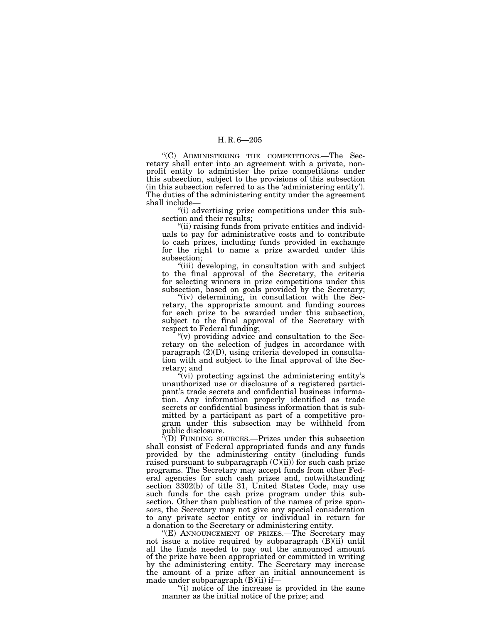''(C) ADMINISTERING THE COMPETITIONS.—The Secretary shall enter into an agreement with a private, nonprofit entity to administer the prize competitions under this subsection, subject to the provisions of this subsection (in this subsection referred to as the 'administering entity'). The duties of the administering entity under the agreement shall include—

''(i) advertising prize competitions under this subsection and their results;

''(ii) raising funds from private entities and individuals to pay for administrative costs and to contribute to cash prizes, including funds provided in exchange for the right to name a prize awarded under this subsection;

"(iii) developing, in consultation with and subject to the final approval of the Secretary, the criteria for selecting winners in prize competitions under this subsection, based on goals provided by the Secretary;

"(iv) determining, in consultation with the Secretary, the appropriate amount and funding sources for each prize to be awarded under this subsection, subject to the final approval of the Secretary with respect to Federal funding;

"(v) providing advice and consultation to the Secretary on the selection of judges in accordance with paragraph (2)(D), using criteria developed in consultation with and subject to the final approval of the Secretary; and

"(vi) protecting against the administering entity's unauthorized use or disclosure of a registered participant's trade secrets and confidential business information. Any information properly identified as trade secrets or confidential business information that is submitted by a participant as part of a competitive program under this subsection may be withheld from public disclosure.

 $\sqrt[\text{m}]{(D)}$  FUNDING SOURCES.—Prizes under this subsection shall consist of Federal appropriated funds and any funds provided by the administering entity (including funds raised pursuant to subparagraph  $(C)(ii)$  for such cash prize programs. The Secretary may accept funds from other Federal agencies for such cash prizes and, notwithstanding section 3302(b) of title 31, United States Code, may use such funds for the cash prize program under this subsection. Other than publication of the names of prize sponsors, the Secretary may not give any special consideration to any private sector entity or individual in return for a donation to the Secretary or administering entity.

''(E) ANNOUNCEMENT OF PRIZES.—The Secretary may not issue a notice required by subparagraph (B)(ii) until all the funds needed to pay out the announced amount of the prize have been appropriated or committed in writing by the administering entity. The Secretary may increase the amount of a prize after an initial announcement is made under subparagraph (B)(ii) if—

"(i) notice of the increase is provided in the same manner as the initial notice of the prize; and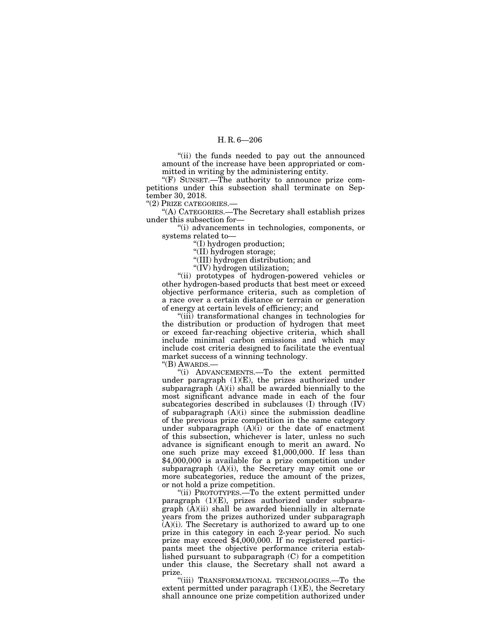''(ii) the funds needed to pay out the announced amount of the increase have been appropriated or committed in writing by the administering entity.

" $(F)$  SUNSET.—The authority to announce prize competitions under this subsection shall terminate on September 30, 2018.

''(2) PRIZE CATEGORIES.—

''(A) CATEGORIES.—The Secretary shall establish prizes under this subsection for—

''(i) advancements in technologies, components, or systems related to—

''(I) hydrogen production;

"(II) hydrogen storage;

''(III) hydrogen distribution; and

''(IV) hydrogen utilization;

''(ii) prototypes of hydrogen-powered vehicles or other hydrogen-based products that best meet or exceed objective performance criteria, such as completion of a race over a certain distance or terrain or generation of energy at certain levels of efficiency; and

''(iii) transformational changes in technologies for the distribution or production of hydrogen that meet or exceed far-reaching objective criteria, which shall include minimal carbon emissions and which may include cost criteria designed to facilitate the eventual market success of a winning technology.

''(B) AWARDS.—

''(i) ADVANCEMENTS.—To the extent permitted under paragraph  $(1)(E)$ , the prizes authorized under subparagraph  $(A)(i)$  shall be awarded biennially to the most significant advance made in each of the four subcategories described in subclauses (I) through (IV) of subparagraph  $(A)(i)$  since the submission deadline of the previous prize competition in the same category under subparagraph  $(A)(i)$  or the date of enactment of this subsection, whichever is later, unless no such advance is significant enough to merit an award. No one such prize may exceed \$1,000,000. If less than \$4,000,000 is available for a prize competition under subparagraph  $(A)(i)$ , the Secretary may omit one or more subcategories, reduce the amount of the prizes, or not hold a prize competition.

"(ii) PROTOTYPES.—To the extent permitted under paragraph (1)(E), prizes authorized under subparagraph (A)(ii) shall be awarded biennially in alternate years from the prizes authorized under subparagraph (A)(i). The Secretary is authorized to award up to one prize in this category in each 2-year period. No such prize may exceed \$4,000,000. If no registered participants meet the objective performance criteria established pursuant to subparagraph (C) for a competition under this clause, the Secretary shall not award a prize.

"(iii) TRANSFORMATIONAL TECHNOLOGIES.—To the extent permitted under paragraph (1)(E), the Secretary shall announce one prize competition authorized under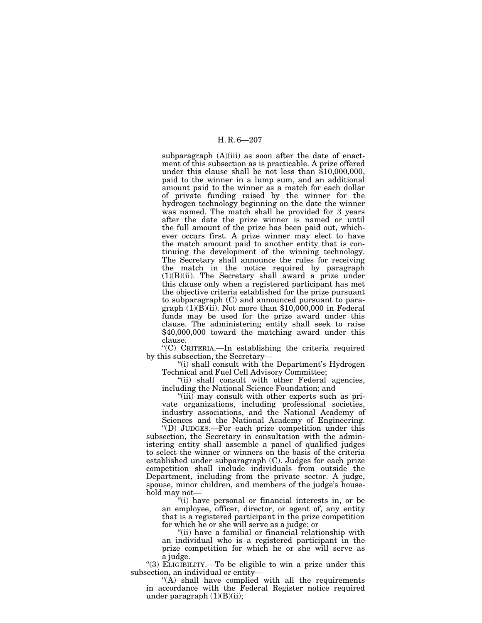subparagraph (A)(iii) as soon after the date of enactment of this subsection as is practicable. A prize offered under this clause shall be not less than \$10,000,000, paid to the winner in a lump sum, and an additional amount paid to the winner as a match for each dollar of private funding raised by the winner for the hydrogen technology beginning on the date the winner was named. The match shall be provided for 3 years after the date the prize winner is named or until the full amount of the prize has been paid out, whichever occurs first. A prize winner may elect to have the match amount paid to another entity that is continuing the development of the winning technology. The Secretary shall announce the rules for receiving the match in the notice required by paragraph (1)(B)(ii). The Secretary shall award a prize under this clause only when a registered participant has met the objective criteria established for the prize pursuant to subparagraph (C) and announced pursuant to paragraph  $(1)(\overline{B})$ (ii). Not more than \$10,000,000 in Federal funds may be used for the prize award under this clause. The administering entity shall seek to raise \$40,000,000 toward the matching award under this clause.

''(C) CRITERIA.—In establishing the criteria required by this subsection, the Secretary—

''(i) shall consult with the Department's Hydrogen Technical and Fuel Cell Advisory Committee;

"(ii) shall consult with other Federal agencies, including the National Science Foundation; and

''(iii) may consult with other experts such as private organizations, including professional societies, industry associations, and the National Academy of Sciences and the National Academy of Engineering.

''(D) JUDGES.—For each prize competition under this subsection, the Secretary in consultation with the administering entity shall assemble a panel of qualified judges to select the winner or winners on the basis of the criteria established under subparagraph (C). Judges for each prize competition shall include individuals from outside the Department, including from the private sector. A judge, spouse, minor children, and members of the judge's household may not—

''(i) have personal or financial interests in, or be an employee, officer, director, or agent of, any entity that is a registered participant in the prize competition for which he or she will serve as a judge; or

"(ii) have a familial or financial relationship with an individual who is a registered participant in the prize competition for which he or she will serve as a judge.

"(3) ELIGIBILITY.—To be eligible to win a prize under this subsection, an individual or entity—

" $(A)$  shall have complied with all the requirements in accordance with the Federal Register notice required under paragraph (1)(B)(ii);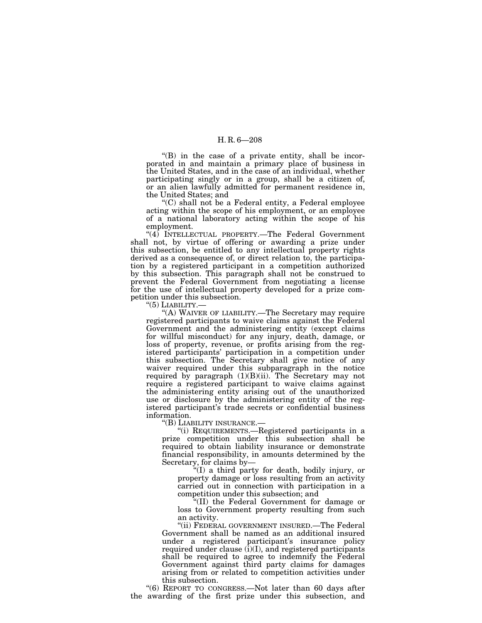$H(B)$  in the case of a private entity, shall be incorporated in and maintain a primary place of business in the United States, and in the case of an individual, whether participating singly or in a group, shall be a citizen of, or an alien lawfully admitted for permanent residence in, the United States; and

''(C) shall not be a Federal entity, a Federal employee acting within the scope of his employment, or an employee of a national laboratory acting within the scope of his employment.

"(4) INTELLECTUAL PROPERTY.—The Federal Government shall not, by virtue of offering or awarding a prize under this subsection, be entitled to any intellectual property rights derived as a consequence of, or direct relation to, the participation by a registered participant in a competition authorized by this subsection. This paragraph shall not be construed to prevent the Federal Government from negotiating a license for the use of intellectual property developed for a prize competition under this subsection.

''(5) LIABILITY.— ''(A) WAIVER OF LIABILITY.—The Secretary may require registered participants to waive claims against the Federal Government and the administering entity (except claims for willful misconduct) for any injury, death, damage, or loss of property, revenue, or profits arising from the registered participants' participation in a competition under this subsection. The Secretary shall give notice of any waiver required under this subparagraph in the notice required by paragraph  $(1)(B)(ii)$ . The Secretary may not require a registered participant to waive claims against the administering entity arising out of the unauthorized use or disclosure by the administering entity of the registered participant's trade secrets or confidential business information.<br>"(B) LIABILITY INSURANCE.-

'(i) REQUIREMENTS.— Registered participants in a prize competition under this subsection shall be required to obtain liability insurance or demonstrate financial responsibility, in amounts determined by the Secretary, for claims by—

''(I) a third party for death, bodily injury, or property damage or loss resulting from an activity carried out in connection with participation in a competition under this subsection; and

''(II) the Federal Government for damage or loss to Government property resulting from such an activity.

''(ii) FEDERAL GOVERNMENT INSURED.—The Federal Government shall be named as an additional insured under a registered participant's insurance policy required under clause  $(i)(I)$ , and registered participants shall be required to agree to indemnify the Federal Government against third party claims for damages arising from or related to competition activities under this subsection.

"(6) REPORT TO CONGRESS.—Not later than 60 days after the awarding of the first prize under this subsection, and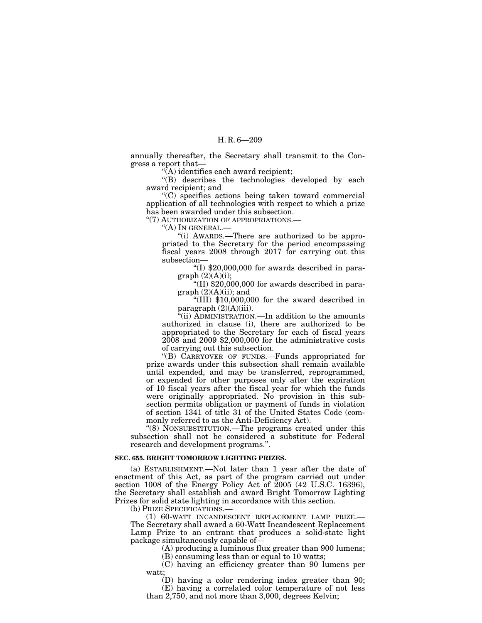annually thereafter, the Secretary shall transmit to the Congress a report that—

''(A) identifies each award recipient;

''(B) describes the technologies developed by each award recipient; and

''(C) specifies actions being taken toward commercial application of all technologies with respect to which a prize has been awarded under this subsection.

"(7) AUTHORIZATION OF APPROPRIATIONS.-

''(A) IN GENERAL.—

''(i) AWARDS.—There are authorized to be appropriated to the Secretary for the period encompassing fiscal years 2008 through 2017 for carrying out this subsection—

"(I)  $$20,000,000$  for awards described in paragraph  $(2)(A)(i)$ ;

''(II) \$20,000,000 for awards described in paragraph  $(2)(A)(ii)$ ; and

''(III) \$10,000,000 for the award described in paragraph (2)(A)(iii).

(ii) ADMINISTRATION.—In addition to the amounts authorized in clause (i), there are authorized to be appropriated to the Secretary for each of fiscal years 2008 and 2009 \$2,000,000 for the administrative costs of carrying out this subsection.

''(B) CARRYOVER OF FUNDS.—Funds appropriated for prize awards under this subsection shall remain available until expended, and may be transferred, reprogrammed, or expended for other purposes only after the expiration of 10 fiscal years after the fiscal year for which the funds were originally appropriated. No provision in this subsection permits obligation or payment of funds in violation of section 1341 of title 31 of the United States Code (commonly referred to as the Anti-Deficiency Act).

"(8) NONSUBSTITUTION.—The programs created under this subsection shall not be considered a substitute for Federal research and development programs.''.

### **SEC. 655. BRIGHT TOMORROW LIGHTING PRIZES.**

(a) ESTABLISHMENT.—Not later than 1 year after the date of enactment of this Act, as part of the program carried out under section 1008 of the Energy Policy Act of 2005 (42 U.S.C. 16396), the Secretary shall establish and award Bright Tomorrow Lighting Prizes for solid state lighting in accordance with this section.

(b) PRIZE SPECIFICATIONS.—

(1) 60-WATT INCANDESCENT REPLACEMENT LAMP PRIZE.— The Secretary shall award a 60-Watt Incandescent Replacement Lamp Prize to an entrant that produces a solid-state light package simultaneously capable of—

(A) producing a luminous flux greater than 900 lumens;

(B) consuming less than or equal to 10 watts;

(C) having an efficiency greater than 90 lumens per watt;

(D) having a color rendering index greater than 90; (E) having a correlated color temperature of not less than 2,750, and not more than 3,000, degrees Kelvin;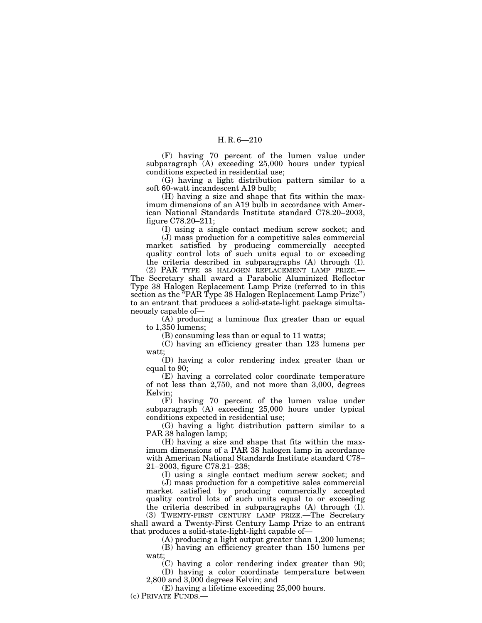(F) having 70 percent of the lumen value under subparagraph (A) exceeding 25,000 hours under typical conditions expected in residential use;

(G) having a light distribution pattern similar to a soft 60-watt incandescent A19 bulb;

(H) having a size and shape that fits within the maximum dimensions of an A19 bulb in accordance with American National Standards Institute standard C78.20–2003, figure C78.20–211;

(I) using a single contact medium screw socket; and

(J) mass production for a competitive sales commercial market satisfied by producing commercially accepted quality control lots of such units equal to or exceeding the criteria described in subparagraphs (A) through (I).

(2) PAR TYPE 38 HALOGEN REPLACEMENT LAMP PRIZE.— The Secretary shall award a Parabolic Aluminized Reflector Type 38 Halogen Replacement Lamp Prize (referred to in this section as the "PAR Type 38 Halogen Replacement Lamp Prize") to an entrant that produces a solid-state-light package simultaneously capable of—

(A) producing a luminous flux greater than or equal to 1,350 lumens;

(B) consuming less than or equal to 11 watts;

(C) having an efficiency greater than 123 lumens per watt;

(D) having a color rendering index greater than or equal to 90;

(E) having a correlated color coordinate temperature of not less than 2,750, and not more than 3,000, degrees Kelvin;

(F) having 70 percent of the lumen value under subparagraph (A) exceeding 25,000 hours under typical conditions expected in residential use;

(G) having a light distribution pattern similar to a PAR 38 halogen lamp;

(H) having a size and shape that fits within the maximum dimensions of a PAR 38 halogen lamp in accordance with American National Standards Institute standard C78– 21–2003, figure C78.21–238;

(I) using a single contact medium screw socket; and (J) mass production for a competitive sales commercial

market satisfied by producing commercially accepted quality control lots of such units equal to or exceeding the criteria described in subparagraphs (A) through (I).

(3) TWENTY-FIRST CENTURY LAMP PRIZE.—The Secretary shall award a Twenty-First Century Lamp Prize to an entrant that produces a solid-state-light-light capable of—

(A) producing a light output greater than 1,200 lumens;

(B) having an efficiency greater than 150 lumens per watt;

(C) having a color rendering index greater than 90; (D) having a color coordinate temperature between

2,800 and 3,000 degrees Kelvin; and

(E) having a lifetime exceeding 25,000 hours. (c) PRIVATE FUNDS.—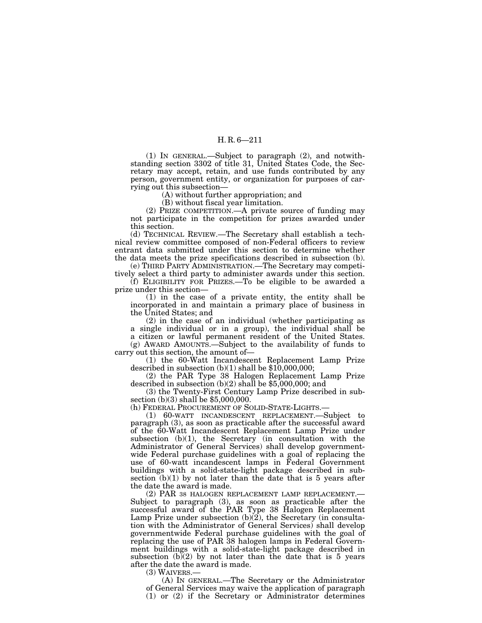(1) IN GENERAL.—Subject to paragraph (2), and notwithstanding section 3302 of title 31, United States Code, the Secretary may accept, retain, and use funds contributed by any person, government entity, or organization for purposes of carrying out this subsection—

(A) without further appropriation; and

(B) without fiscal year limitation.

(2) PRIZE COMPETITION.—A private source of funding may not participate in the competition for prizes awarded under this section.

(d) TECHNICAL REVIEW.—The Secretary shall establish a technical review committee composed of non-Federal officers to review entrant data submitted under this section to determine whether the data meets the prize specifications described in subsection (b).

(e) THIRD PARTY ADMINISTRATION.—The Secretary may competitively select a third party to administer awards under this section.

(f) ELIGIBILITY FOR PRIZES.—To be eligible to be awarded a prize under this section—

(1) in the case of a private entity, the entity shall be incorporated in and maintain a primary place of business in the United States; and

(2) in the case of an individual (whether participating as a single individual or in a group), the individual shall be a citizen or lawful permanent resident of the United States.

(g) AWARD AMOUNTS.—Subject to the availability of funds to carry out this section, the amount of—<br>(1) the 60-Watt Incandescent Replacement Lamp Prize

described in subsection  $(b)(1)$  shall be  $$10,000,000;$ 

(2) the PAR Type 38 Halogen Replacement Lamp Prize described in subsection (b)(2) shall be \$5,000,000; and

(3) the Twenty-First Century Lamp Prize described in subsection (b)(3) shall be \$5,000,000.

(h) FEDERAL PROCUREMENT OF SOLID-STATE-LIGHTS.—

(1) 60-WATT INCANDESCENT REPLACEMENT.—Subject to paragraph (3), as soon as practicable after the successful award of the 60-Watt Incandescent Replacement Lamp Prize under subsection  $(b)(1)$ , the Secretary (in consultation with the Administrator of General Services) shall develop governmentwide Federal purchase guidelines with a goal of replacing the use of 60-watt incandescent lamps in Federal Government buildings with a solid-state-light package described in subsection  $(b)(1)$  by not later than the date that is 5 years after the date the award is made.

(2) PAR 38 HALOGEN REPLACEMENT LAMP REPLACEMENT.— Subject to paragraph (3), as soon as practicable after the successful award of the PAR Type 38 Halogen Replacement Lamp Prize under subsection  $(b)(2)$ , the Secretary (in consultation with the Administrator of General Services) shall develop governmentwide Federal purchase guidelines with the goal of replacing the use of PAR 38 halogen lamps in Federal Government buildings with a solid-state-light package described in subsection  $(b)(2)$  by not later than the date that is 5 years after the date the award is made.<br>(3) WAIVERS.—

 $(A)$  In GENERAL.—The Secretary or the Administrator of General Services may waive the application of paragraph (1) or (2) if the Secretary or Administrator determines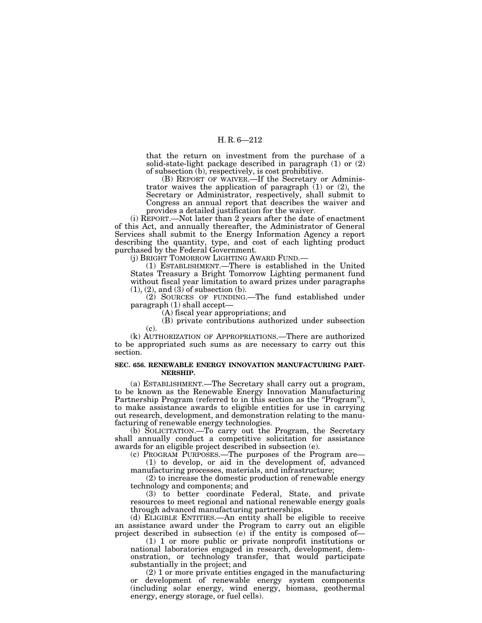that the return on investment from the purchase of a solid-state-light package described in paragraph (1) or (2) of subsection (b), respectively, is cost prohibitive.

(B) REPORT OF WAIVER.—If the Secretary or Administrator waives the application of paragraph  $(1)$  or  $(2)$ , the Secretary or Administrator, respectively, shall submit to Congress an annual report that describes the waiver and provides a detailed justification for the waiver.

(i) REPORT.—Not later than 2 years after the date of enactment of this Act, and annually thereafter, the Administrator of General Services shall submit to the Energy Information Agency a report describing the quantity, type, and cost of each lighting product purchased by the Federal Government.

(j) BRIGHT TOMORROW LIGHTING AWARD FUND.—

(1) ESTABLISHMENT.—There is established in the United States Treasury a Bright Tomorrow Lighting permanent fund without fiscal year limitation to award prizes under paragraphs  $(1), (2),$  and  $(3)$  of subsection  $(b)$ .

(2) SOURCES OF FUNDING.—The fund established under paragraph (1) shall accept—

(A) fiscal year appropriations; and

(B) private contributions authorized under subsection (c).

(k) AUTHORIZATION OF APPROPRIATIONS.—There are authorized to be appropriated such sums as are necessary to carry out this section.

#### **SEC. 656. RENEWABLE ENERGY INNOVATION MANUFACTURING PART-NERSHIP.**

(a) ESTABLISHMENT.—The Secretary shall carry out a program, to be known as the Renewable Energy Innovation Manufacturing Partnership Program (referred to in this section as the "Program"), to make assistance awards to eligible entities for use in carrying out research, development, and demonstration relating to the manufacturing of renewable energy technologies.

(b) SOLICITATION.—To carry out the Program, the Secretary shall annually conduct a competitive solicitation for assistance awards for an eligible project described in subsection (e).

(c) PROGRAM PURPOSES.—The purposes of the Program are— (1) to develop, or aid in the development of, advanced

manufacturing processes, materials, and infrastructure;

(2) to increase the domestic production of renewable energy technology and components; and

(3) to better coordinate Federal, State, and private resources to meet regional and national renewable energy goals through advanced manufacturing partnerships.

(d) ELIGIBLE ENTITIES.—An entity shall be eligible to receive an assistance award under the Program to carry out an eligible project described in subsection (e) if the entity is composed of—

(1) 1 or more public or private nonprofit institutions or national laboratories engaged in research, development, demonstration, or technology transfer, that would participate substantially in the project; and

(2) 1 or more private entities engaged in the manufacturing or development of renewable energy system components (including solar energy, wind energy, biomass, geothermal energy, energy storage, or fuel cells).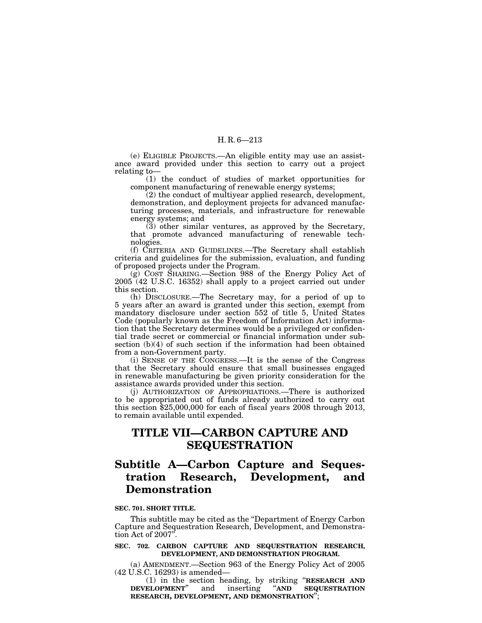(e) ELIGIBLE PROJECTS.—An eligible entity may use an assistance award provided under this section to carry out a project relating to—

(1) the conduct of studies of market opportunities for component manufacturing of renewable energy systems;

(2) the conduct of multiyear applied research, development, demonstration, and deployment projects for advanced manufacturing processes, materials, and infrastructure for renewable energy systems; and

(3) other similar ventures, as approved by the Secretary, that promote advanced manufacturing of renewable technologies.

(f) CRITERIA AND GUIDELINES.—The Secretary shall establish criteria and guidelines for the submission, evaluation, and funding of proposed projects under the Program.

(g) COST SHARING.—Section 988 of the Energy Policy Act of 2005 (42 U.S.C. 16352) shall apply to a project carried out under this section.

(h) DISCLOSURE.—The Secretary may, for a period of up to 5 years after an award is granted under this section, exempt from mandatory disclosure under section 552 of title 5, United States Code (popularly known as the Freedom of Information Act) information that the Secretary determines would be a privileged or confidential trade secret or commercial or financial information under subsection (b)(4) of such section if the information had been obtained from a non-Government party.

(i) SENSE OF THE CONGRESS.—It is the sense of the Congress that the Secretary should ensure that small businesses engaged in renewable manufacturing be given priority consideration for the assistance awards provided under this section.

(j) AUTHORIZATION OF APPROPRIATIONS.—There is authorized to be appropriated out of funds already authorized to carry out this section \$25,000,000 for each of fiscal years 2008 through 2013, to remain available until expended.

# **TITLE VII—CARBON CAPTURE AND SEQUESTRATION**

# **Subtitle A—Carbon Capture and Sequestration Research, Development, and Demonstration**

#### **SEC. 701. SHORT TITLE.**

This subtitle may be cited as the "Department of Energy Carbon" Capture and Sequestration Research, Development, and Demonstration Act of 2007"

## **SEC. 702. CARBON CAPTURE AND SEQUESTRATION RESEARCH, DEVELOPMENT, AND DEMONSTRATION PROGRAM.**

(a) AMENDMENT.—Section 963 of the Energy Policy Act of 2005 (42 U.S.C. 16293) is amended—

(1) in the section heading, by striking "**RESEARCH AND**<br>DEVELOPMENT" and inserting "AND SEQUESTRATION and inserting "AND SEQUESTRATION **RESEARCH, DEVELOPMENT, AND DEMONSTRATION**'';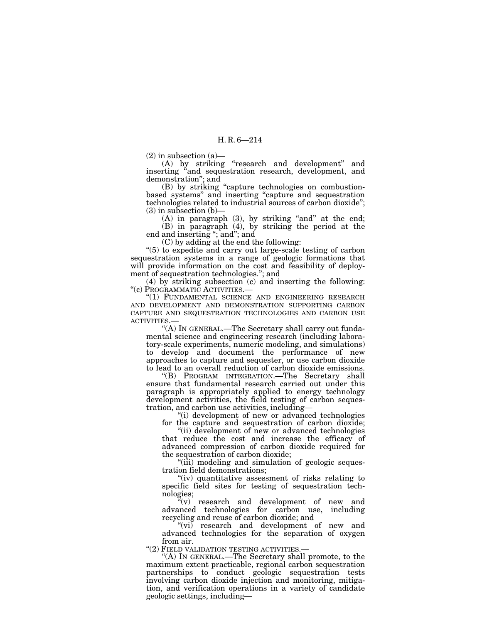$(2)$  in subsection  $(a)$ —

(A) by striking "research and development" and inserting "and sequestration research, development, and demonstration''; and

(B) by striking ''capture technologies on combustionbased systems'' and inserting ''capture and sequestration technologies related to industrial sources of carbon dioxide'';  $(3)$  in subsection  $(b)$ —

 $(A)$  in paragraph  $(3)$ , by striking "and" at the end; (B) in paragraph (4), by striking the period at the end and inserting ''; and''; and

(C) by adding at the end the following:

"(5) to expedite and carry out large-scale testing of carbon sequestration systems in a range of geologic formations that will provide information on the cost and feasibility of deployment of sequestration technologies.''; and

(4) by striking subsection (c) and inserting the following: ''(c) PROGRAMMATIC ACTIVITIES.—

''(1) FUNDAMENTAL SCIENCE AND ENGINEERING RESEARCH AND DEVELOPMENT AND DEMONSTRATION SUPPORTING CARBON CAPTURE AND SEQUESTRATION TECHNOLOGIES AND CARBON USE ACTIVITIES.—

''(A) IN GENERAL.—The Secretary shall carry out fundamental science and engineering research (including laboratory-scale experiments, numeric modeling, and simulations) to develop and document the performance of new approaches to capture and sequester, or use carbon dioxide to lead to an overall reduction of carbon dioxide emissions.

''(B) PROGRAM INTEGRATION.—The Secretary shall ensure that fundamental research carried out under this paragraph is appropriately applied to energy technology development activities, the field testing of carbon sequestration, and carbon use activities, including—

''(i) development of new or advanced technologies for the capture and sequestration of carbon dioxide;

''(ii) development of new or advanced technologies that reduce the cost and increase the efficacy of advanced compression of carbon dioxide required for the sequestration of carbon dioxide;

"(iii) modeling and simulation of geologic sequestration field demonstrations;

"(iv) quantitative assessment of risks relating to specific field sites for testing of sequestration technologies;

''(v) research and development of new and advanced technologies for carbon use, including recycling and reuse of carbon dioxide; and

"(vi) research and development of new and advanced technologies for the separation of oxygen from air.

"(2) FIELD VALIDATION TESTING ACTIVITIES.-

''(A) IN GENERAL.—The Secretary shall promote, to the maximum extent practicable, regional carbon sequestration partnerships to conduct geologic sequestration tests involving carbon dioxide injection and monitoring, mitigation, and verification operations in a variety of candidate geologic settings, including—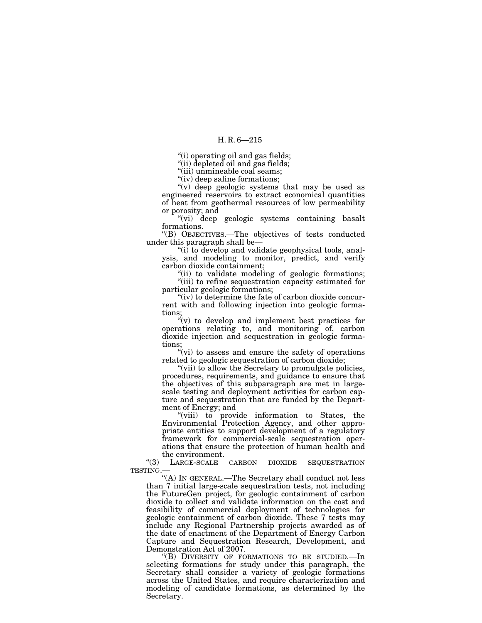''(i) operating oil and gas fields;

"(ii) depleted oil and gas fields;

"(iii) unmineable coal seams;

"(iv) deep saline formations;

"(v) deep geologic systems that may be used as engineered reservoirs to extract economical quantities of heat from geothermal resources of low permeability or porosity; and

"(vi) deep geologic systems containing basalt formations.

''(B) OBJECTIVES.—The objectives of tests conducted under this paragraph shall be—

" $(i)$  to develop and validate geophysical tools, analysis, and modeling to monitor, predict, and verify carbon dioxide containment;

"(ii) to validate modeling of geologic formations;

''(iii) to refine sequestration capacity estimated for particular geologic formations;

" $(iv)$  to determine the fate of carbon dioxide concurrent with and following injection into geologic formations;

 $\mathcal{H}(v)$  to develop and implement best practices for operations relating to, and monitoring of, carbon dioxide injection and sequestration in geologic formations;

" $(vi)$  to assess and ensure the safety of operations" related to geologic sequestration of carbon dioxide;

"(vii) to allow the Secretary to promulgate policies, procedures, requirements, and guidance to ensure that the objectives of this subparagraph are met in largescale testing and deployment activities for carbon capture and sequestration that are funded by the Department of Energy; and

''(viii) to provide information to States, the Environmental Protection Agency, and other appropriate entities to support development of a regulatory framework for commercial-scale sequestration operations that ensure the protection of human health and the environment.<br>LARGE-SCALE

''(3) LARGE-SCALE CARBON DIOXIDE SEQUESTRATION TESTING.—

''(A) IN GENERAL.—The Secretary shall conduct not less than 7 initial large-scale sequestration tests, not including the FutureGen project, for geologic containment of carbon dioxide to collect and validate information on the cost and feasibility of commercial deployment of technologies for geologic containment of carbon dioxide. These 7 tests may include any Regional Partnership projects awarded as of the date of enactment of the Department of Energy Carbon Capture and Sequestration Research, Development, and Demonstration Act of 2007.

''(B) DIVERSITY OF FORMATIONS TO BE STUDIED.—In selecting formations for study under this paragraph, the Secretary shall consider a variety of geologic formations across the United States, and require characterization and modeling of candidate formations, as determined by the Secretary.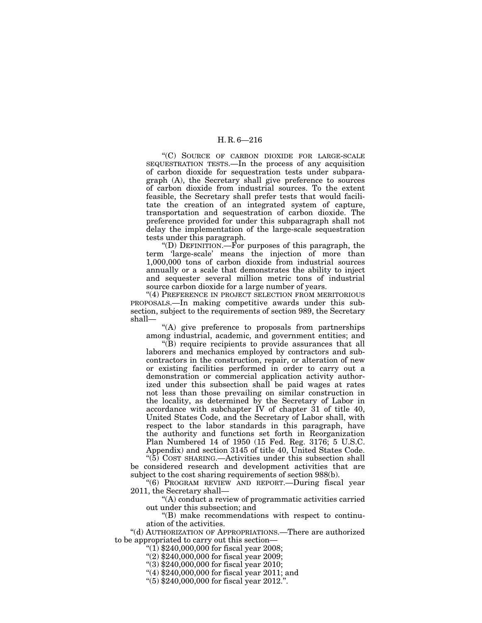''(C) SOURCE OF CARBON DIOXIDE FOR LARGE-SCALE SEQUESTRATION TESTS.—In the process of any acquisition of carbon dioxide for sequestration tests under subparagraph (A), the Secretary shall give preference to sources of carbon dioxide from industrial sources. To the extent feasible, the Secretary shall prefer tests that would facilitate the creation of an integrated system of capture, transportation and sequestration of carbon dioxide. The preference provided for under this subparagraph shall not delay the implementation of the large-scale sequestration tests under this paragraph.

''(D) DEFINITION.—For purposes of this paragraph, the term 'large-scale' means the injection of more than 1,000,000 tons of carbon dioxide from industrial sources annually or a scale that demonstrates the ability to inject and sequester several million metric tons of industrial source carbon dioxide for a large number of years.

''(4) PREFERENCE IN PROJECT SELECTION FROM MERITORIOUS PROPOSALS.—In making competitive awards under this subsection, subject to the requirements of section 989, the Secretary shall—

''(A) give preference to proposals from partnerships among industrial, academic, and government entities; and

''(B) require recipients to provide assurances that all laborers and mechanics employed by contractors and subcontractors in the construction, repair, or alteration of new or existing facilities performed in order to carry out a demonstration or commercial application activity authorized under this subsection shall be paid wages at rates not less than those prevailing on similar construction in the locality, as determined by the Secretary of Labor in accordance with subchapter IV of chapter 31 of title 40, United States Code, and the Secretary of Labor shall, with respect to the labor standards in this paragraph, have the authority and functions set forth in Reorganization Plan Numbered 14 of 1950 (15 Fed. Reg. 3176; 5 U.S.C. Appendix) and section 3145 of title 40, United States Code.

" $(\overline{5})$  COST SHARING.—Activities under this subsection shall be considered research and development activities that are subject to the cost sharing requirements of section 988(b).

''(6) PROGRAM REVIEW AND REPORT.—During fiscal year 2011, the Secretary shall—

''(A) conduct a review of programmatic activities carried out under this subsection; and

 $f(B)$  make recommendations with respect to continuation of the activities.

''(d) AUTHORIZATION OF APPROPRIATIONS.—There are authorized to be appropriated to carry out this section—

"(1)  $$240,000,000$  for fiscal year 2008;

''(2) \$240,000,000 for fiscal year 2009;

''(3) \$240,000,000 for fiscal year 2010;

 $*(4)$  \$240,000,000 for fiscal year 2011; and

''(5) \$240,000,000 for fiscal year 2012.''.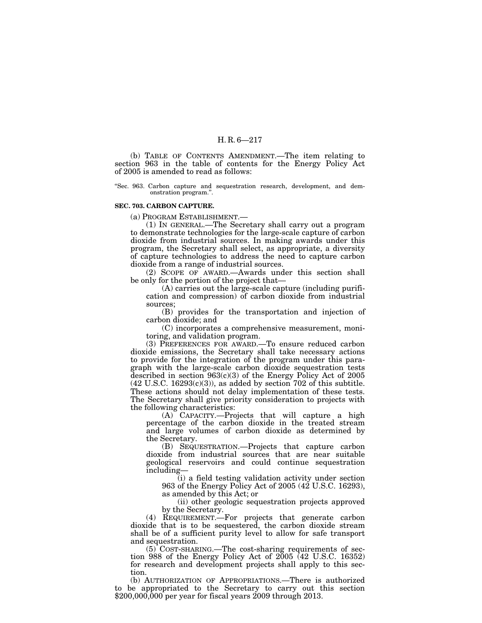(b) TABLE OF CONTENTS AMENDMENT.—The item relating to section 963 in the table of contents for the Energy Policy Act of 2005 is amended to read as follows:

''Sec. 963. Carbon capture and sequestration research, development, and demonstration program.''.

### **SEC. 703. CARBON CAPTURE.**

(a) PROGRAM ESTABLISHMENT.—

(1) IN GENERAL.—The Secretary shall carry out a program to demonstrate technologies for the large-scale capture of carbon dioxide from industrial sources. In making awards under this program, the Secretary shall select, as appropriate, a diversity of capture technologies to address the need to capture carbon dioxide from a range of industrial sources.

(2) SCOPE OF AWARD.—Awards under this section shall be only for the portion of the project that—

(A) carries out the large-scale capture (including purification and compression) of carbon dioxide from industrial sources;

(B) provides for the transportation and injection of carbon dioxide; and

(C) incorporates a comprehensive measurement, monitoring, and validation program.

(3) PREFERENCES FOR AWARD.—To ensure reduced carbon dioxide emissions, the Secretary shall take necessary actions to provide for the integration of the program under this paragraph with the large-scale carbon dioxide sequestration tests described in section  $963(c)(3)$  of the Energy Policy Act of 2005  $(42 \text{ U.S.C. } 16293(c)(3))$ , as added by section 702 of this subtitle. These actions should not delay implementation of these tests. The Secretary shall give priority consideration to projects with the following characteristics:

(A) CAPACITY.—Projects that will capture a high percentage of the carbon dioxide in the treated stream and large volumes of carbon dioxide as determined by the Secretary.

(B) SEQUESTRATION.—Projects that capture carbon dioxide from industrial sources that are near suitable geological reservoirs and could continue sequestration including—

(i) a field testing validation activity under section 963 of the Energy Policy Act of 2005 (42 U.S.C. 16293), as amended by this Act; or

(ii) other geologic sequestration projects approved by the Secretary.

(4) REQUIREMENT.—For projects that generate carbon dioxide that is to be sequestered, the carbon dioxide stream shall be of a sufficient purity level to allow for safe transport and sequestration.

(5) COST-SHARING.—The cost-sharing requirements of section 988 of the Energy Policy Act of 2005 (42 U.S.C. 16352) for research and development projects shall apply to this section.

(b) AUTHORIZATION OF APPROPRIATIONS.—There is authorized to be appropriated to the Secretary to carry out this section  $$200,000,000$  per year for fiscal years  $2009$  through 2013.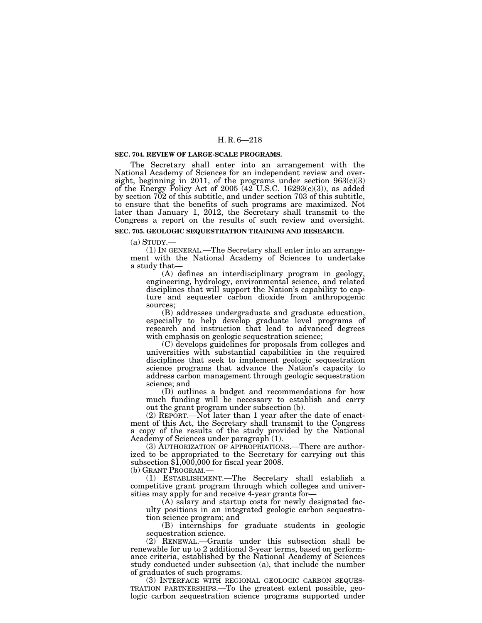### **SEC. 704. REVIEW OF LARGE-SCALE PROGRAMS.**

The Secretary shall enter into an arrangement with the National Academy of Sciences for an independent review and oversight, beginning in 2011, of the programs under section 963(c)(3) of the Energy Policy Act of 2005  $(42^{\circ}$ U.S.C. 16293 $(c)(3)$ ), as added by section 702 of this subtitle, and under section 703 of this subtitle, to ensure that the benefits of such programs are maximized. Not later than January 1, 2012, the Secretary shall transmit to the Congress a report on the results of such review and oversight.

### **SEC. 705. GEOLOGIC SEQUESTRATION TRAINING AND RESEARCH.**

 $(a)$  STUDY.—

(1) IN GENERAL.—The Secretary shall enter into an arrangement with the National Academy of Sciences to undertake a study that—

(A) defines an interdisciplinary program in geology, engineering, hydrology, environmental science, and related disciplines that will support the Nation's capability to capture and sequester carbon dioxide from anthropogenic sources;

(B) addresses undergraduate and graduate education, especially to help develop graduate level programs of research and instruction that lead to advanced degrees with emphasis on geologic sequestration science;

(C) develops guidelines for proposals from colleges and universities with substantial capabilities in the required disciplines that seek to implement geologic sequestration science programs that advance the Nation's capacity to address carbon management through geologic sequestration science; and

(D) outlines a budget and recommendations for how much funding will be necessary to establish and carry out the grant program under subsection (b).

(2) REPORT.—Not later than 1 year after the date of enactment of this Act, the Secretary shall transmit to the Congress a copy of the results of the study provided by the National Academy of Sciences under paragraph (1).

(3) AUTHORIZATION OF APPROPRIATIONS.—There are authorized to be appropriated to the Secretary for carrying out this subsection \$1,000,000 for fiscal year 2008.

(b) GRANT PROGRAM.—

(1) ESTABLISHMENT.—The Secretary shall establish a competitive grant program through which colleges and universities may apply for and receive 4-year grants for—

(A) salary and startup costs for newly designated faculty positions in an integrated geologic carbon sequestration science program; and

(B) internships for graduate students in geologic sequestration science.

(2) RENEWAL.—Grants under this subsection shall be renewable for up to 2 additional 3-year terms, based on performance criteria, established by the National Academy of Sciences study conducted under subsection (a), that include the number of graduates of such programs.

(3) INTERFACE WITH REGIONAL GEOLOGIC CARBON SEQUES-TRATION PARTNERSHIPS.—To the greatest extent possible, geologic carbon sequestration science programs supported under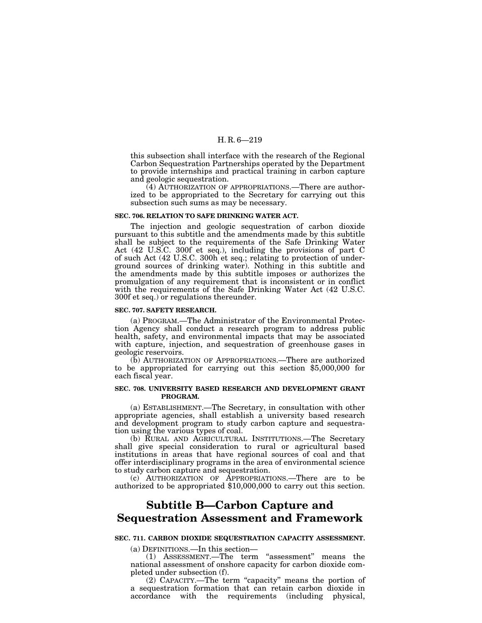this subsection shall interface with the research of the Regional Carbon Sequestration Partnerships operated by the Department to provide internships and practical training in carbon capture and geologic sequestration.

(4) AUTHORIZATION OF APPROPRIATIONS.—There are authorized to be appropriated to the Secretary for carrying out this subsection such sums as may be necessary.

### **SEC. 706. RELATION TO SAFE DRINKING WATER ACT.**

The injection and geologic sequestration of carbon dioxide pursuant to this subtitle and the amendments made by this subtitle shall be subject to the requirements of the Safe Drinking Water Act (42 U.S.C. 300f et seq.), including the provisions of part C of such Act (42 U.S.C. 300h et seq.; relating to protection of underground sources of drinking water). Nothing in this subtitle and the amendments made by this subtitle imposes or authorizes the promulgation of any requirement that is inconsistent or in conflict with the requirements of the Safe Drinking Water Act (42 U.S.C. 300f et seq.) or regulations thereunder.

### **SEC. 707. SAFETY RESEARCH.**

(a) PROGRAM.—The Administrator of the Environmental Protection Agency shall conduct a research program to address public health, safety, and environmental impacts that may be associated with capture, injection, and sequestration of greenhouse gases in geologic reservoirs.

(b) AUTHORIZATION OF APPROPRIATIONS.—There are authorized to be appropriated for carrying out this section \$5,000,000 for each fiscal year.

### **SEC. 708. UNIVERSITY BASED RESEARCH AND DEVELOPMENT GRANT PROGRAM.**

(a) ESTABLISHMENT.—The Secretary, in consultation with other appropriate agencies, shall establish a university based research and development program to study carbon capture and sequestration using the various types of coal.

(b) RURAL AND AGRICULTURAL INSTITUTIONS.—The Secretary shall give special consideration to rural or agricultural based institutions in areas that have regional sources of coal and that offer interdisciplinary programs in the area of environmental science to study carbon capture and sequestration.

(c) AUTHORIZATION OF APPROPRIATIONS.—There are to be authorized to be appropriated \$10,000,000 to carry out this section.

# **Subtitle B—Carbon Capture and Sequestration Assessment and Framework**

### **SEC. 711. CARBON DIOXIDE SEQUESTRATION CAPACITY ASSESSMENT.**

(a) DEFINITIONS.—In this section—

(1) ASSESSMENT.—The term "assessment" means the national assessment of onshore capacity for carbon dioxide completed under subsection (f).

(2) CAPACITY.—The term ''capacity'' means the portion of a sequestration formation that can retain carbon dioxide in accordance with the requirements (including physical,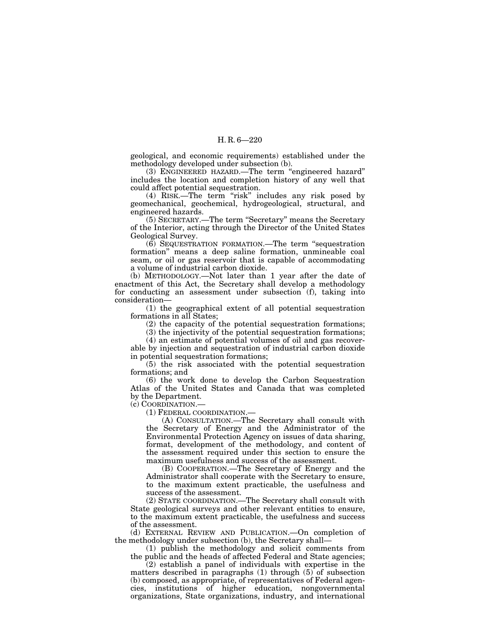geological, and economic requirements) established under the methodology developed under subsection (b).

(3) ENGINEERED HAZARD.—The term ''engineered hazard'' includes the location and completion history of any well that could affect potential sequestration.

(4) RISK.—The term "risk" includes any risk posed by geomechanical, geochemical, hydrogeological, structural, and engineered hazards.

(5) SECRETARY.—The term ''Secretary'' means the Secretary of the Interior, acting through the Director of the United States Geological Survey.

(6) SEQUESTRATION FORMATION.—The term ''sequestration formation'' means a deep saline formation, unmineable coal seam, or oil or gas reservoir that is capable of accommodating a volume of industrial carbon dioxide.

(b) METHODOLOGY.—Not later than 1 year after the date of enactment of this Act, the Secretary shall develop a methodology for conducting an assessment under subsection (f), taking into consideration—

(1) the geographical extent of all potential sequestration formations in all States;

(2) the capacity of the potential sequestration formations;

(3) the injectivity of the potential sequestration formations;

(4) an estimate of potential volumes of oil and gas recoverable by injection and sequestration of industrial carbon dioxide in potential sequestration formations;

(5) the risk associated with the potential sequestration formations; and

(6) the work done to develop the Carbon Sequestration Atlas of the United States and Canada that was completed by the Department.

(c) COORDINATION.—

(1) FEDERAL COORDINATION.—

(A) CONSULTATION.—The Secretary shall consult with the Secretary of Energy and the Administrator of the Environmental Protection Agency on issues of data sharing, format, development of the methodology, and content of the assessment required under this section to ensure the maximum usefulness and success of the assessment.

(B) COOPERATION.—The Secretary of Energy and the Administrator shall cooperate with the Secretary to ensure, to the maximum extent practicable, the usefulness and success of the assessment.

(2) STATE COORDINATION.—The Secretary shall consult with State geological surveys and other relevant entities to ensure, to the maximum extent practicable, the usefulness and success of the assessment.

(d) EXTERNAL REVIEW AND PUBLICATION.—On completion of the methodology under subsection (b), the Secretary shall—

(1) publish the methodology and solicit comments from the public and the heads of affected Federal and State agencies;

(2) establish a panel of individuals with expertise in the matters described in paragraphs (1) through (5) of subsection (b) composed, as appropriate, of representatives of Federal agencies, institutions of higher education, nongovernmental organizations, State organizations, industry, and international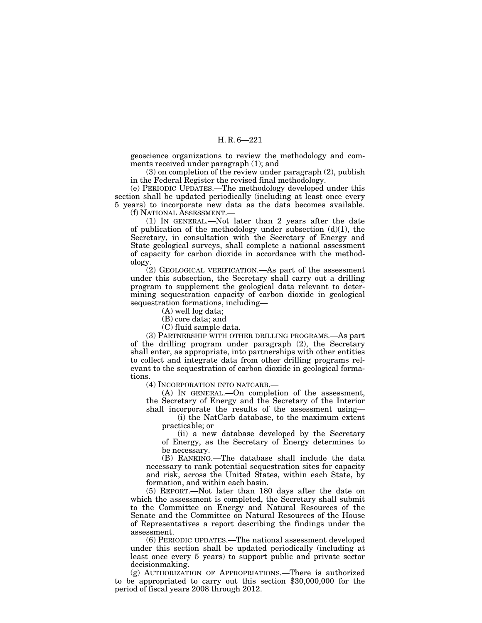geoscience organizations to review the methodology and comments received under paragraph (1); and

(3) on completion of the review under paragraph (2), publish in the Federal Register the revised final methodology.

(e) PERIODIC UPDATES.—The methodology developed under this section shall be updated periodically (including at least once every 5 years) to incorporate new data as the data becomes available. (f) NATIONAL ASSESSMENT.—

(1) IN GENERAL.—Not later than 2 years after the date

of publication of the methodology under subsection (d)(1), the Secretary, in consultation with the Secretary of Energy and State geological surveys, shall complete a national assessment of capacity for carbon dioxide in accordance with the methodology.

(2) GEOLOGICAL VERIFICATION.—As part of the assessment under this subsection, the Secretary shall carry out a drilling program to supplement the geological data relevant to determining sequestration capacity of carbon dioxide in geological sequestration formations, including—

(A) well log data;

(B) core data; and

(C) fluid sample data.

(3) PARTNERSHIP WITH OTHER DRILLING PROGRAMS.—As part of the drilling program under paragraph (2), the Secretary shall enter, as appropriate, into partnerships with other entities to collect and integrate data from other drilling programs relevant to the sequestration of carbon dioxide in geological formations.

(4) INCORPORATION INTO NATCARB.—

(A) IN GENERAL.—On completion of the assessment, the Secretary of Energy and the Secretary of the Interior shall incorporate the results of the assessment using—

(i) the NatCarb database, to the maximum extent practicable; or

(ii) a new database developed by the Secretary of Energy, as the Secretary of Energy determines to be necessary.

(B) RANKING.—The database shall include the data necessary to rank potential sequestration sites for capacity and risk, across the United States, within each State, by formation, and within each basin.

(5) REPORT.—Not later than 180 days after the date on which the assessment is completed, the Secretary shall submit to the Committee on Energy and Natural Resources of the Senate and the Committee on Natural Resources of the House of Representatives a report describing the findings under the assessment.

(6) PERIODIC UPDATES.—The national assessment developed under this section shall be updated periodically (including at least once every 5 years) to support public and private sector decisionmaking.

(g) AUTHORIZATION OF APPROPRIATIONS.—There is authorized to be appropriated to carry out this section \$30,000,000 for the period of fiscal years 2008 through 2012.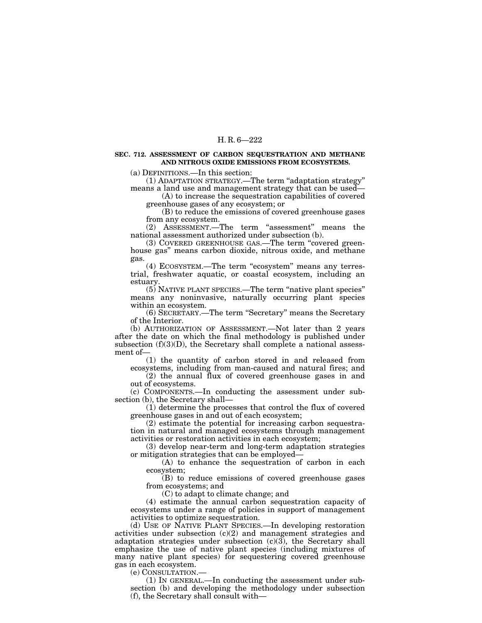### **SEC. 712. ASSESSMENT OF CARBON SEQUESTRATION AND METHANE AND NITROUS OXIDE EMISSIONS FROM ECOSYSTEMS.**

(a) DEFINITIONS.—In this section:

(1) ADAPTATION STRATEGY.—The term ''adaptation strategy'' means a land use and management strategy that can be used—

(A) to increase the sequestration capabilities of covered greenhouse gases of any ecosystem; or

(B) to reduce the emissions of covered greenhouse gases from any ecosystem.

(2) ASSESSMENT.—The term ''assessment'' means the national assessment authorized under subsection (b).

(3) COVERED GREENHOUSE GAS.—The term ''covered greenhouse gas'' means carbon dioxide, nitrous oxide, and methane gas.

(4) ECOSYSTEM.—The term "ecosystem" means any terrestrial, freshwater aquatic, or coastal ecosystem, including an estuary.

(5) NATIVE PLANT SPECIES.—The term ''native plant species'' means any noninvasive, naturally occurring plant species within an ecosystem.

(6) SECRETARY.—The term ''Secretary'' means the Secretary of the Interior.

(b) AUTHORIZATION OF ASSESSMENT.—Not later than 2 years after the date on which the final methodology is published under subsection  $(f)(3)(D)$ , the Secretary shall complete a national assessment of—

(1) the quantity of carbon stored in and released from ecosystems, including from man-caused and natural fires; and

(2) the annual flux of covered greenhouse gases in and out of ecosystems.

(c) COMPONENTS.—In conducting the assessment under subsection (b), the Secretary shall—

(1) determine the processes that control the flux of covered greenhouse gases in and out of each ecosystem;

(2) estimate the potential for increasing carbon sequestration in natural and managed ecosystems through management activities or restoration activities in each ecosystem;

(3) develop near-term and long-term adaptation strategies or mitigation strategies that can be employed—

(A) to enhance the sequestration of carbon in each ecosystem;

(B) to reduce emissions of covered greenhouse gases from ecosystems; and

(C) to adapt to climate change; and

(4) estimate the annual carbon sequestration capacity of ecosystems under a range of policies in support of management activities to optimize sequestration.

(d) USE OF NATIVE PLANT SPECIES.—In developing restoration activities under subsection  $(c)(2)$  and management strategies and adaptation strategies under subsection (c)(3), the Secretary shall emphasize the use of native plant species (including mixtures of many native plant species) for sequestering covered greenhouse gas in each ecosystem.

(e) CONSULTATION.—

(1) IN GENERAL.—In conducting the assessment under subsection (b) and developing the methodology under subsection (f), the Secretary shall consult with—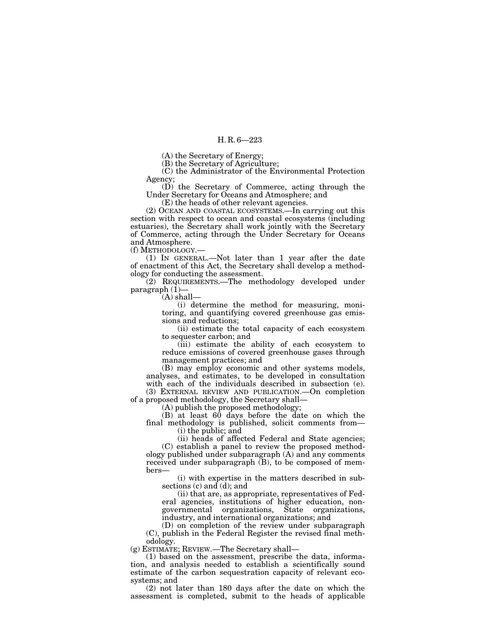(A) the Secretary of Energy;

(B) the Secretary of Agriculture;

(C) the Administrator of the Environmental Protection Agency;

(D) the Secretary of Commerce, acting through the Under Secretary for Oceans and Atmosphere; and

(E) the heads of other relevant agencies.

(2) OCEAN AND COASTAL ECOSYSTEMS.—In carrying out this section with respect to ocean and coastal ecosystems (including estuaries), the Secretary shall work jointly with the Secretary of Commerce, acting through the Under Secretary for Oceans and Atmosphere.

(f) METHODOLOGY.—

(1) IN GENERAL.—Not later than 1 year after the date of enactment of this Act, the Secretary shall develop a methodology for conducting the assessment.

(2) REQUIREMENTS.—The methodology developed under paragraph (1)—

 $(A)$  shall-

(i) determine the method for measuring, monitoring, and quantifying covered greenhouse gas emissions and reductions;

(ii) estimate the total capacity of each ecosystem to sequester carbon; and

(iii) estimate the ability of each ecosystem to reduce emissions of covered greenhouse gases through management practices; and

(B) may employ economic and other systems models, analyses, and estimates, to be developed in consultation with each of the individuals described in subsection (e). (3) EXTERNAL REVIEW AND PUBLICATION.—On completion

of a proposed methodology, the Secretary shall—

(A) publish the proposed methodology;

(B) at least 60 days before the date on which the final methodology is published, solicit comments from— (i) the public; and

(ii) heads of affected Federal and State agencies; (C) establish a panel to review the proposed methodology published under subparagraph (A) and any comments received under subparagraph (B), to be composed of members—

(i) with expertise in the matters described in subsections (c) and (d); and

(ii) that are, as appropriate, representatives of Federal agencies, institutions of higher education, nongovernmental organizations, State organizations, industry, and international organizations; and

(D) on completion of the review under subparagraph (C), publish in the Federal Register the revised final methodology.

(g) ESTIMATE; REVIEW.—The Secretary shall—

(1) based on the assessment, prescribe the data, information, and analysis needed to establish a scientifically sound estimate of the carbon sequestration capacity of relevant ecosystems; and

(2) not later than 180 days after the date on which the assessment is completed, submit to the heads of applicable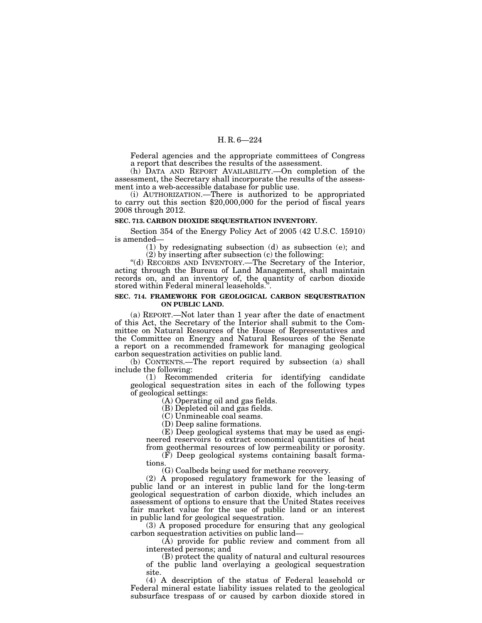Federal agencies and the appropriate committees of Congress a report that describes the results of the assessment.

(h) DATA AND REPORT AVAILABILITY.—On completion of the assessment, the Secretary shall incorporate the results of the assessment into a web-accessible database for public use.

(i) AUTHORIZATION.—There is authorized to be appropriated to carry out this section \$20,000,000 for the period of fiscal years 2008 through 2012.

### **SEC. 713. CARBON DIOXIDE SEQUESTRATION INVENTORY.**

Section 354 of the Energy Policy Act of 2005 (42 U.S.C. 15910) is amended—

(1) by redesignating subsection (d) as subsection (e); and

(2) by inserting after subsection (c) the following:

''(d) RECORDS AND INVENTORY.—The Secretary of the Interior, acting through the Bureau of Land Management, shall maintain records on, and an inventory of, the quantity of carbon dioxide stored within Federal mineral leaseholds."

### **SEC. 714. FRAMEWORK FOR GEOLOGICAL CARBON SEQUESTRATION ON PUBLIC LAND.**

(a) REPORT.—Not later than 1 year after the date of enactment of this Act, the Secretary of the Interior shall submit to the Committee on Natural Resources of the House of Representatives and the Committee on Energy and Natural Resources of the Senate a report on a recommended framework for managing geological carbon sequestration activities on public land.

(b) CONTENTS.—The report required by subsection (a) shall include the following:

(1) Recommended criteria for identifying candidate geological sequestration sites in each of the following types of geological settings:

(A) Operating oil and gas fields.

(B) Depleted oil and gas fields.

(C) Unmineable coal seams.

(D) Deep saline formations.

(E) Deep geological systems that may be used as engineered reservoirs to extract economical quantities of heat from geothermal resources of low permeability or porosity.

(F) Deep geological systems containing basalt formations.

(G) Coalbeds being used for methane recovery.

(2) A proposed regulatory framework for the leasing of public land or an interest in public land for the long-term geological sequestration of carbon dioxide, which includes an assessment of options to ensure that the United States receives fair market value for the use of public land or an interest in public land for geological sequestration.

(3) A proposed procedure for ensuring that any geological carbon sequestration activities on public land—

(A) provide for public review and comment from all interested persons; and

(B) protect the quality of natural and cultural resources of the public land overlaying a geological sequestration site.

(4) A description of the status of Federal leasehold or Federal mineral estate liability issues related to the geological subsurface trespass of or caused by carbon dioxide stored in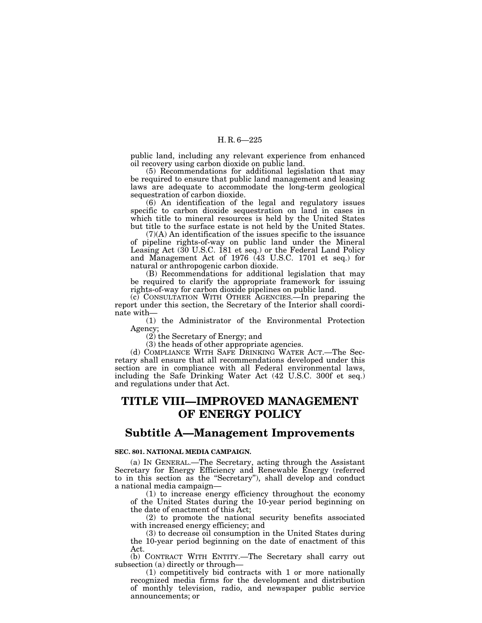public land, including any relevant experience from enhanced oil recovery using carbon dioxide on public land.

(5) Recommendations for additional legislation that may be required to ensure that public land management and leasing laws are adequate to accommodate the long-term geological sequestration of carbon dioxide.

(6) An identification of the legal and regulatory issues specific to carbon dioxide sequestration on land in cases in which title to mineral resources is held by the United States but title to the surface estate is not held by the United States.

(7)(A) An identification of the issues specific to the issuance of pipeline rights-of-way on public land under the Mineral Leasing Act (30 U.S.C. 181 et seq.) or the Federal Land Policy and Management Act of 1976 (43 U.S.C. 1701 et seq.) for natural or anthropogenic carbon dioxide.

(B) Recommendations for additional legislation that may be required to clarify the appropriate framework for issuing rights-of-way for carbon dioxide pipelines on public land.

(c) CONSULTATION WITH OTHER AGENCIES.—In preparing the report under this section, the Secretary of the Interior shall coordinate with—

(1) the Administrator of the Environmental Protection Agency;

(2) the Secretary of Energy; and

(3) the heads of other appropriate agencies.

(d) COMPLIANCE WITH SAFE DRINKING WATER ACT.—The Secretary shall ensure that all recommendations developed under this section are in compliance with all Federal environmental laws, including the Safe Drinking Water Act (42 U.S.C. 300f et seq.) and regulations under that Act.

# **TITLE VIII—IMPROVED MANAGEMENT OF ENERGY POLICY**

## **Subtitle A—Management Improvements**

### **SEC. 801. NATIONAL MEDIA CAMPAIGN.**

(a) IN GENERAL.—The Secretary, acting through the Assistant Secretary for Energy Efficiency and Renewable Energy (referred to in this section as the ''Secretary''), shall develop and conduct a national media campaign—

(1) to increase energy efficiency throughout the economy of the United States during the 10-year period beginning on the date of enactment of this Act;

(2) to promote the national security benefits associated with increased energy efficiency; and

(3) to decrease oil consumption in the United States during the 10-year period beginning on the date of enactment of this Act.

(b) CONTRACT WITH ENTITY.—The Secretary shall carry out subsection (a) directly or through—

(1) competitively bid contracts with 1 or more nationally recognized media firms for the development and distribution of monthly television, radio, and newspaper public service announcements; or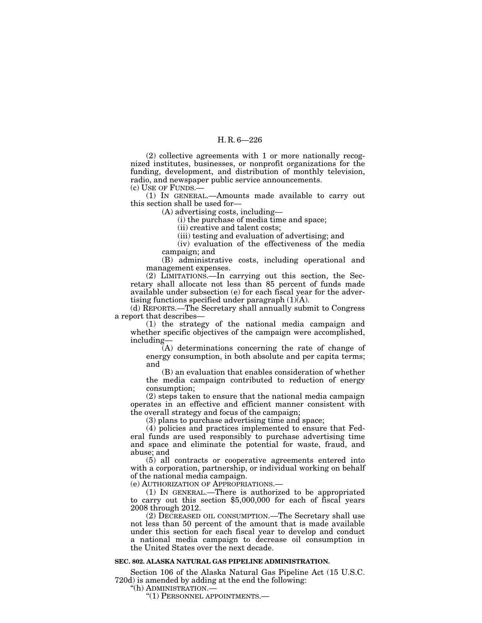(2) collective agreements with 1 or more nationally recognized institutes, businesses, or nonprofit organizations for the funding, development, and distribution of monthly television, radio, and newspaper public service announcements.

(c) USE OF FUNDS.—

(1) IN GENERAL.—Amounts made available to carry out this section shall be used for—

(A) advertising costs, including—

(i) the purchase of media time and space;

(ii) creative and talent costs;

(iii) testing and evaluation of advertising; and

(iv) evaluation of the effectiveness of the media campaign; and

(B) administrative costs, including operational and management expenses.

(2) LIMITATIONS.—In carrying out this section, the Secretary shall allocate not less than 85 percent of funds made available under subsection (e) for each fiscal year for the advertising functions specified under paragraph  $(1)(A)$ .

(d) REPORTS.—The Secretary shall annually submit to Congress a report that describes—

(1) the strategy of the national media campaign and whether specific objectives of the campaign were accomplished, including—

(A) determinations concerning the rate of change of energy consumption, in both absolute and per capita terms; and

(B) an evaluation that enables consideration of whether the media campaign contributed to reduction of energy consumption;

(2) steps taken to ensure that the national media campaign operates in an effective and efficient manner consistent with the overall strategy and focus of the campaign;

(3) plans to purchase advertising time and space;

(4) policies and practices implemented to ensure that Federal funds are used responsibly to purchase advertising time and space and eliminate the potential for waste, fraud, and abuse; and

(5) all contracts or cooperative agreements entered into with a corporation, partnership, or individual working on behalf of the national media campaign.

(e) AUTHORIZATION OF APPROPRIATIONS.—

(1) IN GENERAL.—There is authorized to be appropriated to carry out this section \$5,000,000 for each of fiscal years 2008 through 2012.

(2) DECREASED OIL CONSUMPTION.—The Secretary shall use not less than 50 percent of the amount that is made available under this section for each fiscal year to develop and conduct a national media campaign to decrease oil consumption in the United States over the next decade.

### **SEC. 802. ALASKA NATURAL GAS PIPELINE ADMINISTRATION.**

Section 106 of the Alaska Natural Gas Pipeline Act (15 U.S.C. 720d) is amended by adding at the end the following:

''(h) ADMINISTRATION.—

''(1) PERSONNEL APPOINTMENTS.—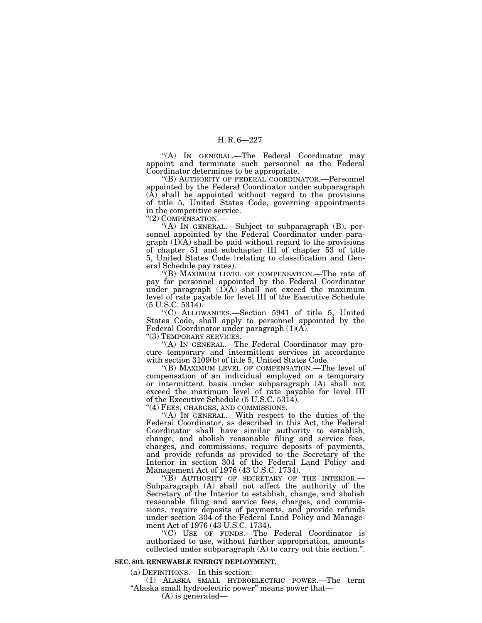''(A) IN GENERAL.—The Federal Coordinator may appoint and terminate such personnel as the Federal Coordinator determines to be appropriate.

''(B) AUTHORITY OF FEDERAL COORDINATOR.—Personnel appointed by the Federal Coordinator under subparagraph  $(\overline{A})$  shall be appointed without regard to the provisions of title 5, United States Code, governing appointments in the competitive service.

''(2) COMPENSATION.—

"(A) IN GENERAL.—Subject to subparagraph  $(B)$ , personnel appointed by the Federal Coordinator under para $graph (1)(A)$  shall be paid without regard to the provisions of chapter 51 and subchapter III of chapter 53 of title 5, United States Code (relating to classification and General Schedule pay rates).

''(B) MAXIMUM LEVEL OF COMPENSATION.—The rate of pay for personnel appointed by the Federal Coordinator under paragraph  $(1)(A)$  shall not exceed the maximum level of rate payable for level III of the Executive Schedule (5 U.S.C. 5314).

''(C) ALLOWANCES.—Section 5941 of title 5, United States Code, shall apply to personnel appointed by the Federal Coordinator under paragraph (1)(A).<br>"(3) TEMPORARY SERVICES.—

"(A) IN GENERAL.—The Federal Coordinator may procure temporary and intermittent services in accordance with section 3109(b) of title 5, United States Code.

''(B) MAXIMUM LEVEL OF COMPENSATION.—The level of compensation of an individual employed on a temporary or intermittent basis under subparagraph (A) shall not exceed the maximum level of rate payable for level III of the Executive Schedule (5 U.S.C. 5314).<br>"(4) FEES, CHARGES, AND COMMISSIONS.—

"(A) IN GENERAL.—With respect to the duties of the Federal Coordinator, as described in this Act, the Federal Coordinator shall have similar authority to establish, change, and abolish reasonable filing and service fees, charges, and commissions, require deposits of payments, and provide refunds as provided to the Secretary of the Interior in section 304 of the Federal Land Policy and Management Act of 1976 (43 U.S.C. 1734).

''(B) AUTHORITY OF SECRETARY OF THE INTERIOR.— Subparagraph (A) shall not affect the authority of the Secretary of the Interior to establish, change, and abolish reasonable filing and service fees, charges, and commissions, require deposits of payments, and provide refunds under section 304 of the Federal Land Policy and Management Act of 1976 (43 U.S.C. 1734).

''(C) USE OF FUNDS.—The Federal Coordinator is authorized to use, without further appropriation, amounts collected under subparagraph (A) to carry out this section.''.

### **SEC. 803. RENEWABLE ENERGY DEPLOYMENT.**

(a) DEFINITIONS.—In this section:

(1) ALASKA SMALL HYDROELECTRIC POWER.—The term ''Alaska small hydroelectric power'' means power that—

(A) is generated—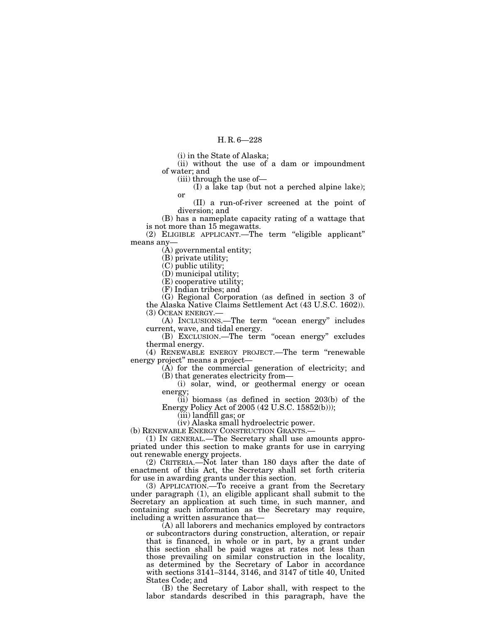(i) in the State of Alaska;

(ii) without the use of a dam or impoundment of water; and

(iii) through the use of—

(I) a lake tap (but not a perched alpine lake); or

(II) a run-of-river screened at the point of diversion; and

(B) has a nameplate capacity rating of a wattage that is not more than 15 megawatts.

(2) ELIGIBLE APPLICANT.—The term ''eligible applicant'' means any—

(A) governmental entity;

(B) private utility;

(C) public utility;

(D) municipal utility;

(E) cooperative utility;

(F) Indian tribes; and

(G) Regional Corporation (as defined in section 3 of the Alaska Native Claims Settlement Act (43 U.S.C. 1602)). (3) OCEAN ENERGY.— (A) INCLUSIONS.—The term ''ocean energy'' includes

current, wave, and tidal energy.

(B) EXCLUSION.—The term ''ocean energy'' excludes thermal energy.

(4) RENEWABLE ENERGY PROJECT.—The term ''renewable energy project'' means a project—

(A) for the commercial generation of electricity; and (B) that generates electricity from—

(i) solar, wind, or geothermal energy or ocean energy;

(ii) biomass (as defined in section 203(b) of the Energy Policy Act of 2005 (42 U.S.C. 15852(b)));

(iii) landfill gas; or

(iv) Alaska small hydroelectric power.<br>(b) RENEWABLE ENERGY CONSTRUCTION GRANTS.—

 $(1)$  In GENERAL.—The Secretary shall use amounts appropriated under this section to make grants for use in carrying out renewable energy projects.

(2) CRITERIA.—Not later than 180 days after the date of enactment of this Act, the Secretary shall set forth criteria for use in awarding grants under this section.

(3) APPLICATION.—To receive a grant from the Secretary under paragraph (1), an eligible applicant shall submit to the Secretary an application at such time, in such manner, and containing such information as the Secretary may require, including a written assurance that—

(A) all laborers and mechanics employed by contractors or subcontractors during construction, alteration, or repair that is financed, in whole or in part, by a grant under this section shall be paid wages at rates not less than those prevailing on similar construction in the locality, as determined by the Secretary of Labor in accordance with sections 3141–3144, 3146, and 3147 of title 40, United States Code; and

(B) the Secretary of Labor shall, with respect to the labor standards described in this paragraph, have the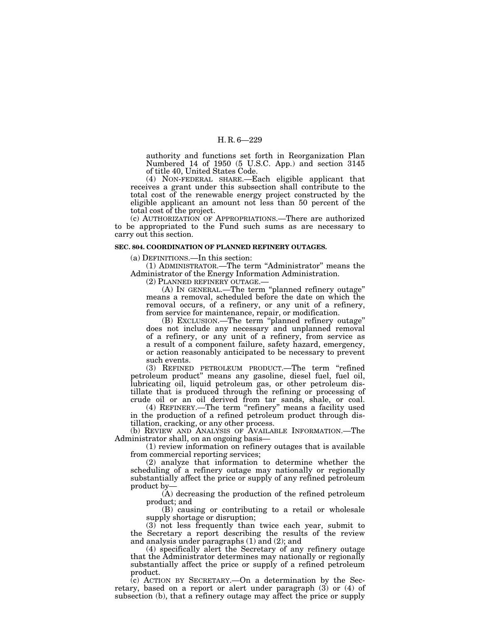authority and functions set forth in Reorganization Plan Numbered 14 of 1950 (5 U.S.C. App.) and section 3145 of title 40, United States Code.

(4) NON-FEDERAL SHARE.—Each eligible applicant that receives a grant under this subsection shall contribute to the total cost of the renewable energy project constructed by the eligible applicant an amount not less than 50 percent of the total cost of the project.

(c) AUTHORIZATION OF APPROPRIATIONS.—There are authorized to be appropriated to the Fund such sums as are necessary to carry out this section.

### **SEC. 804. COORDINATION OF PLANNED REFINERY OUTAGES.**

(a) DEFINITIONS.—In this section:

(1) ADMINISTRATOR.—The term ''Administrator'' means the Administrator of the Energy Information Administration.

(2) PLANNED REFINERY OUTAGE.—

(A) IN GENERAL.—The term ''planned refinery outage'' means a removal, scheduled before the date on which the removal occurs, of a refinery, or any unit of a refinery, from service for maintenance, repair, or modification.

(B) EXCLUSION.—The term ''planned refinery outage'' does not include any necessary and unplanned removal of a refinery, or any unit of a refinery, from service as a result of a component failure, safety hazard, emergency, or action reasonably anticipated to be necessary to prevent such events.

(3) REFINED PETROLEUM PRODUCT.—The term ''refined petroleum product'' means any gasoline, diesel fuel, fuel oil, lubricating oil, liquid petroleum gas, or other petroleum distillate that is produced through the refining or processing of crude oil or an oil derived from tar sands, shale, or coal.

(4) REFINERY.—The term ''refinery'' means a facility used in the production of a refined petroleum product through distillation, cracking, or any other process.

(b) REVIEW AND ANALYSIS OF AVAILABLE INFORMATION.—The Administrator shall, on an ongoing basis—

(1) review information on refinery outages that is available from commercial reporting services;

(2) analyze that information to determine whether the scheduling of a refinery outage may nationally or regionally substantially affect the price or supply of any refined petroleum product by—

(A) decreasing the production of the refined petroleum product; and

(B) causing or contributing to a retail or wholesale supply shortage or disruption;

(3) not less frequently than twice each year, submit to the Secretary a report describing the results of the review and analysis under paragraphs (1) and (2); and

(4) specifically alert the Secretary of any refinery outage that the Administrator determines may nationally or regionally substantially affect the price or supply of a refined petroleum product.

(c) ACTION BY SECRETARY.—On a determination by the Secretary, based on a report or alert under paragraph  $(3)$  or  $(4)$  of subsection (b), that a refinery outage may affect the price or supply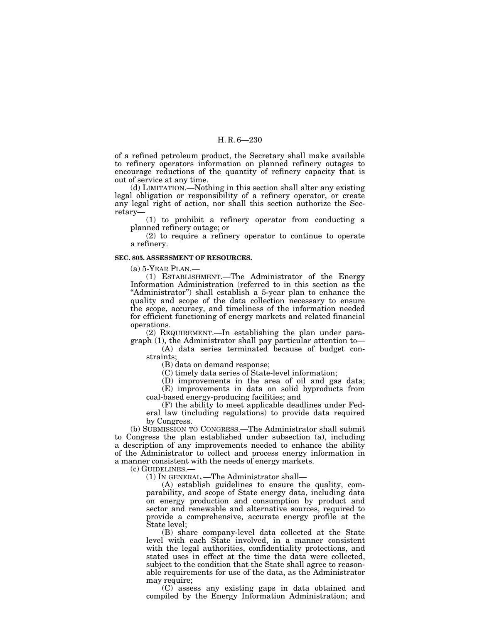of a refined petroleum product, the Secretary shall make available to refinery operators information on planned refinery outages to encourage reductions of the quantity of refinery capacity that is out of service at any time.

(d) LIMITATION.—Nothing in this section shall alter any existing legal obligation or responsibility of a refinery operator, or create any legal right of action, nor shall this section authorize the Secretary—

(1) to prohibit a refinery operator from conducting a planned refinery outage; or

(2) to require a refinery operator to continue to operate a refinery.

### **SEC. 805. ASSESSMENT OF RESOURCES.**

 $(a)$  5-Year Plan.—

(1) ESTABLISHMENT.—The Administrator of the Energy Information Administration (referred to in this section as the "Administrator") shall establish a 5-year plan to enhance the quality and scope of the data collection necessary to ensure the scope, accuracy, and timeliness of the information needed for efficient functioning of energy markets and related financial operations.

(2) REQUIREMENT.—In establishing the plan under paragraph (1), the Administrator shall pay particular attention to—

(A) data series terminated because of budget constraints;

(B) data on demand response;

(C) timely data series of State-level information;

(D) improvements in the area of oil and gas data; (E) improvements in data on solid byproducts from coal-based energy-producing facilities; and

(F) the ability to meet applicable deadlines under Federal law (including regulations) to provide data required by Congress.

(b) SUBMISSION TO CONGRESS.—The Administrator shall submit to Congress the plan established under subsection (a), including a description of any improvements needed to enhance the ability of the Administrator to collect and process energy information in a manner consistent with the needs of energy markets.

(c) GUIDELINES.—

(1) IN GENERAL.—The Administrator shall—

(A) establish guidelines to ensure the quality, comparability, and scope of State energy data, including data on energy production and consumption by product and sector and renewable and alternative sources, required to provide a comprehensive, accurate energy profile at the State level;

(B) share company-level data collected at the State level with each State involved, in a manner consistent with the legal authorities, confidentiality protections, and stated uses in effect at the time the data were collected, subject to the condition that the State shall agree to reasonable requirements for use of the data, as the Administrator may require;

(C) assess any existing gaps in data obtained and compiled by the Energy Information Administration; and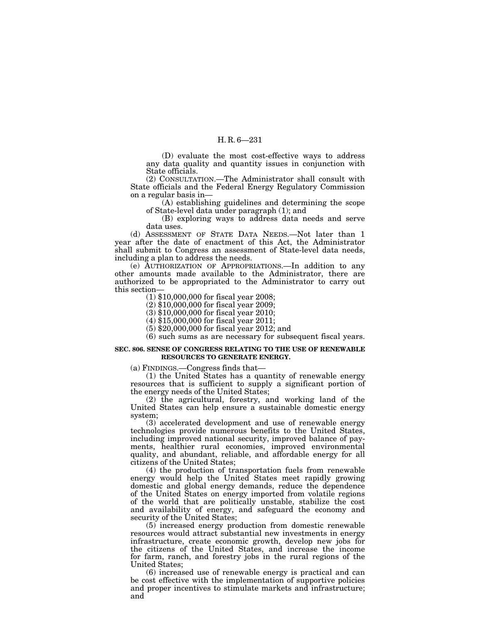(D) evaluate the most cost-effective ways to address any data quality and quantity issues in conjunction with State officials.

(2) CONSULTATION.—The Administrator shall consult with State officials and the Federal Energy Regulatory Commission on a regular basis in—

(A) establishing guidelines and determining the scope of State-level data under paragraph (1); and

(B) exploring ways to address data needs and serve data uses.

(d) ASSESSMENT OF STATE DATA NEEDS.—Not later than 1 year after the date of enactment of this Act, the Administrator shall submit to Congress an assessment of State-level data needs, including a plan to address the needs.

(e) AUTHORIZATION OF APPROPRIATIONS.—In addition to any other amounts made available to the Administrator, there are authorized to be appropriated to the Administrator to carry out this section—

(1) \$10,000,000 for fiscal year 2008;

(2) \$10,000,000 for fiscal year 2009;

(3) \$10,000,000 for fiscal year 2010;

(4) \$15,000,000 for fiscal year 2011;

(5) \$20,000,000 for fiscal year 2012; and

(6) such sums as are necessary for subsequent fiscal years.

### **SEC. 806. SENSE OF CONGRESS RELATING TO THE USE OF RENEWABLE RESOURCES TO GENERATE ENERGY.**

(a) FINDINGS.—Congress finds that—

(1) the United States has a quantity of renewable energy resources that is sufficient to supply a significant portion of the energy needs of the United States;

(2) the agricultural, forestry, and working land of the United States can help ensure a sustainable domestic energy system;

(3) accelerated development and use of renewable energy technologies provide numerous benefits to the United States, including improved national security, improved balance of payments, healthier rural economies, improved environmental quality, and abundant, reliable, and affordable energy for all citizens of the United States;

(4) the production of transportation fuels from renewable energy would help the United States meet rapidly growing domestic and global energy demands, reduce the dependence of the United States on energy imported from volatile regions of the world that are politically unstable, stabilize the cost and availability of energy, and safeguard the economy and security of the United States;

(5) increased energy production from domestic renewable resources would attract substantial new investments in energy infrastructure, create economic growth, develop new jobs for the citizens of the United States, and increase the income for farm, ranch, and forestry jobs in the rural regions of the United States;

(6) increased use of renewable energy is practical and can be cost effective with the implementation of supportive policies and proper incentives to stimulate markets and infrastructure; and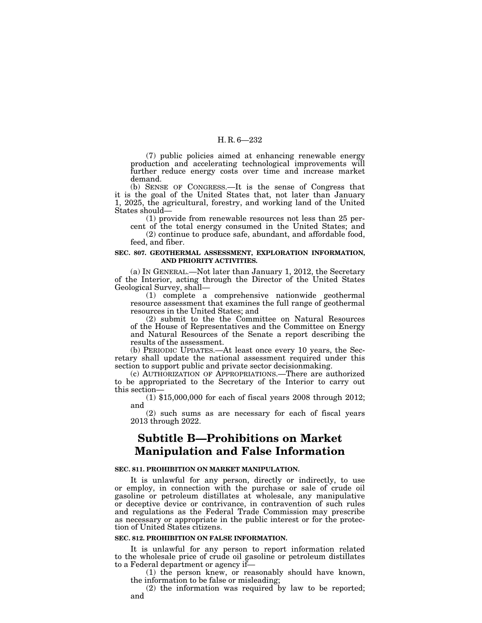(7) public policies aimed at enhancing renewable energy production and accelerating technological improvements will further reduce energy costs over time and increase market demand.

(b) SENSE OF CONGRESS.—It is the sense of Congress that it is the goal of the United States that, not later than January 1, 2025, the agricultural, forestry, and working land of the United States should—

(1) provide from renewable resources not less than 25 percent of the total energy consumed in the United States; and

(2) continue to produce safe, abundant, and affordable food, feed, and fiber.

### **SEC. 807. GEOTHERMAL ASSESSMENT, EXPLORATION INFORMATION, AND PRIORITY ACTIVITIES.**

(a) IN GENERAL.—Not later than January 1, 2012, the Secretary of the Interior, acting through the Director of the United States Geological Survey, shall—

(1) complete a comprehensive nationwide geothermal resource assessment that examines the full range of geothermal resources in the United States; and

(2) submit to the the Committee on Natural Resources of the House of Representatives and the Committee on Energy and Natural Resources of the Senate a report describing the results of the assessment.

(b) PERIODIC UPDATES.—At least once every 10 years, the Secretary shall update the national assessment required under this section to support public and private sector decisionmaking.

(c) AUTHORIZATION OF APPROPRIATIONS.—There are authorized to be appropriated to the Secretary of the Interior to carry out this section—

(1) \$15,000,000 for each of fiscal years 2008 through 2012; and

(2) such sums as are necessary for each of fiscal years 2013 through 2022.

# **Subtitle B—Prohibitions on Market Manipulation and False Information**

## **SEC. 811. PROHIBITION ON MARKET MANIPULATION.**

It is unlawful for any person, directly or indirectly, to use or employ, in connection with the purchase or sale of crude oil gasoline or petroleum distillates at wholesale, any manipulative or deceptive device or contrivance, in contravention of such rules and regulations as the Federal Trade Commission may prescribe as necessary or appropriate in the public interest or for the protection of United States citizens.

### **SEC. 812. PROHIBITION ON FALSE INFORMATION.**

It is unlawful for any person to report information related to the wholesale price of crude oil gasoline or petroleum distillates to a Federal department or agency if—

(1) the person knew, or reasonably should have known, the information to be false or misleading;

(2) the information was required by law to be reported; and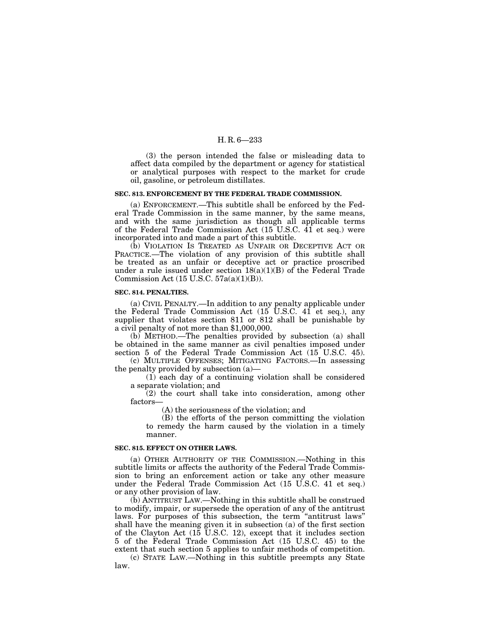(3) the person intended the false or misleading data to affect data compiled by the department or agency for statistical or analytical purposes with respect to the market for crude oil, gasoline, or petroleum distillates.

### **SEC. 813. ENFORCEMENT BY THE FEDERAL TRADE COMMISSION.**

(a) ENFORCEMENT.—This subtitle shall be enforced by the Federal Trade Commission in the same manner, by the same means, and with the same jurisdiction as though all applicable terms of the Federal Trade Commission Act (15 U.S.C. 41 et seq.) were incorporated into and made a part of this subtitle.

(b) VIOLATION IS TREATED AS UNFAIR OR DECEPTIVE ACT OR PRACTICE.—The violation of any provision of this subtitle shall be treated as an unfair or deceptive act or practice proscribed under a rule issued under section  $18(a)(1)(B)$  of the Federal Trade Commission Act  $(15 \text{ U.S. C. } 57a(a)(1)(B)).$ 

### **SEC. 814. PENALTIES.**

(a) CIVIL PENALTY.—In addition to any penalty applicable under the Federal Trade Commission Act  $(15 \text{ U.S.C. } 41 \text{ et seq.}),$  any supplier that violates section 811 or 812 shall be punishable by a civil penalty of not more than \$1,000,000.

(b) METHOD.—The penalties provided by subsection (a) shall be obtained in the same manner as civil penalties imposed under section 5 of the Federal Trade Commission Act (15 U.S.C. 45).

(c) MULTIPLE OFFENSES; MITIGATING FACTORS.—In assessing the penalty provided by subsection (a)—

(1) each day of a continuing violation shall be considered a separate violation; and

(2) the court shall take into consideration, among other factors—

(A) the seriousness of the violation; and

(B) the efforts of the person committing the violation to remedy the harm caused by the violation in a timely manner.

### **SEC. 815. EFFECT ON OTHER LAWS.**

(a) OTHER AUTHORITY OF THE COMMISSION.—Nothing in this subtitle limits or affects the authority of the Federal Trade Commission to bring an enforcement action or take any other measure under the Federal Trade Commission Act (15 U.S.C. 41 et seq.) or any other provision of law.

(b) ANTITRUST LAW.—Nothing in this subtitle shall be construed to modify, impair, or supersede the operation of any of the antitrust laws. For purposes of this subsection, the term "antitrust laws" shall have the meaning given it in subsection (a) of the first section of the Clayton Act (15 U.S.C. 12), except that it includes section 5 of the Federal Trade Commission Act (15 U.S.C. 45) to the extent that such section 5 applies to unfair methods of competition.

(c) STATE LAW.—Nothing in this subtitle preempts any State law.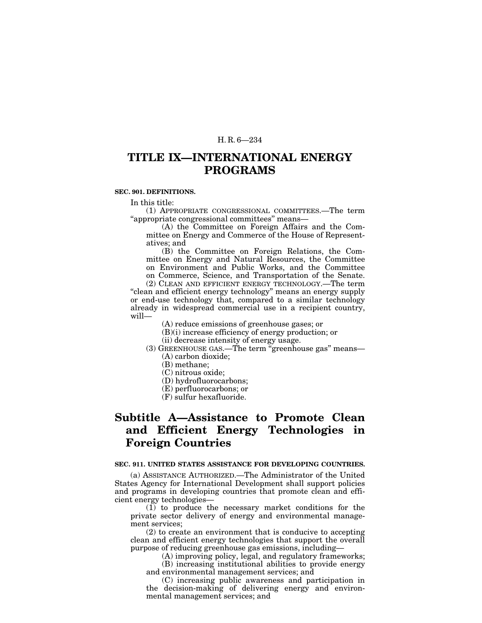# **TITLE IX—INTERNATIONAL ENERGY PROGRAMS**

### **SEC. 901. DEFINITIONS.**

In this title:

(1) APPROPRIATE CONGRESSIONAL COMMITTEES.—The term ''appropriate congressional committees'' means—

(A) the Committee on Foreign Affairs and the Committee on Energy and Commerce of the House of Representatives; and

(B) the Committee on Foreign Relations, the Committee on Energy and Natural Resources, the Committee on Environment and Public Works, and the Committee on Commerce, Science, and Transportation of the Senate.

(2) CLEAN AND EFFICIENT ENERGY TECHNOLOGY.—The term "clean and efficient energy technology" means an energy supply or end-use technology that, compared to a similar technology already in widespread commercial use in a recipient country, will—

(A) reduce emissions of greenhouse gases; or

(B)(i) increase efficiency of energy production; or

(ii) decrease intensity of energy usage.

(3) GREENHOUSE GAS.—The term ''greenhouse gas'' means— (A) carbon dioxide;

(B) methane;

(C) nitrous oxide;

(D) hydrofluorocarbons;

(E) perfluorocarbons; or

(F) sulfur hexafluoride.

# **Subtitle A—Assistance to Promote Clean and Efficient Energy Technologies in Foreign Countries**

### **SEC. 911. UNITED STATES ASSISTANCE FOR DEVELOPING COUNTRIES.**

(a) ASSISTANCE AUTHORIZED.—The Administrator of the United States Agency for International Development shall support policies and programs in developing countries that promote clean and efficient energy technologies—

(1) to produce the necessary market conditions for the private sector delivery of energy and environmental management services;

(2) to create an environment that is conducive to accepting clean and efficient energy technologies that support the overall purpose of reducing greenhouse gas emissions, including—

(A) improving policy, legal, and regulatory frameworks;

(B) increasing institutional abilities to provide energy and environmental management services; and

(C) increasing public awareness and participation in the decision-making of delivering energy and environmental management services; and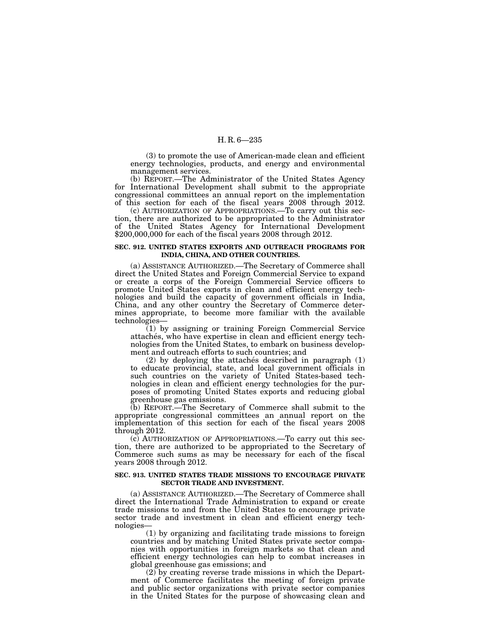(3) to promote the use of American-made clean and efficient energy technologies, products, and energy and environmental management services.

(b) REPORT.—The Administrator of the United States Agency for International Development shall submit to the appropriate congressional committees an annual report on the implementation of this section for each of the fiscal years 2008 through 2012.

(c) AUTHORIZATION OF APPROPRIATIONS.—To carry out this section, there are authorized to be appropriated to the Administrator of the United States Agency for International Development \$200,000,000 for each of the fiscal years 2008 through 2012.

### **SEC. 912. UNITED STATES EXPORTS AND OUTREACH PROGRAMS FOR INDIA, CHINA, AND OTHER COUNTRIES.**

(a) ASSISTANCE AUTHORIZED.—The Secretary of Commerce shall direct the United States and Foreign Commercial Service to expand or create a corps of the Foreign Commercial Service officers to promote United States exports in clean and efficient energy technologies and build the capacity of government officials in India, China, and any other country the Secretary of Commerce determines appropriate, to become more familiar with the available technologies—

(1) by assigning or training Foreign Commercial Service attachés, who have expertise in clean and efficient energy technologies from the United States, to embark on business development and outreach efforts to such countries; and

 $(2)$  by deploying the attachés described in paragraph  $(1)$ to educate provincial, state, and local government officials in such countries on the variety of United States-based technologies in clean and efficient energy technologies for the purposes of promoting United States exports and reducing global greenhouse gas emissions.

(b) REPORT.—The Secretary of Commerce shall submit to the appropriate congressional committees an annual report on the implementation of this section for each of the fiscal years 2008 through 2012.

(c) AUTHORIZATION OF APPROPRIATIONS.—To carry out this section, there are authorized to be appropriated to the Secretary of Commerce such sums as may be necessary for each of the fiscal years 2008 through 2012.

### **SEC. 913. UNITED STATES TRADE MISSIONS TO ENCOURAGE PRIVATE SECTOR TRADE AND INVESTMENT.**

(a) ASSISTANCE AUTHORIZED.—The Secretary of Commerce shall direct the International Trade Administration to expand or create trade missions to and from the United States to encourage private sector trade and investment in clean and efficient energy technologies—

(1) by organizing and facilitating trade missions to foreign countries and by matching United States private sector companies with opportunities in foreign markets so that clean and efficient energy technologies can help to combat increases in global greenhouse gas emissions; and

(2) by creating reverse trade missions in which the Department of Commerce facilitates the meeting of foreign private and public sector organizations with private sector companies in the United States for the purpose of showcasing clean and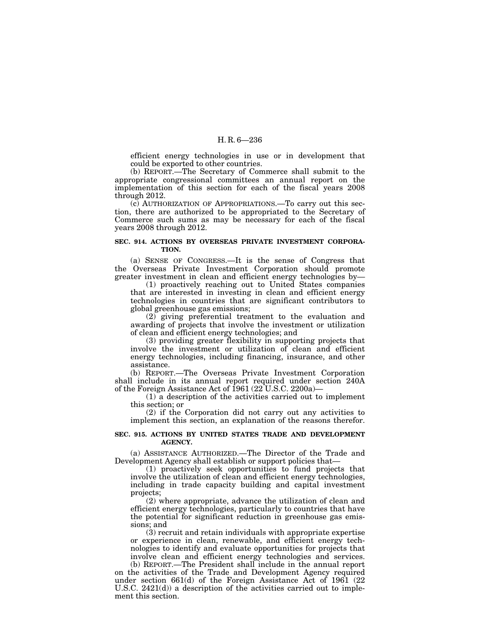efficient energy technologies in use or in development that could be exported to other countries.

(b) REPORT.—The Secretary of Commerce shall submit to the appropriate congressional committees an annual report on the implementation of this section for each of the fiscal years 2008 through 2012.

(c) AUTHORIZATION OF APPROPRIATIONS.—To carry out this section, there are authorized to be appropriated to the Secretary of Commerce such sums as may be necessary for each of the fiscal years 2008 through 2012.

### **SEC. 914. ACTIONS BY OVERSEAS PRIVATE INVESTMENT CORPORA-TION.**

(a) SENSE OF CONGRESS.—It is the sense of Congress that the Overseas Private Investment Corporation should promote greater investment in clean and efficient energy technologies by—

(1) proactively reaching out to United States companies that are interested in investing in clean and efficient energy technologies in countries that are significant contributors to global greenhouse gas emissions;

(2) giving preferential treatment to the evaluation and awarding of projects that involve the investment or utilization of clean and efficient energy technologies; and

(3) providing greater flexibility in supporting projects that involve the investment or utilization of clean and efficient energy technologies, including financing, insurance, and other assistance.

(b) REPORT.—The Overseas Private Investment Corporation shall include in its annual report required under section 240A of the Foreign Assistance Act of  $1961 (22^{\circ}$ U.S.C. 2200a)

(1) a description of the activities carried out to implement this section; or

(2) if the Corporation did not carry out any activities to implement this section, an explanation of the reasons therefor.

### **SEC. 915. ACTIONS BY UNITED STATES TRADE AND DEVELOPMENT AGENCY.**

(a) ASSISTANCE AUTHORIZED.—The Director of the Trade and Development Agency shall establish or support policies that—

(1) proactively seek opportunities to fund projects that involve the utilization of clean and efficient energy technologies, including in trade capacity building and capital investment projects;

(2) where appropriate, advance the utilization of clean and efficient energy technologies, particularly to countries that have the potential for significant reduction in greenhouse gas emissions; and

(3) recruit and retain individuals with appropriate expertise or experience in clean, renewable, and efficient energy technologies to identify and evaluate opportunities for projects that involve clean and efficient energy technologies and services.

(b) REPORT.—The President shall include in the annual report on the activities of the Trade and Development Agency required under section 661(d) of the Foreign Assistance Act of 1961 (22 U.S.C. 2421(d)) a description of the activities carried out to implement this section.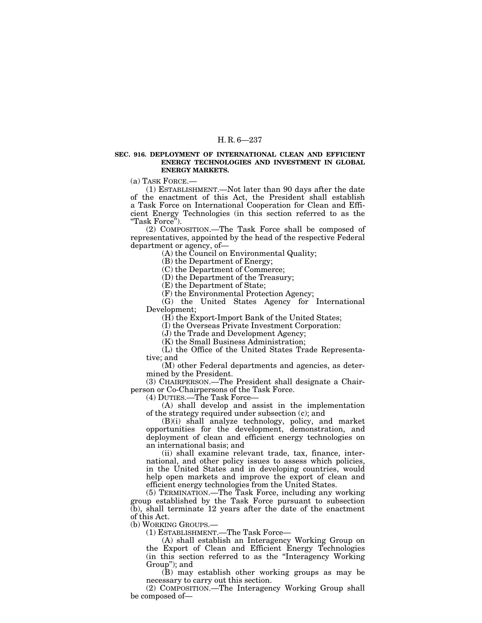### **SEC. 916. DEPLOYMENT OF INTERNATIONAL CLEAN AND EFFICIENT ENERGY TECHNOLOGIES AND INVESTMENT IN GLOBAL ENERGY MARKETS.**

(a) TASK FORCE.—

(1) ESTABLISHMENT.—Not later than 90 days after the date of the enactment of this Act, the President shall establish a Task Force on International Cooperation for Clean and Efficient Energy Technologies (in this section referred to as the "Task Force").

(2) COMPOSITION.—The Task Force shall be composed of representatives, appointed by the head of the respective Federal department or agency, of—

(A) the Council on Environmental Quality;

(B) the Department of Energy;

(C) the Department of Commerce;

(D) the Department of the Treasury;

(E) the Department of State;

(F) the Environmental Protection Agency;

(G) the United States Agency for International Development;

(H) the Export-Import Bank of the United States;

(I) the Overseas Private Investment Corporation:

(J) the Trade and Development Agency;

(K) the Small Business Administration;

(L) the Office of the United States Trade Representative; and

(M) other Federal departments and agencies, as determined by the President.

(3) CHAIRPERSON.—The President shall designate a Chairperson or Co-Chairpersons of the Task Force.

(4) DUTIES.—The Task Force—

(A) shall develop and assist in the implementation of the strategy required under subsection (c); and

(B)(i) shall analyze technology, policy, and market opportunities for the development, demonstration, and deployment of clean and efficient energy technologies on an international basis; and

(ii) shall examine relevant trade, tax, finance, international, and other policy issues to assess which policies, in the United States and in developing countries, would help open markets and improve the export of clean and efficient energy technologies from the United States.

(5) TERMINATION.—The Task Force, including any working group established by the Task Force pursuant to subsection (b), shall terminate 12 years after the date of the enactment of this Act.

(b) WORKING GROUPS.—

(1) ESTABLISHMENT.—The Task Force—

(A) shall establish an Interagency Working Group on the Export of Clean and Efficient Energy Technologies (in this section referred to as the ''Interagency Working Group''); and

(B) may establish other working groups as may be necessary to carry out this section.

(2) COMPOSITION.—The Interagency Working Group shall be composed of—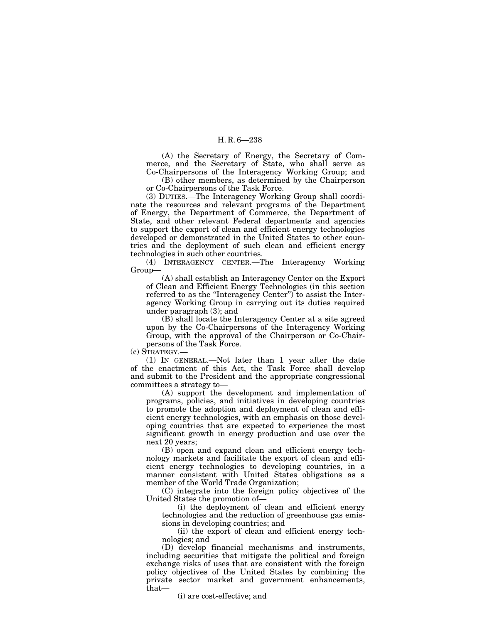(A) the Secretary of Energy, the Secretary of Commerce, and the Secretary of State, who shall serve as Co-Chairpersons of the Interagency Working Group; and

(B) other members, as determined by the Chairperson or Co-Chairpersons of the Task Force.

(3) DUTIES.—The Interagency Working Group shall coordinate the resources and relevant programs of the Department of Energy, the Department of Commerce, the Department of State, and other relevant Federal departments and agencies to support the export of clean and efficient energy technologies developed or demonstrated in the United States to other countries and the deployment of such clean and efficient energy technologies in such other countries.

(4) INTERAGENCY CENTER.—The Interagency Working Group—

(A) shall establish an Interagency Center on the Export of Clean and Efficient Energy Technologies (in this section referred to as the "Interagency Center") to assist the Interagency Working Group in carrying out its duties required under paragraph (3); and

(B) shall locate the Interagency Center at a site agreed upon by the Co-Chairpersons of the Interagency Working Group, with the approval of the Chairperson or Co-Chairpersons of the Task Force.

 $(c)$  STRATEGY.—

(1) IN GENERAL.—Not later than 1 year after the date of the enactment of this Act, the Task Force shall develop and submit to the President and the appropriate congressional committees a strategy to—

(A) support the development and implementation of programs, policies, and initiatives in developing countries to promote the adoption and deployment of clean and efficient energy technologies, with an emphasis on those developing countries that are expected to experience the most significant growth in energy production and use over the next 20 years;

(B) open and expand clean and efficient energy technology markets and facilitate the export of clean and efficient energy technologies to developing countries, in a manner consistent with United States obligations as a member of the World Trade Organization;

(C) integrate into the foreign policy objectives of the United States the promotion of—

(i) the deployment of clean and efficient energy technologies and the reduction of greenhouse gas emissions in developing countries; and

(ii) the export of clean and efficient energy technologies; and

(D) develop financial mechanisms and instruments, including securities that mitigate the political and foreign exchange risks of uses that are consistent with the foreign policy objectives of the United States by combining the private sector market and government enhancements, that—

(i) are cost-effective; and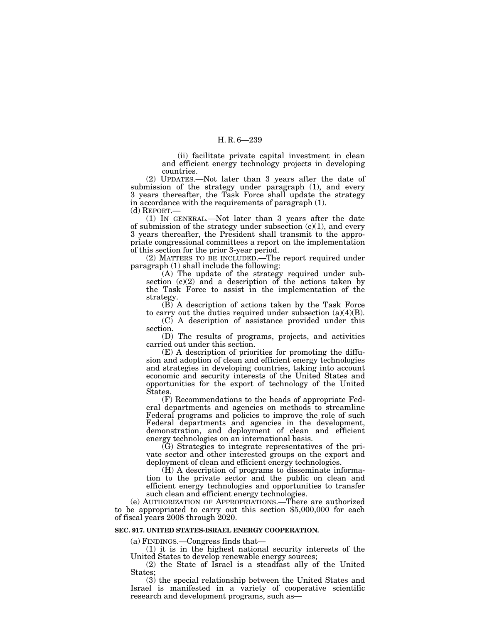(ii) facilitate private capital investment in clean and efficient energy technology projects in developing countries.

(2) UPDATES.—Not later than 3 years after the date of submission of the strategy under paragraph (1), and every 3 years thereafter, the Task Force shall update the strategy in accordance with the requirements of paragraph (1).

(d) REPORT.—

(1) IN GENERAL.—Not later than 3 years after the date of submission of the strategy under subsection  $(c)(1)$ , and every 3 years thereafter, the President shall transmit to the appropriate congressional committees a report on the implementation of this section for the prior 3-year period.

(2) MATTERS TO BE INCLUDED.—The report required under paragraph (1) shall include the following:

(A) The update of the strategy required under subsection (c)(2) and a description of the actions taken by the Task Force to assist in the implementation of the strategy.

(B) A description of actions taken by the Task Force to carry out the duties required under subsection (a)(4)(B).

(C) A description of assistance provided under this section.

(D) The results of programs, projects, and activities carried out under this section.

(E) A description of priorities for promoting the diffusion and adoption of clean and efficient energy technologies and strategies in developing countries, taking into account economic and security interests of the United States and opportunities for the export of technology of the United States.

(F) Recommendations to the heads of appropriate Federal departments and agencies on methods to streamline Federal programs and policies to improve the role of such Federal departments and agencies in the development, demonstration, and deployment of clean and efficient energy technologies on an international basis.

(G) Strategies to integrate representatives of the private sector and other interested groups on the export and deployment of clean and efficient energy technologies.

(H) A description of programs to disseminate information to the private sector and the public on clean and efficient energy technologies and opportunities to transfer such clean and efficient energy technologies.

(e) AUTHORIZATION OF APPROPRIATIONS.—There are authorized to be appropriated to carry out this section \$5,000,000 for each of fiscal years 2008 through 2020.

### **SEC. 917. UNITED STATES-ISRAEL ENERGY COOPERATION.**

(a) FINDINGS.—Congress finds that—

(1) it is in the highest national security interests of the United States to develop renewable energy sources;

(2) the State of Israel is a steadfast ally of the United States;

(3) the special relationship between the United States and Israel is manifested in a variety of cooperative scientific research and development programs, such as—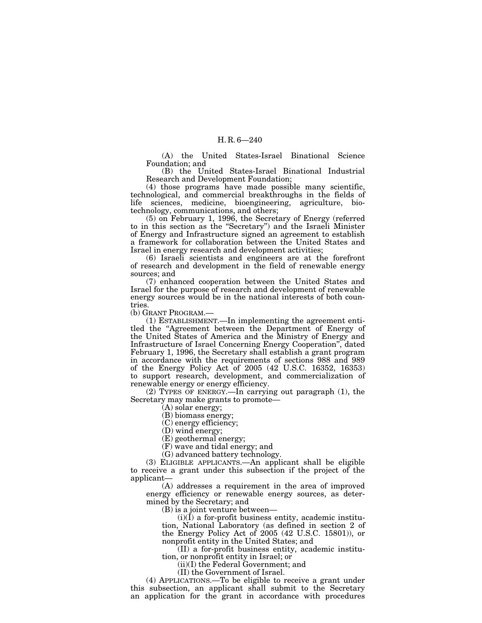(A) the United States-Israel Binational Science Foundation; and

(B) the United States-Israel Binational Industrial Research and Development Foundation;

(4) those programs have made possible many scientific, technological, and commercial breakthroughs in the fields of life sciences, medicine, bioengineering, agriculture, biotechnology, communications, and others;

(5) on February 1, 1996, the Secretary of Energy (referred to in this section as the ''Secretary'') and the Israeli Minister of Energy and Infrastructure signed an agreement to establish a framework for collaboration between the United States and Israel in energy research and development activities;

(6) Israeli scientists and engineers are at the forefront of research and development in the field of renewable energy sources; and

(7) enhanced cooperation between the United States and Israel for the purpose of research and development of renewable energy sources would be in the national interests of both countries.

(b) GRANT PROGRAM.—<br>(1) ESTABLISHMENT.—In implementing the agreement entitled the "Agreement between the Department of Energy of the United States of America and the Ministry of Energy and Infrastructure of Israel Concerning Energy Cooperation'', dated February 1, 1996, the Secretary shall establish a grant program in accordance with the requirements of sections 988 and 989 of the Energy Policy Act of 2005 (42 U.S.C. 16352, 16353) to support research, development, and commercialization of renewable energy or energy efficiency.

(2) TYPES OF ENERGY.—In carrying out paragraph (1), the Secretary may make grants to promote—

(A) solar energy;

(B) biomass energy;

(C) energy efficiency;

(D) wind energy;

(E) geothermal energy;

(F) wave and tidal energy; and

(G) advanced battery technology.

(3) ELIGIBLE APPLICANTS.—An applicant shall be eligible to receive a grant under this subsection if the project of the applicant—

(A) addresses a requirement in the area of improved energy efficiency or renewable energy sources, as determined by the Secretary; and

(B) is a joint venture between—

 $(i)(I)$  a for-profit business entity, academic institution, National Laboratory (as defined in section 2 of the Energy Policy Act of 2005 (42 U.S.C. 15801)), or nonprofit entity in the United States; and

(II) a for-profit business entity, academic institution, or nonprofit entity in Israel; or

(ii)(I) the Federal Government; and

(II) the Government of Israel.

(4) APPLICATIONS.—To be eligible to receive a grant under this subsection, an applicant shall submit to the Secretary an application for the grant in accordance with procedures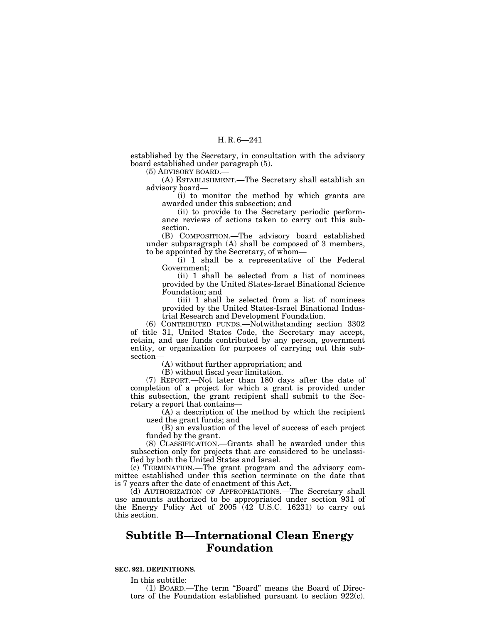established by the Secretary, in consultation with the advisory board established under paragraph (5).

(5) ADVISORY BOARD.—

(A) ESTABLISHMENT.—The Secretary shall establish an advisory board—

(i) to monitor the method by which grants are awarded under this subsection; and

(ii) to provide to the Secretary periodic performance reviews of actions taken to carry out this subsection.

(B) COMPOSITION.—The advisory board established under subparagraph (A) shall be composed of 3 members, to be appointed by the Secretary, of whom—

(i) 1 shall be a representative of the Federal Government;

(ii) 1 shall be selected from a list of nominees provided by the United States-Israel Binational Science Foundation; and

(iii) 1 shall be selected from a list of nominees provided by the United States-Israel Binational Industrial Research and Development Foundation.

(6) CONTRIBUTED FUNDS.—Notwithstanding section 3302 of title 31, United States Code, the Secretary may accept, retain, and use funds contributed by any person, government entity, or organization for purposes of carrying out this subsection—

(A) without further appropriation; and

(B) without fiscal year limitation.

(7) REPORT.—Not later than 180 days after the date of completion of a project for which a grant is provided under this subsection, the grant recipient shall submit to the Secretary a report that contains—

 $(A)$  a description of the method by which the recipient used the grant funds; and

(B) an evaluation of the level of success of each project funded by the grant.

(8) CLASSIFICATION.—Grants shall be awarded under this subsection only for projects that are considered to be unclassified by both the United States and Israel.

(c) TERMINATION.—The grant program and the advisory committee established under this section terminate on the date that is 7 years after the date of enactment of this Act.

(d) AUTHORIZATION OF APPROPRIATIONS.—The Secretary shall use amounts authorized to be appropriated under section 931 of the Energy Policy Act of 2005 (42 U.S.C. 16231) to carry out this section.

# **Subtitle B—International Clean Energy Foundation**

## **SEC. 921. DEFINITIONS.**

In this subtitle:

(1) BOARD.—The term ''Board'' means the Board of Directors of the Foundation established pursuant to section 922(c).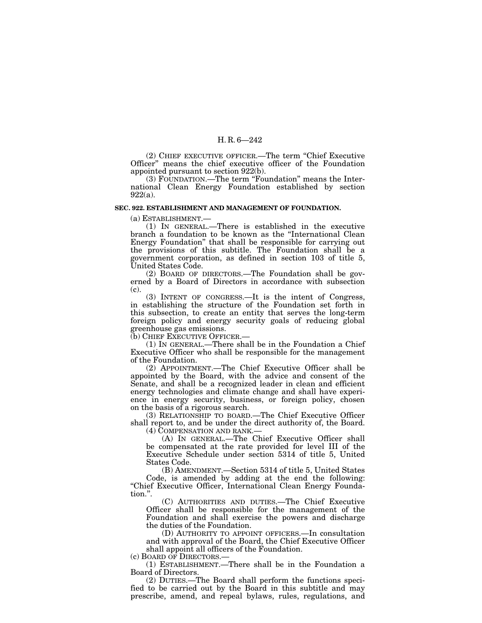(2) CHIEF EXECUTIVE OFFICER.—The term ''Chief Executive Officer'' means the chief executive officer of the Foundation appointed pursuant to section 922(b).

(3) FOUNDATION.—The term ''Foundation'' means the International Clean Energy Foundation established by section 922(a).

### **SEC. 922. ESTABLISHMENT AND MANAGEMENT OF FOUNDATION.**

(a) ESTABLISHMENT.—

(1) IN GENERAL.—There is established in the executive branch a foundation to be known as the ''International Clean Energy Foundation'' that shall be responsible for carrying out the provisions of this subtitle. The Foundation shall be a government corporation, as defined in section 103 of title 5, United States Code.

(2) BOARD OF DIRECTORS.—The Foundation shall be governed by a Board of Directors in accordance with subsection (c).

(3) INTENT OF CONGRESS.—It is the intent of Congress, in establishing the structure of the Foundation set forth in this subsection, to create an entity that serves the long-term foreign policy and energy security goals of reducing global greenhouse gas emissions.<br>
(b) CHIEF EXECUTIVE OFFICER.

 $(1)$  In GENERAL.—There shall be in the Foundation a Chief Executive Officer who shall be responsible for the management of the Foundation.

(2) APPOINTMENT.—The Chief Executive Officer shall be appointed by the Board, with the advice and consent of the Senate, and shall be a recognized leader in clean and efficient energy technologies and climate change and shall have experience in energy security, business, or foreign policy, chosen on the basis of a rigorous search.

(3) RELATIONSHIP TO BOARD.—The Chief Executive Officer shall report to, and be under the direct authority of, the Board.

(4) COMPENSATION AND RANK.— (A) IN GENERAL.—The Chief Executive Officer shall be compensated at the rate provided for level III of the Executive Schedule under section 5314 of title 5, United States Code.

(B) AMENDMENT.—Section 5314 of title 5, United States Code, is amended by adding at the end the following: ''Chief Executive Officer, International Clean Energy Foundation.''.

(C) AUTHORITIES AND DUTIES.—The Chief Executive Officer shall be responsible for the management of the Foundation and shall exercise the powers and discharge the duties of the Foundation.

(D) AUTHORITY TO APPOINT OFFICERS.—In consultation and with approval of the Board, the Chief Executive Officer shall appoint all officers of the Foundation.<br>(c) BOARD OF DIRECTORS.—

 $(1)$  ESTABLISHMENT.—There shall be in the Foundation a Board of Directors.

(2) DUTIES.—The Board shall perform the functions specified to be carried out by the Board in this subtitle and may prescribe, amend, and repeal bylaws, rules, regulations, and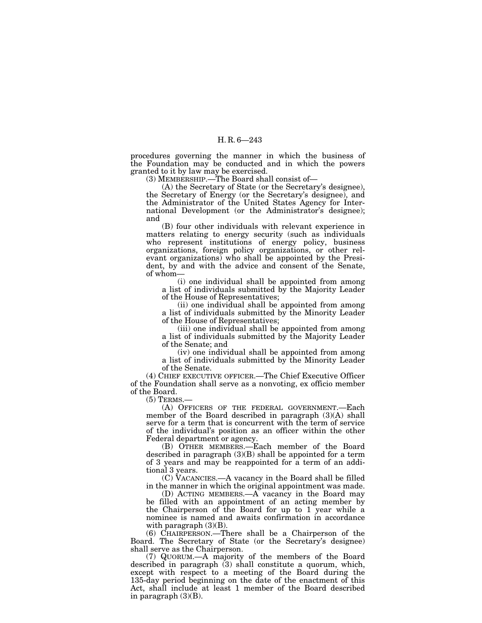procedures governing the manner in which the business of the Foundation may be conducted and in which the powers granted to it by law may be exercised.

(3) MEMBERSHIP.—The Board shall consist of—

(A) the Secretary of State (or the Secretary's designee), the Secretary of Energy (or the Secretary's designee), and the Administrator of the United States Agency for International Development (or the Administrator's designee); and

(B) four other individuals with relevant experience in matters relating to energy security (such as individuals who represent institutions of energy policy, business organizations, foreign policy organizations, or other relevant organizations) who shall be appointed by the President, by and with the advice and consent of the Senate, of whom—

(i) one individual shall be appointed from among a list of individuals submitted by the Majority Leader of the House of Representatives;

(ii) one individual shall be appointed from among a list of individuals submitted by the Minority Leader of the House of Representatives;

(iii) one individual shall be appointed from among a list of individuals submitted by the Majority Leader of the Senate; and

(iv) one individual shall be appointed from among a list of individuals submitted by the Minority Leader of the Senate.

(4) CHIEF EXECUTIVE OFFICER.—The Chief Executive Officer of the Foundation shall serve as a nonvoting, ex officio member of the Board.

(5) TERMS.—

(A) OFFICERS OF THE FEDERAL GOVERNMENT.—Each member of the Board described in paragraph (3)(A) shall serve for a term that is concurrent with the term of service of the individual's position as an officer within the other Federal department or agency.

(B) OTHER MEMBERS.—Each member of the Board described in paragraph (3)(B) shall be appointed for a term of 3 years and may be reappointed for a term of an additional 3 years.

(C) VACANCIES.—A vacancy in the Board shall be filled in the manner in which the original appointment was made.

(D) ACTING MEMBERS.—A vacancy in the Board may be filled with an appointment of an acting member by the Chairperson of the Board for up to 1 year while a nominee is named and awaits confirmation in accordance with paragraph  $(3)(B)$ .

(6) CHAIRPERSON.—There shall be a Chairperson of the Board. The Secretary of State (or the Secretary's designee) shall serve as the Chairperson.

(7) QUORUM.—A majority of the members of the Board described in paragraph (3) shall constitute a quorum, which, except with respect to a meeting of the Board during the 135-day period beginning on the date of the enactment of this Act, shall include at least 1 member of the Board described in paragraph (3)(B).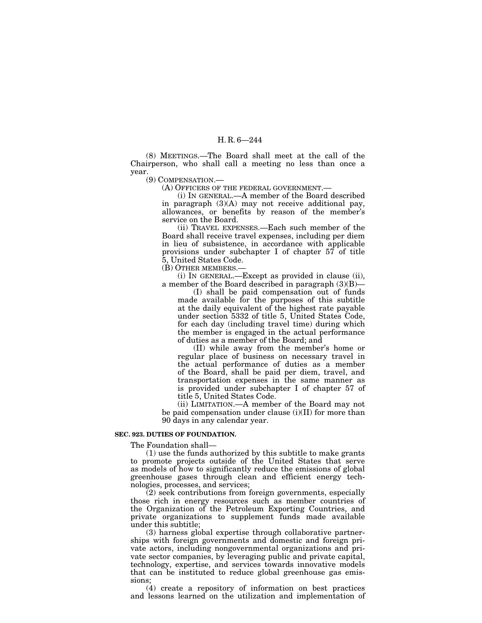(8) MEETINGS.—The Board shall meet at the call of the Chairperson, who shall call a meeting no less than once a year.

(9) COMPENSATION.—

(A) OFFICERS OF THE FEDERAL GOVERNMENT.—

(i) IN GENERAL.—A member of the Board described in paragraph (3)(A) may not receive additional pay, allowances, or benefits by reason of the member's service on the Board.

(ii) TRAVEL EXPENSES.—Each such member of the Board shall receive travel expenses, including per diem in lieu of subsistence, in accordance with applicable provisions under subchapter I of chapter  $57$  of title 5, United States Code.

(B) OTHER MEMBERS.—

(i) IN GENERAL.—Except as provided in clause (ii), a member of the Board described in paragraph (3)(B)—

(I) shall be paid compensation out of funds made available for the purposes of this subtitle at the daily equivalent of the highest rate payable under section 5332 of title 5, United States Code, for each day (including travel time) during which the member is engaged in the actual performance of duties as a member of the Board; and

(II) while away from the member's home or regular place of business on necessary travel in the actual performance of duties as a member of the Board, shall be paid per diem, travel, and transportation expenses in the same manner as is provided under subchapter I of chapter 57 of title 5, United States Code.

(ii) LIMITATION.—A member of the Board may not be paid compensation under clause (i)(II) for more than 90 days in any calendar year.

## **SEC. 923. DUTIES OF FOUNDATION.**

The Foundation shall—

(1) use the funds authorized by this subtitle to make grants to promote projects outside of the United States that serve as models of how to significantly reduce the emissions of global greenhouse gases through clean and efficient energy technologies, processes, and services;

(2) seek contributions from foreign governments, especially those rich in energy resources such as member countries of the Organization of the Petroleum Exporting Countries, and private organizations to supplement funds made available under this subtitle;

(3) harness global expertise through collaborative partnerships with foreign governments and domestic and foreign private actors, including nongovernmental organizations and private sector companies, by leveraging public and private capital, technology, expertise, and services towards innovative models that can be instituted to reduce global greenhouse gas emissions;

(4) create a repository of information on best practices and lessons learned on the utilization and implementation of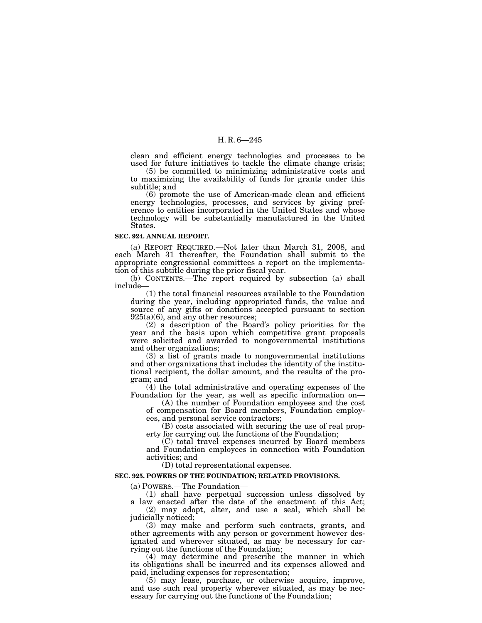clean and efficient energy technologies and processes to be used for future initiatives to tackle the climate change crisis;

(5) be committed to minimizing administrative costs and to maximizing the availability of funds for grants under this subtitle; and

(6) promote the use of American-made clean and efficient energy technologies, processes, and services by giving preference to entities incorporated in the United States and whose technology will be substantially manufactured in the United States.

#### **SEC. 924. ANNUAL REPORT.**

(a) REPORT REQUIRED.—Not later than March 31, 2008, and each March 31 thereafter, the Foundation shall submit to the appropriate congressional committees a report on the implementation of this subtitle during the prior fiscal year.

(b) CONTENTS.—The report required by subsection (a) shall include—

(1) the total financial resources available to the Foundation during the year, including appropriated funds, the value and source of any gifts or donations accepted pursuant to section  $925(a)(6)$ , and any other resources;

(2) a description of the Board's policy priorities for the year and the basis upon which competitive grant proposals were solicited and awarded to nongovernmental institutions and other organizations;

(3) a list of grants made to nongovernmental institutions and other organizations that includes the identity of the institutional recipient, the dollar amount, and the results of the program; and

(4) the total administrative and operating expenses of the Foundation for the year, as well as specific information on—

(A) the number of Foundation employees and the cost of compensation for Board members, Foundation employees, and personal service contractors;

(B) costs associated with securing the use of real property for carrying out the functions of the Foundation;

(C) total travel expenses incurred by Board members and Foundation employees in connection with Foundation activities; and

(D) total representational expenses.

### **SEC. 925. POWERS OF THE FOUNDATION; RELATED PROVISIONS.**

(a) POWERS.—The Foundation—

(1) shall have perpetual succession unless dissolved by a law enacted after the date of the enactment of this Act;

(2) may adopt, alter, and use a seal, which shall be judicially noticed; (3) may make and perform such contracts, grants, and

other agreements with any person or government however designated and wherever situated, as may be necessary for carrying out the functions of the Foundation;

 $(4)$  may determine and prescribe the manner in which its obligations shall be incurred and its expenses allowed and paid, including expenses for representation;

(5) may lease, purchase, or otherwise acquire, improve, and use such real property wherever situated, as may be necessary for carrying out the functions of the Foundation;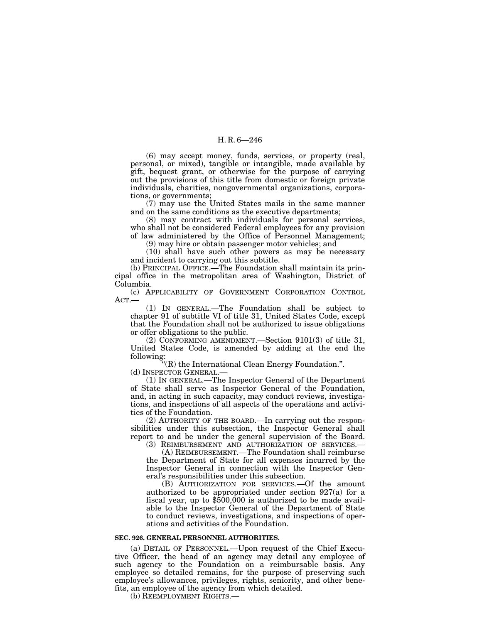(6) may accept money, funds, services, or property (real, personal, or mixed), tangible or intangible, made available by gift, bequest grant, or otherwise for the purpose of carrying out the provisions of this title from domestic or foreign private individuals, charities, nongovernmental organizations, corporations, or governments;

(7) may use the United States mails in the same manner and on the same conditions as the executive departments;

(8) may contract with individuals for personal services, who shall not be considered Federal employees for any provision of law administered by the Office of Personnel Management;

(9) may hire or obtain passenger motor vehicles; and

(10) shall have such other powers as may be necessary and incident to carrying out this subtitle.

(b) PRINCIPAL OFFICE.—The Foundation shall maintain its principal office in the metropolitan area of Washington, District of Columbia.

(c) APPLICABILITY OF GOVERNMENT CORPORATION CONTROL  $ACT$ .

(1) IN GENERAL.—The Foundation shall be subject to chapter 91 of subtitle VI of title 31, United States Code, except that the Foundation shall not be authorized to issue obligations or offer obligations to the public.

(2) CONFORMING AMENDMENT.—Section 9101(3) of title 31, United States Code, is amended by adding at the end the following:

''(R) the International Clean Energy Foundation.''.

(d) INSPECTOR GENERAL.—

(1) IN GENERAL.—The Inspector General of the Department of State shall serve as Inspector General of the Foundation, and, in acting in such capacity, may conduct reviews, investigations, and inspections of all aspects of the operations and activities of the Foundation.

(2) AUTHORITY OF THE BOARD.—In carrying out the responsibilities under this subsection, the Inspector General shall report to and be under the general supervision of the Board.

(3) REIMBURSEMENT AND AUTHORIZATION OF SERVICES.—

(A) REIMBURSEMENT.—The Foundation shall reimburse the Department of State for all expenses incurred by the Inspector General in connection with the Inspector General's responsibilities under this subsection.

(B) AUTHORIZATION FOR SERVICES.—Of the amount authorized to be appropriated under section 927(a) for a fiscal year, up to \$500,000 is authorized to be made available to the Inspector General of the Department of State to conduct reviews, investigations, and inspections of operations and activities of the Foundation.

### **SEC. 926. GENERAL PERSONNEL AUTHORITIES.**

(a) DETAIL OF PERSONNEL.—Upon request of the Chief Executive Officer, the head of an agency may detail any employee of such agency to the Foundation on a reimbursable basis. Any employee so detailed remains, for the purpose of preserving such employee's allowances, privileges, rights, seniority, and other benefits, an employee of the agency from which detailed.

(b) REEMPLOYMENT RIGHTS.—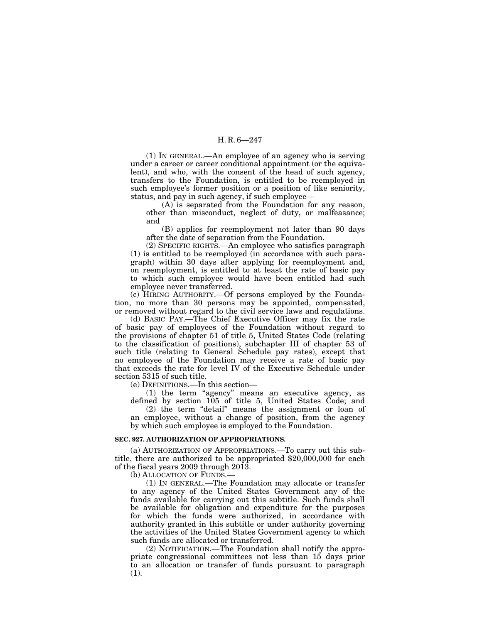(1) IN GENERAL.—An employee of an agency who is serving under a career or career conditional appointment (or the equivalent), and who, with the consent of the head of such agency, transfers to the Foundation, is entitled to be reemployed in such employee's former position or a position of like seniority, status, and pay in such agency, if such employee—

(A) is separated from the Foundation for any reason, other than misconduct, neglect of duty, or malfeasance; and

(B) applies for reemployment not later than 90 days after the date of separation from the Foundation.

(2) SPECIFIC RIGHTS.—An employee who satisfies paragraph (1) is entitled to be reemployed (in accordance with such paragraph) within 30 days after applying for reemployment and, on reemployment, is entitled to at least the rate of basic pay to which such employee would have been entitled had such employee never transferred.

(c) HIRING AUTHORITY.—Of persons employed by the Foundation, no more than 30 persons may be appointed, compensated, or removed without regard to the civil service laws and regulations.

(d) BASIC PAY.—The Chief Executive Officer may fix the rate of basic pay of employees of the Foundation without regard to the provisions of chapter 51 of title 5, United States Code (relating to the classification of positions), subchapter III of chapter 53 of such title (relating to General Schedule pay rates), except that no employee of the Foundation may receive a rate of basic pay that exceeds the rate for level IV of the Executive Schedule under section 5315 of such title.

(e) DEFINITIONS.—In this section—

(1) the term ''agency'' means an executive agency, as defined by section 105 of title 5, United States Code; and

(2) the term ''detail'' means the assignment or loan of an employee, without a change of position, from the agency by which such employee is employed to the Foundation.

### **SEC. 927. AUTHORIZATION OF APPROPRIATIONS.**

(a) AUTHORIZATION OF APPROPRIATIONS.—To carry out this subtitle, there are authorized to be appropriated \$20,000,000 for each of the fiscal years 2009 through 2013.

(b) ALLOCATION OF FUNDS.—

(1) IN GENERAL.—The Foundation may allocate or transfer to any agency of the United States Government any of the funds available for carrying out this subtitle. Such funds shall be available for obligation and expenditure for the purposes for which the funds were authorized, in accordance with authority granted in this subtitle or under authority governing the activities of the United States Government agency to which such funds are allocated or transferred.

(2) NOTIFICATION.—The Foundation shall notify the appropriate congressional committees not less than 15 days prior to an allocation or transfer of funds pursuant to paragraph (1).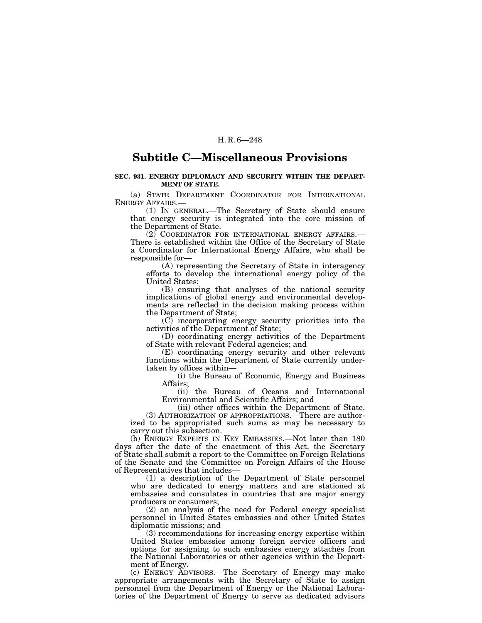# **Subtitle C—Miscellaneous Provisions**

### **SEC. 931. ENERGY DIPLOMACY AND SECURITY WITHIN THE DEPART-MENT OF STATE.**

(a) STATE DEPARTMENT COORDINATOR FOR INTERNATIONAL ENERGY AFFAIRS.—

(1) IN GENERAL.—The Secretary of State should ensure that energy security is integrated into the core mission of the Department of State.

(2) COORDINATOR FOR INTERNATIONAL ENERGY AFFAIRS.— There is established within the Office of the Secretary of State a Coordinator for International Energy Affairs, who shall be responsible for—

(A) representing the Secretary of State in interagency efforts to develop the international energy policy of the United States;

(B) ensuring that analyses of the national security implications of global energy and environmental developments are reflected in the decision making process within the Department of State;

(C) incorporating energy security priorities into the activities of the Department of State;

(D) coordinating energy activities of the Department of State with relevant Federal agencies; and

(E) coordinating energy security and other relevant functions within the Department of State currently undertaken by offices within—

(i) the Bureau of Economic, Energy and Business Affairs;

(ii) the Bureau of Oceans and International Environmental and Scientific Affairs; and

(iii) other offices within the Department of State. (3) AUTHORIZATION OF APPROPRIATIONS.—There are author-

ized to be appropriated such sums as may be necessary to carry out this subsection.

(b) ENERGY EXPERTS IN KEY EMBASSIES.—Not later than 180 days after the date of the enactment of this Act, the Secretary of State shall submit a report to the Committee on Foreign Relations of the Senate and the Committee on Foreign Affairs of the House of Representatives that includes—

(1) a description of the Department of State personnel who are dedicated to energy matters and are stationed at embassies and consulates in countries that are major energy producers or consumers;

(2) an analysis of the need for Federal energy specialist personnel in United States embassies and other United States diplomatic missions; and

(3) recommendations for increasing energy expertise within United States embassies among foreign service officers and options for assigning to such embassies energy attaches from the National Laboratories or other agencies within the Department of Energy.

(c) ENERGY ADVISORS.—The Secretary of Energy may make appropriate arrangements with the Secretary of State to assign personnel from the Department of Energy or the National Laboratories of the Department of Energy to serve as dedicated advisors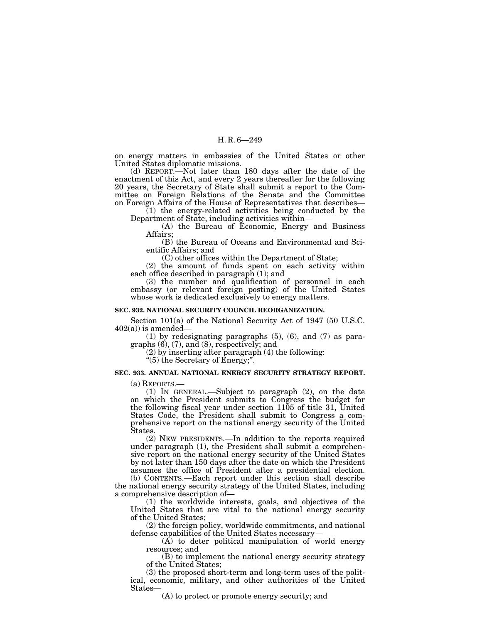on energy matters in embassies of the United States or other United States diplomatic missions.

(d) REPORT.—Not later than 180 days after the date of the enactment of this Act, and every 2 years thereafter for the following 20 years, the Secretary of State shall submit a report to the Committee on Foreign Relations of the Senate and the Committee on Foreign Affairs of the House of Representatives that describes—

 $(1)$  the energy-related activities being conducted by the Department of State, including activities within—

(A) the Bureau of Economic, Energy and Business Affairs;

(B) the Bureau of Oceans and Environmental and Scientific Affairs; and

(C) other offices within the Department of State;

(2) the amount of funds spent on each activity within each office described in paragraph (1); and

(3) the number and qualification of personnel in each embassy (or relevant foreign posting) of the United States whose work is dedicated exclusively to energy matters.

### **SEC. 932. NATIONAL SECURITY COUNCIL REORGANIZATION.**

Section 101(a) of the National Security Act of 1947 (50 U.S.C.  $402(a)$ ) is amended—

(1) by redesignating paragraphs (5), (6), and (7) as paragraphs (6), (7), and (8), respectively; and

(2) by inserting after paragraph (4) the following:

''(5) the Secretary of Energy;''.

### **SEC. 933. ANNUAL NATIONAL ENERGY SECURITY STRATEGY REPORT.**

(a) REPORTS.—

(1) IN GENERAL.—Subject to paragraph (2), on the date on which the President submits to Congress the budget for the following fiscal year under section 1105 of title 31, United States Code, the President shall submit to Congress a comprehensive report on the national energy security of the United States.

(2) NEW PRESIDENTS.—In addition to the reports required under paragraph (1), the President shall submit a comprehensive report on the national energy security of the United States by not later than 150 days after the date on which the President assumes the office of President after a presidential election. (b) CONTENTS.—Each report under this section shall describe

the national energy security strategy of the United States, including a comprehensive description of—

(1) the worldwide interests, goals, and objectives of the United States that are vital to the national energy security of the United States;

(2) the foreign policy, worldwide commitments, and national defense capabilities of the United States necessary—

(A) to deter political manipulation of world energy resources; and

(B) to implement the national energy security strategy of the United States;

(3) the proposed short-term and long-term uses of the political, economic, military, and other authorities of the United States—

(A) to protect or promote energy security; and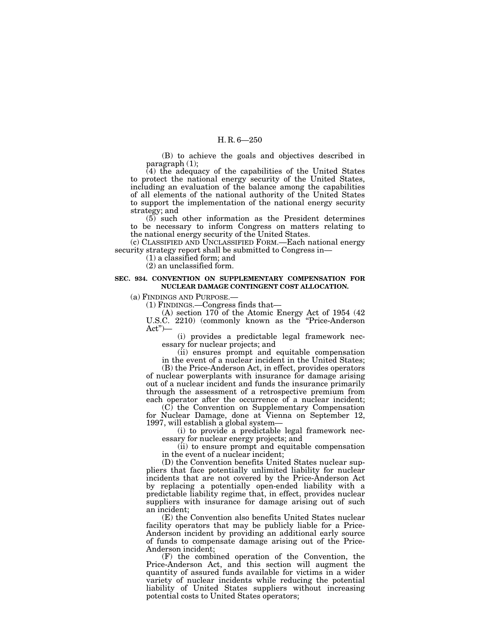(B) to achieve the goals and objectives described in paragraph (1);

(4) the adequacy of the capabilities of the United States to protect the national energy security of the United States, including an evaluation of the balance among the capabilities of all elements of the national authority of the United States to support the implementation of the national energy security strategy; and

(5) such other information as the President determines to be necessary to inform Congress on matters relating to the national energy security of the United States.

(c) CLASSIFIED AND UNCLASSIFIED FORM.—Each national energy security strategy report shall be submitted to Congress in—

(1) a classified form; and

(2) an unclassified form.

### **SEC. 934. CONVENTION ON SUPPLEMENTARY COMPENSATION FOR NUCLEAR DAMAGE CONTINGENT COST ALLOCATION.**

(a) FINDINGS AND PURPOSE.—

(1) FINDINGS.—Congress finds that—

(A) section 170 of the Atomic Energy Act of 1954 (42 U.S.C. 2210) (commonly known as the ''Price-Anderson Act'')—

(i) provides a predictable legal framework necessary for nuclear projects; and

(ii) ensures prompt and equitable compensation in the event of a nuclear incident in the United States;

(B) the Price-Anderson Act, in effect, provides operators of nuclear powerplants with insurance for damage arising out of a nuclear incident and funds the insurance primarily through the assessment of a retrospective premium from each operator after the occurrence of a nuclear incident;

(C) the Convention on Supplementary Compensation for Nuclear Damage, done at Vienna on September 12, 1997, will establish a global system—

(i) to provide a predictable legal framework necessary for nuclear energy projects; and

(ii) to ensure prompt and equitable compensation in the event of a nuclear incident;

(D) the Convention benefits United States nuclear suppliers that face potentially unlimited liability for nuclear incidents that are not covered by the Price-Anderson Act by replacing a potentially open-ended liability with a predictable liability regime that, in effect, provides nuclear suppliers with insurance for damage arising out of such an incident;

(E) the Convention also benefits United States nuclear facility operators that may be publicly liable for a Price-Anderson incident by providing an additional early source of funds to compensate damage arising out of the Price-Anderson incident;

(F) the combined operation of the Convention, the Price-Anderson Act, and this section will augment the quantity of assured funds available for victims in a wider variety of nuclear incidents while reducing the potential liability of United States suppliers without increasing potential costs to United States operators;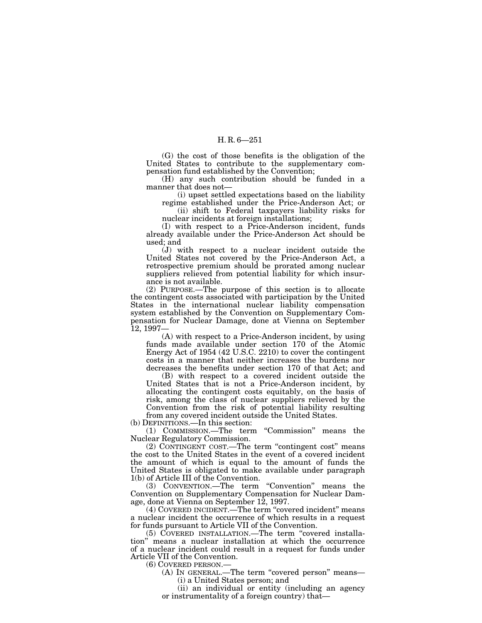(G) the cost of those benefits is the obligation of the United States to contribute to the supplementary compensation fund established by the Convention;

(H) any such contribution should be funded in a manner that does not—

(i) upset settled expectations based on the liability regime established under the Price-Anderson Act; or

(ii) shift to Federal taxpayers liability risks for nuclear incidents at foreign installations;

(I) with respect to a Price-Anderson incident, funds already available under the Price-Anderson Act should be used; and

(J) with respect to a nuclear incident outside the United States not covered by the Price-Anderson Act, a retrospective premium should be prorated among nuclear suppliers relieved from potential liability for which insurance is not available.

(2) PURPOSE.—The purpose of this section is to allocate the contingent costs associated with participation by the United States in the international nuclear liability compensation system established by the Convention on Supplementary Compensation for Nuclear Damage, done at Vienna on September 12, 1997—

(A) with respect to a Price-Anderson incident, by using funds made available under section 170 of the Atomic Energy Act of 1954 (42 U.S.C. 2210) to cover the contingent costs in a manner that neither increases the burdens nor decreases the benefits under section 170 of that Act; and

(B) with respect to a covered incident outside the United States that is not a Price-Anderson incident, by allocating the contingent costs equitably, on the basis of risk, among the class of nuclear suppliers relieved by the Convention from the risk of potential liability resulting from any covered incident outside the United States.

(b) DEFINITIONS.—In this section:

(1) COMMISSION.—The term ''Commission'' means the Nuclear Regulatory Commission.

(2) CONTINGENT COST.—The term ''contingent cost'' means the cost to the United States in the event of a covered incident the amount of which is equal to the amount of funds the United States is obligated to make available under paragraph 1(b) of Article III of the Convention.

(3) CONVENTION.—The term ''Convention'' means the Convention on Supplementary Compensation for Nuclear Damage, done at Vienna on September 12, 1997.

(4) COVERED INCIDENT.—The term ''covered incident'' means a nuclear incident the occurrence of which results in a request for funds pursuant to Article VII of the Convention.

(5) COVERED INSTALLATION.—The term ''covered installation'' means a nuclear installation at which the occurrence of a nuclear incident could result in a request for funds under Article VII of the Convention.

(6) COVERED PERSON.—

(A) IN GENERAL.—The term ''covered person'' means— (i) a United States person; and

(ii) an individual or entity (including an agency or instrumentality of a foreign country) that—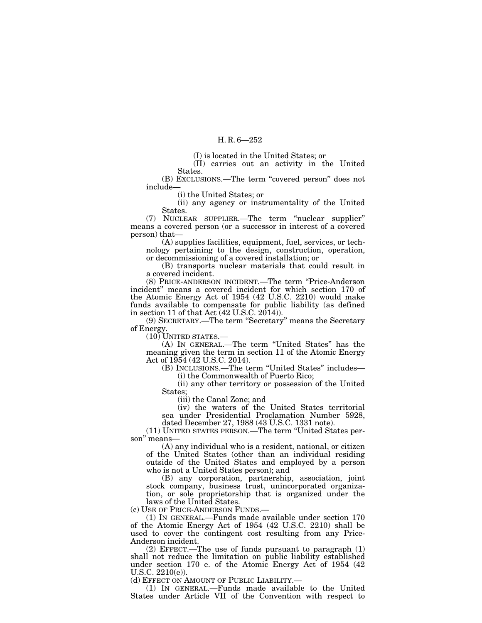(I) is located in the United States; or

(II) carries out an activity in the United States.

(B) EXCLUSIONS.—The term ''covered person'' does not include—

(i) the United States; or

(ii) any agency or instrumentality of the United States.

(7) NUCLEAR SUPPLIER.—The term ''nuclear supplier'' means a covered person (or a successor in interest of a covered person) that—

(A) supplies facilities, equipment, fuel, services, or technology pertaining to the design, construction, operation, or decommissioning of a covered installation; or

(B) transports nuclear materials that could result in a covered incident.

(8) PRICE-ANDERSON INCIDENT.—The term ''Price-Anderson incident'' means a covered incident for which section 170 of the Atomic Energy Act of 1954 (42 U.S.C. 2210) would make funds available to compensate for public liability (as defined in section 11 of that Act  $(42 \text{ U.S.C. } 2014)$ .

(9) SECRETARY.—The term ''Secretary'' means the Secretary of Energy.<br>(10) UNITED STATES.—

(A) IN GENERAL.—The term "United States" has the meaning given the term in section 11 of the Atomic Energy Act of 1954 (42 U.S.C. 2014).

(B) INCLUSIONS.—The term ''United States'' includes— (i) the Commonwealth of Puerto Rico;

(ii) any other territory or possession of the United States;

(iii) the Canal Zone; and

(iv) the waters of the United States territorial sea under Presidential Proclamation Number 5928, dated December 27, 1988 (43 U.S.C. 1331 note).

(11) UNITED STATES PERSON.—The term ''United States person'' means—

(A) any individual who is a resident, national, or citizen of the United States (other than an individual residing outside of the United States and employed by a person who is not a United States person); and

(B) any corporation, partnership, association, joint stock company, business trust, unincorporated organization, or sole proprietorship that is organized under the laws of the United States.

(c) USE OF PRICE-ANDERSON FUNDS.—

(1) IN GENERAL.—Funds made available under section 170 of the Atomic Energy Act of 1954 (42 U.S.C. 2210) shall be used to cover the contingent cost resulting from any Price-Anderson incident.

(2) EFFECT.—The use of funds pursuant to paragraph (1) shall not reduce the limitation on public liability established under section 170 e. of the Atomic Energy Act of 1954 (42 U.S.C. 2210(e)).

(d) EFFECT ON AMOUNT OF PUBLIC LIABILITY.—

(1) IN GENERAL.—Funds made available to the United States under Article VII of the Convention with respect to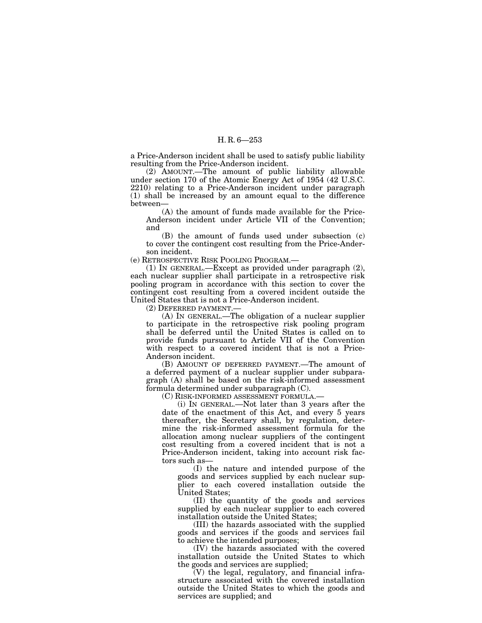a Price-Anderson incident shall be used to satisfy public liability resulting from the Price-Anderson incident.

(2) AMOUNT.—The amount of public liability allowable under section 170 of the Atomic Energy Act of 1954 (42 U.S.C. 2210) relating to a Price-Anderson incident under paragraph (1) shall be increased by an amount equal to the difference between—

(A) the amount of funds made available for the Price-Anderson incident under Article VII of the Convention; and

(B) the amount of funds used under subsection (c) to cover the contingent cost resulting from the Price-Anderson incident.

(e) RETROSPECTIVE RISK POOLING PROGRAM.—

(1) IN GENERAL.—Except as provided under paragraph (2), each nuclear supplier shall participate in a retrospective risk pooling program in accordance with this section to cover the contingent cost resulting from a covered incident outside the United States that is not a Price-Anderson incident.

(2) DEFERRED PAYMENT.—

(A) IN GENERAL.—The obligation of a nuclear supplier to participate in the retrospective risk pooling program shall be deferred until the United States is called on to provide funds pursuant to Article VII of the Convention with respect to a covered incident that is not a Price-Anderson incident.

(B) AMOUNT OF DEFERRED PAYMENT.—The amount of a deferred payment of a nuclear supplier under subparagraph (A) shall be based on the risk-informed assessment formula determined under subparagraph (C).

(C) RISK-INFORMED ASSESSMENT FORMULA.—

(i) IN GENERAL.—Not later than 3 years after the date of the enactment of this Act, and every 5 years thereafter, the Secretary shall, by regulation, determine the risk-informed assessment formula for the allocation among nuclear suppliers of the contingent cost resulting from a covered incident that is not a Price-Anderson incident, taking into account risk factors such as—

(I) the nature and intended purpose of the goods and services supplied by each nuclear supplier to each covered installation outside the United States;

(II) the quantity of the goods and services supplied by each nuclear supplier to each covered installation outside the United States;

(III) the hazards associated with the supplied goods and services if the goods and services fail to achieve the intended purposes;

(IV) the hazards associated with the covered installation outside the United States to which the goods and services are supplied;

(V) the legal, regulatory, and financial infrastructure associated with the covered installation outside the United States to which the goods and services are supplied; and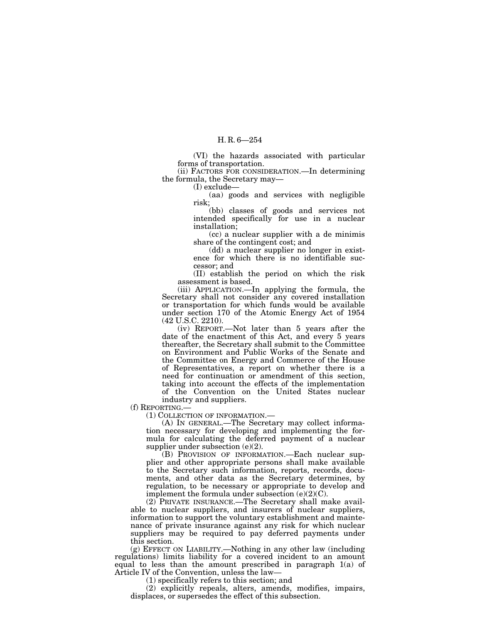(VI) the hazards associated with particular forms of transportation.

(ii) FACTORS FOR CONSIDERATION.—In determining the formula, the Secretary may—

(I) exclude—

(aa) goods and services with negligible risk;

(bb) classes of goods and services not intended specifically for use in a nuclear installation;

(cc) a nuclear supplier with a de minimis share of the contingent cost; and

(dd) a nuclear supplier no longer in existence for which there is no identifiable successor; and

(II) establish the period on which the risk assessment is based.

(iii) APPLICATION.—In applying the formula, the Secretary shall not consider any covered installation or transportation for which funds would be available under section 170 of the Atomic Energy Act of 1954 (42 U.S.C. 2210).

(iv) REPORT.—Not later than 5 years after the date of the enactment of this Act, and every 5 years thereafter, the Secretary shall submit to the Committee on Environment and Public Works of the Senate and the Committee on Energy and Commerce of the House of Representatives, a report on whether there is a need for continuation or amendment of this section, taking into account the effects of the implementation of the Convention on the United States nuclear

industry and suppliers. (f) REPORTING.—

(1) COLLECTION OF INFORMATION.—

(A) IN GENERAL.—The Secretary may collect information necessary for developing and implementing the formula for calculating the deferred payment of a nuclear supplier under subsection (e)(2).

(B) PROVISION OF INFORMATION.—Each nuclear supplier and other appropriate persons shall make available to the Secretary such information, reports, records, documents, and other data as the Secretary determines, by regulation, to be necessary or appropriate to develop and implement the formula under subsection  $(e)(2)(C)$ .

(2) PRIVATE INSURANCE.—The Secretary shall make available to nuclear suppliers, and insurers of nuclear suppliers, information to support the voluntary establishment and maintenance of private insurance against any risk for which nuclear suppliers may be required to pay deferred payments under this section.

(g) EFFECT ON LIABILITY.—Nothing in any other law (including regulations) limits liability for a covered incident to an amount equal to less than the amount prescribed in paragraph 1(a) of Article IV of the Convention, unless the law—

(1) specifically refers to this section; and

(2) explicitly repeals, alters, amends, modifies, impairs, displaces, or supersedes the effect of this subsection.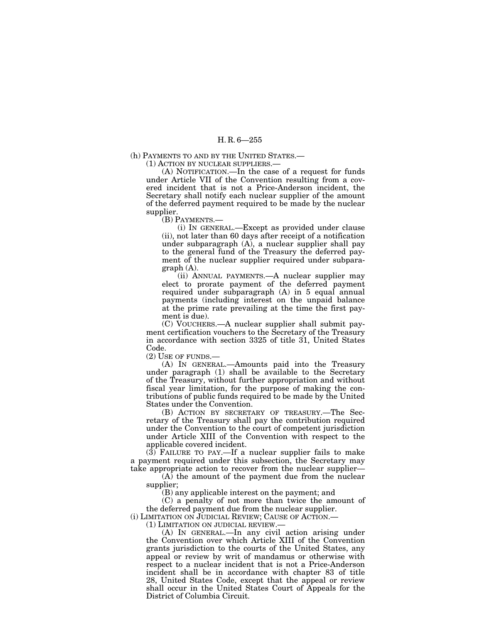#### (h) PAYMENTS TO AND BY THE UNITED STATES.—

(1) ACTION BY NUCLEAR SUPPLIERS.—

(A) NOTIFICATION.—In the case of a request for funds under Article VII of the Convention resulting from a covered incident that is not a Price-Anderson incident, the Secretary shall notify each nuclear supplier of the amount of the deferred payment required to be made by the nuclear supplier.

(B) PAYMENTS.—

(i) IN GENERAL.—Except as provided under clause (ii), not later than 60 days after receipt of a notification under subparagraph (A), a nuclear supplier shall pay to the general fund of the Treasury the deferred payment of the nuclear supplier required under subparagraph (A).

(ii) ANNUAL PAYMENTS.—A nuclear supplier may elect to prorate payment of the deferred payment required under subparagraph (A) in 5 equal annual payments (including interest on the unpaid balance at the prime rate prevailing at the time the first payment is due).

(C) VOUCHERS.—A nuclear supplier shall submit payment certification vouchers to the Secretary of the Treasury in accordance with section 3325 of title 31, United States Code.

(2) USE OF FUNDS.—

(A) IN GENERAL.—Amounts paid into the Treasury under paragraph (1) shall be available to the Secretary of the Treasury, without further appropriation and without fiscal year limitation, for the purpose of making the contributions of public funds required to be made by the United States under the Convention.

(B) ACTION BY SECRETARY OF TREASURY.—The Secretary of the Treasury shall pay the contribution required under the Convention to the court of competent jurisdiction under Article XIII of the Convention with respect to the applicable covered incident.

 $(3)$  FAILURE TO PAY.—If a nuclear supplier fails to make a payment required under this subsection, the Secretary may take appropriate action to recover from the nuclear supplier—

 $(A)$  the amount of the payment due from the nuclear supplier;

(B) any applicable interest on the payment; and

(C) a penalty of not more than twice the amount of the deferred payment due from the nuclear supplier.

(i) LIMITATION ON JUDICIAL REVIEW; CAUSE OF ACTION.—

(1) LIMITATION ON JUDICIAL REVIEW.—

(A) IN GENERAL.—In any civil action arising under the Convention over which Article XIII of the Convention grants jurisdiction to the courts of the United States, any appeal or review by writ of mandamus or otherwise with respect to a nuclear incident that is not a Price-Anderson incident shall be in accordance with chapter 83 of title 28, United States Code, except that the appeal or review shall occur in the United States Court of Appeals for the District of Columbia Circuit.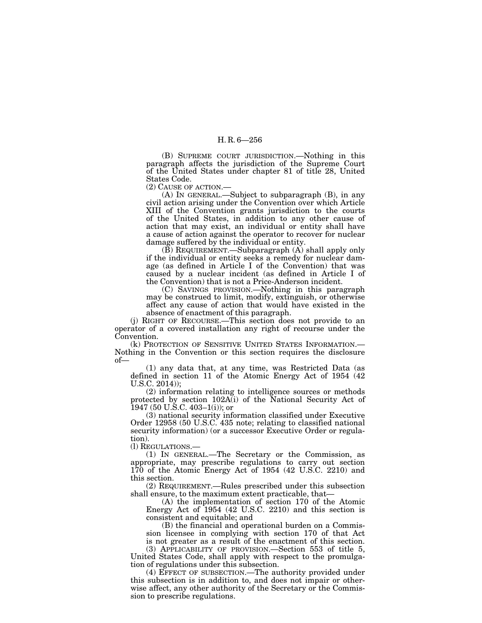(B) SUPREME COURT JURISDICTION.—Nothing in this paragraph affects the jurisdiction of the Supreme Court of the United States under chapter 81 of title 28, United States Code.

(2) CAUSE OF ACTION.—

(A) IN GENERAL.—Subject to subparagraph (B), in any civil action arising under the Convention over which Article XIII of the Convention grants jurisdiction to the courts of the United States, in addition to any other cause of action that may exist, an individual or entity shall have a cause of action against the operator to recover for nuclear damage suffered by the individual or entity.

 $(\overline{B})$  REQUIREMENT.—Subparagraph  $(\overline{A})$  shall apply only if the individual or entity seeks a remedy for nuclear damage (as defined in Article I of the Convention) that was caused by a nuclear incident (as defined in Article I of the Convention) that is not a Price-Anderson incident.

(C) SAVINGS PROVISION.—Nothing in this paragraph may be construed to limit, modify, extinguish, or otherwise affect any cause of action that would have existed in the absence of enactment of this paragraph.

(j) RIGHT OF RECOURSE.—This section does not provide to an operator of a covered installation any right of recourse under the Convention.<br>(k) Protection of Sensitive United States Information.—

Nothing in the Convention or this section requires the disclosure of—

(1) any data that, at any time, was Restricted Data (as defined in section 11 of the Atomic Energy Act of 1954 (42 U.S.C. 2014));

(2) information relating to intelligence sources or methods protected by section 102A(i) of the National Security Act of  $1947$  (50 U.S.C. 403–1(i)); or

(3) national security information classified under Executive Order 12958 (50 U.S.C. 435 note; relating to classified national security information) (or a successor Executive Order or regulation).

(l) REGULATIONS.— (1) IN GENERAL.—The Secretary or the Commission, as appropriate, may prescribe regulations to carry out section 170 of the Atomic Energy Act of 1954 (42 U.S.C. 2210) and this section.

(2) REQUIREMENT.—Rules prescribed under this subsection shall ensure, to the maximum extent practicable, that—

(A) the implementation of section 170 of the Atomic Energy Act of 1954 (42 U.S.C. 2210) and this section is consistent and equitable; and

(B) the financial and operational burden on a Commission licensee in complying with section 170 of that Act is not greater as a result of the enactment of this section.

(3) APPLICABILITY OF PROVISION.—Section 553 of title 5, United States Code, shall apply with respect to the promulgation of regulations under this subsection.

(4) EFFECT OF SUBSECTION.—The authority provided under this subsection is in addition to, and does not impair or otherwise affect, any other authority of the Secretary or the Commission to prescribe regulations.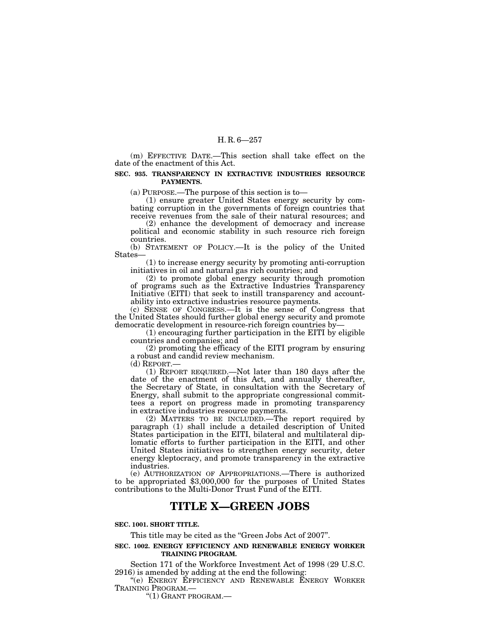(m) EFFECTIVE DATE.—This section shall take effect on the date of the enactment of this Act.

#### **SEC. 935. TRANSPARENCY IN EXTRACTIVE INDUSTRIES RESOURCE PAYMENTS.**

(a) PURPOSE.—The purpose of this section is to—

(1) ensure greater United States energy security by combating corruption in the governments of foreign countries that receive revenues from the sale of their natural resources; and

(2) enhance the development of democracy and increase political and economic stability in such resource rich foreign countries.

(b) STATEMENT OF POLICY.—It is the policy of the United States—

(1) to increase energy security by promoting anti-corruption initiatives in oil and natural gas rich countries; and

(2) to promote global energy security through promotion of programs such as the Extractive Industries Transparency Initiative (EITI) that seek to instill transparency and accountability into extractive industries resource payments.

(c) SENSE OF CONGRESS.—It is the sense of Congress that the United States should further global energy security and promote democratic development in resource-rich foreign countries by—

(1) encouraging further participation in the EITI by eligible countries and companies; and

(2) promoting the efficacy of the EITI program by ensuring a robust and candid review mechanism.

 $(1)$  REPORT REQUIRED.—Not later than 180 days after the date of the enactment of this Act, and annually thereafter, the Secretary of State, in consultation with the Secretary of Energy, shall submit to the appropriate congressional committees a report on progress made in promoting transparency in extractive industries resource payments.

(2) MATTERS TO BE INCLUDED.—The report required by paragraph (1) shall include a detailed description of United States participation in the EITI, bilateral and multilateral diplomatic efforts to further participation in the EITI, and other United States initiatives to strengthen energy security, deter energy kleptocracy, and promote transparency in the extractive industries.

(e) AUTHORIZATION OF APPROPRIATIONS.—There is authorized to be appropriated \$3,000,000 for the purposes of United States contributions to the Multi-Donor Trust Fund of the EITI.

# **TITLE X—GREEN JOBS**

#### **SEC. 1001. SHORT TITLE.**

This title may be cited as the "Green Jobs Act of 2007".

#### **SEC. 1002. ENERGY EFFICIENCY AND RENEWABLE ENERGY WORKER TRAINING PROGRAM.**

Section 171 of the Workforce Investment Act of 1998 (29 U.S.C. 2916) is amended by adding at the end the following:

''(e) ENERGY EFFICIENCY AND RENEWABLE ENERGY WORKER TRAINING PROGRAM.—

''(1) GRANT PROGRAM.—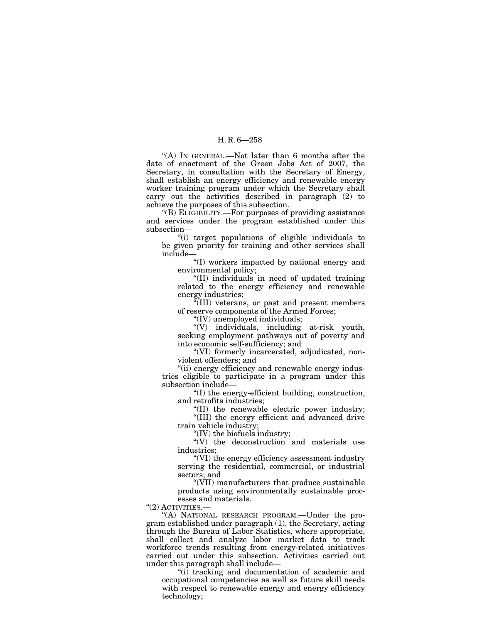''(A) IN GENERAL.—Not later than 6 months after the date of enactment of the Green Jobs Act of 2007, the Secretary, in consultation with the Secretary of Energy, shall establish an energy efficiency and renewable energy worker training program under which the Secretary shall carry out the activities described in paragraph (2) to achieve the purposes of this subsection.

''(B) ELIGIBILITY.—For purposes of providing assistance and services under the program established under this subsection—

''(i) target populations of eligible individuals to be given priority for training and other services shall include—

''(I) workers impacted by national energy and environmental policy;

''(II) individuals in need of updated training related to the energy efficiency and renewable energy industries;

''(III) veterans, or past and present members of reserve components of the Armed Forces;

''(IV) unemployed individuals;

''(V) individuals, including at-risk youth, seeking employment pathways out of poverty and into economic self-sufficiency; and

''(VI) formerly incarcerated, adjudicated, nonviolent offenders; and

''(ii) energy efficiency and renewable energy industries eligible to participate in a program under this subsection include—

''(I) the energy-efficient building, construction, and retrofits industries;

''(II) the renewable electric power industry; ''(III) the energy efficient and advanced drive train vehicle industry;

''(IV) the biofuels industry;

''(V) the deconstruction and materials use industries;

''(VI) the energy efficiency assessment industry serving the residential, commercial, or industrial sectors; and

''(VII) manufacturers that produce sustainable products using environmentally sustainable processes and materials.

"(2) ACTIVITIES.-

''(A) NATIONAL RESEARCH PROGRAM.—Under the program established under paragraph (1), the Secretary, acting through the Bureau of Labor Statistics, where appropriate, shall collect and analyze labor market data to track workforce trends resulting from energy-related initiatives carried out under this subsection. Activities carried out under this paragraph shall include—

''(i) tracking and documentation of academic and occupational competencies as well as future skill needs with respect to renewable energy and energy efficiency technology;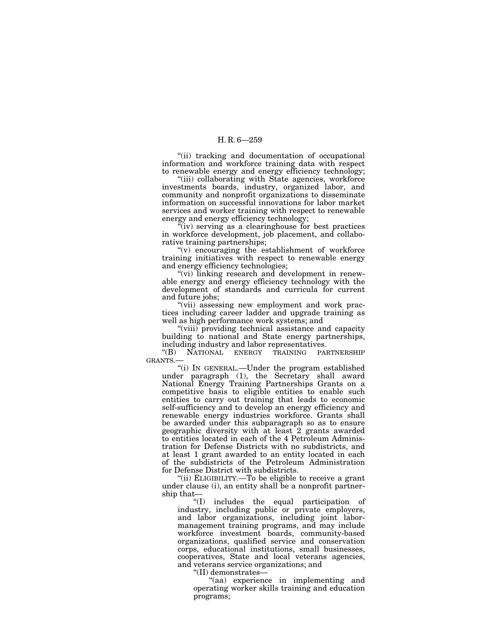''(ii) tracking and documentation of occupational information and workforce training data with respect to renewable energy and energy efficiency technology;

"(iii) collaborating with State agencies, workforce investments boards, industry, organized labor, and community and nonprofit organizations to disseminate information on successful innovations for labor market services and worker training with respect to renewable energy and energy efficiency technology;

 $\tilde{f}(iv)$  serving as a clearinghouse for best practices in workforce development, job placement, and collaborative training partnerships;

''(v) encouraging the establishment of workforce training initiatives with respect to renewable energy and energy efficiency technologies;

 $(vi)$  linking research and development in renewable energy and energy efficiency technology with the development of standards and curricula for current and future jobs;

''(vii) assessing new employment and work practices including career ladder and upgrade training as well as high performance work systems; and

"(viii) providing technical assistance and capacity building to national and State energy partnerships, including industry and labor representatives.

''(B) NATIONAL ENERGY TRAINING PARTNERSHIP GRANTS.—

''(i) IN GENERAL.—Under the program established under paragraph (1), the Secretary shall award National Energy Training Partnerships Grants on a competitive basis to eligible entities to enable such entities to carry out training that leads to economic self-sufficiency and to develop an energy efficiency and renewable energy industries workforce. Grants shall be awarded under this subparagraph so as to ensure geographic diversity with at least 2 grants awarded to entities located in each of the 4 Petroleum Administration for Defense Districts with no subdistricts, and at least 1 grant awarded to an entity located in each of the subdistricts of the Petroleum Administration for Defense District with subdistricts.

"(ii) ELIGIBILITY.—To be eligible to receive a grant under clause (i), an entity shall be a nonprofit partnership that—

''(I) includes the equal participation of industry, including public or private employers, and labor organizations, including joint labormanagement training programs, and may include workforce investment boards, community-based organizations, qualified service and conservation corps, educational institutions, small businesses, cooperatives, State and local veterans agencies, and veterans service organizations; and

''(II) demonstrates—

''(aa) experience in implementing and operating worker skills training and education programs;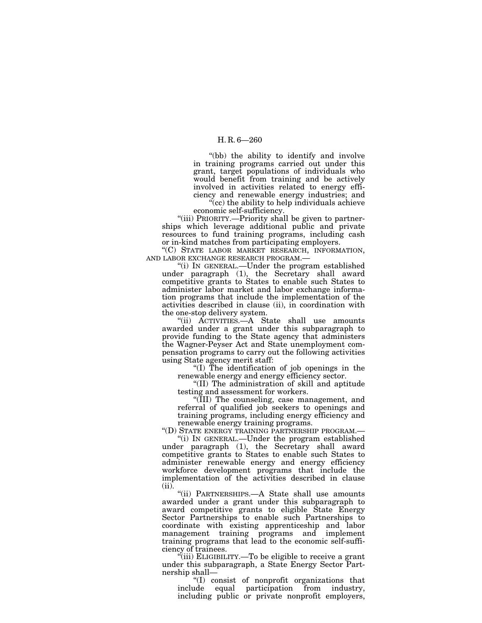''(bb) the ability to identify and involve in training programs carried out under this grant, target populations of individuals who would benefit from training and be actively involved in activities related to energy efficiency and renewable energy industries; and

''(cc) the ability to help individuals achieve economic self-sufficiency.

"(iii) PRIORITY.—Priority shall be given to partnerships which leverage additional public and private resources to fund training programs, including cash or in-kind matches from participating employers.

''(C) STATE LABOR MARKET RESEARCH, INFORMATION, AND LABOR EXCHANGE RESEARCH PROGRAM.—

''(i) IN GENERAL.—Under the program established under paragraph (1), the Secretary shall award competitive grants to States to enable such States to administer labor market and labor exchange information programs that include the implementation of the activities described in clause (ii), in coordination with the one-stop delivery system.

''(ii) ACTIVITIES.—A State shall use amounts awarded under a grant under this subparagraph to provide funding to the State agency that administers the Wagner-Peyser Act and State unemployment compensation programs to carry out the following activities using State agency merit staff:

''(I) The identification of job openings in the renewable energy and energy efficiency sector.

''(II) The administration of skill and aptitude testing and assessment for workers.

''(III) The counseling, case management, and referral of qualified job seekers to openings and training programs, including energy efficiency and renewable energy training programs.

''(D) STATE ENERGY TRAINING PARTNERSHIP PROGRAM.— ''(i) IN GENERAL.—Under the program established

under paragraph (1), the Secretary shall award competitive grants to States to enable such States to administer renewable energy and energy efficiency workforce development programs that include the implementation of the activities described in clause (ii).

''(ii) PARTNERSHIPS.—A State shall use amounts awarded under a grant under this subparagraph to award competitive grants to eligible State Energy Sector Partnerships to enable such Partnerships to coordinate with existing apprenticeship and labor management training programs and implement training programs that lead to the economic self-sufficiency of trainees.

''(iii) ELIGIBILITY.—To be eligible to receive a grant under this subparagraph, a State Energy Sector Partnership shall—

''(I) consist of nonprofit organizations that include equal participation from industry, including public or private nonprofit employers,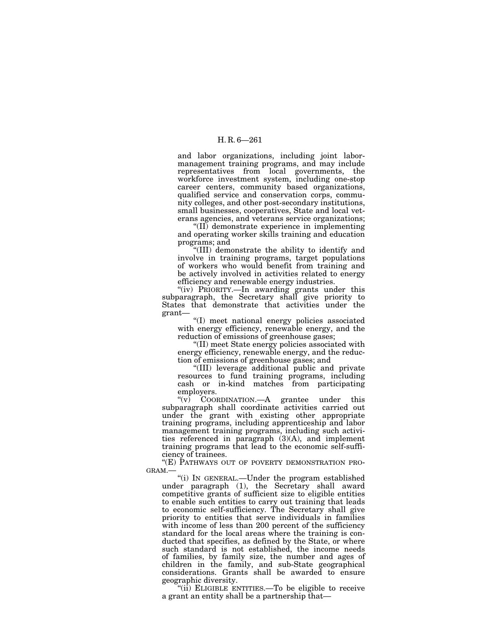and labor organizations, including joint labormanagement training programs, and may include representatives from local governments, the workforce investment system, including one-stop career centers, community based organizations, qualified service and conservation corps, community colleges, and other post-secondary institutions, small businesses, cooperatives, State and local veterans agencies, and veterans service organizations;

''(II) demonstrate experience in implementing and operating worker skills training and education programs; and

''(III) demonstrate the ability to identify and involve in training programs, target populations of workers who would benefit from training and be actively involved in activities related to energy efficiency and renewable energy industries.

"(iv) PRIORITY.—In awarding grants under this subparagraph, the Secretary shall give priority to States that demonstrate that activities under the grant—

''(I) meet national energy policies associated with energy efficiency, renewable energy, and the reduction of emissions of greenhouse gases;

''(II) meet State energy policies associated with energy efficiency, renewable energy, and the reduction of emissions of greenhouse gases; and

''(III) leverage additional public and private resources to fund training programs, including cash or in-kind matches from participating employers.

" $(v)$  COORDINATION.—A grantee under this subparagraph shall coordinate activities carried out under the grant with existing other appropriate training programs, including apprenticeship and labor management training programs, including such activities referenced in paragraph (3)(A), and implement training programs that lead to the economic self-sufficiency of trainees.

"(E) PATHWAYS OUT OF POVERTY DEMONSTRATION PRO-GRAM.—

''(i) IN GENERAL.—Under the program established under paragraph (1), the Secretary shall award competitive grants of sufficient size to eligible entities to enable such entities to carry out training that leads to economic self-sufficiency. The Secretary shall give priority to entities that serve individuals in families with income of less than 200 percent of the sufficiency standard for the local areas where the training is conducted that specifies, as defined by the State, or where such standard is not established, the income needs of families, by family size, the number and ages of children in the family, and sub-State geographical considerations. Grants shall be awarded to ensure geographic diversity.

"(ii) ELIGIBLE ENTITIES.—To be eligible to receive a grant an entity shall be a partnership that-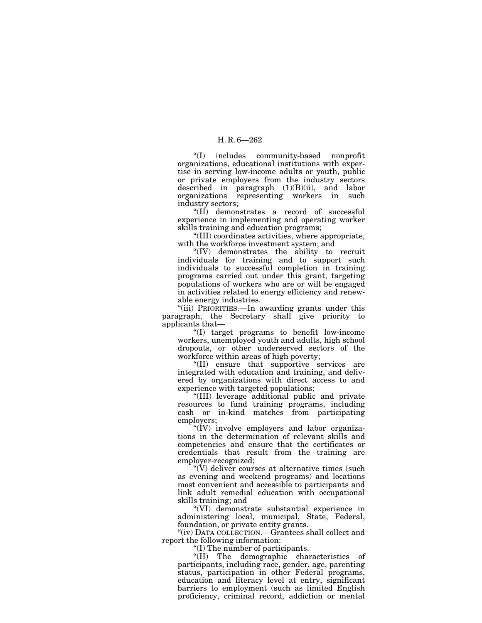''(I) includes community-based nonprofit organizations, educational institutions with expertise in serving low-income adults or youth, public or private employers from the industry sectors described in paragraph (1)(B)(ii), and labor organizations representing workers in such industry sectors;

''(II) demonstrates a record of successful experience in implementing and operating worker skills training and education programs;

''(III) coordinates activities, where appropriate, with the workforce investment system; and

''(IV) demonstrates the ability to recruit individuals for training and to support such individuals to successful completion in training programs carried out under this grant, targeting populations of workers who are or will be engaged in activities related to energy efficiency and renewable energy industries.

"(iii) PRIORITIES.—In awarding grants under this paragraph, the Secretary shall give priority to applicants that—

''(I) target programs to benefit low-income workers, unemployed youth and adults, high school dropouts, or other underserved sectors of the workforce within areas of high poverty;

"(II) ensure that supportive services are integrated with education and training, and delivered by organizations with direct access to and experience with targeted populations;

''(III) leverage additional public and private resources to fund training programs, including cash or in-kind matches from participating employers;

"(IV) involve employers and labor organizations in the determination of relevant skills and competencies and ensure that the certificates or credentials that result from the training are employer-recognized;

''(V) deliver courses at alternative times (such as evening and weekend programs) and locations most convenient and accessible to participants and link adult remedial education with occupational skills training; and

''(VI) demonstrate substantial experience in administering local, municipal, State, Federal, foundation, or private entity grants.

"(iv) DATA COLLECTION.—Grantees shall collect and report the following information:

''(I) The number of participants.

''(II) The demographic characteristics of participants, including race, gender, age, parenting status, participation in other Federal programs, education and literacy level at entry, significant barriers to employment (such as limited English proficiency, criminal record, addiction or mental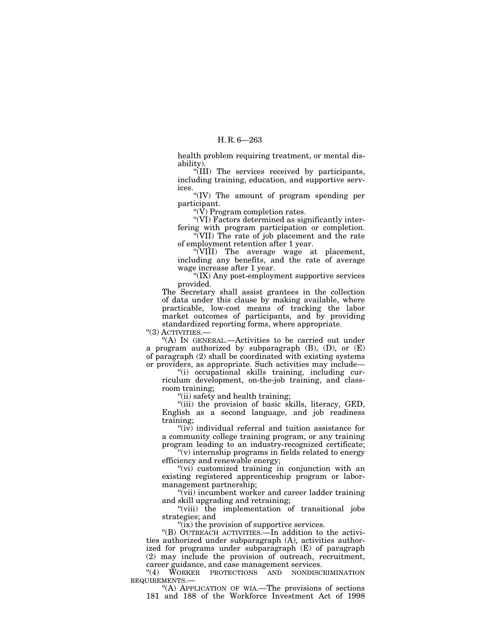health problem requiring treatment, or mental disability).

''(III) The services received by participants, including training, education, and supportive services.

''(IV) The amount of program spending per participant.

" $(\tilde{V})$  Program completion rates.

''(VI) Factors determined as significantly interfering with program participation or completion.

''(VII) The rate of job placement and the rate of employment retention after 1 year.

''(VIII) The average wage at placement, including any benefits, and the rate of average wage increase after 1 year.

''(IX) Any post-employment supportive services provided.

The Secretary shall assist grantees in the collection of data under this clause by making available, where practicable, low-cost means of tracking the labor market outcomes of participants, and by providing standardized reporting forms, where appropriate.

"(3) ACTIVITIES.-

''(A) IN GENERAL.—Activities to be carried out under a program authorized by subparagraph  $(B)$ ,  $(D)$ , or  $(E)$ of paragraph (2) shall be coordinated with existing systems or providers, as appropriate. Such activities may include—

''(i) occupational skills training, including curriculum development, on-the-job training, and classroom training;

''(ii) safety and health training;

"(iii) the provision of basic skills, literacy, GED, English as a second language, and job readiness training;

''(iv) individual referral and tuition assistance for a community college training program, or any training program leading to an industry-recognized certificate;

''(v) internship programs in fields related to energy efficiency and renewable energy;

"(vi) customized training in conjunction with an existing registered apprenticeship program or labormanagement partnership;

''(vii) incumbent worker and career ladder training and skill upgrading and retraining;

''(viii) the implementation of transitional jobs strategies; and

"(ix) the provision of supportive services.

''(B) OUTREACH ACTIVITIES.—In addition to the activities authorized under subparagraph (A), activities authorized for programs under subparagraph (E) of paragraph (2) may include the provision of outreach, recruitment, career guidance, and case management services.

"(4) WORKER PROTECTIONS AND NONDISCRIMINATION REQUIREMENTS.—

''(A) APPLICATION OF WIA.—The provisions of sections 181 and 188 of the Workforce Investment Act of 1998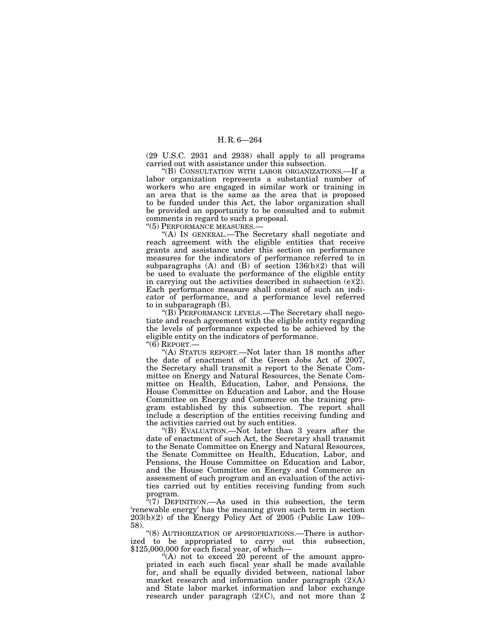(29 U.S.C. 2931 and 2938) shall apply to all programs carried out with assistance under this subsection.

''(B) CONSULTATION WITH LABOR ORGANIZATIONS.—If a labor organization represents a substantial number of workers who are engaged in similar work or training in an area that is the same as the area that is proposed to be funded under this Act, the labor organization shall be provided an opportunity to be consulted and to submit comments in regard to such a proposal.

"(5) PERFORMANCE MEASURES.

''(A) IN GENERAL.—The Secretary shall negotiate and reach agreement with the eligible entities that receive grants and assistance under this section on performance measures for the indicators of performance referred to in subparagraphs (A) and (B) of section 136(b)(2) that will be used to evaluate the performance of the eligible entity in carrying out the activities described in subsection  $(e)(2)$ . Each performance measure shall consist of such an indicator of performance, and a performance level referred to in subparagraph (B).

''(B) PERFORMANCE LEVELS.—The Secretary shall negotiate and reach agreement with the eligible entity regarding the levels of performance expected to be achieved by the eligible entity on the indicators of performance.

''(6) REPORT.— ''(A) STATUS REPORT.—Not later than 18 months after the date of enactment of the Green Jobs Act of 2007, the Secretary shall transmit a report to the Senate Committee on Energy and Natural Resources, the Senate Committee on Health, Education, Labor, and Pensions, the House Committee on Education and Labor, and the House Committee on Energy and Commerce on the training program established by this subsection. The report shall include a description of the entities receiving funding and the activities carried out by such entities.

"(B) EVALUATION.—Not later than 3 years after the date of enactment of such Act, the Secretary shall transmit to the Senate Committee on Energy and Natural Resources, the Senate Committee on Health, Education, Labor, and Pensions, the House Committee on Education and Labor, and the House Committee on Energy and Commerce an assessment of such program and an evaluation of the activities carried out by entities receiving funding from such program.

''(7) DEFINITION.—As used in this subsection, the term 'renewable energy' has the meaning given such term in section 203(b)(2) of the Energy Policy Act of 2005 (Public Law 109– 58).

''(8) AUTHORIZATION OF APPROPRIATIONS.—There is authorized to be appropriated to carry out this subsection, \$125,000,000 for each fiscal year, of which—

"(A) not to exceed 20 percent of the amount appropriated in each such fiscal year shall be made available for, and shall be equally divided between, national labor market research and information under paragraph (2)(A) and State labor market information and labor exchange research under paragraph (2)(C), and not more than 2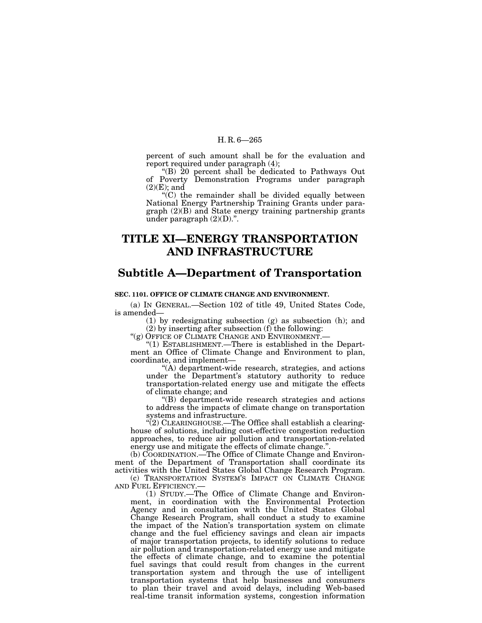percent of such amount shall be for the evaluation and report required under paragraph (4);

''(B) 20 percent shall be dedicated to Pathways Out of Poverty Demonstration Programs under paragraph  $(2)(E)$ ; and

 $C^{\prime\prime}(C)$  the remainder shall be divided equally between National Energy Partnership Training Grants under paragraph (2)(B) and State energy training partnership grants under paragraph (2)(D).''.

# **TITLE XI—ENERGY TRANSPORTATION AND INFRASTRUCTURE**

# **Subtitle A—Department of Transportation**

### **SEC. 1101. OFFICE OF CLIMATE CHANGE AND ENVIRONMENT.**

(a) IN GENERAL.—Section 102 of title 49, United States Code, is amended—

(1) by redesignating subsection (g) as subsection (h); and (2) by inserting after subsection  $(f)$  the following:<br>"(g) OFFICE OF CLIMATE CHANGE AND ENVIRONMENT.

"(1) ESTABLISHMENT.— There is established in the Department an Office of Climate Change and Environment to plan, coordinate, and implement—

" $(A)$  department-wide research, strategies, and actions under the Department's statutory authority to reduce transportation-related energy use and mitigate the effects of climate change; and

''(B) department-wide research strategies and actions to address the impacts of climate change on transportation systems and infrastructure.

"(2)  $C$ LEARINGHOUSE.—The Office shall establish a clearinghouse of solutions, including cost-effective congestion reduction approaches, to reduce air pollution and transportation-related energy use and mitigate the effects of climate change.''.

(b) COORDINATION.—The Office of Climate Change and Environment of the Department of Transportation shall coordinate its activities with the United States Global Change Research Program.

(c) TRANSPORTATION SYSTEM'S IMPACT ON CLIMATE CHANGE AND FUEL EFFICIENCY.—

(1) STUDY.—The Office of Climate Change and Environment, in coordination with the Environmental Protection Agency and in consultation with the United States Global Change Research Program, shall conduct a study to examine the impact of the Nation's transportation system on climate change and the fuel efficiency savings and clean air impacts of major transportation projects, to identify solutions to reduce air pollution and transportation-related energy use and mitigate the effects of climate change, and to examine the potential fuel savings that could result from changes in the current transportation system and through the use of intelligent transportation systems that help businesses and consumers to plan their travel and avoid delays, including Web-based real-time transit information systems, congestion information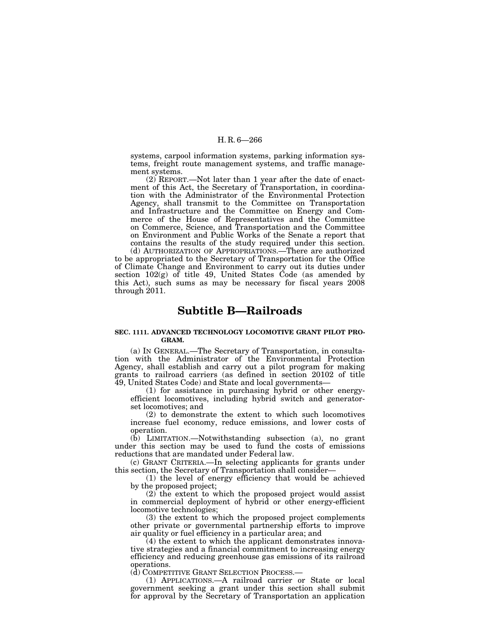systems, carpool information systems, parking information systems, freight route management systems, and traffic management systems.

(2) REPORT.—Not later than 1 year after the date of enactment of this Act, the Secretary of Transportation, in coordination with the Administrator of the Environmental Protection Agency, shall transmit to the Committee on Transportation and Infrastructure and the Committee on Energy and Commerce of the House of Representatives and the Committee on Commerce, Science, and Transportation and the Committee on Environment and Public Works of the Senate a report that contains the results of the study required under this section.

(d) AUTHORIZATION OF APPROPRIATIONS.—There are authorized to be appropriated to the Secretary of Transportation for the Office of Climate Change and Environment to carry out its duties under section  $102(g)$  of title 49, United States Code (as amended by this Act), such sums as may be necessary for fiscal years 2008 through 2011.

# **Subtitle B—Railroads**

#### **SEC. 1111. ADVANCED TECHNOLOGY LOCOMOTIVE GRANT PILOT PRO-GRAM.**

(a) IN GENERAL.—The Secretary of Transportation, in consultation with the Administrator of the Environmental Protection Agency, shall establish and carry out a pilot program for making grants to railroad carriers (as defined in section 20102 of title 49, United States Code) and State and local governments—

(1) for assistance in purchasing hybrid or other energyefficient locomotives, including hybrid switch and generatorset locomotives; and

(2) to demonstrate the extent to which such locomotives increase fuel economy, reduce emissions, and lower costs of operation.

(b) LIMITATION.—Notwithstanding subsection (a), no grant under this section may be used to fund the costs of emissions reductions that are mandated under Federal law.

(c) GRANT CRITERIA.—In selecting applicants for grants under this section, the Secretary of Transportation shall consider—

(1) the level of energy efficiency that would be achieved by the proposed project;

(2) the extent to which the proposed project would assist in commercial deployment of hybrid or other energy-efficient locomotive technologies;

(3) the extent to which the proposed project complements other private or governmental partnership efforts to improve air quality or fuel efficiency in a particular area; and

(4) the extent to which the applicant demonstrates innovative strategies and a financial commitment to increasing energy efficiency and reducing greenhouse gas emissions of its railroad operations.

(d) COMPETITIVE GRANT SELECTION PROCESS.—

(1) APPLICATIONS.—A railroad carrier or State or local government seeking a grant under this section shall submit for approval by the Secretary of Transportation an application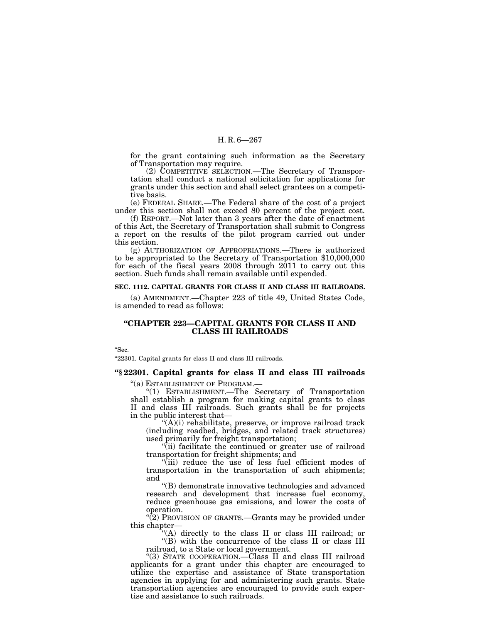for the grant containing such information as the Secretary of Transportation may require.

(2) COMPETITIVE SELECTION.—The Secretary of Transportation shall conduct a national solicitation for applications for grants under this section and shall select grantees on a competitive basis.

(e) FEDERAL SHARE.—The Federal share of the cost of a project under this section shall not exceed 80 percent of the project cost.

(f) REPORT.—Not later than 3 years after the date of enactment of this Act, the Secretary of Transportation shall submit to Congress a report on the results of the pilot program carried out under this section.

(g) AUTHORIZATION OF APPROPRIATIONS.—There is authorized to be appropriated to the Secretary of Transportation \$10,000,000 for each of the fiscal years 2008 through 2011 to carry out this section. Such funds shall remain available until expended.

#### **SEC. 1112. CAPITAL GRANTS FOR CLASS II AND CLASS III RAILROADS.**

(a) AMENDMENT.—Chapter 223 of title 49, United States Code, is amended to read as follows:

#### **''CHAPTER 223—CAPITAL GRANTS FOR CLASS II AND CLASS III RAILROADS**

#### ''Sec.

"22301. Capital grants for class II and class III railroads.

#### **''§ 22301. Capital grants for class II and class III railroads**

''(a) ESTABLISHMENT OF PROGRAM.—

''(1) ESTABLISHMENT.—The Secretary of Transportation shall establish a program for making capital grants to class II and class III railroads. Such grants shall be for projects in the public interest that—

''(A)(i) rehabilitate, preserve, or improve railroad track (including roadbed, bridges, and related track structures) used primarily for freight transportation;

''(ii) facilitate the continued or greater use of railroad transportation for freight shipments; and

"(iii) reduce the use of less fuel efficient modes of transportation in the transportation of such shipments; and

''(B) demonstrate innovative technologies and advanced research and development that increase fuel economy, reduce greenhouse gas emissions, and lower the costs of operation.

''(2) PROVISION OF GRANTS.—Grants may be provided under this chapter—

''(A) directly to the class II or class III railroad; or ''(B) with the concurrence of the class II or class III

railroad, to a State or local government.

''(3) STATE COOPERATION.—Class II and class III railroad applicants for a grant under this chapter are encouraged to utilize the expertise and assistance of State transportation agencies in applying for and administering such grants. State transportation agencies are encouraged to provide such expertise and assistance to such railroads.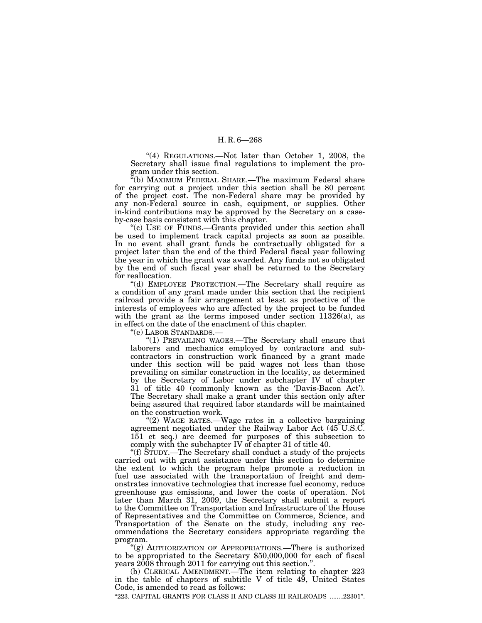"(4) REGULATIONS.—Not later than October 1, 2008, the Secretary shall issue final regulations to implement the program under this section.

''(b) MAXIMUM FEDERAL SHARE.—The maximum Federal share for carrying out a project under this section shall be 80 percent of the project cost. The non-Federal share may be provided by any non-Federal source in cash, equipment, or supplies. Other in-kind contributions may be approved by the Secretary on a caseby-case basis consistent with this chapter.

"(c) USE OF FUNDS.—Grants provided under this section shall be used to implement track capital projects as soon as possible. In no event shall grant funds be contractually obligated for a project later than the end of the third Federal fiscal year following the year in which the grant was awarded. Any funds not so obligated by the end of such fiscal year shall be returned to the Secretary for reallocation.

''(d) EMPLOYEE PROTECTION.—The Secretary shall require as a condition of any grant made under this section that the recipient railroad provide a fair arrangement at least as protective of the interests of employees who are affected by the project to be funded with the grant as the terms imposed under section 11326(a), as in effect on the date of the enactment of this chapter.

''(e) LABOR STANDARDS.—

"(1) PREVAILING WAGES.—The Secretary shall ensure that laborers and mechanics employed by contractors and subcontractors in construction work financed by a grant made under this section will be paid wages not less than those prevailing on similar construction in the locality, as determined by the Secretary of Labor under subchapter IV of chapter 31 of title 40 (commonly known as the 'Davis-Bacon Act'). The Secretary shall make a grant under this section only after being assured that required labor standards will be maintained on the construction work.

"(2) WAGE RATES.—Wage rates in a collective bargaining agreement negotiated under the Railway Labor Act (45 U.S.C. 151 et seq.) are deemed for purposes of this subsection to comply with the subchapter IV of chapter 31 of title 40.

''(f) STUDY.—The Secretary shall conduct a study of the projects carried out with grant assistance under this section to determine the extent to which the program helps promote a reduction in fuel use associated with the transportation of freight and demonstrates innovative technologies that increase fuel economy, reduce greenhouse gas emissions, and lower the costs of operation. Not later than March 31, 2009, the Secretary shall submit a report to the Committee on Transportation and Infrastructure of the House of Representatives and the Committee on Commerce, Science, and Transportation of the Senate on the study, including any recommendations the Secretary considers appropriate regarding the program.

"(g) AUTHORIZATION OF APPROPRIATIONS.—There is authorized to be appropriated to the Secretary \$50,000,000 for each of fiscal years 2008 through 2011 for carrying out this section.''.

(b) CLERICAL AMENDMENT.—The item relating to chapter 223 in the table of chapters of subtitle V of title 49, United States Code, is amended to read as follows:

"223. CAPITAL GRANTS FOR CLASS II AND CLASS III RAILROADS ........22301".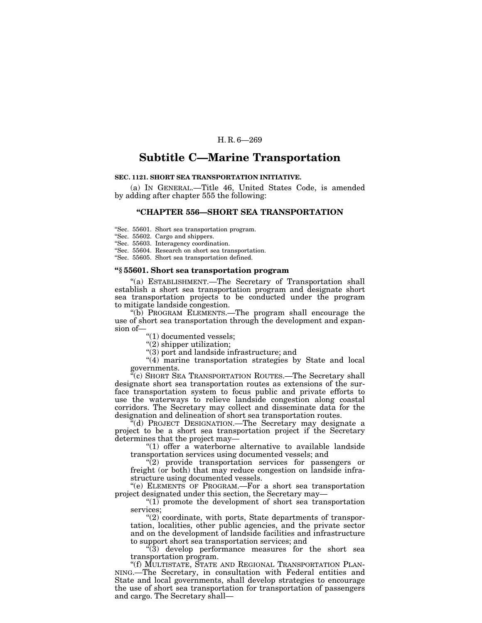# **Subtitle C—Marine Transportation**

#### **SEC. 1121. SHORT SEA TRANSPORTATION INITIATIVE.**

(a) IN GENERAL.—Title 46, United States Code, is amended by adding after chapter 555 the following:

### **''CHAPTER 556—SHORT SEA TRANSPORTATION**

''Sec. 55601. Short sea transportation program.

''Sec. 55602. Cargo and shippers.

''Sec. 55603. Interagency coordination.

''Sec. 55604. Research on short sea transportation.

''Sec. 55605. Short sea transportation defined.

#### **''§ 55601. Short sea transportation program**

"(a) ESTABLISHMENT.—The Secretary of Transportation shall establish a short sea transportation program and designate short sea transportation projects to be conducted under the program to mitigate landside congestion.

"(b) PROGRAM ELEMENTS.—The program shall encourage the use of short sea transportation through the development and expansion of—

''(1) documented vessels;

''(2) shipper utilization;

''(3) port and landside infrastructure; and

 $"(4)$  marine transportation strategies by State and local governments.

''(c) SHORT SEA TRANSPORTATION ROUTES.—The Secretary shall designate short sea transportation routes as extensions of the surface transportation system to focus public and private efforts to use the waterways to relieve landside congestion along coastal corridors. The Secretary may collect and disseminate data for the designation and delineation of short sea transportation routes.

''(d) PROJECT DESIGNATION.—The Secretary may designate a project to be a short sea transportation project if the Secretary determines that the project may-

''(1) offer a waterborne alternative to available landside transportation services using documented vessels; and

 $\sqrt{\hat{a}}$  provide transportation services for passengers or freight (or both) that may reduce congestion on landside infrastructure using documented vessels.

''(e) ELEMENTS OF PROGRAM.—For a short sea transportation project designated under this section, the Secretary may—

" $(1)$  promote the development of short sea transportation services;

"(2) coordinate, with ports, State departments of transportation, localities, other public agencies, and the private sector and on the development of landside facilities and infrastructure to support short sea transportation services; and

 $\sqrt{3}$  develop performance measures for the short sea transportation program.

''(f) MULTISTATE, STATE AND REGIONAL TRANSPORTATION PLAN-NING.—The Secretary, in consultation with Federal entities and State and local governments, shall develop strategies to encourage the use of short sea transportation for transportation of passengers and cargo. The Secretary shall—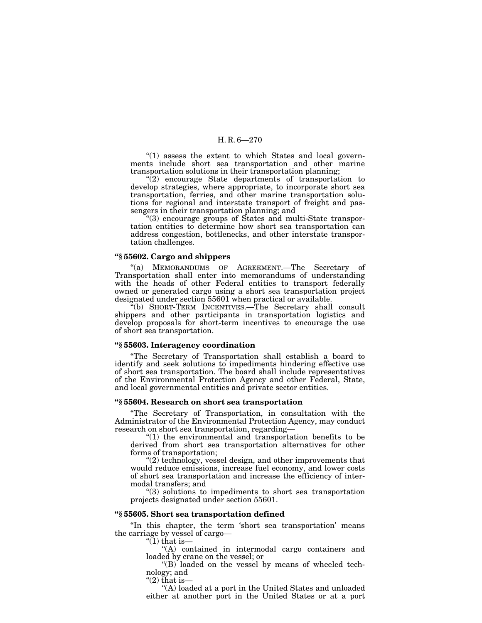$''(1)$  assess the extent to which States and local governments include short sea transportation and other marine transportation solutions in their transportation planning;

 $(2)$  encourage State departments of transportation to develop strategies, where appropriate, to incorporate short sea transportation, ferries, and other marine transportation solutions for regional and interstate transport of freight and passengers in their transportation planning; and

''(3) encourage groups of States and multi-State transportation entities to determine how short sea transportation can address congestion, bottlenecks, and other interstate transportation challenges.

#### **''§ 55602. Cargo and shippers**

''(a) MEMORANDUMS OF AGREEMENT.—The Secretary of Transportation shall enter into memorandums of understanding with the heads of other Federal entities to transport federally owned or generated cargo using a short sea transportation project designated under section 55601 when practical or available.

''(b) SHORT-TERM INCENTIVES.—The Secretary shall consult shippers and other participants in transportation logistics and develop proposals for short-term incentives to encourage the use of short sea transportation.

#### **''§ 55603. Interagency coordination**

''The Secretary of Transportation shall establish a board to identify and seek solutions to impediments hindering effective use of short sea transportation. The board shall include representatives of the Environmental Protection Agency and other Federal, State, and local governmental entities and private sector entities.

#### **''§ 55604. Research on short sea transportation**

''The Secretary of Transportation, in consultation with the Administrator of the Environmental Protection Agency, may conduct research on short sea transportation, regarding—

 $''(1)$  the environmental and transportation benefits to be derived from short sea transportation alternatives for other forms of transportation;

"(2) technology, vessel design, and other improvements that would reduce emissions, increase fuel economy, and lower costs of short sea transportation and increase the efficiency of intermodal transfers; and

''(3) solutions to impediments to short sea transportation projects designated under section 55601.

### **''§ 55605. Short sea transportation defined**

''In this chapter, the term 'short sea transportation' means the carriage by vessel of cargo—

" $(1)$  that is-

''(A) contained in intermodal cargo containers and loaded by crane on the vessel; or

''(B) loaded on the vessel by means of wheeled technology; and

" $(2)$  that is-

''(A) loaded at a port in the United States and unloaded either at another port in the United States or at a port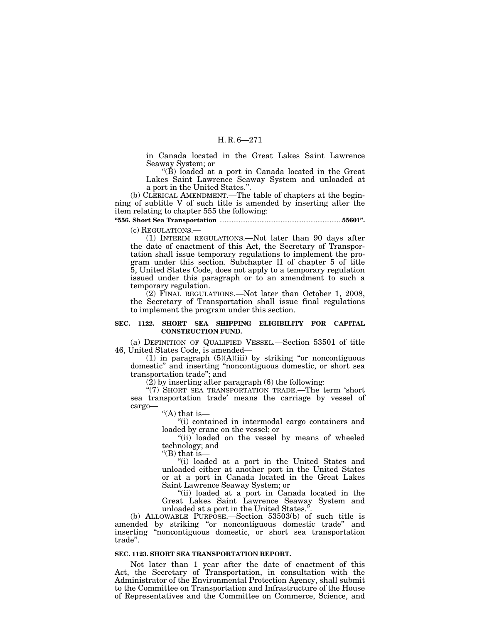in Canada located in the Great Lakes Saint Lawrence Seaway System; or

''(B) loaded at a port in Canada located in the Great Lakes Saint Lawrence Seaway System and unloaded at a port in the United States.''.

(b) CLERICAL AMENDMENT.—The table of chapters at the beginning of subtitle V of such title is amended by inserting after the item relating to chapter 555 the following:

# **''556. Short Sea Transportation** .......................................................................**55601''.**

(c) REGULATIONS.—

(1) INTERIM REGULATIONS.—Not later than 90 days after the date of enactment of this Act, the Secretary of Transportation shall issue temporary regulations to implement the program under this section. Subchapter II of chapter 5 of title 5, United States Code, does not apply to a temporary regulation issued under this paragraph or to an amendment to such a temporary regulation.

(2) FINAL REGULATIONS.—Not later than October 1, 2008, the Secretary of Transportation shall issue final regulations to implement the program under this section.

#### **SEC. 1122. SHORT SEA SHIPPING ELIGIBILITY FOR CAPITAL CONSTRUCTION FUND.**

(a) DEFINITION OF QUALIFIED VESSEL.—Section 53501 of title 46, United States Code, is amended—

(1) in paragraph  $(5)(A)(iii)$  by striking "or noncontiguous domestic'' and inserting ''noncontiguous domestic, or short sea transportation trade''; and

(2) by inserting after paragraph (6) the following:

"(7) SHORT SEA TRANSPORTATION TRADE.—The term 'short sea transportation trade' means the carriage by vessel of cargo—

"(A) that is-

''(i) contained in intermodal cargo containers and loaded by crane on the vessel; or

"(ii) loaded on the vessel by means of wheeled technology; and

"(B) that is—

''(i) loaded at a port in the United States and unloaded either at another port in the United States or at a port in Canada located in the Great Lakes Saint Lawrence Seaway System; or

''(ii) loaded at a port in Canada located in the Great Lakes Saint Lawrence Seaway System and unloaded at a port in the United States.''.

(b) ALLOWABLE PURPOSE.—Section 53503(b) of such title is amended by striking ''or noncontiguous domestic trade'' and inserting ''noncontiguous domestic, or short sea transportation trade''.

#### **SEC. 1123. SHORT SEA TRANSPORTATION REPORT.**

Not later than 1 year after the date of enactment of this Act, the Secretary of Transportation, in consultation with the Administrator of the Environmental Protection Agency, shall submit to the Committee on Transportation and Infrastructure of the House of Representatives and the Committee on Commerce, Science, and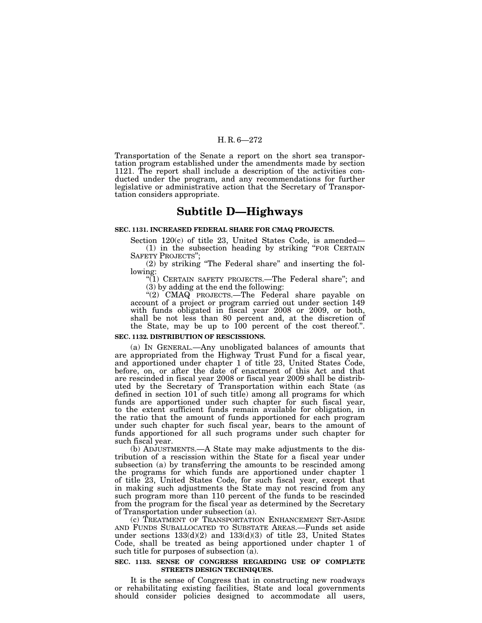Transportation of the Senate a report on the short sea transportation program established under the amendments made by section 1121. The report shall include a description of the activities conducted under the program, and any recommendations for further legislative or administrative action that the Secretary of Transportation considers appropriate.

# **Subtitle D—Highways**

#### **SEC. 1131. INCREASED FEDERAL SHARE FOR CMAQ PROJECTS.**

Section 120(c) of title 23, United States Code, is amended— (1) in the subsection heading by striking ''FOR CERTAIN SAFETY PROJECTS'';

(2) by striking ''The Federal share'' and inserting the following:

"(1) CERTAIN SAFETY PROJECTS.—The Federal share"; and (3) by adding at the end the following:

"(2) CMAQ PROJECTS.—The Federal share payable on account of a project or program carried out under section 149 with funds obligated in fiscal year 2008 or 2009, or both, shall be not less than 80 percent and, at the discretion of the State, may be up to 100 percent of the cost thereof.".

#### **SEC. 1132. DISTRIBUTION OF RESCISSIONS.**

(a) IN GENERAL.—Any unobligated balances of amounts that are appropriated from the Highway Trust Fund for a fiscal year, and apportioned under chapter 1 of title 23, United States Code, before, on, or after the date of enactment of this Act and that are rescinded in fiscal year 2008 or fiscal year 2009 shall be distributed by the Secretary of Transportation within each State (as defined in section 101 of such title) among all programs for which funds are apportioned under such chapter for such fiscal year, to the extent sufficient funds remain available for obligation, in the ratio that the amount of funds apportioned for each program under such chapter for such fiscal year, bears to the amount of funds apportioned for all such programs under such chapter for such fiscal year.

(b) ADJUSTMENTS.—A State may make adjustments to the distribution of a rescission within the State for a fiscal year under subsection (a) by transferring the amounts to be rescinded among the programs for which funds are apportioned under chapter 1 of title 23, United States Code, for such fiscal year, except that in making such adjustments the State may not rescind from any such program more than 110 percent of the funds to be rescinded from the program for the fiscal year as determined by the Secretary of Transportation under subsection (a).

(c) TREATMENT OF TRANSPORTATION ENHANCEMENT SET-ASIDE AND FUNDS SUBALLOCATED TO SUBSTATE AREAS.—Funds set aside under sections 133(d)(2) and 133(d)(3) of title 23, United States Code, shall be treated as being apportioned under chapter 1 of such title for purposes of subsection (a).

#### **SEC. 1133. SENSE OF CONGRESS REGARDING USE OF COMPLETE STREETS DESIGN TECHNIQUES.**

It is the sense of Congress that in constructing new roadways or rehabilitating existing facilities, State and local governments should consider policies designed to accommodate all users,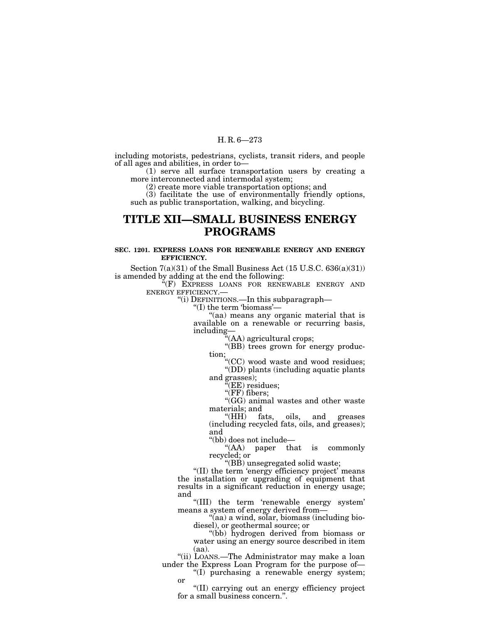including motorists, pedestrians, cyclists, transit riders, and people of all ages and abilities, in order to—

(1) serve all surface transportation users by creating a more interconnected and intermodal system;

(2) create more viable transportation options; and

(3) facilitate the use of environmentally friendly options, such as public transportation, walking, and bicycling.

# **TITLE XII—SMALL BUSINESS ENERGY PROGRAMS**

#### **SEC. 1201. EXPRESS LOANS FOR RENEWABLE ENERGY AND ENERGY EFFICIENCY.**

Section 7(a)(31) of the Small Business Act (15 U.S.C. 636(a)(31)) is amended by adding at the end the following:

"(F) EXPRESS LOANS FOR RENEWABLE ENERGY AND ENERGY EFFICIENCY.—<br>"(i) DEFINITIONS.—In this subparagraph—

''(I) the term 'biomass'—

''(aa) means any organic material that is available on a renewable or recurring basis, including—

''(AA) agricultural crops;

''(BB) trees grown for energy production;

''(CC) wood waste and wood residues; ''(DD) plants (including aquatic plants

and grasses);

 $E(EE)$  residues;

"(FF) fibers;

''(GG) animal wastes and other waste materials; and<br>(HH) fa

fats, oils, and greases (including recycled fats, oils, and greases); and

''(bb) does not include—

''(AA) paper that is commonly recycled; or

''(BB) unsegregated solid waste;

"(II) the term 'energy efficiency project' means the installation or upgrading of equipment that results in a significant reduction in energy usage; and

''(III) the term 'renewable energy system' means a system of energy derived from—

''(aa) a wind, solar, biomass (including biodiesel), or geothermal source; or

''(bb) hydrogen derived from biomass or water using an energy source described in item (aa).

''(ii) LOANS.—The Administrator may make a loan under the Express Loan Program for the purpose of—

''(I) purchasing a renewable energy system; or

''(II) carrying out an energy efficiency project for a small business concern.''.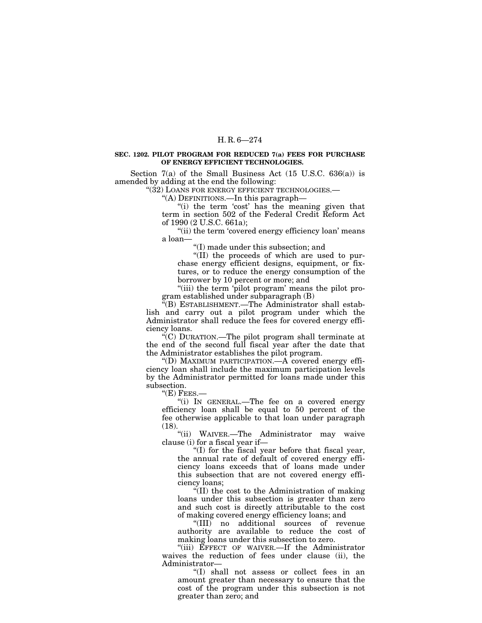#### **SEC. 1202. PILOT PROGRAM FOR REDUCED 7(a) FEES FOR PURCHASE OF ENERGY EFFICIENT TECHNOLOGIES.**

Section 7(a) of the Small Business Act  $(15 \text{ U.S.C. } 636(a))$  is amended by adding at the end the following:

 $"({}32)$  LOANS FOR ENERGY EFFICIENT TECHNOLOGIES.—

''(A) DEFINITIONS.—In this paragraph—

"(i) the term 'cost' has the meaning given that term in section 502 of the Federal Credit Reform Act of 1990 (2 U.S.C. 661a);

"(ii) the term 'covered energy efficiency loan' means a loan—

''(I) made under this subsection; and

''(II) the proceeds of which are used to purchase energy efficient designs, equipment, or fixtures, or to reduce the energy consumption of the borrower by 10 percent or more; and

"(iii) the term 'pilot program' means the pilot program established under subparagraph (B)

''(B) ESTABLISHMENT.—The Administrator shall establish and carry out a pilot program under which the Administrator shall reduce the fees for covered energy efficiency loans.

''(C) DURATION.—The pilot program shall terminate at the end of the second full fiscal year after the date that the Administrator establishes the pilot program.

''(D) MAXIMUM PARTICIPATION.—A covered energy efficiency loan shall include the maximum participation levels by the Administrator permitted for loans made under this subsection.

 $\rm ^{\circ}\!\left( E\right) FEES.$ 

''(i) IN GENERAL.—The fee on a covered energy efficiency loan shall be equal to 50 percent of the fee otherwise applicable to that loan under paragraph (18).

''(ii) WAIVER.—The Administrator may waive clause (i) for a fiscal year if—

''(I) for the fiscal year before that fiscal year, the annual rate of default of covered energy efficiency loans exceeds that of loans made under this subsection that are not covered energy efficiency loans;

''(II) the cost to the Administration of making loans under this subsection is greater than zero and such cost is directly attributable to the cost of making covered energy efficiency loans; and

''(III) no additional sources of revenue authority are available to reduce the cost of making loans under this subsection to zero.

''(iii) EFFECT OF WAIVER.—If the Administrator waives the reduction of fees under clause (ii), the Administrator—

''(I) shall not assess or collect fees in an amount greater than necessary to ensure that the cost of the program under this subsection is not greater than zero; and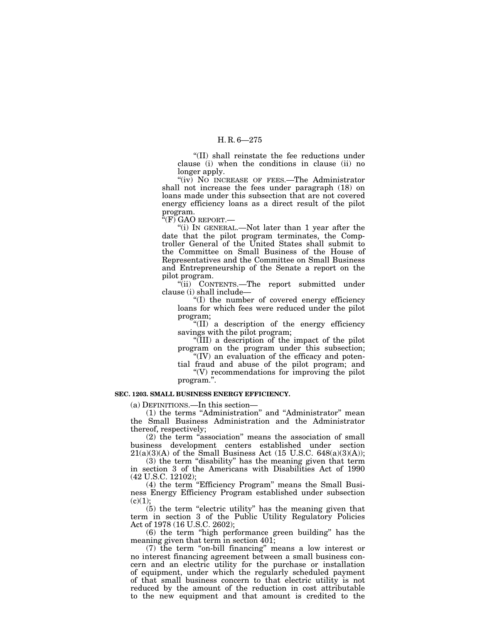''(II) shall reinstate the fee reductions under clause (i) when the conditions in clause (ii) no longer apply.

"(iv) NO INCREASE OF FEES.—The Administrator shall not increase the fees under paragraph (18) on loans made under this subsection that are not covered energy efficiency loans as a direct result of the pilot program.

''(F) GAO REPORT.—

''(i) IN GENERAL.—Not later than 1 year after the date that the pilot program terminates, the Comptroller General of the United States shall submit to the Committee on Small Business of the House of Representatives and the Committee on Small Business and Entrepreneurship of the Senate a report on the pilot program.

"(ii) CONTENTS.—The report submitted under clause (i) shall include—

''(I) the number of covered energy efficiency loans for which fees were reduced under the pilot program;

''(II) a description of the energy efficiency savings with the pilot program;

''(III) a description of the impact of the pilot program on the program under this subsection;

''(IV) an evaluation of the efficacy and potential fraud and abuse of the pilot program; and "(V) recommendations for improving the pilot program.''.

#### **SEC. 1203. SMALL BUSINESS ENERGY EFFICIENCY.**

(a) DEFINITIONS.—In this section—

(1) the terms ''Administration'' and ''Administrator'' mean the Small Business Administration and the Administrator thereof, respectively;

(2) the term ''association'' means the association of small business development centers established under section  $21(a)(3)(A)$  of the Small Business Act (15 U.S.C. 648(a)(3)(A));

(3) the term ''disability'' has the meaning given that term in section 3 of the Americans with Disabilities Act of 1990 (42 U.S.C. 12102);

(4) the term ''Efficiency Program'' means the Small Business Energy Efficiency Program established under subsection  $(c)(1);$ 

(5) the term ''electric utility'' has the meaning given that term in section 3 of the Public Utility Regulatory Policies Act of 1978 (16 U.S.C. 2602);

(6) the term ''high performance green building'' has the meaning given that term in section 401;

(7) the term ''on-bill financing'' means a low interest or no interest financing agreement between a small business concern and an electric utility for the purchase or installation of equipment, under which the regularly scheduled payment of that small business concern to that electric utility is not reduced by the amount of the reduction in cost attributable to the new equipment and that amount is credited to the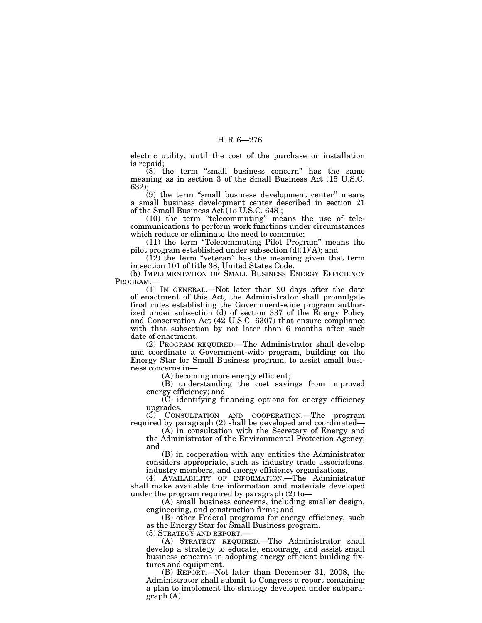electric utility, until the cost of the purchase or installation is repaid;

 $(8)$  the term "small business concern" has the same meaning as in section 3 of the Small Business Act (15 U.S.C. 632);

(9) the term ''small business development center'' means a small business development center described in section 21 of the Small Business Act (15 U.S.C. 648);

(10) the term ''telecommuting'' means the use of telecommunications to perform work functions under circumstances which reduce or eliminate the need to commute;

(11) the term ''Telecommuting Pilot Program'' means the pilot program established under subsection  $(d)(1)(A)$ ; and

 $(12)$  the term "veteran" has the meaning given that term in section 101 of title 38, United States Code.

(b) IMPLEMENTATION OF SMALL BUSINESS ENERGY EFFICIENCY PROGRAM.—

(1) IN GENERAL.—Not later than 90 days after the date of enactment of this Act, the Administrator shall promulgate final rules establishing the Government-wide program authorized under subsection (d) of section 337 of the Energy Policy and Conservation Act (42 U.S.C. 6307) that ensure compliance with that subsection by not later than 6 months after such date of enactment.

(2) PROGRAM REQUIRED.—The Administrator shall develop and coordinate a Government-wide program, building on the Energy Star for Small Business program, to assist small business concerns in—

(A) becoming more energy efficient;

(B) understanding the cost savings from improved energy efficiency; and

(C) identifying financing options for energy efficiency upgrades.

(3) CONSULTATION AND COOPERATION.—The program required by paragraph (2) shall be developed and coordinated—

(A) in consultation with the Secretary of Energy and the Administrator of the Environmental Protection Agency; and

(B) in cooperation with any entities the Administrator considers appropriate, such as industry trade associations, industry members, and energy efficiency organizations.

(4) AVAILABILITY OF INFORMATION.—The Administrator shall make available the information and materials developed under the program required by paragraph (2) to—

(A) small business concerns, including smaller design, engineering, and construction firms; and

(B) other Federal programs for energy efficiency, such as the Energy Star for Small Business program.

(5) STRATEGY AND REPORT.— (A) STRATEGY REQUIRED.—The Administrator shall develop a strategy to educate, encourage, and assist small business concerns in adopting energy efficient building fixtures and equipment.

(B) REPORT.—Not later than December 31, 2008, the Administrator shall submit to Congress a report containing a plan to implement the strategy developed under subparagraph (A).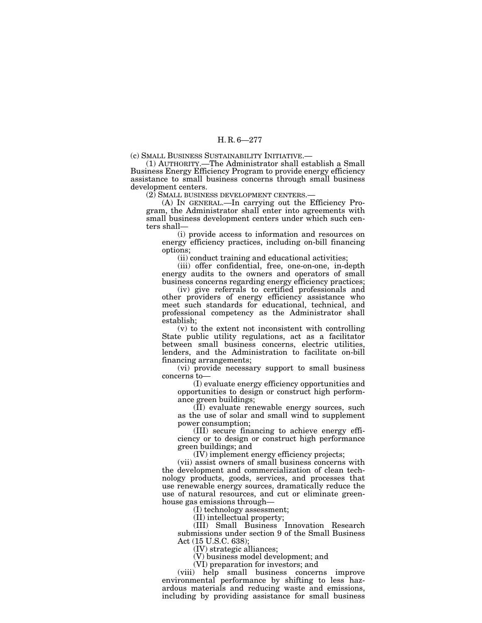(c) SMALL BUSINESS SUSTAINABILITY INITIATIVE.—

(1) AUTHORITY.—The Administrator shall establish a Small Business Energy Efficiency Program to provide energy efficiency assistance to small business concerns through small business development centers.

(2) SMALL BUSINESS DEVELOPMENT CENTERS.—

(A) IN GENERAL.—In carrying out the Efficiency Program, the Administrator shall enter into agreements with small business development centers under which such centers shall—

(i) provide access to information and resources on energy efficiency practices, including on-bill financing options;

(ii) conduct training and educational activities;

(iii) offer confidential, free, one-on-one, in-depth energy audits to the owners and operators of small business concerns regarding energy efficiency practices;

(iv) give referrals to certified professionals and other providers of energy efficiency assistance who meet such standards for educational, technical, and professional competency as the Administrator shall establish;

(v) to the extent not inconsistent with controlling State public utility regulations, act as a facilitator between small business concerns, electric utilities, lenders, and the Administration to facilitate on-bill financing arrangements;

(vi) provide necessary support to small business concerns to—

(I) evaluate energy efficiency opportunities and opportunities to design or construct high performance green buildings;

(II) evaluate renewable energy sources, such as the use of solar and small wind to supplement power consumption;

(III) secure financing to achieve energy efficiency or to design or construct high performance green buildings; and

(IV) implement energy efficiency projects;

(vii) assist owners of small business concerns with the development and commercialization of clean technology products, goods, services, and processes that use renewable energy sources, dramatically reduce the use of natural resources, and cut or eliminate greenhouse gas emissions through—

(I) technology assessment;

(II) intellectual property;

(III) Small Business Innovation Research submissions under section 9 of the Small Business Act (15 U.S.C. 638);

(IV) strategic alliances;

(V) business model development; and

(VI) preparation for investors; and

(viii) help small business concerns improve environmental performance by shifting to less hazardous materials and reducing waste and emissions, including by providing assistance for small business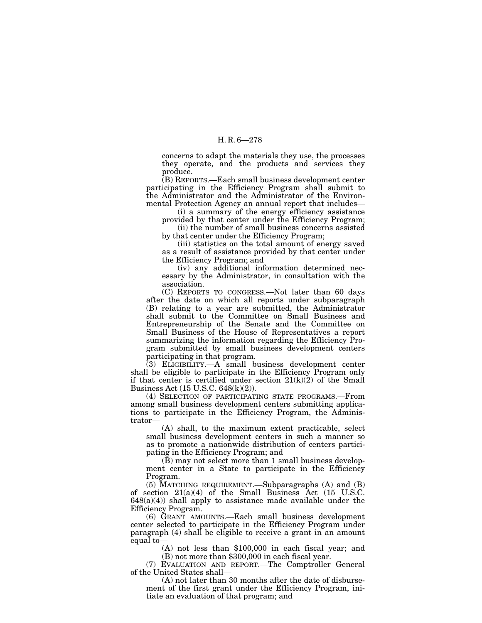concerns to adapt the materials they use, the processes they operate, and the products and services they produce.

(B) REPORTS.—Each small business development center participating in the Efficiency Program shall submit to the Administrator and the Administrator of the Environmental Protection Agency an annual report that includes—

(i) a summary of the energy efficiency assistance provided by that center under the Efficiency Program;

(ii) the number of small business concerns assisted by that center under the Efficiency Program;

(iii) statistics on the total amount of energy saved as a result of assistance provided by that center under the Efficiency Program; and

(iv) any additional information determined necessary by the Administrator, in consultation with the association.

(C) REPORTS TO CONGRESS.—Not later than 60 days after the date on which all reports under subparagraph (B) relating to a year are submitted, the Administrator shall submit to the Committee on Small Business and Entrepreneurship of the Senate and the Committee on Small Business of the House of Representatives a report summarizing the information regarding the Efficiency Program submitted by small business development centers participating in that program.

(3) ELIGIBILITY.—A small business development center shall be eligible to participate in the Efficiency Program only if that center is certified under section  $21(k)(2)$  of the Small Business Act (15 U.S.C. 648(k)(2)).

(4) SELECTION OF PARTICIPATING STATE PROGRAMS.—From among small business development centers submitting applications to participate in the Efficiency Program, the Administrator—

(A) shall, to the maximum extent practicable, select small business development centers in such a manner so as to promote a nationwide distribution of centers participating in the Efficiency Program; and

(B) may not select more than 1 small business development center in a State to participate in the Efficiency Program.

(5) MATCHING REQUIREMENT.—Subparagraphs (A) and (B) of section 21(a)(4) of the Small Business Act (15 U.S.C.  $648(a)(4)$ ) shall apply to assistance made available under the Efficiency Program.

(6) GRANT AMOUNTS.—Each small business development center selected to participate in the Efficiency Program under paragraph (4) shall be eligible to receive a grant in an amount equal to—

(A) not less than \$100,000 in each fiscal year; and (B) not more than \$300,000 in each fiscal year.

(7) EVALUATION AND REPORT.—The Comptroller General of the United States shall—

(A) not later than 30 months after the date of disbursement of the first grant under the Efficiency Program, initiate an evaluation of that program; and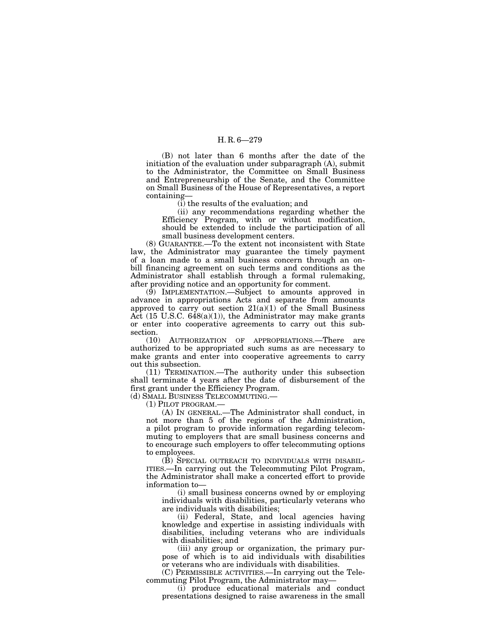(B) not later than 6 months after the date of the initiation of the evaluation under subparagraph (A), submit to the Administrator, the Committee on Small Business and Entrepreneurship of the Senate, and the Committee on Small Business of the House of Representatives, a report containing—

(i) the results of the evaluation; and

(ii) any recommendations regarding whether the Efficiency Program, with or without modification, should be extended to include the participation of all small business development centers.

(8) GUARANTEE.—To the extent not inconsistent with State law, the Administrator may guarantee the timely payment of a loan made to a small business concern through an onbill financing agreement on such terms and conditions as the Administrator shall establish through a formal rulemaking, after providing notice and an opportunity for comment.

(9) IMPLEMENTATION.—Subject to amounts approved in advance in appropriations Acts and separate from amounts approved to carry out section  $21(a)(1)$  of the Small Business Act (15 U.S.C.  $648(a)(1)$ ), the Administrator may make grants or enter into cooperative agreements to carry out this subsection.

(10) AUTHORIZATION OF APPROPRIATIONS.—There are authorized to be appropriated such sums as are necessary to make grants and enter into cooperative agreements to carry out this subsection.

(11) TERMINATION.—The authority under this subsection shall terminate 4 years after the date of disbursement of the first grant under the Efficiency Program.

(d) SMALL BUSINESS TELECOMMUTING.—

(1) PILOT PROGRAM.—

(A) IN GENERAL.—The Administrator shall conduct, in not more than 5 of the regions of the Administration, a pilot program to provide information regarding telecommuting to employers that are small business concerns and to encourage such employers to offer telecommuting options to employees.

(B) SPECIAL OUTREACH TO INDIVIDUALS WITH DISABIL-ITIES.—In carrying out the Telecommuting Pilot Program, the Administrator shall make a concerted effort to provide information to—

(i) small business concerns owned by or employing individuals with disabilities, particularly veterans who are individuals with disabilities;

(ii) Federal, State, and local agencies having knowledge and expertise in assisting individuals with disabilities, including veterans who are individuals with disabilities; and

(iii) any group or organization, the primary purpose of which is to aid individuals with disabilities or veterans who are individuals with disabilities.

(C) PERMISSIBLE ACTIVITIES.—In carrying out the Telecommuting Pilot Program, the Administrator may—

 $(i)$  produce educational materials and conduct presentations designed to raise awareness in the small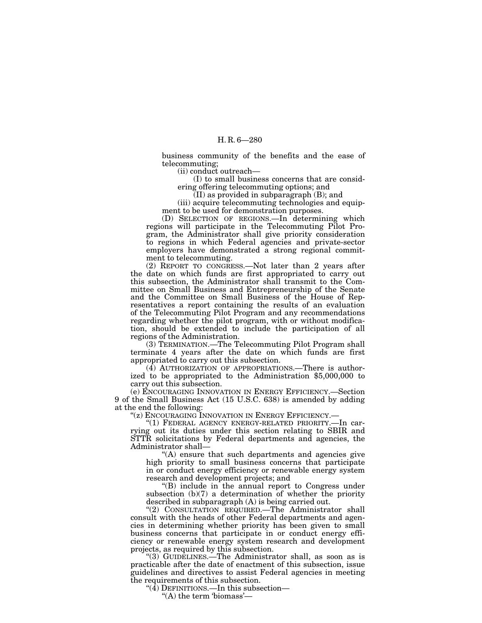business community of the benefits and the ease of telecommuting;

(ii) conduct outreach—

(I) to small business concerns that are considering offering telecommuting options; and

(II) as provided in subparagraph (B); and

(iii) acquire telecommuting technologies and equipment to be used for demonstration purposes.

(D) SELECTION OF REGIONS.—In determining which regions will participate in the Telecommuting Pilot Program, the Administrator shall give priority consideration to regions in which Federal agencies and private-sector employers have demonstrated a strong regional commitment to telecommuting.

(2) REPORT TO CONGRESS.—Not later than 2 years after the date on which funds are first appropriated to carry out this subsection, the Administrator shall transmit to the Committee on Small Business and Entrepreneurship of the Senate and the Committee on Small Business of the House of Representatives a report containing the results of an evaluation of the Telecommuting Pilot Program and any recommendations regarding whether the pilot program, with or without modification, should be extended to include the participation of all regions of the Administration.

(3) TERMINATION.—The Telecommuting Pilot Program shall terminate 4 years after the date on which funds are first appropriated to carry out this subsection.

 $(4)$  AUTHORIZATION OF APPROPRIATIONS.—There is authorized to be appropriated to the Administration \$5,000,000 to carry out this subsection.

(e) ENCOURAGING INNOVATION IN ENERGY EFFICIENCY.—Section 9 of the Small Business Act (15 U.S.C. 638) is amended by adding at the end the following:

"(z) ENCOURAGING INNOVATION IN ENERGY EFFICIENCY.-

"(1) FEDERAL AGENCY ENERGY-RELATED PRIORITY.—In carrying out its duties under this section relating to SBIR and STTR solicitations by Federal departments and agencies, the Administrator shall—

 $(A)$  ensure that such departments and agencies give high priority to small business concerns that participate in or conduct energy efficiency or renewable energy system research and development projects; and

''(B) include in the annual report to Congress under subsection  $(b)(7)$  a determination of whether the priority described in subparagraph (A) is being carried out.

"(2) CONSULTATION REQUIRED.—The Administrator shall consult with the heads of other Federal departments and agencies in determining whether priority has been given to small business concerns that participate in or conduct energy efficiency or renewable energy system research and development projects, as required by this subsection.

''(3) GUIDELINES.—The Administrator shall, as soon as is practicable after the date of enactment of this subsection, issue guidelines and directives to assist Federal agencies in meeting the requirements of this subsection.

" $(4)$  DEFINITIONS.—In this subsection—

''(A) the term 'biomass'—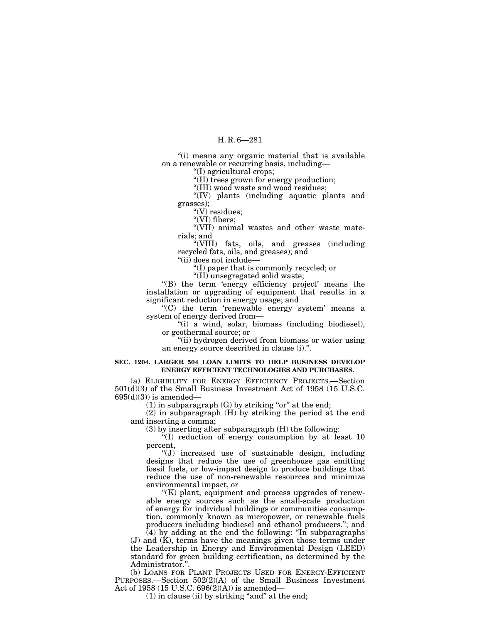''(i) means any organic material that is available on a renewable or recurring basis, including—

''(I) agricultural crops;

''(II) trees grown for energy production;

''(III) wood waste and wood residues;

''(IV) plants (including aquatic plants and grasses);

''(V) residues;

"(VI) fibers;

''(VII) animal wastes and other waste materials; and

''(VIII) fats, oils, and greases (including recycled fats, oils, and greases); and

''(ii) does not include—

''(I) paper that is commonly recycled; or

''(II) unsegregated solid waste;

''(B) the term 'energy efficiency project' means the installation or upgrading of equipment that results in a significant reduction in energy usage; and

''(C) the term 'renewable energy system' means a system of energy derived from—

"(i) a wind, solar, biomass (including biodiesel), or geothermal source; or

''(ii) hydrogen derived from biomass or water using an energy source described in clause (i).''.

#### **SEC. 1204. LARGER 504 LOAN LIMITS TO HELP BUSINESS DEVELOP ENERGY EFFICIENT TECHNOLOGIES AND PURCHASES.**

(a) ELIGIBILITY FOR ENERGY EFFICIENCY PROJECTS.—Section 501(d)(3) of the Small Business Investment Act of 1958 (15 U.S.C.  $695(d)(3)$  is amended-

 $(1)$  in subparagraph  $(G)$  by striking "or" at the end;

(2) in subparagraph (H) by striking the period at the end and inserting a comma;

(3) by inserting after subparagraph (H) the following:

''(I) reduction of energy consumption by at least 10 percent,

''(J) increased use of sustainable design, including designs that reduce the use of greenhouse gas emitting fossil fuels, or low-impact design to produce buildings that reduce the use of non-renewable resources and minimize environmental impact, or

"(K) plant, equipment and process upgrades of renewable energy sources such as the small-scale production of energy for individual buildings or communities consumption, commonly known as micropower, or renewable fuels producers including biodiesel and ethanol producers.''; and

 $(4)$  by adding at the end the following: "In subparagraphs (J) and (K), terms have the meanings given those terms under the Leadership in Energy and Environmental Design (LEED) standard for green building certification, as determined by the Administrator.''.

(b) LOANS FOR PLANT PROJECTS USED FOR ENERGY-EFFICIENT PURPOSES.—Section 502(2)(A) of the Small Business Investment Act of 1958 (15 U.S.C. 696(2)(A)) is amended—

 $(1)$  in clause  $(ii)$  by striking "and" at the end;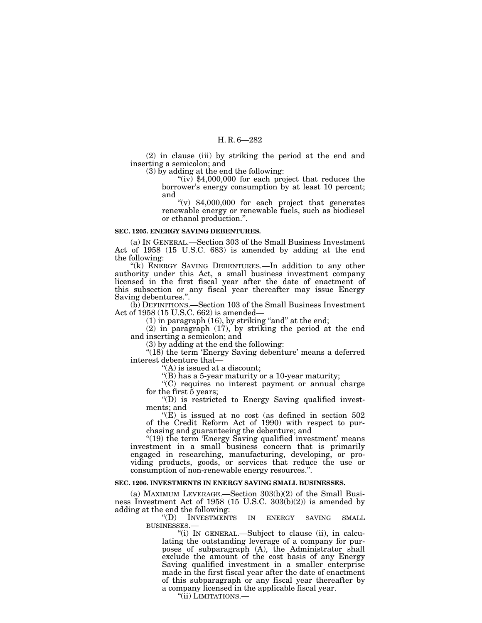(2) in clause (iii) by striking the period at the end and inserting a semicolon; and

(3) by adding at the end the following:

" $(iv)$  \$4,000,000 for each project that reduces the borrower's energy consumption by at least 10 percent; and

 $(v)$  \$4,000,000 for each project that generates renewable energy or renewable fuels, such as biodiesel or ethanol production.''.

#### **SEC. 1205. ENERGY SAVING DEBENTURES.**

(a) IN GENERAL.—Section 303 of the Small Business Investment Act of 1958 (15 U.S.C. 683) is amended by adding at the end the following:

"(k) ENERGY SAVING DEBENTURES.—In addition to any other authority under this Act, a small business investment company licensed in the first fiscal year after the date of enactment of this subsection or any fiscal year thereafter may issue Energy Saving debentures.''.

(b) DEFINITIONS.—Section 103 of the Small Business Investment Act of 1958 (15 U.S.C. 662) is amended—

 $(1)$  in paragraph  $(16)$ , by striking "and" at the end;

(2) in paragraph (17), by striking the period at the end and inserting a semicolon; and

(3) by adding at the end the following:

"(18) the term 'Energy Saving debenture' means a deferred interest debenture that—

''(A) is issued at a discount;

''(B) has a 5-year maturity or a 10-year maturity;

''(C) requires no interest payment or annual charge for the first 5 years;

''(D) is restricted to Energy Saving qualified investments; and

''(E) is issued at no cost (as defined in section 502 of the Credit Reform Act of 1990) with respect to purchasing and guaranteeing the debenture; and

"(19) the term 'Energy Saving qualified investment' means investment in a small business concern that is primarily engaged in researching, manufacturing, developing, or providing products, goods, or services that reduce the use or consumption of non-renewable energy resources.''.

#### **SEC. 1206. INVESTMENTS IN ENERGY SAVING SMALL BUSINESSES.**

(a) MAXIMUM LEVERAGE.—Section 303(b)(2) of the Small Business Investment Act of 1958 (15 U.S.C. 303(b)(2)) is amended by adding at the end the following:<br>
"(D) INVESTMENT

" $(D)$  INVESTMENTS IN ENERGY SAVING SMALL BUSINESSES.—

"(i) IN GENERAL.—Subject to clause (ii), in calculating the outstanding leverage of a company for purposes of subparagraph (A), the Administrator shall exclude the amount of the cost basis of any Energy Saving qualified investment in a smaller enterprise made in the first fiscal year after the date of enactment of this subparagraph or any fiscal year thereafter by a company licensed in the applicable fiscal year.

''(ii) LIMITATIONS.—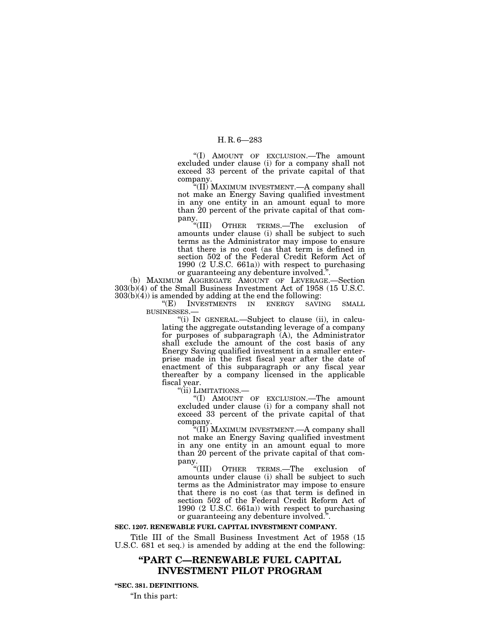''(I) AMOUNT OF EXCLUSION.—The amount excluded under clause (i) for a company shall not exceed 33 percent of the private capital of that company.

''(II) MAXIMUM INVESTMENT.—A company shall not make an Energy Saving qualified investment in any one entity in an amount equal to more than 20 percent of the private capital of that com-

 $\begin{CD} \n\text{pany.} \\ \n\text{if } \mathbf{I}(\mathbf{I}|\mathbf{I}) \\ \n\end{CD}$ OTHER TERMS.—The exclusion of amounts under clause (i) shall be subject to such terms as the Administrator may impose to ensure that there is no cost (as that term is defined in section 502 of the Federal Credit Reform Act of 1990 (2 U.S.C. 661a)) with respect to purchasing or guaranteeing any debenture involved.''.

(b) MAXIMUM AGGREGATE AMOUNT OF LEVERAGE.—Section 303(b)(4) of the Small Business Investment Act of 1958 (15 U.S.C.  $303(b)(4)$ ) is amended by adding at the end the following:<br>"(E) INVESTMENTS IN ENERGY SAVII

INVESTMENTS IN ENERGY SAVING SMALL BUSINESSES.—

''(i) IN GENERAL.—Subject to clause (ii), in calculating the aggregate outstanding leverage of a company for purposes of subparagraph (A), the Administrator shall exclude the amount of the cost basis of any Energy Saving qualified investment in a smaller enterprise made in the first fiscal year after the date of enactment of this subparagraph or any fiscal year thereafter by a company licensed in the applicable fiscal year.

''(ii) LIMITATIONS.—

''(I) AMOUNT OF EXCLUSION.—The amount excluded under clause (i) for a company shall not exceed 33 percent of the private capital of that company.

''(II) MAXIMUM INVESTMENT.—A company shall not make an Energy Saving qualified investment in any one entity in an amount equal to more than 20 percent of the private capital of that com- $\max_{\substack{\text{``(III)}}$ 

OTHER TERMS.—The exclusion of amounts under clause (i) shall be subject to such terms as the Administrator may impose to ensure that there is no cost (as that term is defined in section 502 of the Federal Credit Reform Act of 1990 (2 U.S.C. 661a)) with respect to purchasing or guaranteeing any debenture involved.''.

#### **SEC. 1207. RENEWABLE FUEL CAPITAL INVESTMENT COMPANY.**

Title III of the Small Business Investment Act of 1958 (15 U.S.C. 681 et seq.) is amended by adding at the end the following:

# **''PART C—RENEWABLE FUEL CAPITAL INVESTMENT PILOT PROGRAM**

#### **''SEC. 381. DEFINITIONS.**

''In this part: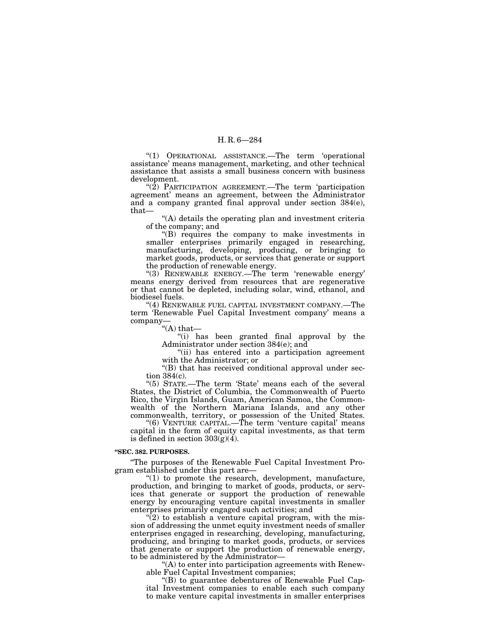''(1) OPERATIONAL ASSISTANCE.—The term 'operational assistance' means management, marketing, and other technical assistance that assists a small business concern with business development.

" $(2)$  PARTICIPATION AGREEMENT.—The term 'participation agreement' means an agreement, between the Administrator and a company granted final approval under section 384(e), that—

''(A) details the operating plan and investment criteria of the company; and

''(B) requires the company to make investments in smaller enterprises primarily engaged in researching, manufacturing, developing, producing, or bringing to market goods, products, or services that generate or support the production of renewable energy.

"(3) RENEWABLE ENERGY.—The term 'renewable energy' means energy derived from resources that are regenerative or that cannot be depleted, including solar, wind, ethanol, and biodiesel fuels.

"(4) RENEWABLE FUEL CAPITAL INVESTMENT COMPANY.—The term 'Renewable Fuel Capital Investment company' means a company—

"(A) that—

"(i) has been granted final approval by the Administrator under section 384(e); and

''(ii) has entered into a participation agreement with the Administrator; or

 $\mathrm{``(B)}$  that has received conditional approval under section 384(c).

"(5) STATE.—The term 'State' means each of the several States, the District of Columbia, the Commonwealth of Puerto Rico, the Virgin Islands, Guam, American Samoa, the Commonwealth of the Northern Mariana Islands, and any other commonwealth, territory, or possession of the United States.

"(6) VENTURE CAPITAL.—The term 'venture capital' means capital in the form of equity capital investments, as that term is defined in section  $303(\tilde{g})(4)$ .

#### **''SEC. 382. PURPOSES.**

''The purposes of the Renewable Fuel Capital Investment Program established under this part are—

 $''(1)$  to promote the research, development, manufacture, production, and bringing to market of goods, products, or services that generate or support the production of renewable energy by encouraging venture capital investments in smaller enterprises primarily engaged such activities; and

 $\sqrt{\frac{2}{2}}$  to establish a venture capital program, with the mission of addressing the unmet equity investment needs of smaller enterprises engaged in researching, developing, manufacturing, producing, and bringing to market goods, products, or services that generate or support the production of renewable energy, to be administered by the Administrator—

 $(A)$  to enter into participation agreements with Renewable Fuel Capital Investment companies;

''(B) to guarantee debentures of Renewable Fuel Capital Investment companies to enable each such company to make venture capital investments in smaller enterprises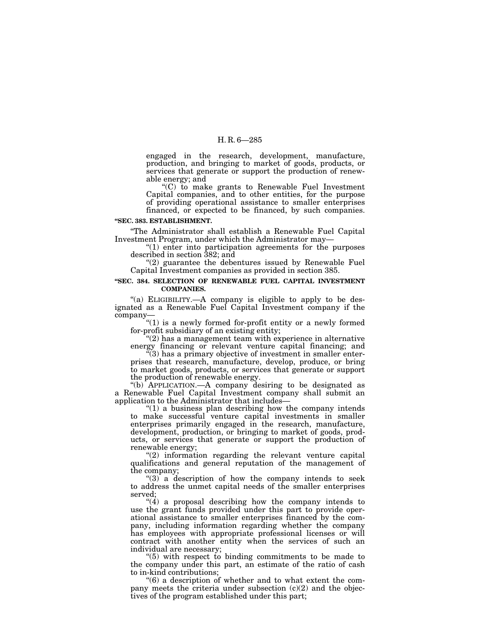engaged in the research, development, manufacture, production, and bringing to market of goods, products, or services that generate or support the production of renewable energy; and

''(C) to make grants to Renewable Fuel Investment Capital companies, and to other entities, for the purpose of providing operational assistance to smaller enterprises

# financed, or expected to be financed, by such companies.

#### **''SEC. 383. ESTABLISHMENT.**

''The Administrator shall establish a Renewable Fuel Capital Investment Program, under which the Administrator may—

''(1) enter into participation agreements for the purposes described in section 382; and

"(2) guarantee the debentures issued by Renewable Fuel Capital Investment companies as provided in section 385.

#### **''SEC. 384. SELECTION OF RENEWABLE FUEL CAPITAL INVESTMENT COMPANIES.**

"(a) ELIGIBILITY.—A company is eligible to apply to be designated as a Renewable Fuel Capital Investment company if the company—

 $!(1)$  is a newly formed for-profit entity or a newly formed for-profit subsidiary of an existing entity;

 $(2)$  has a management team with experience in alternative energy financing or relevant venture capital financing; and

 $\mathbb{F}(3)$  has a primary objective of investment in smaller enterprises that research, manufacture, develop, produce, or bring to market goods, products, or services that generate or support the production of renewable energy.

''(b) APPLICATION.—A company desiring to be designated as a Renewable Fuel Capital Investment company shall submit an application to the Administrator that includes—

" $(1)$  a business plan describing how the company intends to make successful venture capital investments in smaller enterprises primarily engaged in the research, manufacture, development, production, or bringing to market of goods, products, or services that generate or support the production of renewable energy;

 $''(2)$  information regarding the relevant venture capital qualifications and general reputation of the management of the company;

" $(3)$  a description of how the company intends to seek to address the unmet capital needs of the smaller enterprises served;

 $(4)$  a proposal describing how the company intends to use the grant funds provided under this part to provide operational assistance to smaller enterprises financed by the company, including information regarding whether the company has employees with appropriate professional licenses or will contract with another entity when the services of such an individual are necessary;

''(5) with respect to binding commitments to be made to the company under this part, an estimate of the ratio of cash to in-kind contributions;

''(6) a description of whether and to what extent the company meets the criteria under subsection (c)(2) and the objectives of the program established under this part;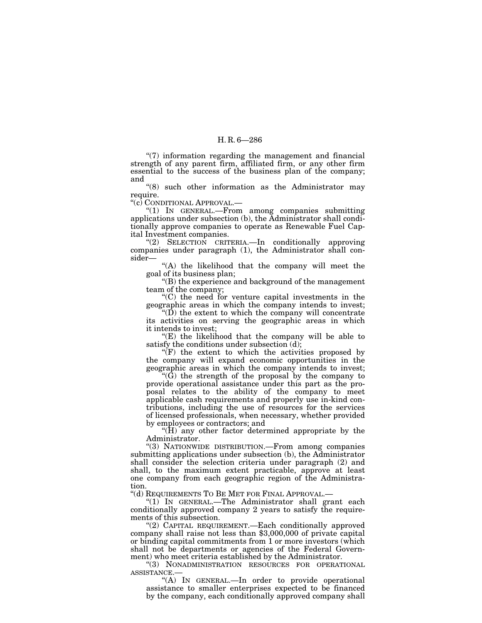$\degree$ (7) information regarding the management and financial strength of any parent firm, affiliated firm, or any other firm essential to the success of the business plan of the company; and

 $(8)$  such other information as the Administrator may require.

''(c) CONDITIONAL APPROVAL.—

''(1) IN GENERAL.—From among companies submitting applications under subsection (b), the Administrator shall conditionally approve companies to operate as Renewable Fuel Capital Investment companies.

''(2) SELECTION CRITERIA.—In conditionally approving companies under paragraph (1), the Administrator shall consider—

''(A) the likelihood that the company will meet the goal of its business plan;

''(B) the experience and background of the management team of the company;

 $C$ ) the need for venture capital investments in the geographic areas in which the company intends to invest;

 $\mathrm{``(D)}$  the extent to which the company will concentrate its activities on serving the geographic areas in which it intends to invest;

" $(E)$  the likelihood that the company will be able to satisfy the conditions under subsection (d);

" $(F)$  the extent to which the activities proposed by the company will expand economic opportunities in the geographic areas in which the company intends to invest;

 $\mathcal{L}(\hat{G})$  the strength of the proposal by the company to provide operational assistance under this part as the proposal relates to the ability of the company to meet applicable cash requirements and properly use in-kind contributions, including the use of resources for the services of licensed professionals, when necessary, whether provided by employees or contractors; and

" $(H)$  any other factor determined appropriate by the Administrator.

''(3) NATIONWIDE DISTRIBUTION.—From among companies submitting applications under subsection (b), the Administrator shall consider the selection criteria under paragraph (2) and shall, to the maximum extent practicable, approve at least one company from each geographic region of the Administration.

''(d) REQUIREMENTS TO BE MET FOR FINAL APPROVAL.—

" $(1)$  IN GENERAL.—The Administrator shall grant each conditionally approved company 2 years to satisfy the requirements of this subsection.<br>
"(2) CAPITAL REQUIREMENT.—Each conditionally approved

company shall raise not less than \$3,000,000 of private capital or binding capital commitments from 1 or more investors (which shall not be departments or agencies of the Federal Government) who meet criteria established by the Administrator.

''(3) NONADMINISTRATION RESOURCES FOR OPERATIONAL

ASSISTANCE.— ''(A) IN GENERAL.—In order to provide operational assistance to smaller enterprises expected to be financed by the company, each conditionally approved company shall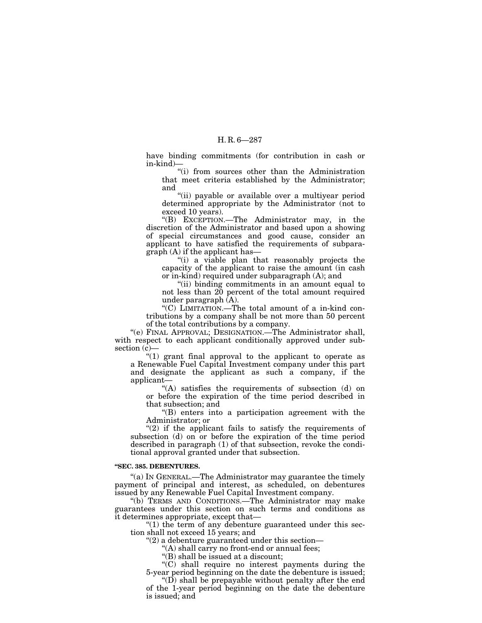have binding commitments (for contribution in cash or in-kind)—

''(i) from sources other than the Administration that meet criteria established by the Administrator; and

"(ii) payable or available over a multiyear period determined appropriate by the Administrator (not to exceed 10 years).

''(B) EXCEPTION.—The Administrator may, in the discretion of the Administrator and based upon a showing of special circumstances and good cause, consider an applicant to have satisfied the requirements of subparagraph (A) if the applicant has—

''(i) a viable plan that reasonably projects the capacity of the applicant to raise the amount (in cash or in-kind) required under subparagraph (A); and

''(ii) binding commitments in an amount equal to not less than 20 percent of the total amount required under paragraph  $(A)$ .

''(C) LIMITATION.—The total amount of a in-kind contributions by a company shall be not more than 50 percent of the total contributions by a company.

''(e) FINAL APPROVAL; DESIGNATION.—The Administrator shall, with respect to each applicant conditionally approved under subsection (c)—

 $''(1)$  grant final approval to the applicant to operate as a Renewable Fuel Capital Investment company under this part and designate the applicant as such a company, if the applicant—

"(A) satisfies the requirements of subsection (d) on or before the expiration of the time period described in that subsection; and

''(B) enters into a participation agreement with the Administrator; or

"(2) if the applicant fails to satisfy the requirements of subsection (d) on or before the expiration of the time period described in paragraph (1) of that subsection, revoke the conditional approval granted under that subsection.

#### **''SEC. 385. DEBENTURES.**

''(a) IN GENERAL.—The Administrator may guarantee the timely payment of principal and interest, as scheduled, on debentures issued by any Renewable Fuel Capital Investment company.

''(b) TERMS AND CONDITIONS.—The Administrator may make guarantees under this section on such terms and conditions as it determines appropriate, except that—

" $(1)$  the term of any debenture guaranteed under this section shall not exceed 15 years; and

''(2) a debenture guaranteed under this section—

''(A) shall carry no front-end or annual fees;

''(B) shall be issued at a discount;

''(C) shall require no interest payments during the 5-year period beginning on the date the debenture is issued;

" $(D)$  shall be prepayable without penalty after the end of the 1-year period beginning on the date the debenture is issued; and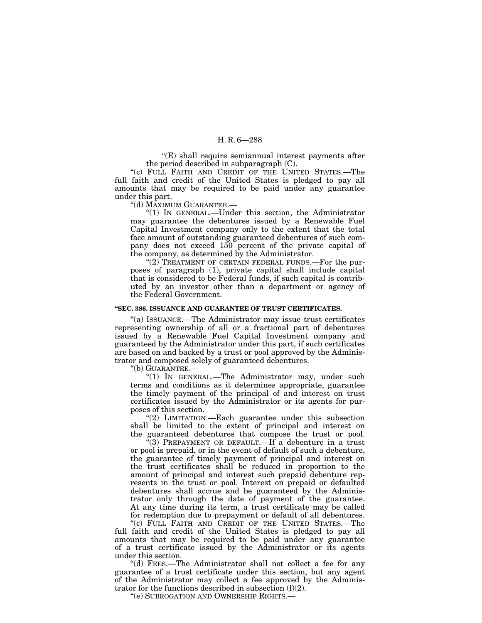''(E) shall require semiannual interest payments after the period described in subparagraph (C).

''(c) FULL FAITH AND CREDIT OF THE UNITED STATES.—The full faith and credit of the United States is pledged to pay all amounts that may be required to be paid under any guarantee under this part.

''(d) MAXIMUM GUARANTEE.—

''(1) IN GENERAL.—Under this section, the Administrator may guarantee the debentures issued by a Renewable Fuel Capital Investment company only to the extent that the total face amount of outstanding guaranteed debentures of such company does not exceed 150 percent of the private capital of the company, as determined by the Administrator.

" $(2)$  TREATMENT OF CERTAIN FEDERAL FUNDS.—For the purposes of paragraph (1), private capital shall include capital that is considered to be Federal funds, if such capital is contributed by an investor other than a department or agency of the Federal Government.

#### **''SEC. 386. ISSUANCE AND GUARANTEE OF TRUST CERTIFICATES.**

''(a) ISSUANCE.—The Administrator may issue trust certificates representing ownership of all or a fractional part of debentures issued by a Renewable Fuel Capital Investment company and guaranteed by the Administrator under this part, if such certificates are based on and backed by a trust or pool approved by the Administrator and composed solely of guaranteed debentures.

''(b) GUARANTEE.—

"(1) IN GENERAL.—The Administrator may, under such terms and conditions as it determines appropriate, guarantee the timely payment of the principal of and interest on trust certificates issued by the Administrator or its agents for purposes of this section.

"(2) LIMITATION.—Each guarantee under this subsection shall be limited to the extent of principal and interest on the guaranteed debentures that compose the trust or pool.

"(3) PREPAYMENT OR DEFAULT.—If a debenture in a trust or pool is prepaid, or in the event of default of such a debenture, the guarantee of timely payment of principal and interest on the trust certificates shall be reduced in proportion to the amount of principal and interest such prepaid debenture represents in the trust or pool. Interest on prepaid or defaulted debentures shall accrue and be guaranteed by the Administrator only through the date of payment of the guarantee. At any time during its term, a trust certificate may be called for redemption due to prepayment or default of all debentures.

"(c) FULL FAITH AND CREDIT OF THE UNITED STATES.-The full faith and credit of the United States is pledged to pay all amounts that may be required to be paid under any guarantee of a trust certificate issued by the Administrator or its agents under this section.

''(d) FEES.—The Administrator shall not collect a fee for any guarantee of a trust certificate under this section, but any agent of the Administrator may collect a fee approved by the Administrator for the functions described in subsection (f)(2).

''(e) SUBROGATION AND OWNERSHIP RIGHTS.—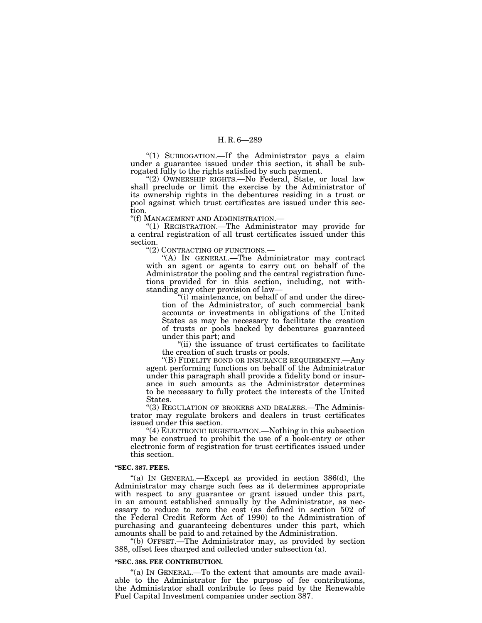''(1) SUBROGATION.—If the Administrator pays a claim under a guarantee issued under this section, it shall be subrogated fully to the rights satisfied by such payment.

"(2) OWNERSHIP RIGHTS.—No Federal, State, or local law shall preclude or limit the exercise by the Administrator of its ownership rights in the debentures residing in a trust or pool against which trust certificates are issued under this section.

''(f) MANAGEMENT AND ADMINISTRATION.—

''(1) REGISTRATION.—The Administrator may provide for a central registration of all trust certificates issued under this section.

''(2) CONTRACTING OF FUNCTIONS.—

''(A) IN GENERAL.—The Administrator may contract with an agent or agents to carry out on behalf of the Administrator the pooling and the central registration functions provided for in this section, including, not withstanding any other provision of law—

"(i) maintenance, on behalf of and under the direction of the Administrator, of such commercial bank accounts or investments in obligations of the United States as may be necessary to facilitate the creation of trusts or pools backed by debentures guaranteed under this part; and

''(ii) the issuance of trust certificates to facilitate the creation of such trusts or pools.

''(B) FIDELITY BOND OR INSURANCE REQUIREMENT.—Any agent performing functions on behalf of the Administrator under this paragraph shall provide a fidelity bond or insurance in such amounts as the Administrator determines to be necessary to fully protect the interests of the United States.

"(3) REGULATION OF BROKERS AND DEALERS.—The Administrator may regulate brokers and dealers in trust certificates issued under this section.

''(4) ELECTRONIC REGISTRATION.—Nothing in this subsection may be construed to prohibit the use of a book-entry or other electronic form of registration for trust certificates issued under this section.

#### **''SEC. 387. FEES.**

"(a) IN GENERAL.—Except as provided in section 386(d), the Administrator may charge such fees as it determines appropriate with respect to any guarantee or grant issued under this part, in an amount established annually by the Administrator, as necessary to reduce to zero the cost (as defined in section 502 of the Federal Credit Reform Act of 1990) to the Administration of purchasing and guaranteeing debentures under this part, which amounts shall be paid to and retained by the Administration.

''(b) OFFSET.—The Administrator may, as provided by section 388, offset fees charged and collected under subsection (a).

#### **''SEC. 388. FEE CONTRIBUTION.**

"(a) IN GENERAL.—To the extent that amounts are made available to the Administrator for the purpose of fee contributions, the Administrator shall contribute to fees paid by the Renewable Fuel Capital Investment companies under section 387.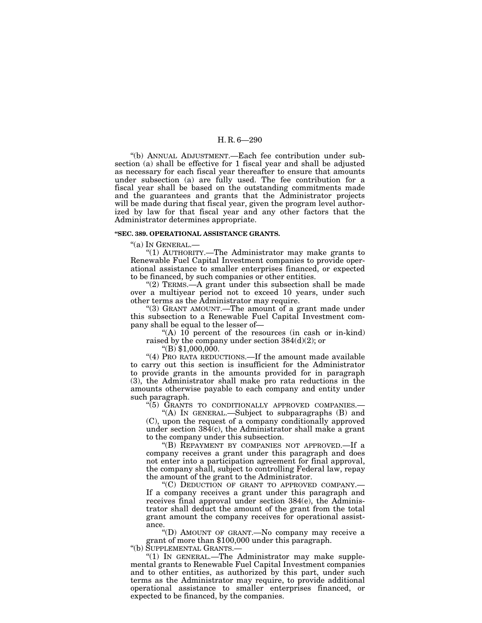''(b) ANNUAL ADJUSTMENT.—Each fee contribution under subsection (a) shall be effective for 1 fiscal year and shall be adjusted as necessary for each fiscal year thereafter to ensure that amounts under subsection (a) are fully used. The fee contribution for a fiscal year shall be based on the outstanding commitments made and the guarantees and grants that the Administrator projects will be made during that fiscal year, given the program level authorized by law for that fiscal year and any other factors that the Administrator determines appropriate.

#### **''SEC. 389. OPERATIONAL ASSISTANCE GRANTS.**

''(a) IN GENERAL.—

''(1) AUTHORITY.—The Administrator may make grants to Renewable Fuel Capital Investment companies to provide operational assistance to smaller enterprises financed, or expected to be financed, by such companies or other entities.

" $(2)$  TERMS.—A grant under this subsection shall be made over a multiyear period not to exceed 10 years, under such other terms as the Administrator may require.

''(3) GRANT AMOUNT.—The amount of a grant made under this subsection to a Renewable Fuel Capital Investment company shall be equal to the lesser of—

"(A)  $10$  percent of the resources (in cash or in-kind) raised by the company under section 384(d)(2); or

''(B) \$1,000,000.

"(4) PRO RATA REDUCTIONS. - If the amount made available to carry out this section is insufficient for the Administrator to provide grants in the amounts provided for in paragraph (3), the Administrator shall make pro rata reductions in the amounts otherwise payable to each company and entity under such paragraph.

"(5) GRANTS TO CONDITIONALLY APPROVED COMPANIES.-

"(A) In GENERAL.—Subject to subparagraphs  $(B)$  and (C), upon the request of a company conditionally approved under section 384(c), the Administrator shall make a grant to the company under this subsection.

''(B) REPAYMENT BY COMPANIES NOT APPROVED.—If a company receives a grant under this paragraph and does not enter into a participation agreement for final approval, the company shall, subject to controlling Federal law, repay the amount of the grant to the Administrator.

"(C) DEDUCTION OF GRANT TO APPROVED COMPANY.-If a company receives a grant under this paragraph and receives final approval under section 384(e), the Administrator shall deduct the amount of the grant from the total grant amount the company receives for operational assistance.

''(D) AMOUNT OF GRANT.—No company may receive a grant of more than \$100,000 under this paragraph. ''(b) SUPPLEMENTAL GRANTS.—

"(1) IN GENERAL.-The Administrator may make supplemental grants to Renewable Fuel Capital Investment companies and to other entities, as authorized by this part, under such terms as the Administrator may require, to provide additional operational assistance to smaller enterprises financed, or expected to be financed, by the companies.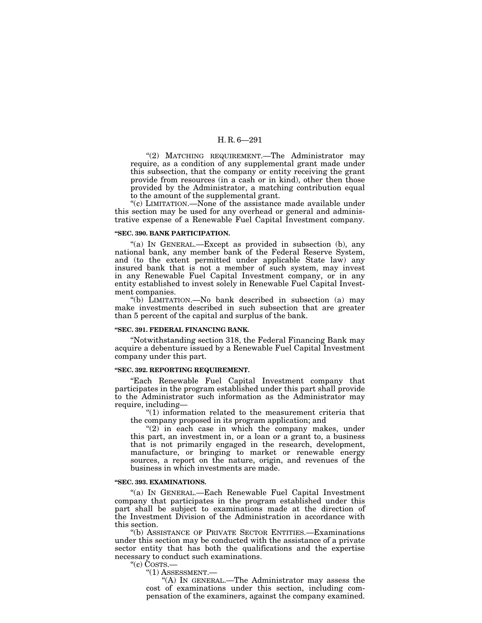''(2) MATCHING REQUIREMENT.—The Administrator may require, as a condition of any supplemental grant made under this subsection, that the company or entity receiving the grant provide from resources (in a cash or in kind), other then those provided by the Administrator, a matching contribution equal to the amount of the supplemental grant.

"(c) LIMITATION.—None of the assistance made available under this section may be used for any overhead or general and administrative expense of a Renewable Fuel Capital Investment company.

#### **''SEC. 390. BANK PARTICIPATION.**

"(a) IN GENERAL.—Except as provided in subsection (b), any national bank, any member bank of the Federal Reserve System, and (to the extent permitted under applicable State law) any insured bank that is not a member of such system, may invest in any Renewable Fuel Capital Investment company, or in any entity established to invest solely in Renewable Fuel Capital Investment companies.

''(b) LIMITATION.—No bank described in subsection (a) may make investments described in such subsection that are greater than 5 percent of the capital and surplus of the bank.

#### **''SEC. 391. FEDERAL FINANCING BANK.**

''Notwithstanding section 318, the Federal Financing Bank may acquire a debenture issued by a Renewable Fuel Capital Investment company under this part.

#### **''SEC. 392. REPORTING REQUIREMENT.**

''Each Renewable Fuel Capital Investment company that participates in the program established under this part shall provide to the Administrator such information as the Administrator may require, including—

 $''(1)$  information related to the measurement criteria that the company proposed in its program application; and

" $(2)$  in each case in which the company makes, under this part, an investment in, or a loan or a grant to, a business that is not primarily engaged in the research, development, manufacture, or bringing to market or renewable energy sources, a report on the nature, origin, and revenues of the business in which investments are made.

#### **''SEC. 393. EXAMINATIONS.**

''(a) IN GENERAL.—Each Renewable Fuel Capital Investment company that participates in the program established under this part shall be subject to examinations made at the direction of the Investment Division of the Administration in accordance with this section.

''(b) ASSISTANCE OF PRIVATE SECTOR ENTITIES.—Examinations under this section may be conducted with the assistance of a private sector entity that has both the qualifications and the expertise necessary to conduct such examinations.

 $"$ (c) COSTS.

 $"(1)$  ASSESSMENT. $-$ 

''(A) IN GENERAL.—The Administrator may assess the cost of examinations under this section, including compensation of the examiners, against the company examined.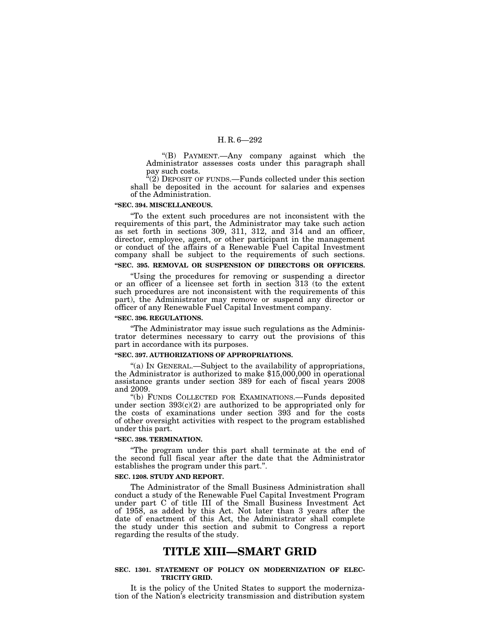''(B) PAYMENT.—Any company against which the Administrator assesses costs under this paragraph shall pay such costs.

 $\sqrt{a(2)}$  DEPOSIT OF FUNDS.—Funds collected under this section shall be deposited in the account for salaries and expenses of the Administration.

#### **''SEC. 394. MISCELLANEOUS.**

''To the extent such procedures are not inconsistent with the requirements of this part, the Administrator may take such action as set forth in sections 309, 311, 312, and 314 and an officer, director, employee, agent, or other participant in the management or conduct of the affairs of a Renewable Fuel Capital Investment company shall be subject to the requirements of such sections.

## **''SEC. 395. REMOVAL OR SUSPENSION OF DIRECTORS OR OFFICERS.**

''Using the procedures for removing or suspending a director or an officer of a licensee set forth in section 313 (to the extent such procedures are not inconsistent with the requirements of this part), the Administrator may remove or suspend any director or officer of any Renewable Fuel Capital Investment company.

#### **''SEC. 396. REGULATIONS.**

''The Administrator may issue such regulations as the Administrator determines necessary to carry out the provisions of this part in accordance with its purposes.

### **''SEC. 397. AUTHORIZATIONS OF APPROPRIATIONS.**

"(a) IN GENERAL.—Subject to the availability of appropriations, the Administrator is authorized to make \$15,000,000 in operational assistance grants under section 389 for each of fiscal years 2008 and 2009.

''(b) FUNDS COLLECTED FOR EXAMINATIONS.—Funds deposited under section  $393(c)(2)$  are authorized to be appropriated only for the costs of examinations under section 393 and for the costs of other oversight activities with respect to the program established under this part.

#### **''SEC. 398. TERMINATION.**

''The program under this part shall terminate at the end of the second full fiscal year after the date that the Administrator establishes the program under this part.''.

## **SEC. 1208. STUDY AND REPORT.**

The Administrator of the Small Business Administration shall conduct a study of the Renewable Fuel Capital Investment Program under part C of title III of the Small Business Investment Act of 1958, as added by this Act. Not later than 3 years after the date of enactment of this Act, the Administrator shall complete the study under this section and submit to Congress a report regarding the results of the study.

## **TITLE XIII—SMART GRID**

#### **SEC. 1301. STATEMENT OF POLICY ON MODERNIZATION OF ELEC-TRICITY GRID.**

It is the policy of the United States to support the modernization of the Nation's electricity transmission and distribution system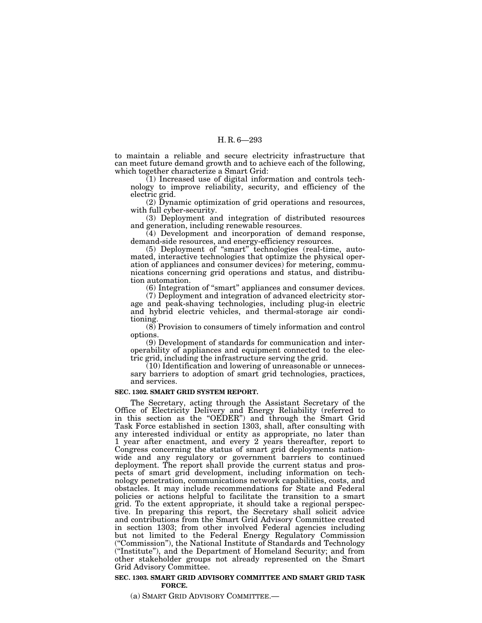to maintain a reliable and secure electricity infrastructure that can meet future demand growth and to achieve each of the following, which together characterize a Smart Grid:

(1) Increased use of digital information and controls technology to improve reliability, security, and efficiency of the electric grid.

(2) Dynamic optimization of grid operations and resources, with full cyber-security.

(3) Deployment and integration of distributed resources and generation, including renewable resources.

(4) Development and incorporation of demand response, demand-side resources, and energy-efficiency resources.

(5) Deployment of ''smart'' technologies (real-time, automated, interactive technologies that optimize the physical operation of appliances and consumer devices) for metering, communications concerning grid operations and status, and distribution automation.

(6) Integration of ''smart'' appliances and consumer devices.

(7) Deployment and integration of advanced electricity storage and peak-shaving technologies, including plug-in electric and hybrid electric vehicles, and thermal-storage air conditioning.

(8) Provision to consumers of timely information and control options.

(9) Development of standards for communication and interoperability of appliances and equipment connected to the electric grid, including the infrastructure serving the grid.

(10) Identification and lowering of unreasonable or unnecessary barriers to adoption of smart grid technologies, practices, and services.

#### **SEC. 1302. SMART GRID SYSTEM REPORT.**

The Secretary, acting through the Assistant Secretary of the Office of Electricity Delivery and Energy Reliability (referred to in this section as the ''OEDER'') and through the Smart Grid Task Force established in section 1303, shall, after consulting with any interested individual or entity as appropriate, no later than 1 year after enactment, and every 2 years thereafter, report to Congress concerning the status of smart grid deployments nationwide and any regulatory or government barriers to continued deployment. The report shall provide the current status and prospects of smart grid development, including information on technology penetration, communications network capabilities, costs, and obstacles. It may include recommendations for State and Federal policies or actions helpful to facilitate the transition to a smart grid. To the extent appropriate, it should take a regional perspective. In preparing this report, the Secretary shall solicit advice and contributions from the Smart Grid Advisory Committee created in section 1303; from other involved Federal agencies including but not limited to the Federal Energy Regulatory Commission (''Commission''), the National Institute of Standards and Technology (''Institute''), and the Department of Homeland Security; and from other stakeholder groups not already represented on the Smart Grid Advisory Committee.

#### **SEC. 1303. SMART GRID ADVISORY COMMITTEE AND SMART GRID TASK FORCE.**

(a) SMART GRID ADVISORY COMMITTEE.—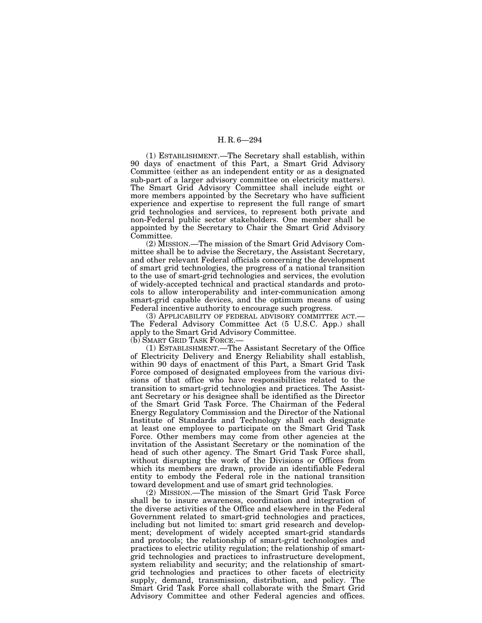(1) ESTABLISHMENT.—The Secretary shall establish, within 90 days of enactment of this Part, a Smart Grid Advisory Committee (either as an independent entity or as a designated sub-part of a larger advisory committee on electricity matters). The Smart Grid Advisory Committee shall include eight or more members appointed by the Secretary who have sufficient experience and expertise to represent the full range of smart grid technologies and services, to represent both private and non-Federal public sector stakeholders. One member shall be appointed by the Secretary to Chair the Smart Grid Advisory Committee.

(2) MISSION.—The mission of the Smart Grid Advisory Committee shall be to advise the Secretary, the Assistant Secretary, and other relevant Federal officials concerning the development of smart grid technologies, the progress of a national transition to the use of smart-grid technologies and services, the evolution of widely-accepted technical and practical standards and protocols to allow interoperability and inter-communication among smart-grid capable devices, and the optimum means of using Federal incentive authority to encourage such progress.

(3) APPLICABILITY OF FEDERAL ADVISORY COMMITTEE ACT.— The Federal Advisory Committee Act (5 U.S.C. App.) shall apply to the Smart Grid Advisory Committee.

(b) SMART GRID TASK FORCE.—

(1) ESTABLISHMENT.—The Assistant Secretary of the Office of Electricity Delivery and Energy Reliability shall establish, within 90 days of enactment of this Part, a Smart Grid Task Force composed of designated employees from the various divisions of that office who have responsibilities related to the transition to smart-grid technologies and practices. The Assistant Secretary or his designee shall be identified as the Director of the Smart Grid Task Force. The Chairman of the Federal Energy Regulatory Commission and the Director of the National Institute of Standards and Technology shall each designate at least one employee to participate on the Smart Grid Task Force. Other members may come from other agencies at the invitation of the Assistant Secretary or the nomination of the head of such other agency. The Smart Grid Task Force shall, without disrupting the work of the Divisions or Offices from which its members are drawn, provide an identifiable Federal entity to embody the Federal role in the national transition toward development and use of smart grid technologies.

(2) MISSION.—The mission of the Smart Grid Task Force shall be to insure awareness, coordination and integration of the diverse activities of the Office and elsewhere in the Federal Government related to smart-grid technologies and practices, including but not limited to: smart grid research and development; development of widely accepted smart-grid standards and protocols; the relationship of smart-grid technologies and practices to electric utility regulation; the relationship of smartgrid technologies and practices to infrastructure development, system reliability and security; and the relationship of smartgrid technologies and practices to other facets of electricity supply, demand, transmission, distribution, and policy. The Smart Grid Task Force shall collaborate with the Smart Grid Advisory Committee and other Federal agencies and offices.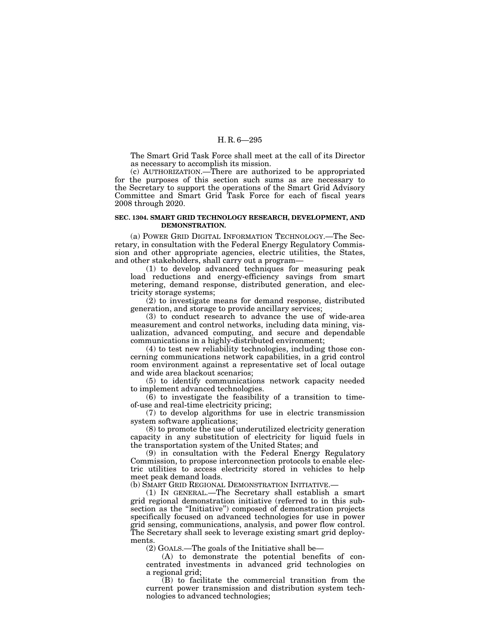The Smart Grid Task Force shall meet at the call of its Director as necessary to accomplish its mission.

(c) AUTHORIZATION.—There are authorized to be appropriated for the purposes of this section such sums as are necessary to the Secretary to support the operations of the Smart Grid Advisory Committee and Smart Grid Task Force for each of fiscal years 2008 through 2020.

#### **SEC. 1304. SMART GRID TECHNOLOGY RESEARCH, DEVELOPMENT, AND DEMONSTRATION.**

(a) POWER GRID DIGITAL INFORMATION TECHNOLOGY.—The Secretary, in consultation with the Federal Energy Regulatory Commission and other appropriate agencies, electric utilities, the States, and other stakeholders, shall carry out a program—

(1) to develop advanced techniques for measuring peak load reductions and energy-efficiency savings from smart metering, demand response, distributed generation, and electricity storage systems;

(2) to investigate means for demand response, distributed generation, and storage to provide ancillary services;

(3) to conduct research to advance the use of wide-area measurement and control networks, including data mining, visualization, advanced computing, and secure and dependable communications in a highly-distributed environment;

(4) to test new reliability technologies, including those concerning communications network capabilities, in a grid control room environment against a representative set of local outage and wide area blackout scenarios;

(5) to identify communications network capacity needed to implement advanced technologies.

(6) to investigate the feasibility of a transition to timeof-use and real-time electricity pricing;

(7) to develop algorithms for use in electric transmission system software applications;

(8) to promote the use of underutilized electricity generation capacity in any substitution of electricity for liquid fuels in the transportation system of the United States; and

(9) in consultation with the Federal Energy Regulatory Commission, to propose interconnection protocols to enable electric utilities to access electricity stored in vehicles to help meet peak demand loads.

(b) SMART GRID REGIONAL DEMONSTRATION INITIATIVE.—

(1) IN GENERAL.—The Secretary shall establish a smart grid regional demonstration initiative (referred to in this subsection as the "Initiative") composed of demonstration projects specifically focused on advanced technologies for use in power grid sensing, communications, analysis, and power flow control. The Secretary shall seek to leverage existing smart grid deployments.

(2) GOALS.—The goals of the Initiative shall be—

(A) to demonstrate the potential benefits of concentrated investments in advanced grid technologies on a regional grid;

(B) to facilitate the commercial transition from the current power transmission and distribution system technologies to advanced technologies;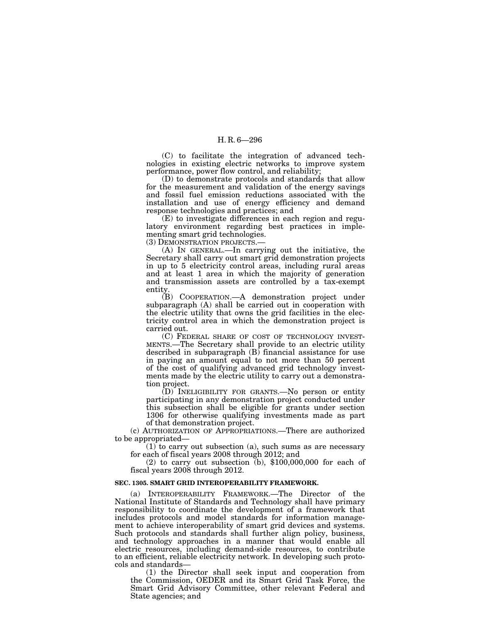(C) to facilitate the integration of advanced technologies in existing electric networks to improve system performance, power flow control, and reliability;

(D) to demonstrate protocols and standards that allow for the measurement and validation of the energy savings and fossil fuel emission reductions associated with the installation and use of energy efficiency and demand response technologies and practices; and

(E) to investigate differences in each region and regulatory environment regarding best practices in implementing smart grid technologies.

(3) DEMONSTRATION PROJECTS.—

(A) IN GENERAL.—In carrying out the initiative, the Secretary shall carry out smart grid demonstration projects in up to 5 electricity control areas, including rural areas and at least 1 area in which the majority of generation and transmission assets are controlled by a tax-exempt entity.

(B) COOPERATION.—A demonstration project under subparagraph (A) shall be carried out in cooperation with the electric utility that owns the grid facilities in the electricity control area in which the demonstration project is carried out.<br>(C) FEDERAL SHARE OF COST OF TECHNOLOGY INVEST-

(C) FEDERAL SHARE OF COST OF TECHNOLOGY INVEST- MENTS.—The Secretary shall provide to an electric utility described in subparagraph (B) financial assistance for use in paying an amount equal to not more than 50 percent of the cost of qualifying advanced grid technology investments made by the electric utility to carry out a demonstration project.

(D) INELIGIBILITY FOR GRANTS.—No person or entity participating in any demonstration project conducted under this subsection shall be eligible for grants under section 1306 for otherwise qualifying investments made as part of that demonstration project.

(c) AUTHORIZATION OF APPROPRIATIONS.—There are authorized to be appropriated—

 $(1)$  to carry out subsection (a), such sums as are necessary for each of fiscal years 2008 through 2012; and

(2) to carry out subsection  $\overline{b}$ ), \$100,000,000 for each of fiscal years 2008 through 2012.

#### **SEC. 1305. SMART GRID INTEROPERABILITY FRAMEWORK.**

(a) INTEROPERABILITY FRAMEWORK.—The Director of the National Institute of Standards and Technology shall have primary responsibility to coordinate the development of a framework that includes protocols and model standards for information management to achieve interoperability of smart grid devices and systems. Such protocols and standards shall further align policy, business, and technology approaches in a manner that would enable all electric resources, including demand-side resources, to contribute to an efficient, reliable electricity network. In developing such protocols and standards—

(1) the Director shall seek input and cooperation from the Commission, OEDER and its Smart Grid Task Force, the Smart Grid Advisory Committee, other relevant Federal and State agencies; and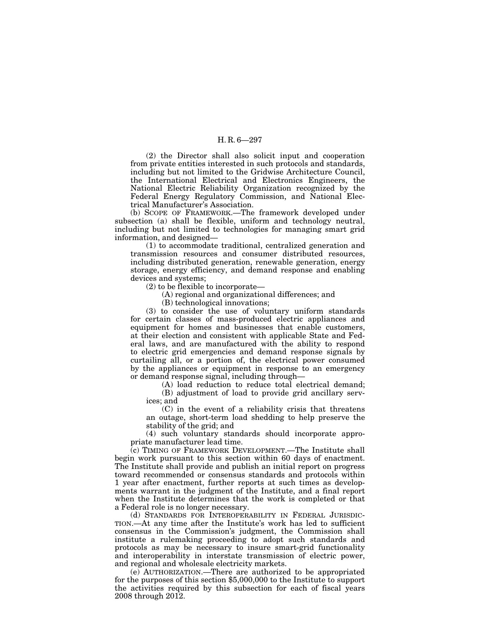(2) the Director shall also solicit input and cooperation from private entities interested in such protocols and standards, including but not limited to the Gridwise Architecture Council, the International Electrical and Electronics Engineers, the National Electric Reliability Organization recognized by the Federal Energy Regulatory Commission, and National Electrical Manufacturer's Association.

(b) SCOPE OF FRAMEWORK.—The framework developed under subsection (a) shall be flexible, uniform and technology neutral, including but not limited to technologies for managing smart grid information, and designed—

(1) to accommodate traditional, centralized generation and transmission resources and consumer distributed resources, including distributed generation, renewable generation, energy storage, energy efficiency, and demand response and enabling devices and systems;

(2) to be flexible to incorporate—

(A) regional and organizational differences; and

(B) technological innovations;

(3) to consider the use of voluntary uniform standards for certain classes of mass-produced electric appliances and equipment for homes and businesses that enable customers, at their election and consistent with applicable State and Federal laws, and are manufactured with the ability to respond to electric grid emergencies and demand response signals by curtailing all, or a portion of, the electrical power consumed by the appliances or equipment in response to an emergency or demand response signal, including through—

(A) load reduction to reduce total electrical demand; (B) adjustment of load to provide grid ancillary serv-

ices; and

(C) in the event of a reliability crisis that threatens an outage, short-term load shedding to help preserve the stability of the grid; and

(4) such voluntary standards should incorporate appropriate manufacturer lead time.

(c) TIMING OF FRAMEWORK DEVELOPMENT.—The Institute shall begin work pursuant to this section within 60 days of enactment. The Institute shall provide and publish an initial report on progress toward recommended or consensus standards and protocols within 1 year after enactment, further reports at such times as developments warrant in the judgment of the Institute, and a final report when the Institute determines that the work is completed or that a Federal role is no longer necessary.

(d) STANDARDS FOR INTEROPERABILITY IN FEDERAL JURISDIC-TION.—At any time after the Institute's work has led to sufficient consensus in the Commission's judgment, the Commission shall institute a rulemaking proceeding to adopt such standards and protocols as may be necessary to insure smart-grid functionality and interoperability in interstate transmission of electric power, and regional and wholesale electricity markets.

(e) AUTHORIZATION.—There are authorized to be appropriated for the purposes of this section \$5,000,000 to the Institute to support the activities required by this subsection for each of fiscal years 2008 through 2012.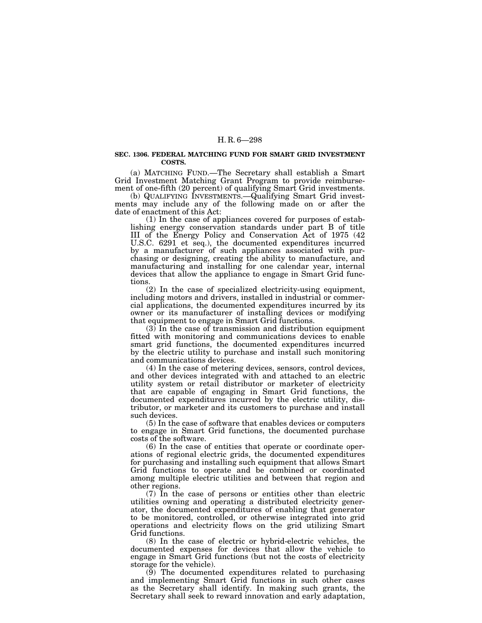#### **SEC. 1306. FEDERAL MATCHING FUND FOR SMART GRID INVESTMENT COSTS.**

(a) MATCHING FUND.—The Secretary shall establish a Smart Grid Investment Matching Grant Program to provide reimbursement of one-fifth (20 percent) of qualifying Smart Grid investments.

(b) QUALIFYING INVESTMENTS.—Qualifying Smart Grid investments may include any of the following made on or after the date of enactment of this Act:

(1) In the case of appliances covered for purposes of establishing energy conservation standards under part B of title III of the Energy Policy and Conservation Act of 1975 (42 U.S.C. 6291 et seq.), the documented expenditures incurred by a manufacturer of such appliances associated with purchasing or designing, creating the ability to manufacture, and manufacturing and installing for one calendar year, internal devices that allow the appliance to engage in Smart Grid functions.

(2) In the case of specialized electricity-using equipment, including motors and drivers, installed in industrial or commercial applications, the documented expenditures incurred by its owner or its manufacturer of installing devices or modifying that equipment to engage in Smart Grid functions.

(3) In the case of transmission and distribution equipment fitted with monitoring and communications devices to enable smart grid functions, the documented expenditures incurred by the electric utility to purchase and install such monitoring and communications devices.

(4) In the case of metering devices, sensors, control devices, and other devices integrated with and attached to an electric utility system or retail distributor or marketer of electricity that are capable of engaging in Smart Grid functions, the documented expenditures incurred by the electric utility, distributor, or marketer and its customers to purchase and install such devices.

(5) In the case of software that enables devices or computers to engage in Smart Grid functions, the documented purchase costs of the software.

(6) In the case of entities that operate or coordinate operations of regional electric grids, the documented expenditures for purchasing and installing such equipment that allows Smart Grid functions to operate and be combined or coordinated among multiple electric utilities and between that region and other regions.

(7) In the case of persons or entities other than electric utilities owning and operating a distributed electricity generator, the documented expenditures of enabling that generator to be monitored, controlled, or otherwise integrated into grid operations and electricity flows on the grid utilizing Smart Grid functions.

(8) In the case of electric or hybrid-electric vehicles, the documented expenses for devices that allow the vehicle to engage in Smart Grid functions (but not the costs of electricity storage for the vehicle).

(9) The documented expenditures related to purchasing and implementing Smart Grid functions in such other cases as the Secretary shall identify. In making such grants, the Secretary shall seek to reward innovation and early adaptation,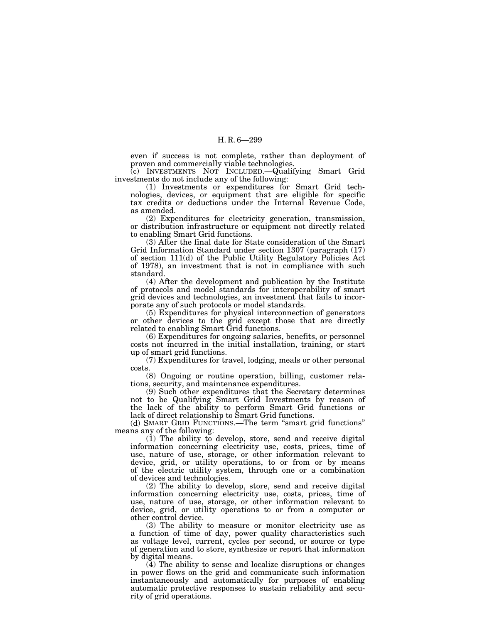even if success is not complete, rather than deployment of proven and commercially viable technologies.

(c) INVESTMENTS NOT INCLUDED.—Qualifying Smart Grid investments do not include any of the following:

(1) Investments or expenditures for Smart Grid technologies, devices, or equipment that are eligible for specific tax credits or deductions under the Internal Revenue Code, as amended.

(2) Expenditures for electricity generation, transmission, or distribution infrastructure or equipment not directly related to enabling Smart Grid functions.

(3) After the final date for State consideration of the Smart Grid Information Standard under section 1307 (paragraph (17) of section 111(d) of the Public Utility Regulatory Policies Act of 1978), an investment that is not in compliance with such standard.

(4) After the development and publication by the Institute of protocols and model standards for interoperability of smart grid devices and technologies, an investment that fails to incorporate any of such protocols or model standards.

(5) Expenditures for physical interconnection of generators or other devices to the grid except those that are directly related to enabling Smart Grid functions.

(6) Expenditures for ongoing salaries, benefits, or personnel costs not incurred in the initial installation, training, or start up of smart grid functions.

(7) Expenditures for travel, lodging, meals or other personal costs.

(8) Ongoing or routine operation, billing, customer relations, security, and maintenance expenditures.

(9) Such other expenditures that the Secretary determines not to be Qualifying Smart Grid Investments by reason of the lack of the ability to perform Smart Grid functions or lack of direct relationship to Smart Grid functions.

(d) SMART GRID FUNCTIONS.—The term ''smart grid functions'' means any of the following:

(1) The ability to develop, store, send and receive digital information concerning electricity use, costs, prices, time of use, nature of use, storage, or other information relevant to device, grid, or utility operations, to or from or by means of the electric utility system, through one or a combination of devices and technologies.

(2) The ability to develop, store, send and receive digital information concerning electricity use, costs, prices, time of use, nature of use, storage, or other information relevant to device, grid, or utility operations to or from a computer or other control device.

(3) The ability to measure or monitor electricity use as a function of time of day, power quality characteristics such as voltage level, current, cycles per second, or source or type of generation and to store, synthesize or report that information by digital means.

(4) The ability to sense and localize disruptions or changes in power flows on the grid and communicate such information instantaneously and automatically for purposes of enabling automatic protective responses to sustain reliability and security of grid operations.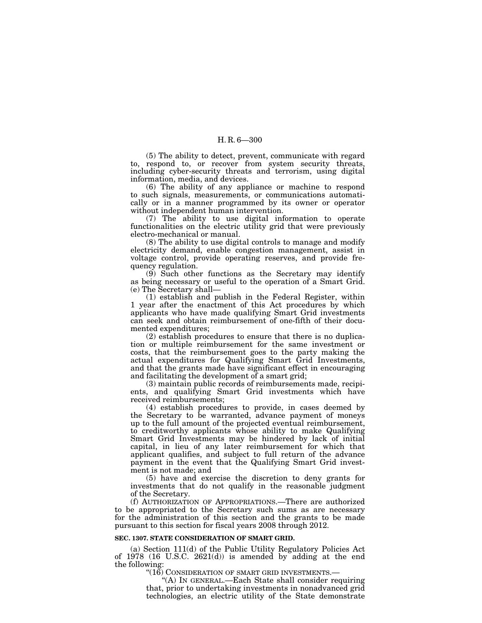(5) The ability to detect, prevent, communicate with regard to, respond to, or recover from system security threats, including cyber-security threats and terrorism, using digital information, media, and devices.

(6) The ability of any appliance or machine to respond to such signals, measurements, or communications automatically or in a manner programmed by its owner or operator without independent human intervention.

(7) The ability to use digital information to operate functionalities on the electric utility grid that were previously electro-mechanical or manual.

(8) The ability to use digital controls to manage and modify electricity demand, enable congestion management, assist in voltage control, provide operating reserves, and provide frequency regulation.

(9) Such other functions as the Secretary may identify as being necessary or useful to the operation of a Smart Grid. (e) The Secretary shall—

(1) establish and publish in the Federal Register, within 1 year after the enactment of this Act procedures by which applicants who have made qualifying Smart Grid investments can seek and obtain reimbursement of one-fifth of their documented expenditures;

(2) establish procedures to ensure that there is no duplication or multiple reimbursement for the same investment or costs, that the reimbursement goes to the party making the actual expenditures for Qualifying Smart Grid Investments, and that the grants made have significant effect in encouraging and facilitating the development of a smart grid;

(3) maintain public records of reimbursements made, recipients, and qualifying Smart Grid investments which have received reimbursements;

(4) establish procedures to provide, in cases deemed by the Secretary to be warranted, advance payment of moneys up to the full amount of the projected eventual reimbursement, to creditworthy applicants whose ability to make Qualifying Smart Grid Investments may be hindered by lack of initial capital, in lieu of any later reimbursement for which that applicant qualifies, and subject to full return of the advance payment in the event that the Qualifying Smart Grid investment is not made; and

(5) have and exercise the discretion to deny grants for investments that do not qualify in the reasonable judgment of the Secretary.

(f) AUTHORIZATION OF APPROPRIATIONS.—There are authorized to be appropriated to the Secretary such sums as are necessary for the administration of this section and the grants to be made pursuant to this section for fiscal years 2008 through 2012.

#### **SEC. 1307. STATE CONSIDERATION OF SMART GRID.**

(a) Section 111(d) of the Public Utility Regulatory Policies Act of 1978 (16 U.S.C. 2621(d)) is amended by adding at the end the following:

"(16) CONSIDERATION OF SMART GRID INVESTMENTS.

''(A) IN GENERAL.—Each State shall consider requiring that, prior to undertaking investments in nonadvanced grid technologies, an electric utility of the State demonstrate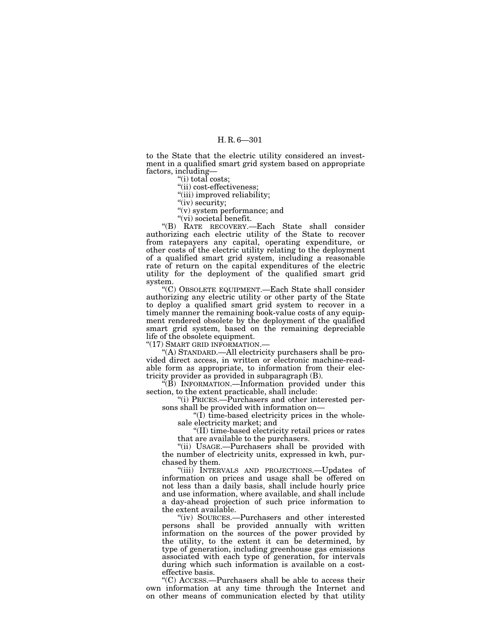to the State that the electric utility considered an investment in a qualified smart grid system based on appropriate factors, including—

"(i) total costs;

''(ii) cost-effectiveness;

"(iii) improved reliability;

"(iv) security;

''(v) system performance; and

"(vi) societal benefit.

''(B) RATE RECOVERY.—Each State shall consider authorizing each electric utility of the State to recover from ratepayers any capital, operating expenditure, or other costs of the electric utility relating to the deployment of a qualified smart grid system, including a reasonable rate of return on the capital expenditures of the electric utility for the deployment of the qualified smart grid system.

''(C) OBSOLETE EQUIPMENT.—Each State shall consider authorizing any electric utility or other party of the State to deploy a qualified smart grid system to recover in a timely manner the remaining book-value costs of any equipment rendered obsolete by the deployment of the qualified smart grid system, based on the remaining depreciable life of the obsolete equipment.<br>"(17) SMART GRID INFORMATION.-

''(17) SMART GRID INFORMATION.— ''(A) STANDARD.—All electricity purchasers shall be provided direct access, in written or electronic machine-readable form as appropriate, to information from their electricity provider as provided in subparagraph (B).

''(B) INFORMATION.—Information provided under this section, to the extent practicable, shall include:

''(i) PRICES.—Purchasers and other interested persons shall be provided with information on—

''(I) time-based electricity prices in the wholesale electricity market; and

''(II) time-based electricity retail prices or rates that are available to the purchasers.

''(ii) USAGE.—Purchasers shall be provided with the number of electricity units, expressed in kwh, purchased by them.

''(iii) INTERVALS AND PROJECTIONS.—Updates of information on prices and usage shall be offered on not less than a daily basis, shall include hourly price and use information, where available, and shall include a day-ahead projection of such price information to the extent available.

''(iv) SOURCES.—Purchasers and other interested persons shall be provided annually with written information on the sources of the power provided by the utility, to the extent it can be determined, by type of generation, including greenhouse gas emissions associated with each type of generation, for intervals during which such information is available on a costeffective basis.

''(C) ACCESS.—Purchasers shall be able to access their own information at any time through the Internet and on other means of communication elected by that utility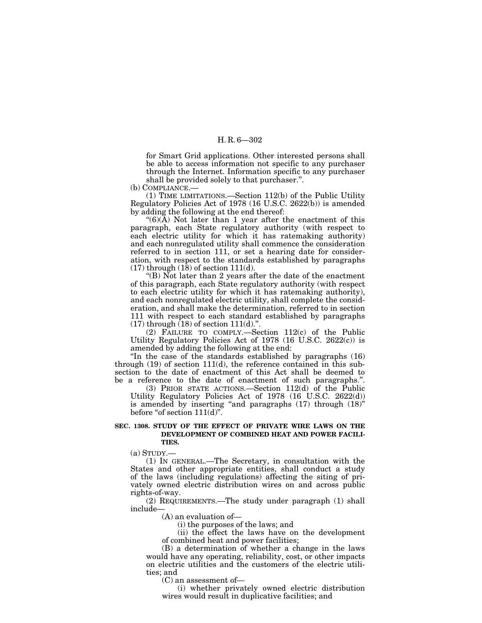for Smart Grid applications. Other interested persons shall be able to access information not specific to any purchaser through the Internet. Information specific to any purchaser shall be provided solely to that purchaser.''.

(b) COMPLIANCE.—

(1) TIME LIMITATIONS.—Section 112(b) of the Public Utility Regulatory Policies Act of 1978 (16 U.S.C. 2622(b)) is amended by adding the following at the end thereof:

" $(6)(\overline{A})$  Not later than 1 year after the enactment of this paragraph, each State regulatory authority (with respect to each electric utility for which it has ratemaking authority) and each nonregulated utility shall commence the consideration referred to in section 111, or set a hearing date for consideration, with respect to the standards established by paragraphs  $(17)$  through  $(18)$  of section  $111(d)$ .

" $(B)$  Not later than 2 years after the date of the enactment of this paragraph, each State regulatory authority (with respect to each electric utility for which it has ratemaking authority), and each nonregulated electric utility, shall complete the consideration, and shall make the determination, referred to in section 111 with respect to each standard established by paragraphs  $(17)$  through  $(18)$  of section  $111(d)$ .".

(2) FAILURE TO COMPLY.—Section 112(c) of the Public Utility Regulatory Policies Act of 1978 (16 U.S.C. 2622(c)) is amended by adding the following at the end:

"In the case of the standards established by paragraphs (16) through (19) of section 111(d), the reference contained in this subsection to the date of enactment of this Act shall be deemed to be a reference to the date of enactment of such paragraphs.''.

(3) PRIOR STATE ACTIONS.—Section 112(d) of the Public Utility Regulatory Policies Act of 1978 (16 U.S.C. 2622(d)) is amended by inserting "and paragraphs (17) through (18)" before "of section  $111(d)$ ".

#### **SEC. 1308. STUDY OF THE EFFECT OF PRIVATE WIRE LAWS ON THE DEVELOPMENT OF COMBINED HEAT AND POWER FACILI-TIES.**

(a) STUDY.—

(1) IN GENERAL.—The Secretary, in consultation with the States and other appropriate entities, shall conduct a study of the laws (including regulations) affecting the siting of privately owned electric distribution wires on and across public rights-of-way.

(2) REQUIREMENTS.—The study under paragraph (1) shall include—

(A) an evaluation of—

(i) the purposes of the laws; and

(ii) the effect the laws have on the development of combined heat and power facilities;

(B) a determination of whether a change in the laws would have any operating, reliability, cost, or other impacts on electric utilities and the customers of the electric utilities; and

(C) an assessment of—

(i) whether privately owned electric distribution wires would result in duplicative facilities; and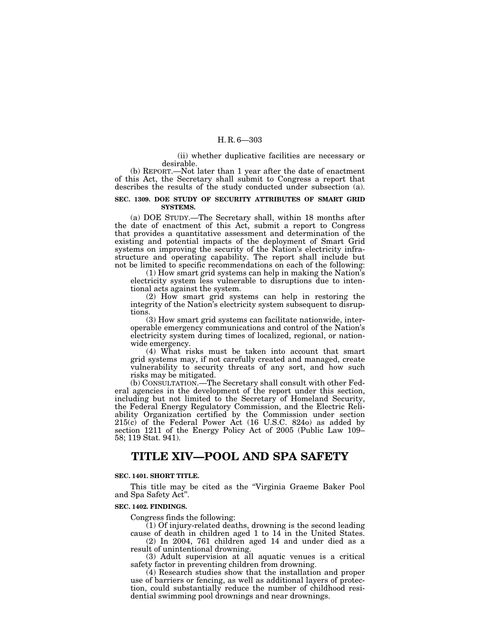(ii) whether duplicative facilities are necessary or desirable.

(b) REPORT.—Not later than 1 year after the date of enactment of this Act, the Secretary shall submit to Congress a report that describes the results of the study conducted under subsection (a).

#### **SEC. 1309. DOE STUDY OF SECURITY ATTRIBUTES OF SMART GRID SYSTEMS.**

(a) DOE STUDY.—The Secretary shall, within 18 months after the date of enactment of this Act, submit a report to Congress that provides a quantitative assessment and determination of the existing and potential impacts of the deployment of Smart Grid systems on improving the security of the Nation's electricity infrastructure and operating capability. The report shall include but not be limited to specific recommendations on each of the following:

(1) How smart grid systems can help in making the Nation's electricity system less vulnerable to disruptions due to intentional acts against the system.

(2) How smart grid systems can help in restoring the integrity of the Nation's electricity system subsequent to disruptions.

(3) How smart grid systems can facilitate nationwide, interoperable emergency communications and control of the Nation's electricity system during times of localized, regional, or nationwide emergency.

(4) What risks must be taken into account that smart grid systems may, if not carefully created and managed, create vulnerability to security threats of any sort, and how such risks may be mitigated.

(b) CONSULTATION.—The Secretary shall consult with other Federal agencies in the development of the report under this section, including but not limited to the Secretary of Homeland Security, the Federal Energy Regulatory Commission, and the Electric Reliability Organization certified by the Commission under section 215(c) of the Federal Power Act (16 U.S.C. 824o) as added by section 1211 of the Energy Policy Act of 2005 (Public Law 109– 58; 119 Stat. 941).

## **TITLE XIV—POOL AND SPA SAFETY**

## **SEC. 1401. SHORT TITLE.**

This title may be cited as the ''Virginia Graeme Baker Pool and Spa Safety Act''.

## **SEC. 1402. FINDINGS.**

Congress finds the following:

(1) Of injury-related deaths, drowning is the second leading cause of death in children aged 1 to 14 in the United States.

(2) In 2004, 761 children aged 14 and under died as a result of unintentional drowning.

(3) Adult supervision at all aquatic venues is a critical safety factor in preventing children from drowning.

(4) Research studies show that the installation and proper use of barriers or fencing, as well as additional layers of protection, could substantially reduce the number of childhood residential swimming pool drownings and near drownings.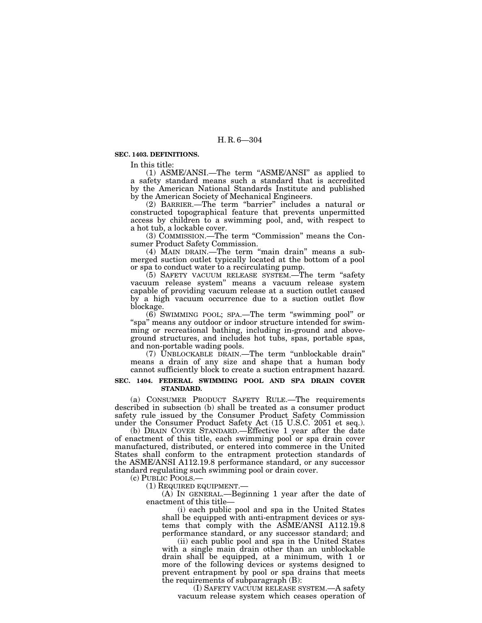## **SEC. 1403. DEFINITIONS.**

In this title:

(1) ASME/ANSI.—The term ''ASME/ANSI'' as applied to a safety standard means such a standard that is accredited by the American National Standards Institute and published by the American Society of Mechanical Engineers.

(2) BARRIER.—The term ''barrier'' includes a natural or constructed topographical feature that prevents unpermitted access by children to a swimming pool, and, with respect to a hot tub, a lockable cover.

(3) COMMISSION.—The term ''Commission'' means the Consumer Product Safety Commission.

(4) MAIN DRAIN.—The term ''main drain'' means a submerged suction outlet typically located at the bottom of a pool or spa to conduct water to a recirculating pump.

(5) SAFETY VACUUM RELEASE SYSTEM.—The term ''safety vacuum release system'' means a vacuum release system capable of providing vacuum release at a suction outlet caused by a high vacuum occurrence due to a suction outlet flow blockage.

(6) SWIMMING POOL; SPA.—The term ''swimming pool'' or "spa" means any outdoor or indoor structure intended for swimming or recreational bathing, including in-ground and aboveground structures, and includes hot tubs, spas, portable spas, and non-portable wading pools.

(7) UNBLOCKABLE DRAIN.—The term ''unblockable drain'' means a drain of any size and shape that a human body cannot sufficiently block to create a suction entrapment hazard.

#### **SEC. 1404. FEDERAL SWIMMING POOL AND SPA DRAIN COVER STANDARD.**

(a) CONSUMER PRODUCT SAFETY RULE.—The requirements described in subsection (b) shall be treated as a consumer product safety rule issued by the Consumer Product Safety Commission under the Consumer Product Safety Act (15 U.S.C. 2051 et seq.).

(b) DRAIN COVER STANDARD.—Effective 1 year after the date of enactment of this title, each swimming pool or spa drain cover manufactured, distributed, or entered into commerce in the United States shall conform to the entrapment protection standards of the ASME/ANSI A112.19.8 performance standard, or any successor standard regulating such swimming pool or drain cover.

(c) PUBLIC POOLS.—

(1) REQUIRED EQUIPMENT.—

(A) IN GENERAL.—Beginning 1 year after the date of enactment of this title—

(i) each public pool and spa in the United States shall be equipped with anti-entrapment devices or systems that comply with the ASME/ANSI A112.19.8 performance standard, or any successor standard; and

(ii) each public pool and spa in the United States with a single main drain other than an unblockable drain shall be equipped, at a minimum, with 1 or more of the following devices or systems designed to prevent entrapment by pool or spa drains that meets the requirements of subparagraph (B):

(I) SAFETY VACUUM RELEASE SYSTEM.—A safety vacuum release system which ceases operation of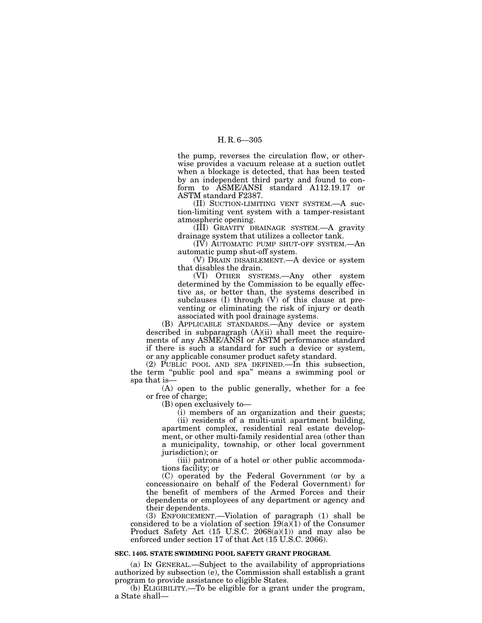the pump, reverses the circulation flow, or otherwise provides a vacuum release at a suction outlet when a blockage is detected, that has been tested by an independent third party and found to conform to ASME/ANSI standard A112.19.17 or ASTM standard F2387.

(II) SUCTION-LIMITING VENT SYSTEM.—A suction-limiting vent system with a tamper-resistant atmospheric opening.

(III) GRAVITY DRAINAGE SYSTEM.—A gravity drainage system that utilizes a collector tank.

(IV) AUTOMATIC PUMP SHUT-OFF SYSTEM.—An automatic pump shut-off system.

(V) DRAIN DISABLEMENT.—A device or system that disables the drain.

(VI) OTHER SYSTEMS.—Any other system determined by the Commission to be equally effective as, or better than, the systems described in subclauses (I) through (V) of this clause at preventing or eliminating the risk of injury or death associated with pool drainage systems.

(B) APPLICABLE STANDARDS.—Any device or system described in subparagraph (A)(ii) shall meet the requirements of any ASME/ANSI or ASTM performance standard if there is such a standard for such a device or system, or any applicable consumer product safety standard.

(2) PUBLIC POOL AND SPA DEFINED.—In this subsection, the term ''public pool and spa'' means a swimming pool or spa that is—

(A) open to the public generally, whether for a fee or free of charge;

(B) open exclusively to—

 $(i)$  members of an organization and their guests;

(ii) residents of a multi-unit apartment building, apartment complex, residential real estate development, or other multi-family residential area (other than a municipality, township, or other local government jurisdiction); or

(iii) patrons of a hotel or other public accommodations facility; or

(C) operated by the Federal Government (or by a concessionaire on behalf of the Federal Government) for the benefit of members of the Armed Forces and their dependents or employees of any department or agency and their dependents.

(3) ENFORCEMENT.—Violation of paragraph (1) shall be considered to be a violation of section  $19(a)(1)$  of the Consumer Product Safety Act (15 U.S.C. 2068(a)(1)) and may also be enforced under section 17 of that Act (15 U.S.C. 2066).

## **SEC. 1405. STATE SWIMMING POOL SAFETY GRANT PROGRAM.**

(a) IN GENERAL.—Subject to the availability of appropriations authorized by subsection (e), the Commission shall establish a grant program to provide assistance to eligible States.

 $(6)$  ELIGIBILITY.—To be eligible for a grant under the program, a State shall—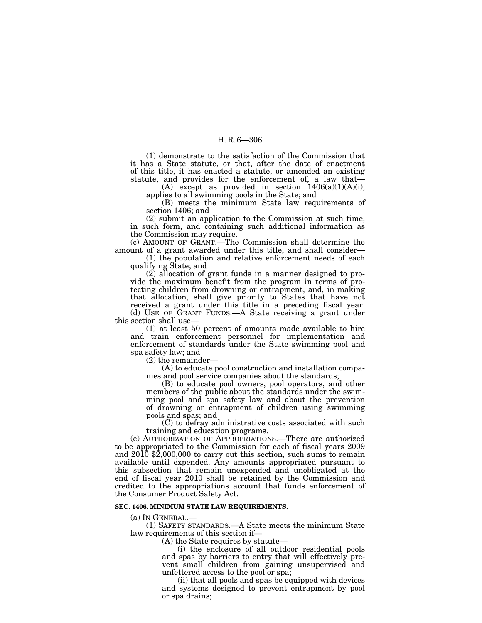(1) demonstrate to the satisfaction of the Commission that it has a State statute, or that, after the date of enactment of this title, it has enacted a statute, or amended an existing statute, and provides for the enforcement of, a law that—

(A) except as provided in section  $1406(a)(1)(A)(i)$ , applies to all swimming pools in the State; and

(B) meets the minimum State law requirements of section 1406; and

(2) submit an application to the Commission at such time, in such form, and containing such additional information as the Commission may require.

(c) AMOUNT OF GRANT.—The Commission shall determine the amount of a grant awarded under this title, and shall consider—

(1) the population and relative enforcement needs of each qualifying State; and

(2) allocation of grant funds in a manner designed to provide the maximum benefit from the program in terms of protecting children from drowning or entrapment, and, in making that allocation, shall give priority to States that have not received a grant under this title in a preceding fiscal year. (d) USE OF GRANT FUNDS.—A State receiving a grant under

this section shall use—

(1) at least 50 percent of amounts made available to hire and train enforcement personnel for implementation and enforcement of standards under the State swimming pool and spa safety law; and

(2) the remainder—

(A) to educate pool construction and installation companies and pool service companies about the standards;

(B) to educate pool owners, pool operators, and other members of the public about the standards under the swimming pool and spa safety law and about the prevention of drowning or entrapment of children using swimming pools and spas; and

(C) to defray administrative costs associated with such training and education programs.

(e) AUTHORIZATION OF APPROPRIATIONS.—There are authorized to be appropriated to the Commission for each of fiscal years 2009 and 2010 \$2,000,000 to carry out this section, such sums to remain available until expended. Any amounts appropriated pursuant to this subsection that remain unexpended and unobligated at the end of fiscal year 2010 shall be retained by the Commission and credited to the appropriations account that funds enforcement of the Consumer Product Safety Act.

## **SEC. 1406. MINIMUM STATE LAW REQUIREMENTS.**

(a) IN GENERAL.—

(1) SAFETY STANDARDS.—A State meets the minimum State law requirements of this section if—

(A) the State requires by statute—

(i) the enclosure of all outdoor residential pools and spas by barriers to entry that will effectively prevent small children from gaining unsupervised and unfettered access to the pool or spa;

(ii) that all pools and spas be equipped with devices and systems designed to prevent entrapment by pool or spa drains;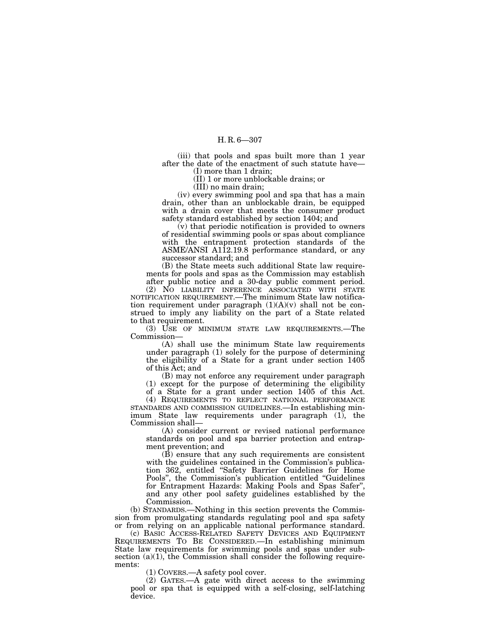(iii) that pools and spas built more than 1 year after the date of the enactment of such statute have—

(I) more than 1 drain;

(II) 1 or more unblockable drains; or

(III) no main drain;

(iv) every swimming pool and spa that has a main drain, other than an unblockable drain, be equipped with a drain cover that meets the consumer product safety standard established by section 1404; and

(v) that periodic notification is provided to owners of residential swimming pools or spas about compliance with the entrapment protection standards of the ASME/ANSI A112.19.8 performance standard, or any successor standard; and

(B) the State meets such additional State law requirements for pools and spas as the Commission may establish after public notice and a 30-day public comment period.

(2) NO LIABILITY INFERENCE ASSOCIATED WITH STATE NOTIFICATION REQUIREMENT.—The minimum State law notification requirement under paragraph  $(1)(A)(v)$  shall not be construed to imply any liability on the part of a State related to that requirement.

(3) USE OF MINIMUM STATE LAW REQUIREMENTS.—The Commission—

(A) shall use the minimum State law requirements under paragraph (1) solely for the purpose of determining the eligibility of a State for a grant under section 1405 of this Act; and

(B) may not enforce any requirement under paragraph (1) except for the purpose of determining the eligibility of a State for a grant under section 1405 of this Act.

(4) REQUIREMENTS TO REFLECT NATIONAL PERFORMANCE STANDARDS AND COMMISSION GUIDELINES.—In establishing minimum State law requirements under paragraph (1), the Commission shall—

(A) consider current or revised national performance standards on pool and spa barrier protection and entrapment prevention; and

(B) ensure that any such requirements are consistent with the guidelines contained in the Commission's publication 362, entitled ''Safety Barrier Guidelines for Home Pools'', the Commission's publication entitled ''Guidelines for Entrapment Hazards: Making Pools and Spas Safer'', and any other pool safety guidelines established by the Commission.

(b) STANDARDS.—Nothing in this section prevents the Commission from promulgating standards regulating pool and spa safety or from relying on an applicable national performance standard.

(c) BASIC ACCESS-RELATED SAFETY DEVICES AND EQUIPMENT REQUIREMENTS TO BE CONSIDERED.—In establishing minimum State law requirements for swimming pools and spas under subsection  $(a)(1)$ , the Commission shall consider the following requirements:

(1) COVERS.—A safety pool cover.

(2) GATES.—A gate with direct access to the swimming pool or spa that is equipped with a self-closing, self-latching device.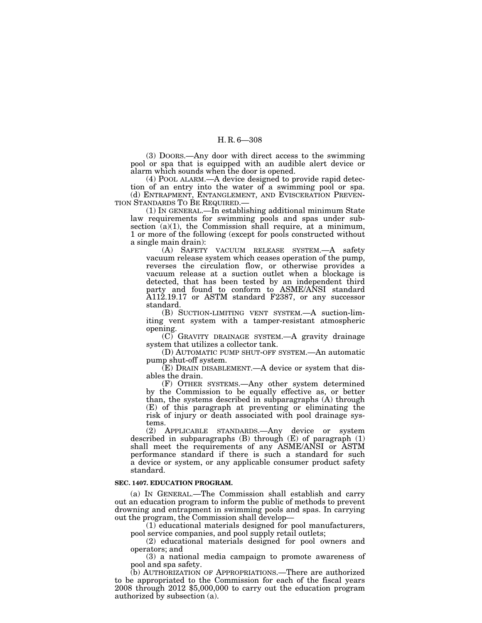(3) DOORS.—Any door with direct access to the swimming pool or spa that is equipped with an audible alert device or alarm which sounds when the door is opened.

(4) POOL ALARM.—A device designed to provide rapid detection of an entry into the water of a swimming pool or spa. (d) ENTRAPMENT, ENTANGLEMENT, AND EVISCERATION PREVEN-TION STANDARDS TO BE REQUIRED.—

(1) IN GENERAL.—In establishing additional minimum State law requirements for swimming pools and spas under subsection  $(a)(1)$ , the Commission shall require, at a minimum, 1 or more of the following (except for pools constructed without a single main drain):

(A) SAFETY VACUUM RELEASE SYSTEM.—A safety vacuum release system which ceases operation of the pump, reverses the circulation flow, or otherwise provides a vacuum release at a suction outlet when a blockage is detected, that has been tested by an independent third party and found to conform to ASME/ANSI standard A112.19.17 or ASTM standard F2387, or any successor standard.

(B) SUCTION-LIMITING VENT SYSTEM.—A suction-limiting vent system with a tamper-resistant atmospheric opening.

(C) GRAVITY DRAINAGE SYSTEM.—A gravity drainage system that utilizes a collector tank.

(D) AUTOMATIC PUMP SHUT-OFF SYSTEM.—An automatic pump shut-off system.

 $(E)$  DRAIN DISABLEMENT.—A device or system that disables the drain.

(F) OTHER SYSTEMS.—Any other system determined by the Commission to be equally effective as, or better than, the systems described in subparagraphs (A) through (E) of this paragraph at preventing or eliminating the risk of injury or death associated with pool drainage systems.

(2) APPLICABLE STANDARDS.—Any device or system described in subparagraphs (B) through (E) of paragraph (1) shall meet the requirements of any ASME/ANSI or ASTM performance standard if there is such a standard for such a device or system, or any applicable consumer product safety standard.

#### **SEC. 1407. EDUCATION PROGRAM.**

(a) IN GENERAL.—The Commission shall establish and carry out an education program to inform the public of methods to prevent drowning and entrapment in swimming pools and spas. In carrying out the program, the Commission shall develop—

(1) educational materials designed for pool manufacturers, pool service companies, and pool supply retail outlets;

(2) educational materials designed for pool owners and operators; and

(3) a national media campaign to promote awareness of pool and spa safety.

(b) AUTHORIZATION OF APPROPRIATIONS.—There are authorized to be appropriated to the Commission for each of the fiscal years 2008 through 2012 \$5,000,000 to carry out the education program authorized by subsection (a).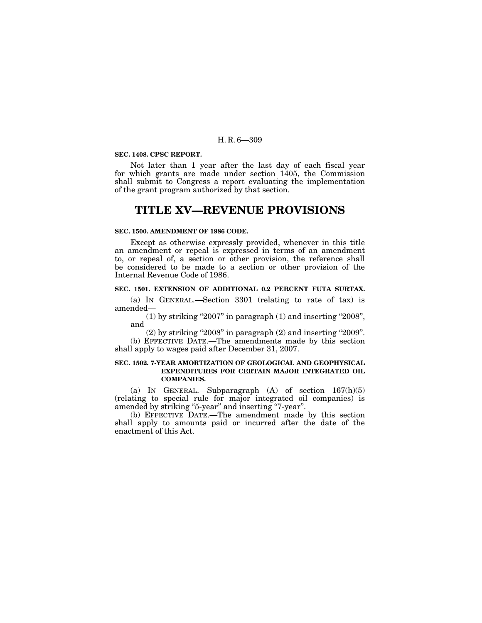#### **SEC. 1408. CPSC REPORT.**

Not later than 1 year after the last day of each fiscal year for which grants are made under section 1405, the Commission shall submit to Congress a report evaluating the implementation of the grant program authorized by that section.

## **TITLE XV—REVENUE PROVISIONS**

## **SEC. 1500. AMENDMENT OF 1986 CODE.**

Except as otherwise expressly provided, whenever in this title an amendment or repeal is expressed in terms of an amendment to, or repeal of, a section or other provision, the reference shall be considered to be made to a section or other provision of the Internal Revenue Code of 1986.

#### **SEC. 1501. EXTENSION OF ADDITIONAL 0.2 PERCENT FUTA SURTAX.**

(a) IN GENERAL.—Section 3301 (relating to rate of tax) is amended—

 $(1)$  by striking "2007" in paragraph  $(1)$  and inserting "2008", and

 $(2)$  by striking "2008" in paragraph  $(2)$  and inserting "2009". (b) EFFECTIVE DATE.—The amendments made by this section shall apply to wages paid after December 31, 2007.

#### **SEC. 1502. 7-YEAR AMORTIZATION OF GEOLOGICAL AND GEOPHYSICAL EXPENDITURES FOR CERTAIN MAJOR INTEGRATED OIL COMPANIES.**

(a) IN GENERAL.—Subparagraph  $(A)$  of section  $167(h)(5)$ (relating to special rule for major integrated oil companies) is amended by striking "5-year" and inserting "7-year".

(b) EFFECTIVE DATE.—The amendment made by this section shall apply to amounts paid or incurred after the date of the enactment of this Act.